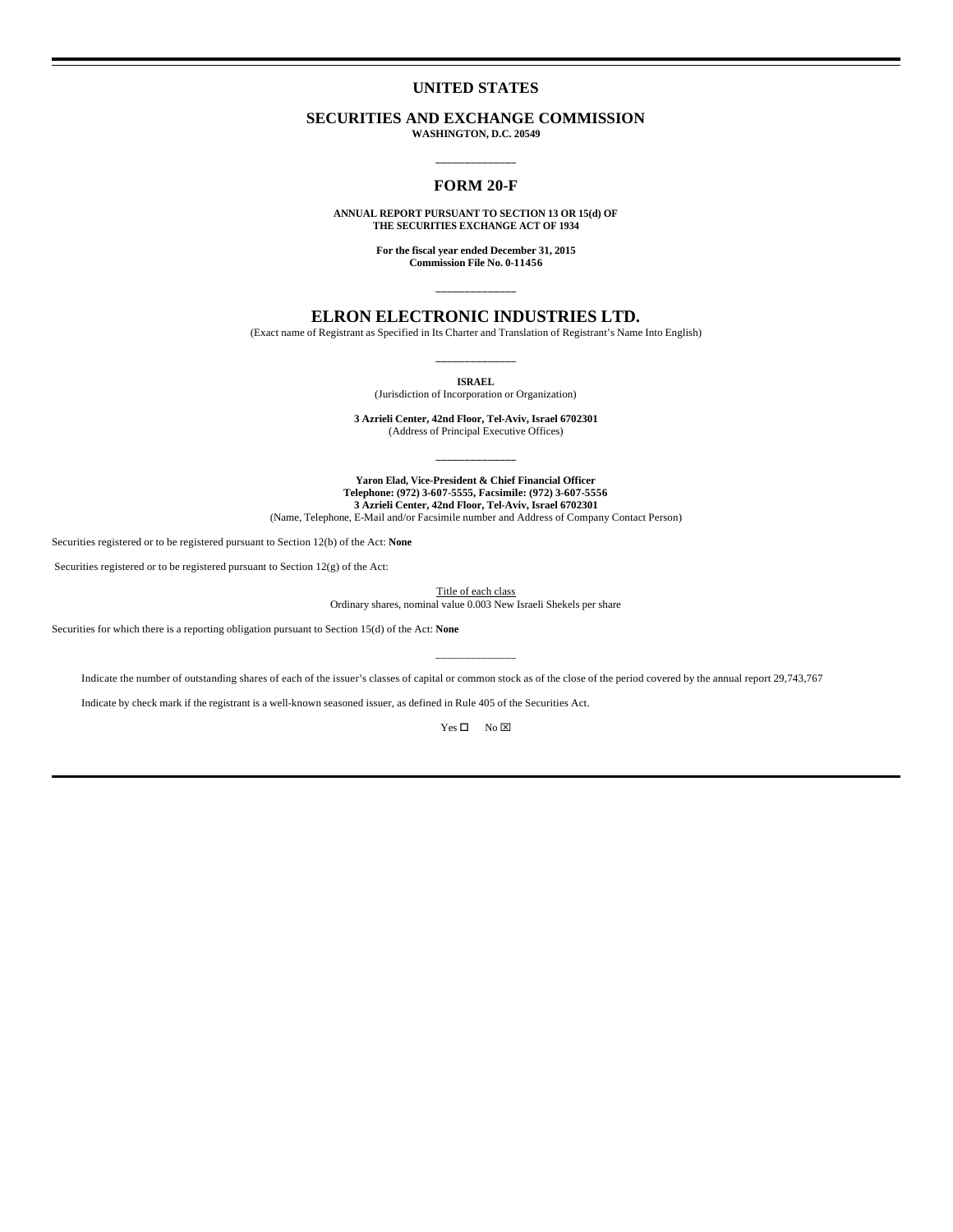# **UNITED STATES**

# **SECURITIES AND EXCHANGE COMMISSION**

**WASHINGTON, D.C. 20549 \_\_\_\_\_\_\_\_\_\_\_\_\_\_**

# **FORM 20-F**

**ANNUAL REPORT PURSUANT TO SECTION 13 OR 15(d) OF THE SECURITIES EXCHANGE ACT OF 1934**

> **For the fiscal year ended December 31, 2015 Commission File No. 0-11456**

# **\_\_\_\_\_\_\_\_\_\_\_\_\_\_ ELRON ELECTRONIC INDUSTRIES LTD.**

(Exact name of Registrant as Specified in Its Charter and Translation of Registrant's Name Into English)

**\_\_\_\_\_\_\_\_\_\_\_\_\_\_ ISRAEL**

(Jurisdiction of Incorporation or Organization)

**3 Azrieli Center, 42nd Floor, Tel-Aviv, Israel 6702301** (Address of Principal Executive Offices)

**\_\_\_\_\_\_\_\_\_\_\_\_\_\_**

**Yaron Elad, Vice-President & Chief Financial Officer Telephone: (972) 3-607-5555, Facsimile: (972) 3-607-5556 3 Azrieli Center, 42nd Floor, Tel-Aviv, Israel 6702301** (Name, Telephone, E-Mail and/or Facsimile number and Address of Company Contact Person)

Securities registered or to be registered pursuant to Section 12(b) of the Act: **None**

Securities registered or to be registered pursuant to Section 12(g) of the Act:

Title of each class

Ordinary shares, nominal value 0.003 New Israeli Shekels per share

\_\_\_\_\_\_\_\_\_\_\_\_\_\_

Securities for which there is a reporting obligation pursuant to Section 15(d) of the Act: **None**

Indicate the number of outstanding shares of each of the issuer's classes of capital or common stock as of the close of the period covered by the annual report 29,743,767

Indicate by check mark if the registrant is a well-known seasoned issuer, as defined in Rule 405 of the Securities Act.

 $Yes \Box$  No  $\boxtimes$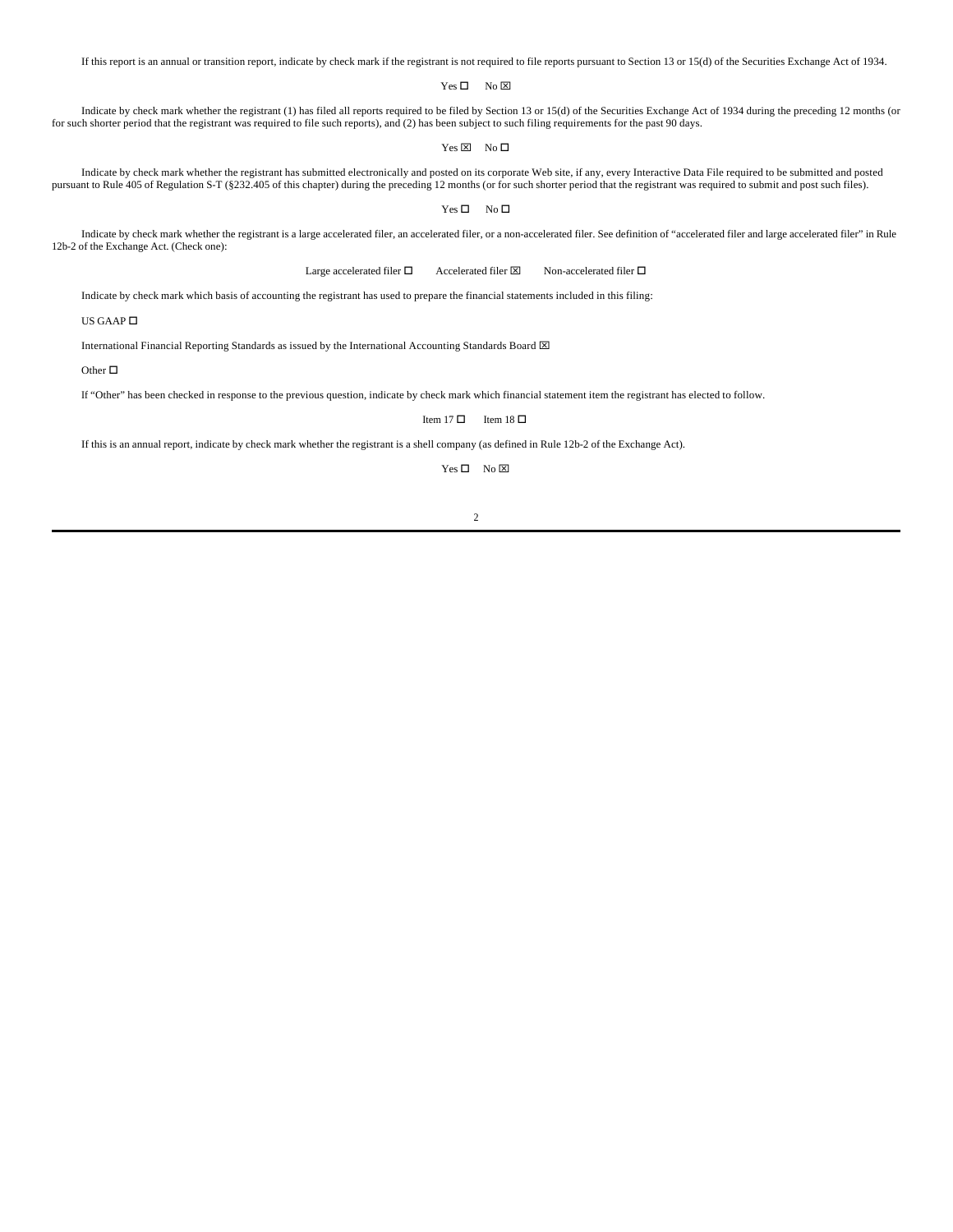If this report is an annual or transition report, indicate by check mark if the registrant is not required to file reports pursuant to Section 13 or 15(d) of the Securities Exchange Act of 1934.

 $Yes \Box$  No  $\boxtimes$ 

Indicate by check mark whether the registrant (1) has filed all reports required to be filed by Section 13 or 15(d) of the Securities Exchange Act of 1934 during the preceding 12 months (or for such shorter period that the registrant was required to file such reports), and (2) has been subject to such filing requirements for the past 90 days.

Yes  $\boxtimes$  No  $\square$ 

Indicate by check mark whether the registrant has submitted electronically and posted on its corporate Web site, if any, every Interactive Data File required to be submitted and posted pursuant to Rule 405 of Regulation S-T (§232.405 of this chapter) during the preceding 12 months (or for such shorter period that the registrant was required to submit and post such files).

 $Yes \Box$  No  $\Box$ 

Indicate by check mark whether the registrant is a large accelerated filer, an accelerated filer, or a non-accelerated filer. See definition of "accelerated filer and large accelerated filer" in Rule 12b-2 of the Exchange Act. (Check one):

Large accelerated filer  $\square$  Accelerated filer  $\square$  Non-accelerated filer  $\square$ 

Indicate by check mark which basis of accounting the registrant has used to prepare the financial statements included in this filing:

US GAAP  $\Box$ 

International Financial Reporting Standards as issued by the International Accounting Standards Board ⌧

Other  $\Box$ 

If "Other" has been checked in response to the previous question, indicate by check mark which financial statement item the registrant has elected to follow.

Item 17  $\square$  Item 18  $\square$ 

If this is an annual report, indicate by check mark whether the registrant is a shell company (as defined in Rule 12b-2 of the Exchange Act).

 $Yes \Box$  No  $\boxtimes$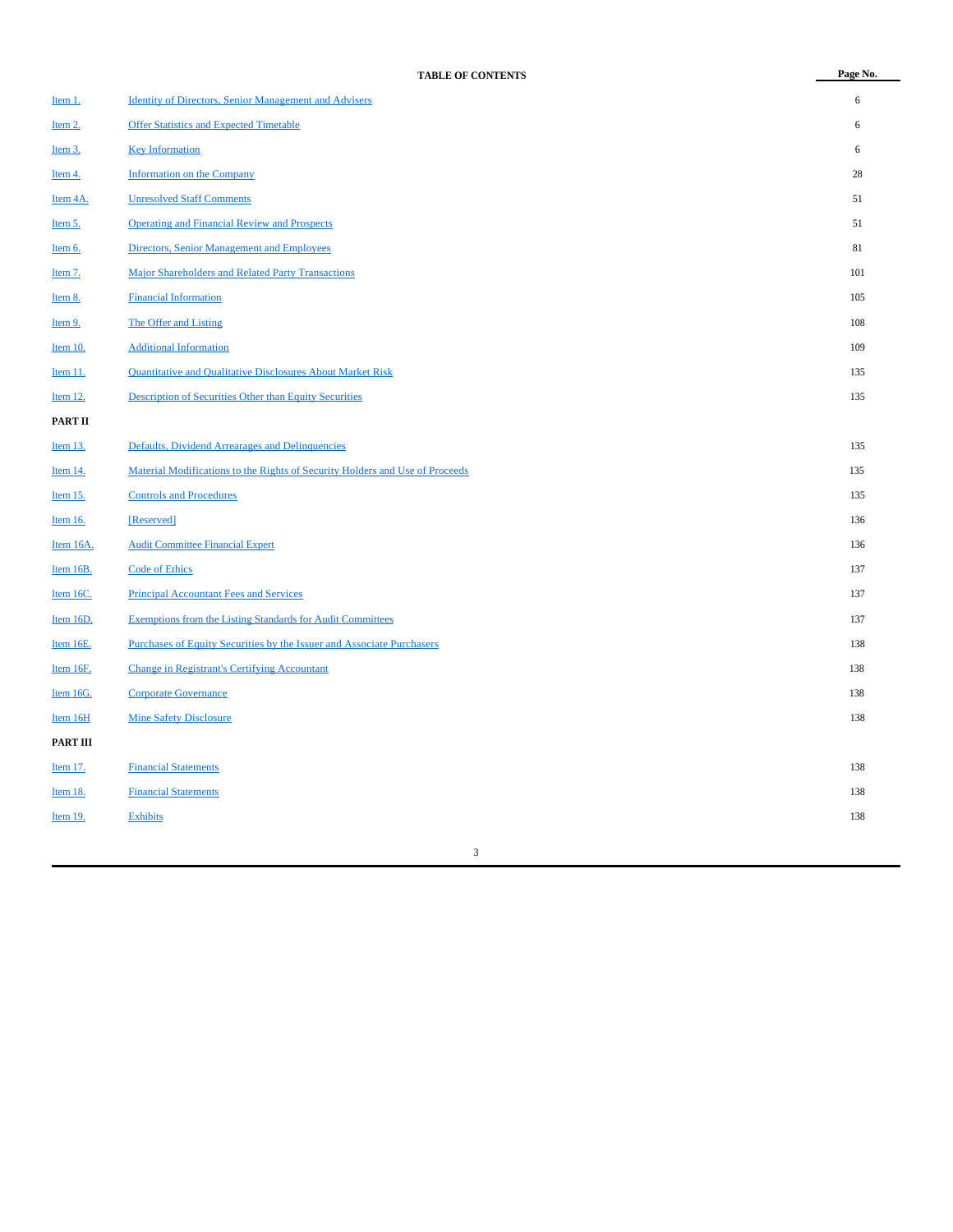# **TABLE OF CONTENTS Page No.**

| $Item 1$ .      | <b>Identity of Directors, Senior Management and Advisers</b>                 | 6   |
|-----------------|------------------------------------------------------------------------------|-----|
| Item 2.         | <b>Offer Statistics and Expected Timetable</b>                               | 6   |
| Item $3$ .      | <b>Key Information</b>                                                       | 6   |
| Item 4.         | Information on the Company                                                   | 28  |
| Item 4A.        | <b>Unresolved Staff Comments</b>                                             | 51  |
| <u>Item 5.</u>  | <b>Operating and Financial Review and Prospects</b>                          | 51  |
| Item 6.         | Directors, Senior Management and Employees                                   | 81  |
| Item 7.         | Major Shareholders and Related Party Transactions                            | 101 |
| Item 8.         | <b>Financial Information</b>                                                 | 105 |
| Item 9.         | The Offer and Listing                                                        | 108 |
| <u>Item 10.</u> | <b>Additional Information</b>                                                | 109 |
| Item 11.        | Quantitative and Qualitative Disclosures About Market Risk                   | 135 |
| <b>Item 12.</b> | Description of Securities Other than Equity Securities                       | 135 |
| <b>PART II</b>  |                                                                              |     |
| <b>Item 13.</b> | Defaults, Dividend Arrearages and Delinquencies                              | 135 |
| Item 14.        | Material Modifications to the Rights of Security Holders and Use of Proceeds | 135 |
| <u>Item 15.</u> | <b>Controls and Procedures</b>                                               | 135 |
| <b>Item 16.</b> | [Reserved]                                                                   | 136 |
| Item 16A.       | <b>Audit Committee Financial Expert</b>                                      | 136 |
| Item 16B.       | <b>Code of Ethics</b>                                                        | 137 |
| Item 16C.       | <b>Principal Accountant Fees and Services</b>                                | 137 |
| Item 16D.       | <b>Exemptions from the Listing Standards for Audit Committees</b>            | 137 |
| Item 16E.       | Purchases of Equity Securities by the Issuer and Associate Purchasers        | 138 |
| Item 16F.       | <b>Change in Registrant's Certifying Accountant</b>                          | 138 |
| Item 16G.       | <b>Corporate Governance</b>                                                  | 138 |
| Item 16H        | <b>Mine Safety Disclosure</b>                                                | 138 |
| <b>PART III</b> |                                                                              |     |
| Item 17.        | <b>Financial Statements</b>                                                  | 138 |
| <b>Item 18.</b> | <b>Financial Statements</b>                                                  | 138 |
| <u>Item 19.</u> | <b>Exhibits</b>                                                              | 138 |
|                 |                                                                              |     |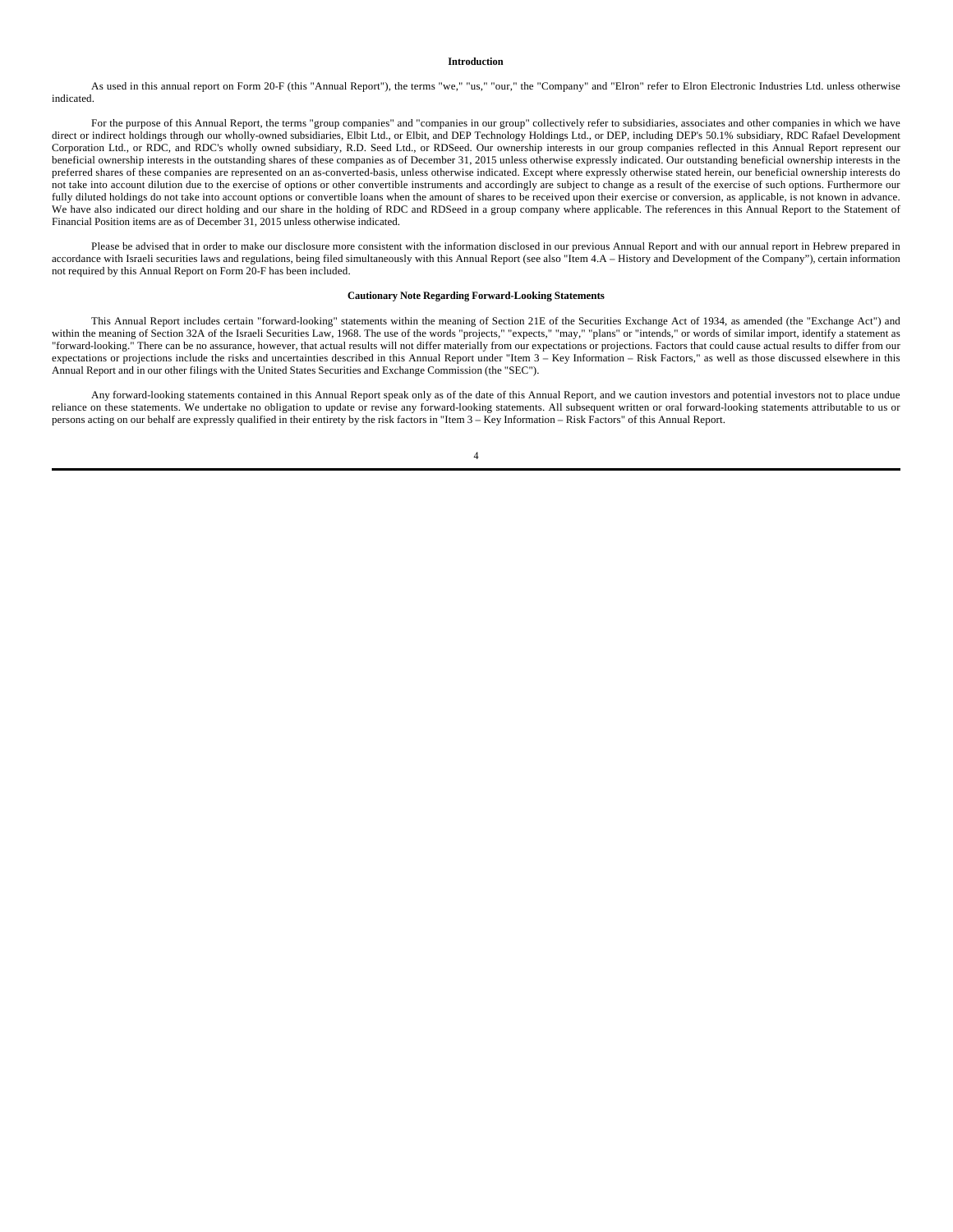### **Introduction**

As used in this annual report on Form 20-F (this "Annual Report"), the terms "we," "us," "our," the "Company" and "Elron" refer to Elron Electronic Industries Ltd. unless otherwise indicated.

For the purpose of this Annual Report, the terms "group companies" and "companies in our group" collectively refer to subsidiaries, associates and other companies in which we have direct or indirect holdings through our wholly-owned subsidiaries, Elbit Ltd., or Elbit, and DEP Technology Holdings Ltd., or DEP, including DEP's 50.1% subsidiary, RDC Rafael Development Corporation Ltd., or RDC, and RDC's wholly owned subsidiary, R.D. Seed Ltd., or RDSeed. Our ownership interests in our group companies reflected in this Annual Report represent our beneficial ownership interests in the outstanding shares of these companies as of December 31, 2015 unless otherwise expressly indicated. Our outstanding beneficial ownership interests in the preferred shares of these companies are represented on an as-converted-basis, unless otherwise indicated. Except where expressly otherwise stated herein, our beneficial ownership interests do not take into account dilution due to the exercise of options or other convertible instruments and accordingly are subject to change as a result of the exercise of such options. Furthermore our fully diluted holdings do not take into account options or convertible loans when the amount of shares to be received upon their exercise or conversion, as applicable, is not known in advance. We have also indicated our direct holding and our share in the holding of RDC and RDSeed in a group company where applicable. The references in this Annual Report to the Statement of Financial Position items are as of December 31, 2015 unless otherwise indicated.

Please be advised that in order to make our disclosure more consistent with the information disclosed in our previous Annual Report and with our annual report in Hebrew prepared in accordance with Israeli securities laws and regulations, being filed simultaneously with this Annual Report (see also "Item 4.A – History and Development of the Company"), certain information not required by this Annual Report on Form 20-F has been included.

#### **Cautionary Note Regarding Forward-Looking Statements**

This Annual Report includes certain "forward-looking" statements within the meaning of Section 21E of the Securities Exchange Act of 1934, as amended (the "Exchange Act") and within the meaning of Section 32A of the Israeli Securities Law, 1968. The use of the words "projects," "expects," "may," "plans" or "intends," or words of similar import, identify a statement as "forward-looking." There can be no assurance, however, that actual results will not differ materially from our expectations or projections. Factors that could cause actual results to differ from our expectations or projections include the risks and uncertainties described in this Annual Report under "Item 3 – Key Information – Risk Factors," as well as those discussed elsewhere in this Annual Report and in our other filings with the United States Securities and Exchange Commission (the "SEC").

Any forward-looking statements contained in this Annual Report speak only as of the date of this Annual Report, and we caution investors and potential investors not to place undue reliance on these statements. We undertake no obligation to update or revise any forward-looking statements. All subsequent written or oral forward-looking statements attributable to us or persons acting on our behalf are expressly qualified in their entirety by the risk factors in "Item 3 – Key Information – Risk Factors" of this Annual Report.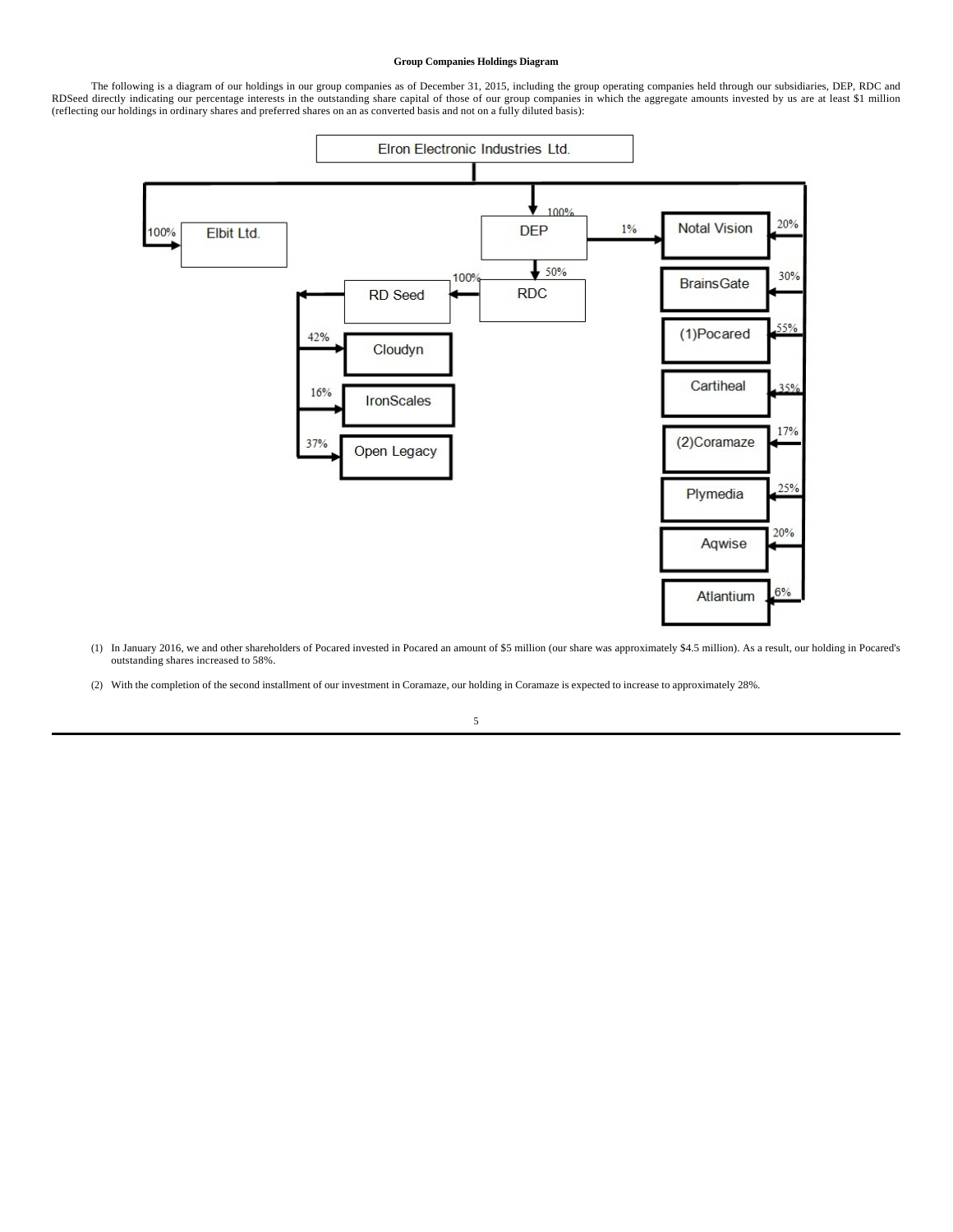# **Group Companies Holdings Diagram**

The following is a diagram of our holdings in our group companies as of December 31, 2015, including the group operating companies held through our subsidiaries, DEP, RDC and<br>RDSeed directly indicating our percentage inter (reflecting our holdings in ordinary shares and preferred shares on an as converted basis and not on a fully diluted basis):



- (1) In January 2016, we and other shareholders of Pocared invested in Pocared an amount of \$5 million (our share was approximately \$4.5 million). As a result, our holding in Pocared's outstanding shares increased to 58%.
- (2) With the completion of the second installment of our investment in Coramaze, our holding in Coramaze is expected to increase to approximately 28%.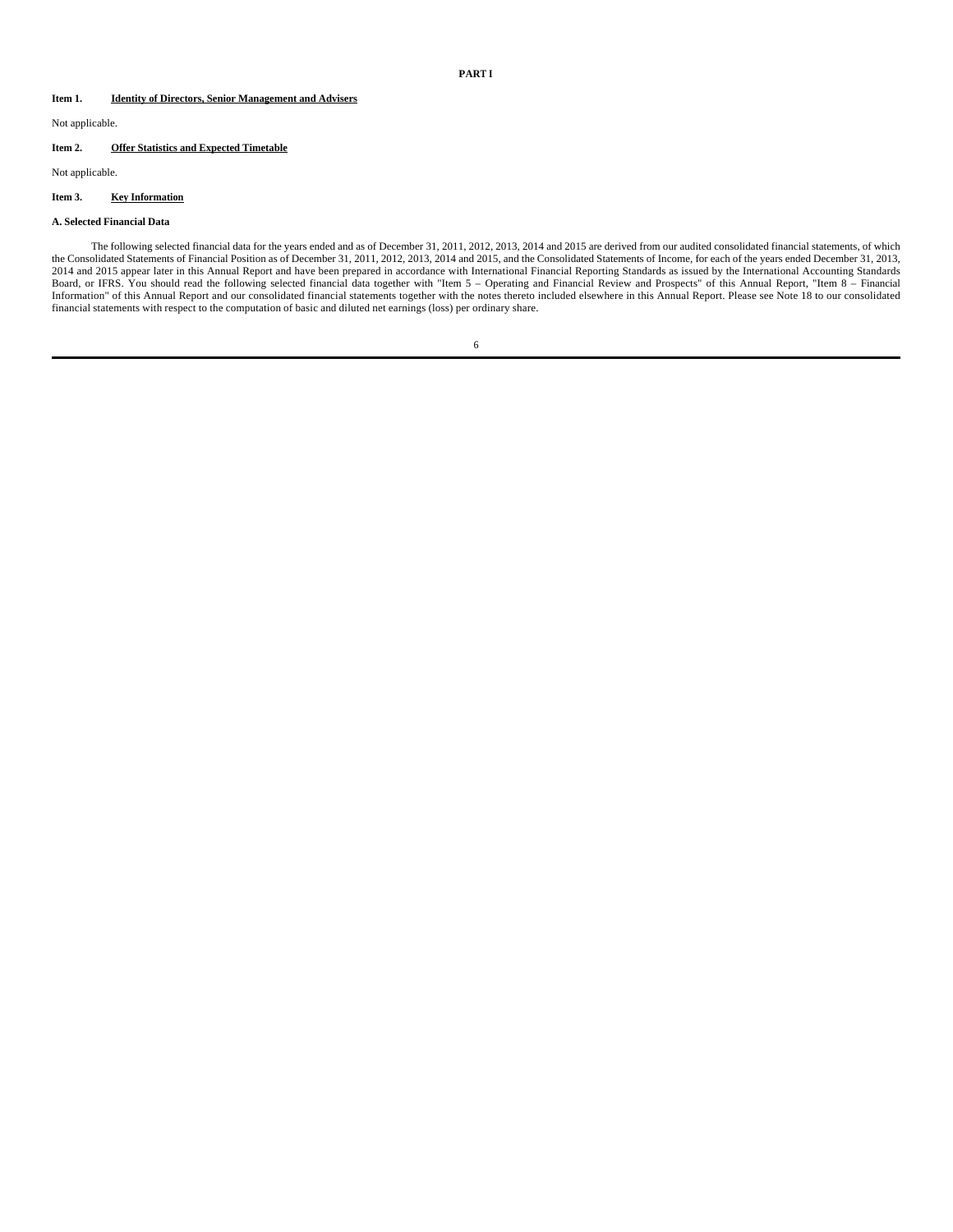### **PART I**

# **Item 1. Identity of Directors, Senior Management and Advisers**

Not applicable.

# **Item 2. Offer Statistics and Expected Timetable**

Not applicable.

# **Item 3. Key Information**

# **A. Selected Financial Data**

The following selected financial data for the years ended and as of December 31, 2011, 2012, 2013, 2014 and 2015 are derived from our audited consolidated financial statements, of which the Consolidated Statements of Financial Position as of December 31, 2011, 2012, 2013, 2014 and 2015, and the Consolidated Statements of Income, for each of the years ended December 31, 2013, 2014 and 2015 appear later in this Annual Report and have been prepared in accordance with International Financial Reporting Standards as issued by the International Accounting Standards<br>Board, or IFRS. You should read the Information" of this Annual Report and our consolidated financial statements together with the notes thereto included elsewhere in this Annual Report. Please see Note 18 to our consolidated financial statements with respect to the computation of basic and diluted net earnings (loss) per ordinary share.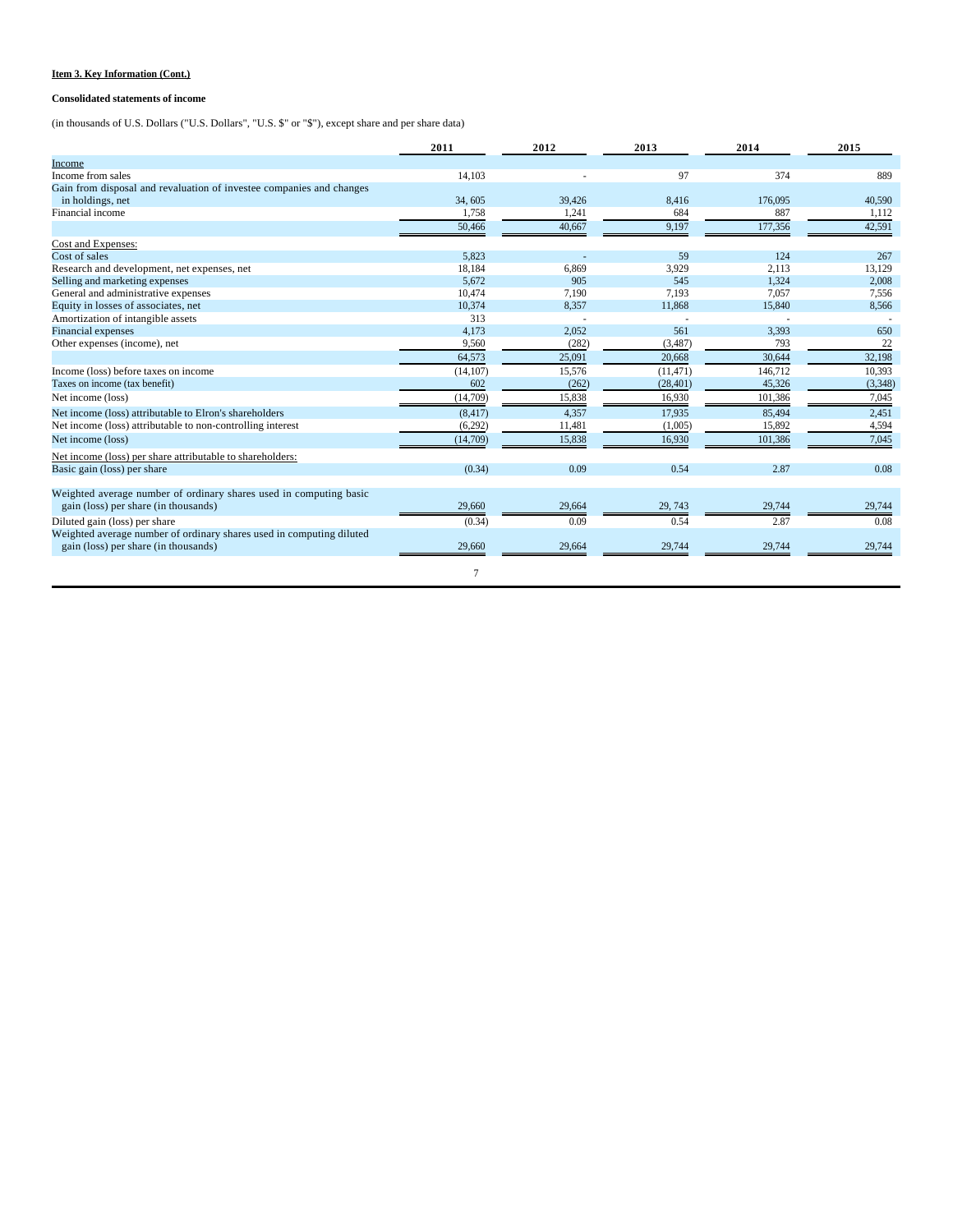# **Item 3. Key Information (Cont.)**

# **Consolidated statements of income**

(in thousands of U.S. Dollars ("U.S. Dollars", "U.S. \$" or "\$"), except share and per share data)

|                                                                      | 2011      | 2012   | 2013      | 2014    | 2015    |
|----------------------------------------------------------------------|-----------|--------|-----------|---------|---------|
| Income                                                               |           |        |           |         |         |
| Income from sales                                                    | 14,103    |        | 97        | 374     | 889     |
| Gain from disposal and revaluation of investee companies and changes |           |        |           |         |         |
| in holdings, net                                                     | 34, 605   | 39,426 | 8,416     | 176,095 | 40,590  |
| Financial income                                                     | 1,758     | 1,241  | 684       | 887     | 1,112   |
|                                                                      | 50,466    | 40,667 | 9,197     | 177,356 | 42,591  |
| Cost and Expenses:                                                   |           |        |           |         |         |
| Cost of sales                                                        | 5.823     |        | 59        | 124     | 267     |
| Research and development, net expenses, net                          | 18,184    | 6.869  | 3,929     | 2.113   | 13,129  |
| Selling and marketing expenses                                       | 5,672     | 905    | 545       | 1,324   | 2,008   |
| General and administrative expenses                                  | 10.474    | 7,190  | 7.193     | 7.057   | 7,556   |
| Equity in losses of associates, net                                  | 10,374    | 8,357  | 11,868    | 15,840  | 8,566   |
| Amortization of intangible assets                                    | 313       |        |           |         |         |
| Financial expenses                                                   | 4,173     | 2,052  | 561       | 3,393   | 650     |
| Other expenses (income), net                                         | 9,560     | (282)  | (3,487)   | 793     | 22      |
|                                                                      | 64,573    | 25,091 | 20,668    | 30.644  | 32,198  |
| Income (loss) before taxes on income                                 | (14, 107) | 15,576 | (11, 471) | 146.712 | 10,393  |
| Taxes on income (tax benefit)                                        | 602       | (262)  | (28, 401) | 45,326  | (3,348) |
| Net income (loss)                                                    | (14,709)  | 15,838 | 16,930    | 101,386 | 7,045   |
| Net income (loss) attributable to Elron's shareholders               | (8, 417)  | 4,357  | 17,935    | 85,494  | 2,451   |
| Net income (loss) attributable to non-controlling interest           | (6,292)   | 11,481 | (1,005)   | 15,892  | 4,594   |
| Net income (loss)                                                    | (14,709)  | 15,838 | 16,930    | 101,386 | 7,045   |
| Net income (loss) per share attributable to shareholders:            |           |        |           |         |         |
| Basic gain (loss) per share                                          | (0.34)    | 0.09   | 0.54      | 2.87    | 0.08    |
| Weighted average number of ordinary shares used in computing basic   |           |        |           |         |         |
| gain (loss) per share (in thousands)                                 | 29,660    | 29,664 | 29, 743   | 29,744  | 29,744  |
| Diluted gain (loss) per share                                        | (0.34)    | 0.09   | 0.54      | 2.87    | 0.08    |
| Weighted average number of ordinary shares used in computing diluted |           |        |           |         |         |
| gain (loss) per share (in thousands)                                 | 29,660    | 29,664 | 29,744    | 29,744  | 29,744  |
|                                                                      | 7         |        |           |         |         |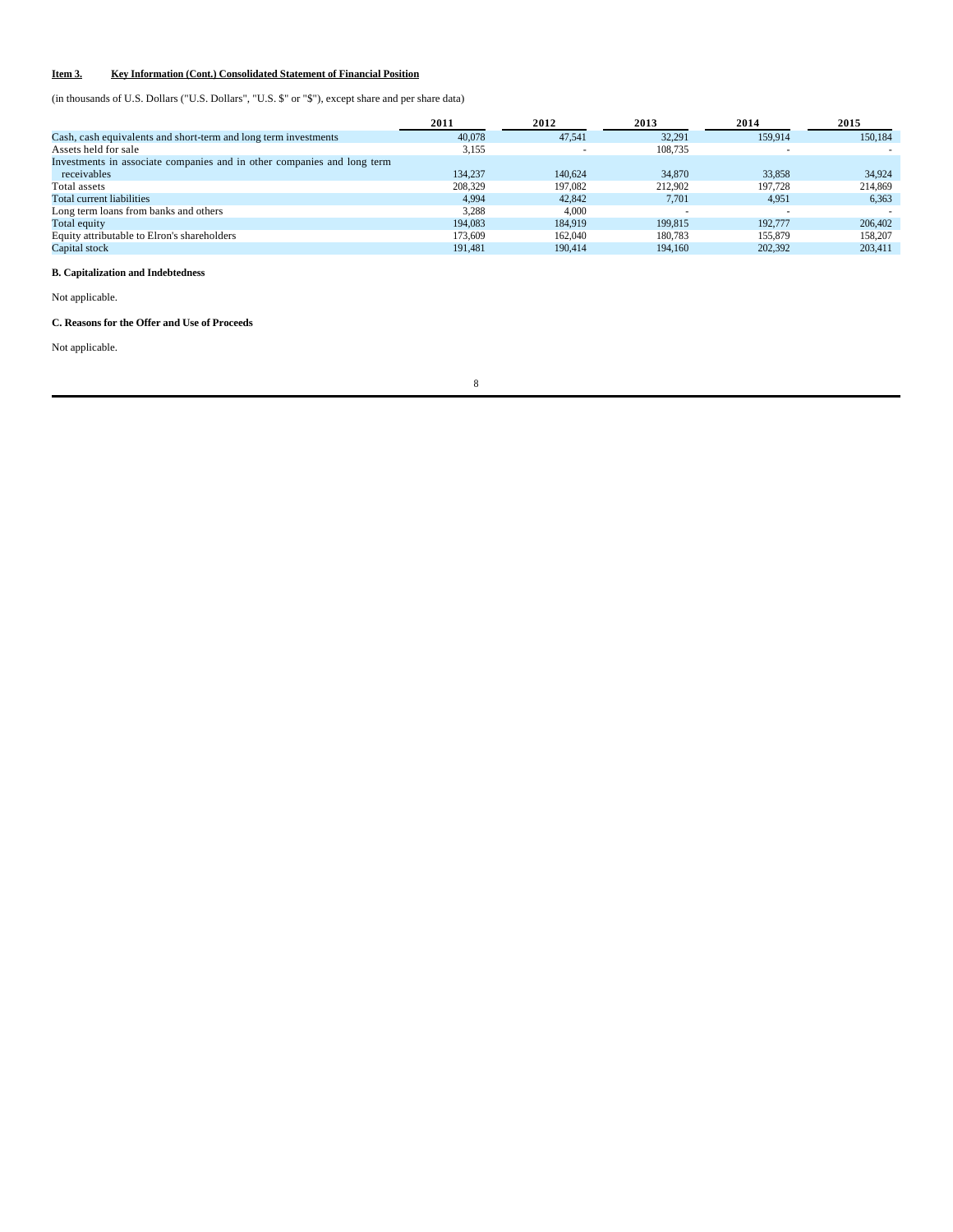# **Item 3. Key Information (Cont.) Consolidated Statement of Financial Position**

(in thousands of U.S. Dollars ("U.S. Dollars", "U.S. \$" or "\$"), except share and per share data)

|                                                                         | 2011    | 2012    | 2013                     | 2014    | 2015    |
|-------------------------------------------------------------------------|---------|---------|--------------------------|---------|---------|
| Cash, cash equivalents and short-term and long term investments         | 40.078  | 47.541  | 32.291                   | 159.914 | 150.184 |
| Assets held for sale                                                    | 3,155   |         | 108,735                  |         |         |
| Investments in associate companies and in other companies and long term |         |         |                          |         |         |
| receivables                                                             | 134.237 | 140.624 | 34,870                   | 33,858  | 34.924  |
| Total assets                                                            | 208,329 | 197.082 | 212.902                  | 197.728 | 214,869 |
| Total current liabilities                                               | 4.994   | 42,842  | 7.701                    | 4.951   | 6,363   |
| Long term loans from banks and others                                   | 3,288   | 4.000   | $\overline{\phantom{a}}$ |         |         |
| Total equity                                                            | 194,083 | 184,919 | 199.815                  | 192,777 | 206,402 |
| Equity attributable to Elron's shareholders                             | 173,609 | 162,040 | 180.783                  | 155,879 | 158,207 |
| Capital stock                                                           | 191.481 | 190.414 | 194,160                  | 202.392 | 203,411 |

# **B. Capitalization and Indebtedness**

Not applicable.

# **C. Reasons for the Offer and Use of Proceeds**

Not applicable.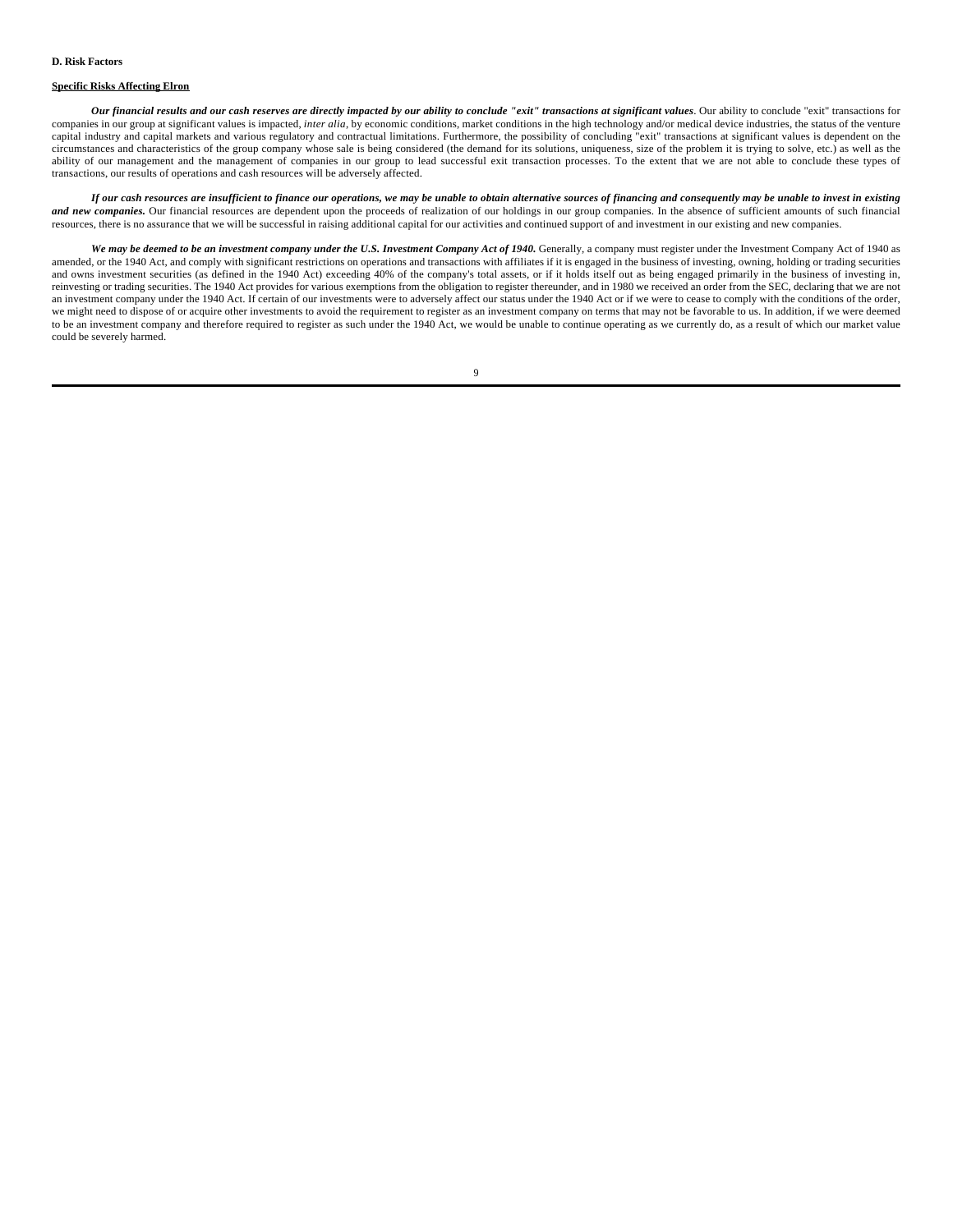### **Specific Risks Affecting Elron**

*Our financial results and our cash reserves are directly impacted by our ability to conclude "exit" transactions at significant values*. Our ability to conclude "exit" transactions for companies in our group at significant values is impacted, *inter alia*, by economic conditions, market conditions in the high technology and/or medical device industries, the status of the venture capital industry and capital markets and various regulatory and contractual limitations. Furthermore, the possibility of concluding "exit" transactions at significant values is dependent on the circumstances and characteristics of the group company whose sale is being considered (the demand for its solutions, uniqueness, size of the problem it is trying to solve, etc.) as well as the ability of our management and the management of companies in our group to lead successful exit transaction processes. To the extent that we are not able to conclude these types of transactions, our results of operations and cash resources will be adversely affected.

*If our cash resources are insufficient to finance our operations, we may be unable to obtain alternative sources of financing and consequently may be unable to invest in existing*  and new companies. Our financial resources are dependent upon the proceeds of realization of our holdings in our group companies. In the absence of sufficient amounts of such financial resources, there is no assurance that we will be successful in raising additional capital for our activities and continued support of and investment in our existing and new companies.

We may be deemed to be an investment company under the U.S. Investment Company Act of 1940. Generally, a company must register under the Investment Company Act of 1940 as amended, or the 1940 Act, and comply with significant restrictions on operations and transactions with affiliates if it is engaged in the business of investing, owning, holding or trading securities and owns investment securities (as defined in the 1940 Act) exceeding 40% of the company's total assets, or if it holds itself out as being engaged primarily in the business of investing in, reinvesting or trading securities. The 1940 Act provides for various exemptions from the obligation to register thereunder, and in 1980 we received an order from the SEC, declaring that we are not an investment company under the 1940 Act. If certain of our investments were to adversely affect our status under the 1940 Act or if we were to cease to comply with the conditions of the order, we might need to dispose of or acquire other investments to avoid the requirement to register as an investment company on terms that may not be favorable to us. In addition, if we were deemed to be an investment company and therefore required to register as such under the 1940 Act, we would be unable to continue operating as we currently do, as a result of which our market value could be severely harmed.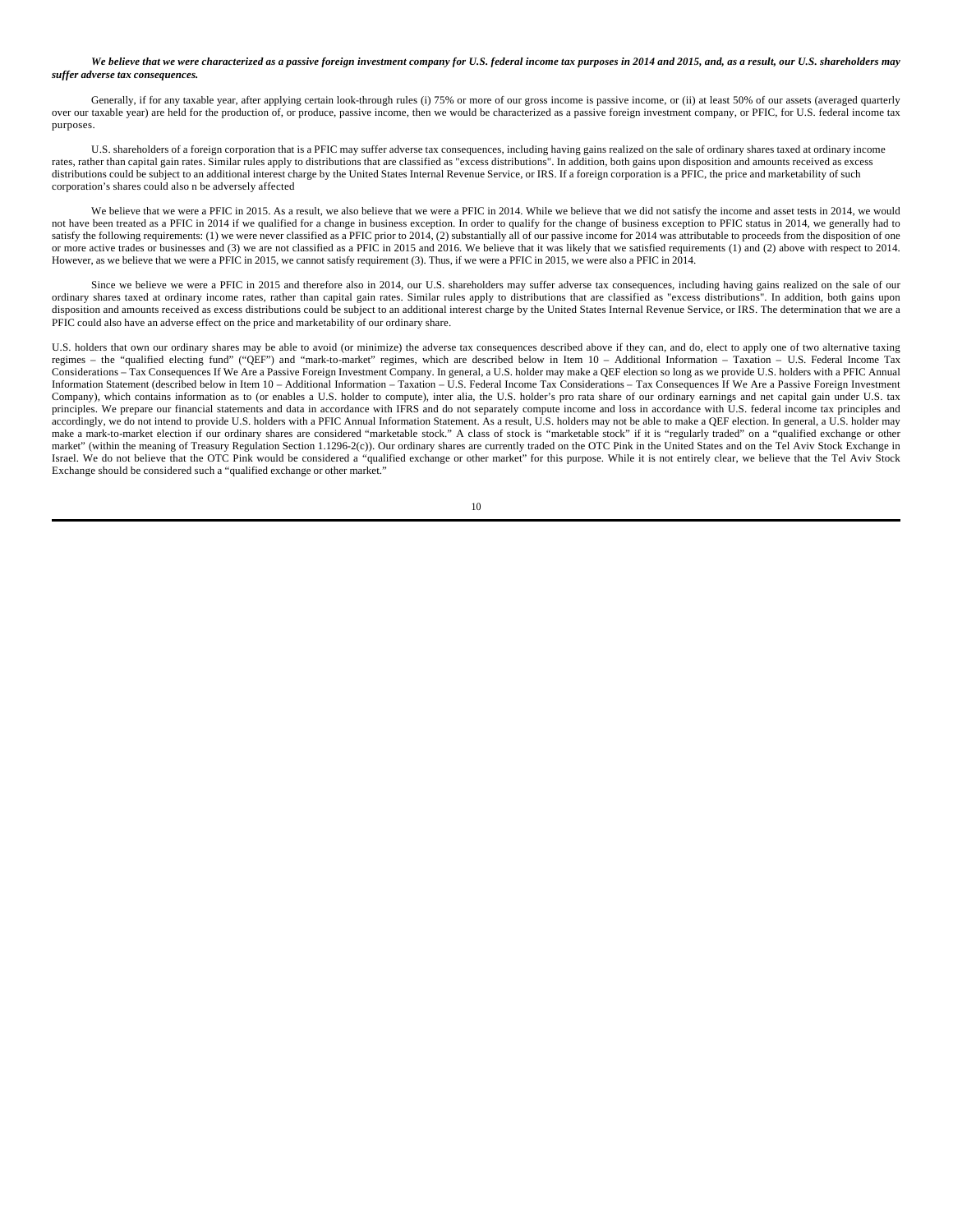### *We believe that we were characterized as a passive foreign investment company for U.S. federal income tax purposes in 2014 and 2015, and, as a result, our U.S. shareholders may suffer adverse tax consequences.*

Generally, if for any taxable year, after applying certain look-through rules (i) 75% or more of our gross income is passive income, or (ii) at least 50% of our assets (averaged quarterly over our taxable year) are held for the production of, or produce, passive income, then we would be characterized as a passive foreign investment company, or PFIC, for U.S. federal income tax purposes.

U.S. shareholders of a foreign corporation that is a PFIC may suffer adverse tax consequences, including having gains realized on the sale of ordinary shares taxed at ordinary income rates, rather than capital gain rates. Similar rules apply to distributions that are classified as "excess distributions". In addition, both gains upon disposition and amounts received as excess distributions could be subject to an additional interest charge by the United States Internal Revenue Service, or IRS. If a foreign corporation is a PFIC, the price and marketability of such distributions could be subject corporation's shares could also n be adversely affected

We believe that we were a PFIC in 2015. As a result, we also believe that we were a PFIC in 2014. While we believe that we did not satisfy the income and asset tests in 2014, we would not have been treated as a PFIC in 2014 if we qualified for a change in business exception. In order to qualify for the change of business exception to PFIC status in 2014, we generally had to satisfy the following requirements: (1) we were never classified as a PFIC prior to 2014, (2) substantially all of our passive income for 2014 was attributable to proceeds from the disposition of one or more active trades or businesses and (3) we are not classified as a PFIC in 2015 and 2016. We believe that it was likely that we satisfied requirements (1) and (2) above with respect to 2014. However, as we believe that we were a PFIC in 2015, we cannot satisfy requirement (3). Thus, if we were a PFIC in 2015, we were also a PFIC in 2014.

Since we believe we were a PFIC in 2015 and therefore also in 2014, our U.S. shareholders may suffer adverse tax consequences, including having gains realized on the sale of our ordinary shares taxed at ordinary income rates, rather than capital gain rates. Similar rules apply to distributions that are classified as "excess distributions". In addition, both gains upon disposition and amounts received as excess distributions could be subject to an additional interest charge by the United States Internal Revenue Service, or IRS. The determination that we are a PFIC could also have an adverse effect on the price and marketability of our ordinary share.

U.S. holders that own our ordinary shares may be able to avoid (or minimize) the adverse tax consequences described above if they can, and do, elect to apply one of two alternative taxing regimes – the "qualified electing fund" ("QEF") and "mark-to-market" regimes, which are described below in Item 10 – Additional Information – Taxation – U.S. Federal Income Tax Considerations – Tax Consequences If We Are a Passive Foreign Investment Company. In general, a U.S. holder may make a QEF election so long as we provide U.S. holders with a PFIC Annual Information Statement (described below in Item 10 – Additional Information – Taxation – U.S. Federal Income Tax Considerations – Tax Consequences If We Are a Passive Foreign Investment Company), which contains information as to (or enables a U.S. holder to compute), inter alia, the U.S. holder's pro rata share of our ordinary earnings and net capital gain under U.S. tax principles. We prepare our financial statements and data in accordance with IFRS and do not separately compute income and loss in accordance with U.S. federal income tax principles and accordingly, we do not intend to provide U.S. holders with a PFIC Annual Information Statement. As a result, U.S. holders may not be able to make a QEF election. In general, a U.S. holder may make a mark-to-market election if our ordinary shares are considered "marketable stock." A class of stock is "marketable stock" if it is "regularly traded" on a "qualified exchange or other market" (within the meaning of Treasury Regulation Section 1.1296-2(c)). Our ordinary shares are currently traded on the OTC Pink in the United States and on the Tel Aviv Stock Exchange in Israel. We do not believe that the OTC Pink would be considered a "qualified exchange or other market" for this purpose. While it is not entirely clear, we believe that the Tel Aviv Stock Exchange should be considered such a "qualified exchange or other market."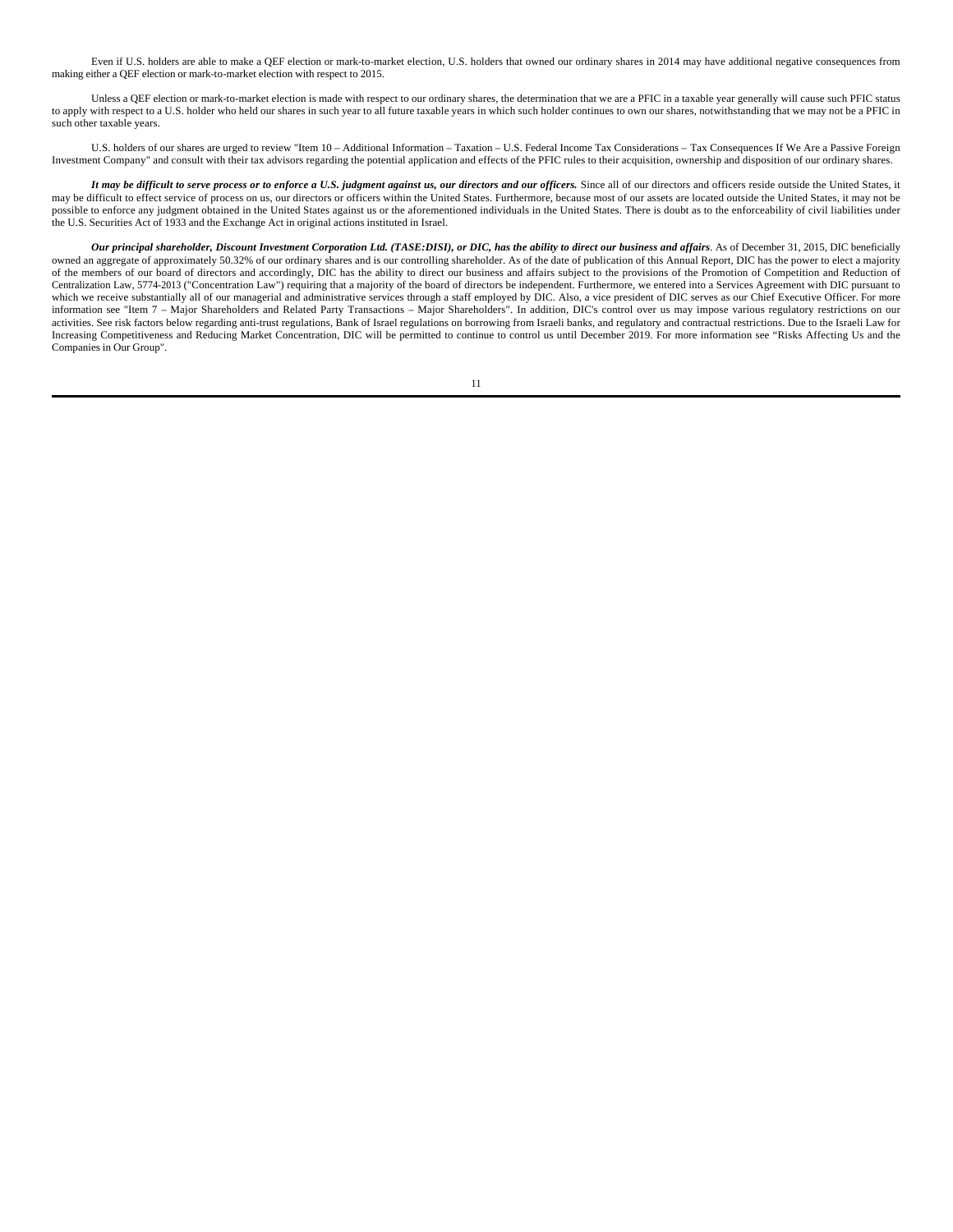Even if U.S. holders are able to make a QEF election or mark-to-market election, U.S. holders that owned our ordinary shares in 2014 may have additional negative consequences from making either a QEF election or mark-to-market election with respect to 2015.

Unless a QEF election or mark-to-market election is made with respect to our ordinary shares, the determination that we are a PFIC in a taxable year generally will cause such PFIC status to apply with respect to a U.S. holder who held our shares in such year to all future taxable years in which such holder continues to own our shares, notwithstanding that we may not be a PFIC in such other taxable years.

U.S. holders of our shares are urged to review "Item 10 – Additional Information – Taxation – U.S. Federal Income Tax Considerations – Tax Consequences If We Are a Passive Foreign Investment Company" and consult with their tax advisors regarding the potential application and effects of the PFIC rules to their acquisition, ownership and disposition of our ordinary shares.

It may be difficult to serve process or to enforce a U.S. judgment against us, our directors and our officers. Since all of our directors and officers reside outside the United States, it may be difficult to effect service of process on us, our directors or officers within the United States. Furthermore, because most of our assets are located outside the United States, it may not be possible to enforce any judgment obtained in the United States against us or the aforementioned individuals in the United States. There is doubt as to the enforceability of civil liabilities under the U.S. Securities Act of 1933 and the Exchange Act in original actions instituted in Israel.

*Our principal shareholder, Discount Investment Corporation Ltd. (TASE:DISI), or DIC, has the ability to direct our business and affairs*. As of December 31, 2015, DIC beneficially owned an aggregate of approximately 50.32% of our ordinary shares and is our controlling shareholder. As of the date of publication of this Annual Report, DIC has the power to elect a majority of the members of our board of directors and accordingly, DIC has the ability to direct our business and affairs subject to the provisions of the Promotion of Competition and Reduction of Centralization Law, 5774-2013 ("Concentration Law") requiring that a majority of the board of directors be independent. Furthermore, we entered into a Services Agreement with DIC pursuant to which we receive substantially all of our managerial and administrative services through a staff employed by DIC. Also, a vice president of DIC serves as our Chief Executive Officer. For more information see "Item 7 – Major Shareholders and Related Party Transactions – Major Shareholders". In addition, DIC's control over us may impose various regulatory restrictions on our activities. See risk factors below regarding anti-trust regulations, Bank of Israel regulations on borrowing from Israeli banks, and regulatory and contractual restrictions. Due to the Israeli Law for Increasing Competitiveness and Reducing Market Concentration, DIC will be permitted to continue to control us until December 2019. For more information see "Risks Affecting Us and the Companies in Our Group".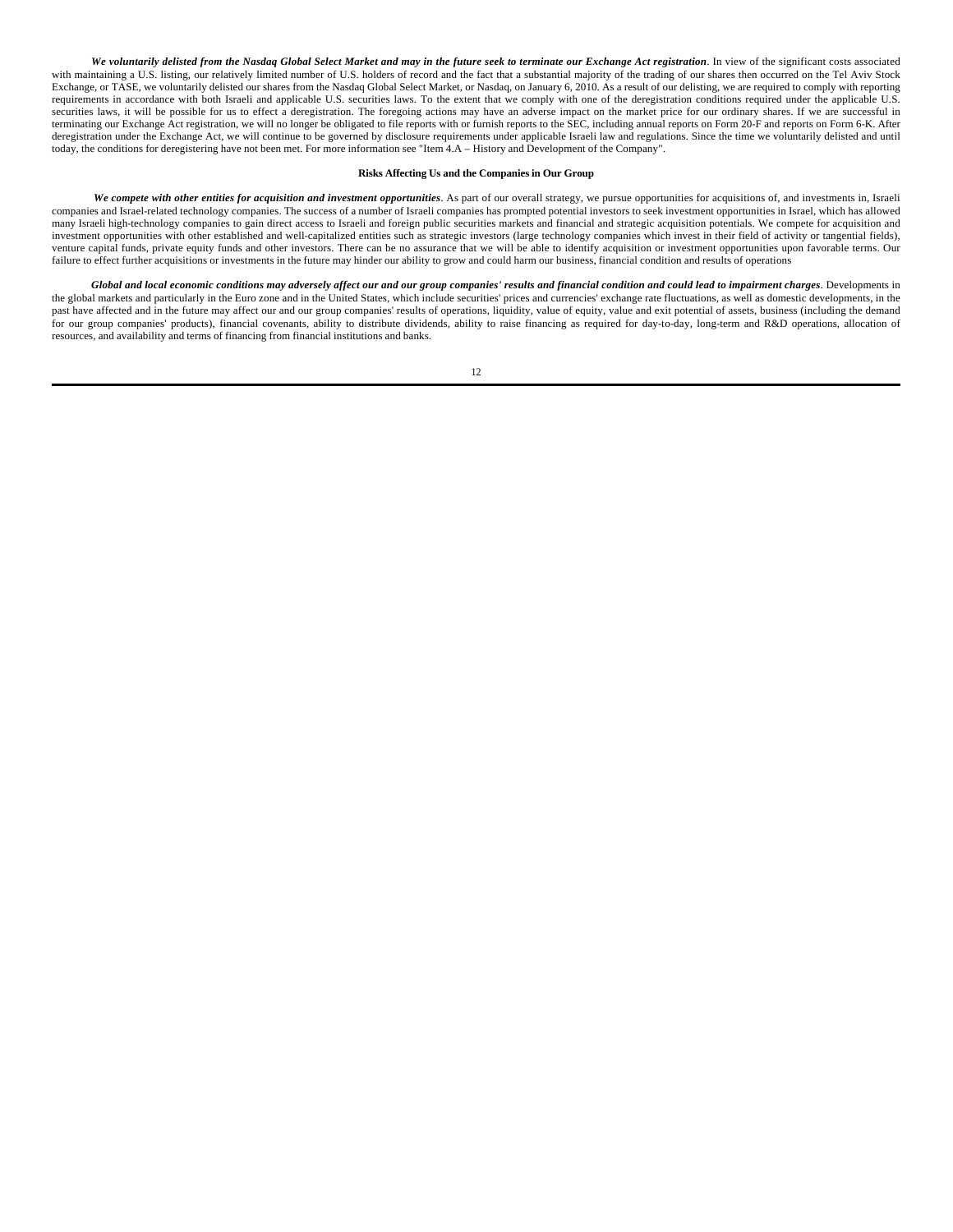*We voluntarily delisted from the Nasdaq Global Select Market and may in the future seek to terminate our Exchange Act registration*. In view of the significant costs associated with maintaining a U.S. listing, our relatively limited number of U.S. holders of record and the fact that a substantial majority of the trading of our shares then occurred on the Tel Aviv Stock Exchange, or TASE, we voluntarily delisted our shares from the Nasdaq Global Select Market, or Nasdaq, on January 6, 2010. As a result of our delisting, we are required to comply with reporting requirements in accordance with both Israeli and applicable U.S. securities laws. To the extent that we comply with one of the deregistration conditions required under the applicable U.S. securities laws, it will be possible for us to effect a deregistration. The foregoing actions may have an adverse impact on the market price for our ordinary shares. If we are successful in terminating our Exchange Act registration, we will no longer be obligated to file reports with or furnish reports to the SEC, including annual reports on Form 20-F and reports on Form 6-K. After deregistration under the Exchange Act, we will continue to be governed by disclosure requirements under applicable Israeli law and regulations. Since the time we voluntarily delisted and until today, the conditions for deregistering have not been met. For more information see "Item 4.A – History and Development of the Company".

## **Risks Affecting Us and the Companies in Our Group**

*We compete with other entities for acquisition and investment opportunities*. As part of our overall strategy, we pursue opportunities for acquisitions of, and investments in, Israeli companies and Israel-related technology companies. The success of a number of Israeli companies has prompted potential investors to seek investment opportunities in Israel, which has allowed many Israeli high-technology companies to gain direct access to Israeli and foreign public securities markets and financial and strategic acquisition potentials. We compete for acquisition and investment opportunities with other established and well-capitalized entities such as strategic investors (large technology companies which invest in their field of activity or tangential fields), venture capital funds, private equity funds and other investors. There can be no assurance that we will be able to identify acquisition or investment opportunities upon favorable terms. Our failure to effect further acquisitions or investments in the future may hinder our ability to grow and could harm our business, financial condition and results of operations

*Global and local economic conditions may adversely affect our and our group companies' results and financial condition and could lead to impairment charges*. Developments in the global markets and particularly in the Euro zone and in the United States, which include securities' prices and currencies' exchange rate fluctuations, as well as domestic developments, in the past have affected and in the future may affect our and our group companies' results of operations, liquidity, value of equity, value and exit potential of assets, business (including the demand for our group companies' products), financial covenants, ability to distribute dividends, ability to raise financing as required for day-to-day, long-term and R&D operations, allocation of resources, and availability and terms of financing from financial institutions and banks.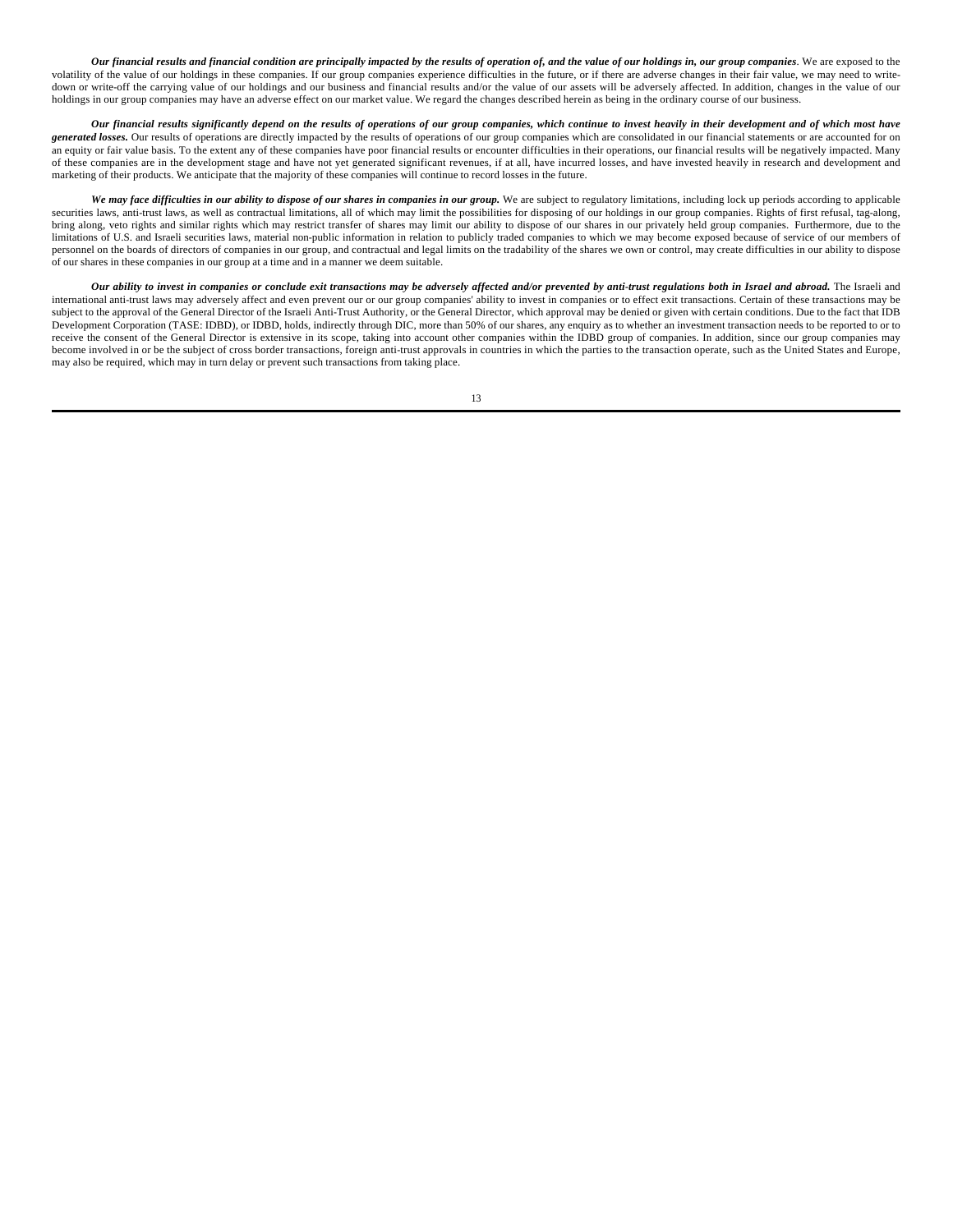*Our financial results and financial condition are principally impacted by the results of operation of, and the value of our holdings in, our group companies*. We are exposed to the volatility of the value of our holdings in these companies. If our group companies experience difficulties in the future, or if there are adverse changes in their fair value, we may need to writedown or write-off the carrying value of our holdings and our business and financial results and/or the value of our assets will be adversely affected. In addition, changes in the value of our holdings in our group companies may have an adverse effect on our market value. We regard the changes described herein as being in the ordinary course of our business.

*Our financial results significantly depend on the results of operations of our group companies, which continue to invest heavily in their development and of which most have generated losses.* Our results of operations are directly impacted by the results of operations of our group companies which are consolidated in our financial statements or are accounted for on an equity or fair value basis. To the extent any of these companies have poor financial results or encounter difficulties in their operations, our financial results will be negatively impacted. Many of these companies are in the development stage and have not yet generated significant revenues, if at all, have incurred losses, and have invested heavily in research and development and marketing of their products. We anticipate that the majority of these companies will continue to record losses in the future.

We may face difficulties in our ability to dispose of our shares in companies in our group. We are subject to regulatory limitations, including lock up periods according to applicable securities laws, anti-trust laws, as well as contractual limitations, all of which may limit the possibilities for disposing of our holdings in our group companies. Rights of first refusal, tag-along, bring along, veto rights and similar rights which may restrict transfer of shares may limit our ability to dispose of our shares in our privately held group companies. Furthermore, due to the limitations of U.S. and Israeli securities laws, material non-public information in relation to publicly traded companies to which we may become exposed because of service of our members of personnel on the boards of directors of companies in our group, and contractual and legal limits on the tradability of the shares we own or control, may create difficulties in our ability to dispose of our shares in these companies in our group at a time and in a manner we deem suitable.

*Our ability to invest in companies or conclude exit transactions may be adversely affected and/or prevented by anti-trust regulations both in Israel and abroad.* The Israeli and international anti-trust laws may adversely affect and even prevent our or our group companies' ability to invest in companies or to effect exit transactions. Certain of these transactions may be subject to the approval of the General Director of the Israeli Anti-Trust Authority, or the General Director, which approval may be denied or given with certain conditions. Due to the fact that IDB Development Corporation (TASE: IDBD), or IDBD, holds, indirectly through DIC, more than 50% of our shares, any enquiry as to whether an investment transaction needs to be reported to or to receive the consent of the General Director is extensive in its scope, taking into account other companies within the IDBD group of companies. In addition, since our group companies may become involved in or be the subject of cross border transactions, foreign anti-trust approvals in countries in which the parties to the transaction operate, such as the United States and Europe, may also be required, which may in turn delay or prevent such transactions from taking place.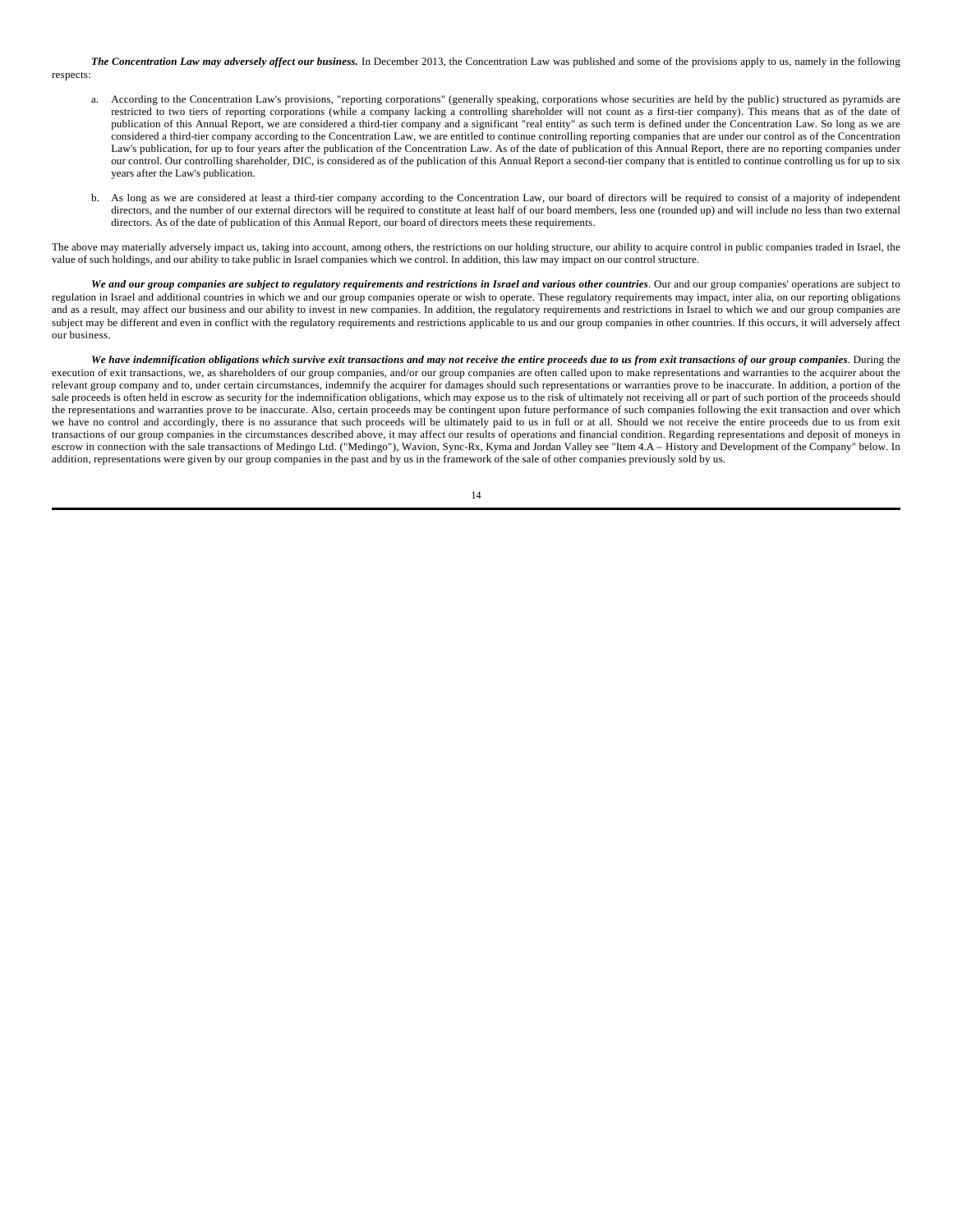*The Concentration Law may adversely affect our business.* In December 2013, the Concentration Law was published and some of the provisions apply to us, namely in the following respects:

- a. According to the Concentration Law's provisions, "reporting corporations" (generally speaking, corporations whose securities are held by the public) structured as pyramids are restricted to two tiers of reporting corporations (while a company lacking a controlling shareholder will not count as a first-tier company). This means that as of the date of publication of this Annual Report, we are considered a third-tier company and a significant "real entity" as such term is defined under the Concentration Law. So long as we are considered a third-tier company according to the Concentration Law, we are entitled to continue controlling reporting companies that are under our control as of the Concentration Law's publication, for up to four years after the publication of the Concentration Law. As of the date of publication of this Annual Report, there are no reporting companies under our control. Our controlling shareholder, DIC, is considered as of the publication of this Annual Report a second-tier company that is entitled to continue controlling us for up to six years after the Law's publication.
- b. As long as we are considered at least a third-tier company according to the Concentration Law, our board of directors will be required to consist of a majority of independent directors, and the number of our external directors will be required to constitute at least half of our board members, less one (rounded up) and will include no less than two external directors. As of the date of publication of this Annual Report, our board of directors meets these requirements.

The above may materially adversely impact us, taking into account, among others, the restrictions on our holding structure, our ability to acquire control in public companies traded in Israel, the value of such holdings, and our ability to take public in Israel companies which we control. In addition, this law may impact on our control structure.

*We and our group companies are subject to regulatory requirements and restrictions in Israel and various other countries*. Our and our group companies' operations are subject to regulation in Israel and additional countries in which we and our group companies operate or wish to operate. These regulatory requirements may impact, inter alia, on our reporting obligations and as a result, may affect our business and our ability to invest in new companies. In addition, the regulatory requirements and restrictions in Israel to which we and our group companies are subject may be different and even in conflict with the regulatory requirements and restrictions applicable to us and our group companies in other countries. If this occurs, it will adversely affect our business.

*We have indemnification obligations which survive exit transactions and may not receive the entire proceeds due to us from exit transactions of our group companies*. During the execution of exit transactions, we, as shareholders of our group companies, and/or our group companies are often called upon to make representations and warranties to the acquirer about the relevant group company and to, under certain circumstances, indemnify the acquirer for damages should such representations or warranties prove to be inaccurate. In addition, a portion of the sale proceeds is often held in escrow as security for the indemnification obligations, which may expose us to the risk of ultimately not receiving all or part of such portion of the proceeds should the representations and warranties prove to be inaccurate. Also, certain proceeds may be contingent upon future performance of such companies following the exit transaction and over which we have no control and accordingly, there is no assurance that such proceeds will be ultimately paid to us in full or at all. Should we not receive the entire proceeds due to us from exit transactions of our group companies in the circumstances described above, it may affect our results of operations and financial condition. Regarding representations and deposit of moneys in escrow in connection with the sale transactions of Medingo Ltd. ("Medingo"), Wavion, Sync-Rx, Kyma and Jordan Valley see "Item 4.A – History and Development of the Company" below. In addition, representations were given by our group companies in the past and by us in the framework of the sale of other companies previously sold by us.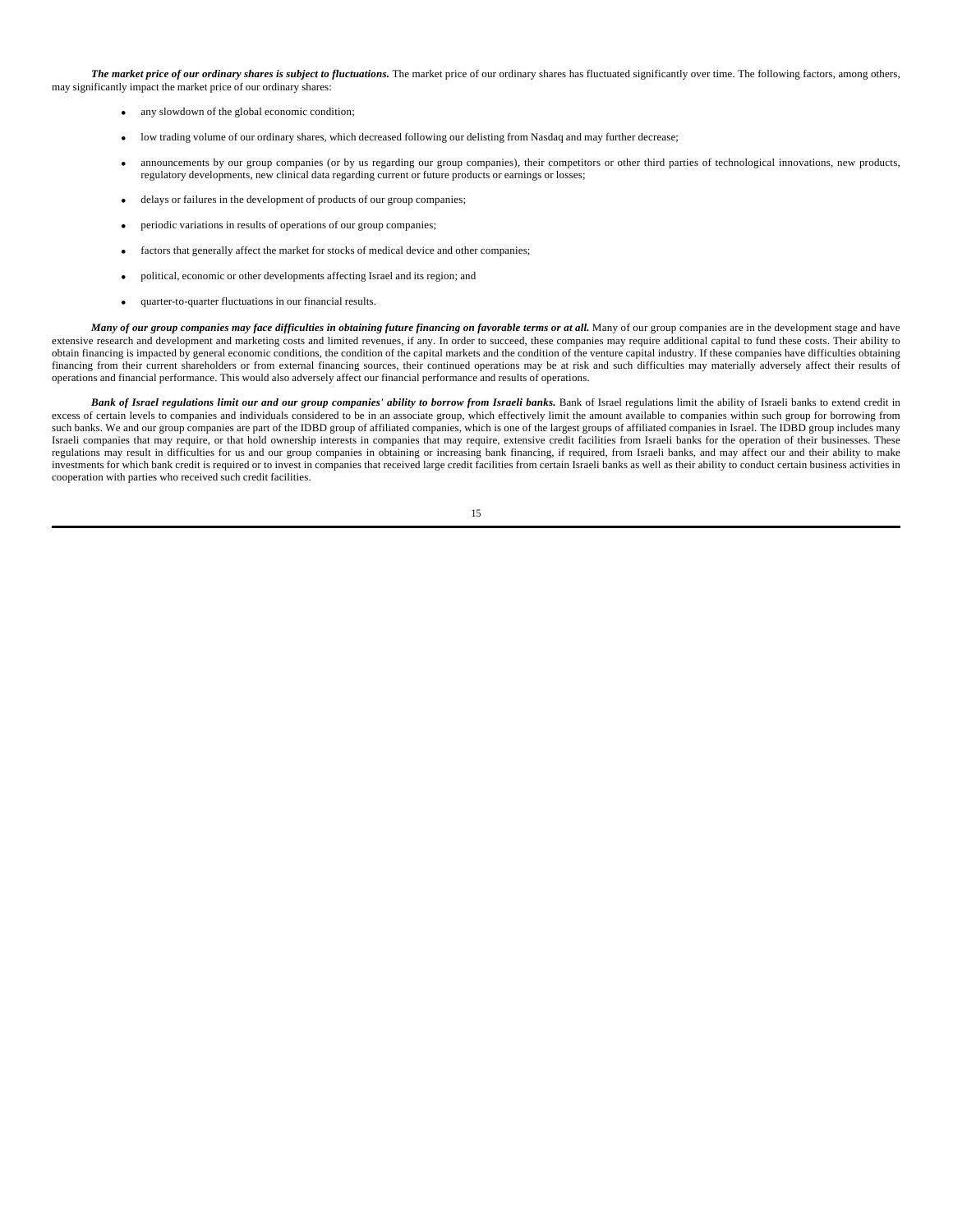The market price of our ordinary shares is subject to fluctuations. The market price of our ordinary shares has fluctuated significantly over time. The following factors, among others, may significantly impact the market price of our ordinary shares:

- any slowdown of the global economic condition:
- low trading volume of our ordinary shares, which decreased following our delisting from Nasdaq and may further decrease;
- announcements by our group companies (or by us regarding our group companies), their competitors or other third parties of technological innovations, new products, regulatory developments, new clinical data regarding current or future products or earnings or losses;
- delays or failures in the development of products of our group companies;
- periodic variations in results of operations of our group companies;
- factors that generally affect the market for stocks of medical device and other companies;
- political, economic or other developments affecting Israel and its region; and
- quarter-to-quarter fluctuations in our financial results.

Many of our group companies may face difficulties in obtaining future financing on favorable terms or at all. Many of our group companies are in the development stage and have extensive research and development and marketing costs and limited revenues, if any. In order to succeed, these companies may require additional capital to fund these costs. Their ability to obtain financing is impacted by general economic conditions, the condition of the capital markets and the condition of the venture capital industry. If these companies have difficulties obtaining financing from their current shareholders or from external financing sources, their continued operations may be at risk and such difficulties may materially adversely affect their results of operations and financial performance. This would also adversely affect our financial performance and results of operations.

Bank of Israel regulations limit our and our group companies' ability to borrow from Israeli banks. Bank of Israel regulations limit the ability of Israeli banks to extend credit in excess of certain levels to companies and individuals considered to be in an associate group, which effectively limit the amount available to companies within such group for borrowing from such banks. We and our group companies are part of the IDBD group of affiliated companies, which is one of the largest groups of affiliated companies in Israel. The IDBD group includes many Israeli companies that may require, or that hold ownership interests in companies that may require, extensive credit facilities from Israeli banks for the operation of their businesses. These regulations may result in difficulties for us and our group companies in obtaining or increasing bank financing, if required, from Israeli banks, and may affect our and their ability to make investments for which bank credit is required or to invest in companies that received large credit facilities from certain Israeli banks as well as their ability to conduct certain business activities in cooperation with parties who received such credit facilities.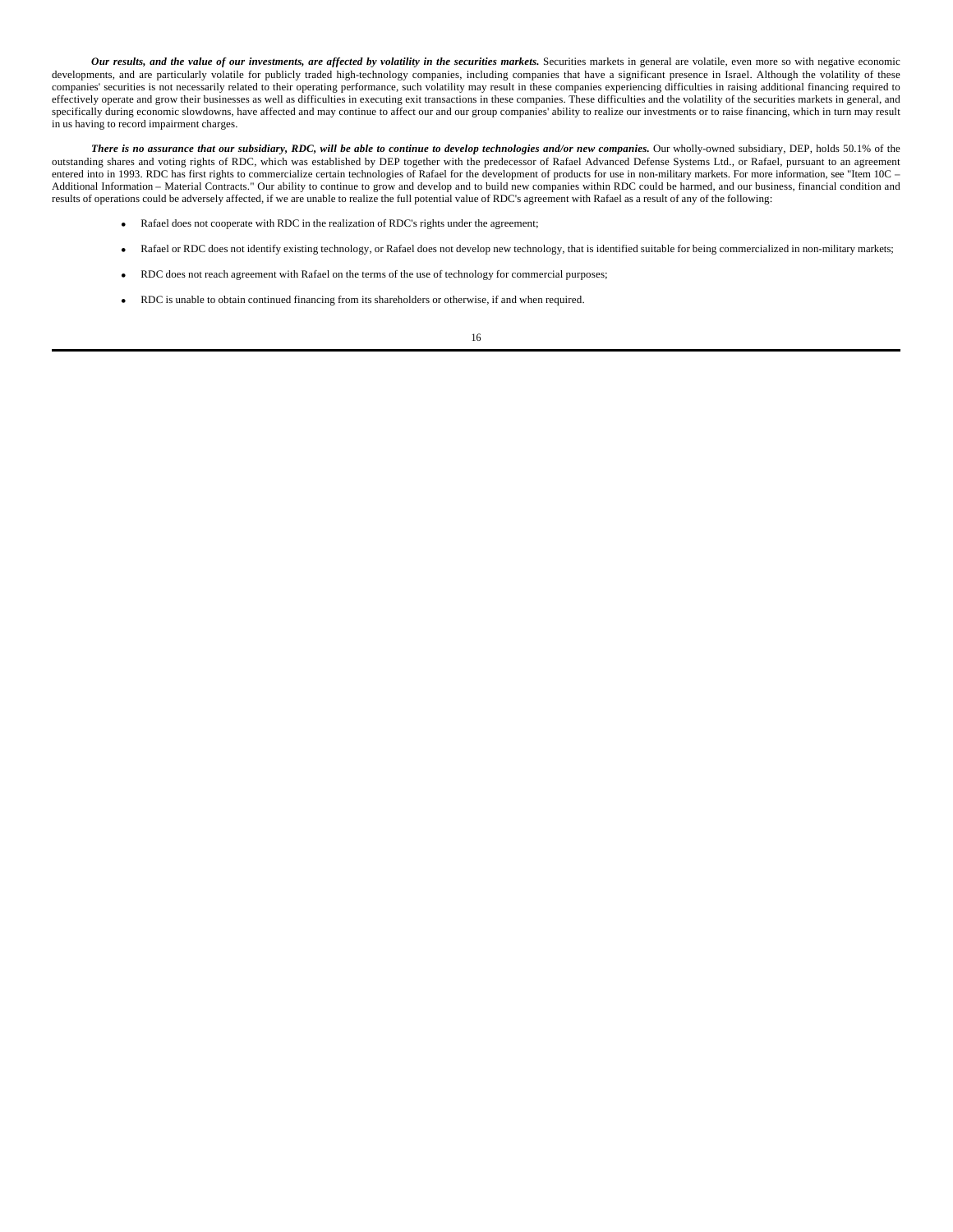*Our results, and the value of our investments, are affected by volatility in the securities markets.* Securities markets in general are volatile, even more so with negative economic developments, and are particularly volatile for publicly traded high-technology companies, including companies that have a significant presence in Israel. Although the volatility of these companies' securities is not necessarily related to their operating performance, such volatility may result in these companies experiencing difficulties in raising additional financing required to effectively operate and grow their businesses as well as difficulties in executing exit transactions in these companies. These difficulties and the volatility of the securities markets in general, and specifically during economic slowdowns, have affected and may continue to affect our and our group companies' ability to realize our investments or to raise financing, which in turn may result in us having to record impairment charges.

*There is no assurance that our subsidiary, RDC, will be able to continue to develop technologies and/or new companies.* Our wholly-owned subsidiary, DEP, holds 50.1% of the outstanding shares and voting rights of RDC, which was established by DEP together with the predecessor of Rafael Advanced Defense Systems Ltd., or Rafael, pursuant to an agreement entered into in 1993. RDC has first rights to commercialize certain technologies of Rafael for the development of products for use in non-military markets. For more information, see "Item 10C – Additional Information – Material Contracts." Our ability to continue to grow and develop and to build new companies within RDC could be harmed, and our business, financial condition and Additional Information – Material C results of operations could be adversely affected, if we are unable to realize the full potential value of RDC's agreement with Rafael as a result of any of the following:

- Rafael does not cooperate with RDC in the realization of RDC's rights under the agreement;
- Rafael or RDC does not identify existing technology, or Rafael does not develop new technology, that is identified suitable for being commercialized in non-military markets;
- RDC does not reach agreement with Rafael on the terms of the use of technology for commercial purposes;
- RDC is unable to obtain continued financing from its shareholders or otherwise, if and when required.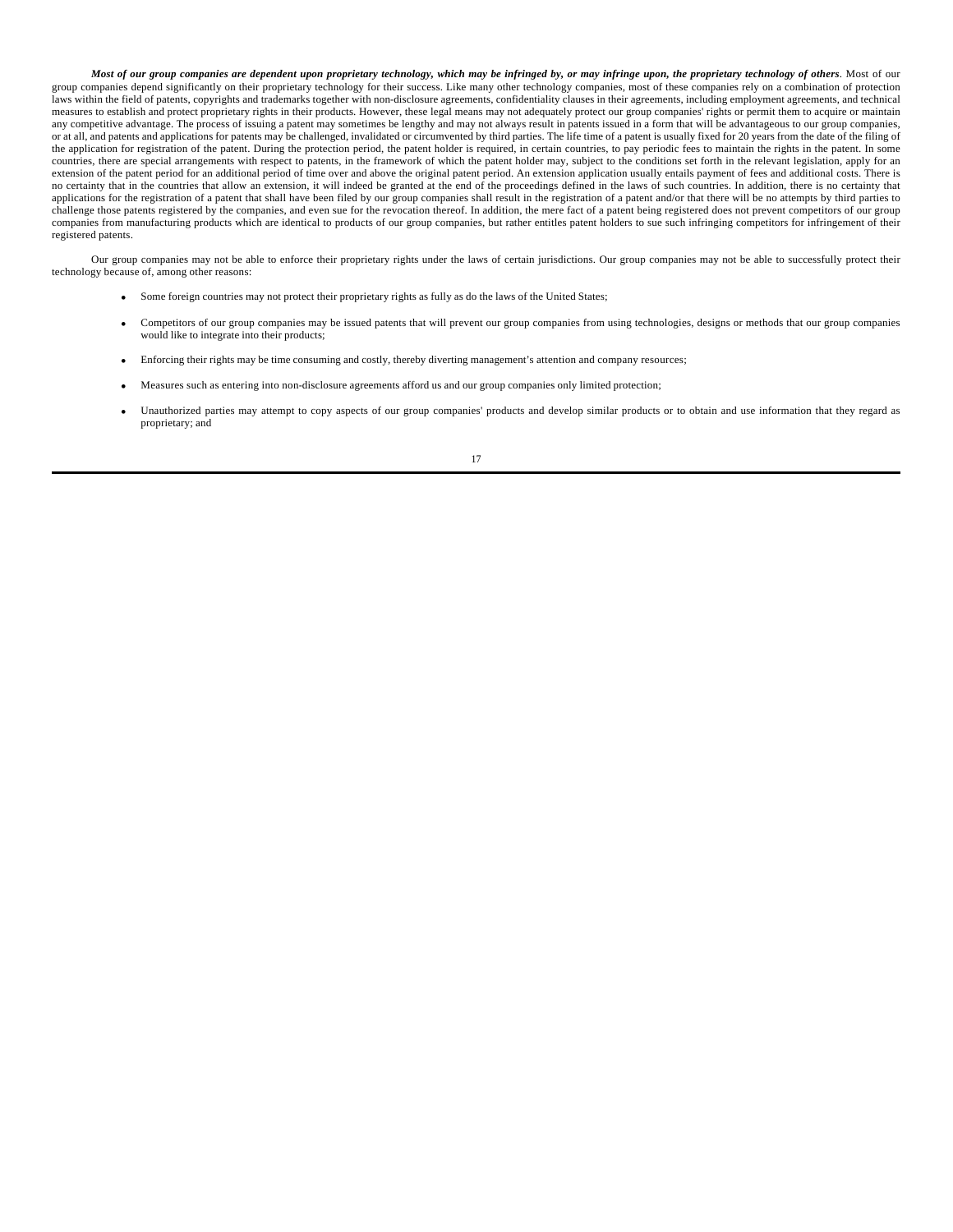*Most of our group companies are dependent upon proprietary technology, which may be infringed by, or may infringe upon, the proprietary technology of others*. Most of our group companies depend significantly on their proprietary technology for their success. Like many other technology companies, most of these companies rely on a combination of protection laws within the field of patents, copyrights and trademarks together with non-disclosure agreements, confidentiality clauses in their agreements, including employment agreements, and technical measures to establish and protect proprietary rights in their products. However, these legal means may not adequately protect our group companies' rights or permit them to acquire or maintain any competitive advantage. The process of issuing a patent may sometimes be lengthy and may not always result in patents issued in a form that will be advantageous to our group companies, or at all, and patents and applications for patents may be challenged, invalidated or circumvented by third parties. The life time of a patent is usually fixed for 20 years from the date of the filing of the application for registration of the patent. During the protection period, the patent holder is required, in certain countries, to pay periodic fees to maintain the rights in the patent. In some countries, there are spe extension of the patent period for an additional period of time over and above the original patent period. An extension application usually entails payment of fees and additional costs. There is<br>no certainty that in the co applications for the registration of a patent that shall have been filed by our group companies shall result in the registration of a patent and/or that there will be no attempts by third parties to challenge those patents registered by the companies, and even sue for the revocation thereof. In addition, the mere fact of a patent being registered does not prevent competitors of our group companies from manufacturing products which are identical to products of our group companies, but rather entitles patent holders to sue such infringing competitors for infringement of their registered patents.

Our group companies may not be able to enforce their proprietary rights under the laws of certain jurisdictions. Our group companies may not be able to successfully protect their technology because of, among other reasons:

- Some foreign countries may not protect their proprietary rights as fully as do the laws of the United States;
- Competitors of our group companies may be issued patents that will prevent our group companies from using technologies, designs or methods that our group companies would like to integrate into their products;
- Enforcing their rights may be time consuming and costly, thereby diverting management's attention and company resources;
- Measures such as entering into non-disclosure agreements afford us and our group companies only limited protection;
- Unauthorized parties may attempt to copy aspects of our group companies' products and develop similar products or to obtain and use information that they regard as proprietary; and

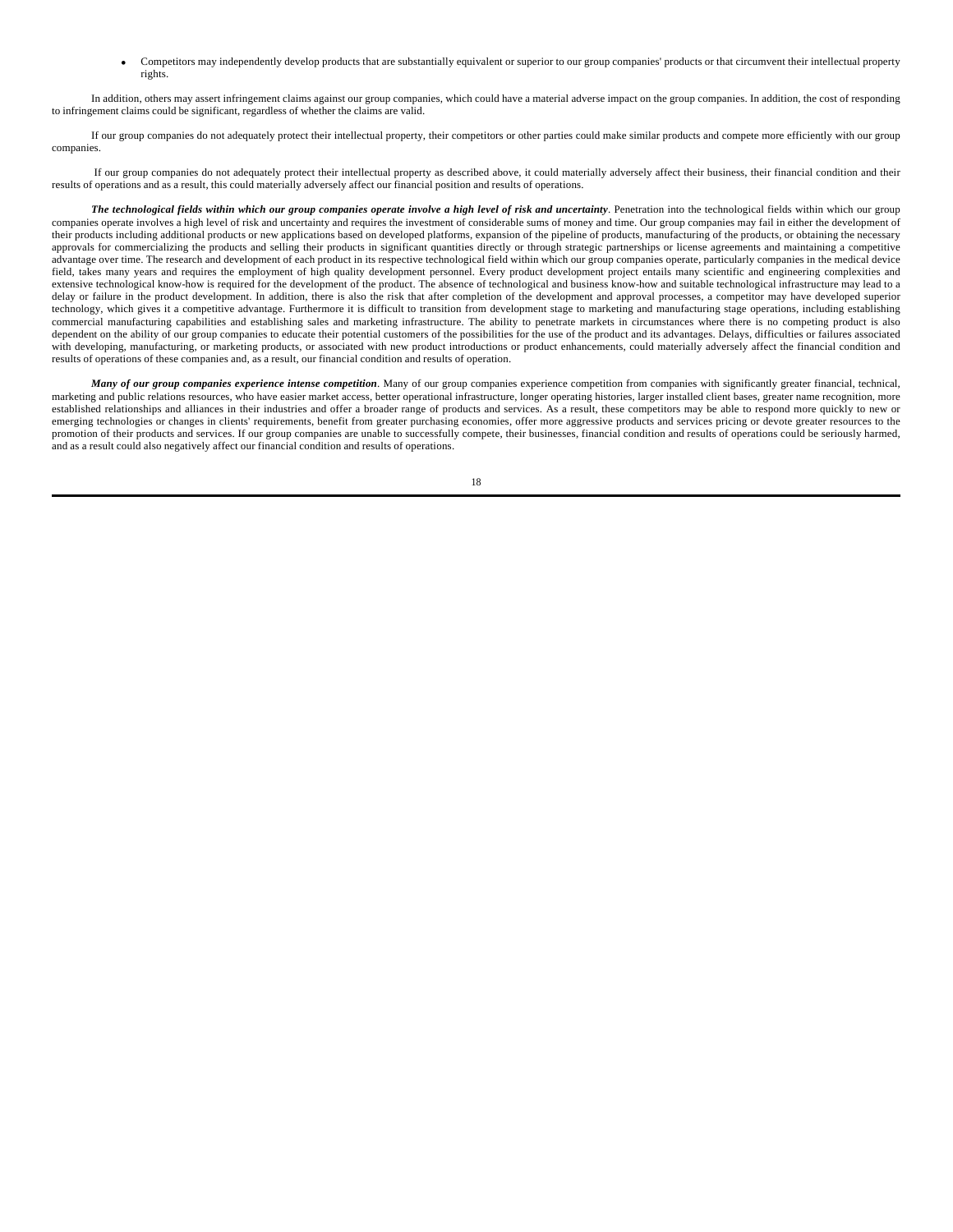• Competitors may independently develop products that are substantially equivalent or superior to our group companies' products or that circumvent their intellectual property rights.

In addition, others may assert infringement claims against our group companies, which could have a material adverse impact on the group companies. In addition, the cost of responding to infringement claims could be significant, regardless of whether the claims are valid.

If our group companies do not adequately protect their intellectual property, their competitors or other parties could make similar products and compete more efficiently with our group companies.

 If our group companies do not adequately protect their intellectual property as described above, it could materially adversely affect their business, their financial condition and their results of operations and as a result, this could materially adversely affect our financial position and results of operations.

*The technological fields within which our group companies operate involve a high level of risk and uncertainty*. Penetration into the technological fields within which our group companies operate involves a high level of risk and uncertainty and requires the investment of considerable sums of money and time. Our group companies may fail in either the development of their products including additional products or new applications based on developed platforms, expansion of the pipeline of products, manufacturing of the products, or obtaining the necessary approvals for commercializing the products and selling their products in significant quantities directly or through strategic partnerships or license agreements and maintaining a competitive advantage over time. The research and development of each product in its respective technological field within which our group companies operate, particularly companies in the medical device field, takes many years and requires the employment of high quality development personnel. Every product development project entails many scientific and engineering complexities and extensive technological know-how is required for the development of the product. The absence of technological and business know-how and suitable technological infrastructure may lead to a delay or failure in the product development. In addition, there is also the risk that after completion of the development and approval processes, a competitor may have developed superior technology, which gives it a competitive advantage. Furthermore it is difficult to transition from development stage to marketing and manufacturing stage operations, including establishing commercial manufacturing capabilities and establishing sales and marketing infrastructure. The ability to penetrate markets in circumstances where there is no competing product is also dependent on the ability of our group companies to educate their potential customers of the possibilities for the use of the product and its advantages. Delays, difficulties or failures associated with developing, manufacturing, or marketing products, or associated with new product introductions or product enhancements, could materially adversely affect the financial condition and results of operations of these companies and, as a result, our financial condition and results of operation.

*Many of our group companies experience intense competition*. Many of our group companies experience competition from companies with significantly greater financial, technical, marketing and public relations resources, who have easier market access, better operational infrastructure, longer operating histories, larger installed client bases, greater name recognition, more established relationships and alliances in their industries and offer a broader range of products and services. As a result, these competitors may be able to respond more quickly to new or emerging technologies or changes in clients' requirements, benefit from greater purchasing economies, offer more aggressive products and services pricing or devote greater resources to the promotion of their products and services. If our group companies are unable to successfully compete, their businesses, financial condition and results of operations could be seriously harmed, and as a result could also negatively affect our financial condition and results of operations.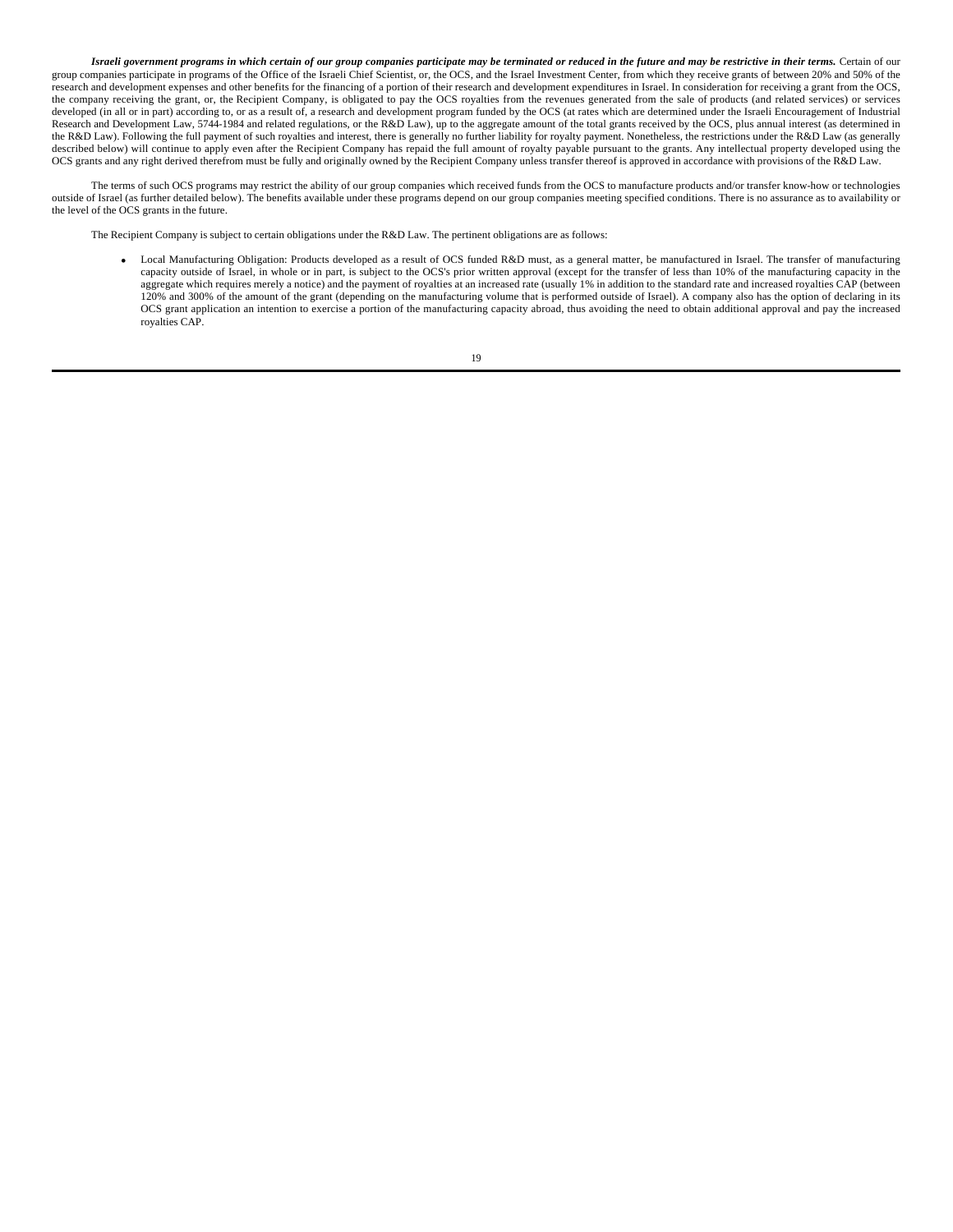*Israeli government programs in which certain of our group companies participate may be terminated or reduced in the future and may be restrictive in their terms.* Certain of our group companies participate in programs of the Office of the Israeli Chief Scientist, or, the OCS, and the Israel Investment Center, from which they receive grants of between 20% and 50% of the research and development expenses and other benefits for the financing of a portion of their research and development expenditures in Israel. In consideration for receiving a grant from the OCS, the company receiving the grant, or, the Recipient Company, is obligated to pay the OCS royalties from the revenues generated from the sale of products (and related services) or services developed (in all or in part) according to, or as a result of, a research and development program funded by the OCS (at rates which are determined under the Israeli Encouragement of Industrial Research and Development Law, 5744-1984 and related regulations, or the R&D Law), up to the aggregate amount of the total grants received by the OCS, plus annual interest (as determined in the R&D Law). Following the full payment of such royalties and interest, there is generally no further liability for royalty payment. Nonetheless, the restrictions under the R&D Law (as generally described below) will continue to apply even after the Recipient Company has repaid the full amount of royalty payable pursuant to the grants. Any intellectual property developed using the<br>OCS grants and any right derived

The terms of such OCS programs may restrict the ability of our group companies which received funds from the OCS to manufacture products and/or transfer know-how or technologies outside of Israel (as further detailed below). The benefits available under these programs depend on our group companies meeting specified conditions. There is no assurance as to availability or the level of the OCS grants in the future.

The Recipient Company is subject to certain obligations under the R&D Law. The pertinent obligations are as follows:

• Local Manufacturing Obligation: Products developed as a result of OCS funded R&D must, as a general matter, be manufactured in Israel. The transfer of manufacturing capacity outside of Israel, in whole or in part, is subject to the OCS's prior written approval (except for the transfer of less than 10% of the manufacturing capacity in the aggregate which requires merely a notice) and the payment of royalties at an increased rate (usually 1% in addition to the standard rate and increased royalties CAP (between 120% and 300% of the amount of the grant (depending on the manufacturing volume that is performed outside of Israel). A company also has the option of declaring in its OCS grant application an intention to exercise a portion of the manufacturing capacity abroad, thus avoiding the need to obtain additional approval and pay the increased royalties CAP.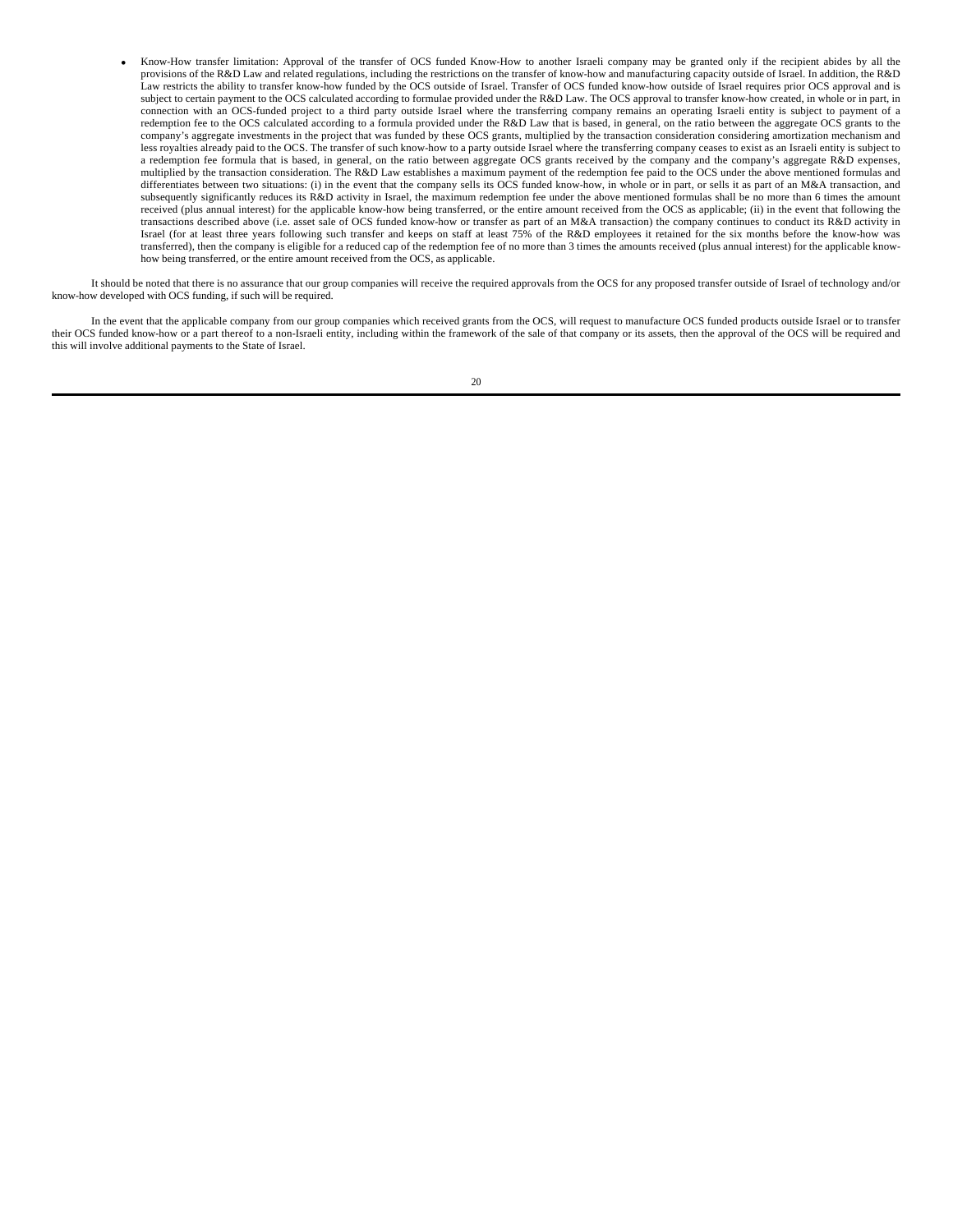• Know-How transfer limitation: Approval of the transfer of OCS funded Know-How to another Israeli company may be granted only if the recipient abides by all the provisions of the R&D Law and related regulations, including the restrictions on the transfer of know-how and manufacturing capacity outside of Israel. In addition, the R&D Law restricts the ability to transfer know-how funded by the OCS outside of Israel. Transfer of OCS funded know-how outside of Israel requires prior OCS approval and is subject to certain payment to the OCS calculated according to formulae provided under the R&D Law. The OCS approval to transfer know-how created, in whole or in part, in connection with an OCS-funded project to a third party outside Israel where the transferring company remains an operating Israeli entity is subject to payment of a redemption fee to the OCS calculated according to a formula provided under the R&D Law that is based, in general, on the ratio between the aggregate OCS grants to the company's aggregate investments in the project that was funded by these OCS grants, multiplied by the transaction consideration considering amortization mechanism and less royalties already paid to the OCS. The transfer of such know-how to a party outside Israel where the transferring company ceases to exist as an Israeli entity is subject to a redemption fee formula that is based, in general, on the ratio between aggregate OCS grants received by the company and the company's aggregate R&D expenses, multiplied by the transaction consideration. The R&D Law establishes a maximum payment of the redemption fee paid to the OCS under the above mentioned formulas and differentiates between two situations: (i) in the event that the company sells its OCS funded know-how, in whole or in part, or sells it as part of an M&A transaction, and subsequently significantly reduces its R&D activity in Israel, the maximum redemption fee under the above mentioned formulas shall be no more than 6 times the amount received (plus annual interest) for the applicable know-how being transferred, or the entire amount received from the OCS as applicable; (ii) in the event that following the transactions described above (i.e. asset sale of OCS funded know-how or transfer as part of an M&A transaction) the company continues to conduct its R&D activity in Israel (for at least three years following such transfer and keeps on staff at least 75% of the R&D employees it retained for the six months before the know-how was transferred), then the company is eligible for a reduced cap of the redemption fee of no more than 3 times the amounts received (plus annual interest) for the applicable knowhow being transferred, or the entire amount received from the OCS, as applicable.

It should be noted that there is no assurance that our group companies will receive the required approvals from the OCS for any proposed transfer outside of Israel of technology and/or know-how developed with OCS funding, if such will be required.

In the event that the applicable company from our group companies which received grants from the OCS, will request to manufacture OCS funded products outside Israel or to transfer their OCS funded know-how or a part thereof to a non-Israeli entity, including within the framework of the sale of that company or its assets, then the approval of the OCS will be required and this will involve additional payments to the State of Israel.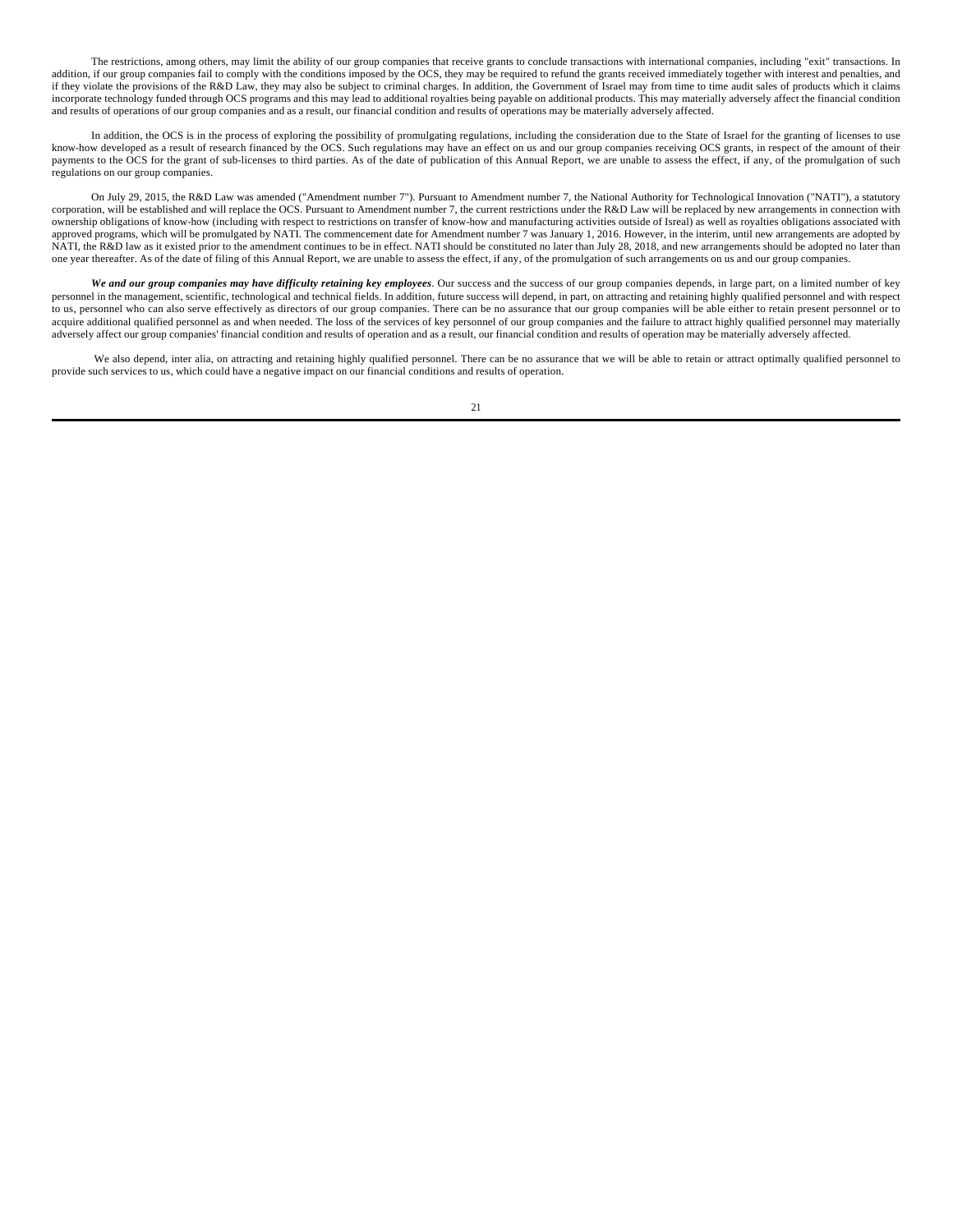The restrictions, among others, may limit the ability of our group companies that receive grants to conclude transactions with international companies, including "exit" transactions. In addition, if our group companies fail to comply with the conditions imposed by the OCS, they may be required to refund the grants received immediately together with interest and penalties, and if they violate the provisions of the R&D Law, they may also be subject to criminal charges. In addition, the Government of Israel may from time to time audit sales of products which it claims incorporate technology funded through OCS programs and this may lead to additional royalties being payable on additional products. This may materially adversely affect the financial condition and results of operations of our group companies and as a result, our financial condition and results of operations may be materially adversely affected.

In addition, the OCS is in the process of exploring the possibility of promulgating regulations, including the consideration due to the State of Israel for the granting of licenses to use know-how developed as a result of research financed by the OCS. Such regulations may have an effect on us and our group companies receiving OCS grants, in respect of the amount of their payments to the OCS for the grant of sub-licenses to third parties. As of the date of publication of this Annual Report, we are unable to assess the effect, if any, of the promulgation of such regulations on our group companies.

On July 29, 2015, the R&D Law was amended ("Amendment number 7"). Pursuant to Amendment number 7, the National Authority for Technological Innovation ("NATI"), a statutory corporation, will be established and will replace the OCS. Pursuant to Amendment number 7, the current restrictions under the R&D Law will be replaced by new arrangements in connection with ownership obligations of know-how (including with respect to restrictions on transfer of know-how and manufacturing activities outside of Isreal) as well as royalties obligations associated with approved programs, which will be promulgated by NATI. The commencement date for Amendment number 7 was January 1, 2016. However, in the interim, until new arrangements are adopted by NATI, the R&D law as it existed prior to the amendment continues to be in effect. NATI should be constituted no later than July 28, 2018, and new arrangements should be adopted no later than one year thereafter. As of the date of filing of this Annual Report, we are unable to assess the effect, if any, of the promulgation of such arrangements on us and our group companies.

We and our group companies may have difficulty retaining key employees. Our success and the success of our group companies depends, in large part, on a limited number of key personnel in the management, scientific, technological and technical fields. In addition, future success will depend, in part, on attracting and retaining highly qualified personnel and with respect to us, personnel who can also serve effectively as directors of our group companies. There can be no assurance that our group companies will be able either to retain present personnel or to acquire additional qualified personnel as and when needed. The loss of the services of key personnel of our group companies and the failure to attract highly qualified personnel may materially<br>adversely affect our group co

We also depend, inter alia, on attracting and retaining highly qualified personnel. There can be no assurance that we will be able to retain or attract optimally qualified personnel to provide such services to us, which could have a negative impact on our financial conditions and results of operation.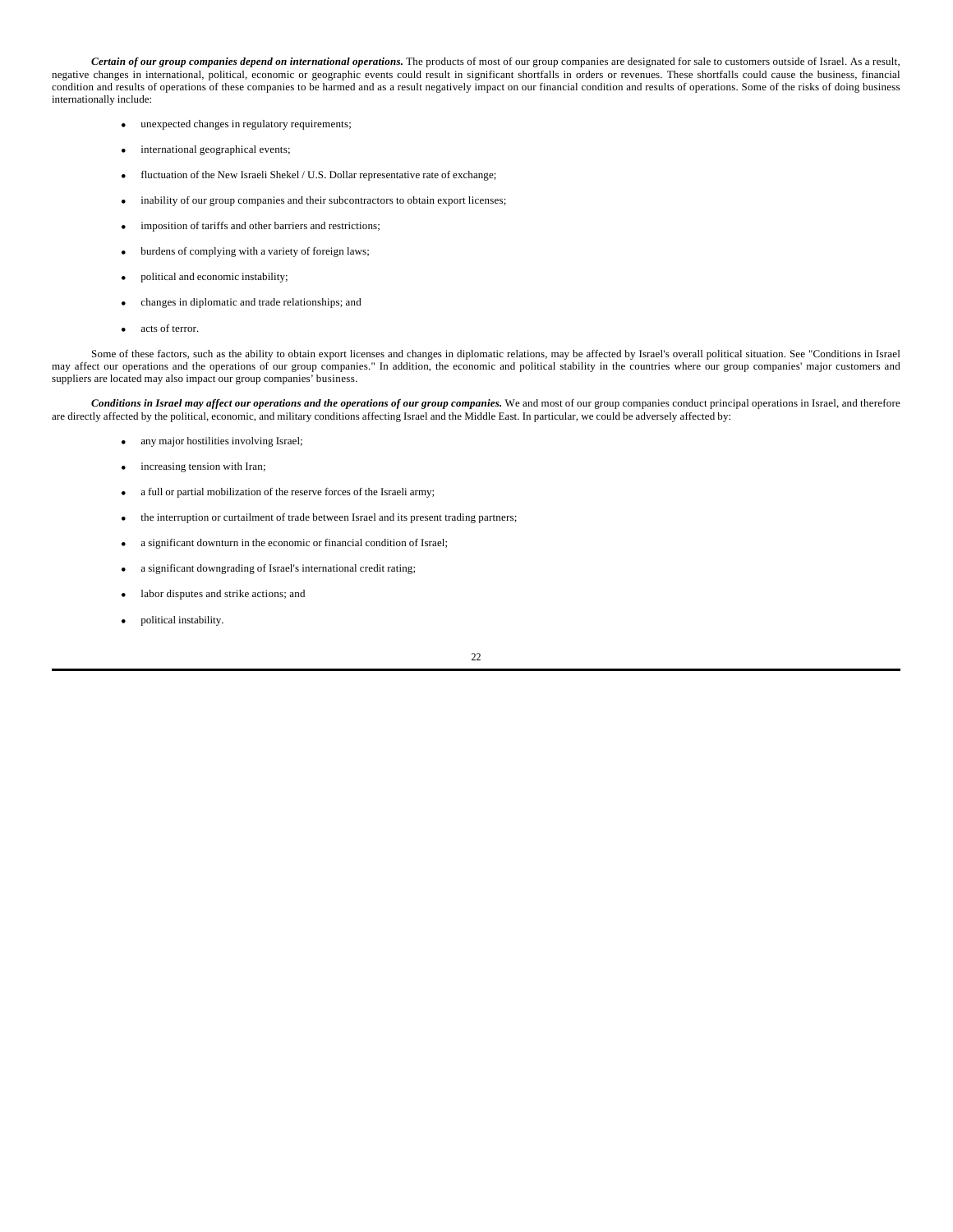*Certain of our group companies depend on international operations.* The products of most of our group companies are designated for sale to customers outside of Israel. As a result, negative changes in international, political, economic or geographic events could result in significant shortfalls in orders or revenues. These shortfalls could cause the business, financial condition and results of operations of these companies to be harmed and as a result negatively impact on our financial condition and results of operations. Some of the risks of doing business internationally include:

- unexpected changes in regulatory requirements;
- international geographical events;
- fluctuation of the New Israeli Shekel / U.S. Dollar representative rate of exchange;
- inability of our group companies and their subcontractors to obtain export licenses;
- imposition of tariffs and other barriers and restrictions;
- burdens of complying with a variety of foreign laws;
- political and economic instability;
- changes in diplomatic and trade relationships; and
- acts of terror.

Some of these factors, such as the ability to obtain export licenses and changes in diplomatic relations, may be affected by Israel's overall political situation. See "Conditions in Israel may affect our operations and the operations of our group companies." In addition, the economic and political stability in the countries where our group companies' major customers and suppliers are located may also impact our group companies' business.

Conditions in Israel may affect our operations and the operations of our group companies. We and most of our group companies conduct principal operations in Israel, and therefore are directly affected by the political, economic, and military conditions affecting Israel and the Middle East. In particular, we could be adversely affected by:

- any major hostilities involving Israel;
- increasing tension with Iran;
- a full or partial mobilization of the reserve forces of the Israeli army;
- the interruption or curtailment of trade between Israel and its present trading partners;
- a significant downturn in the economic or financial condition of Israel;
- a significant downgrading of Israel's international credit rating;
- labor disputes and strike actions; and
- political instability.

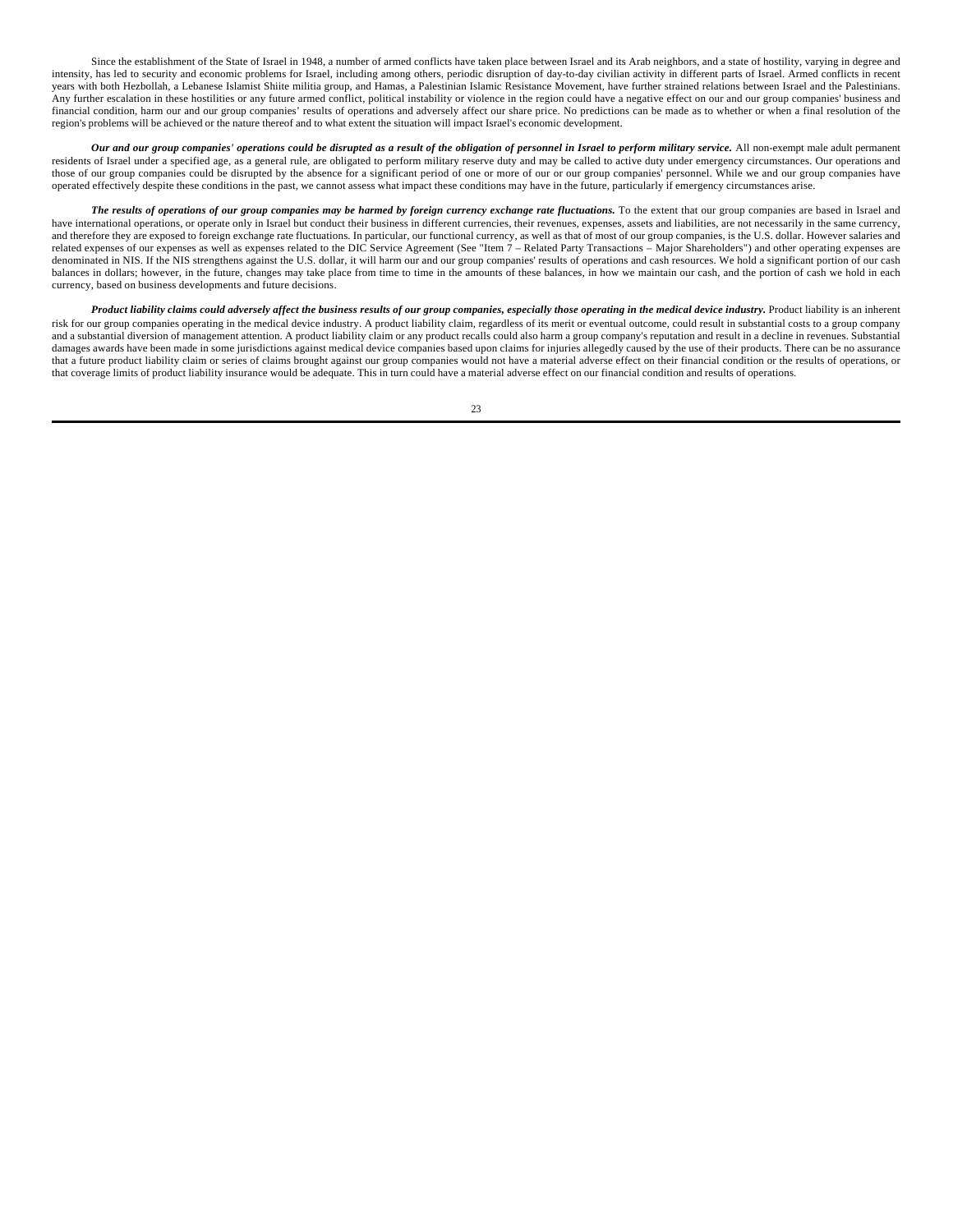Since the establishment of the State of Israel in 1948, a number of armed conflicts have taken place between Israel and its Arab neighbors, and a state of hostility, varying in degree and intensity, has led to security and economic problems for Israel, including among others, periodic disruption of day-to-day civilian activity in different parts of Israel. Armed conflicts in recent years with both Hezbollah, a Lebanese Islamist Shiite militia group, and Hamas, a Palestinian Islamic Resistance Movement, have further strained relations between Israel and the Palestinians. .<br>Any further escalation in these hostilities or any future armed conflict, political instability or violence in the region could have a negative effect on our and our group companies' business and financial condition, harm our and our group companies' results of operations and adversely affect our share price. No predictions can be made as to whether or when a final resolution of the region's problems will be achieved or the nature thereof and to what extent the situation will impact Israel's economic development.

*Our and our group companies' operations could be disrupted as a result of the obligation of personnel in Israel to perform military service.* All non-exempt male adult permanent residents of Israel under a specified age, as a general rule, are obligated to perform military reserve duty and may be called to active duty under emergency circumstances. Our operations and those of our group companies could be disrupted by the absence for a significant period of one or more of our or our group companies' personnel. While we and our group companies have operated effectively despite these conditions in the past, we cannot assess what impact these conditions may have in the future, particularly if emergency circumstances arise.

*The results of operations of our group companies may be harmed by foreign currency exchange rate fluctuations.* To the extent that our group companies are based in Israel and have international operations, or operate only in Israel but conduct their business in different currencies, their revenues, expenses, assets and liabilities, are not necessarily in the same currency, and therefore they are exposed to foreign exchange rate fluctuations. In particular, our functional currency, as well as that of most of our group companies, is the U.S. dollar. However salaries and related expenses of our expenses as well as expenses related to the DIC Service Agreement (See "Item  $7 -$  Related Party Transactions – Major Shareholders") and other operating expenses are denominated in NIS. If the NIS strengthens against the U.S. dollar, it will harm our and our group companies' results of operations and cash resources. We hold a significant portion of our cash balances in dollars; however, in the future, changes may take place from time to time in the amounts of these balances, in how we maintain our cash, and the portion of cash we hold in each currency, based on business developments and future decisions.

Product liability claims could adversely affect the business results of our group companies, especially those operating in the medical device industry. Product liability is an inherent risk for our group companies operating in the medical device industry. A product liability claim, regardless of its merit or eventual outcome, could result in substantial costs to a group company and a substantial diversion of management attention. A product liability claim or any product recalls could also harm a group company's reputation and result in a decline in revenues. Substantial damages awards have been made in some jurisdictions against medical device companies based upon claims for injuries allegedly caused by the use of their products. There can be no assurance that a future product liability claim or series of claims brought against our group companies would not have a material adverse effect on their financial condition or the results of operations, or that coverage limits of product liability insurance would be adequate. This in turn could have a material adverse effect on our financial condition and results of operations.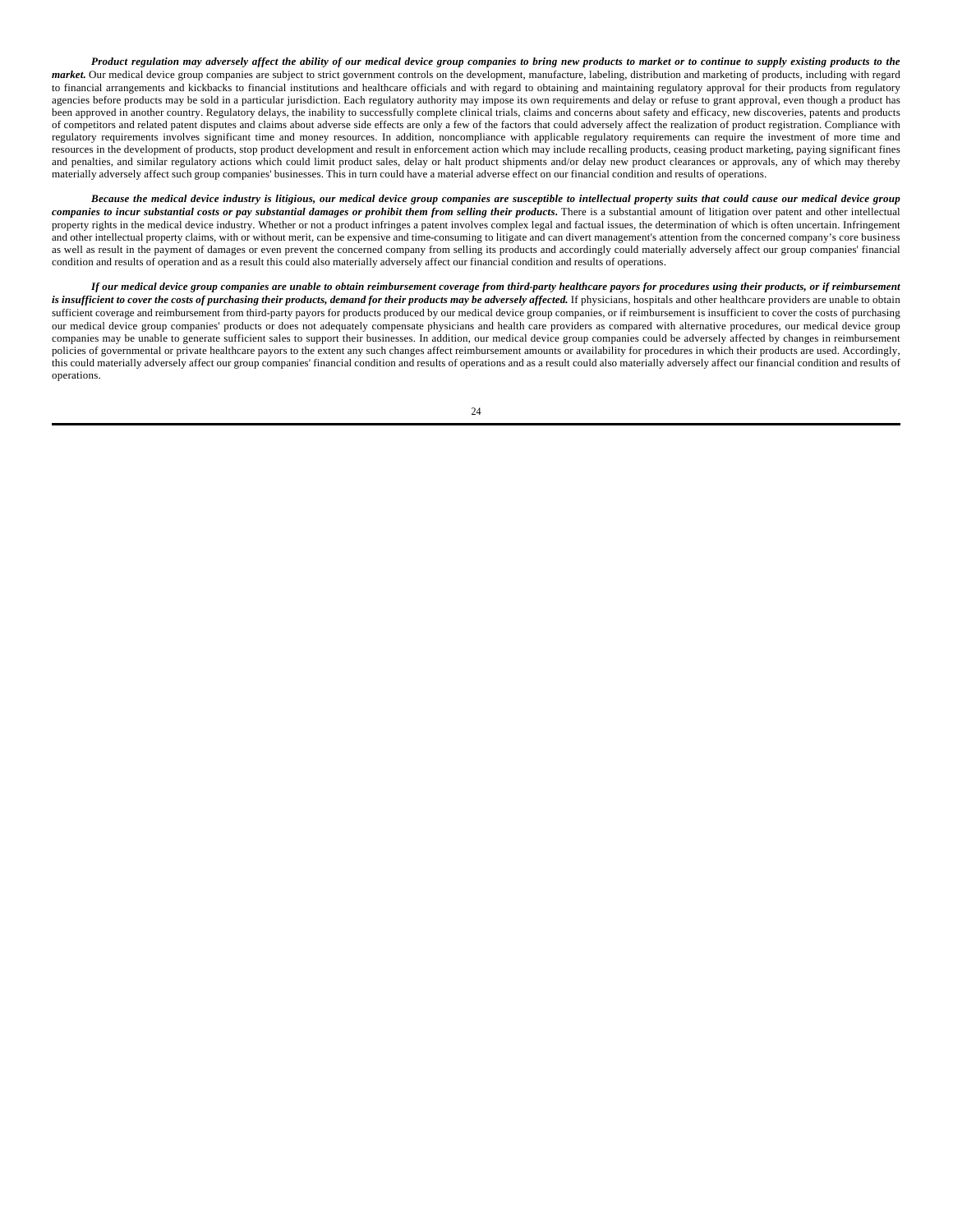*Product regulation may adversely affect the ability of our medical device group companies to bring new products to market or to continue to supply existing products to the market.* Our medical device group companies are subject to strict government controls on the development, manufacture, labeling, distribution and marketing of products, including with regard to financial arrangements and kickbacks to financial institutions and healthcare officials and with regard to obtaining and maintaining regulatory approval for their products from regulatory agencies before products may be sold in a particular jurisdiction. Each regulatory authority may impose its own requirements and delay or refuse to grant approval, even though a product has<br>been approved in another country of competitors and related patent disputes and claims about adverse side effects are only a few of the factors that could adversely affect the realization of product registration. Compliance with regulatory requirements involves significant time and money resources. In addition, noncompliance with applicable regulatory requirements can require the investment of more time and resources in the development of products, stop product development and result in enforcement action which may include recalling products, ceasing product marketing, paying significant fines and penalties, and similar regulatory actions which could limit product sales, delay or halt product shipments and/or delay new product clearances or approvals, any of which may thereby materially adversely affect such group companies' businesses. This in turn could have a material adverse effect on our financial condition and results of operations.

*Because the medical device industry is litigious, our medical device group companies are susceptible to intellectual property suits that could cause our medical device group companies to incur substantial costs or pay substantial damages or prohibit them from selling their products***.** There is a substantial amount of litigation over patent and other intellectual property rights in the medical device industry. Whether or not a product infringes a patent involves complex legal and factual issues, the determination of which is often uncertain. Infringement and other intellectual property claims, with or without merit, can be expensive and time-consuming to litigate and can divert management's attention from the concerned company's core business as well as result in the payment of damages or even prevent the concerned company from selling its products and accordingly could materially adversely affect our group companies' financial condition and results of operation and as a result this could also materially adversely affect our financial condition and results of operations.

*If our medical device group companies are unable to obtain reimbursement coverage from third-party healthcare payors for procedures using their products, or if reimbursement*  is insufficient to cover the costs of purchasing their products, demand for their products may be adversely affected. If physicians, hospitals and other healthcare providers are unable to obtain sufficient coverage and reimbursement from third-party payors for products produced by our medical device group companies, or if reimbursement is insufficient to cover the costs of purchasing our medical device group companies' products or does not adequately compensate physicians and health care providers as compared with alternative procedures, our medical device group companies may be unable to generate sufficient sales to support their businesses. In addition, our medical device group companies could be adversely affected by changes in reimbursement policies of governmental or private healthcare payors to the extent any such changes affect reimbursement amounts or availability for procedures in which their products are used. Accordingly, this could materially adversely affect our group companies' financial condition and results of operations and as a result could also materially adversely affect our financial condition and results of operations.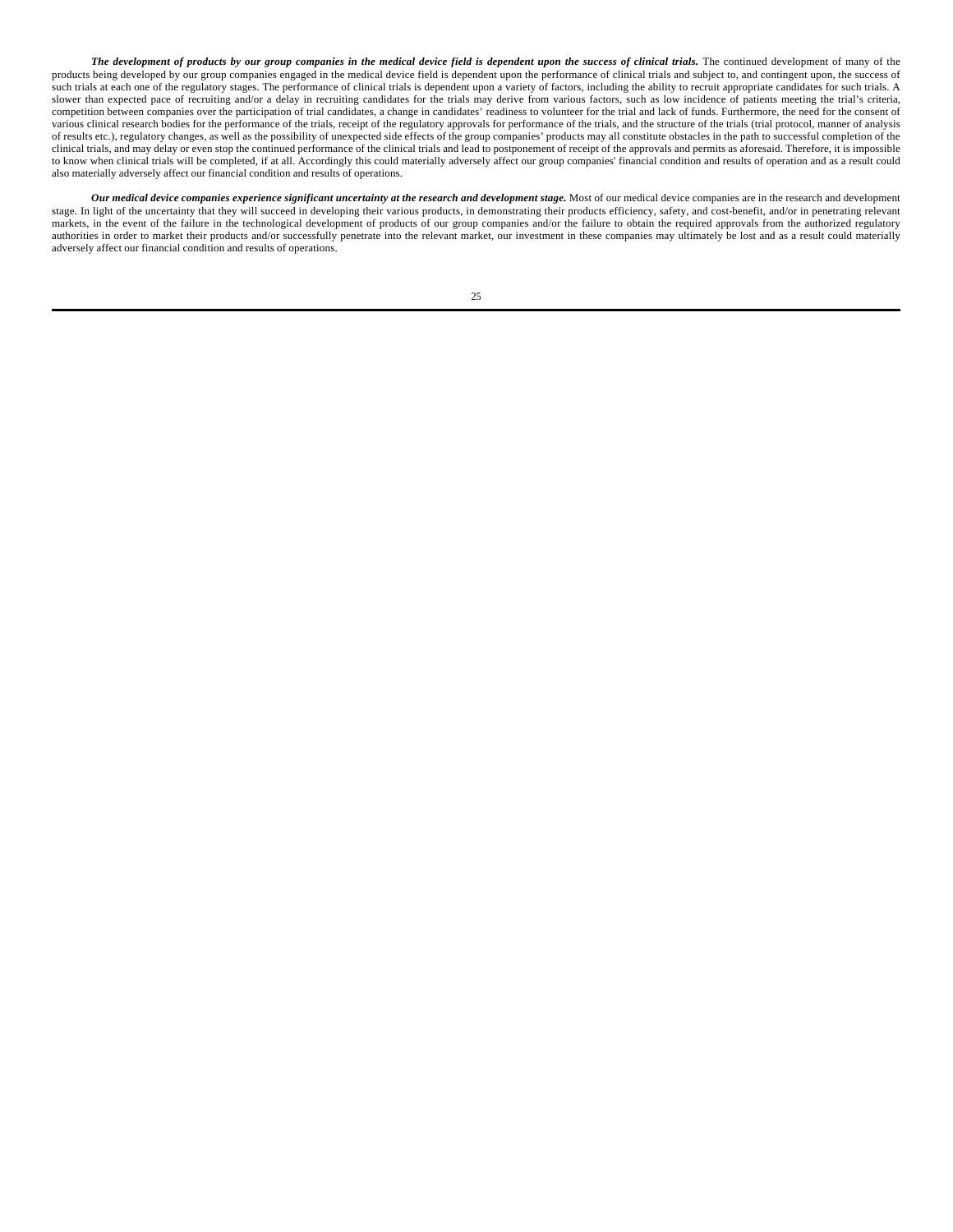*The development of products by our group companies in the medical device field is dependent upon the success of clinical trials.* The continued development of many of the products being developed by our group companies engaged in the medical device field is dependent upon the performance of clinical trials and subject to, and contingent upon, the success of such trials at each one of the regulatory stages. The performance of clinical trials is dependent upon a variety of factors, including the ability to recruit appropriate candidates for such trials. A slower than expected pace of recruiting and/or a delay in recruiting candidates for the trials may derive from various factors, such as low incidence of patients meeting the trial's criteria, competition between companies over the participation of trial candidates, a change in candidates' readiness to volunteer for the trial and lack of funds. Furthermore, the need for the consent of various clinical research bodies for the performance of the trials, receipt of the regulatory approvals for performance of the trials, and the structure of the trials (trial protocol, manner of analysis of results etc.), regulatory changes, as well as the possibility of unexpected side effects of the group companies' products may all constitute obstacles in the path to successful completion of the clinical trials, and may delay or even stop the continued performance of the clinical trials and lead to postponement of receipt of the approvals and permits as aforesaid. Therefore, it is impossible<br>to know when clinical also materially adversely affect our financial condition and results of operations.

Our medical device companies experience significant uncertainty at the research and development stage. Most of our medical device companies are in the research and development stage. In light of the uncertainty that they will succeed in developing their various products, in demonstrating their products efficiency, safety, and cost-benefit, and/or in penetrating relevant markets, in the event of the failure in the technological development of products of our group companies and/or the failure to obtain the required approvals from the authorized regulatory authorities in order to market their products and/or successfully penetrate into the relevant market, our investment in these companies may ultimately be lost and as a result could materially adversely affect our financial condition and results of operations.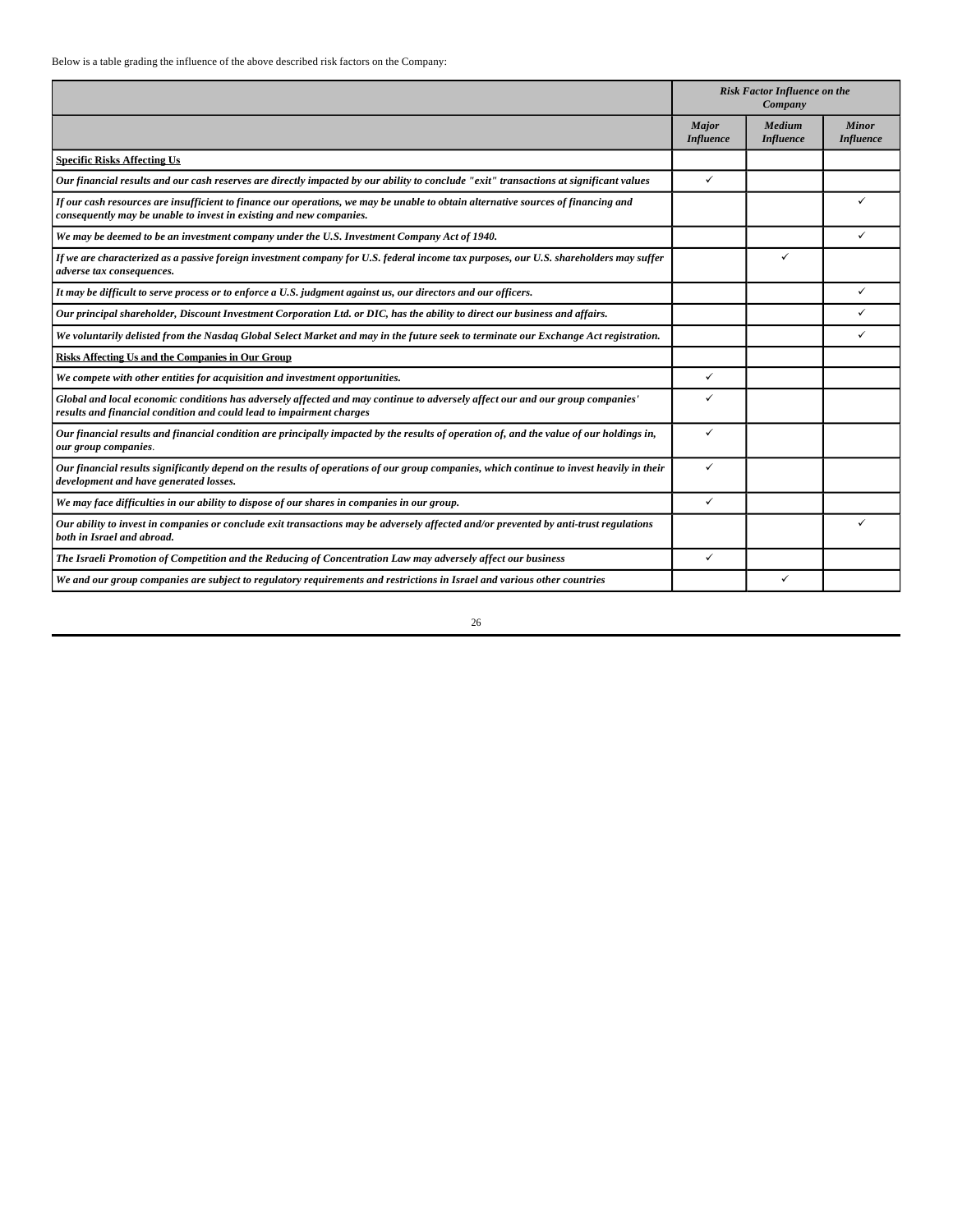Below is a table grading the influence of the above described risk factors on the Company:

|                                                                                                                                                                                                          | <b>Risk Factor Influence on the</b><br>Company |                            |                                  |
|----------------------------------------------------------------------------------------------------------------------------------------------------------------------------------------------------------|------------------------------------------------|----------------------------|----------------------------------|
|                                                                                                                                                                                                          | <b>Major</b><br><b>Influence</b>               | Medium<br><b>Influence</b> | <b>Minor</b><br><b>Influence</b> |
| <b>Specific Risks Affecting Us</b>                                                                                                                                                                       |                                                |                            |                                  |
| Our financial results and our cash reserves are directly impacted by our ability to conclude "exit" transactions at significant values                                                                   | ✓                                              |                            |                                  |
| If our cash resources are insufficient to finance our operations, we may be unable to obtain alternative sources of financing and<br>consequently may be unable to invest in existing and new companies. |                                                |                            |                                  |
| We may be deemed to be an investment company under the U.S. Investment Company Act of 1940.                                                                                                              |                                                |                            |                                  |
| If we are characterized as a passive foreign investment company for U.S. federal income tax purposes, our U.S. shareholders may suffer<br>adverse tax consequences.                                      |                                                | ✓                          |                                  |
| It may be difficult to serve process or to enforce a U.S. judgment against us, our directors and our officers.                                                                                           |                                                |                            |                                  |
| Our principal shareholder, Discount Investment Corporation Ltd. or DIC, has the ability to direct our business and affairs.                                                                              |                                                |                            |                                  |
| We voluntarily delisted from the Nasdaq Global Select Market and may in the future seek to terminate our Exchange Act registration.                                                                      |                                                |                            |                                  |
| <b>Risks Affecting Us and the Companies in Our Group</b>                                                                                                                                                 |                                                |                            |                                  |
| We compete with other entities for acquisition and investment opportunities.                                                                                                                             | ✓                                              |                            |                                  |
| Global and local economic conditions has adversely affected and may continue to adversely affect our and our group companies'<br>results and financial condition and could lead to impairment charges    |                                                |                            |                                  |
| Our financial results and financial condition are principally impacted by the results of operation of, and the value of our holdings in,<br>our group companies.                                         | ✓                                              |                            |                                  |
| Our financial results significantly depend on the results of operations of our group companies, which continue to invest heavily in their<br>development and have generated losses.                      |                                                |                            |                                  |
| We may face difficulties in our ability to dispose of our shares in companies in our group.                                                                                                              | ✓                                              |                            |                                  |
| Our ability to invest in companies or conclude exit transactions may be adversely affected and/or prevented by anti-trust regulations<br>both in Israel and abroad.                                      |                                                |                            |                                  |
| The Israeli Promotion of Competition and the Reducing of Concentration Law may adversely affect our business                                                                                             |                                                |                            |                                  |
| We and our group companies are subject to regulatory requirements and restrictions in Israel and various other countries                                                                                 |                                                | ✓                          |                                  |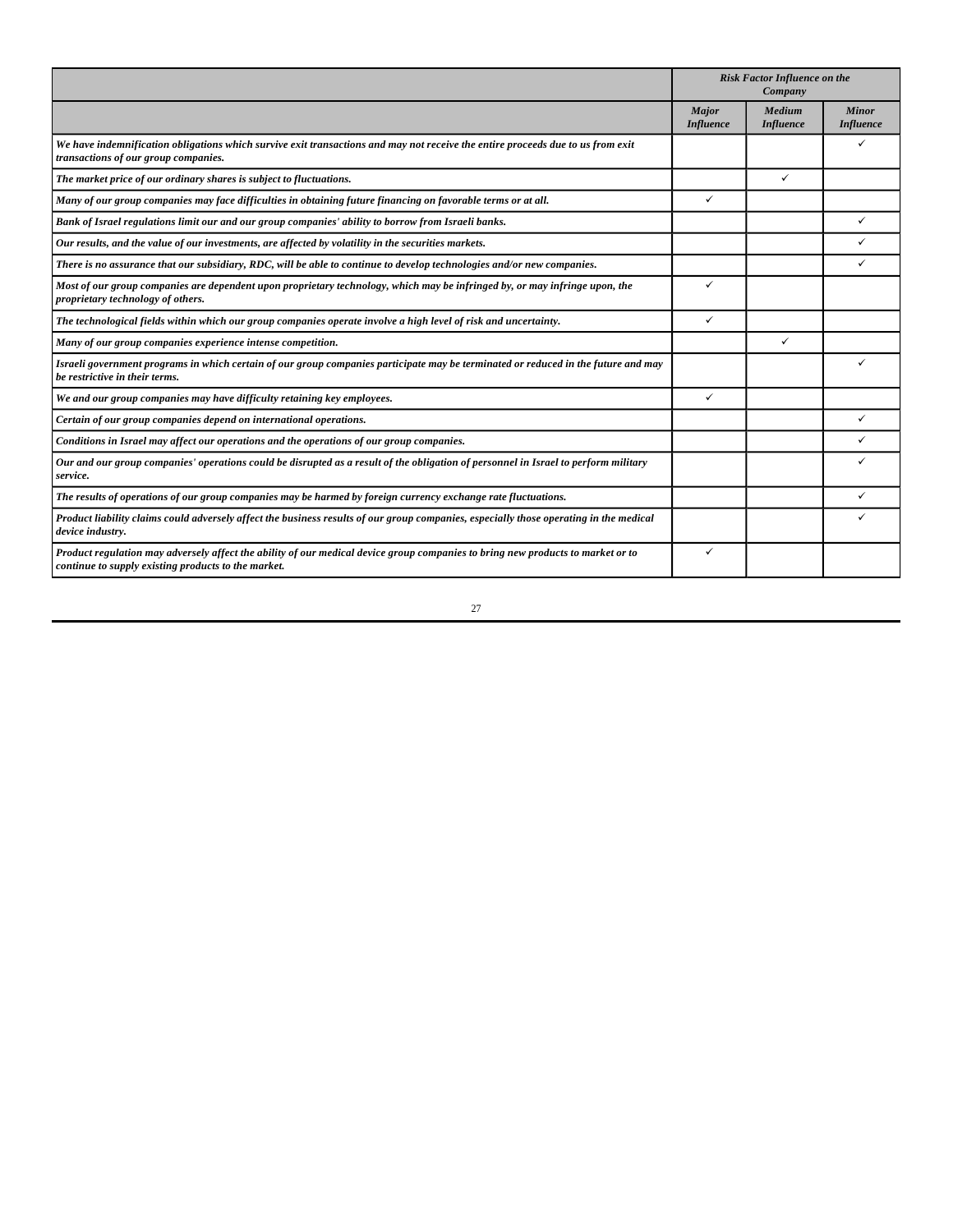|                                                                                                                                                                                        | <b>Risk Factor Influence on the</b><br>Company |                            |                                  |
|----------------------------------------------------------------------------------------------------------------------------------------------------------------------------------------|------------------------------------------------|----------------------------|----------------------------------|
|                                                                                                                                                                                        | <b>Major</b><br><b>Influence</b>               | Medium<br><b>Influence</b> | <b>Minor</b><br><b>Influence</b> |
| We have indemnification obligations which survive exit transactions and may not receive the entire proceeds due to us from exit<br>transactions of our group companies.                |                                                |                            |                                  |
| The market price of our ordinary shares is subject to fluctuations.                                                                                                                    |                                                | $\checkmark$               |                                  |
| Many of our group companies may face difficulties in obtaining future financing on favorable terms or at all.                                                                          | ✓                                              |                            |                                  |
| Bank of Israel regulations limit our and our group companies' ability to borrow from Israeli banks.                                                                                    |                                                |                            | ✓                                |
| Our results, and the value of our investments, are affected by volatility in the securities markets.                                                                                   |                                                |                            |                                  |
| There is no assurance that our subsidiary, RDC, will be able to continue to develop technologies and/or new companies.                                                                 |                                                |                            | ✓                                |
| Most of our group companies are dependent upon proprietary technology, which may be infringed by, or may infringe upon, the<br>proprietary technology of others.                       | ✓                                              |                            |                                  |
| The technological fields within which our group companies operate involve a high level of risk and uncertainty.                                                                        | ✓                                              |                            |                                  |
| Many of our group companies experience intense competition.                                                                                                                            |                                                | $\checkmark$               |                                  |
| Israeli government programs in which certain of our group companies participate may be terminated or reduced in the future and may<br>be restrictive in their terms.                   |                                                |                            |                                  |
| We and our group companies may have difficulty retaining key employees.                                                                                                                | ✓                                              |                            |                                  |
| Certain of our group companies depend on international operations.                                                                                                                     |                                                |                            | ✓                                |
| Conditions in Israel may affect our operations and the operations of our group companies.                                                                                              |                                                |                            | ✓                                |
| Our and our group companies' operations could be disrupted as a result of the obligation of personnel in Israel to perform military<br>service.                                        |                                                |                            |                                  |
| The results of operations of our group companies may be harmed by foreign currency exchange rate fluctuations.                                                                         |                                                |                            |                                  |
| Product liability claims could adversely affect the business results of our group companies, especially those operating in the medical<br>device industry.                             |                                                |                            |                                  |
| Product regulation may adversely affect the ability of our medical device group companies to bring new products to market or to<br>continue to supply existing products to the market. | ✓                                              |                            |                                  |

|        | ï |
|--------|---|
| I<br>٦ |   |
|        | ۰ |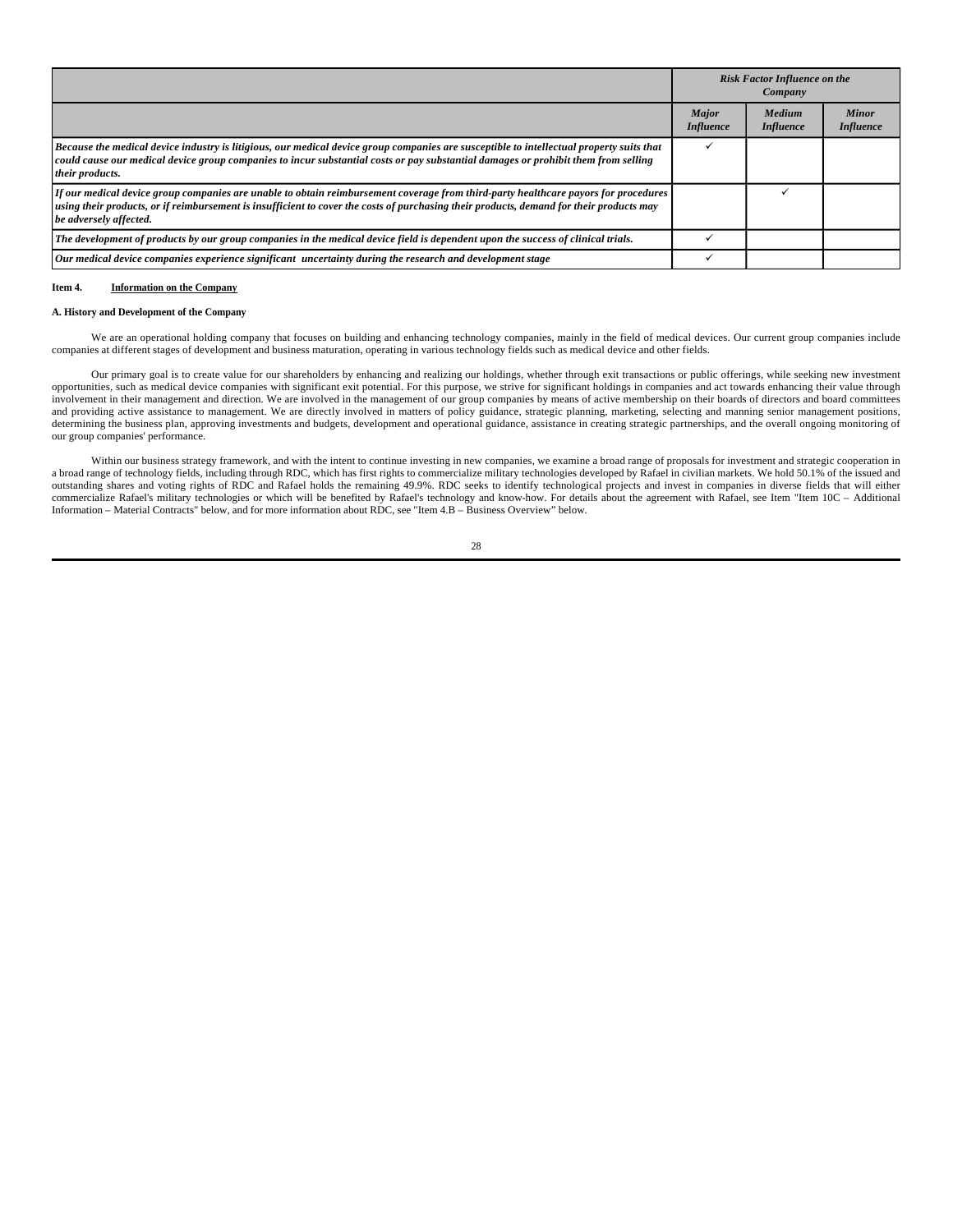|                                                                                                                                                                                                                                                                                                           | <b>Risk Factor Influence on the</b><br>Company |                            |                                  |
|-----------------------------------------------------------------------------------------------------------------------------------------------------------------------------------------------------------------------------------------------------------------------------------------------------------|------------------------------------------------|----------------------------|----------------------------------|
|                                                                                                                                                                                                                                                                                                           | <b>Major</b><br><b>Influence</b>               | Medium<br><b>Influence</b> | <b>Minor</b><br><b>Influence</b> |
| Because the medical device industry is litigious, our medical device group companies are susceptible to intellectual property suits that<br>could cause our medical device group companies to incur substantial costs or pay substantial damages or prohibit them from selling<br>their products.         |                                                |                            |                                  |
| If our medical device group companies are unable to obtain reimbursement coverage from third-party healthcare payors for procedures<br>using their products, or if reimbursement is insufficient to cover the costs of purchasing their products, demand for their products may<br>be adversely affected. |                                                |                            |                                  |
| The development of products by our group companies in the medical device field is dependent upon the success of clinical trials.                                                                                                                                                                          |                                                |                            |                                  |
| Our medical device companies experience significant uncertainty during the research and development stage                                                                                                                                                                                                 |                                                |                            |                                  |

# **Item 4. Information on the Company**

# **A. History and Development of the Company**

We are an operational holding company that focuses on building and enhancing technology companies, mainly in the field of medical devices. Our current group companies include companies at different stages of development and business maturation, operating in various technology fields such as medical device and other fields.

Our primary goal is to create value for our shareholders by enhancing and realizing our holdings, whether through exit transactions or public offerings, while seeking new investment opportunities, such as medical device companies with significant exit potential. For this purpose, we strive for significant holdings in companies and act towards enhancing their value through involvement in their management and direction. We are involved in the management of our group companies by means of active membership on their boards of directors and board committees and providing active assistance to management. We are directly involved in matters of policy guidance, strategic planning, marketing, selecting and manning senior management positions,<br>determining the business plan, approv our group companies' performance.

Within our business strategy framework, and with the intent to continue investing in new companies, we examine a broad range of proposals for investment and strategic cooperation in a broad range of technology fields, including through RDC, which has first rights to commercialize military technologies developed by Rafael in civilian markets. We hold 50.1% of the issued and outstanding shares and voting rights of RDC and Rafael holds the remaining 49.9%. RDC seeks to identify technological projects and invest in companies in diverse fields that will either commercialize Rafael's military technologies or which will be benefited by Rafael's technology and know-how. For details about the agreement with Rafael, see Item "Item 10C – Additional commercialize Rafael's military tech Information – Material Contracts" below, and for more information about RDC, see "Item 4.B – Business Overview" below.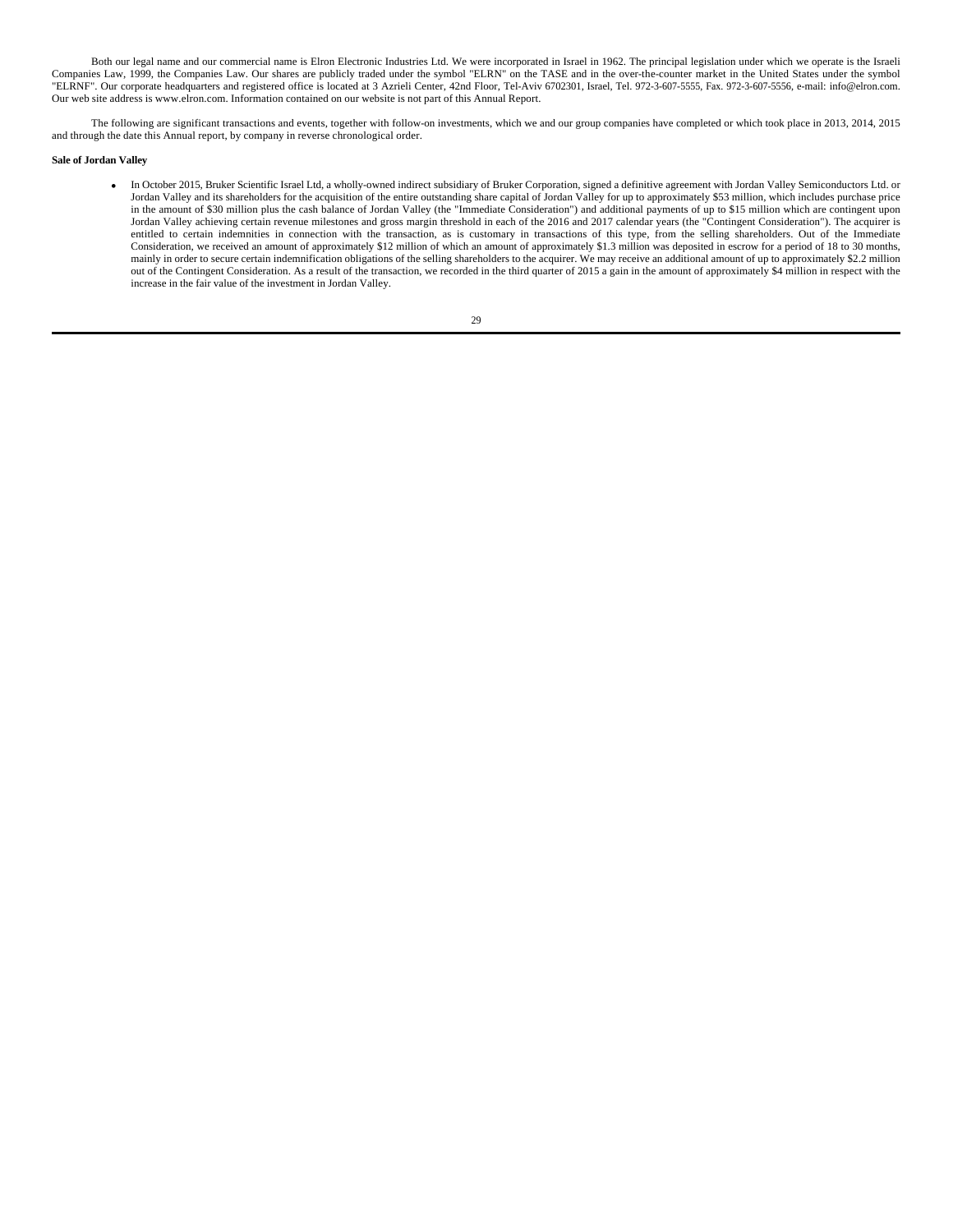Both our legal name and our commercial name is Elron Electronic Industries Ltd. We were incorporated in Israel in 1962. The principal legislation under which we operate is the Israeli Companies Law, 1999, the Companies Law. Our shares are publicly traded under the symbol "ELRN" on the TASE and in the over-the-counter market in the United States under the symbol "ELRNF". Our corporate headquarters and registered office is located at 3 Azrieli Center, 42nd Floor, Tel-Aviv 6702301, Israel, Tel. 972-3-607-5555, Fax. 972-3-607-5556, e-mail: info@elron.com. Our web site address is www.elron.com. Information contained on our website is not part of this Annual Report.

The following are significant transactions and events, together with follow-on investments, which we and our group companies have completed or which took place in 2013, 2014, 2015 and through the date this Annual report, by company in reverse chronological order.

### **Sale of Jordan Valley**

 • In October 2015, Bruker Scientific Israel Ltd, a wholly-owned indirect subsidiary of Bruker Corporation, signed a definitive agreement with Jordan Valley Semiconductors Ltd. or Jordan Valley and its shareholders for the acquisition of the entire outstanding share capital of Jordan Valley for up to approximately \$53 million, which includes purchase price in the amount of \$30 million plus the cash balance of Jordan Valley (the "Immediate Consideration") and additional payments of up to \$15 million which are contingent upon Jordan Valley achieving certain revenue milestones and gross margin threshold in each of the 2016 and 2017 calendar years (the "Contingent Consideration"). The acquirer is entitled to certain indemnities in connection with the transaction, as is customary in transactions of this type, from the selling shareholders. Out of the Immediate Consideration, we received an amount of approximately \$12 million of which an amount of approximately \$1.3 million was deposited in escrow for a period of 18 to 30 months, mainly in order to secure certain indemnification obligations of the selling shareholders to the acquirer. We may receive an additional amount of up to approximately \$2.2 million out of the Contingent Consideration. As a result of the transaction, we recorded in the third quarter of 2015 a gain in the amount of approximately \$4 million in respect with the increase in the fair value of the investment in Jordan Valley.

|        | ۰.<br>m |
|--------|---------|
| I<br>٦ |         |
|        | ï<br>I  |
|        | ٧       |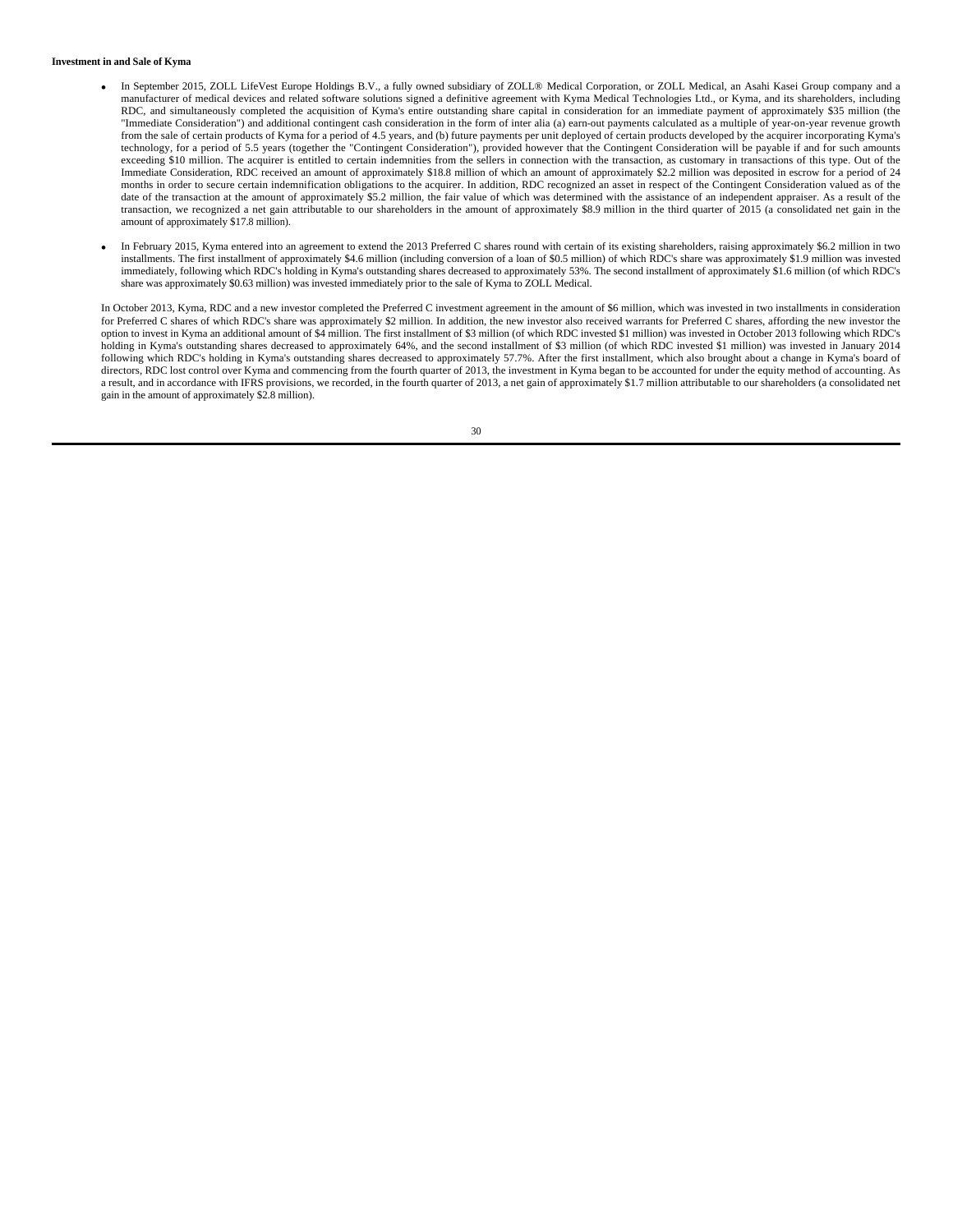### **Investment in and Sale of Kyma**

- In September 2015, ZOLL LifeVest Europe Holdings B.V., a fully owned subsidiary of ZOLL® Medical Corporation, or ZOLL Medical, an Asahi Kasei Group company and a manufacturer of medical devices and related software solutions signed a definitive agreement with Kyma Medical Technologies Ltd., or Kyma, and its shareholders, including RDC, and simultaneously completed the acquisition of Kyma's entire outstanding share capital in consideration for an immediate payment of approximately \$35 million (the "Immediate Consideration") and additional contingent cash consideration in the form of inter alia (a) earn-out payments calculated as a multiple of year-on-year revenue growth from the sale of certain products of Kyma for a period of 4.5 years, and (b) future payments per unit deployed of certain products developed by the acquirer incorporating Kyma's technology, for a period of 5.5 years (together the "Contingent Consideration"), provided however that the Contingent Consideration will be payable if and for such amounts exceeding \$10 million. The acquirer is entitled to certain indemnities from the sellers in connection with the transaction, as customary in transactions of this type. Out of the Immediate Consideration, RDC received an amount of approximately \$18.8 million of which an amount of approximately \$2.2 million was deposited in escrow for a period of 24 months in order to secure certain indemnification obligations to the acquirer. In addition, RDC recognized an asset in respect of the Contingent Consideration valued as of the date of the transaction at the amount of approximately \$5.2 million, the fair value of which was determined with the assistance of an independent appraiser. As a result of the transaction, we recognized a net gain attributable to our shareholders in the amount of approximately \$8.9 million in the third quarter of 2015 (a consolidated net gain in the amount of approximately \$17.8 million).
- In February 2015, Kyma entered into an agreement to extend the 2013 Preferred C shares round with certain of its existing shareholders, raising approximately \$6.2 million in two installments. The first installment of approximately \$4.6 million (including conversion of a loan of \$0.5 million) of which RDC's share was approximately \$1.9 million was invested immediately, following which RDC's holding in Kyma's outstanding shares decreased to approximately 53%. The second installment of approximately \$1.6 million (of which RDC's share was approximately \$0.63 million) was invested immediately prior to the sale of Kyma to ZOLL Medical.

In October 2013, Kyma, RDC and a new investor completed the Preferred C investment agreement in the amount of \$6 million, which was invested in two installments in consideration for Preferred C shares of which RDC's share was approximately \$2 million. In addition, the new investor also received warrants for Preferred C shares, affording the new investor the option to invest in Kyma an additional amount of \$4 million. The first installment of \$3 million (of which RDC invested \$1 million) was invested in October 2013 following which RDC's holding in Kyma's outstanding shares decreased to approximately 64%, and the second installment of \$3 million (of which RDC invested \$1 million) was invested in January 2014 following which RDC's holding in Kyma's outstanding shares decreased to approximately 57.7%. After the first installment, which also brought about a change in Kyma's board of directors, RDC lost control over Kyma and commencing from the fourth quarter of 2013, the investment in Kyma began to be accounted for under the equity method of accounting. As a result, and in accordance with IFRS provisions, we recorded, in the fourth quarter of 2013, a net gain of approximately \$1.7 million attributable to our shareholders (a consolidated net gain in the amount of approximately \$2.8 million).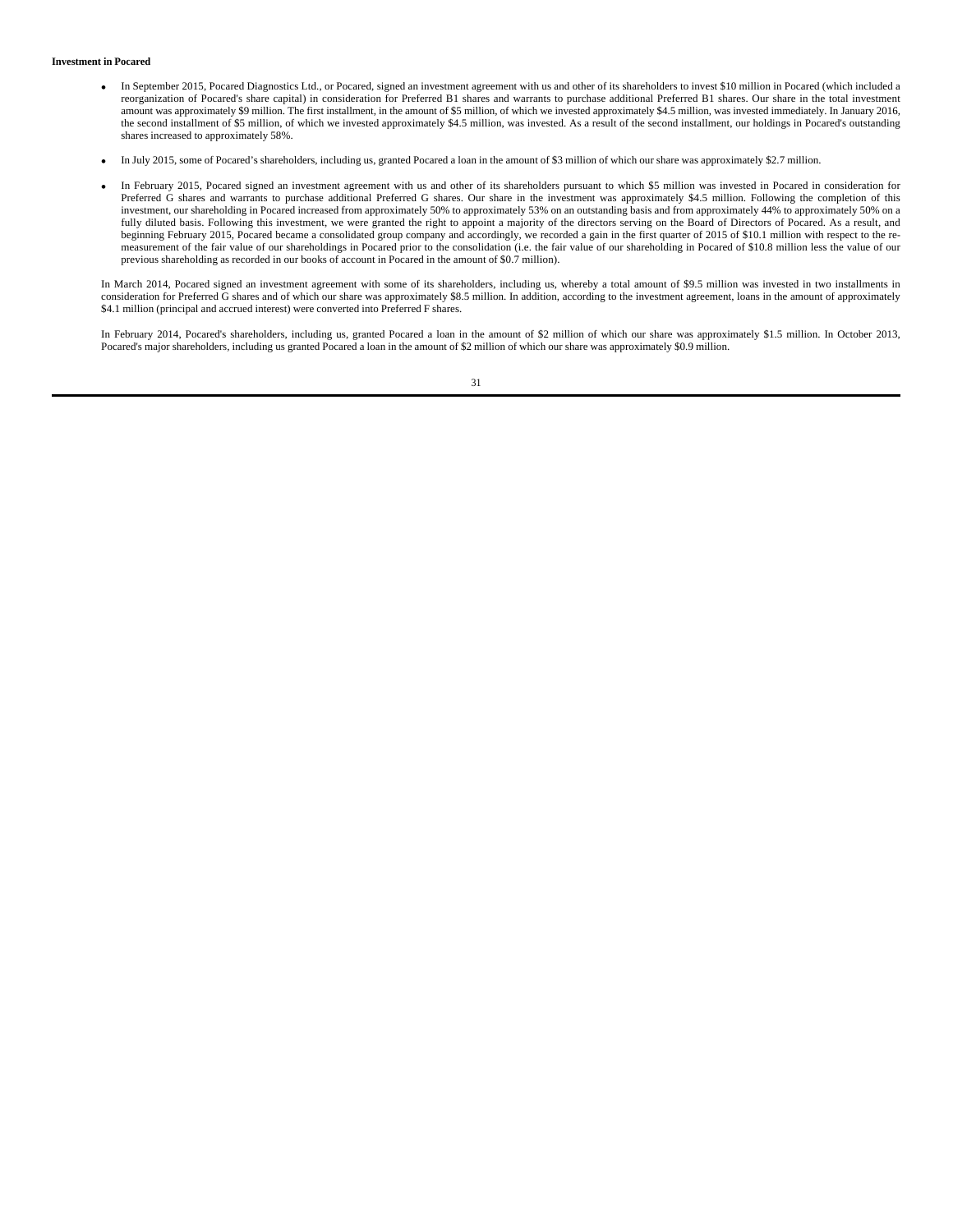#### **Investment in Pocared**

- In September 2015, Pocared Diagnostics Ltd., or Pocared, signed an investment agreement with us and other of its shareholders to invest \$10 million in Pocared (which included a reorganization of Pocared's share capital) in consideration for Preferred B1 shares and warrants to purchase additional Preferred B1 shares. Our share in the total investment amount was approximately \$9 million. The first installment, in the amount of \$5 million, of which we invested approximately \$4.5 million, was invested immediately. In January 2016, the second installment of \$5 million, of which we invested approximately \$4.5 million, was invested. As a result of the second installment, our holdings in Pocared's outstanding shares increased to approximately 58%.
- In July 2015, some of Pocared's shareholders, including us, granted Pocared a loan in the amount of \$3 million of which our share was approximately \$2.7 million.
- In February 2015, Pocared signed an investment agreement with us and other of its shareholders pursuant to which \$5 million was invested in Pocared in consideration for Preferred G shares and warrants to purchase additional Preferred G shares. Our share in the investment was approximately \$4.5 million. Following the completion of this investment, our shareholding in Pocared increased from approximately 50% to approximately 53% on an outstanding basis and from approximately 44% to approximately 50% on a fully diluted basis. Following this investment, we were granted the right to appoint a majority of the directors serving on the Board of Directors of Pocared. As a result, and beginning February 2015, Pocared became a consolidated group company and accordingly, we recorded a gain in the first quarter of 2015 of \$10.1 million with respect to the remeasurement of the fair value of our shareholdings in Pocared prior to the consolidation (i.e. the fair value of our shareholding in Pocared of \$10.8 million less the value of our previous shareholding as recorded in our books of account in Pocared in the amount of \$0.7 million).

In March 2014, Pocared signed an investment agreement with some of its shareholders, including us, whereby a total amount of \$9.5 million was invested in two installments in consideration for Preferred G shares and of which our share was approximately \$8.5 million. In addition, according to the investment agreement, loans in the amount of approximately \$4.1 million (principal and accrued interest) were converted into Preferred F shares.

In February 2014, Pocared's shareholders, including us, granted Pocared a loan in the amount of \$2 million of which our share was approximately \$1.5 million. In October 2013, Pocared's major shareholders, including us granted Pocared a loan in the amount of \$2 million of which our share was approximately \$0.9 million.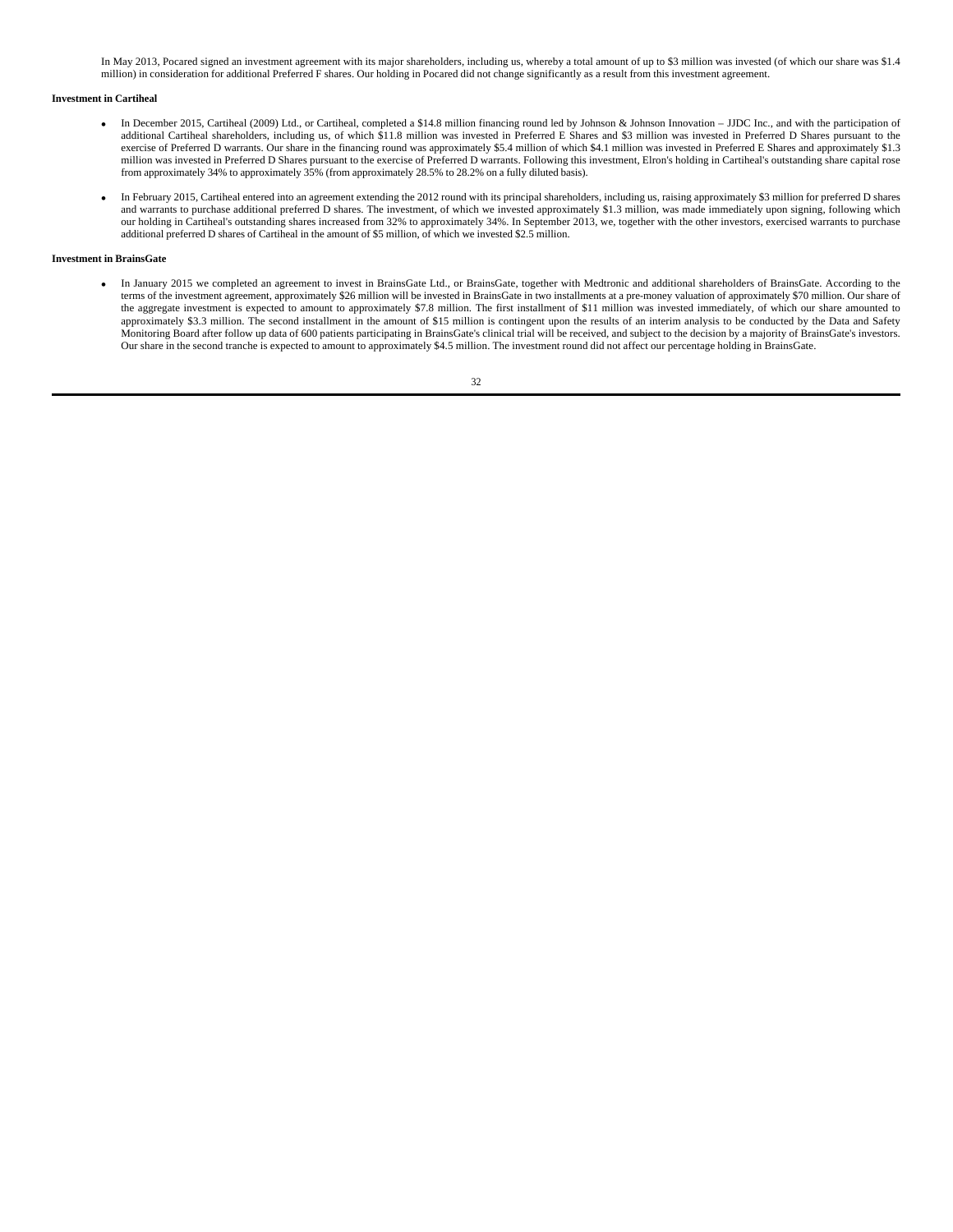In May 2013, Pocared signed an investment agreement with its major shareholders, including us, whereby a total amount of up to \$3 million was invested (of which our share was \$1.4 million) in consideration for additional Preferred F shares. Our holding in Pocared did not change significantly as a result from this investment agreement.

### **Investment in Cartiheal**

- In December 2015, Cartiheal (2009) Ltd., or Cartiheal, completed a \$14.8 million financing round led by Johnson & Johnson Innovation JJDC Inc., and with the participation of additional Cartiheal shareholders, including us, of which \$11.8 million was invested in Preferred E Shares and \$3 million was invested in Preferred D Shares pursuant to the exercise of Preferred D warrants. Our share in the financing round was approximately \$5.4 million of which \$4.1 million was invested in Preferred E Shares and approximately \$1.3 million was invested in Preferred D Shares pursuant to the exercise of Preferred D warrants. Following this investment, Elron's holding in Cartiheal's outstanding share capital rose from approximately 34% to approximately 35% (from approximately 28.5% to 28.2% on a fully diluted basis).
- In February 2015, Cartiheal entered into an agreement extending the 2012 round with its principal shareholders, including us, raising approximately \$3 million for preferred D shares and warrants to purchase additional preferred D shares. The investment, of which we invested approximately \$1.3 million, was made immediately upon signing, following which our holding in Cartiheal's outstanding shares increased from 32% to approximately 34%. In September 2013, we, together with the other investors, exercised warrants to purchase additional preferred D shares of Cartiheal in the amount of \$5 million, of which we invested \$2.5 million.

### **Investment in BrainsGate**

 • In January 2015 we completed an agreement to invest in BrainsGate Ltd., or BrainsGate, together with Medtronic and additional shareholders of BrainsGate. According to the terms of the investment agreement, approximately \$26 million will be invested in BrainsGate in two installments at a pre-money valuation of approximately \$70 million. Our share of the aggregate investment is expected to amount to approximately \$7.8 million. The first installment of \$11 million was invested immediately, of which our share amounted to approximately \$3.3 million. The second installment in the amount of \$15 million is contingent upon the results of an interim analysis to be conducted by the Data and Safety Monitoring Board after follow up data of 600 patients participating in BrainsGate's clinical trial will be received, and subject to the decision by a majority of BrainsGate's investors. Our share in the second tranche is expected to amount to approximately \$4.5 million. The investment round did not affect our percentage holding in BrainsGate.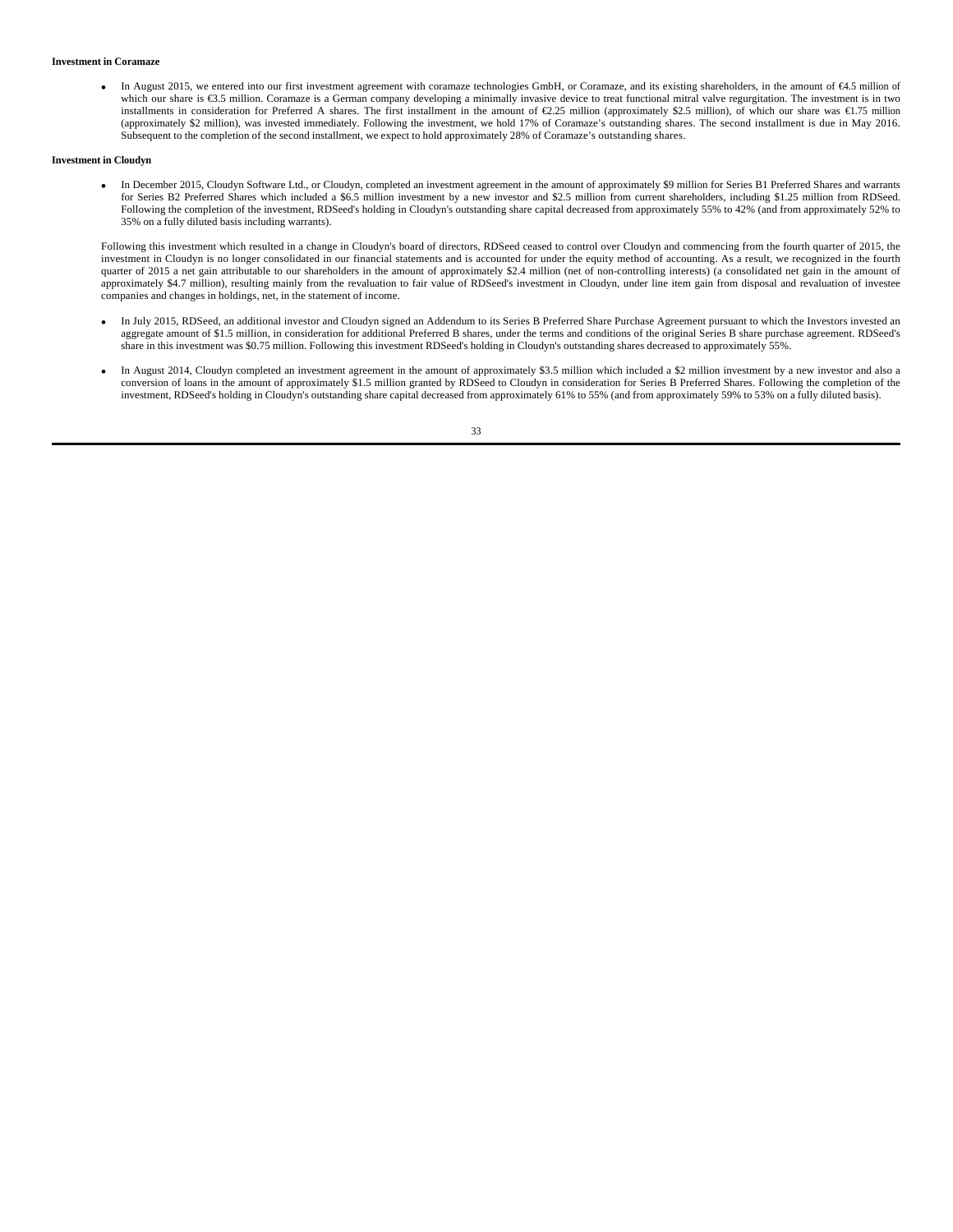#### **Investment in Coramaze**

 • In August 2015, we entered into our first investment agreement with coramaze technologies GmbH, or Coramaze, and its existing shareholders, in the amount of €4.5 million of which our share is €3.5 million. Coramaze is a German company developing a minimally invasive device to treat functional mitral valve regurgitation. The investment is in two installments in consideration for Preferred A shares. The first installment in the amount of €2.25 million (approximately \$2.5 million), of which our share was €1.75 million (approximately \$2 million), was invested immediately. Following the investment, we hold 17% of Coramaze's outstanding shares. The second installment is due in May 2016. Subsequent to the completion of the second installment, we expect to hold approximately 28% of Coramaze's outstanding shares.

# **Investment in Cloudyn**

 • In December 2015, Cloudyn Software Ltd., or Cloudyn, completed an investment agreement in the amount of approximately \$9 million for Series B1 Preferred Shares and warrants for Series B2 Preferred Shares which included a \$6.5 million investment by a new investor and \$2.5 million from current shareholders, including \$1.25 million from RDSeed. Following the completion of the investment, RDSeed's holding in Cloudyn's outstanding share capital decreased from approximately 55% to 42% (and from approximately 52% to 35% on a fully diluted basis including warrants).

Following this investment which resulted in a change in Cloudyn's board of directors, RDSeed ceased to control over Cloudyn and commencing from the fourth quarter of 2015, the investment in Cloudyn is no longer consolidated in our financial statements and is accounted for under the equity method of accounting. As a result, we recognized in the fourth quarter of 2015 a net gain attributable to our shareholders in the amount of approximately \$2.4 million (net of non-controlling interests) (a consolidated net gain in the amount of approximately \$4.7 million), resulting mainly from the revaluation to fair value of RDSeed's investment in Cloudyn, under line item gain from disposal and revaluation of investee companies and changes in holdings, net, in the statement of income.

- In July 2015, RDSeed, an additional investor and Cloudyn signed an Addendum to its Series B Preferred Share Purchase Agreement pursuant to which the Investors invested an aggregate amount of \$1.5 million, in consideration for additional Preferred B shares, under the terms and conditions of the original Series B share purchase agreement. RDSeed's share in this investment was \$0.75 million. Following this investment RDSeed's holding in Cloudyn's outstanding shares decreased to approximately 55%.
- In August 2014, Cloudyn completed an investment agreement in the amount of approximately \$3.5 million which included a \$2 million investment by a new investor and also a conversion of loans in the amount of approximately \$1.5 million granted by RDSeed to Cloudyn in consideration for Series B Preferred Shares. Following the completion of the investment, RDSeed's holding in Cloudyn's outstanding share capital decreased from approximately 61% to 55% (and from approximately 59% to 53% on a fully diluted basis).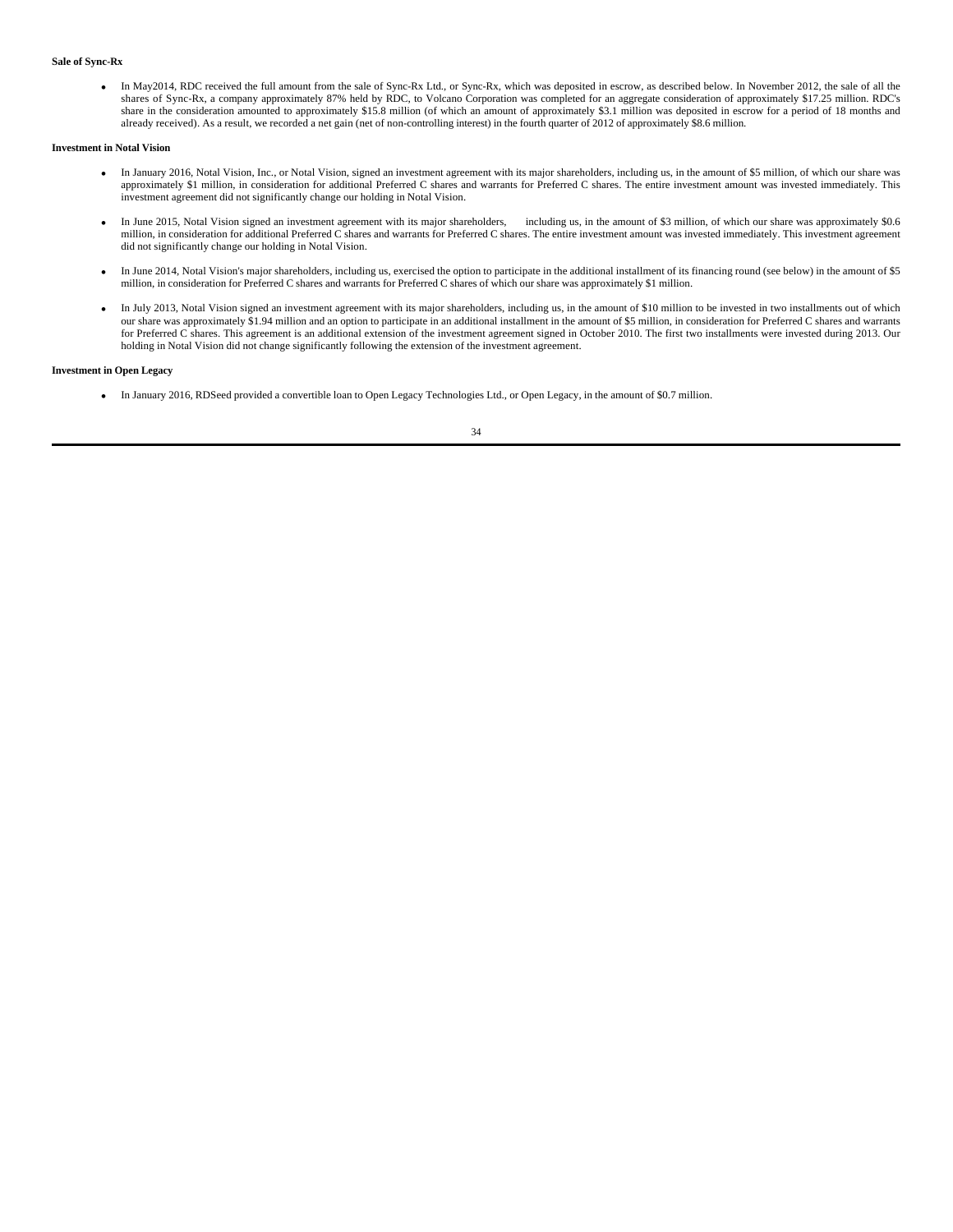# **Sale of Sync-Rx**

 • In May2014, RDC received the full amount from the sale of Sync-Rx Ltd., or Sync-Rx, which was deposited in escrow, as described below. In November 2012, the sale of all the shares of Sync-Rx, a company approximately 87% held by RDC, to Volcano Corporation was completed for an aggregate consideration of approximately \$17.25 million. RDC's share in the consideration amounted to approximately \$15.8 million (of which an amount of approximately \$3.1 million was deposited in escrow for a period of 18 months and already received). As a result, we recorded a net gain (net of non-controlling interest) in the fourth quarter of 2012 of approximately \$8.6 million.

### **Investment in Notal Vision**

- In January 2016, Notal Vision, Inc., or Notal Vision, signed an investment agreement with its major shareholders, including us, in the amount of \$5 million, of which our share was approximately \$1 million, in consideration for additional Preferred C shares and warrants for Preferred C shares. The entire investment amount was invested immediately. This investment agreement did not significantly change our holding in Notal Vision.
- In June 2015, Notal Vision signed an investment agreement with its major shareholders, including us, in the amount of \$3 million, of which our share was approximately \$0.6 million, in consideration for additional Preferred C shares and warrants for Preferred C shares. The entire investment amount was invested immediately. This investment agreement did not significantly change our holding in Notal Vision.
- In June 2014, Notal Vision's major shareholders, including us, exercised the option to participate in the additional installment of its financing round (see below) in the amount of \$5 million, in consideration for Preferred C shares and warrants for Preferred C shares of which our share was approximately \$1 million.
- In July 2013, Notal Vision signed an investment agreement with its major shareholders, including us, in the amount of \$10 million to be invested in two installments out of which our share was approximately \$1.94 million and an option to participate in an additional installment in the amount of \$5 million, in consideration for Preferred C shares and warrants for Preferred C shares. This agreement is an additional extension of the investment agreement signed in October 2010. The first two installments were invested during 2013. Our holding in Notal Vision did not change significantly following the extension of the investment agreement.

# **Investment in Open Legacy**

• In January 2016, RDSeed provided a convertible loan to Open Legacy Technologies Ltd., or Open Legacy, in the amount of \$0.7 million.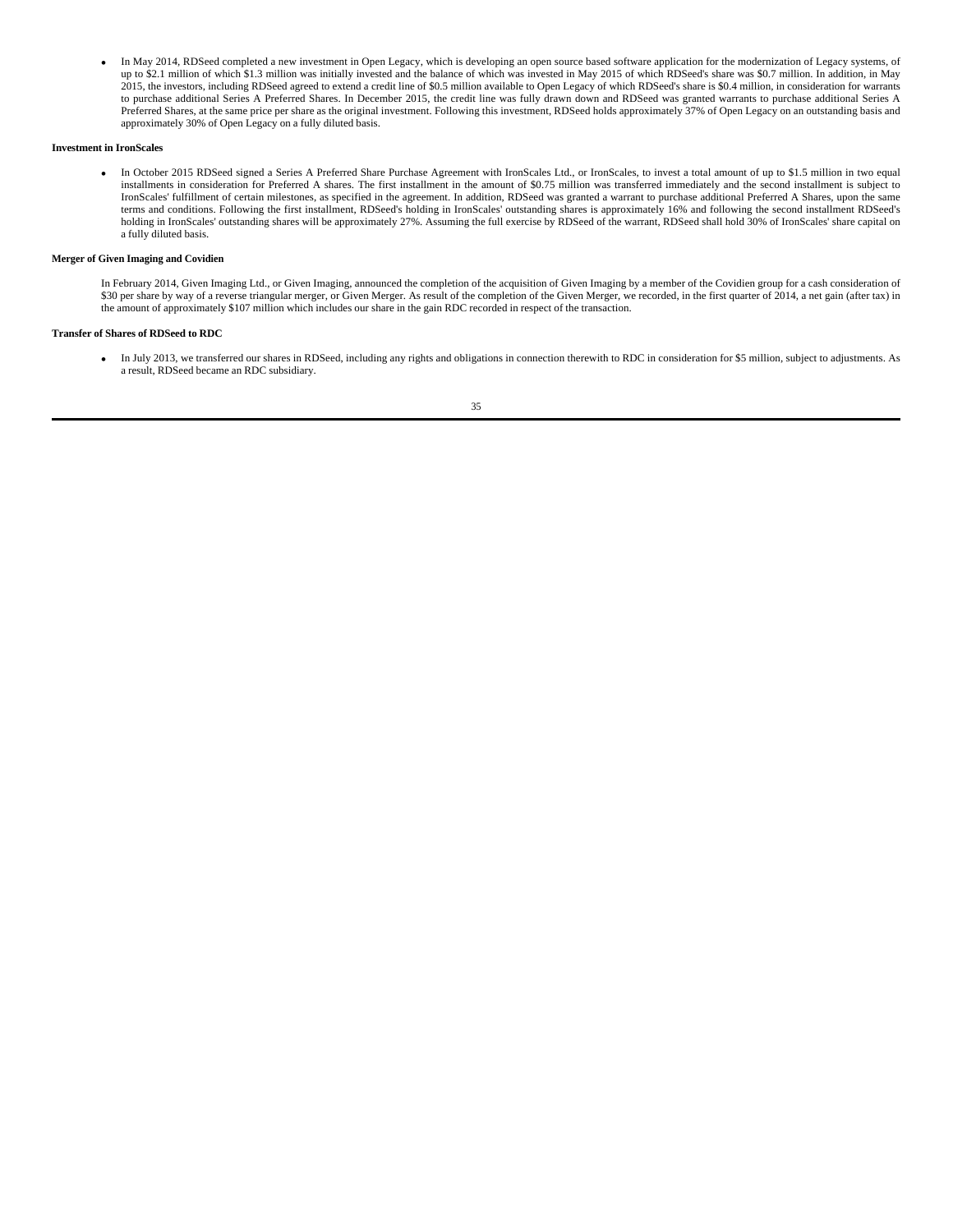• In May 2014, RDSeed completed a new investment in Open Legacy, which is developing an open source based software application for the modernization of Legacy systems, of up to \$2.1 million of which \$1.3 million was initially invested and the balance of which was invested in May 2015 of which RDSeed's share was \$0.7 million. In addition, in May 2015, the investors, including RDSeed agreed to extend a credit line of \$0.5 million available to Open Legacy of which RDSeed's share is \$0.4 million, in consideration for warrants to purchase additional Series A Preferred Shares. In December 2015, the credit line was fully drawn down and RDSeed was granted warrants to purchase additional Series A Preferred Shares, at the same price per share as the original investment. Following this investment, RDSeed holds approximately 37% of Open Legacy on an outstanding basis and approximately 30% of Open Legacy on a fully diluted basis.

### **Investment in IronScales**

 • In October 2015 RDSeed signed a Series A Preferred Share Purchase Agreement with IronScales Ltd., or IronScales, to invest a total amount of up to \$1.5 million in two equal installments in consideration for Preferred A shares. The first installment in the amount of \$0.75 million was transferred immediately and the second installment is subject to IronScales' fulfillment of certain milestones, as specified in the agreement. In addition, RDSeed was granted a warrant to purchase additional Preferred A Shares, upon the same terms and conditions. Following the first installment, RDSeed's holding in IronScales' outstanding shares is approximately 16% and following the second installment RDSeed's holding in IronScales' outstanding shares will be approximately 27%. Assuming the full exercise by RDSeed of the warrant, RDSeed shall hold 30% of IronScales' share capital on a fully diluted basis.

# **Merger of Given Imaging and Covidien**

In February 2014, Given Imaging Ltd., or Given Imaging, announced the completion of the acquisition of Given Imaging by a member of the Covidien group for a cash consideration of \$30 per share by way of a reverse triangular merger, or Given Merger. As result of the completion of the Given Merger, we recorded, in the first quarter of 2014, a net gain (after tax) in the amount of approximately \$107 million which includes our share in the gain RDC recorded in respect of the transaction.

### **Transfer of Shares of RDSeed to RDC**

 • In July 2013, we transferred our shares in RDSeed, including any rights and obligations in connection therewith to RDC in consideration for \$5 million, subject to adjustments. As a result, RDSeed became an RDC subsidiary.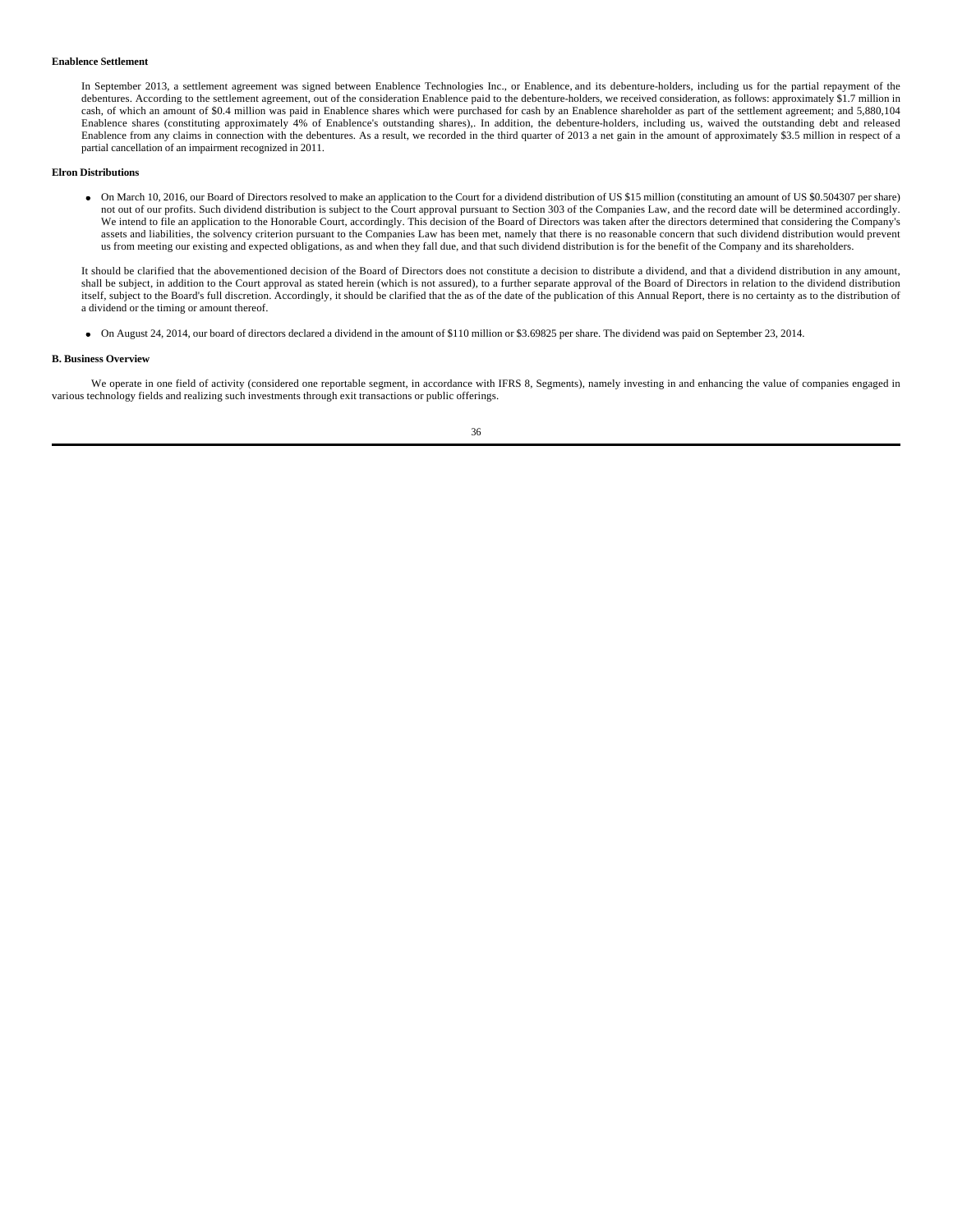### **Enablence Settlement**

In September 2013, a settlement agreement was signed between Enablence Technologies Inc., or Enablence, and its debenture-holders, including us for the partial repayment of the debentures. According to the settlement agreement, out of the consideration Enablence paid to the debenture-holders, we received consideration, as follows: approximately \$1.7 million in cash, of which an amount of \$0.4 million was paid in Enablence shares which were purchased for cash by an Enablence shareholder as part of the settlement agreement; and 5,880,104 Enablence shares (constituting approximately 4% of Enablence's outstanding shares),. In addition, the debenture-holders, including us, waived the outstanding debt and released Enablence from any claims in connection with the debentures. As a result, we recorded in the third quarter of 2013 a net gain in the amount of approximately \$3.5 million in respect of a partial cancellation of an impairment recognized in 2011.

# **Elron Distributions**

• On March 10, 2016, our Board of Directors resolved to make an application to the Court for a dividend distribution of US \$15 million (constituting an amount of US \$0.504307 per share) not out of our profits. Such dividend distribution is subject to the Court approval pursuant to Section 303 of the Companies Law, and the record date will be determined accordingly. We intend to file an application to the Honorable Court, accordingly. This decision of the Board of Directors was taken after the directors determined that considering the Company's assets and liabilities, the solvency criterion pursuant to the Companies Law has been met, namely that there is no reasonable concern that such dividend distribution would prevent us from meeting our existing and expected obligations, as and when they fall due, and that such dividend distribution is for the benefit of the Company and its shareholders.

It should be clarified that the abovementioned decision of the Board of Directors does not constitute a decision to distribute a dividend, and that a dividend distribution in any amount, shall be subject, in addition to the Court approval as stated herein (which is not assured), to a further separate approval of the Board of Directors in relation to the dividend distribution itself, subject to the Board's full discretion. Accordingly, it should be clarified that the as of the date of the publication of this Annual Report, there is no certainty as to the distribution of a dividend or the timing or amount thereof.

• On August 24, 2014, our board of directors declared a dividend in the amount of \$110 million or \$3.69825 per share. The dividend was paid on September 23, 2014.

### **B. Business Overview**

We operate in one field of activity (considered one reportable segment, in accordance with IFRS 8, Segments), namely investing in and enhancing the value of companies engaged in various technology fields and realizing such investments through exit transactions or public offerings.

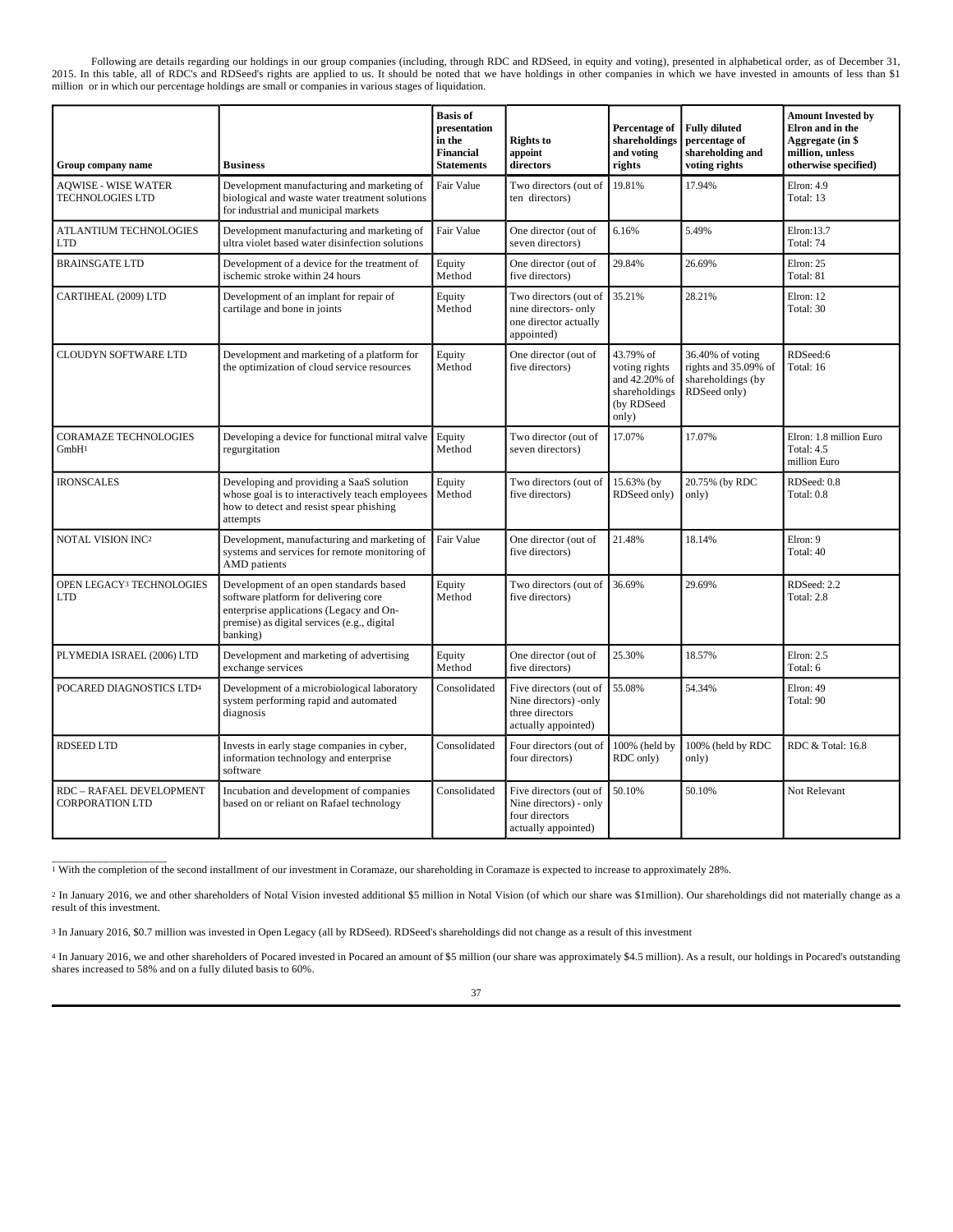Following are details regarding our holdings in our group companies (including, through RDC and RDSeed, in equity and voting), presented in alphabetical order, as of December 31,<br>2015. In this table, all of RDC's and RDSee million or in which our percentage holdings are small or companies in various stages of liquidation.

| Group company name                                    | <b>Business</b>                                                                                                                                                                       | <b>Basis of</b><br>presentation<br>in the<br><b>Financial</b><br><b>Statements</b> | <b>Rights</b> to<br>appoint<br>directors                                                  | Percentage of<br>shareholdings<br>and voting<br>rights                              | <b>Fully diluted</b><br>percentage of<br>shareholding and<br>voting rights    | <b>Amount Invested by</b><br>Elron and in the<br>Aggregate (in \$<br>million, unless<br>otherwise specified) |
|-------------------------------------------------------|---------------------------------------------------------------------------------------------------------------------------------------------------------------------------------------|------------------------------------------------------------------------------------|-------------------------------------------------------------------------------------------|-------------------------------------------------------------------------------------|-------------------------------------------------------------------------------|--------------------------------------------------------------------------------------------------------------|
| <b>AOWISE - WISE WATER</b><br><b>TECHNOLOGIES LTD</b> | Development manufacturing and marketing of<br>biological and waste water treatment solutions<br>for industrial and municipal markets                                                  | Fair Value                                                                         | Two directors (out of<br>ten directors)                                                   | 19.81%                                                                              | 17.94%                                                                        | Elron: 4.9<br>Total: 13                                                                                      |
| ATLANTIUM TECHNOLOGIES<br><b>LTD</b>                  | Development manufacturing and marketing of<br>ultra violet based water disinfection solutions                                                                                         | Fair Value                                                                         | One director (out of<br>seven directors)                                                  | 6.16%                                                                               | 5.49%                                                                         | Elron:13.7<br>Total: 74                                                                                      |
| <b>BRAINSGATE LTD</b>                                 | Development of a device for the treatment of<br>ischemic stroke within 24 hours                                                                                                       | Equity<br>Method                                                                   | One director (out of<br>five directors)                                                   | 29.84%                                                                              | 26.69%                                                                        | Elron: 25<br>Total: 81                                                                                       |
| CARTIHEAL (2009) LTD                                  | Development of an implant for repair of<br>cartilage and bone in joints                                                                                                               | Equity<br>Method                                                                   | Two directors (out of<br>nine directors- only<br>one director actually<br>appointed)      | 35.21%                                                                              | 28.21%                                                                        | Elron: 12<br>Total: 30                                                                                       |
| <b>CLOUDYN SOFTWARE LTD</b>                           | Development and marketing of a platform for<br>the optimization of cloud service resources                                                                                            | Equity<br>Method                                                                   | One director (out of<br>five directors)                                                   | 43.79% of<br>voting rights<br>and 42.20% of<br>shareholdings<br>(by RDSeed<br>only) | 36.40% of voting<br>rights and 35.09% of<br>shareholdings (by<br>RDSeed only) | RDSeed:6<br>Total: 16                                                                                        |
| <b>CORAMAZE TECHNOLOGIES</b><br>GmbH <sup>1</sup>     | Developing a device for functional mitral valve<br>regurgitation                                                                                                                      | Equity<br>Method                                                                   | Two director (out of<br>seven directors)                                                  | 17.07%                                                                              | 17.07%                                                                        | Elron: 1.8 million Euro<br>Total: 4.5<br>million Euro                                                        |
| <b>IRONSCALES</b>                                     | Developing and providing a SaaS solution<br>whose goal is to interactively teach employees<br>how to detect and resist spear phishing<br>attempts                                     | Equity<br>Method                                                                   | Two directors (out of<br>five directors)                                                  | 15.63% (by<br>RDSeed only)                                                          | 20.75% (by RDC<br>only)                                                       | RDSeed: 0.8<br>Total: 0.8                                                                                    |
| <b>NOTAL VISION INC2</b>                              | Development, manufacturing and marketing of<br>systems and services for remote monitoring of<br><b>AMD</b> patients                                                                   | Fair Value                                                                         | One director (out of<br>five directors)                                                   | 21.48%                                                                              | 18.14%                                                                        | Elron: 9<br>Total: 40                                                                                        |
| OPEN LEGACY <sup>3</sup> TECHNOLOGIES<br><b>LTD</b>   | Development of an open standards based<br>software platform for delivering core<br>enterprise applications (Legacy and On-<br>premise) as digital services (e.g., digital<br>banking) | Equity<br>Method                                                                   | Two directors (out of<br>five directors)                                                  | 36.69%                                                                              | 29.69%                                                                        | RDSeed: 2.2<br>Total: 2.8                                                                                    |
| PLYMEDIA ISRAEL (2006) LTD                            | Development and marketing of advertising<br>exchange services                                                                                                                         | Equity<br>Method                                                                   | One director (out of<br>five directors)                                                   | 25.30%                                                                              | 18.57%                                                                        | Elron: $2.5$<br>Total: 6                                                                                     |
| POCARED DIAGNOSTICS LTD <sup>4</sup>                  | Development of a microbiological laboratory<br>system performing rapid and automated<br>diagnosis                                                                                     | Consolidated                                                                       | Five directors (out of<br>Nine directors) -only<br>three directors<br>actually appointed) | 55.08%                                                                              | 54.34%                                                                        | Elron: 49<br>Total: 90                                                                                       |
| <b>RDSEED LTD</b>                                     | Invests in early stage companies in cyber,<br>information technology and enterprise<br>software                                                                                       | Consolidated                                                                       | Four directors (out of<br>four directors)                                                 | 100% (held by<br>RDC only)                                                          | 100% (held by RDC<br>only)                                                    | RDC & Total: 16.8                                                                                            |
| RDC - RAFAEL DEVELOPMENT<br><b>CORPORATION LTD</b>    | Incubation and development of companies<br>based on or reliant on Rafael technology                                                                                                   | Consolidated                                                                       | Five directors (out of<br>Nine directors) - only<br>four directors<br>actually appointed) | 50.10%                                                                              | 50.10%                                                                        | Not Relevant                                                                                                 |

\_\_\_\_\_\_\_\_\_\_\_\_\_\_\_\_\_\_\_\_ <sup>1</sup> With the completion of the second installment of our investment in Coramaze, our shareholding in Coramaze is expected to increase to approximately 28%.

<sup>2</sup> In January 2016, we and other shareholders of Notal Vision invested additional \$5 million in Notal Vision (of which our share was \$1million). Our shareholdings did not materially change as a result of this investment.

<sup>3</sup> In January 2016, \$0.7 million was invested in Open Legacy (all by RDSeed). RDSeed's shareholdings did not change as a result of this investment

<sup>4</sup> In January 2016, we and other shareholders of Pocared invested in Pocared an amount of \$5 million (our share was approximately \$4.5 million). As a result, our holdings in Pocared's outstanding shares increased to 58% and on a fully diluted basis to 60%.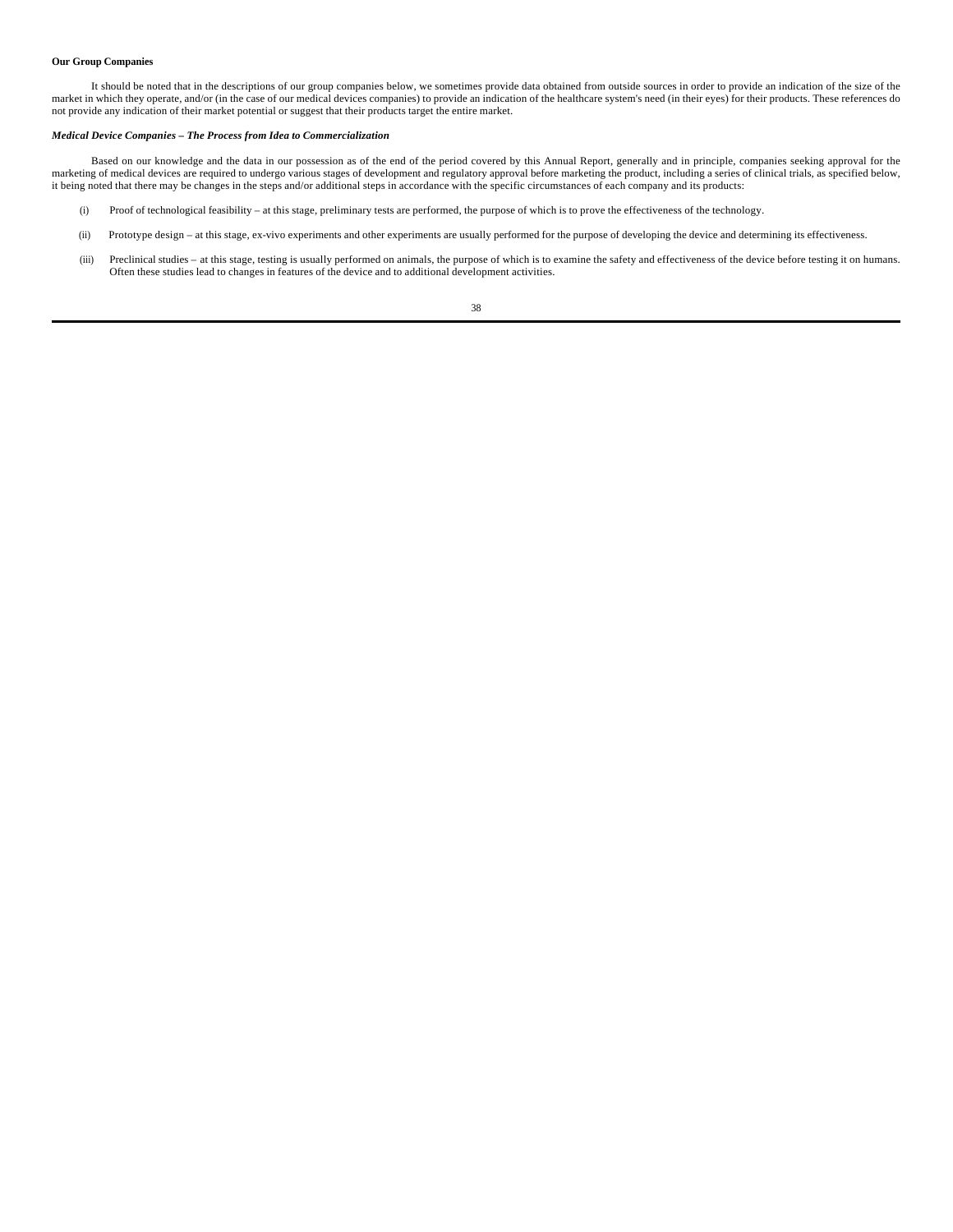### **Our Group Companies**

It should be noted that in the descriptions of our group companies below, we sometimes provide data obtained from outside sources in order to provide an indication of the size of the market in which they operate, and/or (in the case of our medical devices companies) to provide an indication of the healthcare system's need (in their eyes) for their products. These references do not provide any indication of their market potential or suggest that their products target the entire market.

### *Medical Device Companies – The Process from Idea to Commercialization*

Based on our knowledge and the data in our possession as of the end of the period covered by this Annual Report, generally and in principle, companies seeking approval for the marketing of medical devices are required to undergo various stages of development and regulatory approval before marketing the product, including a series of clinical trials, as specified below,<br>it being noted that there

- (i) Proof of technological feasibility at this stage, preliminary tests are performed, the purpose of which is to prove the effectiveness of the technology.
- (ii) Prototype design at this stage, ex-vivo experiments and other experiments are usually performed for the purpose of developing the device and determining its effectiveness.
- (iii) Preclinical studies at this stage, testing is usually performed on animals, the purpose of which is to examine the safety and effectiveness of the device before testing it on humans.<br>Often these studies lead to cha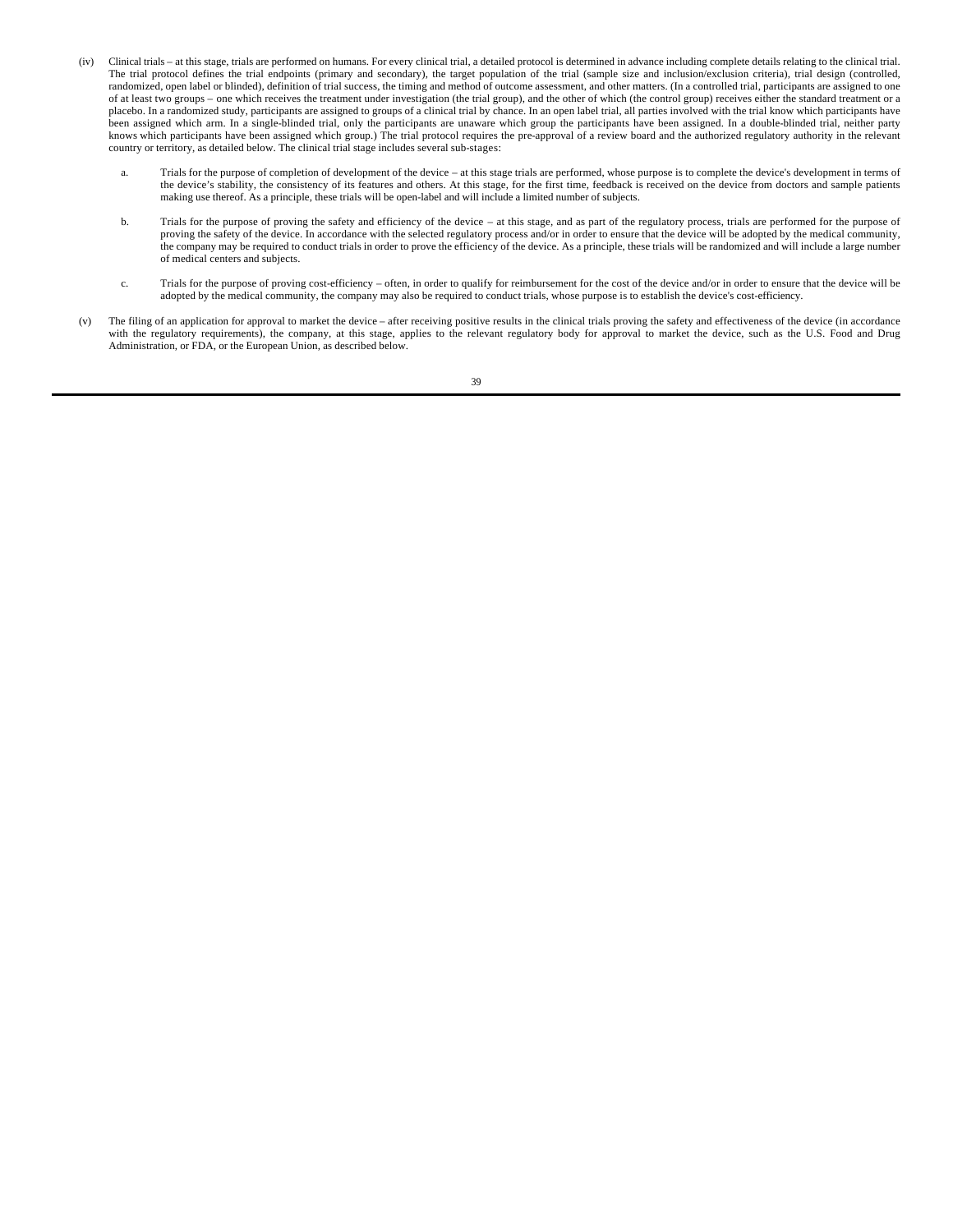- (iv) Clinical trials at this stage, trials are performed on humans. For every clinical trial, a detailed protocol is determined in advance including complete details relating to the clinical trial. The trial protocol defines the trial endpoints (primary and secondary), the target population of the trial (sample size and inclusion/exclusion criteria), trial design (controlled, randomized, open label or blinded), definition of trial success, the timing and method of outcome assessment, and other matters. (In a controlled trial, participants are assigned to one of at least two groups – one which receives the treatment under investigation (the trial group), and the other of which (the control group) receives either the standard treatment or a placebo. In a randomized study, participants are assigned to groups of a clinical trial by chance. In an open label trial, all parties involved with the trial know which participants have been assigned which arm. In a single-blinded trial, only the participants are unaware which group the participants have been assigned. In a double-blinded trial, neither party knows which participants have been assigned which group.) The trial protocol requires the pre-approval of a review board and the authorized regulatory authority in the relevant country or territory, as detailed below. The clinical trial stage includes several sub-stages:
	- a. Trials for the purpose of completion of development of the device at this stage trials are performed, whose purpose is to complete the device's development in terms of the device's stability, the consistency of its features and others. At this stage, for the first time, feedback is received on the device from doctors and sample patients making use thereof. As a principle, these trials will be open-label and will include a limited number of subjects.
	- b. Trials for the purpose of proving the safety and efficiency of the device at this stage, and as part of the regulatory process, trials are performed for the purpose of proving the safety of the device. In accordance with the selected regulatory process and/or in order to ensure that the device will be adopted by the medical community, the company may be required to conduct trials in order to prove the efficiency of the device. As a principle, these trials will be randomized and will include a large number of medical centers and subjects.
	- c. Trials for the purpose of proving cost-efficiency often, in order to qualify for reimbursement for the cost of the device and/or in order to ensure that the device will be adopted by the medical community, the company may also be required to conduct trials, whose purpose is to establish the device's cost-efficiency.
- (v) The filing of an application for approval to market the device after receiving positive results in the clinical trials proving the safety and effectiveness of the device (in accordance with the regulatory requirements), the company, at this stage, applies to the relevant regulatory body for approval to market the device, such as the U.S. Food and Drug Administration, or FDA, or the European Union, as described below.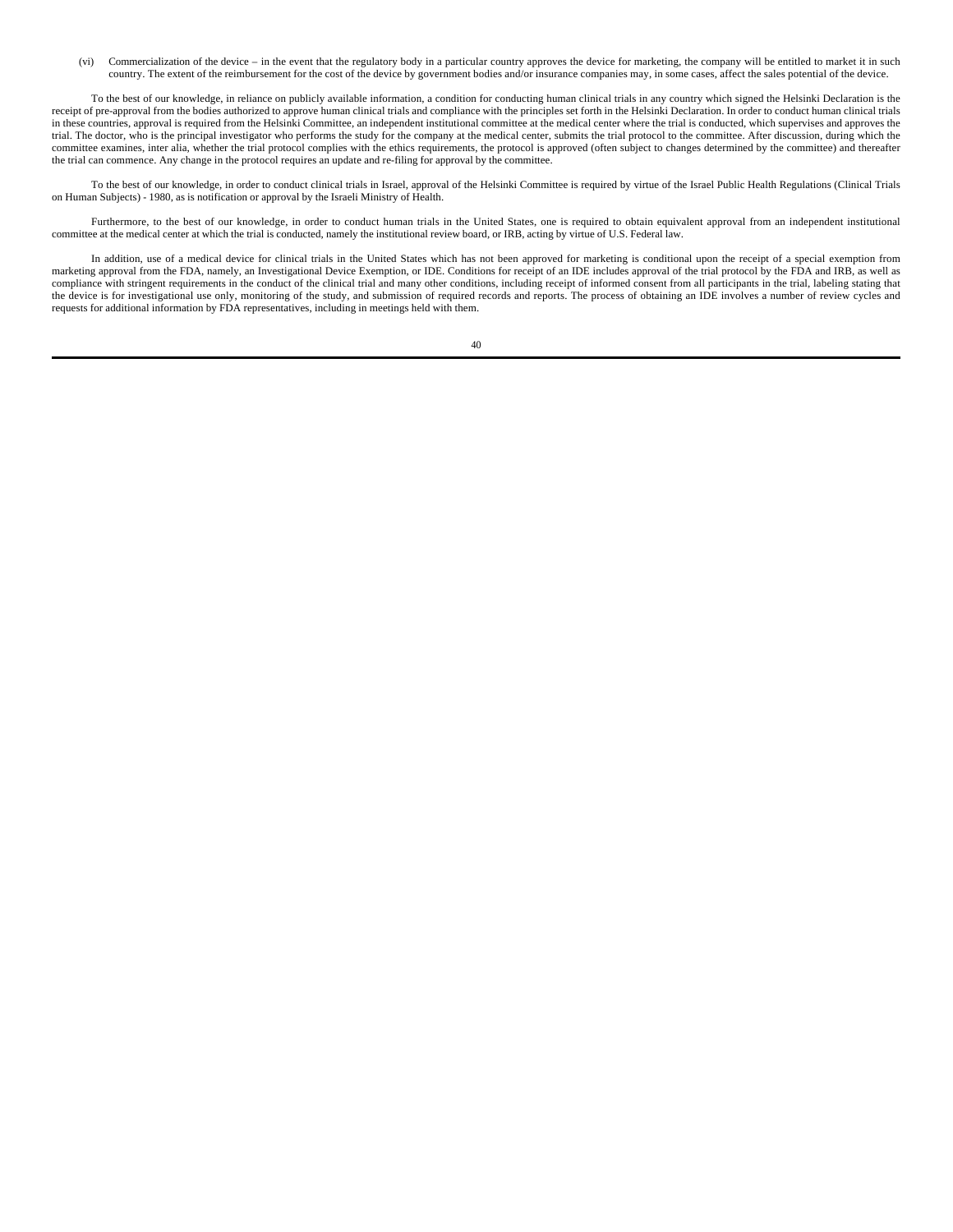(vi) Commercialization of the device – in the event that the regulatory body in a particular country approves the device for marketing, the company will be entitled to market it in such country. The extent of the reimbursement for the cost of the device by government bodies and/or insurance companies may, in some cases, affect the sales potential of the device.

To the best of our knowledge, in reliance on publicly available information, a condition for conducting human clinical trials in any country which signed the Helsinki Declaration is the receipt of pre-approval from the bodies authorized to approve human clinical trials and compliance with the principles set forth in the Helsinki Declaration. In order to conduct human clinical trials in these countries, approval is required from the Helsinki Committee, an independent institutional committee at the medical center where the trial is conducted, which supervises and approves the trial. The doctor, who is the principal investigator who performs the study for the company at the medical center, submits the trial protocol to the committee. After discussion, during which the committee examines, inter alia, whether the trial protocol complies with the ethics requirements, the protocol is approved (often subject to changes determined by the committee) and thereafter the trial can commence. Any change in the protocol requires an update and re-filing for approval by the committee.

To the best of our knowledge, in order to conduct clinical trials in Israel, approval of the Helsinki Committee is required by virtue of the Israel Public Health Regulations (Clinical Trials on Human Subjects) - 1980, as is notification or approval by the Israeli Ministry of Health.

Furthermore, to the best of our knowledge, in order to conduct human trials in the United States, one is required to obtain equivalent approval from an independent institutional committee at the medical center at which the trial is conducted, namely the institutional review board, or IRB, acting by virtue of U.S. Federal law.

In addition, use of a medical device for clinical trials in the United States which has not been approved for marketing is conditional upon the receipt of a special exemption from marketing approval from the FDA, namely, an Investigational Device Exemption, or IDE. Conditions for receipt of an IDE includes approval of the trial protocol by the FDA and IRB, as well as compliance with stringent requirements in the conduct of the clinical trial and many other conditions, including receipt of informed consent from all participants in the trial, labeling stating that the device is for investigational use only, monitoring of the study, and submission of required records and reports. The process of obtaining an IDE involves a number of review cycles and requests for additional information by FDA representatives, including in meetings held with them.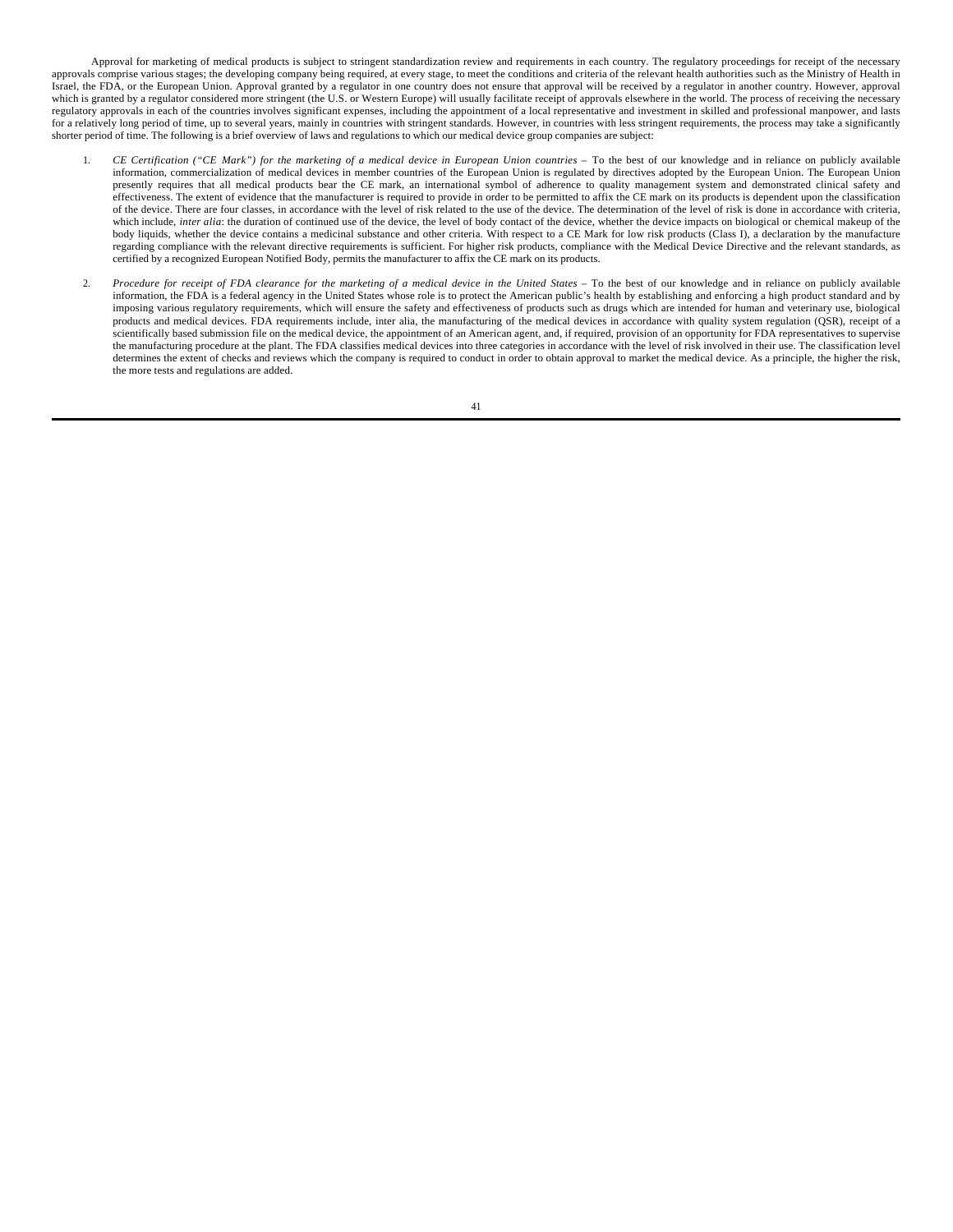Approval for marketing of medical products is subject to stringent standardization review and requirements in each country. The regulatory proceedings for receipt of the necessary approvals comprise various stages; the developing company being required, at every stage, to meet the conditions and criteria of the relevant health authorities such as the Ministry of Health in Israel, the FDA, or the European Union. Approval granted by a regulator in one country does not ensure that approval will be received by a regulator in another country. However, approval which is granted by a regulator considered more stringent (the U.S. or Western Europe) will usually facilitate receipt of approvals elsewhere in the world. The process of receiving the necessary regulatory approvals in each of the countries involves significant expenses, including the appointment of a local representative and investment in skilled and professional manpower, and lasts for a relatively long period of time, up to several years, mainly in countries with stringent standards. However, in countries with less stringent requirements, the process may take a significantly shorter period of time. The following is a brief overview of laws and regulations to which our medical device group companies are subject:

- 1. *CE Certification ("CE Mark") for the marketing of a medical device in European Union countries* To the best of our knowledge and in reliance on publicly available information, commercialization of medical devices in member countries of the European Union is regulated by directives adopted by the European Union. The European Union presently requires that all medical products bear the CE mark, an international symbol of adherence to quality management system and demonstrated clinical safety and effectiveness. The extent of evidence that the manufacturer is required to provide in order to be permitted to affix the CE mark on its products is dependent upon the classification of the device. There are four classes, in accordance with the level of risk related to the use of the device. The determination of the level of risk is done in accordance with criteria, which include, *inter alia*: the duration of continued use of the device, the level of body contact of the device, whether the device impacts on biological or chemical makeup of the body liquids, whether the device contains a medicinal substance and other criteria. With respect to a CE Mark for low risk products (Class I), a declaration by the manufacture regarding compliance with the relevant directive requirements is sufficient. For higher risk products, compliance with the Medical Device Directive and the relevant standards, as certified by a recognized European Notified Body, permits the manufacturer to affix the CE mark on its products.
- 2. *Procedure for receipt of FDA clearance for the marketing of a medical device in the United States* To the best of our knowledge and in reliance on publicly available information, the FDA is a federal agency in the United States whose role is to protect the American public's health by establishing and enforcing a high product standard and by imposing various regulatory requirements, which will ensure the safety and effectiveness of products such as drugs which are intended for human and veterinary use, biological products and medical devices. FDA requirements include, inter alia, the manufacturing of the medical devices in accordance with quality system regulation (QSR), receipt of a scientifically based submission file on the medical device, the appointment of an American agent, and, if required, provision of an opportunity for FDA representatives to supervise the manufacturing procedure at the plant. The FDA classifies medical devices into three categories in accordance with the level of risk involved in their use. The classification level determines the extent of checks and reviews which the company is required to conduct in order to obtain approval to market the medical device. As a principle, the higher the risk, the more tests and regulations are added.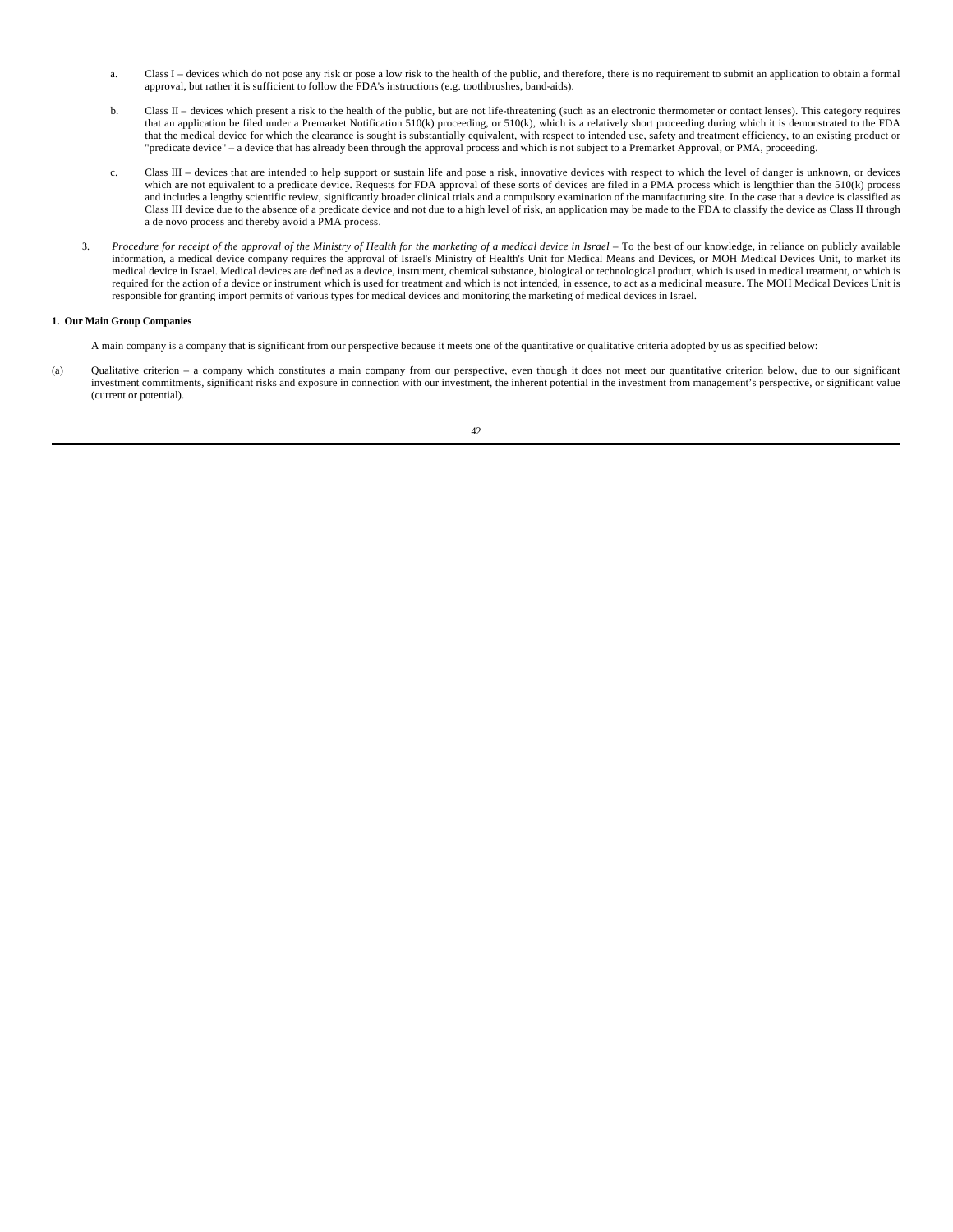- Class I devices which do not pose any risk or pose a low risk to the health of the public, and therefore, there is no requirement to submit an application to obtain a formal approval, but rather it is sufficient to follow the FDA's instructions (e.g. toothbrushes, band-aids).
- b. Class II devices which present a risk to the health of the public, but are not life-threatening (such as an electronic thermometer or contact lenses). This category requires that an application be filed under a Premarket Notification 510(k) proceeding, or 510(k), which is a relatively short proceeding during which it is demonstrated to the FDA that the medical device for which the clearance is sought is substantially equivalent, with respect to intended use, safety and treatment efficiency, to an existing product or "predicate device" – a device that has already been through the approval process and which is not subject to a Premarket Approval, or PMA, proceeding.
- c. Class III devices that are intended to help support or sustain life and pose a risk, innovative devices with respect to which the level of danger is unknown, or devices which are not equivalent to a predicate device. Requests for FDA approval of these sorts of devices are filed in a PMA process which is lengthier than the 510(k) process and includes a lengthy scientific review, significantly broader clinical trials and a compulsory examination of the manufacturing site. In the case that a device is classified as Class III device due to the absence of a predicate device and not due to a high level of risk, an application may be made to the FDA to classify the device as Class II through a de novo process and thereby avoid a PMA process.
- 3. Procedure for receipt of the approval of the Ministry of Health for the marketing of a medical device in Israel To the best of our knowledge, in reliance on publicly available information, a medical device company requires the approval of Israel's Ministry of Health's Unit for Medical Means and Devices, or MOH Medical Devices Unit, to market its medical device in Israel. Medical devices are defined as a device, instrument, chemical substance, biological or technological product, which is used in medical treatment, or which is required for the action of a device or instrument which is used for treatment and which is not intended, in essence, to act as a medicinal measure. The MOH Medical Devices Unit is responsible for granting import permits of various types for medical devices and monitoring the marketing of medical devices in Israel.

### **1. Our Main Group Companies**

A main company is a company that is significant from our perspective because it meets one of the quantitative or qualitative criteria adopted by us as specified below:

(a) Qualitative criterion – a company which constitutes a main company from our perspective, even though it does not meet our quantitative criterion below, due to our significant investment commitments, significant risks and exposure in connection with our investment, the inherent potential in the investment from management's perspective, or significant value (current or potential).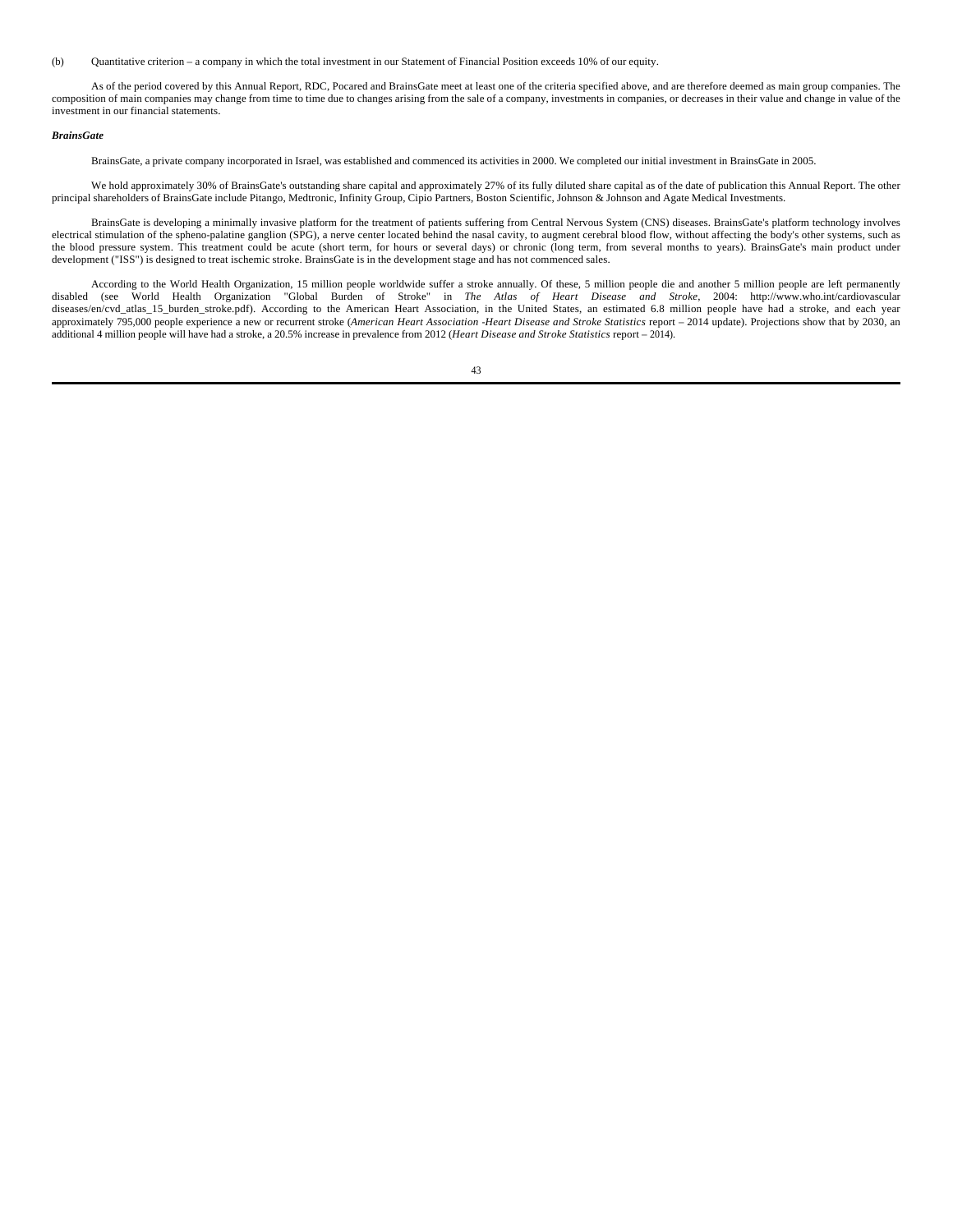(b) Quantitative criterion – a company in which the total investment in our Statement of Financial Position exceeds 10% of our equity.

As of the period covered by this Annual Report, RDC, Pocared and BrainsGate meet at least one of the criteria specified above, and are therefore deemed as main group companies. The composition of main companies may change from time to time due to changes arising from the sale of a company, investments in companies, or decreases in their value and change in value of the investment in our financial statements.

### *BrainsGate*

BrainsGate, a private company incorporated in Israel, was established and commenced its activities in 2000. We completed our initial investment in BrainsGate in 2005.

We hold approximately 30% of BrainsGate's outstanding share capital and approximately 27% of its fully diluted share capital as of the date of publication this Annual Report. The other principal shareholders of BrainsGate include Pitango, Medtronic, Infinity Group, Cipio Partners, Boston Scientific, Johnson & Johnson and Agate Medical Investments.

BrainsGate is developing a minimally invasive platform for the treatment of patients suffering from Central Nervous System (CNS) diseases. BrainsGate's platform technology involves electrical stimulation of the spheno-palatine ganglion (SPG), a nerve center located behind the nasal cavity, to augment cerebral blood flow, without affecting the body's other systems, such as the blood pressure system. This treatment could be acute (short term, for hours or several days) or chronic (long term, from several months to years). BrainsGate's main product under development ("ISS") is designed to treat ischemic stroke. BrainsGate is in the development stage and has not commenced sales.

According to the World Health Organization, 15 million people worldwide suffer a stroke annually. Of these, 5 million people die and another 5 million people are left permanently disabled (see World Health Organization "Global Burden of Stroke" in The Atlas of Heart Disease and Stroke, 2004: http://www.who.int/cardiovascular<br>diseases/en/cvd\_atlas\_15\_burden\_stroke.pdf). According to the American Hea approximately 795,000 people experience a new or recurrent stroke (American Heart Association -Heart Disease and Stroke Statistics report - 2014 update). Projections show that by 2030, an<br>additional 4 million people will h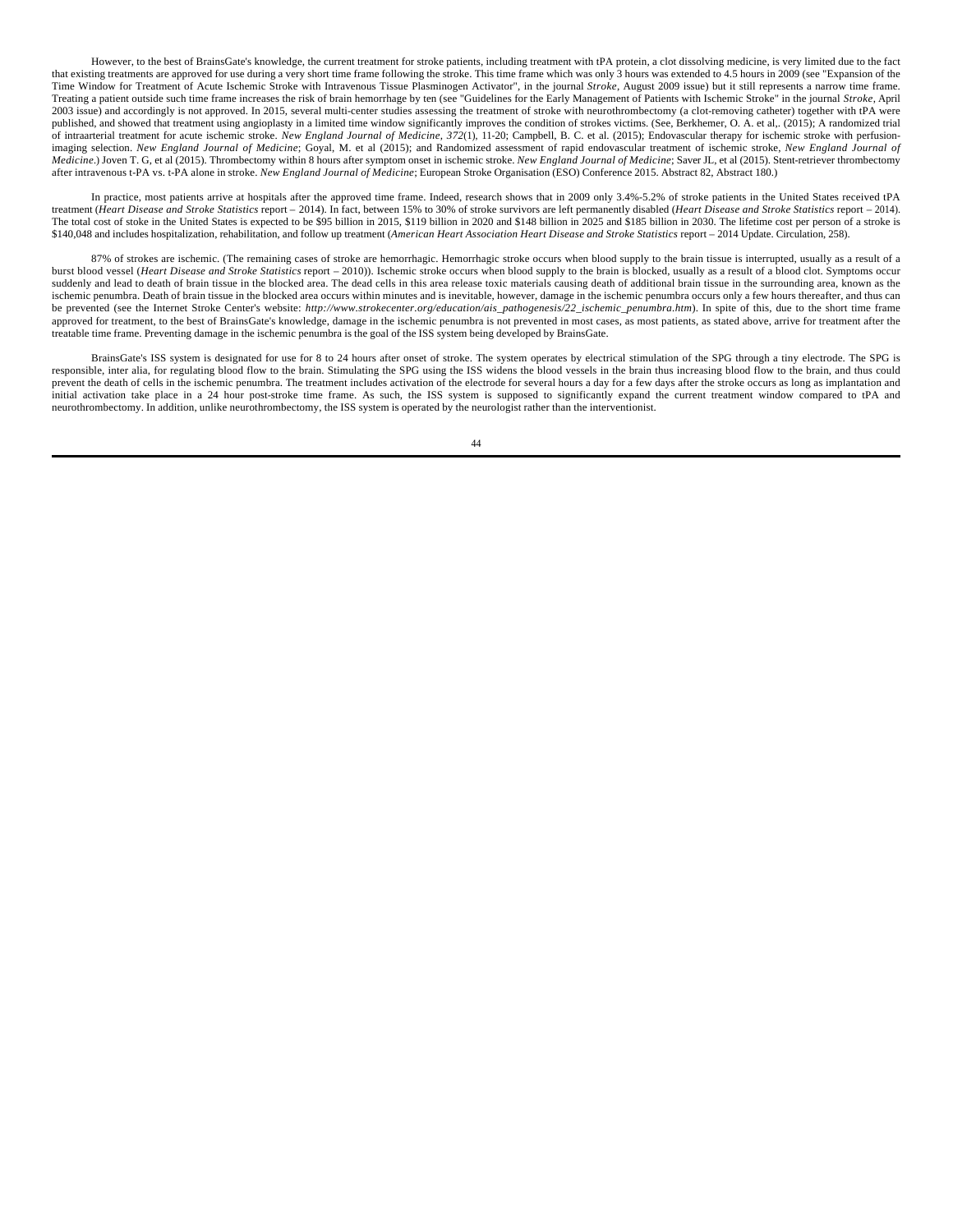However, to the best of BrainsGate's knowledge, the current treatment for stroke patients, including treatment with tPA protein, a clot dissolving medicine, is very limited due to the fact that existing treatments are approved for use during a very short time frame following the stroke. This time frame which was only 3 hours was extended to 4.5 hours in 2009 (see "Expansion of the Time Window for Treatment of Acute Ischemic Stroke with Intravenous Tissue Plasminogen Activator", in the journal *Stroke*, August 2009 issue) but it still represents a narrow time frame. Treating a patient outside such time frame increases the risk of brain hemorrhage by ten (see "Guidelines for the Early Management of Patients with Ischemic Stroke" in the journal *Stroke*, April 2003 issue) and accordingly is not approved. In 2015, several multi-center studies assessing the treatment of stroke with neurothrombectomy (a clot-removing catheter) together with tPA were published, and showed that treatment using angioplasty in a limited time window significantly improves the condition of strokes victims. (See, Berkhemer, O. A. et al,. (2015); A randomized trial of intraarterial treatment for acute ischemic stroke. *New England Journal of Medicine, 372*(1), 11-20; Campbell, B. C. et al. (2015); Endovascular therapy for ischemic stroke with perfusionimaging selection. *New England Journal of Medicine*; Goyal, M. et al (2015); and Randomized assessment of rapid endovascular treatment of ischemic stroke, *New England Journal of Medicine*.) Joven T. G, et al (2015). Thrombectomy within 8 hours after symptom onset in ischemic stroke. *New England Journal of Medicine*; Saver JL, et al (2015). Stent-retriever thrombectomy after intravenous t-PA vs. t-PA alone in stroke. *New England Journal of Medicine*; European Stroke Organisation (ESO) Conference 2015. Abstract 82, Abstract 180.)

In practice, most patients arrive at hospitals after the approved time frame. Indeed, research shows that in 2009 only 3.4%-5.2% of stroke patients in the United States received tPA treatment (*Heart Disease and Stroke Statistics* report – 2014). In fact, between 15% to 30% of stroke survivors are left permanently disabled (*Heart Disease and Stroke Statistics* report – 2014). The total cost of stoke in the United States is expected to be \$95 billion in 2015, \$119 billion in 2020 and \$148 billion in 2025 and \$185 billion in 2030. The lifetime cost per person of a stroke is \$140,048 and includes hospitalization, rehabilitation, and follow up treatment (American Heart Association Heart Disease and Stroke Statistics report – 2014 Update. Circulation, 258).

87% of strokes are ischemic. (The remaining cases of stroke are hemorrhagic. Hemorrhagic stroke occurs when blood supply to the brain tissue is interrupted, usually as a result of a burst blood vessel (*Heart Disease and Stroke Statistics* report – 2010)). Ischemic stroke occurs when blood supply to the brain is blocked, usually as a result of a blood clot. Symptoms occur suddenly and lead to death of brain tissue in the blocked area. The dead cells in this area release toxic materials causing death of additional brain tissue in the surrounding area, known as the ischemic penumbra. Death of brain tissue in the blocked area occurs within minutes and is inevitable, however, damage in the ischemic penumbra occurs only a few hours thereafter, and thus can be prevented (see the Internet Stroke Center's website: *http://www.strokecenter.org/education/ais\_pathogenesis/22\_ischemic\_penumbra.htm*). In spite of this, due to the short time frame approved for treatment, to the best of BrainsGate's knowledge, damage in the ischemic penumbra is not prevented in most cases, as most patients, as stated above, arrive for treatment after the treatable time frame. Preventing damage in the ischemic penumbra is the goal of the ISS system being developed by BrainsGate.

BrainsGate's ISS system is designated for use for 8 to 24 hours after onset of stroke. The system operates by electrical stimulation of the SPG through a tiny electrode. The SPG is responsible, inter alia, for regulating blood flow to the brain. Stimulating the SPG using the ISS widens the blood vessels in the brain thus increasing blood flow to the brain, and thus could prevent the death of cells in the ischemic penumbra. The treatment includes activation of the electrode for several hours a day for a few days after the stroke occurs as long as implantation and initial activation take place in a 24 hour post-stroke time frame. As such, the ISS system is supposed to significantly expand the current treatment window compared to tPA and neurothrombectomy. In addition, unlike neurothrombectomy, the ISS system is operated by the neurologist rather than the interventionist.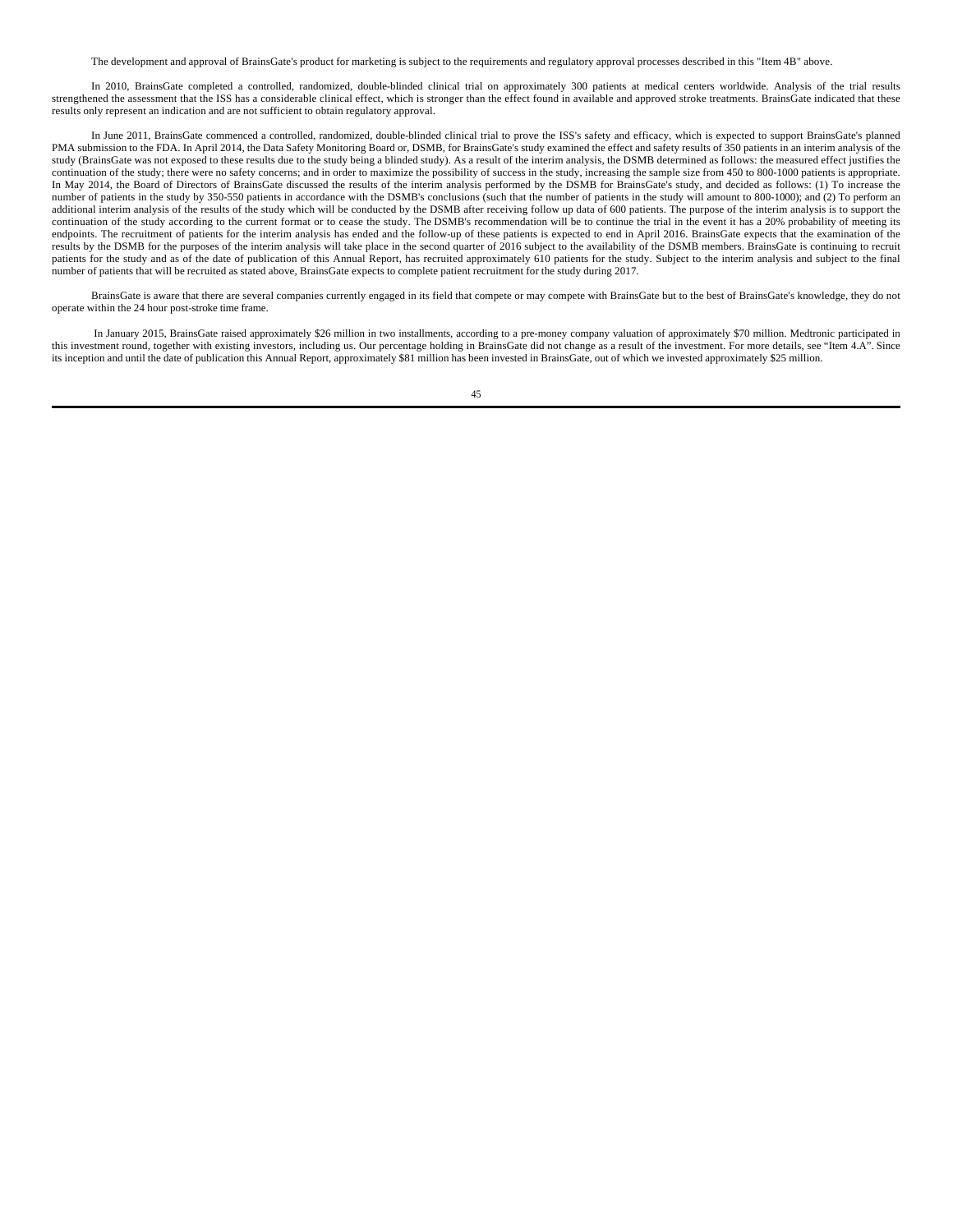The development and approval of BrainsGate's product for marketing is subject to the requirements and regulatory approval processes described in this "Item 4B" above.

In 2010, BrainsGate completed a controlled, randomized, double-blinded clinical trial on approximately 300 patients at medical centers worldwide. Analysis of the trial results strengthened the assessment that the ISS has a considerable clinical effect, which is stronger than the effect found in available and approved stroke treatments. BrainsGate indicated that these results only represent an indication and are not sufficient to obtain regulatory approval.

In June 2011, BrainsGate commenced a controlled, randomized, double-blinded clinical trial to prove the ISS's safety and efficacy, which is expected to support BrainsGate's planned PMA submission to the FDA. In April 2014, the Data Safety Monitoring Board or, DSMB, for BrainsGate's study examined the effect and safety results of 350 patients in an interim analysis of the study (BrainsGate was not exposed to these results due to the study being a blinded study). As a result of the interim analysis, the DSMB determined as follows: the measured effect justifies the continuation of the study; there were no safety concerns; and in order to maximize the possibility of success in the study, increasing the sample size from 450 to 800-1000 patients is appropriate. In May 2014, the Board of Directors of BrainsGate discussed the results of the interim analysis performed by the DSMB for BrainsGate's study, and decided as follows: (1) To increase the number of patients in the study by 350-550 patients in accordance with the DSMB's conclusions (such that the number of patients in the study will amount to 800-1000); and (2) To perform an additional interim analysis of the results of the study which will be conducted by the DSMB after receiving follow up data of 600 patients. The purpose of the interim analysis is to support the continuation of the study according to the current format or to cease the study. The DSMB's recommendation will be to continue the trial in the event it has a 20% probability of meeting its endpoints. The recruitment of patients for the interim analysis has ended and the follow-up of these patients is expected to end in April 2016. BrainsGate expects that the examination of the results by the DSMB for the purposes of the interim analysis will take place in the second quarter of 2016 subject to the availability of the DSMB members. BrainsGate is continuing to recruit patients for the study and as of the date of publication of this Annual Report, has recruited approximately 610 patients for the study. Subject to the interim analysis and subject to the final number of patients that will be recruited as stated above, BrainsGate expects to complete patient recruitment for the study during 2017.

BrainsGate is aware that there are several companies currently engaged in its field that compete or may compete with BrainsGate but to the best of BrainsGate's knowledge, they do not operate within the 24 hour post-stroke time frame.

 In January 2015, BrainsGate raised approximately \$26 million in two installments, according to a pre-money company valuation of approximately \$70 million. Medtronic participated in this investment round, together with existing investors, including us. Our percentage holding in BrainsGate did not change as a result of the investment. For more details, see "Item 4.A". Since its inception and until the date of publication this Annual Report, approximately \$81 million has been invested in BrainsGate, out of which we invested approximately \$25 million.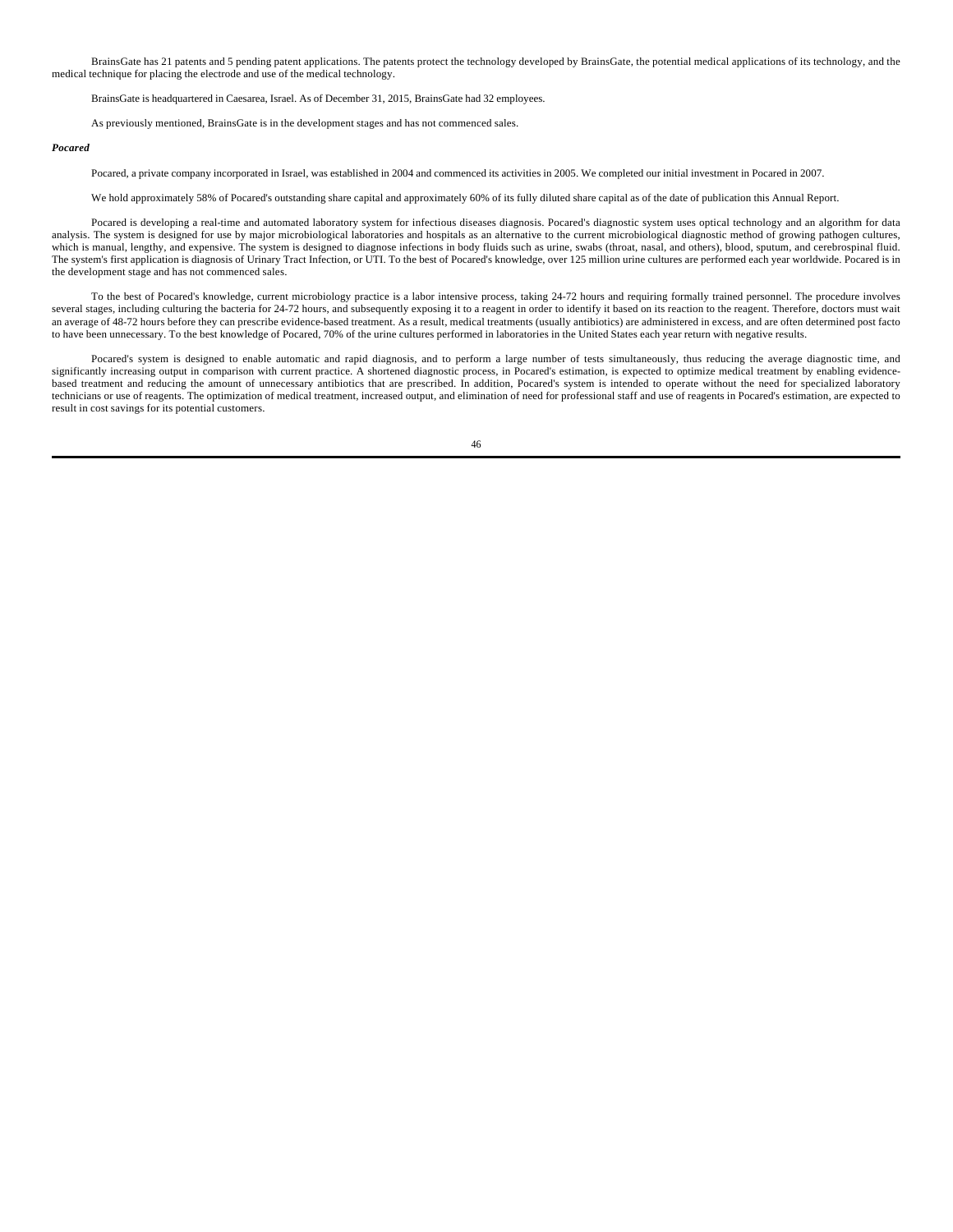BrainsGate has 21 patents and 5 pending patent applications. The patents protect the technology developed by BrainsGate, the potential medical applications of its technology, and the medical technique for placing the electrode and use of the medical technology.

BrainsGate is headquartered in Caesarea, Israel. As of December 31, 2015, BrainsGate had 32 employees.

As previously mentioned, BrainsGate is in the development stages and has not commenced sales.

#### *Pocared*

Pocared, a private company incorporated in Israel, was established in 2004 and commenced its activities in 2005. We completed our initial investment in Pocared in 2007.

We hold approximately 58% of Pocared's outstanding share capital and approximately 60% of its fully diluted share capital as of the date of publication this Annual Report.

Pocared is developing a real-time and automated laboratory system for infectious diseases diagnosis. Pocared's diagnostic system uses optical technology and an algorithm for data analysis. The system is designed for use by major microbiological laboratories and hospitals as an alternative to the current microbiological diagnostic method of growing pathogen cultures, which is manual, lengthy, and expensive. The system is designed to diagnose infections in body fluids such as urine, swabs (throat, nasal, and others), blood, sputum, and cerebrospinal fluid. The system's first application is diagnosis of Urinary Tract Infection, or UTI. To the best of Pocared's knowledge, over 125 million urine cultures are performed each year worldwide. Pocared is in the development stage and has not commenced sales.

To the best of Pocared's knowledge, current microbiology practice is a labor intensive process, taking 24-72 hours and requiring formally trained personnel. The procedure involves several stages, including culturing the bacteria for 24-72 hours, and subsequently exposing it to a reagent in order to identify it based on its reaction to the reagent. Therefore, doctors must wait an average of 48-72 hours before they can prescribe evidence-based treatment. As a result, medical treatments (usually antibiotics) are administered in excess, and are often determined post facto to have been unnecessary. To the best knowledge of Pocared, 70% of the urine cultures performed in laboratories in the United States each year return with negative results.

Pocared's system is designed to enable automatic and rapid diagnosis, and to perform a large number of tests simultaneously, thus reducing the average diagnostic time, and significantly increasing output in comparison with current practice. A shortened diagnostic process, in Pocared's estimation, is expected to optimize medical treatment by enabling evidence-<br>based treatment and reducing the technicians or use of reagents. The optimization of medical treatment, increased output, and elimination of need for professional staff and use of reagents in Pocared's estimation, are expected to the control of medical tr result in cost savings for its potential customers.

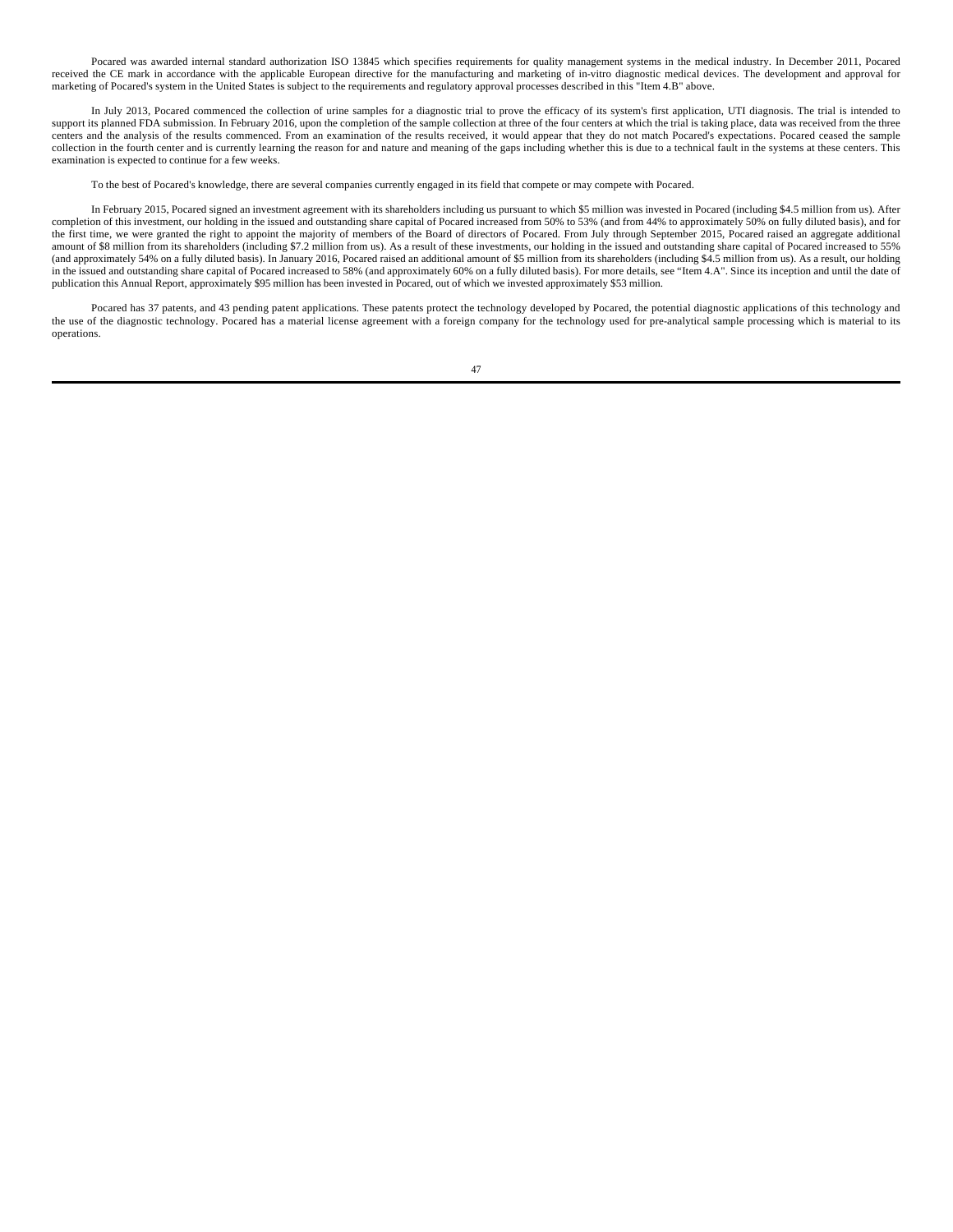Pocared was awarded internal standard authorization ISO 13845 which specifies requirements for quality management systems in the medical industry. In December 2011, Pocared received the CE mark in accordance with the applicable European directive for the manufacturing and marketing of in-vitro diagnostic medical devices. The development and approval for marketing of Pocared's system in the United States is subject to the requirements and regulatory approval processes described in this "Item 4.B" above.

In July 2013, Pocared commenced the collection of urine samples for a diagnostic trial to prove the efficacy of its system's first application, UTI diagnosis. The trial is intended to support its planned FDA submission. In February 2016, upon the completion of the sample collection at three of the four centers at which the trial is taking place, data was received from the three centers and the analysis of the results commenced. From an examination of the results received, it would appear that they do not match Pocared's expectations. Pocared ceased the sample collection in the fourth center and is currently learning the reason for and nature and meaning of the gaps including whether this is due to a technical fault in the systems at these centers. This examination is expected to continue for a few weeks.

To the best of Pocared's knowledge, there are several companies currently engaged in its field that compete or may compete with Pocared.

In February 2015, Pocared signed an investment agreement with its shareholders including us pursuant to which \$5 million was invested in Pocared (including \$4.5 million from us). After completion of this investment, our holding in the issued and outstanding share capital of Pocared increased from 50% to 53% (and from 44% to approximately 50% on fully diluted basis), and for the first time, we were granted the right to appoint the majority of members of the Board of directors of Pocared. From July through September 2015, Pocared raised an aggregate additional amount of \$8 million from its shareholders (including \$7.2 million from us). As a result of these investments, our holding in the issued and outstanding share capital of Pocared increased to 55% (and approximately 54% on a fully diluted basis). In January 2016, Pocared raised an additional amount of \$5 million from its shareholders (including \$4.5 million from us). As a result, our holding in the issued and outstanding share capital of Pocared increased to 58% (and approximately 60% on a fully diluted basis). For more details, see "Item 4.A". Since its inception and until the date of publication this Annual Report, approximately \$95 million has been invested in Pocared, out of which we invested approximately \$53 million.

Pocared has 37 patents, and 43 pending patent applications. These patents protect the technology developed by Pocared, the potential diagnostic applications of this technology and the use of the diagnostic technology. Pocared has a material license agreement with a foreign company for the technology used for pre-analytical sample processing which is material to its operations.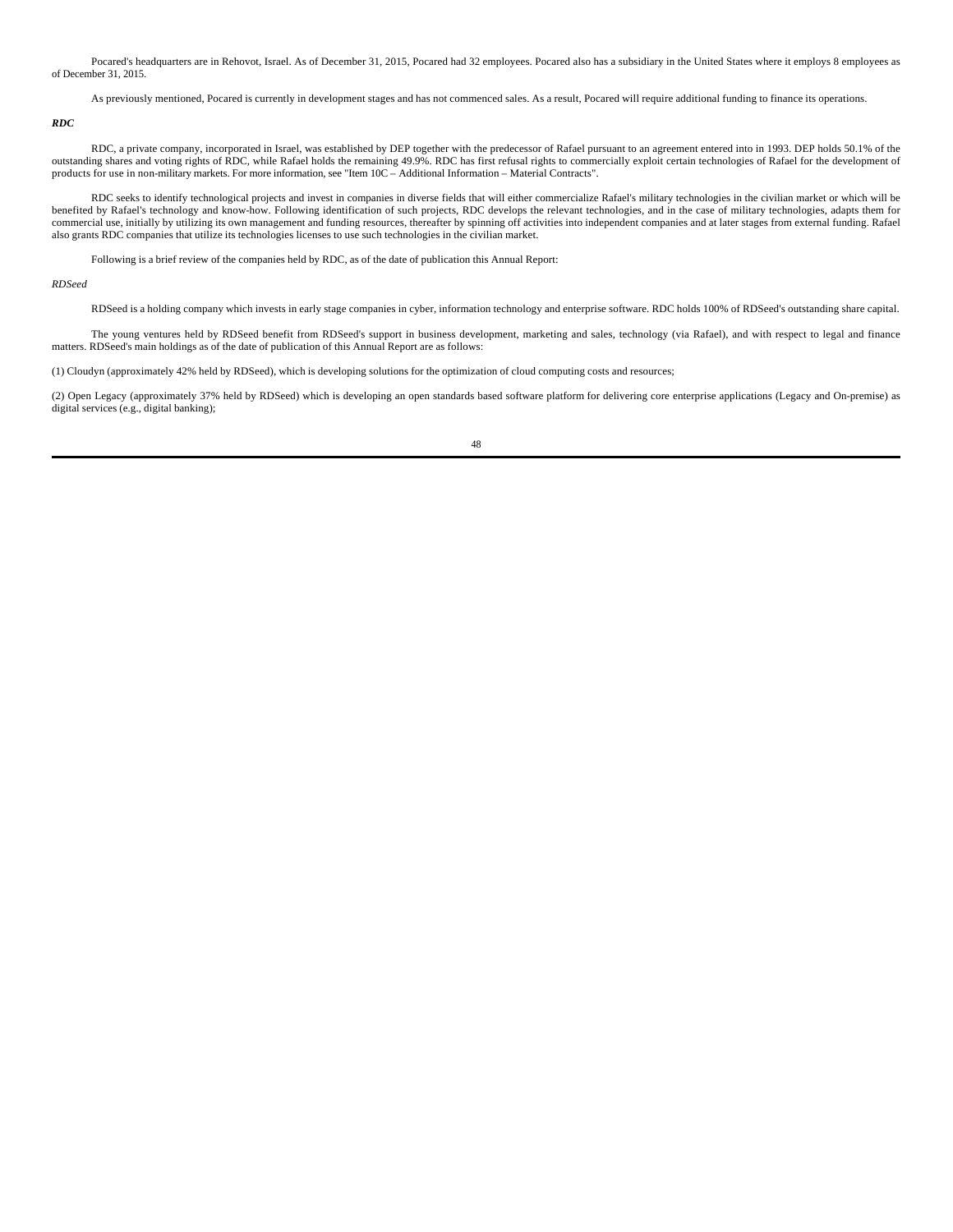Pocared's headquarters are in Rehovot, Israel. As of December 31, 2015, Pocared had 32 employees. Pocared also has a subsidiary in the United States where it employs 8 employees as of December 31, 2015.

As previously mentioned, Pocared is currently in development stages and has not commenced sales. As a result, Pocared will require additional funding to finance its operations.

### *RDC*

RDC, a private company, incorporated in Israel, was established by DEP together with the predecessor of Rafael pursuant to an agreement entered into in 1993. DEP holds 50.1% of the outstanding shares and voting rights of RDC, while Rafael holds the remaining 49.9%. RDC has first refusal rights to commercially exploit certain technologies of Rafael for the development of products for use in non-military markets. For more information, see "Item 10C – Additional Information – Material Contracts".

RDC seeks to identify technological projects and invest in companies in diverse fields that will either commercialize Rafael's military technologies in the civilian market or which will be benefited by Rafael's technology and know-how. Following identification of such projects, RDC develops the relevant technologies, and in the case of military technologies, adapts them for commercial use, initially by utilizing its own management and funding resources, thereafter by spinning off activities into independent companies and at later stages from external funding. Rafael also grants RDC companies that utilize its technologies licenses to use such technologies in the civilian market.

Following is a brief review of the companies held by RDC, as of the date of publication this Annual Report:

### *RDSeed*

RDSeed is a holding company which invests in early stage companies in cyber, information technology and enterprise software. RDC holds 100% of RDSeed's outstanding share capital.

The young ventures held by RDSeed benefit from RDSeed's support in business development, marketing and sales, technology (via Rafael), and with respect to legal and finance matters. RDSeed's main holdings as of the date of publication of this Annual Report are as follows:

(1) Cloudyn (approximately 42% held by RDSeed), which is developing solutions for the optimization of cloud computing costs and resources;

(2) Open Legacy (approximately 37% held by RDSeed) which is developing an open standards based software platform for delivering core enterprise applications (Legacy and On-premise) as digital services (e.g., digital banking);

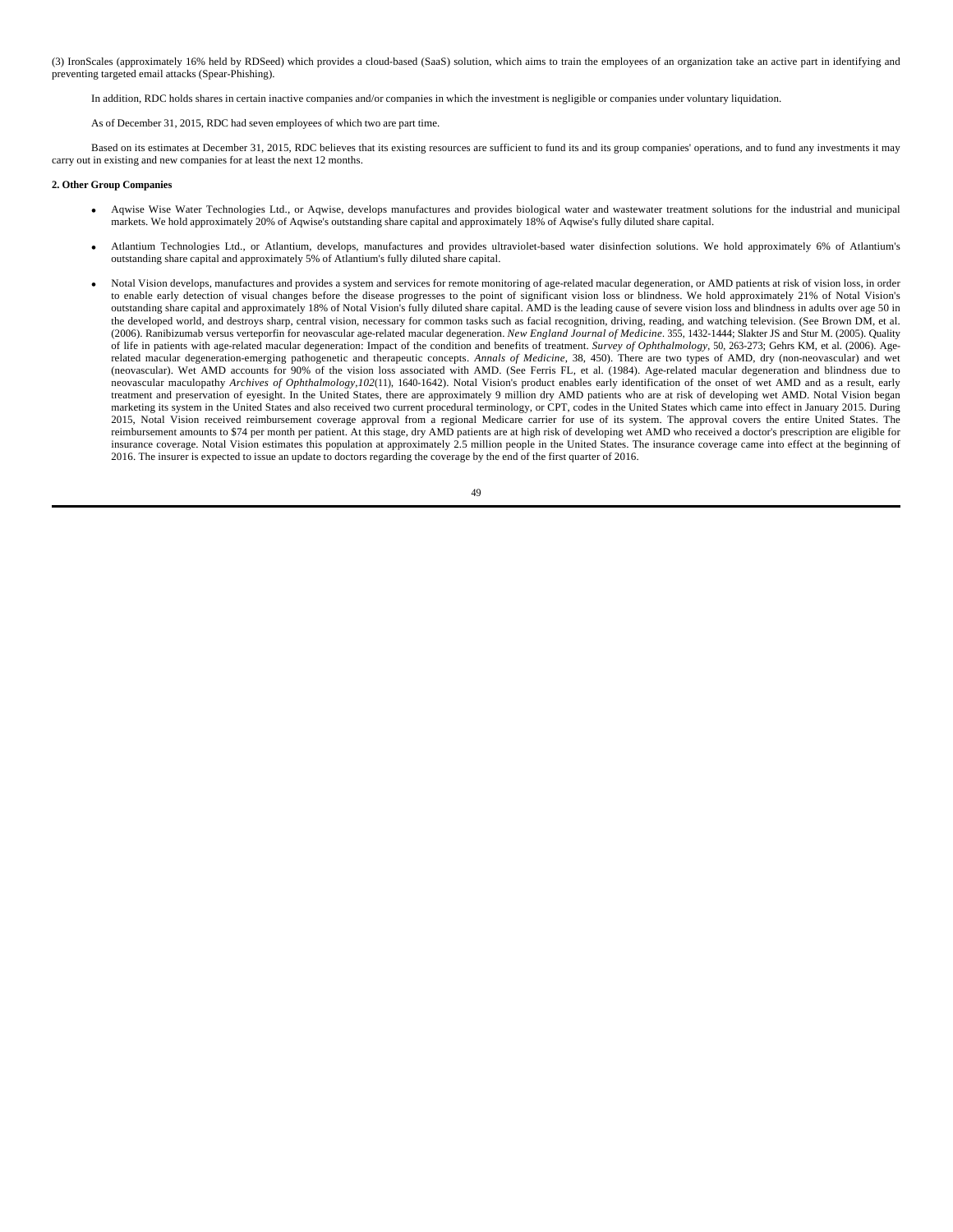(3) IronScales (approximately 16% held by RDSeed) which provides a cloud-based (SaaS) solution, which aims to train the employees of an organization take an active part in identifying and preventing targeted email attacks (Spear-Phishing).

In addition, RDC holds shares in certain inactive companies and/or companies in which the investment is negligible or companies under voluntary liquidation.

As of December 31, 2015, RDC had seven employees of which two are part time.

Based on its estimates at December 31, 2015, RDC believes that its existing resources are sufficient to fund its and its group companies' operations, and to fund any investments it may carry out in existing and new companies for at least the next 12 months.

### **2. Other Group Companies**

- Aqwise Wise Water Technologies Ltd., or Aqwise, develops manufactures and provides biological water and wastewater treatment solutions for the industrial and municipal markets. We hold approximately 20% of Aqwise's outstanding share capital and approximately 18% of Aqwise's fully diluted share capital.
- Atlantium Technologies Ltd., or Atlantium, develops, manufactures and provides ultraviolet-based water disinfection solutions. We hold approximately 6% of Atlantium's outstanding share capital and approximately 5% of Atlantium's fully diluted share capital.
- Notal Vision develops, manufactures and provides a system and services for remote monitoring of age-related macular degeneration, or AMD patients at risk of vision loss, in order to enable early detection of visual changes before the disease progresses to the point of significant vision loss or blindness. We hold approximately 21% of Notal Vision's outstanding share capital and approximately 18% of Notal Vision's fully diluted share capital. AMD is the leading cause of severe vision loss and blindness in adults over age 50 in the developed world, and destroys sharp, central vision, necessary for common tasks such as facial recognition, driving, reading, and watching television. (See Brown DM, et al. (2006). Ranibizumab versus verteporfin for neovascular age-related macular degeneration. *New England Journal of Medicine*. 355, 1432-1444; Slakter JS and Stur M. (2005). Quality of life in patients with age-related macular degeneration: Impact of the condition and benefits of treatment. *Survey of Ophthalmology*, 50, 263-273; Gehrs KM, et al. (2006). Agerelated macular degeneration-emerging pathogenetic and therapeutic concepts. *Annals of Medicine*, 38, 450). There are two types of AMD, dry (non-neovascular) and wet (neovascular). Wet AMD accounts for 90% of the vision loss associated with AMD. (See Ferris FL, et al. (1984). Age-related macular degeneration and blindness due to neovascular maculopathy *Archives of Ophthalmology,102*(11), 1640-1642). Notal Vision's product enables early identification of the onset of wet AMD and as a result, early treatment and preservation of eyesight. In the United States, there are approximately 9 million dry AMD patients who are at risk of developing wet AMD. Notal Vision began marketing its system in the United States and also received two current procedural terminology, or CPT, codes in the United States which came into effect in January 2015. During 2015, Notal Vision received reimbursement coverage approval from a regional Medicare carrier for use of its system. The approval covers the entire United States. The reimbursement amounts to \$74 per month per patient. At this stage, dry AMD patients are at high risk of developing wet AMD who received a doctor's prescription are eligible for insurance coverage. Notal Vision estimates this population at approximately 2.5 million people in the United States. The insurance coverage came into effect at the beginning of 2016. The insurer is expected to issue an update to doctors regarding the coverage by the end of the first quarter of 2016.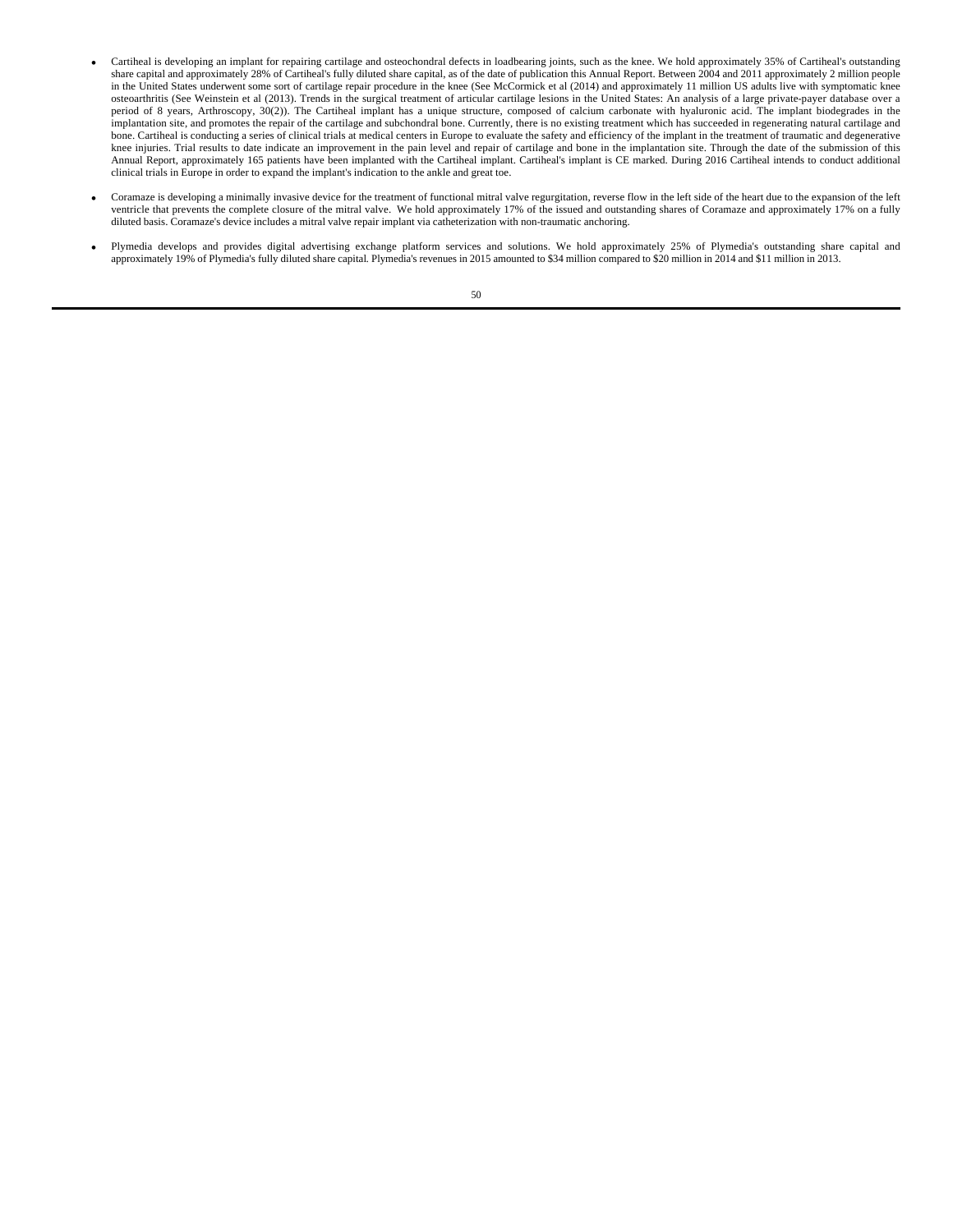- Cartiheal is developing an implant for repairing cartilage and osteochondral defects in loadbearing joints, such as the knee. We hold approximately 35% of Cartiheal's outstanding share capital and approximately 28% of Cartiheal's fully diluted share capital, as of the date of publication this Annual Report. Between 2004 and 2011 approximately 2 million people in the United States underwent some sort of cartilage repair procedure in the knee (See McCormick et al (2014) and approximately 11 million US adults live with symptomatic knee osteoarthritis (See Weinstein et al (2013). Trends in the surgical treatment of articular cartilage lesions in the United States: An analysis of a large private-payer database over a period of 8 years, Arthroscopy, 30(2)). The Cartiheal implant has a unique structure, composed of calcium carbonate with hyaluronic acid. The implant biodegrades in the implantation site, and promotes the repair of the cartilage and subchondral bone. Currently, there is no existing treatment which has succeeded in regenerating natural cartilage and bone. Cartiheal is conducting a series of clinical trials at medical centers in Europe to evaluate the safety and efficiency of the implant in the treatment of traumatic and degenerative knee injuries. Trial results to date indicate an improvement in the pain level and repair of cartilage and bone in the implantation site. Through the date of the submission of this Annual Report, approximately 165 patients have been implanted with the Cartiheal implant. Cartiheal's implant is CE marked. During 2016 Cartiheal intends to conduct additional clinical trials in Europe in order to expand the implant's indication to the ankle and great toe.
	- Coramaze is developing a minimally invasive device for the treatment of functional mitral valve regurgitation, reverse flow in the left side of the heart due to the expansion of the left ventricle that prevents the complete closure of the mitral valve. We hold approximately 17% of the issued and outstanding shares of Coramaze and approximately 17% on a fully diluted basis. Coramaze's device includes a mitral valve repair implant via catheterization with non-traumatic anchoring.
	- Plymedia develops and provides digital advertising exchange platform services and solutions. We hold approximately 25% of Plymedia's outstanding share capital and approximately 19% of Plymedia's fully diluted share capital*.* Plymedia's revenues in 2015 amounted to \$34 million compared to \$20 million in 2014 and \$11 million in 2013.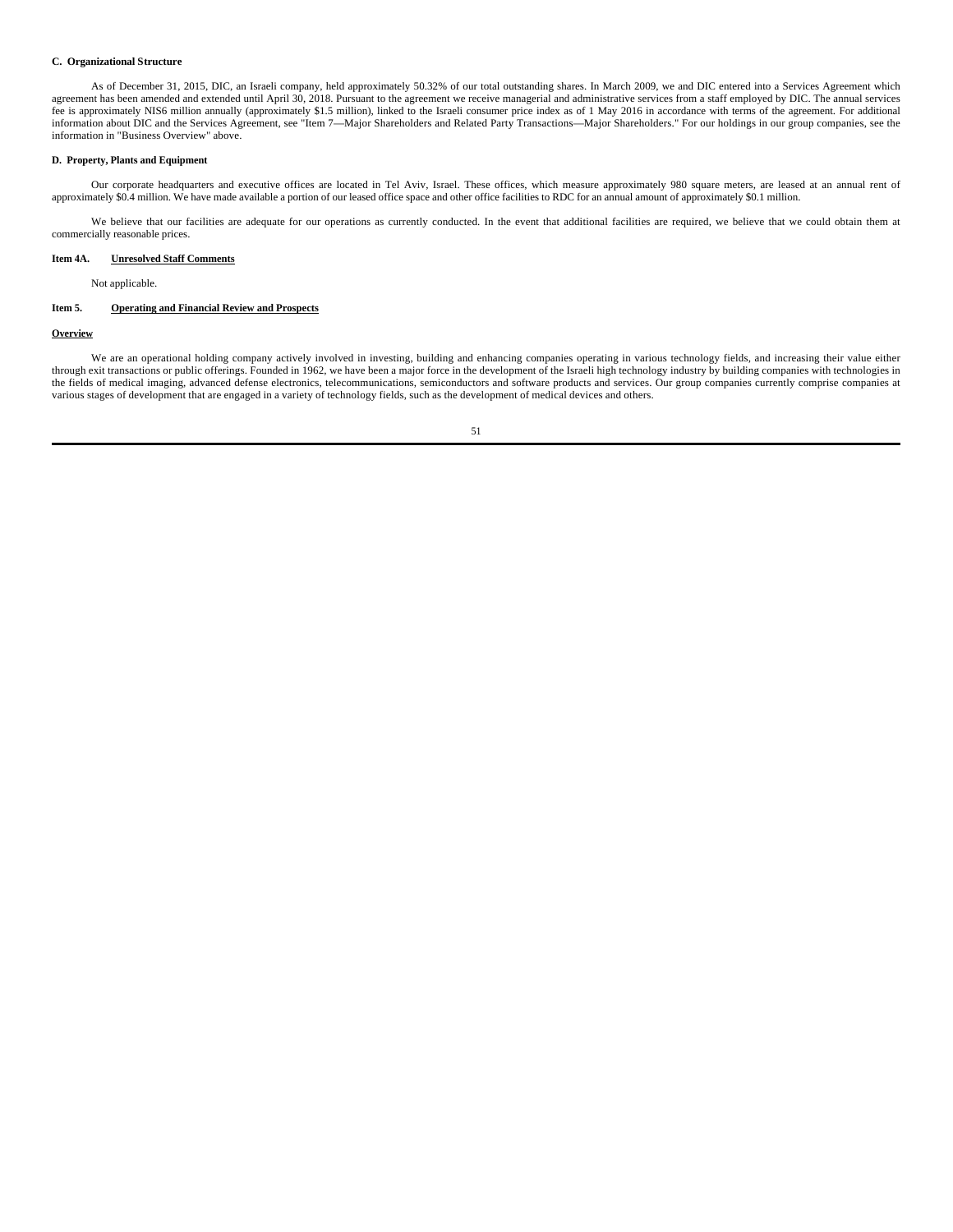### **C. Organizational Structure**

As of December 31, 2015, DIC, an Israeli company, held approximately 50.32% of our total outstanding shares. In March 2009, we and DIC entered into a Services Agreement which agreement has been amended and extended until April 30, 2018. Pursuant to the agreement we receive managerial and administrative services from a staff employed by DIC. The annual services fee is approximately NIS6 million annually (approximately \$1.5 million), linked to the Israeli consumer price index as of 1 May 2016 in accordance with terms of the agreement. For additional information about DIC and the Services Agreement, see "Item 7—Major Shareholders and Related Party Transactions—Major Shareholders." For our holdings in our group companies, see the information in "Business Overview" above.

### **D. Property, Plants and Equipment**

Our corporate headquarters and executive offices are located in Tel Aviv, Israel. These offices, which measure approximately 980 square meters, are leased at an annual rent of approximately \$0.4 million. We have made available a portion of our leased office space and other office facilities to RDC for an annual amount of approximately \$0.1 million.

We believe that our facilities are adequate for our operations as currently conducted. In the event that additional facilities are required, we believe that we could obtain them at commercially reasonable prices.

#### **Item 4A. Unresolved Staff Comments**

Not applicable.

# **Item 5. Operating and Financial Review and Prospects**

#### **Overview**

We are an operational holding company actively involved in investing, building and enhancing companies operating in various technology fields, and increasing their value either through exit transactions or public offerings. Founded in 1962, we have been a major force in the development of the Israeli high technology industry by building companies with technologies in the fields of medical imaging, advanced defense electronics, telecommunications, semiconductors and software products and services. Our group companies currently comprise companies at various stages of development that are engaged in a variety of technology fields, such as the development of medical devices and others.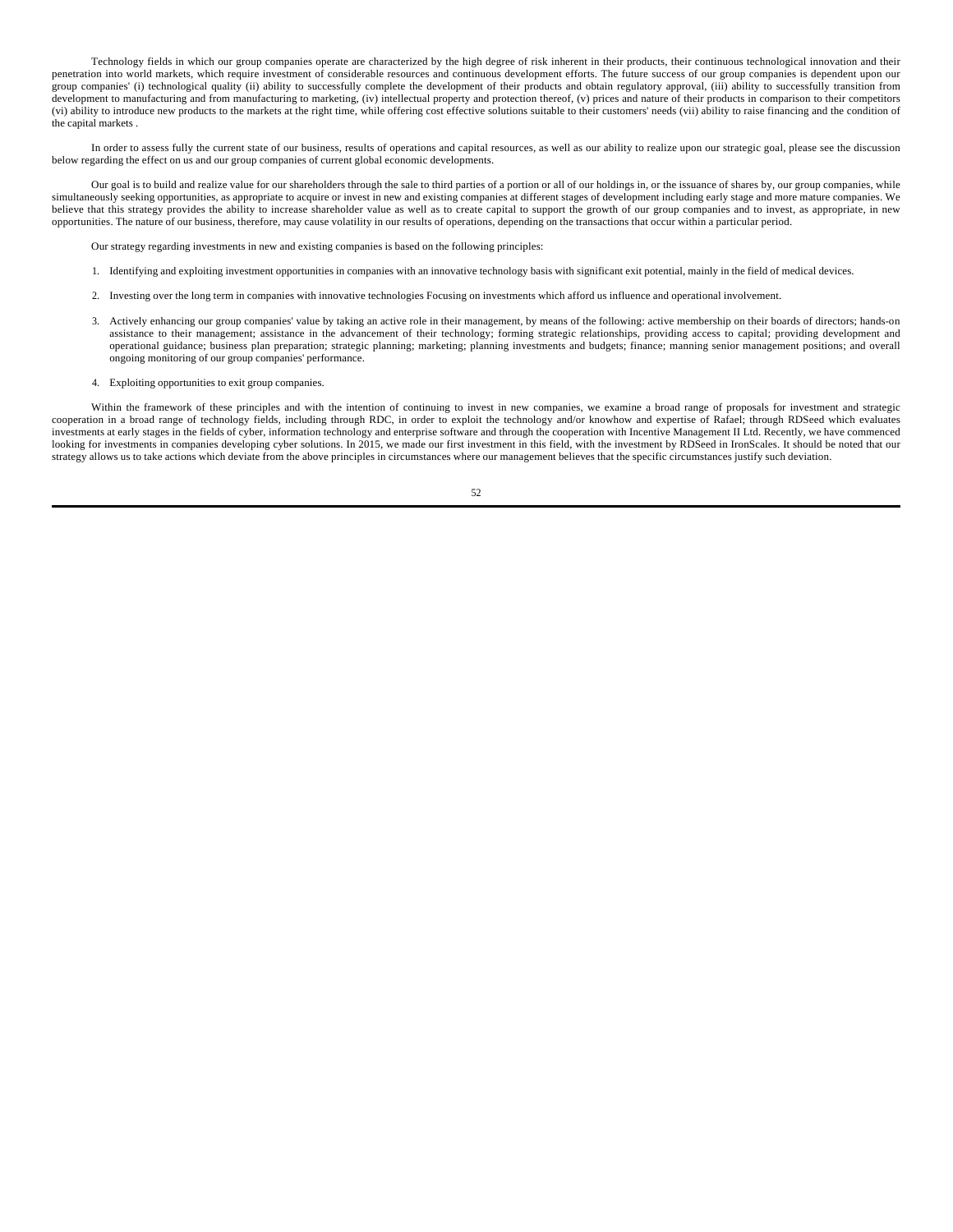Technology fields in which our group companies operate are characterized by the high degree of risk inherent in their products, their continuous technological innovation and their penetration into world markets, which require investment of considerable resources and continuous development efforts. The future success of our group companies is dependent upon our group companies' (i) technological quality (ii) ability to successfully complete the development of their products and obtain regulatory approval, (iii) ability to successfully transition from development to manufacturing and from manufacturing to marketing, (iv) intellectual property and protection thereof, (v) prices and nature of their products in comparison to their competitors (vi) ability to introduce new products to the markets at the right time, while offering cost effective solutions suitable to their customers' needs (vii) ability to raise financing and the condition of the capital markets .

In order to assess fully the current state of our business, results of operations and capital resources, as well as our ability to realize upon our strategic goal, please see the discussion below regarding the effect on us and our group companies of current global economic developments.

Our goal is to build and realize value for our shareholders through the sale to third parties of a portion or all of our holdings in, or the issuance of shares by, our group companies, while simultaneously seeking opportunities, as appropriate to acquire or invest in new and existing companies at different stages of development including early stage and more mature companies. We believe that this strategy provides the ability to increase shareholder value as well as to create capital to support the growth of our group companies and to invest, as appropriate, in new opportunities. The nature of our business, therefore, may cause volatility in our results of operations, depending on the transactions that occur within a particular period.

Our strategy regarding investments in new and existing companies is based on the following principles:

- 1. Identifying and exploiting investment opportunities in companies with an innovative technology basis with significant exit potential, mainly in the field of medical devices.
- 2. Investing over the long term in companies with innovative technologies Focusing on investments which afford us influence and operational involvement.
- 3. Actively enhancing our group companies' value by taking an active role in their management, by means of the following: active membership on their boards of directors; hands-on assistance to their management; assistance in the advancement of their technology; forming strategic relationships, providing access to capital; providing development and operational guidance; business plan preparation; strategic planning; marketing; planning investments and budgets; finance; manning senior management positions; and overall ongoing monitoring of our group companies' performance.
- 4. Exploiting opportunities to exit group companies.

Within the framework of these principles and with the intention of continuing to invest in new companies, we examine a broad range of proposals for investment and strategic cooperation in a broad range of technology fields, including through RDC, in order to exploit the technology and/or knowhow and expertise of Rafael; through RDSeed which evaluates investments at early stages in the fields of cyber, information technology and enterprise software and through the cooperation with Incentive Management II Ltd. Recently, we have commenced looking for investments in companies developing cyber solutions. In 2015, we made our first investment in this field, with the investment by RDSeed in IronScales. It should be noted that our strategy allows us to take actions which deviate from the above principles in circumstances where our management believes that the specific circumstances justify such deviation.

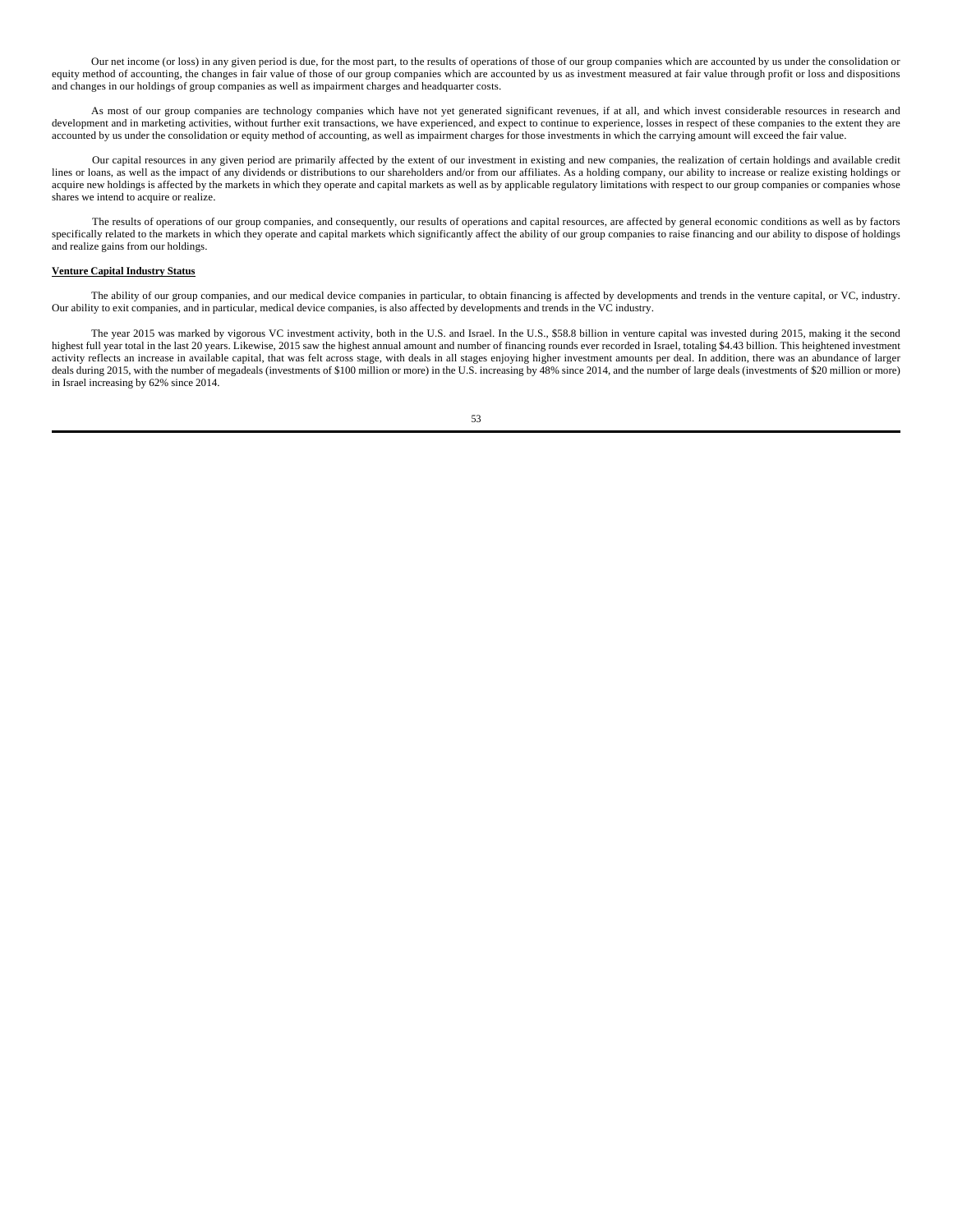Our net income (or loss) in any given period is due, for the most part, to the results of operations of those of our group companies which are accounted by us under the consolidation or equity method of accounting, the changes in fair value of those of our group companies which are accounted by us as investment measured at fair value through profit or loss and dispositions and changes in our holdings of group companies as well as impairment charges and headquarter costs.

As most of our group companies are technology companies which have not yet generated significant revenues, if at all, and which invest considerable resources in research and development and in marketing activities, without further exit transactions, we have experienced, and expect to continue to experience, losses in respect of these companies to the extent they are accounted by us under the consolidation or equity method of accounting, as well as impairment charges for those investments in which the carrying amount will exceed the fair value.

Our capital resources in any given period are primarily affected by the extent of our investment in existing and new companies, the realization of certain holdings and available credit lines or loans, as well as the impact of any dividends or distributions to our shareholders and/or from our affiliates. As a holding company, our ability to increase or realize existing holdings or acquire new holdings is affected by the markets in which they operate and capital markets as well as by applicable regulatory limitations with respect to our group companies or companies whose shares we intend to acquire or realize.

The results of operations of our group companies, and consequently, our results of operations and capital resources, are affected by general economic conditions as well as by factors specifically related to the markets in which they operate and capital markets which significantly affect the ability of our group companies to raise financing and our ability to dispose of holdings and realize gains from our holdings.

## **Venture Capital Industry Status**

The ability of our group companies, and our medical device companies in particular, to obtain financing is affected by developments and trends in the venture capital, or VC, industry. Our ability to exit companies, and in particular, medical device companies, is also affected by developments and trends in the VC industry.

The year 2015 was marked by vigorous VC investment activity, both in the U.S. and Israel. In the U.S., \$58.8 billion in venture capital was invested during 2015, making it the second highest full year total in the last 20 years. Likewise, 2015 saw the highest annual amount and number of financing rounds ever recorded in Israel, totaling \$4.43 billion. This heightened investment activity reflects an increase in available capital, that was felt across stage, with deals in all stages enjoying higher investment amounts per deal. In addition, there was an abundance of larger deals during 2015, with the number of megadeals (investments of \$100 million or more) in the U.S. increasing by 48% since 2014, and the number of large deals (investments of \$20 million or more) in Israel increasing by 62% since 2014.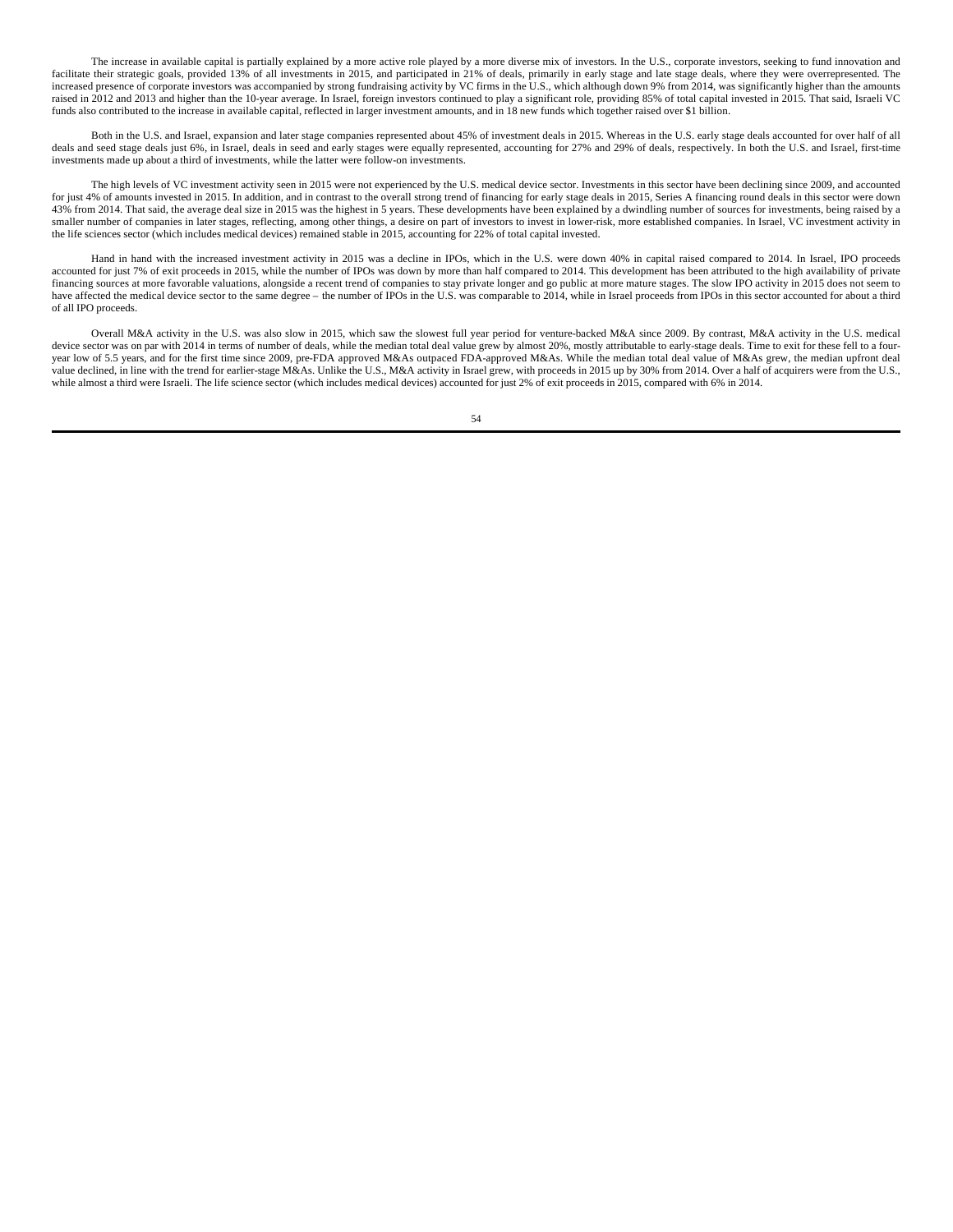The increase in available capital is partially explained by a more active role played by a more diverse mix of investors. In the U.S., corporate investors, seeking to fund innovation and facilitate their strategic goals, provided 13% of all investments in 2015, and participated in 21% of deals, primarily in early stage and late stage deals, where they were overrepresented. The increased presence of corporate investors was accompanied by strong fundraising activity by VC firms in the U.S., which although down 9% from 2014, was significantly higher than the amounts raised in 2012 and 2013 and higher than the 10-year average. In Israel, foreign investors continued to play a significant role, providing 85% of total capital invested in 2015. That said, Israeli VC funds also contributed to the increase in available capital, reflected in larger investment amounts, and in 18 new funds which together raised over \$1 billion.

Both in the U.S. and Israel, expansion and later stage companies represented about 45% of investment deals in 2015. Whereas in the U.S. early stage deals accounted for over half of all deals and seed stage deals just 6%, in Israel, deals in seed and early stages were equally represented, accounting for 27% and 29% of deals, respectively. In both the U.S. and Israel, first-time investments made up about a third of investments, while the latter were follow-on investments.

The high levels of VC investment activity seen in 2015 were not experienced by the U.S. medical device sector. Investments in this sector have been declining since 2009, and accounted for just 4% of amounts invested in 2015. In addition, and in contrast to the overall strong trend of financing for early stage deals in 2015, Series A financing round deals in this sector were down 43% from 2014. That said, the average deal size in 2015 was the highest in 5 years. These developments have been explained by a dwindling number of sources for investments, being raised by a smaller number of companies in later stages, reflecting, among other things, a desire on part of investors to invest in lower-risk, more established companies. In Israel, VC investment activity in the life sciences sector (which includes medical devices) remained stable in 2015, accounting for 22% of total capital invested.

Hand in hand with the increased investment activity in 2015 was a decline in IPOs, which in the U.S. were down 40% in capital raised compared to 2014. In Israel, IPO proceeds accounted for just 7% of exit proceeds in 2015, while the number of IPOs was down by more than half compared to 2014. This development has been attributed to the high availability of private financing sources at more favorable valuations, alongside a recent trend of companies to stay private longer and go public at more mature stages. The slow IPO activity in 2015 does not seem to have affected the medical device sector to the same degree – the number of IPOs in the U.S. was comparable to 2014, while in Israel proceeds from IPOs in this sector accounted for about a third of all IPO proceeds.

Overall M&A activity in the U.S. was also slow in 2015, which saw the slowest full year period for venture-backed M&A since 2009. By contrast, M&A activity in the U.S. medical device sector was on par with 2014 in terms of number of deals, while the median total deal value grew by almost 20%, mostly attributable to early-stage deals. Time to exit for these fell to a fouryear low of 5.5 years, and for the first time since 2009, pre-FDA approved M&As outpaced FDA-approved M&As. While the median total deal value of M&As grew, the median upfront deal value declined, in line with the trend for earlier-stage M&As. Unlike the U.S., M&A activity in Israel grew, with proceeds in 2015 up by 30% from 2014. Over a half of acquirers were from the U.S., while almost a third were Israeli. The life science sector (which includes medical devices) accounted for just 2% of exit proceeds in 2015, compared with 6% in 2014.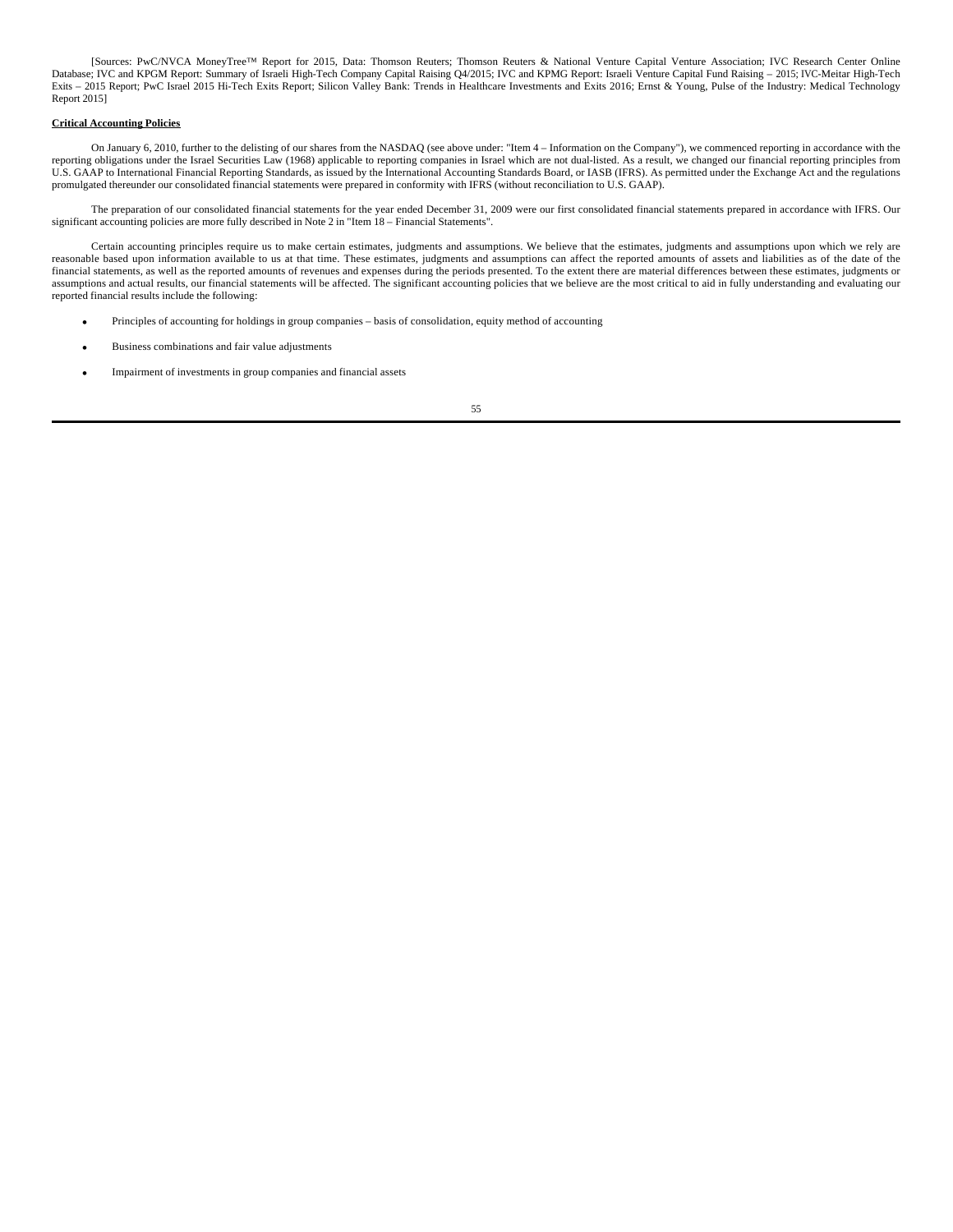[Sources: PwC/NVCA MoneyTree™ Report for 2015, Data: Thomson Reuters; Thomson Reuters & National Venture Capital Venture Association; IVC Research Center Online Database; IVC and KPGM Report: Summary of Israeli High-Tech Company Capital Raising Q4/2015; IVC and KPMG Report: Israeli Venture Capital Fund Raising – 2015; IVC-Meitar High-Tech Exits – 2015 Report; PwC Israel 2015 Hi-Tech Exits Report; Silicon Valley Bank: Trends in Healthcare Investments and Exits 2016; Ernst & Young, Pulse of the Industry: Medical Technology Report 2015]

### **Critical Accounting Policies**

On January 6, 2010, further to the delisting of our shares from the NASDAQ (see above under: "Item 4 – Information on the Company"), we commenced reporting in accordance with the reporting obligations under the Israel Securities Law (1968) applicable to reporting companies in Israel which are not dual-listed. As a result, we changed our financial reporting principles from U.S. GAAP to International Financial Reporting Standards, as issued by the International Accounting Standards Board, or IASB (IFRS). As permitted under the Exchange Act and the regulations promulgated thereunder our consolidated financial statements were prepared in conformity with IFRS (without reconciliation to U.S. GAAP).

The preparation of our consolidated financial statements for the year ended December 31, 2009 were our first consolidated financial statements prepared in accordance with IFRS. Our significant accounting policies are more fully described in Note 2 in "Item 18 – Financial Statements".

Certain accounting principles require us to make certain estimates, judgments and assumptions. We believe that the estimates, judgments and assumptions upon which we rely are reasonable based upon information available to us at that time. These estimates, judgments and assumptions can affect the reported amounts of assets and liabilities as of the date of the financial statements, as well as the reported amounts of revenues and expenses during the periods presented. To the extent there are material differences between these estimates, judgments or assumptions and actual results, our financial statements will be affected. The significant accounting policies that we believe are the most critical to aid in fully understanding and evaluating our reported financial results include the following:

- Principles of accounting for holdings in group companies basis of consolidation, equity method of accounting
- Business combinations and fair value adjustments
- Impairment of investments in group companies and financial assets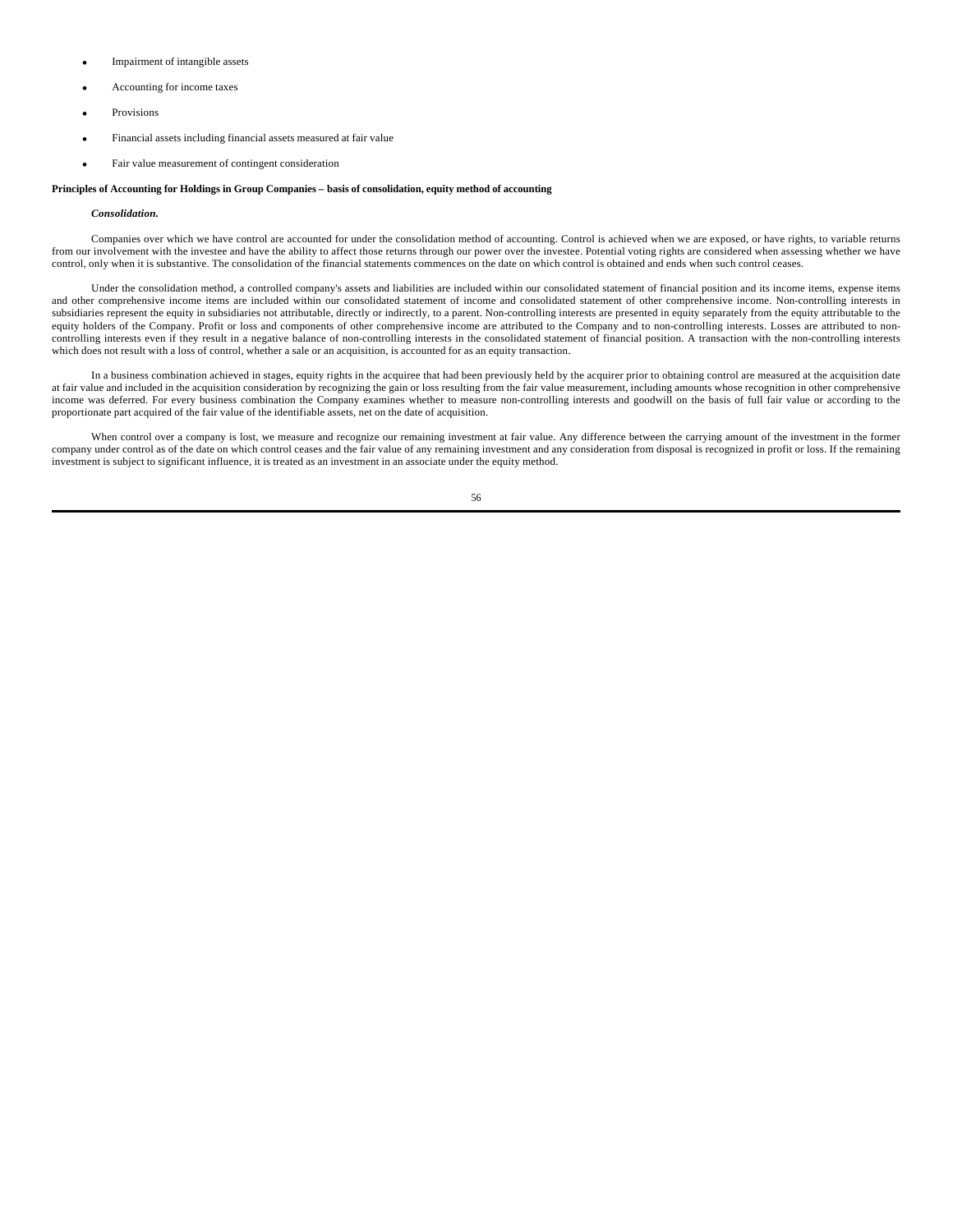- Impairment of intangible assets
- Accounting for income taxes
- **Provisions**
- Financial assets including financial assets measured at fair value
- Fair value measurement of contingent consideration

### **Principles of Accounting for Holdings in Group Companies – basis of consolidation, equity method of accounting**

#### *Consolidation.*

Companies over which we have control are accounted for under the consolidation method of accounting. Control is achieved when we are exposed, or have rights, to variable returns from our involvement with the investee and have the ability to affect those returns through our power over the investee. Potential voting rights are considered when assessing whether we have control, only when it is substantive. The consolidation of the financial statements commences on the date on which control is obtained and ends when such control ceases.

Under the consolidation method, a controlled company's assets and liabilities are included within our consolidated statement of financial position and its income items, expense items and other comprehensive income items are included within our consolidated statement of income and consolidated statement of other comprehensive income. Non-controlling interests in subsidiaries represent the equity in subsidiaries not attributable, directly or indirectly, to a parent. Non-controlling interests are presented in equity separately from the equity attributable to the equity holders of the Company. Profit or loss and components of other comprehensive income are attributed to the Company and to non-controlling interests. Losses are attributed to noncontrolling interests even if they result in a negative balance of non-controlling interests in the consolidated statement of financial position. A transaction with the non-controlling interests which does not result with a loss of control, whether a sale or an acquisition, is accounted for as an equity transaction.

In a business combination achieved in stages, equity rights in the acquiree that had been previously held by the acquirer prior to obtaining control are measured at the acquisition date at fair value and included in the acquisition consideration by recognizing the gain or loss resulting from the fair value measurement, including amounts whose recognition in other comprehensive<br>income was deferred. For eve proportionate part acquired of the fair value of the identifiable assets, net on the date of acquisition.

When control over a company is lost, we measure and recognize our remaining investment at fair value. Any difference between the carrying amount of the investment in the former company under control as of the date on which control ceases and the fair value of any remaining investment and any consideration from disposal is recognized in profit or loss. If the remaining investment is subject to significant influence, it is treated as an investment in an associate under the equity method.

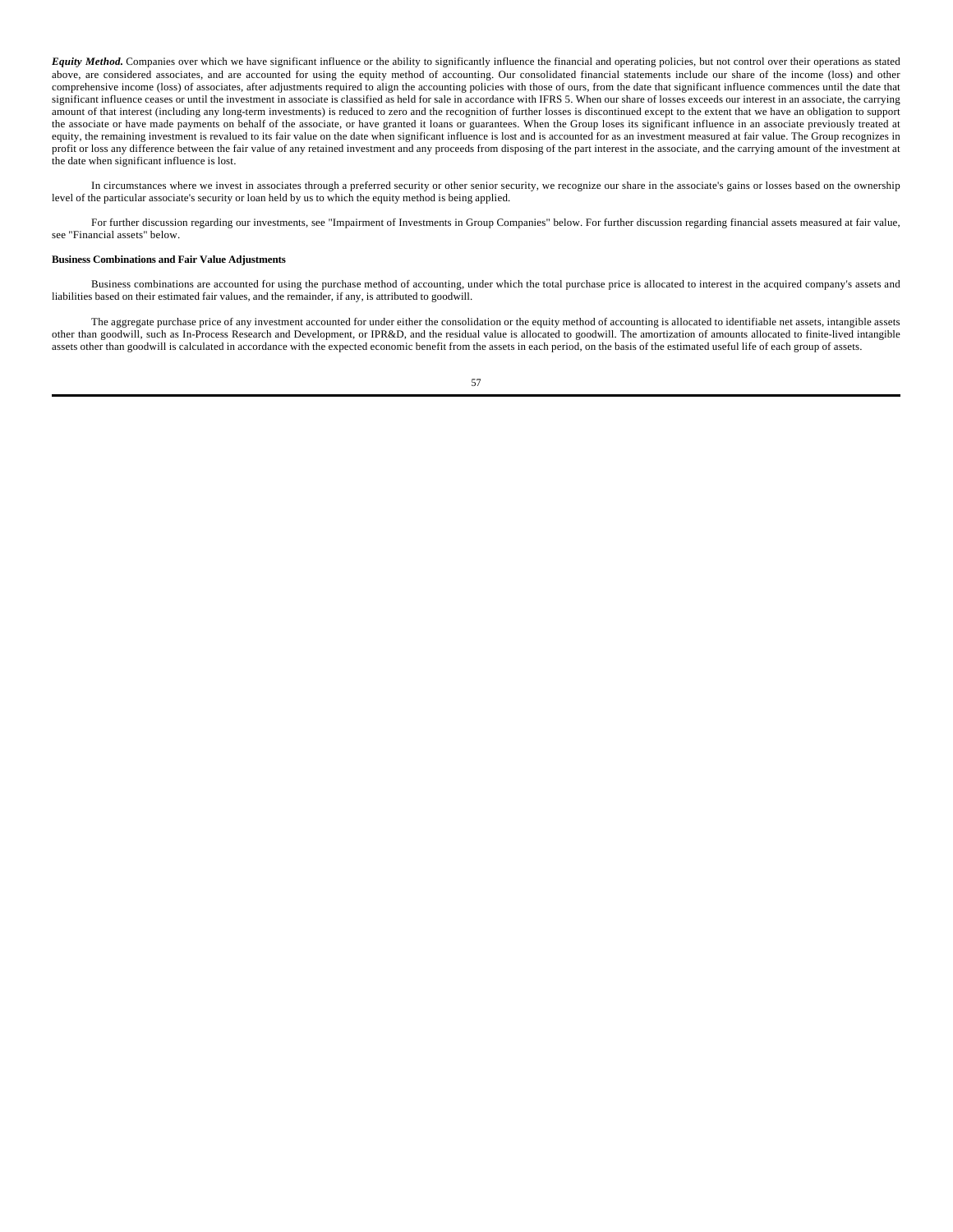*Equity Method.* Companies over which we have significant influence or the ability to significantly influence the financial and operating policies, but not control over their operations as stated above, are considered associates, and are accounted for using the equity method of accounting. Our consolidated financial statements include our share of the income (loss) and other comprehensive income (loss) of associates, after adjustments required to align the accounting policies with those of ours, from the date that significant influence commences until the date that significant influence ceases or until the investment in associate is classified as held for sale in accordance with IFRS 5. When our share of losses exceeds our interest in an associate, the carrying amount of that interest (including any long-term investments) is reduced to zero and the recognition of further losses is discontinued except to the extent that we have an obligation to support the associate or have made payments on behalf of the associate, or have granted it loans or guarantees. When the Group loses its significant influence in an associate previously treated at equity, the remaining investment is revalued to its fair value on the date when significant influence is lost and is accounted for as an investment measured at fair value. The Group recognizes in profit or loss any difference between the fair value of any retained investment and any proceeds from disposing of the part interest in the associate, and the carrying amount of the investment at the date when significant influence is lost.

In circumstances where we invest in associates through a preferred security or other senior security, we recognize our share in the associate's gains or losses based on the ownership level of the particular associate's security or loan held by us to which the equity method is being applied.

For further discussion regarding our investments, see "Impairment of Investments in Group Companies" below. For further discussion regarding financial assets measured at fair value, see "Financial assets" below.

#### **Business Combinations and Fair Value Adjustments**

Business combinations are accounted for using the purchase method of accounting, under which the total purchase price is allocated to interest in the acquired company's assets and liabilities based on their estimated fair values, and the remainder, if any, is attributed to goodwill.

The aggregate purchase price of any investment accounted for under either the consolidation or the equity method of accounting is allocated to identifiable net assets, intangible assets other than goodwill, such as In-Process Research and Development, or IPR&D, and the residual value is allocated to goodwill. The amortization of amounts allocated to finite-lived intangible assets other than goodwill is calculated in accordance with the expected economic benefit from the assets in each period, on the basis of the estimated useful life of each group of assets.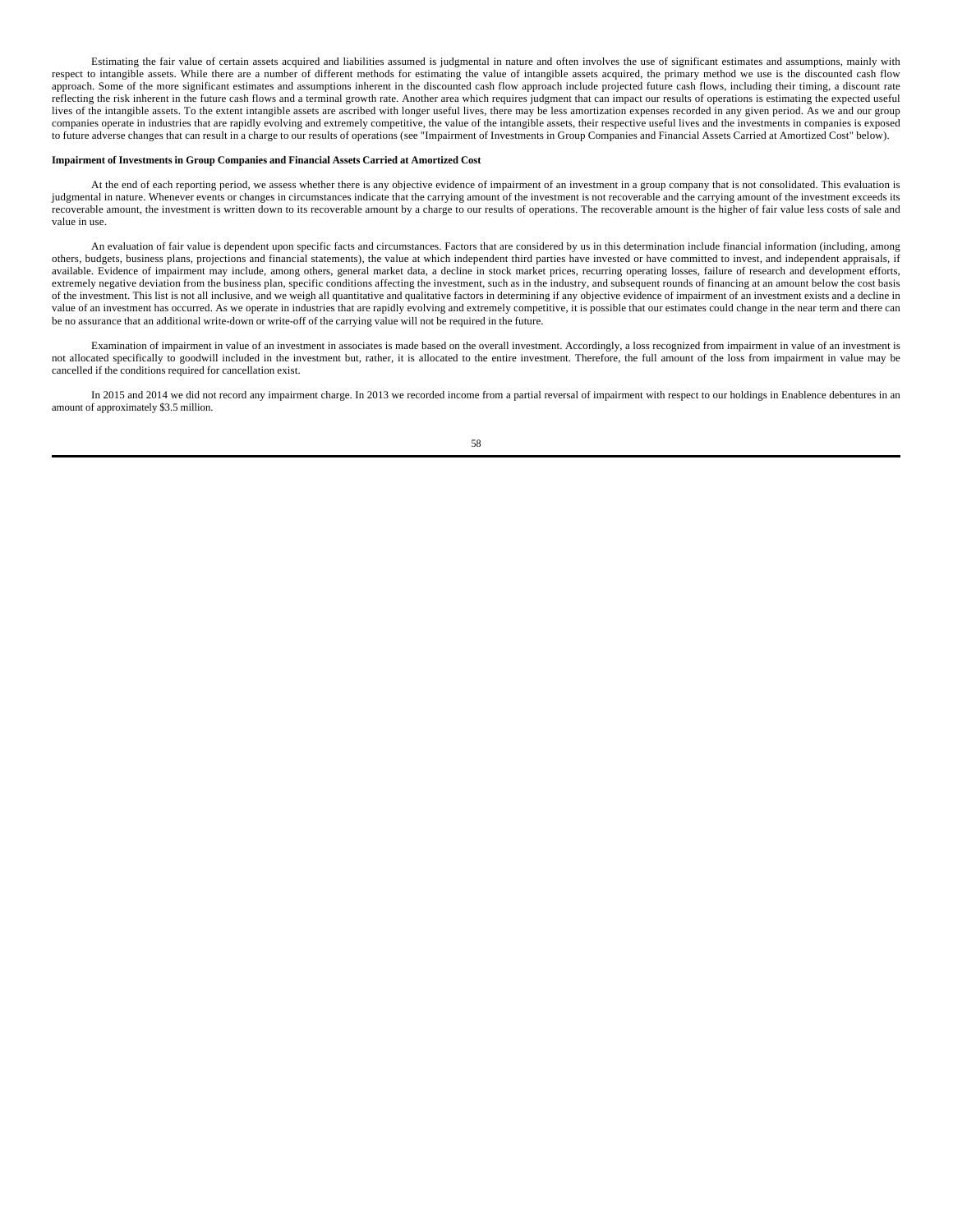Estimating the fair value of certain assets acquired and liabilities assumed is judgmental in nature and often involves the use of significant estimates and assumptions, mainly with respect to intangible assets. While there are a number of different methods for estimating the value of intangible assets acquired, the primary method we use is the discounted cash flow approach. Some of the more significant estimates and assumptions inherent in the discounted cash flow approach include projected future cash flows, including their timing, a discount rate reflecting the risk inherent in the future cash flows and a terminal growth rate. Another area which requires judgment that can impact our results of operations is estimating the expected useful lives of the intangible assets. To the extent intangible assets are ascribed with longer useful lives, there may be less amortization expenses recorded in any given period. As we and our group companies operate in industries that are rapidly evolving and extremely competitive, the value of the intangible assets, their respective useful lives and the investments in companies is exposed to future adverse changes that can result in a charge to our results of operations (see "Impairment of Investments in Group Companies and Financial Assets Carried at Amortized Cost" below).

### **Impairment of Investments in Group Companies and Financial Assets Carried at Amortized Cost**

At the end of each reporting period, we assess whether there is any objective evidence of impairment of an investment in a group company that is not consolidated. This evaluation is judgmental in nature. Whenever events or changes in circumstances indicate that the carrying amount of the investment is not recoverable and the carrying amount of the investment exceeds its recoverable amount, the investment is written down to its recoverable amount by a charge to our results of operations. The recoverable amount is the higher of fair value less costs of sale and value in use.

An evaluation of fair value is dependent upon specific facts and circumstances. Factors that are considered by us in this determination include financial information (including, among others, budgets, business plans, projections and financial statements), the value at which independent third parties have invested or have committed to invest, and independent appraisals, if available. Evidence of impairment may include, among others, general market data, a decline in stock market prices, recurring operating losses, failure of research and development efforts, extremely negative deviation from the business plan, specific conditions affecting the investment, such as in the industry, and subsequent rounds of financing at an amount below the cost basis of the investment. This list is not all inclusive, and we weigh all quantitative and qualitative factors in determining if any objective evidence of impairment of an investment exists and a decline in value of an investment has occurred. As we operate in industries that are rapidly evolving and extremely competitive, it is possible that our estimates could change in the near term and there can be no assurance that an additional write-down or write-off of the carrying value will not be required in the future.

Examination of impairment in value of an investment in associates is made based on the overall investment. Accordingly, a loss recognized from impairment in value of an investment is not allocated specifically to goodwill included in the investment but, rather, it is allocated to the entire investment. Therefore, the full amount of the loss from impairment in value may be cancelled if the conditions required for cancellation exist.

In 2015 and 2014 we did not record any impairment charge. In 2013 we recorded income from a partial reversal of impairment with respect to our holdings in Enablence debentures in an amount of approximately \$3.5 million.

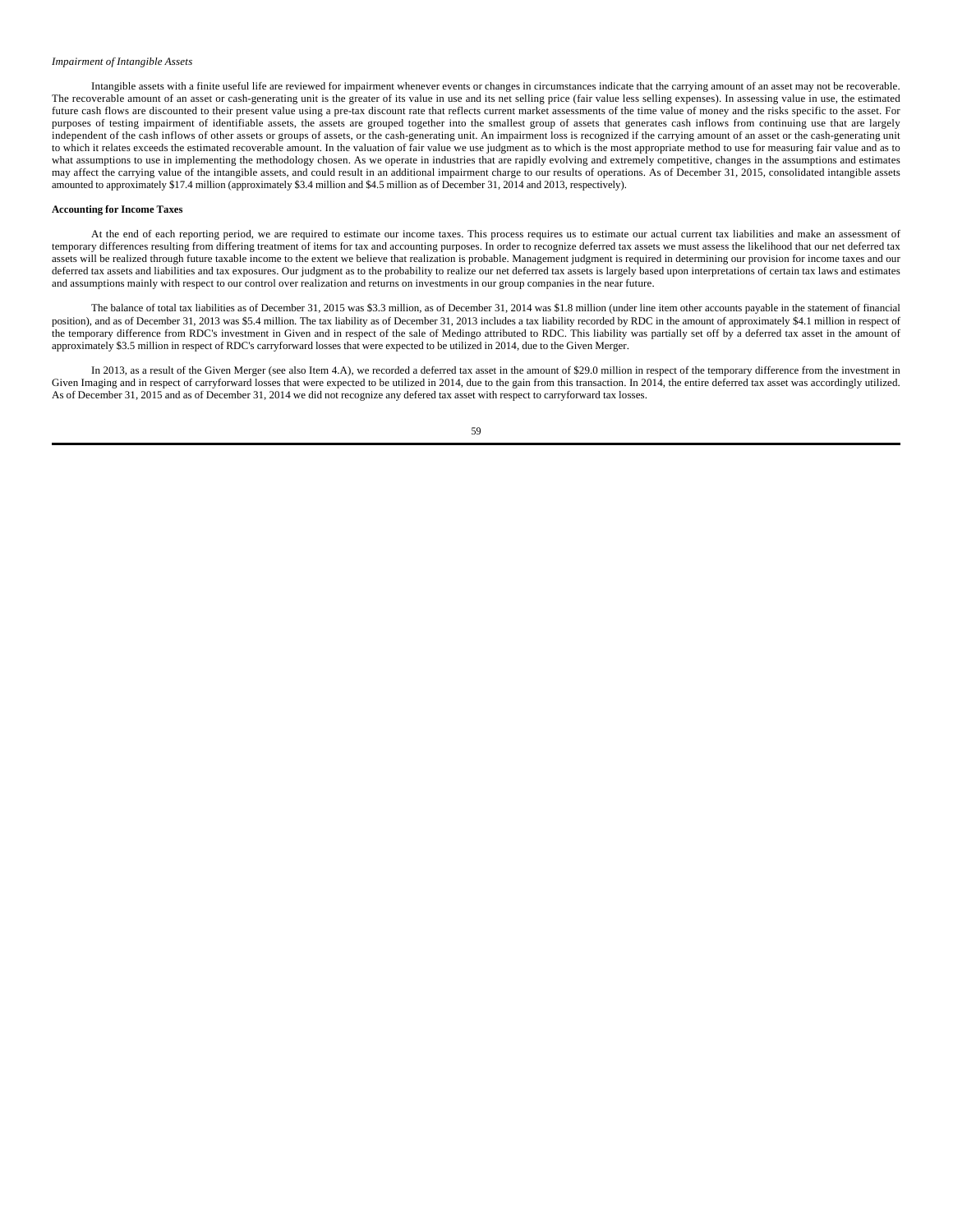#### *Impairment of Intangible Assets*

Intangible assets with a finite useful life are reviewed for impairment whenever events or changes in circumstances indicate that the carrying amount of an asset may not be recoverable. The recoverable amount of an asset or cash-generating unit is the greater of its value in use and its net selling price (fair value less selling expenses). In assessing value in use, the estimated future cash flows are discounted to their present value using a pre-tax discount rate that reflects current market assessments of the time value of money and the risks specific to the asset. For purposes of testing impairment of identifiable assets, the assets are grouped together into the smallest group of assets that generates cash inflows from continuing use that are largely independent of the cash inflows of other assets or groups of assets, or the cash-generating unit. An impairment loss is recognized if the carrying amount of an asset or the cash-generating unit to which it relates exceeds the estimated recoverable amount. In the valuation of fair value we use judgment as to which is the most appropriate method to use for measuring fair value and as to what assumptions to use in implementing the methodology chosen. As we operate in industries that are rapidly evolving and extremely competitive, changes in the assumptions and estimates may affect the carrying value of the intangible assets, and could result in an additional impairment charge to our results of operations. As of December 31, 2015, consolidated intangible assets amounted to approximately \$17.4 million (approximately \$3.4 million and \$4.5 million as of December 31, 2014 and 2013, respectively).

#### **Accounting for Income Taxes**

At the end of each reporting period, we are required to estimate our income taxes. This process requires us to estimate our actual current tax liabilities and make an assessment of temporary differences resulting from differing treatment of items for tax and accounting purposes. In order to recognize deferred tax assets we must assess the likelihood that our net deferred tax assets will be realized through future taxable income to the extent we believe that realization is probable. Management judgment is required in determining our provision for income taxes and our deferred tax assets and liabilities and tax exposures. Our judgment as to the probability to realize our net deferred tax assets is largely based upon interpretations of certain tax laws and estimates and assumptions mainly with respect to our control over realization and returns on investments in our group companies in the near future.

The balance of total tax liabilities as of December 31, 2015 was \$3.3 million, as of December 31, 2014 was \$1.8 million (under line item other accounts payable in the statement of financial position), and as of December 31, 2013 was \$5.4 million. The tax liability as of December 31, 2013 includes a tax liability recorded by RDC in the amount of approximately \$4.1 million in respect of the temporary difference from RDC's investment in Given and in respect of the sale of Medingo attributed to RDC. This liability was partially set off by a deferred tax asset in the amount of approximately \$3.5 million in respect of RDC's carryforward losses that were expected to be utilized in 2014, due to the Given Merger.

In 2013, as a result of the Given Merger (see also Item 4.A), we recorded a deferred tax asset in the amount of \$29.0 million in respect of the temporary difference from the investment in Given Imaging and in respect of carryforward losses that were expected to be utilized in 2014, due to the gain from this transaction. In 2014, the entire deferred tax asset was accordingly utilized. As of December 31, 2015 and as of December 31, 2014 we did not recognize any defered tax asset with respect to carryforward tax losses.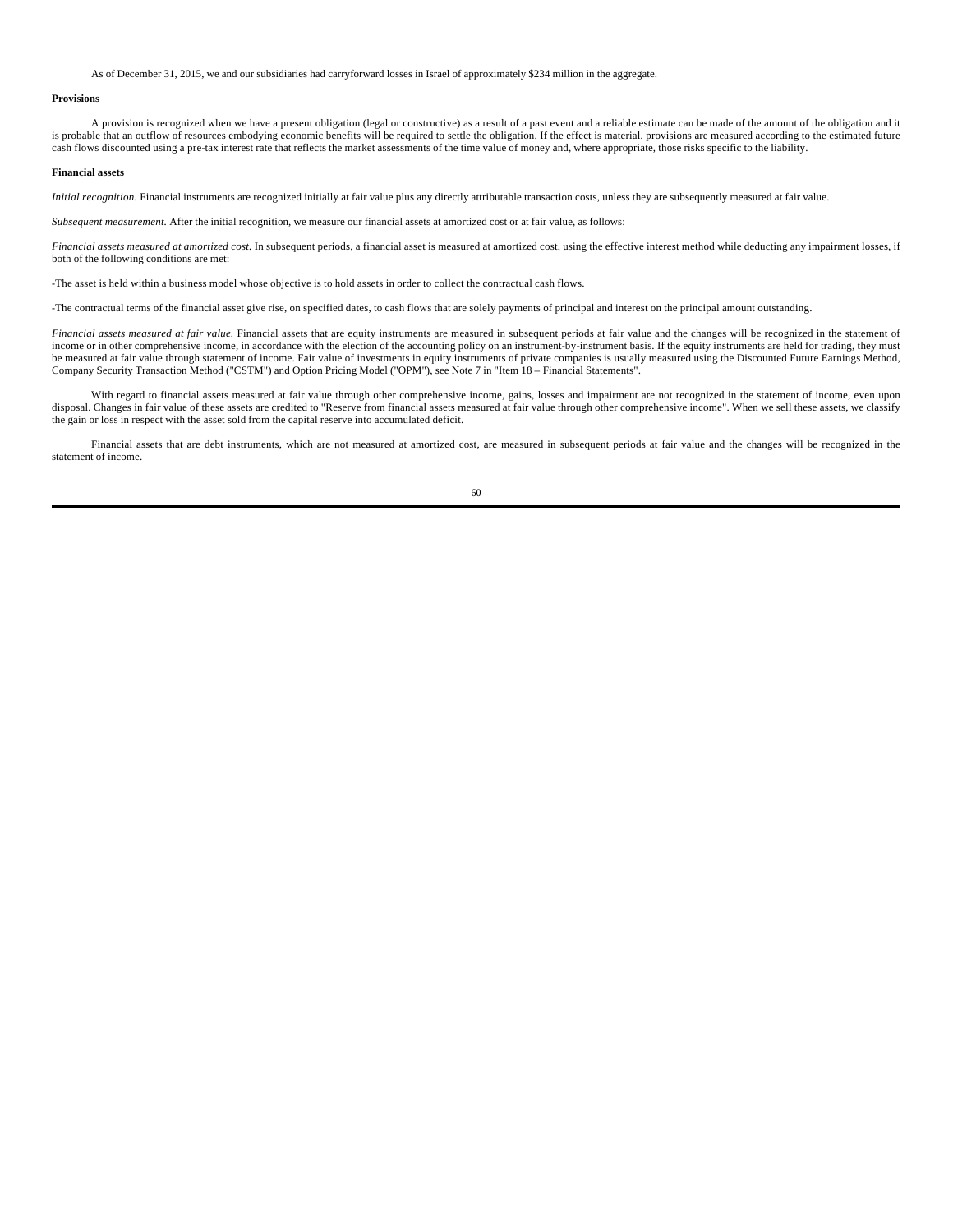As of December 31, 2015, we and our subsidiaries had carryforward losses in Israel of approximately \$234 million in the aggregate.

### **Provisions**

A provision is recognized when we have a present obligation (legal or constructive) as a result of a past event and a reliable estimate can be made of the amount of the obligation and it is probable that an outflow of resources embodying economic benefits will be required to settle the obligation. If the effect is material, provisions are measured according to the estimated future cash flows discounted using a pre-tax interest rate that reflects the market assessments of the time value of money and, where appropriate, those risks specific to the liability.

#### **Financial assets**

*Initial recognition.* Financial instruments are recognized initially at fair value plus any directly attributable transaction costs, unless they are subsequently measured at fair value.

*Subsequent measurement.* After the initial recognition, we measure our financial assets at amortized cost or at fair value, as follows:

*Financial assets measured at amortized cost.* In subsequent periods, a financial asset is measured at amortized cost, using the effective interest method while deducting any impairment losses, if both of the following conditions are met:

-The asset is held within a business model whose objective is to hold assets in order to collect the contractual cash flows.

-The contractual terms of the financial asset give rise, on specified dates, to cash flows that are solely payments of principal and interest on the principal amount outstanding.

*Financial assets measured at fair value.* Financial assets that are equity instruments are measured in subsequent periods at fair value and the changes will be recognized in the statement of income or in other comprehensive income, in accordance with the election of the accounting policy on an instrument-by-instrument basis. If the equity instruments are held for trading, they must be measured at fair value through statement of income. Fair value of investments in equity instruments of private companies is usually measured using the Discounted Future Earnings Method, Company Security Transaction Method ("CSTM") and Option Pricing Model ("OPM"), see Note 7 in "Item 18 – Financial Statements".

With regard to financial assets measured at fair value through other comprehensive income, gains, losses and impairment are not recognized in the statement of income, even upon disposal. Changes in fair value of these assets are credited to "Reserve from financial assets measured at fair value through other comprehensive income". When we sell these assets, we classify the gain or loss in respect with the asset sold from the capital reserve into accumulated deficit.

Financial assets that are debt instruments, which are not measured at amortized cost, are measured in subsequent periods at fair value and the changes will be recognized in the statement of income.

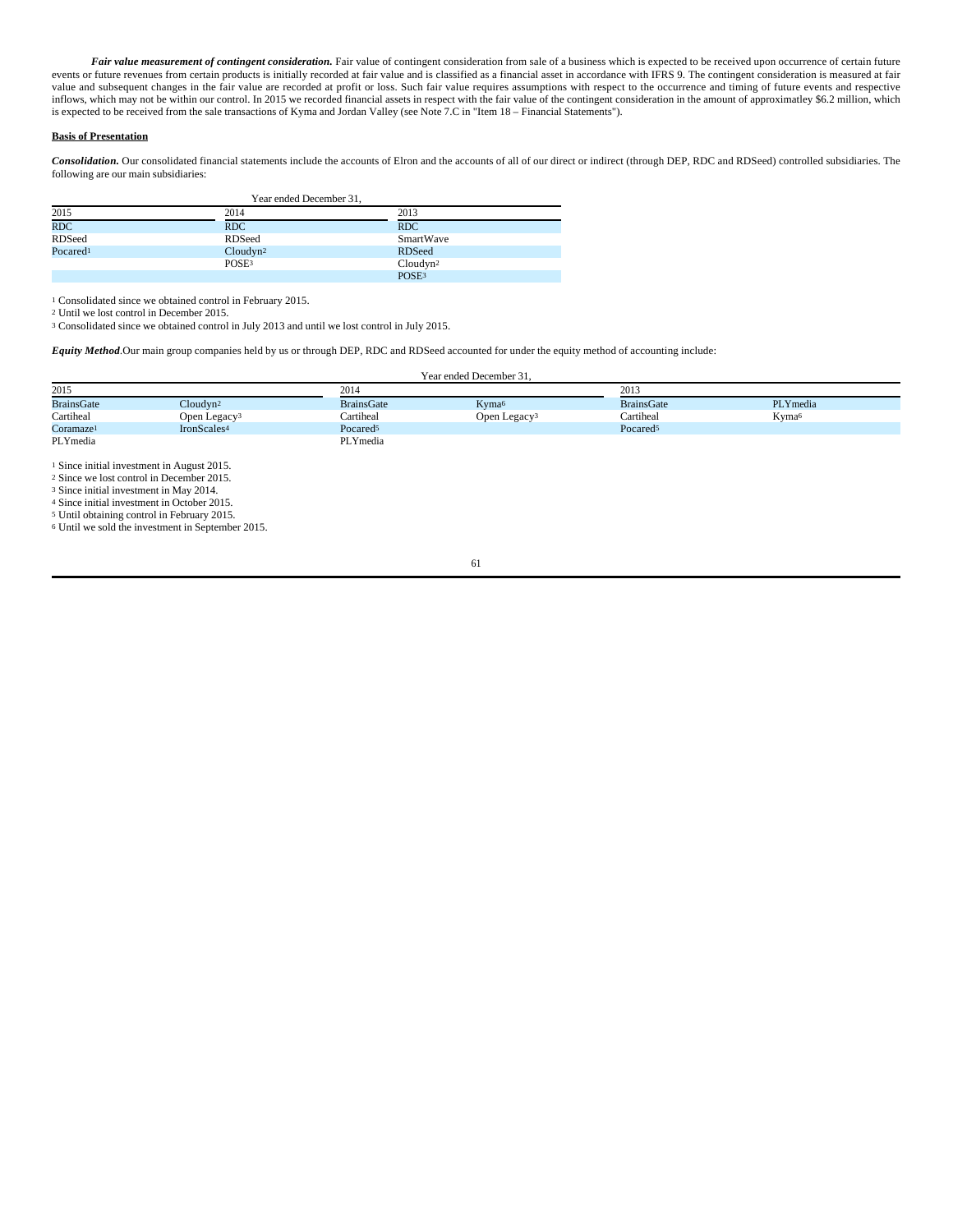*Fair value measurement of contingent consideration.* Fair value of contingent consideration from sale of a business which is expected to be received upon occurrence of certain future events or future revenues from certain products is initially recorded at fair value and is classified as a financial asset in accordance with IFRS 9. The contingent consideration is measured at fair value and subsequent changes in the fair value are recorded at profit or loss. Such fair value requires assumptions with respect to the occurrence and timing of future events and respective inflows, which may not be within our control. In 2015 we recorded financial assets in respect with the fair value of the contingent consideration in the amount of approximatley \$6.2 million, which is expected to be received from the sale transactions of Kyma and Jordan Valley (see Note 7.C in "Item 18 – Financial Statements").

## **Basis of Presentation**

*Consolidation.* Our consolidated financial statements include the accounts of Elron and the accounts of all of our direct or indirect (through DEP, RDC and RDSeed) controlled subsidiaries. The following are our main subsidiaries:

| Year ended December 31, |                      |                      |  |
|-------------------------|----------------------|----------------------|--|
| 2015                    | 2014                 | 2013                 |  |
| <b>RDC</b>              | RDC                  | <b>RDC</b>           |  |
| RDSeed                  | RDSeed               | SmartWave            |  |
| Pocared <sup>1</sup>    | Cloudyn <sup>2</sup> | RDSeed               |  |
|                         | POSE <sup>3</sup>    | Cloudyn <sup>2</sup> |  |
|                         |                      | POSE <sup>3</sup>    |  |

<sup>1</sup> Consolidated since we obtained control in February 2015.

<sup>2</sup> Until we lost control in December 2015.

<sup>3</sup> Consolidated since we obtained control in July 2013 and until we lost control in July 2015.

*Equity Method.*Our main group companies held by us or through DEP, RDC and RDSeed accounted for under the equity method of accounting include:

| Year ended December 31,                            |                                                                                                                                                                                                                               |                      |                          |                      |                   |  |
|----------------------------------------------------|-------------------------------------------------------------------------------------------------------------------------------------------------------------------------------------------------------------------------------|----------------------|--------------------------|----------------------|-------------------|--|
| 2015                                               |                                                                                                                                                                                                                               | 2014                 |                          | 2013                 |                   |  |
| <b>BrainsGate</b>                                  | Cloudyn <sup>2</sup>                                                                                                                                                                                                          | <b>BrainsGate</b>    | Kyma <sup>6</sup>        | <b>BrainsGate</b>    | PLYmedia          |  |
| Cartiheal                                          | Open Legacy <sup>3</sup>                                                                                                                                                                                                      | Cartiheal            | Open Legacy <sup>3</sup> | Cartiheal            | Kyma <sup>6</sup> |  |
| Coramaze <sup>1</sup>                              | IronScales <sup>4</sup>                                                                                                                                                                                                       | Pocared <sup>5</sup> |                          | Pocared <sup>5</sup> |                   |  |
| PLYmedia                                           |                                                                                                                                                                                                                               | PLYmedia             |                          |                      |                   |  |
| <sup>3</sup> Since initial investment in May 2014. | <sup>2</sup> Since we lost control in December 2015.<br>4 Since initial investment in October 2015.<br><sup>5</sup> Until obtaining control in February 2015.<br><sup>6</sup> Until we sold the investment in September 2015. |                      |                          |                      |                   |  |
|                                                    |                                                                                                                                                                                                                               |                      | 61                       |                      |                   |  |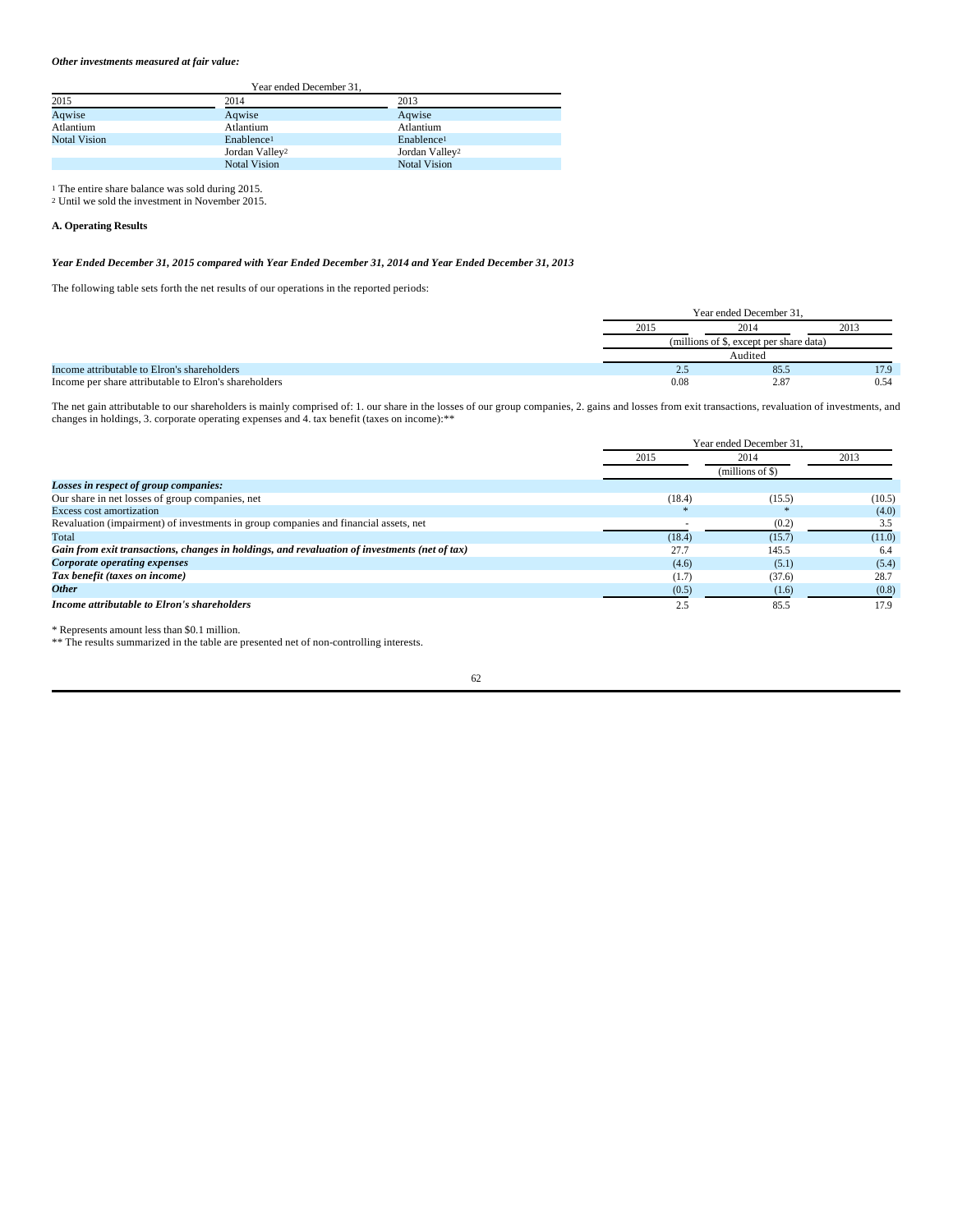### *Other investments measured at fair value:*

| Year ended December 31. |                            |                            |  |  |
|-------------------------|----------------------------|----------------------------|--|--|
| 2015                    | 2014                       | 2013                       |  |  |
| Aqwise                  | Aqwise                     | Aqwise                     |  |  |
| Atlantium               | Atlantium                  | Atlantium                  |  |  |
| <b>Notal Vision</b>     | Enablence <sup>1</sup>     | Enablence <sup>1</sup>     |  |  |
|                         | Jordan Valley <sup>2</sup> | Jordan Valley <sup>2</sup> |  |  |
|                         | <b>Notal Vision</b>        | <b>Notal Vision</b>        |  |  |

<sup>1</sup> The entire share balance was sold during 2015.

<sup>2</sup> Until we sold the investment in November 2015.

### **A. Operating Results**

### *Year Ended December 31, 2015 compared with Year Ended December 31, 2014 and Year Ended December 31, 2013*

The following table sets forth the net results of our operations in the reported periods:

|                                                       |      |                                         | Year ended December 31. |      |
|-------------------------------------------------------|------|-----------------------------------------|-------------------------|------|
|                                                       | 2015 |                                         | 2014                    | 2013 |
|                                                       |      | (millions of \$, except per share data) |                         |      |
|                                                       |      |                                         | Audited                 |      |
| Income attributable to Elron's shareholders           |      | <u>.</u>                                | 85.5                    | 17.9 |
| Income per share attributable to Elron's shareholders |      | 0.08                                    | 2.87                    | 0.54 |

The net gain attributable to our shareholders is mainly comprised of: 1. our share in the losses of our group companies, 2. gains and losses from exit transactions, revaluation of investments, and<br>changes in holdings, 3. c

|                                                                                               |        | Year ended December 31, |        |
|-----------------------------------------------------------------------------------------------|--------|-------------------------|--------|
|                                                                                               | 2015   | 2014                    | 2013   |
|                                                                                               |        | $(millions of \$))$     |        |
| Losses in respect of group companies:                                                         |        |                         |        |
| Our share in net losses of group companies, net                                               | (18.4) | (15.5)                  | (10.5) |
| Excess cost amortization                                                                      |        |                         | (4.0)  |
| Revaluation (impairment) of investments in group companies and financial assets, net          |        | (0.2)                   | 3.5    |
| Total                                                                                         | (18.4) | (15.7)                  | (11.0) |
| Gain from exit transactions, changes in holdings, and revaluation of investments (net of tax) | 27.7   | 145.5                   | 6.4    |
| Corporate operating expenses                                                                  | (4.6)  | (5.1)                   | (5.4)  |
| Tax benefit (taxes on income)                                                                 | (1.7)  | (37.6)                  | 28.7   |
| <b>Other</b>                                                                                  | (0.5)  | (1.6)                   | (0.8)  |
| Income attributable to Elron's shareholders                                                   |        | 85.5                    | 17.9   |

\* Represents amount less than \$0.1 million. \*\* The results summarized in the table are presented net of non-controlling interests.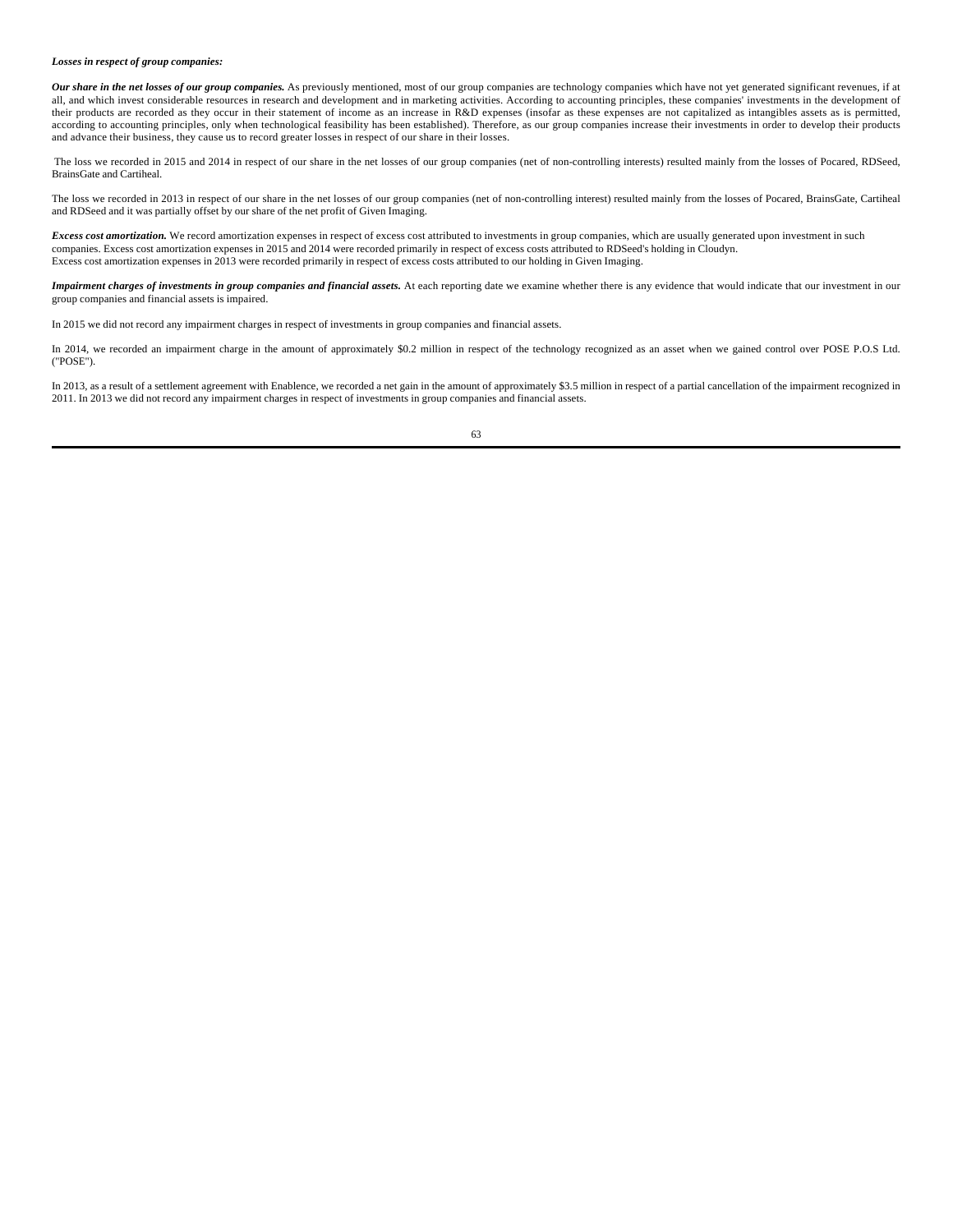#### *Losses in respect of group companies:*

*Our share in the net losses of our group companies.* As previously mentioned, most of our group companies are technology companies which have not yet generated significant revenues, if at all, and which invest considerable resources in research and development and in marketing activities. According to accounting principles, these companies' investments in the development of their products are recorded as th according to accounting principles, only when technological feasibility has been established). Therefore, as our group companies increase their investments in order to develop their products and advance their business, they cause us to record greater losses in respect of our share in their losses.

The loss we recorded in 2015 and 2014 in respect of our share in the net losses of our group companies (net of non-controlling interests) resulted mainly from the losses of Pocared, RDSeed, BrainsGate and Cartiheal.

The loss we recorded in 2013 in respect of our share in the net losses of our group companies (net of non-controlling interest) resulted mainly from the losses of Pocared, BrainsGate, Cartiheal and RDSeed and it was partially offset by our share of the net profit of Given Imaging.

*Excess cost amortization*. We record amortization expenses in respect of excess cost attributed to investments in group companies, which are usually generated upon investment in such companies. Excess cost amortization expenses in 2015 and 2014 were recorded primarily in respect of excess costs attributed to RDSeed's holding in Cloudyn. Excess cost amortization expenses in 2013 were recorded primarily in respect of excess costs attributed to our holding in Given Imaging.

*Impairment charges of investments in group companies and financial assets.* At each reporting date we examine whether there is any evidence that would indicate that our investment in our group companies and financial assets is impaired.

In 2015 we did not record any impairment charges in respect of investments in group companies and financial assets.

In 2014, we recorded an impairment charge in the amount of approximately \$0.2 million in respect of the technology recognized as an asset when we gained control over POSE P.O.S Ltd. ("POSE").

In 2013, as a result of a settlement agreement with Enablence, we recorded a net gain in the amount of approximately \$3.5 million in respect of a partial cancellation of the impairment recognized in 2011. In 2013 we did not record any impairment charges in respect of investments in group companies and financial assets.

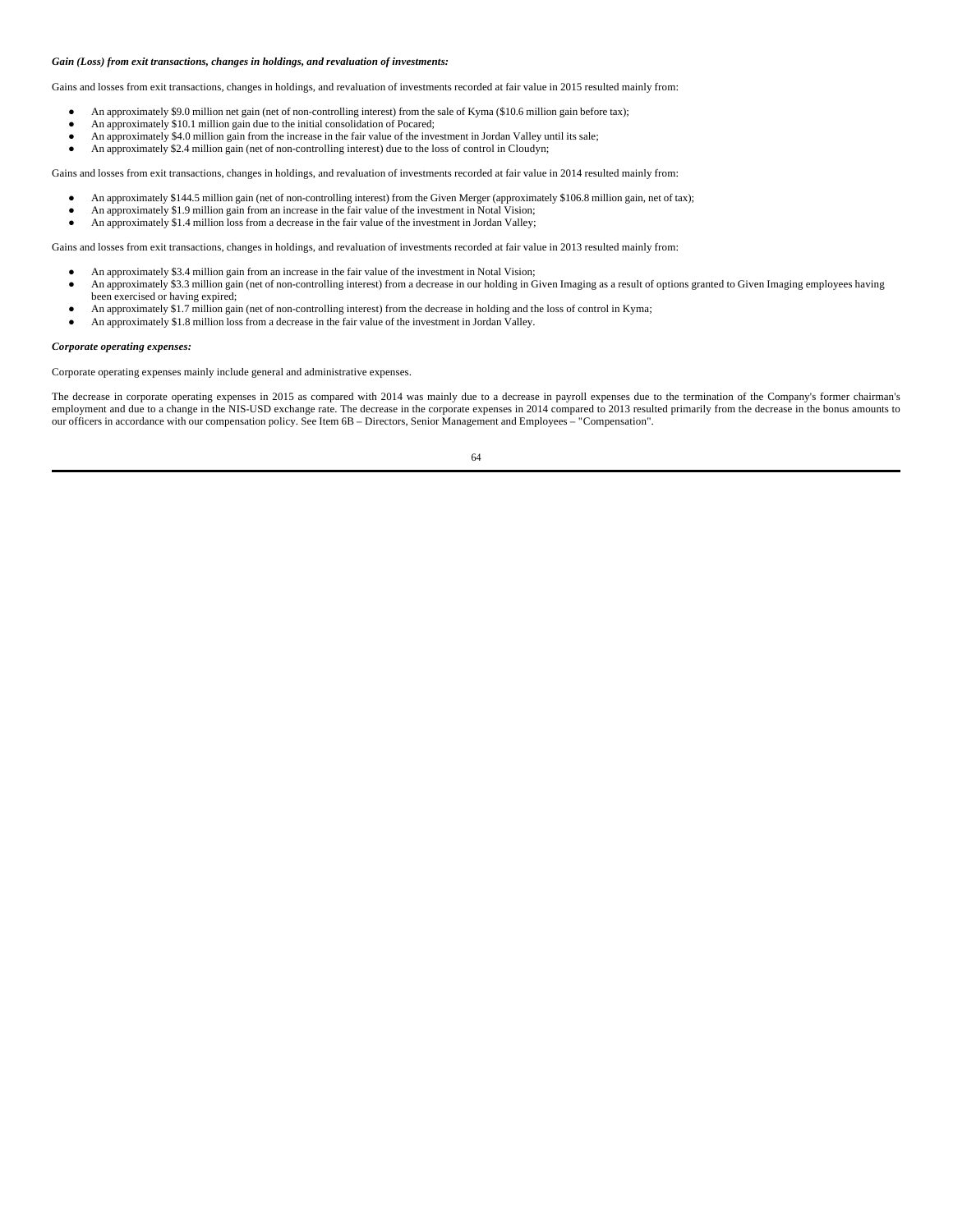## *Gain (Loss) from exit transactions, changes in holdings, and revaluation of investments:*

Gains and losses from exit transactions, changes in holdings, and revaluation of investments recorded at fair value in 2015 resulted mainly from:

- An approximately \$9.0 million net gain (net of non-controlling interest) from the sale of Kyma (\$10.6 million gain before tax);
- An approximately \$10.1 million gain due to the initial consolidation of Pocared;
- An approximately \$4.0 million gain from the increase in the fair value of the investment in Jordan Valley until its sale;
- An approximately \$2.4 million gain (net of non-controlling interest) due to the loss of control in Cloudyn;

Gains and losses from exit transactions, changes in holdings, and revaluation of investments recorded at fair value in 2014 resulted mainly from:

- An approximately \$144.5 million gain (net of non-controlling interest) from the Given Merger (approximately \$106.8 million gain, net of tax);
- An approximately \$1.9 million gain from an increase in the fair value of the investment in Notal Vision;
- An approximately \$1.4 million loss from a decrease in the fair value of the investment in Jordan Valley;

Gains and losses from exit transactions, changes in holdings, and revaluation of investments recorded at fair value in 2013 resulted mainly from:

- An approximately \$3.4 million gain from an increase in the fair value of the investment in Notal Vision;
- An approximately \$3.3 million gain (net of non-controlling interest) from a decrease in our holding in Given Imaging as a result of options granted to Given Imaging employees having been exercised or having expired;
- An approximately \$1.7 million gain (net of non-controlling interest) from the decrease in holding and the loss of control in Kyma;
- An approximately \$1.8 million loss from a decrease in the fair value of the investment in Jordan Valley.

#### *Corporate operating expenses:*

Corporate operating expenses mainly include general and administrative expenses.

The decrease in corporate operating expenses in 2015 as compared with 2014 was mainly due to a decrease in payroll expenses due to the termination of the Company's former chairman's employment and due to a change in the NIS-USD exchange rate. The decrease in the corporate expenses in 2014 compared to 2013 resulted primarily from the decrease in the bonus amounts to<br>our officers in accordance with our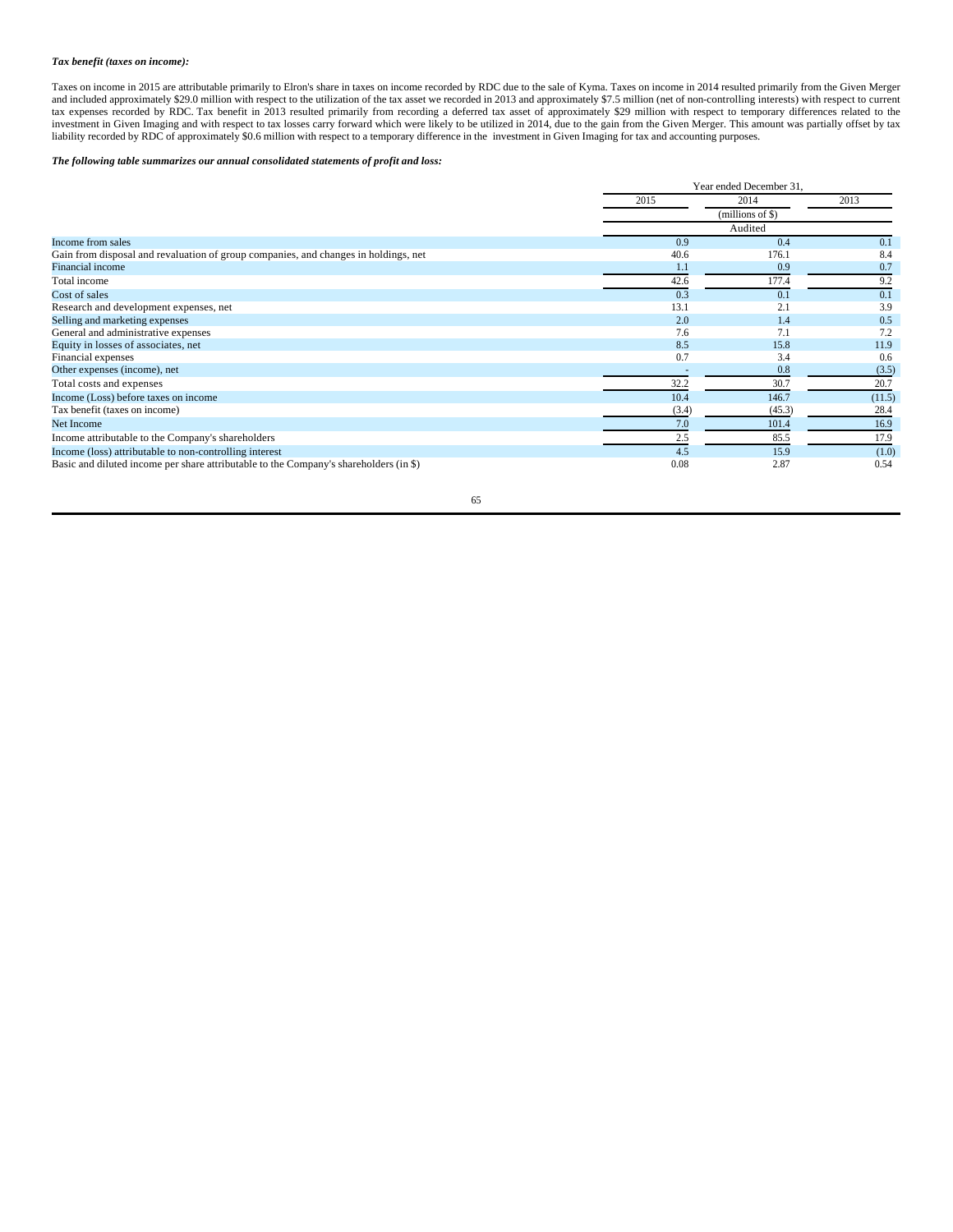### *Tax benefit (taxes on income):*

Taxes on income in 2015 are attributable primarily to Elron's share in taxes on income recorded by RDC due to the sale of Kyma. Taxes on income in 2014 resulted primarily from the Given Merger<br>and included approximately \$2 tax expenses recorded by RDC. Tax benefit in 2013 resulted primarily from recording a deferred tax asset of approximately \$29 million with respect to temporary differences related to the investment in Given Merging and wit liability recorded by RDC of approximately \$0.6 million with respect to a temporary difference in the investment in Given Imaging for tax and accounting purposes.

## *The following table summarizes our annual consolidated statements of profit and loss:*

|                                                                                       |       | Year ended December 31,<br>2014<br>2015<br>$(millions of \$))$<br>Audited<br>0.9<br>0.4<br>40.6<br>176.1 |        |
|---------------------------------------------------------------------------------------|-------|----------------------------------------------------------------------------------------------------------|--------|
|                                                                                       |       |                                                                                                          | 2013   |
|                                                                                       |       |                                                                                                          |        |
|                                                                                       |       |                                                                                                          |        |
| Income from sales                                                                     |       |                                                                                                          | 0.1    |
| Gain from disposal and revaluation of group companies, and changes in holdings, net   |       |                                                                                                          | 8.4    |
| Financial income                                                                      | 1.1   | 0.9                                                                                                      | 0.7    |
| Total income                                                                          | 42.6  | 177.4                                                                                                    | 9.2    |
| Cost of sales                                                                         | 0.3   | 0.1                                                                                                      | 0.1    |
| Research and development expenses, net                                                | 13.1  | 2.1                                                                                                      | 3.9    |
| Selling and marketing expenses                                                        | 2.0   | 1.4                                                                                                      | 0.5    |
| General and administrative expenses                                                   | 7.6   | 7.1                                                                                                      | 7.2    |
| Equity in losses of associates, net                                                   | 8.5   | 15.8                                                                                                     | 11.9   |
| Financial expenses                                                                    | 0.7   | 3.4                                                                                                      | 0.6    |
| Other expenses (income), net                                                          |       | 0.8                                                                                                      | (3.5)  |
| Total costs and expenses                                                              | 32.2  | 30.7                                                                                                     | 20.7   |
| Income (Loss) before taxes on income                                                  | 10.4  | 146.7                                                                                                    | (11.5) |
| Tax benefit (taxes on income)                                                         | (3.4) | (45.3)                                                                                                   | 28.4   |
| Net Income                                                                            | 7.0   | 101.4                                                                                                    | 16.9   |
| Income attributable to the Company's shareholders                                     | 2.5   | 85.5                                                                                                     | 17.9   |
| Income (loss) attributable to non-controlling interest                                | 4.5   | 15.9                                                                                                     | (1.0)  |
| Basic and diluted income per share attributable to the Company's shareholders (in \$) | 0.08  | 2.87                                                                                                     | 0.54   |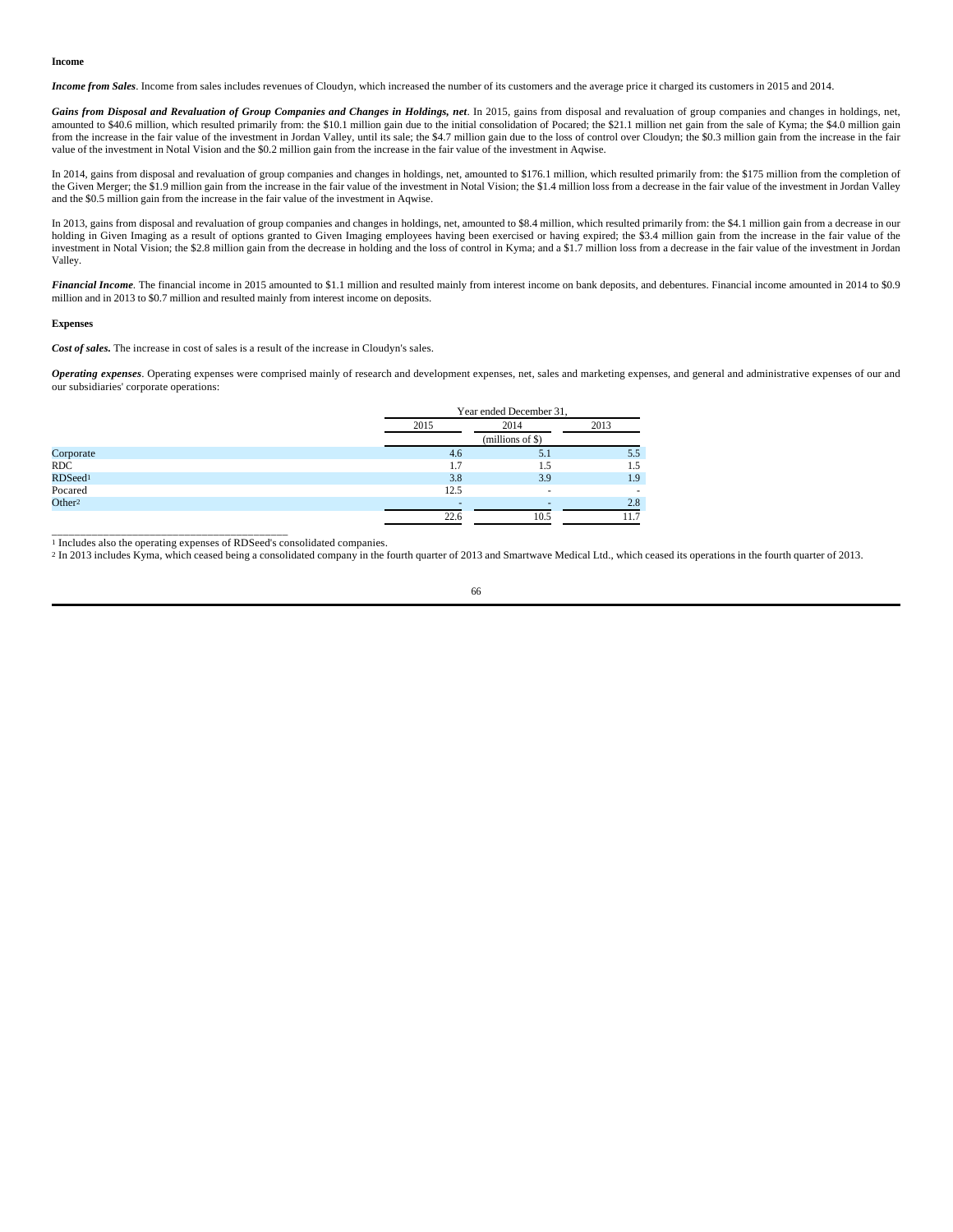**Income**

*Income from Sales*. Income from sales includes revenues of Cloudyn, which increased the number of its customers and the average price it charged its customers in 2015 and 2014.

Gains from Disposal and Revaluation of Group Companies and Changes in Holdings, net. In 2015, gains from disposal and revaluation of group companies and changes in holdings, net, amounted to \$40.6 million, which resulted primarily from: the \$10.1 million gain due to the initial consolidation of Pocared; the \$21.1 million net gain from the sale of Kyma; the \$4.0 million gain from the increase in the fair value of the investment in Jordan Valley, until its sale; the \$4.7 million gain due to the loss of control over Cloudyn; the \$0.3 million gain from the increase in the fair value of the investment in Notal Vision and the \$0.2 million gain from the increase in the fair value of the investment in Aqwise.

In 2014, gains from disposal and revaluation of group companies and changes in holdings, net, amounted to \$176.1 million, which resulted primarily from: the \$175 million from the completion of the Given Merger; the \$1.9 million gain from the increase in the fair value of the investment in Notal Vision; the \$1.4 million loss from a decrease in the fair value of the investment in Jordan Valley and the \$0.5 million gain from the increase in the fair value of the investment in Aqwise.

In 2013, gains from disposal and revaluation of group companies and changes in holdings, net, amounted to \$8.4 million, which resulted primarily from: the \$4.1 million gain from a decrease in our holding in Given Imaging as a result of options granted to Given Imaging employees having been exercised or having expired; the \$3.4 million gain from the increase in the fair value of the investment in Notal Vision; the \$2.8 million gain from the decrease in holding and the loss of control in Kyma; and a \$1.7 million loss from a decrease in the fair value of the investment in Jordan **Valley** 

*Financial Income.* The financial income in 2015 amounted to \$1.1 million and resulted mainly from interest income on bank deposits, and debentures. Financial income amounted in 2014 to \$0.9 million and in 2013 to \$0.7 million and resulted mainly from interest income on deposits.

#### **Expenses**

*Cost of sales.* The increase in cost of sales is a result of the increase in Cloudyn's sales.

*Operating expenses*. Operating expenses were comprised mainly of research and development expenses, net, sales and marketing expenses, and general and administrative expenses of our and our subsidiaries' corporate operations:

|                     |                          | Year ended December 31,  |      |  |  |
|---------------------|--------------------------|--------------------------|------|--|--|
|                     | 2015                     | 2014                     | 2013 |  |  |
|                     |                          | $(millions of \$))$      |      |  |  |
| Corporate           | 4.6                      | 5.1                      | 5.5  |  |  |
| <b>RDC</b>          | 1.7                      | 1.5                      | L.)  |  |  |
| RDSeed <sup>1</sup> | 3.8                      | 3.9                      | 1.9  |  |  |
| Pocared             | 12.5                     | $\overline{\phantom{a}}$ |      |  |  |
| Other <sup>2</sup>  | $\overline{\phantom{a}}$ |                          | 2.8  |  |  |
|                     | 22.6                     | 10.5                     | 11.7 |  |  |

\_\_\_\_\_\_\_\_\_\_\_\_\_\_\_\_\_\_\_\_\_\_\_\_\_\_\_\_\_\_\_\_\_\_\_\_\_\_\_\_\_ <sup>1</sup> Includes also the operating expenses of RDSeed's consolidated companies.

<sup>2</sup> In 2013 includes Kyma, which ceased being a consolidated company in the fourth quarter of 2013 and Smartwave Medical Ltd., which ceased its operations in the fourth quarter of 2013.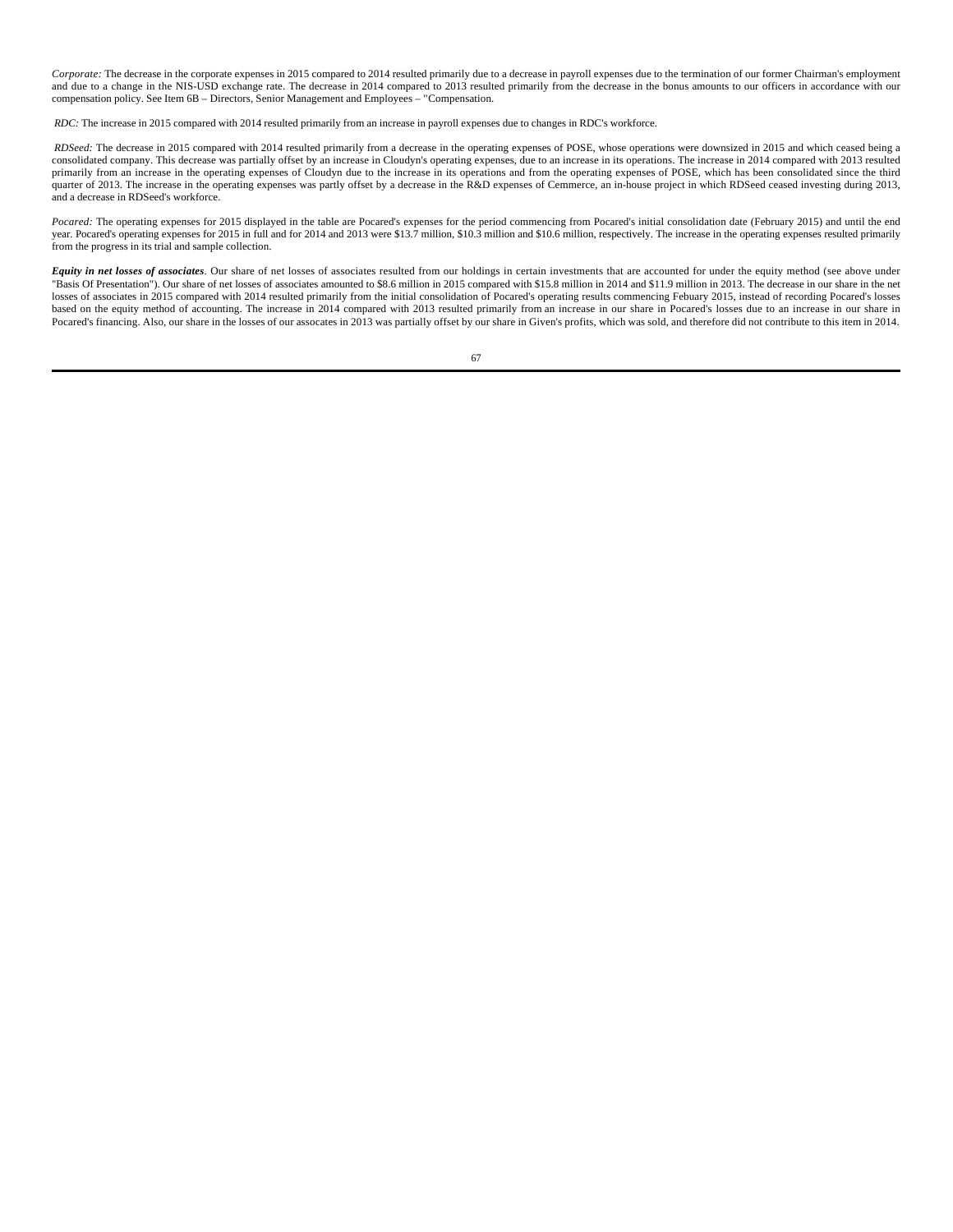*Corporate:* The decrease in the corporate expenses in 2015 compared to 2014 resulted primarily due to a decrease in payroll expenses due to the termination of our former Chairman's employment and due to a change in the NIS-USD exchange rate. The decrease in 2014 compared to 2013 resulted primarily from the decrease in the bonus amounts to our officers in accordance with our compensation policy. See Item 6B – Directors, Senior Management and Employees – "Compensation.

*RDC:* The increase in 2015 compared with 2014 resulted primarily from an increase in payroll expenses due to changes in RDC's workforce.

*RDSeed:* The decrease in 2015 compared with 2014 resulted primarily from a decrease in the operating expenses of POSE, whose operations were downsized in 2015 and which ceased being a consolidated company. This decrease was partially offset by an increase in Cloudyn's operating expenses, due to an increase in its operations. The increase in 2014 compared with 2013 resulted primarily from an increase in the operating expenses of Cloudyn due to the increase in its operations and from the operating expenses of POSE, which has been consolidated since the third quarter of 2013. The increase in the operating expenses was partly offset by a decrease in the R&D expenses of Cemmerce, an in-house project in which RDSeed ceased investing during 2013, and a decrease in RDSeed's workforce.

*Pocared:* The operating expenses for 2015 displayed in the table are Pocared's expenses for the period commencing from Pocared's initial consolidation date (February 2015) and until the end year. Pocared's operating expenses for 2015 in full and for 2014 and 2013 were \$13.7 million, \$10.3 million and \$10.6 million, respectively. The increase in the operating expenses resulted primarily from the progress in its trial and sample collection.

Equity in net losses of associates. Our share of net losses of associates resulted from our holdings in certain investments that are accounted for under the equity method (see above under "Basis Of Presentation"). Our share of net losses of associates amounted to \$8.6 million in 2015 compared with \$15.8 million in 2014 and \$11.9 million in 2013. The decrease in our share in the net losses of associates in 2015 compared with 2014 resulted primarily from the initial consolidation of Pocared's operating results commencing Febuary 2015, instead of recording Pocared's losses based on the equity method of accounting. The increase in 2014 compared with 2013 resulted primarily from an increase in our share in Pocared's losses due to an increase in our share in Pocared's financing. Also, our share in the losses of our assocates in 2013 was partially offset by our share in Given's profits, which was sold, and therefore did not contribute to this item in 2014.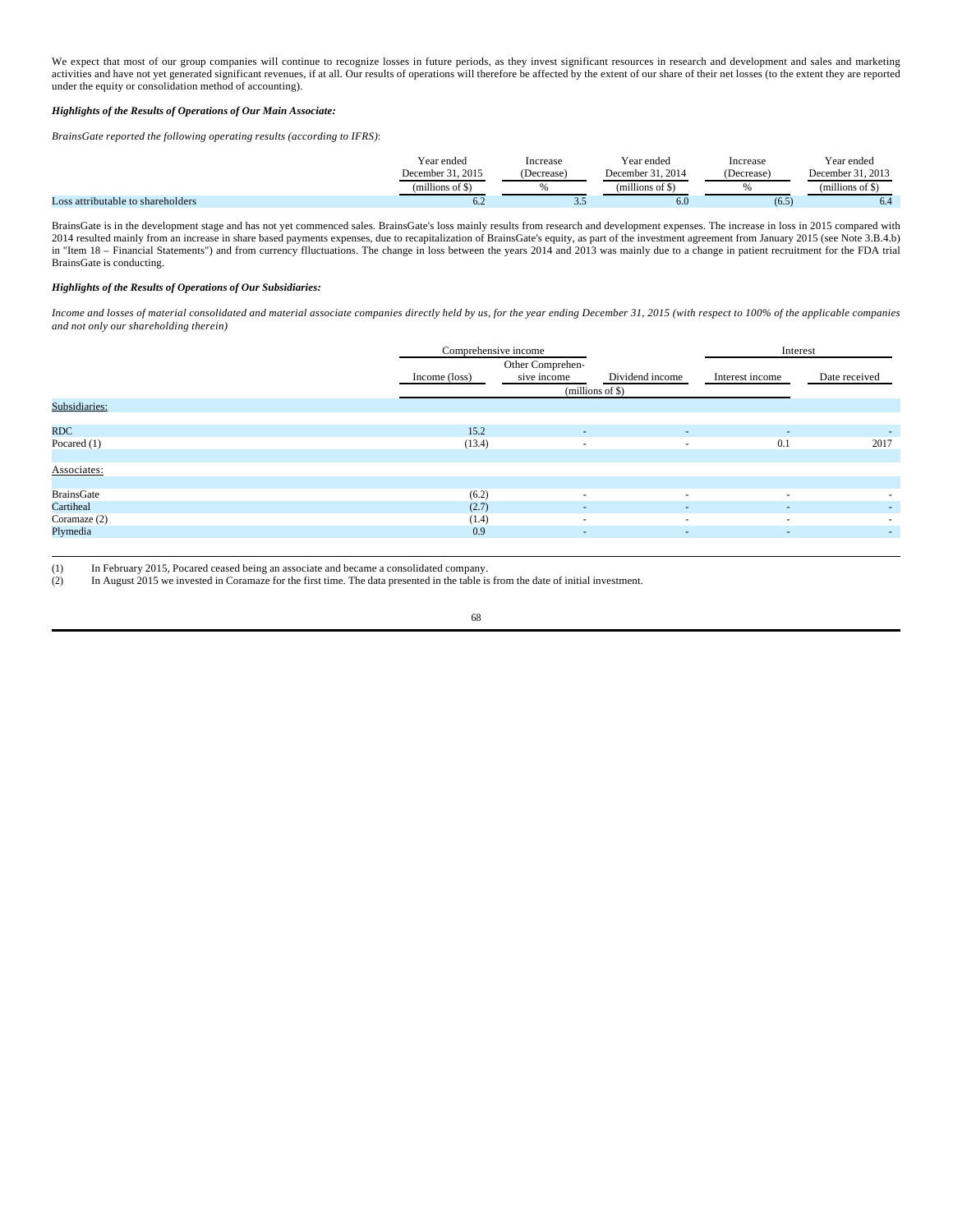We expect that most of our group companies will continue to recognize losses in future periods, as they invest significant resources in research and development and sales and marketing activities and have not yet generated significant revenues, if at all. Our results of operations will therefore be affected by the extent of our share of their net losses (to the extent they are reported under the equity or consolidation method of accounting).

## *Highlights of the Results of Operations of Our Main Associate:*

*BrainsGate reported the following operating results (according to IFRS)*:

|                                   | Year ended        | Increase  | Year ended        | Increase  | Year ended        |
|-----------------------------------|-------------------|-----------|-------------------|-----------|-------------------|
|                                   | December 31, 2015 | Decrease) | December 31, 2014 | Decrease) | December 31, 2013 |
|                                   | (millions of S.   |           | (millions of S.   |           | (millions of S.   |
| Loss attributable to shareholders | 6.Z               | ر. د      | 6.0               | (6.5)     | 6.4               |

BrainsGate is in the development stage and has not yet commenced sales. BrainsGate's loss mainly results from research and development expenses. The increase in loss in 2015 compared with 2014 resulted mainly from an increase in share based payments expenses, due to recapitalization of BrainsGate's equity, as part of the investment agreement from January 2015 (see Note 3.B.4.b) in "Item 18 – Financial Statements") and from currency flluctuations. The change in loss between the years 2014 and 2013 was mainly due to a change in patient recruitment for the FDA trial BrainsGate is conducting.

### *Highlights of the Results of Operations of Our Subsidiaries:*

*Income and losses of material consolidated and material associate companies directly held by us, for the year ending December 31, 2015 (with respect to 100% of the applicable companies and not only our shareholding therein)*

|               |               | Comprehensive income            |                 | Interest        |                          |
|---------------|---------------|---------------------------------|-----------------|-----------------|--------------------------|
|               | Income (loss) | Other Comprehen-<br>sive income | Dividend income | Interest income | Date received            |
|               |               | (millions of \$)                |                 |                 |                          |
| Subsidiaries: |               |                                 |                 |                 |                          |
|               |               |                                 |                 |                 |                          |
| <b>RDC</b>    | 15.2          | $\sim$                          | $\sim$          | $\overline{a}$  | $\overline{\phantom{a}}$ |
| Pocared $(1)$ | (13.4)        | $\sim$                          | $\sim$          | 0.1             | 2017                     |
|               |               |                                 |                 |                 |                          |
| Associates:   |               |                                 |                 |                 |                          |
|               |               |                                 |                 |                 |                          |
| BrainsGate    | (6.2)         | $\sim$                          | $\sim$          | ۰               | -                        |
| Cartiheal     | (2.7)         | $\sim$                          | $\sim$          | $\sim$          | $\overline{\phantom{a}}$ |
| Coramaze (2)  | (1.4)         | $\sim$                          | $\sim$          | $\sim$          | $\sim$                   |
| Plymedia      | 0.9           | $\sim$                          | $\sim$          | $\sim$          | $\sim$                   |
|               |               |                                 |                 |                 |                          |

(1) In February 2015, Pocared ceased being an associate and became a consolidated company.<br>(2) In August 2015 we invested in Coramaze for the first time. The data presented in the table is from the date of initial investme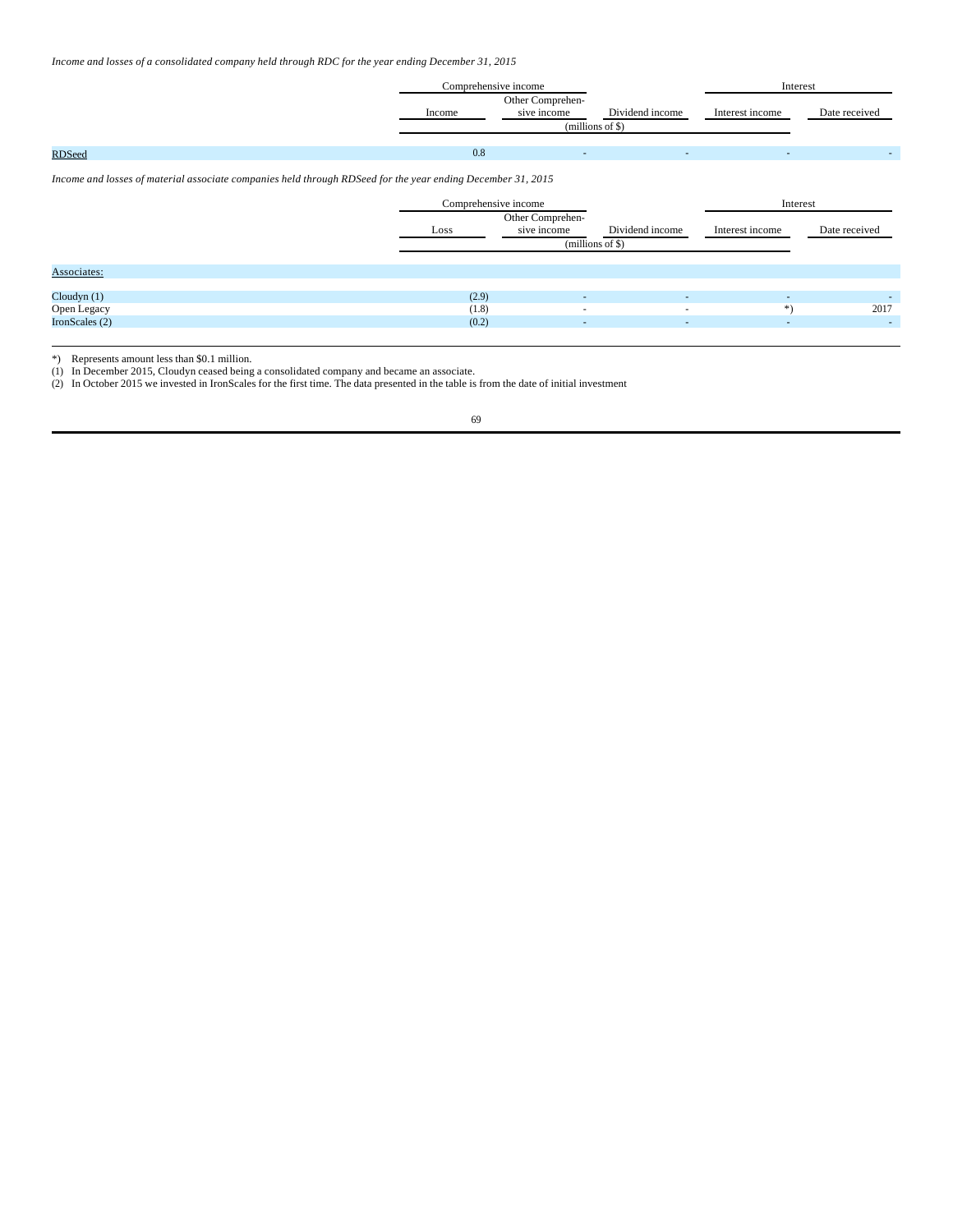|                                                                                                             | Comprehensive income |                                 |                                       | Interest        |               |
|-------------------------------------------------------------------------------------------------------------|----------------------|---------------------------------|---------------------------------------|-----------------|---------------|
|                                                                                                             | Income               | Other Comprehen-<br>sive income | Dividend income<br>$(millions of \S)$ | Interest income | Date received |
| <b>RDSeed</b>                                                                                               | 0.8                  |                                 |                                       |                 |               |
| Income and losses of material associate companies held through RDSeed for the year ending December 31, 2015 |                      |                                 |                                       |                 |               |

|                  | Comprehensive income |                                                        |                 | Interest                 |               |
|------------------|----------------------|--------------------------------------------------------|-----------------|--------------------------|---------------|
|                  | Loss                 | Other Comprehen-<br>sive income<br>$(millions of \$))$ | Dividend income | Interest income          | Date received |
|                  |                      |                                                        |                 |                          |               |
| Associates:      |                      |                                                        |                 |                          |               |
| Cloudyn(1)       | (2.9)                | $\overline{\phantom{a}}$                               | $\overline{a}$  | $\overline{\phantom{a}}$ | ۰             |
| Open Legacy      | (1.8)                | $\overline{\phantom{a}}$                               |                 | 米)                       | 2017          |
| IronScales $(2)$ | (0.2)                |                                                        |                 |                          |               |

\*) Represents amount less than \$0.1 million.<br>(1) In December 2015, Cloudyn ceased being a consolidated company and became an associate.<br>(2) In October 2015 we invested in IronScales for the first time. The data presented i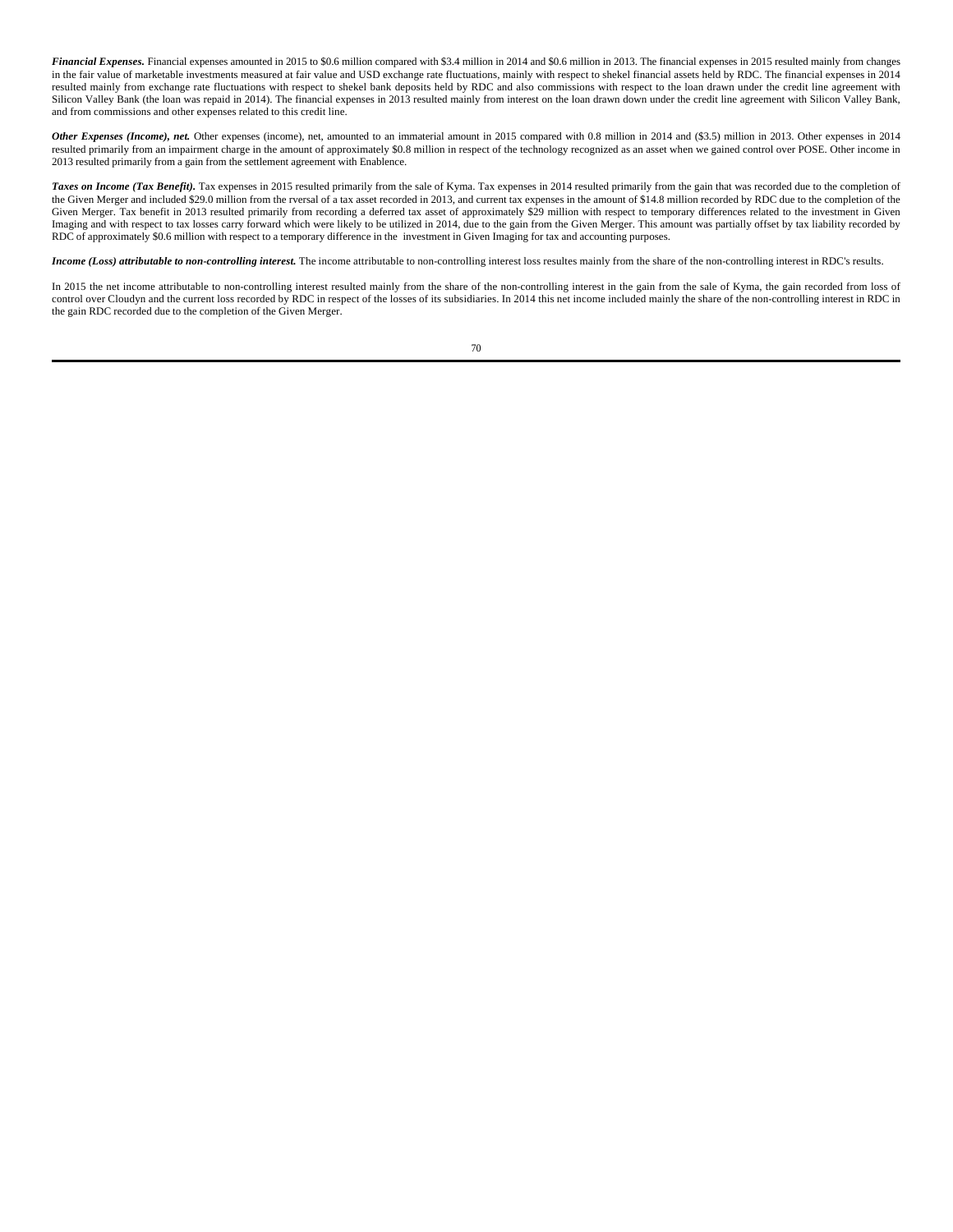*Financial Expenses.* Financial expenses amounted in 2015 to \$0.6 million compared with \$3.4 million in 2014 and \$0.6 million in 2013. The financial expenses in 2015 resulted mainly from changes in the fair value of marketable investments measured at fair value and USD exchange rate fluctuations, mainly with respect to shekel financial assets held by RDC. The financial expenses in 2014 resulted mainly from exchange rate fluctuations with respect to shekel bank deposits held by RDC and also commissions with respect to the loan drawn under the credit line agreement with Silicon Valley Bank (the loan was repaid in 2014). The financial expenses in 2013 resulted mainly from interest on the loan drawn down under the credit line agreement with Silicon Valley Bank, and from commissions and other expenses related to this credit line.

*Other Expenses (Income), net.* Other expenses (income), net, amounted to an immaterial amount in 2015 compared with 0.8 million in 2014 and (\$3.5) million in 2013. Other expenses in 2014 resulted primarily from an impairment charge in the amount of approximately \$0.8 million in respect of the technology recognized as an asset when we gained control over POSE. Other income in 2013 resulted primarily from a gain from the settlement agreement with Enablence.

Taxes on Income (Tax Benefit). Tax expenses in 2015 resulted primarily from the sale of Kyma. Tax expenses in 2014 resulted primarily from the gain that was recorded due to the completion of the Given Merger and included \$29.0 million from the rversal of a tax asset recorded in 2013, and current tax expenses in the amount of \$14.8 million recorded by RDC due to the completion of the Given Merger. Tax benefit in 2013 resulted primarily from recording a deferred tax asset of approximately \$29 million with respect to temporary differences related to the investment in Given Imaging and with respect to tax losses carry forward which were likely to be utilized in 2014, due to the gain from the Given Merger. This amount was partially offset by tax liability recorded by RDC of approximately \$0.6 million with respect to a temporary difference in the investment in Given Imaging for tax and accounting purposes.

*Income (Loss) attributable to non-controlling interest.* The income attributable to non-controlling interest loss resultes mainly from the share of the non-controlling interest in RDC's results.

In 2015 the net income attributable to non-controlling interest resulted mainly from the share of the non-controlling interest in the gain from the sale of Kyma, the gain recorded from loss of control over Cloudyn and the current loss recorded by RDC in respect of the losses of its subsidiaries. In 2014 this net income included mainly the share of the non-controlling interest in RDC in the gain RDC recorded due to the completion of the Given Merger.

| ۰ | M | I<br>۰. |  |
|---|---|---------|--|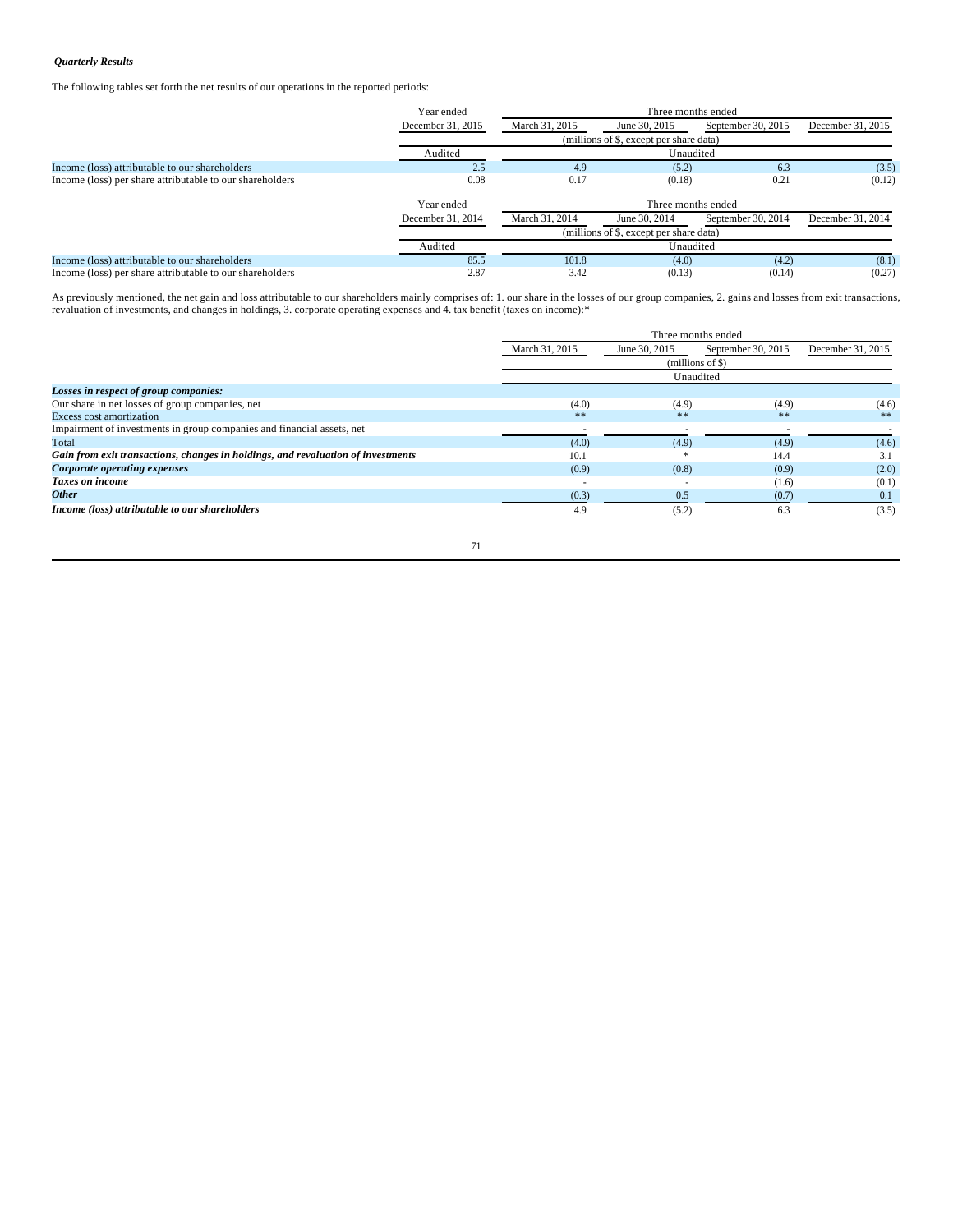# *Quarterly Results*

The following tables set forth the net results of our operations in the reported periods:

|                                                          | Year ended        | Three months ended |                                         |                    |                   |
|----------------------------------------------------------|-------------------|--------------------|-----------------------------------------|--------------------|-------------------|
|                                                          | December 31, 2015 | March 31, 2015     | June 30, 2015                           | September 30, 2015 | December 31, 2015 |
|                                                          |                   |                    | (millions of \$, except per share data) |                    |                   |
|                                                          | Audited           |                    | Unaudited                               |                    |                   |
| Income (loss) attributable to our shareholders           | 2.5               | 4.9                | (5.2)                                   | 6.3                | (3.5)             |
| Income (loss) per share attributable to our shareholders | 0.08              | 0.17               | (0.18)                                  | 0.21               | (0.12)            |
|                                                          | Year ended        | Three months ended |                                         |                    |                   |
|                                                          | December 31, 2014 | March 31, 2014     | June 30, 2014                           | September 30, 2014 | December 31, 2014 |
|                                                          |                   |                    | (millions of \$, except per share data) |                    |                   |
|                                                          | Audited           |                    | Unaudited                               |                    |                   |
| Income (loss) attributable to our shareholders           | 85.5              | 101.8              | (4.0)                                   | (4.2)              | (8.1)             |
| Income (loss) per share attributable to our shareholders | 2.87              | 3.42               | (0.13)                                  | (0.14)             | (0.27)            |

As previously mentioned, the net gain and loss attributable to our shareholders mainly comprises of: 1. our share in the losses of our group companies, 2. gains and losses from exit transactions, revaluation of investments

|                                                                                  |                | Three months ended              |                    |                   |  |
|----------------------------------------------------------------------------------|----------------|---------------------------------|--------------------|-------------------|--|
|                                                                                  | March 31, 2015 | June 30, 2015                   | September 30, 2015 | December 31, 2015 |  |
|                                                                                  |                | $(millions of \$)$<br>Unaudited |                    |                   |  |
|                                                                                  |                |                                 |                    |                   |  |
| Losses in respect of group companies:                                            |                |                                 |                    |                   |  |
| Our share in net losses of group companies, net                                  | (4.0)          | (4.9)                           | (4.9)              | (4.6)             |  |
| Excess cost amortization                                                         | **             | **                              | **                 | **                |  |
| Impairment of investments in group companies and financial assets, net           |                |                                 |                    |                   |  |
| Total                                                                            | (4.0)          | (4.9)                           | (4.9)              | (4.6)             |  |
| Gain from exit transactions, changes in holdings, and revaluation of investments | 10.1           | ×.                              | 14.4               | 3.1               |  |
| Corporate operating expenses                                                     | (0.9)          | (0.8)                           | (0.9)              | (2.0)             |  |
| Taxes on income                                                                  |                |                                 | (1.6)              | (0.1)             |  |
| <b>Other</b>                                                                     | (0.3)          | 0.5                             | (0.7)              | 0.1               |  |
| Income (loss) attributable to our shareholders                                   | 4.9            | (5.2)                           | 6.3                | (3.5)             |  |
|                                                                                  |                |                                 |                    |                   |  |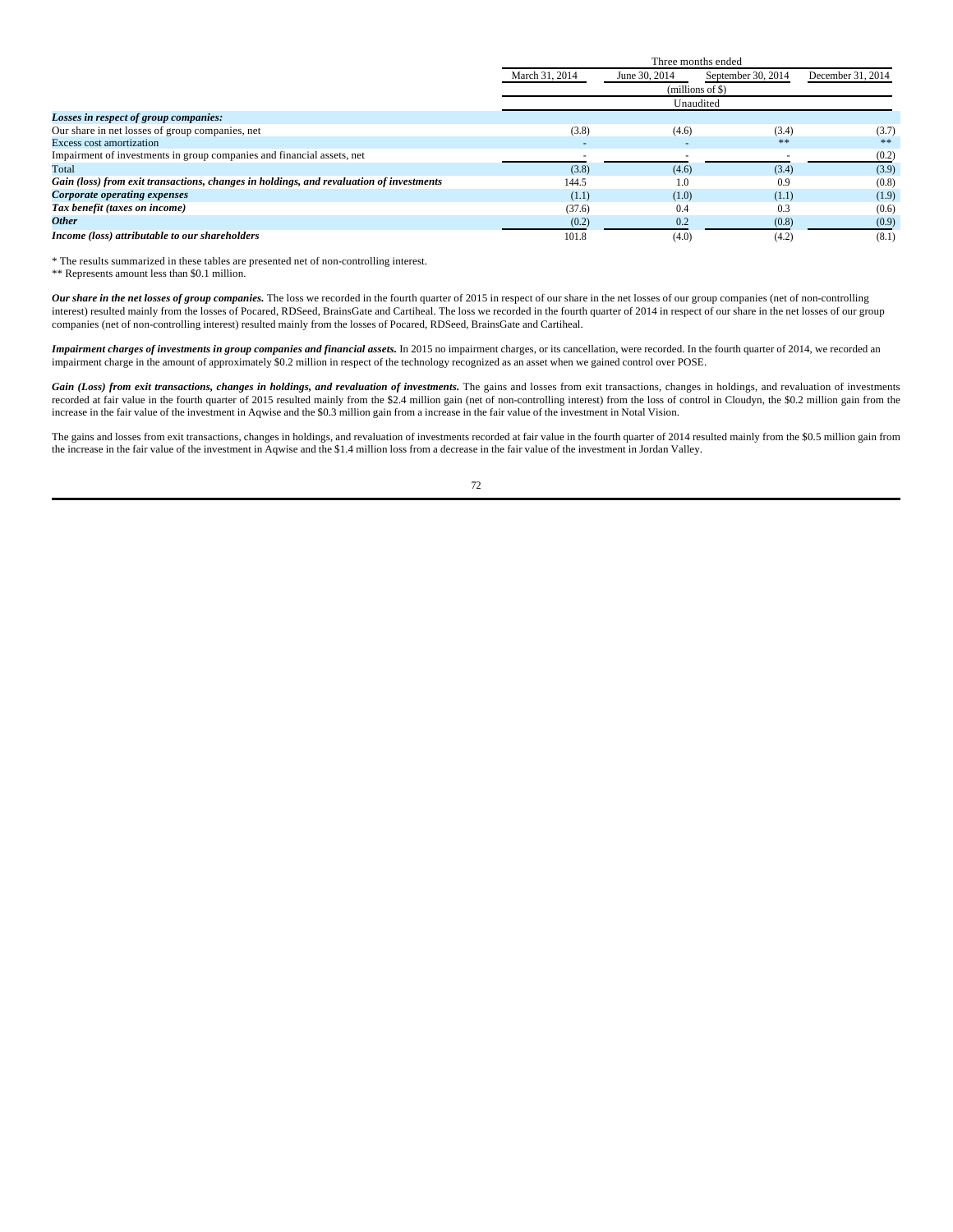|                                                                                         | Three months ended |               |                    |                   |  |
|-----------------------------------------------------------------------------------------|--------------------|---------------|--------------------|-------------------|--|
|                                                                                         | March 31, 2014     | June 30, 2014 | September 30, 2014 | December 31, 2014 |  |
|                                                                                         | $(millions of \$)$ |               |                    |                   |  |
|                                                                                         | Unaudited          |               |                    |                   |  |
| Losses in respect of group companies:                                                   |                    |               |                    |                   |  |
| Our share in net losses of group companies, net                                         | (3.8)              | (4.6)         | (3.4)              | (3.7)             |  |
| <b>Excess cost amortization</b>                                                         |                    |               | **                 | **                |  |
| Impairment of investments in group companies and financial assets, net                  |                    |               |                    | (0.2)             |  |
| Total                                                                                   | (3.8)              | (4.6)         | (3.4)              | (3.9)             |  |
| Gain (loss) from exit transactions, changes in holdings, and revaluation of investments | 144.5              | 1.0           | 0.9                | (0.8)             |  |
| Corporate operating expenses                                                            | (1.1)              | (1.0)         | (1.1)              | (1.9)             |  |
| Tax benefit (taxes on income)                                                           | (37.6)             | 0.4           | 0.3                | (0.6)             |  |
| <b>Other</b>                                                                            | (0.2)              | 0.2           | (0.8)              | (0.9)             |  |
| Income (loss) attributable to our shareholders                                          | 101.8              | (4.0)         | (4.2)              | (8.1)             |  |

\* The results summarized in these tables are presented net of non-controlling interest.

\*\* Represents amount less than \$0.1 million.

*Our share in the net losses of group companies.* The loss we recorded in the fourth quarter of 2015 in respect of our share in the net losses of our group companies (net of non-controlling interest) resulted mainly from the losses of Pocared, RDSeed, BrainsGate and Cartiheal. The loss we recorded in the fourth quarter of 2014 in respect of our share in the net losses of our group companies (net of non-controlling interest) resulted mainly from the losses of Pocared, RDSeed, BrainsGate and Cartiheal.

*Impairment charges of investments in group companies and financial assets.* In 2015 no impairment charges, or its cancellation, were recorded. In the fourth quarter of 2014, we recorded an impairment charge in the amount of approximately \$0.2 million in respect of the technology recognized as an asset when we gained control over POSE.

Gain (Loss) from exit transactions, changes in holdings, and revaluation of investments. The gains and losses from exit transactions, changes in holdings, and revaluation of investments recorded at fair value in the fourth quarter of 2015 resulted mainly from the \$2.4 million gain (net of non-controlling interest) from the loss of control in Cloudyn, the \$0.2 million gain from the increase in the fair value of the investment in Aqwise and the \$0.3 million gain from a increase in the fair value of the investment in Notal Vision.

The gains and losses from exit transactions, changes in holdings, and revaluation of investments recorded at fair value in the fourth quarter of 2014 resulted mainly from the \$0.5 million gain from<br>the increase in the fair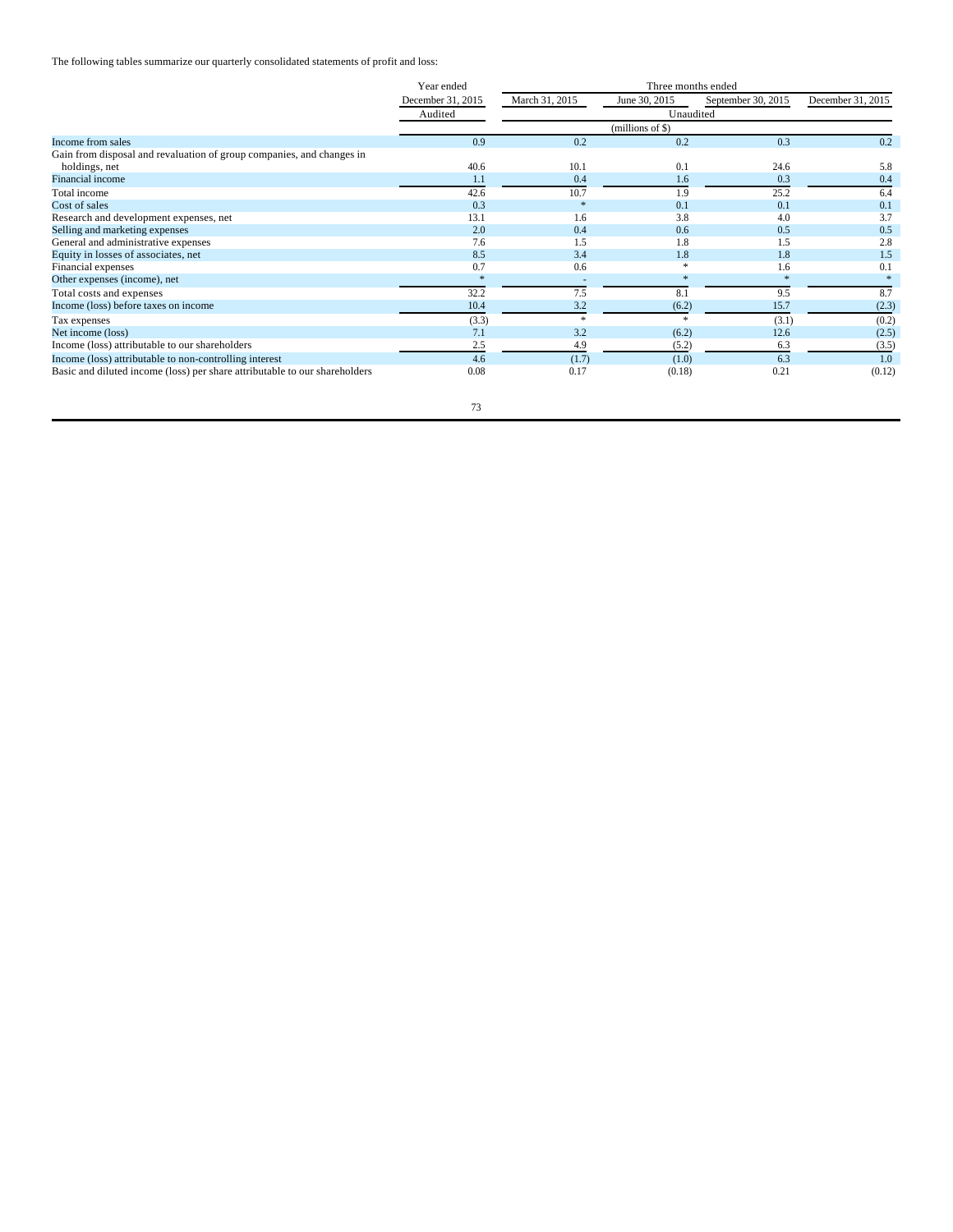The following tables summarize our quarterly consolidated statements of profit and loss:

|                                                                            | Year ended        | Three months ended |                     |                    |                   |
|----------------------------------------------------------------------------|-------------------|--------------------|---------------------|--------------------|-------------------|
|                                                                            | December 31, 2015 | March 31, 2015     | June 30, 2015       | September 30, 2015 | December 31, 2015 |
|                                                                            | Audited           |                    | Unaudited           |                    |                   |
|                                                                            |                   |                    | $(millions of \$))$ |                    |                   |
| Income from sales                                                          | 0.9               | 0.2                | 0.2                 | 0.3                | 0.2               |
| Gain from disposal and revaluation of group companies, and changes in      |                   |                    |                     |                    |                   |
| holdings, net                                                              | 40.6              | 10.1               | 0.1                 | 24.6               | 5.8               |
| <b>Financial income</b>                                                    | 1.1               | 0.4                | 1.6                 | 0.3                | 0.4               |
| Total income                                                               | 42.6              | 10.7               | 1.9                 | 25.2               | 6.4               |
| Cost of sales                                                              | 0.3               |                    | 0.1                 | 0.1                | 0.1               |
| Research and development expenses, net                                     | 13.1              | 1.6                | 3.8                 | 4.0                | 3.7               |
| Selling and marketing expenses                                             | 2.0               | 0.4                | 0.6                 | 0.5                | 0.5               |
| General and administrative expenses                                        | 7.6               | 1.5                | 1.8                 | 1.5                | 2.8               |
| Equity in losses of associates, net                                        | 8.5               | 3.4                | 1.8                 | 1.8                | 1.5               |
| Financial expenses                                                         | 0.7               | 0.6                |                     | 1.6                | 0.1               |
| Other expenses (income), net                                               |                   |                    |                     |                    |                   |
| Total costs and expenses                                                   | 32.2              | 7.5                | 8.1                 | 9.5                | 8.7               |
| Income (loss) before taxes on income                                       | 10.4              | 3.2                | (6.2)               | 15.7               | (2.3)             |
| Tax expenses                                                               | (3.3)             | S.                 | ×.                  | (3.1)              | (0.2)             |
| Net income (loss)                                                          | 7.1               | 3.2                | (6.2)               | 12.6               | (2.5)             |
| Income (loss) attributable to our shareholders                             | 2.5               | 4.9                | (5.2)               | 6.3                | (3.5)             |
| Income (loss) attributable to non-controlling interest                     | 4.6               | (1.7)              | (1.0)               | 6.3                | 1.0               |
| Basic and diluted income (loss) per share attributable to our shareholders | 0.08              | 0.17               | (0.18)              | 0.21               | (0.12)            |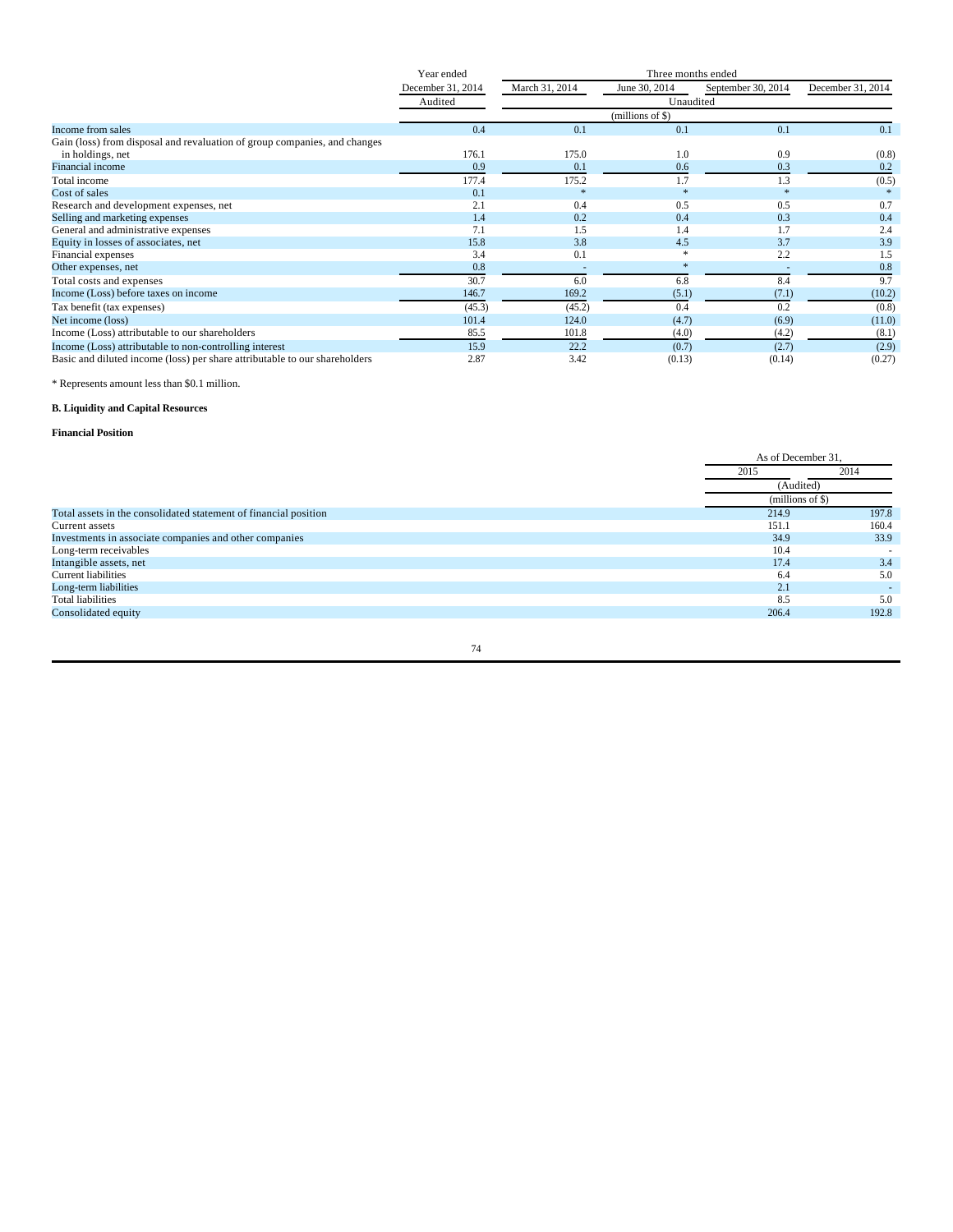|                                                                            | Year ended        |                | Three months ended  |                    |                   |  |
|----------------------------------------------------------------------------|-------------------|----------------|---------------------|--------------------|-------------------|--|
|                                                                            | December 31, 2014 | March 31, 2014 | June 30, 2014       | September 30, 2014 | December 31, 2014 |  |
|                                                                            | Audited           |                | Unaudited           |                    |                   |  |
|                                                                            |                   |                | $(millions of \$))$ |                    |                   |  |
| Income from sales                                                          | 0.4               | 0.1            | 0.1                 | 0.1                | 0.1               |  |
| Gain (loss) from disposal and revaluation of group companies, and changes  |                   |                |                     |                    |                   |  |
| in holdings, net                                                           | 176.1             | 175.0          | 1.0                 | 0.9                | (0.8)             |  |
| <b>Financial income</b>                                                    | 0.9               | 0.1            | 0.6                 | 0.3                | 0.2               |  |
| Total income                                                               | 177.4             | 175.2          | 1.7                 | 1.3                | (0.5)             |  |
| Cost of sales                                                              | 0.1               |                |                     |                    |                   |  |
| Research and development expenses, net                                     | 2.1               | 0.4            | 0.5                 | 0.5                | 0.7               |  |
| Selling and marketing expenses                                             | 1.4               | 0.2            | 0.4                 | 0.3                | 0.4               |  |
| General and administrative expenses                                        |                   | 1.5            | 1.4                 | 1.7                | 2.4               |  |
| Equity in losses of associates, net                                        | 15.8              | 3.8            | 4.5                 | 3.7                | 3.9               |  |
| Financial expenses                                                         | 3.4               | 0.1            |                     | 2.2                | 1.5               |  |
| Other expenses, net                                                        | 0.8               |                |                     |                    | 0.8               |  |
| Total costs and expenses                                                   | 30.7              | 6.0            | 6.8                 | 8.4                | 9.7               |  |
| Income (Loss) before taxes on income                                       | 146.7             | 169.2          | (5.1)               | (7.1)              | (10.2)            |  |
| Tax benefit (tax expenses)                                                 | (45.3)            | (45.2)         | 0.4                 | 0.2                | (0.8)             |  |
| Net income (loss)                                                          | 101.4             | 124.0          | (4.7)               | (6.9)              | (11.0)            |  |
| Income (Loss) attributable to our shareholders                             | 85.5              | 101.8          | (4.0)               | (4.2)              | (8.1)             |  |
| Income (Loss) attributable to non-controlling interest                     | 15.9              | 22.2           | (0.7)               | (2.7)              | (2.9)             |  |
| Basic and diluted income (loss) per share attributable to our shareholders | 2.87              | 3.42           | (0.13)              | (0.14)             | (0.27)            |  |

 $\,^*$  Represents amount less than \$0.1 million.

# **B. Liquidity and Capital Resources**

# **Financial Position**

|                                                                  | As of December 31.  |       |
|------------------------------------------------------------------|---------------------|-------|
|                                                                  | 2015                | 2014  |
|                                                                  | (Audited)           |       |
|                                                                  | $(millions of \$))$ |       |
| Total assets in the consolidated statement of financial position | 214.9               | 197.8 |
| Current assets                                                   | 151.1               | 160.4 |
| Investments in associate companies and other companies           | 34.9                | 33.9  |
| Long-term receivables                                            | 10.4                |       |
| Intangible assets, net                                           | 17.4                | 3.4   |
| <b>Current liabilities</b>                                       | 6.4                 | 5.0   |
| Long-term liabilities                                            | 2.1                 |       |
| Total liabilities                                                | 8.5                 | 5.0   |
| Consolidated equity                                              | 206.4               | 192.8 |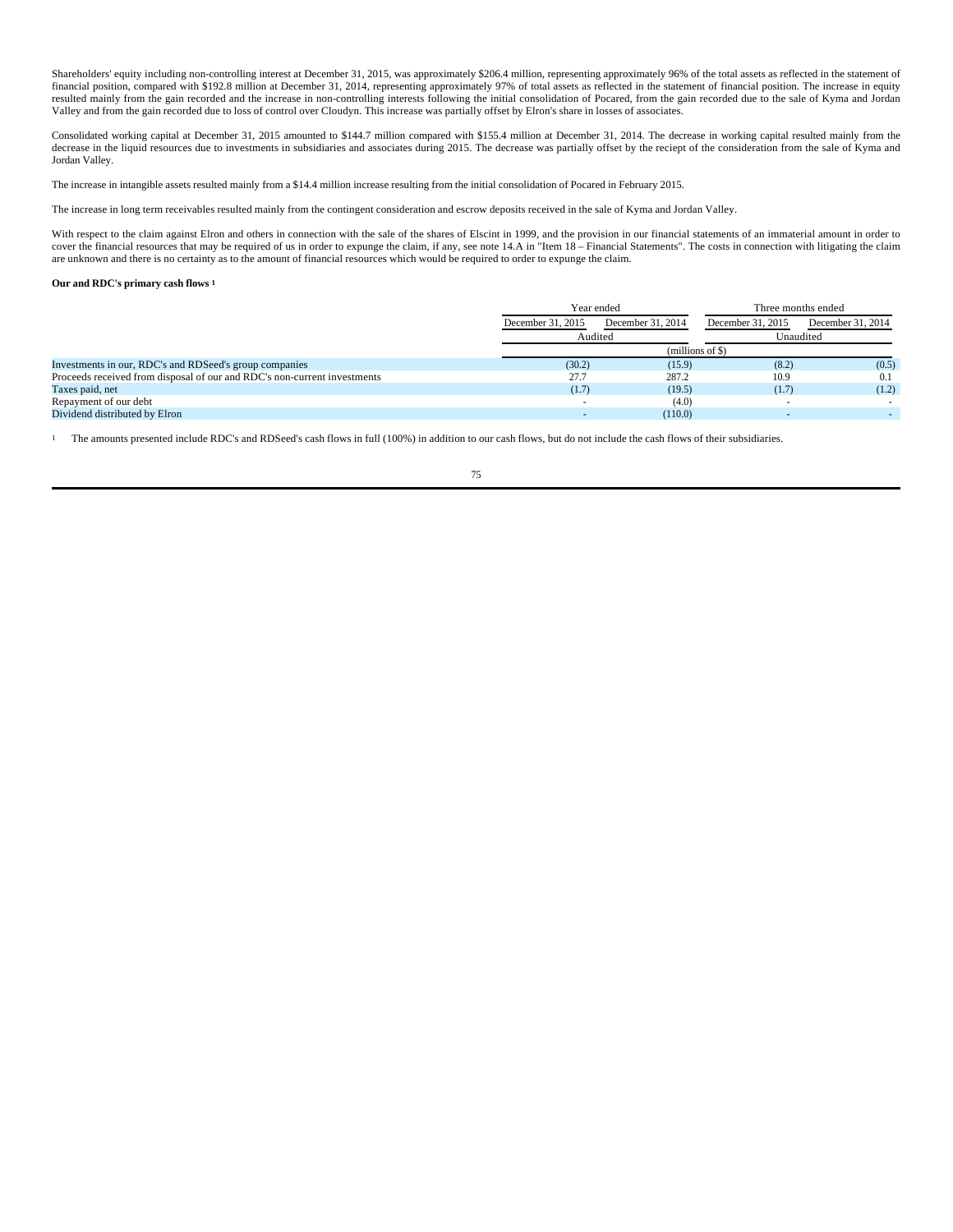Shareholders' equity including non-controlling interest at December 31, 2015, was approximately \$206.4 million, representing approximately 96% of the total assets as reflected in the statement of financial position, compared with \$192.8 million at December 31, 2014, representing approximately 97% of total assets as reflected in the statement of financial position. The increase in equity resulted mainly from the gain recorded and the increase in non-controlling interests following the initial consolidation of Pocared, from the gain recorded due to the sale of Kyma and Jordan Valley and from the gain recorded due to loss of control over Cloudyn. This increase was partially offset by Elron's share in losses of associates.

Consolidated working capital at December 31, 2015 amounted to \$144.7 million compared with \$155.4 million at December 31, 2014. The decrease in working capital resulted mainly from the decrease in the liquid resources due to investments in subsidiaries and associates during 2015. The decrease was partially offset by the reciept of the consideration from the sale of Kyma and Jordan Valley.

The increase in intangible assets resulted mainly from a \$14.4 million increase resulting from the initial consolidation of Pocared in February 2015.

The increase in long term receivables resulted mainly from the contingent consideration and escrow deposits received in the sale of Kyma and Jordan Valley.

With respect to the claim against Elron and others in connection with the sale of the shares of Elscint in 1999, and the provision in our financial statements of an immaterial amount in order to cover the financial resources that may be required of us in order to expunge the claim, if any, see note 14.A in "Item 18 – Financial Statements". The costs in connection with litigating the claim are unknown and there is no certainty as to the amount of financial resources which would be required to order to expunge the claim.

### **Our and RDC's primary cash flows 1**

|                                                                          |                   | Year ended         |       | Three months ended |
|--------------------------------------------------------------------------|-------------------|--------------------|-------|--------------------|
|                                                                          | December 31, 2015 | December 31, 2014  |       | December 31, 2014  |
|                                                                          |                   | Audited            |       | Unaudited          |
|                                                                          |                   | $(millions of \$)$ |       |                    |
| Investments in our, RDC's and RDSeed's group companies                   | (30.2)            | (15.9)             | (8.2) | (0.5)              |
| Proceeds received from disposal of our and RDC's non-current investments | 27.7              | 287.2              | 10.9  | 0.1                |
| Taxes paid, net                                                          | (1.7)             | (19.5)             | (1.7) | (1.2)              |
| Repayment of our debt                                                    |                   | (4.0)              |       |                    |
| Dividend distributed by Elron                                            |                   | (110.0)            |       |                    |

<sup>1</sup> The amounts presented include RDC's and RDSeed's cash flows in full (100%) in addition to our cash flows, but do not include the cash flows of their subsidiaries.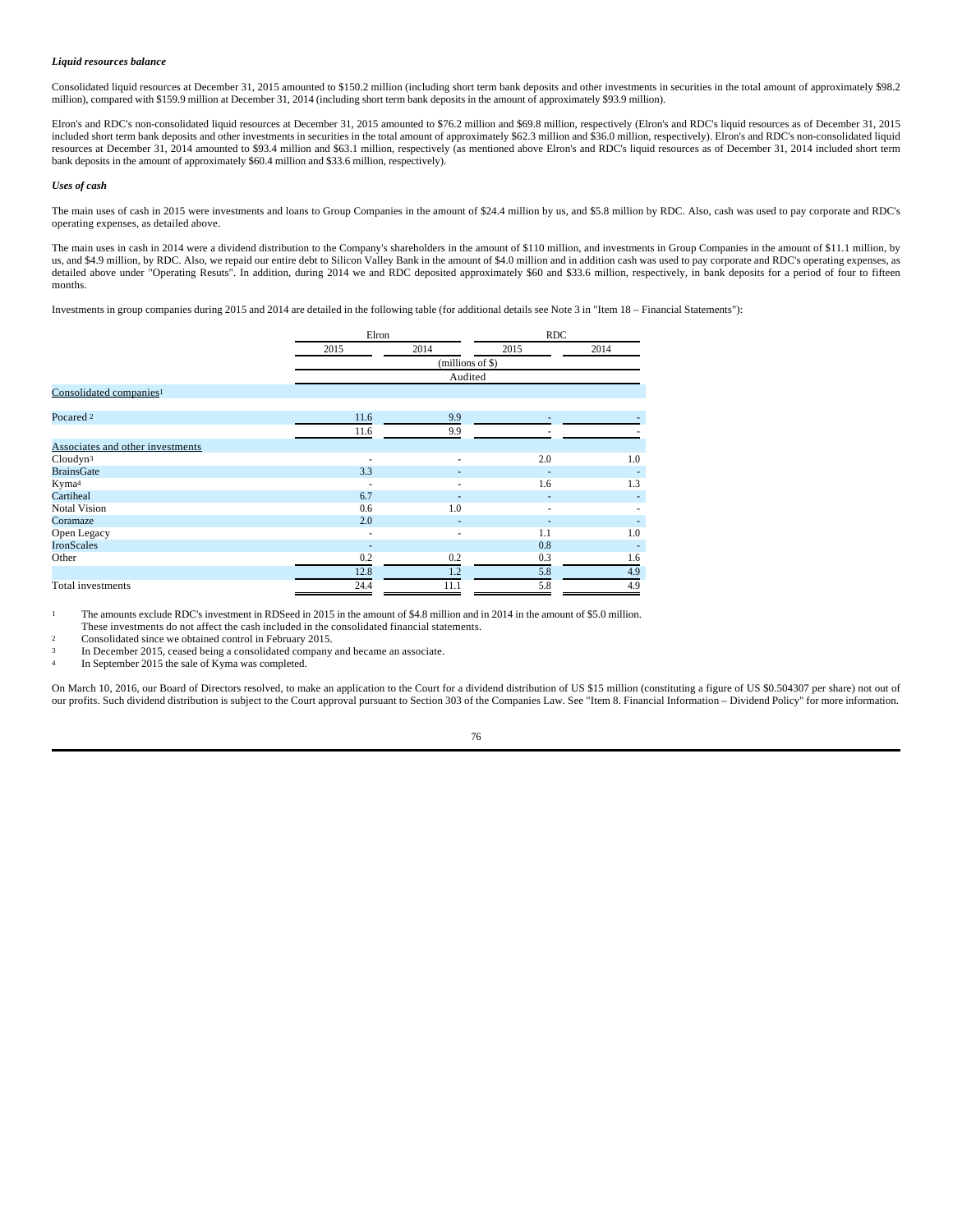### *Liquid resources balance*

Consolidated liquid resources at December 31, 2015 amounted to \$150.2 million (including short term bank deposits and other investments in securities in the total amount of approximately \$98.2 million), compared with \$159.9 million at December 31, 2014 (including short term bank deposits in the amount of approximately \$93.9 million).

Elron's and RDC's non-consolidated liquid resources at December 31, 2015 amounted to \$76.2 million and \$69.8 million, respectively (Elron's and RDC's liquid resources as of December 31, 2015 included short term bank deposits and other investments in securities in the total amount of approximately \$62.3 million and \$36.0 million, respectively). Elron's and RDC's non-consolidated liquid resources at December 31, 2014 amounted to \$93.4 million and \$63.1 million, respectively (as mentioned above Elron's and RDC's liquid resources as of December 31, 2014 included short term bank deposits in the amount of approximately \$60.4 million and \$33.6 million, respectively).

### *Uses of cash*

The main uses of cash in 2015 were investments and loans to Group Companies in the amount of \$24.4 million by us, and \$5.8 million by RDC. Also, cash was used to pay corporate and RDC's operating expenses, as detailed above.

The main uses in cash in 2014 were a dividend distribution to the Company's shareholders in the amount of \$110 million, and investments in Group Companies in the amount of \$11.1 million, by us, and \$4.9 million, by RDC. Also, we repaid our entire debt to Silicon Valley Bank in the amount of \$4.0 million and in addition cash was used to pay corporate and RDC's operating expenses, as detailed above under "Operating Resuts". In addition, during 2014 we and RDC deposited approximately \$60 and \$33.6 million, respectively, in bank deposits for a period of four to fifteen months.

Investments in group companies during 2015 and 2014 are detailed in the following table (for additional details see Note 3 in "Item 18 – Financial Statements"):

|                                     | Elron                    |                  | <b>RDC</b> |      |  |  |  |  |
|-------------------------------------|--------------------------|------------------|------------|------|--|--|--|--|
|                                     | 2015                     | 2014             | 2015       | 2014 |  |  |  |  |
|                                     |                          | (millions of \$) |            |      |  |  |  |  |
|                                     |                          | Audited          |            |      |  |  |  |  |
| Consolidated companies <sup>1</sup> |                          |                  |            |      |  |  |  |  |
| Pocared <sub>2</sub>                | 11.6                     | 9.9              |            |      |  |  |  |  |
|                                     |                          |                  |            |      |  |  |  |  |
|                                     | 11.6                     | 9.9              |            |      |  |  |  |  |
| Associates and other investments    |                          |                  |            |      |  |  |  |  |
| Cloudyn <sup>3</sup>                | $\overline{\phantom{a}}$ | ٠                | 2.0        | 1.0  |  |  |  |  |
| <b>BrainsGate</b>                   | 3.3                      |                  |            |      |  |  |  |  |
| Kyma <sup>4</sup>                   | ٠                        | ٠                | 1.6        | 1.3  |  |  |  |  |
| Cartiheal                           | 6.7                      |                  |            |      |  |  |  |  |
| <b>Notal Vision</b>                 | 0.6                      | 1.0              | ٠          |      |  |  |  |  |
| Coramaze                            | 2.0                      | ٠                | -          |      |  |  |  |  |
| Open Legacy                         | ٠                        | ٠                | 1.1        | 1.0  |  |  |  |  |
| <b>IronScales</b>                   | $\overline{\phantom{a}}$ |                  | 0.8        |      |  |  |  |  |
| Other                               | 0.2                      | 0.2              | 0.3        | 1.6  |  |  |  |  |
|                                     | 12.8                     | 1.2              | 5.8        | 4.9  |  |  |  |  |
| Total investments                   | 24.4                     | 11.1             | 5.8        | 4.9  |  |  |  |  |

<sup>1</sup> The amounts exclude RDC's investment in RDSeed in 2015 in the amount of \$4.8 million and in 2014 in the amount of \$5.0 million. These investments do not affect the cash included in the consolidated financial statements.

<sup>2</sup> Consolidated since we obtained control in February 2015.

3 In December 2015, ceased being a consolidated company and became an associate.<br>In September 2015 the sale of Kyma was completed

In September 2015 the sale of Kyma was completed.

On March 10, 2016, our Board of Directors resolved, to make an application to the Court for a dividend distribution of US \$15 million (constituting a figure of US \$0.504307 per share) not out of our profits. Such dividend distribution is subject to the Court approval pursuant to Section 303 of the Companies Law. See "Item 8. Financial Information – Dividend Policy" for more information.

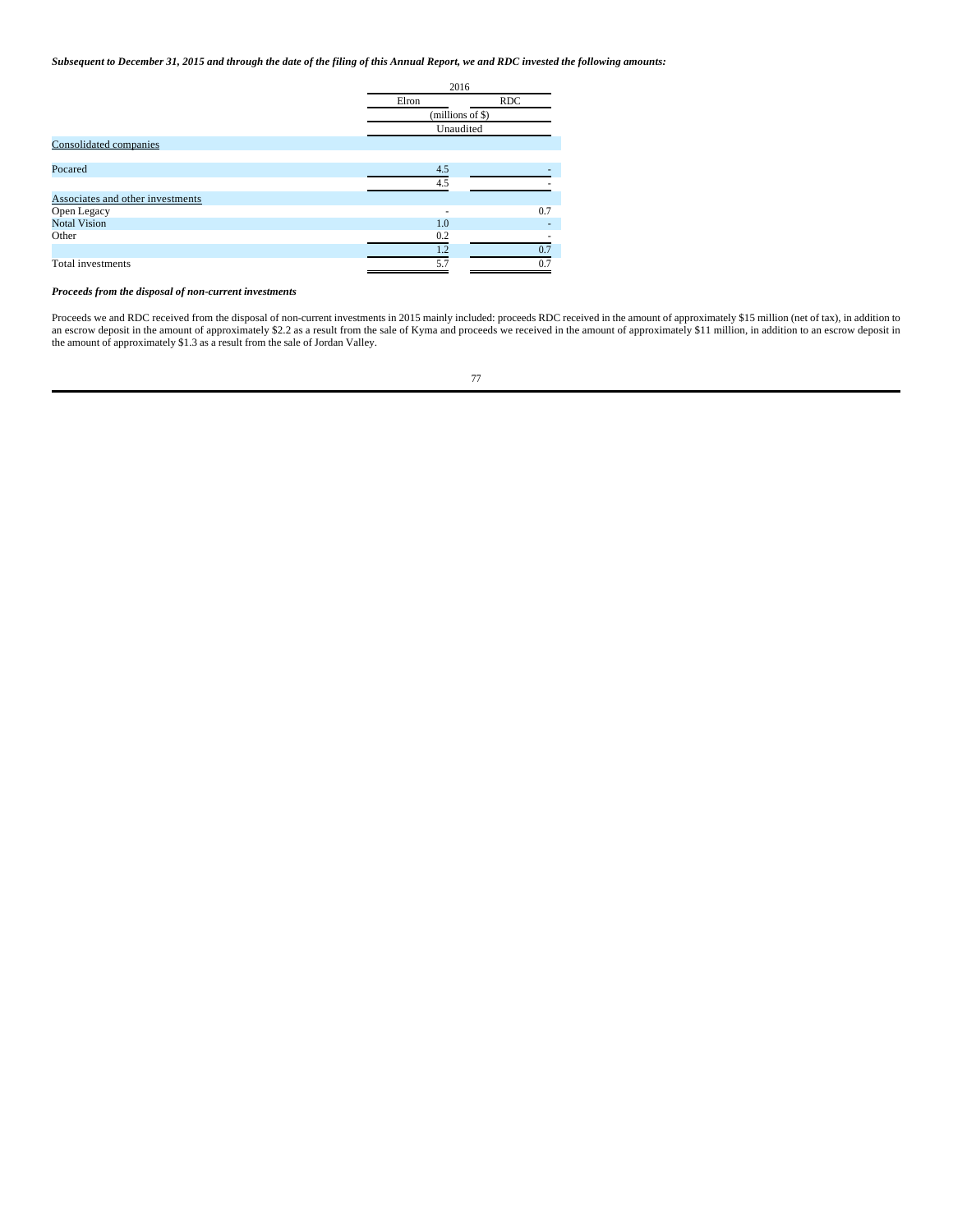*Subsequent to December 31, 2015 and through the date of the filing of this Annual Report, we and RDC invested the following amounts:*

|                                  | 2016             |            |  |
|----------------------------------|------------------|------------|--|
|                                  | Elron            | <b>RDC</b> |  |
|                                  | (millions of \$) |            |  |
|                                  | Unaudited        |            |  |
| Consolidated companies           |                  |            |  |
|                                  |                  |            |  |
| Pocared                          | 4.5              |            |  |
|                                  | 4.5              |            |  |
| Associates and other investments |                  |            |  |
| Open Legacy                      | ۰                | 0.7        |  |
| <b>Notal Vision</b>              | 1.0              |            |  |
| Other                            | 0.2              |            |  |
|                                  | 1.2              | 0.7        |  |
| Total investments                | 5.7              | 0.7        |  |

# *Proceeds from the disposal of non-current investments*

Proceeds we and RDC received from the disposal of non-current investments in 2015 mainly included: proceeds RDC received in the amount of approximately \$15 million (net of tax), in addition to an escrow deposit in the amou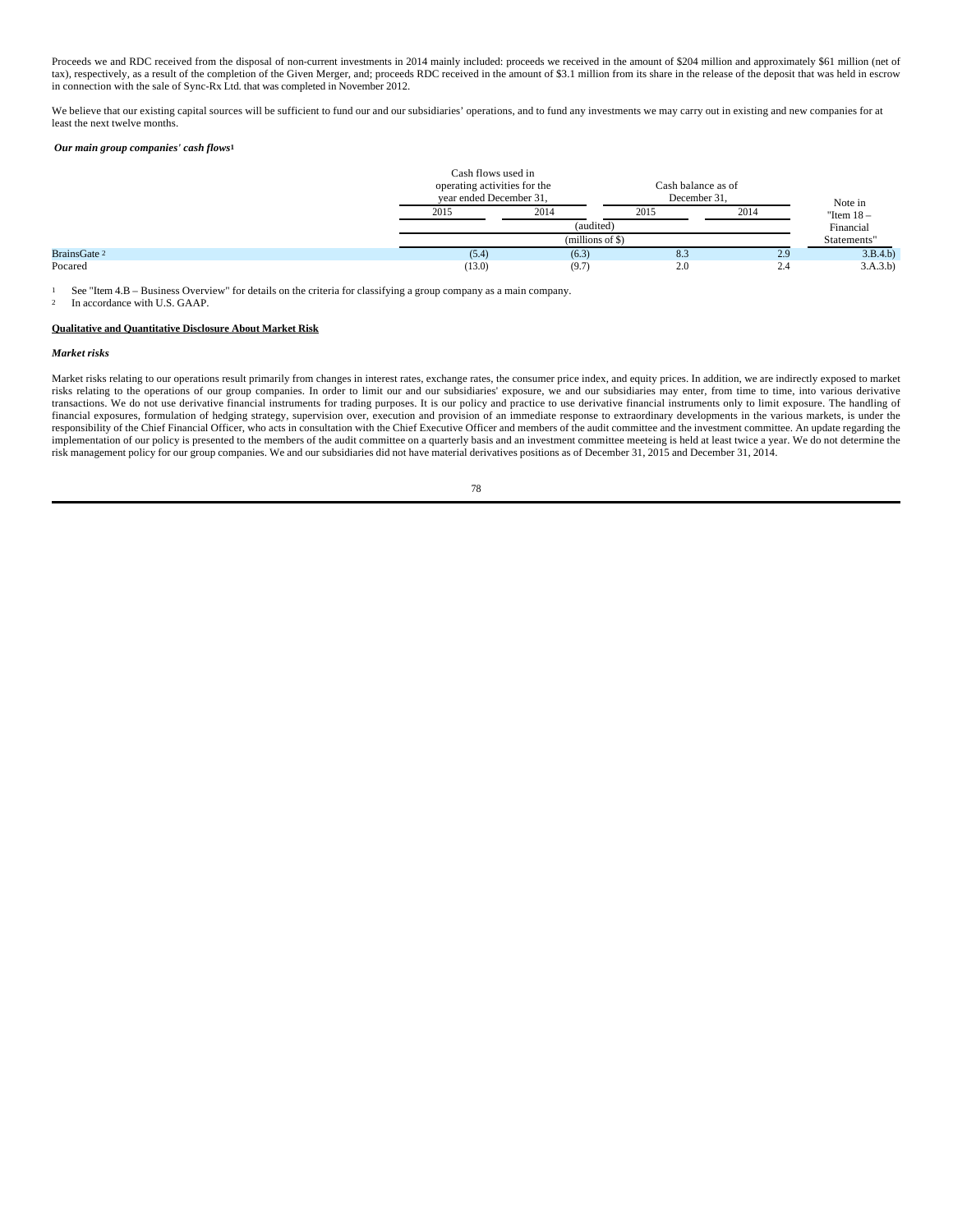Proceeds we and RDC received from the disposal of non-current investments in 2014 mainly included: proceeds we received in the amount of \$204 million and approximately \$61 million (net of tax), respectively, as a result of the completion of the Given Merger, and; proceeds RDC received in the amount of \$3.1 million from its share in the release of the deposit that was held in escrow in connection with the sale of Sync-Rx Ltd. that was completed in November 2012.

We believe that our existing capital sources will be sufficient to fund our and our subsidiaries' operations, and to fund any investments we may carry out in existing and new companies for at least the next twelve months.

### *Our main group companies' cash flows***<sup>1</sup>**

|                     | Cash flows used in           |                     |                                    |      |             |
|---------------------|------------------------------|---------------------|------------------------------------|------|-------------|
|                     | operating activities for the |                     | Cash balance as of<br>December 31. |      |             |
|                     | year ended December 31,      |                     |                                    |      | Note in     |
|                     | 2015                         | 2014                | 2015                               | 2014 | "Item $18-$ |
|                     |                              | (audited)           |                                    |      | Financial   |
|                     |                              | $(millions of \$))$ |                                    |      | Statements" |
| <b>BrainsGate 2</b> | (5.4)                        | (6.3)               | 8.3                                | 2.9  | 3.B.4.b)    |
| Pocared             | (13.0)                       | (9.7)               | 2.0                                | 2.4  | 3.A.3.b)    |

<sup>1</sup> See "Item 4.B – Business Overview" for details on the criteria for classifying a group company as a main company.

<sup>2</sup> In accordance with U.S. GAAP.

### **Qualitative and Quantitative Disclosure About Market Risk**

### *Market risks*

Market risks relating to our operations result primarily from changes in interest rates, exchange rates, the consumer price index, and equity prices. In addition, we are indirectly exposed to market risks relating to the operations of our group companies. In order to limit our and our subsidiaries' exposure, we and our subsidiaries may enter, from time to time, into various derivative transactions. We do not use derivative financial instruments for trading purposes. It is our policy and practice to use derivative financial instruments only to limit exposure. The handling of financial exposures, formulation of hedging strategy, supervision over, execution and provision of an immediate response to extraordinary developments in the various markets, is under the responsibility of the Chief Financial Officer, who acts in consultation with the Chief Executive Officer and members of the audit committee and the investment committee. An update regarding the implementation of our policy is presented to the members of the audit committee on a quarterly basis and an investment committee meeteing is held at least twice a year. We do not determine the risk management policy for our group companies. We and our subsidiaries did not have material derivatives positions as of December 31, 2015 and December 31, 2014.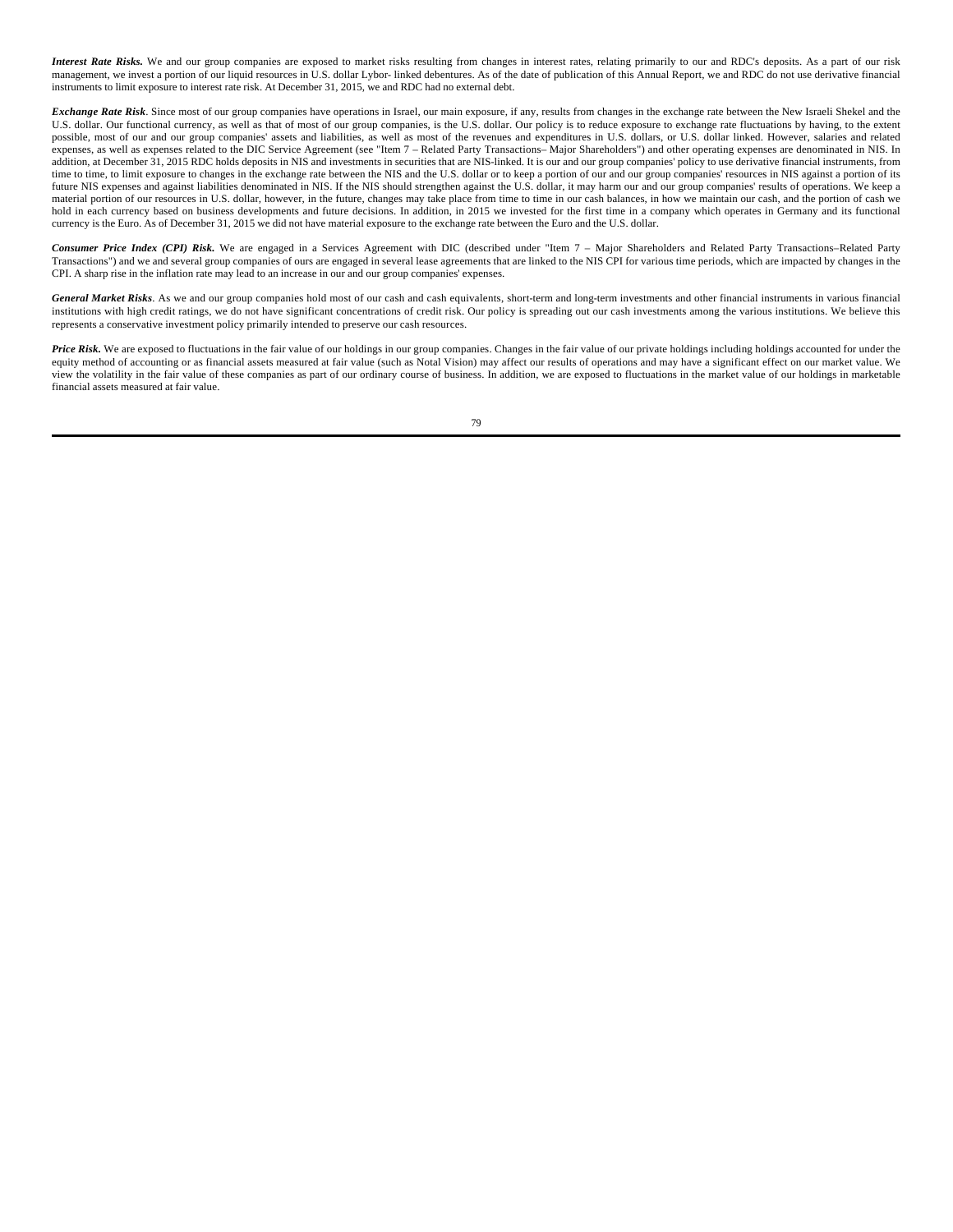*Interest Rate Risks.* We and our group companies are exposed to market risks resulting from changes in interest rates, relating primarily to our and RDC's deposits. As a part of our risk management, we invest a portion of our liquid resources in U.S. dollar Lybor- linked debentures. As of the date of publication of this Annual Report, we and RDC do not use derivative financial instruments to limit exposure to interest rate risk. At December 31, 2015, we and RDC had no external debt.

*Exchange Rate Risk*. Since most of our group companies have operations in Israel, our main exposure, if any, results from changes in the exchange rate between the New Israeli Shekel and the U.S. dollar. Our functional currency, as well as that of most of our group companies, is the U.S. dollar. Our policy is to reduce exposure to exchange rate fluctuations by having, to the extent possible, most of our and our group companies' assets and liabilities, as well as most of the revenues and expenditures in U.S. dollars, or U.S. dollar linked. However, salaries and related expenses, as well as expenses related to the DIC Service Agreement (see "Item 7 – Related Party Transactions– Major Shareholders") and other operating expenses are denominated in NIS. In addition, at December 31, 2015 RDC holds deposits in NIS and investments in securities that are NIS-linked. It is our and our group companies' policy to use derivative financial instruments, from time to time, to limit exposure to changes in the exchange rate between the NIS and the U.S. dollar or to keep a portion of our and our group companies' resources in NIS against a portion of its<br>future NIS expenses and aga material portion of our resources in U.S. dollar, however, in the future, changes may take place from time to time in our cash balances, in how we maintain our cash, and the portion of cash we hold in each currency based on business developments and future decisions. In addition, in 2015 we invested for the first time in a company which operates in Germany and its functional currency is the Euro. As of December 31, 2015 we did not have material exposure to the exchange rate between the Euro and the U.S. dollar.

Consumer Price Index (CPI) Risk. We are engaged in a Services Agreement with DIC (described under "Item 7 - Major Shareholders and Related Party Transactions-Related Party Transactions") and we and several group companies of ours are engaged in several lease agreements that are linked to the NIS CPI for various time periods, which are impacted by changes in the CPI. A sharp rise in the inflation rate may lead to an increase in our and our group companies' expenses.

*General Market Risks*. As we and our group companies hold most of our cash and cash equivalents, short-term and long-term investments and other financial instruments in various financial institutions with high credit ratings, we do not have significant concentrations of credit risk. Our policy is spreading out our cash investments among the various institutions. We believe this represents a conservative investment policy primarily intended to preserve our cash resources.

Price Risk. We are exposed to fluctuations in the fair value of our holdings in our group companies. Changes in the fair value of our private holdings including holdings accounted for under the equity method of accounting or as financial assets measured at fair value (such as Notal Vision) may affect our results of operations and may have a significant effect on our market value. We view the volatility in the fair value of these companies as part of our ordinary course of business. In addition, we are exposed to fluctuations in the market value of our holdings in marketable financial assets measured at fair value.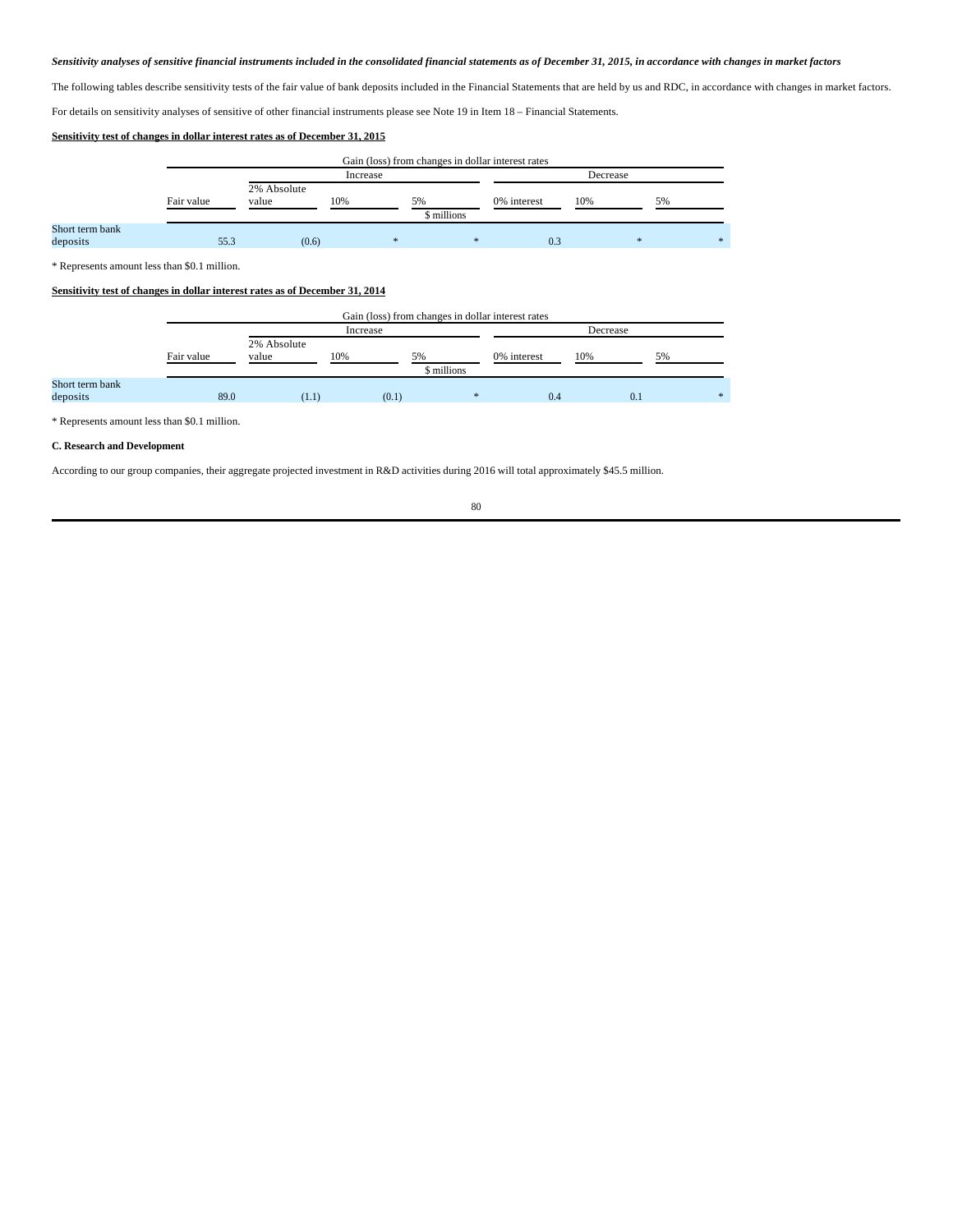# *Sensitivity analyses of sensitive financial instruments included in the consolidated financial statements as of December 31, 2015, in accordance with changes in market factors*

The following tables describe sensitivity tests of the fair value of bank deposits included in the Financial Statements that are held by us and RDC, in accordance with changes in market factors.

For details on sensitivity analyses of sensitive of other financial instruments please see Note 19 in Item 18 – Financial Statements.

# **Sensitivity test of changes in dollar interest rates as of December 31, 2015**

|                             |            | Gain (loss) from changes in dollar interest rates |          |                   |             |          |         |        |
|-----------------------------|------------|---------------------------------------------------|----------|-------------------|-------------|----------|---------|--------|
|                             |            |                                                   | Increase |                   |             | Decrease |         |        |
|                             | Fair value | 2% Absolute<br>value                              | 10%      | 5%<br>\$ millions | 0% interest | 10%      | 5%      |        |
| Short term bank<br>deposits | 55.3       | (0.6)                                             | *        | *                 | 0.3         |          | $\cdot$ | $\ast$ |

\* Represents amount less than \$0.1 million.

# **Sensitivity test of changes in dollar interest rates as of December 31, 2014**

| 5% |
|----|
| *  |
|    |

\* Represents amount less than \$0.1 million.

# **C. Research and Development**

According to our group companies, their aggregate projected investment in R&D activities during 2016 will total approximately \$45.5 million.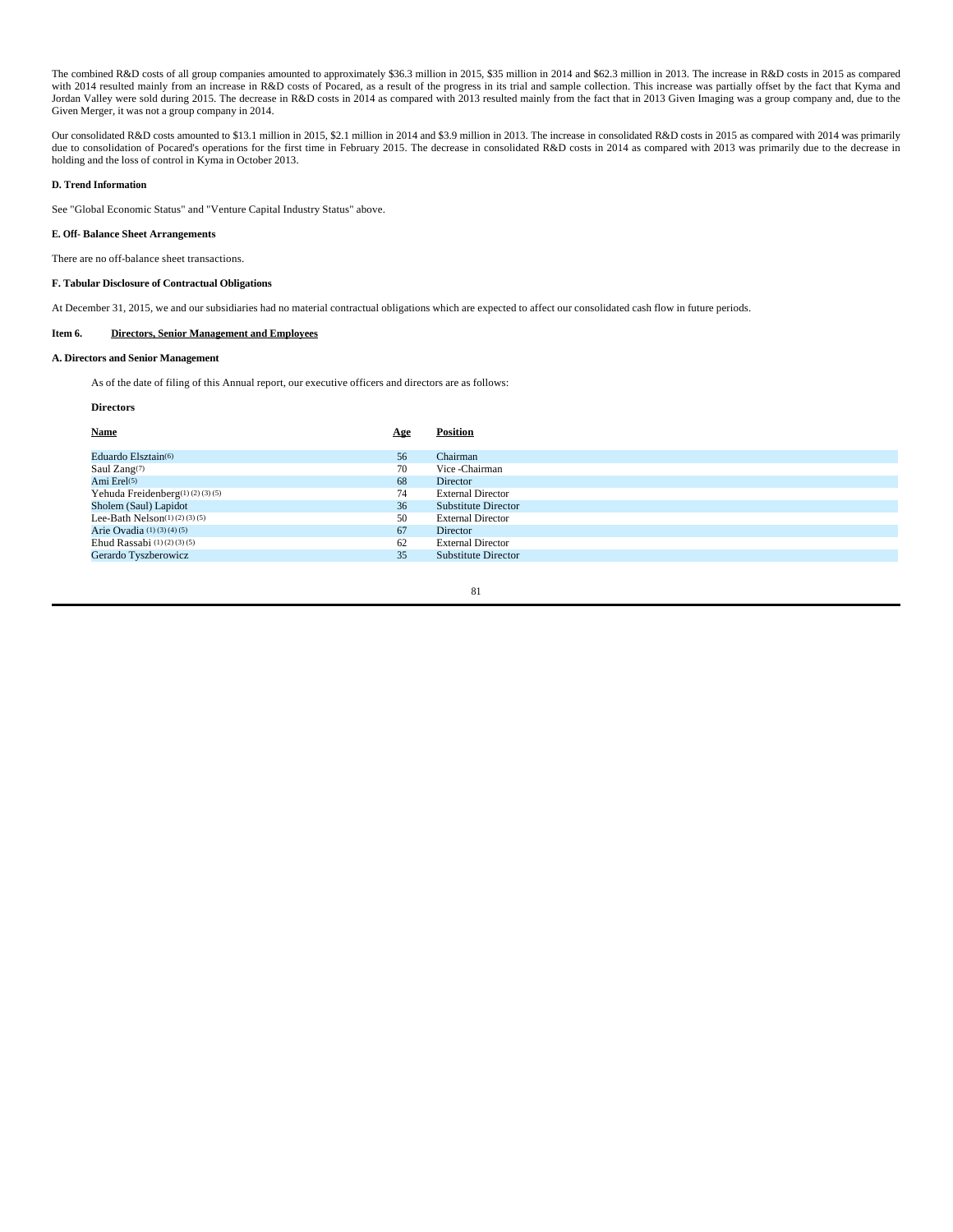The combined R&D costs of all group companies amounted to approximately \$36.3 million in 2015, \$35 million in 2014 and \$62.3 million in 2013. The increase in R&D costs in 2015 as compared with 2014 resulted mainly from an increase in R&D costs of Pocared, as a result of the progress in its trial and sample collection. This increase was partially offset by the fact that Kyma and Jordan Valley were sold during 2015. The decrease in R&D costs in 2014 as compared with 2013 resulted mainly from the fact that in 2013 Given Imaging was a group company and, due to the Given Merger, it was not a group company in 2014.

Our consolidated R&D costs amounted to \$13.1 million in 2015, \$2.1 million in 2014 and \$3.9 million in 2013. The increase in consolidated R&D costs in 2015 as compared with 2014 was primarily due to consolidation of Pocared's operations for the first time in February 2015. The decrease in consolidated R&D costs in 2014 as compared with 2013 was primarily due to the decrease in holding and the loss of control in Kyma in October 2013.

### **D. Trend Information**

See "Global Economic Status" and "Venture Capital Industry Status" above.

## **E. Off- Balance Sheet Arrangements**

There are no off-balance sheet transactions.

### **F. Tabular Disclosure of Contractual Obligations**

At December 31, 2015, we and our subsidiaries had no material contractual obligations which are expected to affect our consolidated cash flow in future periods.

# **Item 6. Directors, Senior Management and Employees**

# **A. Directors and Senior Management**

As of the date of filing of this Annual report, our executive officers and directors are as follows:

**Directors**

| <b>Name</b>                     | Age | <b>Position</b>          |
|---------------------------------|-----|--------------------------|
|                                 |     |                          |
| Eduardo Elsztain <sup>(6)</sup> | 56  | Chairman                 |
| Saul Zang(7)                    | 70  | Vice - Chairman          |
| Ami Erel <sup>(5)</sup>         | 68  | Director                 |
| Yehuda Freidenberg(1)(2)(3)(5)  | 74  | <b>External Director</b> |
| Sholem (Saul) Lapidot           | 36  | Substitute Director      |
| Lee-Bath Nelson(1)(2)(3)(5)     | 50  | <b>External Director</b> |
| Arie Ovadia $(1)(3)(4)(5)$      | 67  | Director                 |
| Ehud Rassabi $(1)(2)(3)(5)$     | 62  | <b>External Director</b> |
| Gerardo Tyszberowicz            | 35  | Substitute Director      |
|                                 |     |                          |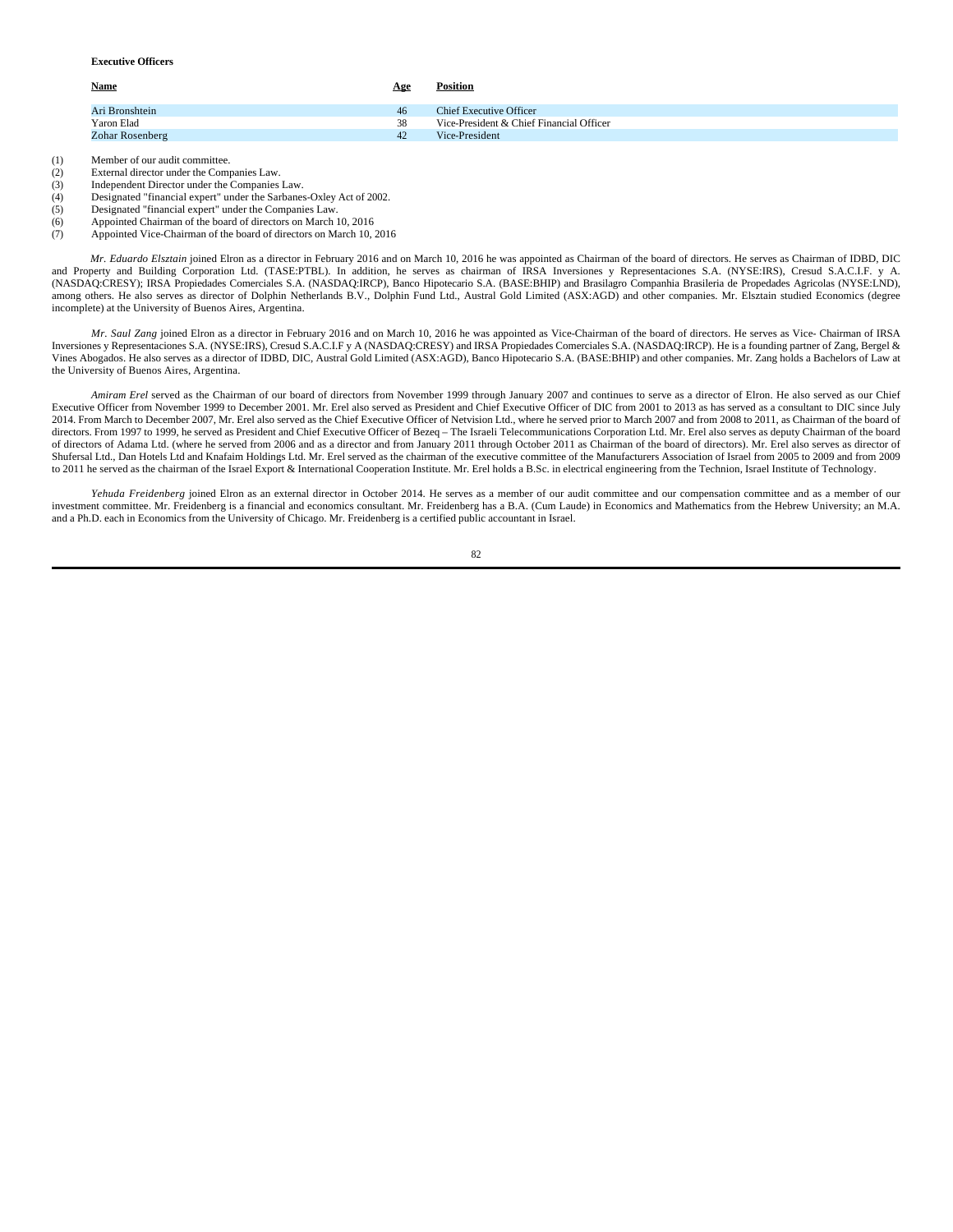# **Executive Officers**

| <b>Name</b>     | Age | <b>Position</b>                          |
|-----------------|-----|------------------------------------------|
| Ari Bronshtein  | 46  | <b>Chief Executive Officer</b>           |
| Yaron Elad      | 38  | Vice-President & Chief Financial Officer |
| Zohar Rosenberg | 42  | Vice-President                           |
|                 |     |                                          |

(1) Member of our audit committee.

(2) External director under the Companies Law.<br>
Independent Director under the Companies

(3) Independent Director under the Companies Law.<br>
(4) Designated "financial expert" under the Sarbanes

(4) Designated "financial expert" under the Sarbanes-Oxley Act of 2002.

(5) Designated "financial expert" under the Companies Law.

(6) Appointed Chairman of the board of directors on March 10, 2016<br>(7) Appointed Vice-Chairman of the board of directors on March 10.

Appointed Vice-Chairman of the board of directors on March 10, 2016

 *Mr. Eduardo Elsztain* joined Elron as a director in February 2016 and on March 10, 2016 he was appointed as Chairman of the board of directors. He serves as Chairman of IDBD, DIC and Property and Building Corporation Ltd. (TASE:PTBL). In addition, he serves as chairman of IRSA Inversiones y Representaciones S.A. (NYSE:IRS), Cresud S.A.C.I.F. y A. (NASDAQ:CRESY); IRSA Propiedades Comerciales S.A. (NASDAQ:IRCP), Banco Hipotecario S.A. (BASE:BHIP) and Brasilagro Companhia Brasileria de Propedades Agricolas (NYSE:LND), among others. He also serves as director of Dolphin Netherlands B.V., Dolphin Fund Ltd., Austral Gold Limited (ASX:AGD) and other companies. Mr. Elsztain studied Economics (degree incomplete) at the University of Buenos Aires, Argentina.

*Mr. Saul Zang* joined Elron as a director in February 2016 and on March 10, 2016 he was appointed as Vice-Chairman of the board of directors. He serves as Vice- Chairman of IRSA Inversiones y Representaciones S.A. (NYSE:IRS), Cresud S.A.C.I.F y A (NASDAQ:CRESY) and IRSA Propiedades Comerciales S.A. (NASDAQ:IRCP). He is a founding partner of Zang, Bergel & Vines Abogados. He also serves as a director of IDBD, DIC, Austral Gold Limited (ASX:AGD), Banco Hipotecario S.A. (BASE:BHIP) and other companies. Mr. Zang holds a Bachelors of Law at the University of Buenos Aires, Argentina.

*Amiram Erel* served as the Chairman of our board of directors from November 1999 through January 2007 and continues to serve as a director of Elron. He also served as our Chief Executive Officer from November 1999 to December 2001. Mr. Erel also served as President and Chief Executive Officer of DIC from 2001 to 2013 as has served as a consultant to DIC since July 2014. From March to December 2007, Mr. Erel also served as the Chief Executive Officer of Netvision Ltd., where he served prior to March 2007 and from 2008 to 2011, as Chairman of the board of directors. From 1997 to 1999, he served as President and Chief Executive Officer of Bezeq - The Israeli Telecommunications Corporation Ltd. Mr. Erel also serves as deputy Chairman of the board of directors of Adama Ltd. (where he served from 2006 and as a director and from January 2011 through October 2011 as Chairman of the board of directors). Mr. Erel also serves as director of Shufersal Ltd., Dan Hotels Ltd and Knafaim Holdings Ltd. Mr. Erel served as the chairman of the executive committee of the Manufacturers Association of Israel from 2005 to 2009 and from 2009 to 2011 he served as the chairman of the Israel Export & International Cooperation Institute. Mr. Erel holds a B.Sc. in electrical engineering from the Technion, Israel Institute of Technology.

*Yehuda Freidenberg* joined Elron as an external director in October 2014. He serves as a member of our audit committee and our compensation committee and as a member of our investment committee. Mr. Freidenberg is a financial and economics consultant. Mr. Freidenberg has a B.A. (Cum Laude) in Economics and Mathematics from the Hebrew University; an M.A. and a Ph.D. each in Economics from the University of Chicago. Mr. Freidenberg is a certified public accountant in Israel.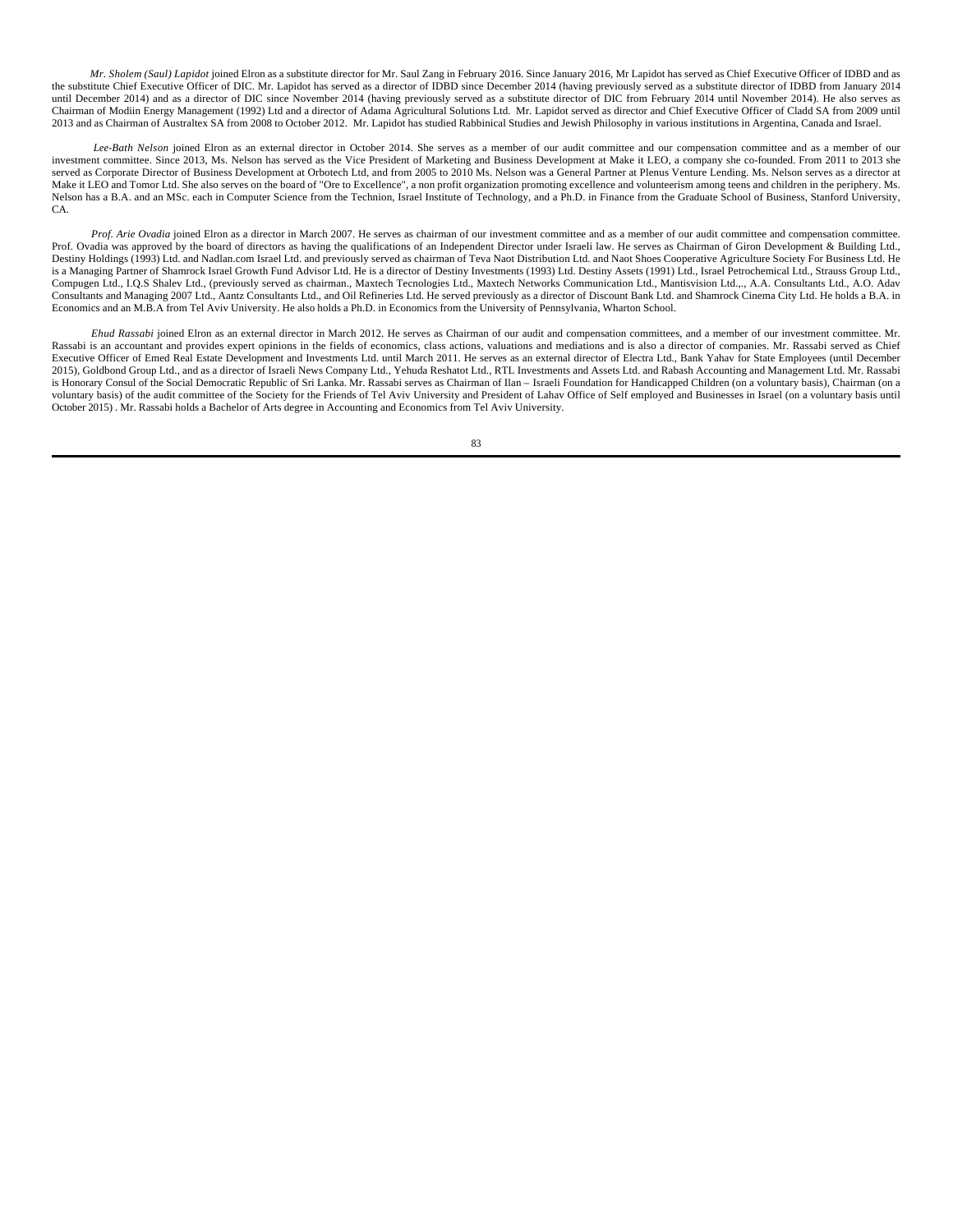*Mr. Sholem (Saul) Lapidot* joined Elron as a substitute director for Mr. Saul Zang in February 2016. Since January 2016, Mr Lapidot has served as Chief Executive Officer of IDBD and as the substitute Chief Executive Officer of DIC. Mr. Lapidot has served as a director of IDBD since December 2014 (having previously served as a substitute director of IDBD from January 2014 until December 2014) and as a director of DIC since November 2014 (having previously served as a substitute director of DIC from February 2014 until November 2014). He also serves as Chairman of Modiin Energy Management (1992) Ltd and a director of Adama Agricultural Solutions Ltd. Mr. Lapidot served as director and Chief Executive Officer of Cladd SA from 2009 until 2013 and as Chairman of Australtex SA from 2008 to October 2012. Mr. Lapidot has studied Rabbinical Studies and Jewish Philosophy in various institutions in Argentina, Canada and Israel.

 *Lee-Bath Nelson* joined Elron as an external director in October 2014. She serves as a member of our audit committee and our compensation committee and as a member of our investment committee. Since 2013, Ms. Nelson has served as the Vice President of Marketing and Business Development at Make it LEO, a company she co-founded. From 2011 to 2013 she served as Corporate Director of Business Development at Orbotech Ltd, and from 2005 to 2010 Ms. Nelson was a General Partner at Plenus Venture Lending. Ms. Nelson serves as a director at Make it LEO and Tomor Ltd. She also serves on the board of "Ore to Excellence", a non profit organization promoting excellence and volunteerism among teens and children in the periphery. Ms. Nelson has a B.A. and an MSc. each in Computer Science from the Technion, Israel Institute of Technology, and a Ph.D. in Finance from the Graduate School of Business, Stanford University, CA.

*Prof. Arie Ovadia* joined Elron as a director in March 2007. He serves as chairman of our investment committee and as a member of our audit committee and compensation committee. Prof. Ovadia was approved by the board of directors as having the qualifications of an Independent Director under Israeli law. He serves as Chairman of Giron Development & Building Ltd., Destiny Holdings (1993) Ltd. and Nadlan.com Israel Ltd. and previously served as chairman of Teva Naot Distribution Ltd. and Naot Shoes Cooperative Agriculture Society For Business Ltd. He is a Managing Partner of Shamrock Israel Growth Fund Advisor Ltd. He is a director of Destiny Investments (1993) Ltd. Destiny Assets (1991) Ltd., Israel Petrochemical Ltd., Strauss Group Ltd., Compugen Ltd., I.Q.S Shalev Ltd., (previously served as chairman., Maxtech Tecnologies Ltd., Maxtech Networks Communication Ltd., Mantisvision Ltd.,., A.A. Consultants Ltd., A.O. Adav Consultants and Managing 2007 Ltd., Aantz Consultants Ltd., and Oil Refineries Ltd. He served previously as a director of Discount Bank Ltd. and Shamrock Cinema City Ltd. He holds a B.A. in Economics and an M.B.A from Tel Aviv University. He also holds a Ph.D. in Economics from the University of Pennsylvania, Wharton School.

*Ehud Rassabi* joined Elron as an external director in March 2012. He serves as Chairman of our audit and compensation committees, and a member of our investment committee. Mr. Rassabi is an accountant and provides expert opinions in the fields of economics, class actions, valuations and mediations and is also a director of companies. Mr. Rassabi served as Chief Executive Officer of Emed Real Estate Development and Investments Ltd. until March 2011. He serves as an external director of Electra Ltd., Bank Yahav for State Employees (until December 2015), Goldbond Group Ltd., and as a director of Israeli News Company Ltd., Yehuda Reshatot Ltd., RTL Investments and Assets Ltd. and Rabash Accounting and Management Ltd. Mr. Rassabi is Honorary Consul of the Social Democratic Republic of Sri Lanka. Mr. Rassabi serves as Chairman of Ilan – Israeli Foundation for Handicapped Children (on a voluntary basis), Chairman (on a voluntary basis) of the audit committee of the Society for the Friends of Tel Aviv University and President of Lahav Office of Self employed and Businesses in Israel (on a voluntary basis until October 2015) . Mr. Rassabi holds a Bachelor of Arts degree in Accounting and Economics from Tel Aviv University.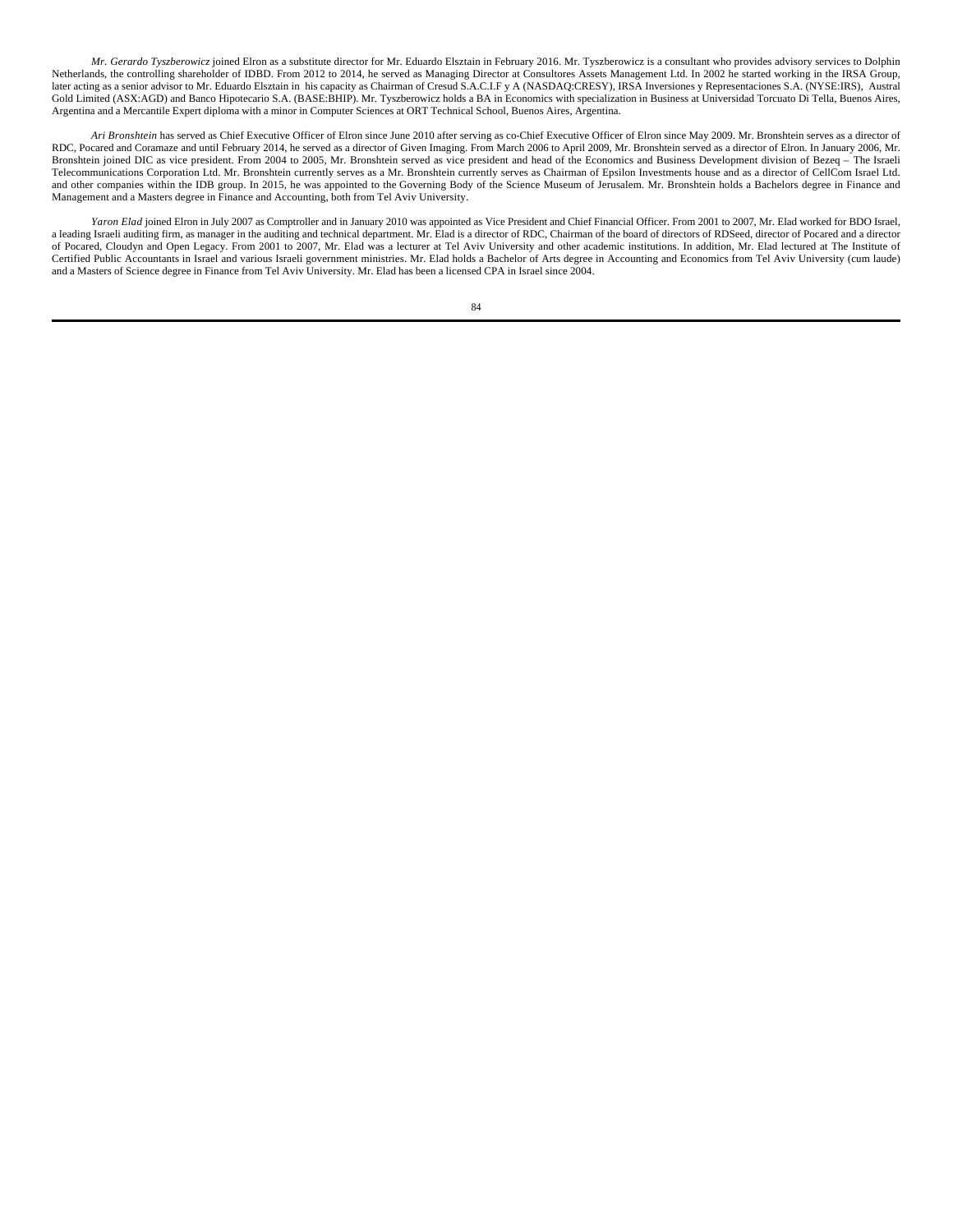*Mr. Gerardo Tyszberowicz* joined Elron as a substitute director for Mr. Eduardo Elsztain in February 2016. Mr. Tyszberowicz is a consultant who provides advisory services to Dolphin Netherlands, the controlling shareholder of IDBD. From 2012 to 2014, he served as Managing Director at Consultores Assets Management Ltd. In 2002 he started working in the IRSA Group, later acting as a senior advisor to Mr. Eduardo Elsztain in his capacity as Chairman of Cresud S.A.C.I.F y A (NASDAQ:CRESY), IRSA Inversiones y Representaciones S.A. (NYSE:IRS), Austral Gold Limited (ASX:AGD) and Banco Hipotecario S.A. (BASE:BHIP). Mr. Tyszberowicz holds a BA in Economics with specialization in Business at Universidad Torcuato Di Tella, Buenos Aires, Argentina and a Mercantile Expert diploma with a minor in Computer Sciences at ORT Technical School, Buenos Aires, Argentina.

*Ari Bronshtein* has served as Chief Executive Officer of Elron since June 2010 after serving as co-Chief Executive Officer of Elron since May 2009. Mr. Bronshtein serves as a director of RDC, Pocared and Coramaze and until February 2014, he served as a director of Given Imaging. From March 2006 to April 2009, Mr. Bronshtein served as a director of Elron. In January 2006, Mr. Bronshtein joined DIC as vice president. From 2004 to 2005, Mr. Bronshtein served as vice president and head of the Economics and Business Development division of Bezeq – The Israeli Telecommunications Corporation Ltd. Mr. Bronshtein currently serves as a Mr. Bronshtein currently serves as Chairman of Epsilon Investments house and as a director of CellCom Israel Ltd. and other companies within the IDB group. In 2015, he was appointed to the Governing Body of the Science Museum of Jerusalem. Mr. Bronshtein holds a Bachelors degree in Finance and Management and a Masters degree in Finance and Accounting, both from Tel Aviv University.

*Yaron Elad* joined Elron in July 2007 as Comptroller and in January 2010 was appointed as Vice President and Chief Financial Officer. From 2001 to 2007, Mr. Elad worked for BDO Israel, a leading Israeli auditing firm, as manager in the auditing and technical department. Mr. Elad is a director of RDC, Chairman of the board of directors of RDSeed, director of Pocared and a director of Pocared, Cloudyn and Open Legacy. From 2001 to 2007, Mr. Elad was a lecturer at Tel Aviv University and other academic institutions. In addition, Mr. Elad lectured at The Institute of Certified Public Accountants in Israel and various Israeli government ministries. Mr. Elad holds a Bachelor of Arts degree in Accounting and Economics from Tel Aviv University (cum laude) and a Masters of Science degree in Finance from Tel Aviv University. Mr. Elad has been a licensed CPA in Israel since 2004.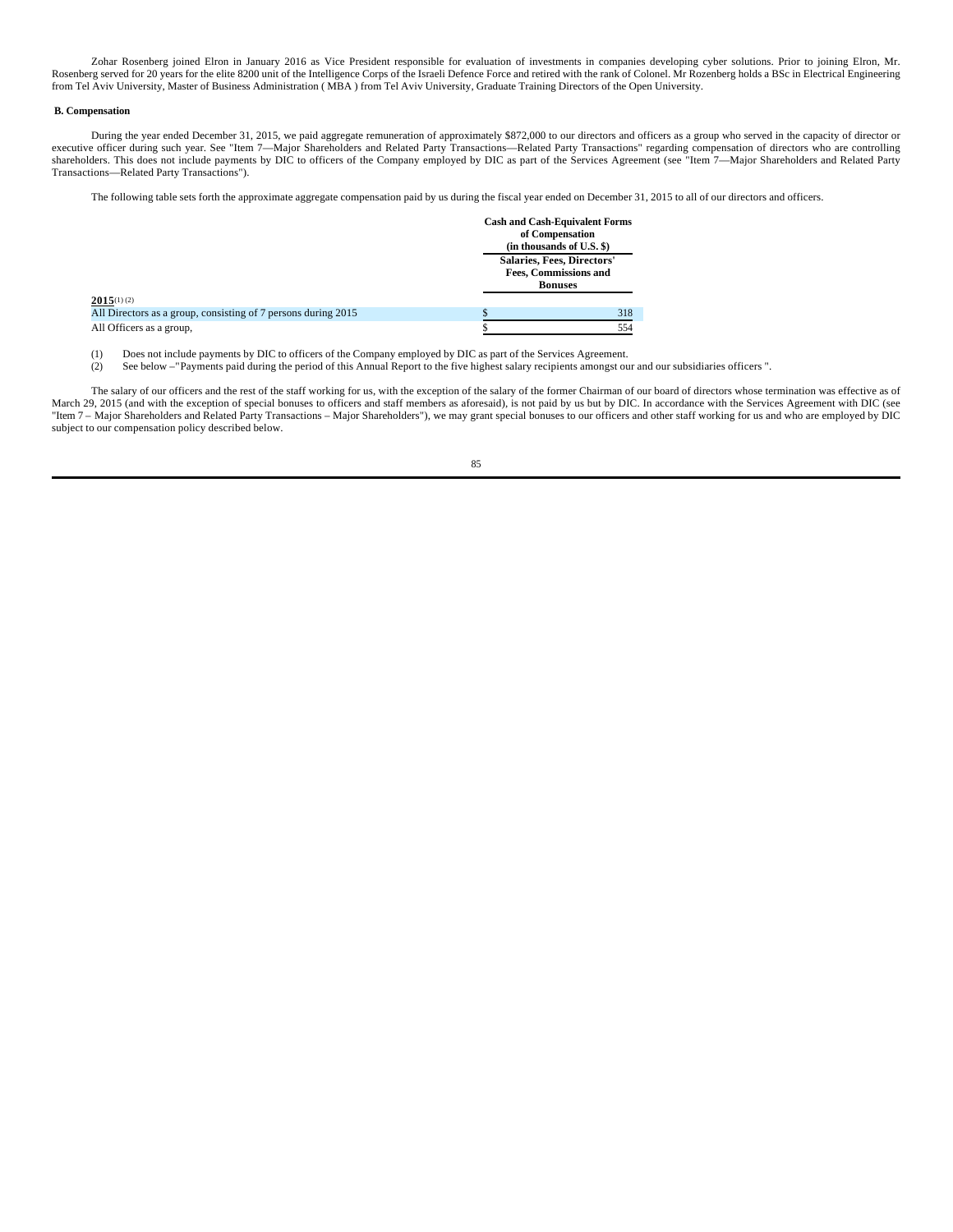Zohar Rosenberg joined Elron in January 2016 as Vice President responsible for evaluation of investments in companies developing cyber solutions. Prior to joining Elron, Mr. Rosenberg served for 20 years for the elite 8200 unit of the Intelligence Corps of the Israeli Defence Force and retired with the rank of Colonel. Mr Rozenberg holds a BSc in Electrical Engineering from Tel Aviv University, Master of Business Administration ( MBA ) from Tel Aviv University, Graduate Training Directors of the Open University.

## **B. Compensation**

During the year ended December 31, 2015, we paid aggregate remuneration of approximately \$872,000 to our directors and officers as a group who served in the capacity of director or executive officer during such year. See "Item 7—Major Shareholders and Related Party Transactions—Related Party Transactions" regarding compensation of directors who are controlling shareholders. This does not include payments by DIC to officers of the Company employed by DIC as part of the Services Agreement (see "Item 7—Major Shareholders and Related Party Transactions—Related Party Transactions").

The following table sets forth the approximate aggregate compensation paid by us during the fiscal year ended on December 31, 2015 to all of our directors and officers.

|                                                               | <b>Cash and Cash-Equivalent Forms</b><br>of Compensation<br>$(in thousands of U.S.$ \$) |                                                                              |  |
|---------------------------------------------------------------|-----------------------------------------------------------------------------------------|------------------------------------------------------------------------------|--|
|                                                               |                                                                                         | Salaries, Fees, Directors'<br><b>Fees, Commissions and</b><br><b>Bonuses</b> |  |
| 2015(1)(2)                                                    |                                                                                         |                                                                              |  |
| All Directors as a group, consisting of 7 persons during 2015 |                                                                                         | 318                                                                          |  |
| All Officers as a group,                                      |                                                                                         | 554                                                                          |  |

(1) Does not include payments by DIC to officers of the Company employed by DIC as part of the Services Agreement.

(2) See below –"Payments paid during the period of this Annual Report to the five highest salary recipients amongst our and our subsidiaries officers ".

The salary of our officers and the rest of the staff working for us, with the exception of the salary of the former Chairman of our board of directors whose termination was effective as of March 29, 2015 (and with the exception of special bonuses to officers and staff members as aforesaid), is not paid by us but by DIC. In accordance with the Services Agreement with DIC (see "Item 7 – Major Shareholders and Related Party Transactions – Major Shareholders"), we may grant special bonuses to our officers and other staff working for us and who are employed by DIC subject to our compensation policy described below.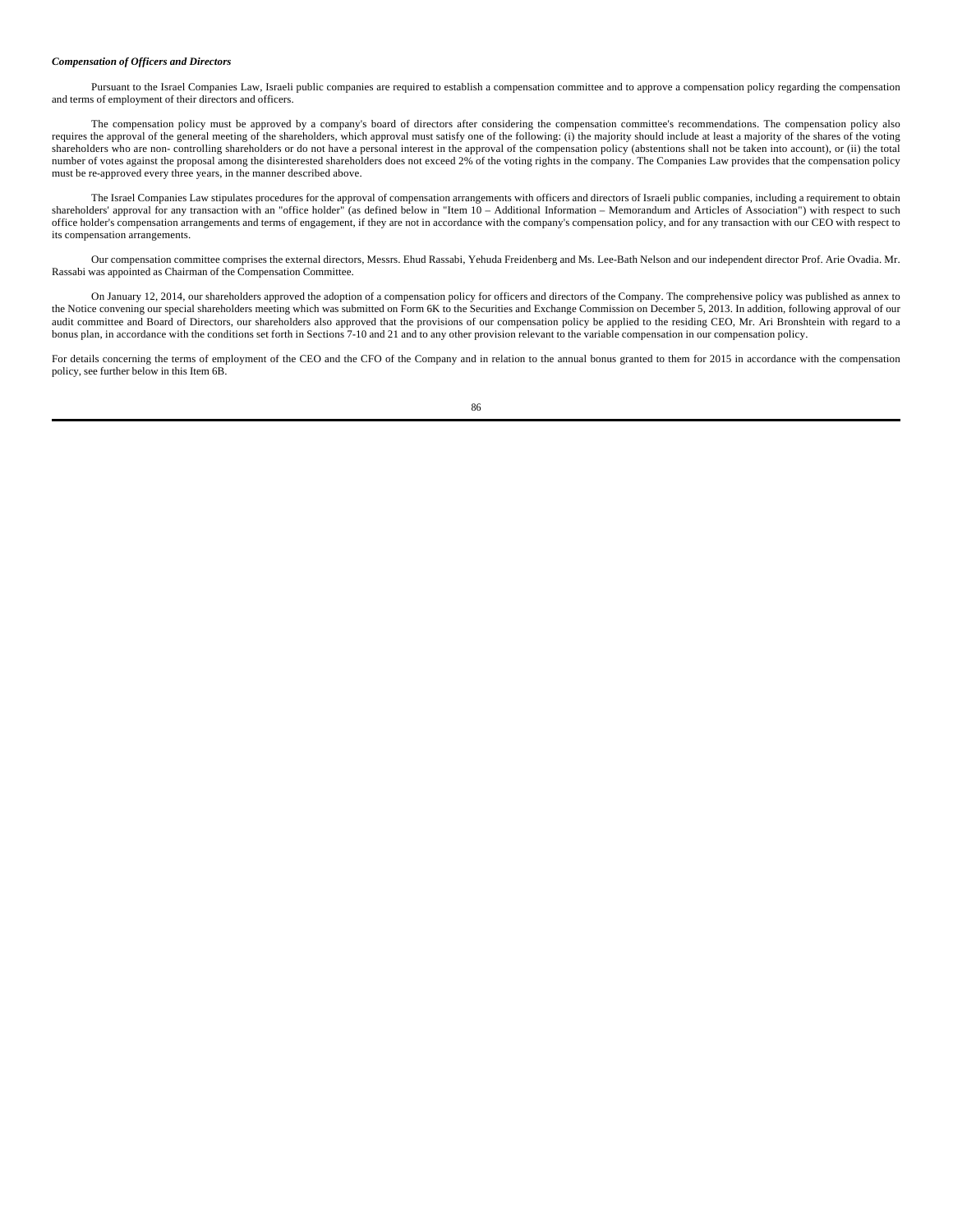### *Compensation of Officers and Directors*

Pursuant to the Israel Companies Law, Israeli public companies are required to establish a compensation committee and to approve a compensation policy regarding the compensation and terms of employment of their directors and officers.

The compensation policy must be approved by a company's board of directors after considering the compensation committee's recommendations. The compensation policy also requires the approval of the general meeting of the shareholders, which approval must satisfy one of the following: (i) the majority should include at least a majority of the shares of the voting shareholders who are non- controlling shareholders or do not have a personal interest in the approval of the compensation policy (abstentions shall not be taken into account), or (ii) the total<br>number of votes against the must be re-approved every three years, in the manner described above.

The Israel Companies Law stipulates procedures for the approval of compensation arrangements with officers and directors of Israeli public companies, including a requirement to obtain shareholders' approval for any transaction with an "office holder" (as defined below in "Item  $10 -$  Additional Information – Memorandum and Articles of Association") with respect to such office holder's compensation arrangements and terms of engagement, if they are not in accordance with the company's compensation policy, and for any transaction with our CEO with respect to its compensation arrangements.

Our compensation committee comprises the external directors, Messrs. Ehud Rassabi, Yehuda Freidenberg and Ms. Lee-Bath Nelson and our independent director Prof. Arie Ovadia. Mr. Rassabi was appointed as Chairman of the Compensation Committee.

On January 12, 2014, our shareholders approved the adoption of a compensation policy for officers and directors of the Company. The comprehensive policy was published as annex to the Notice convening our special shareholde audit committee and Board of Directors, our shareholders also approved that the provisions of our compensation policy be applied to the residing CEO, Mr. Ari Bronshtein with regard to a<br>bonus plan, in accordance with the c

For details concerning the terms of employment of the CEO and the CFO of the Company and in relation to the annual bonus granted to them for 2015 in accordance with the compensation policy, see further below in this Item 6B.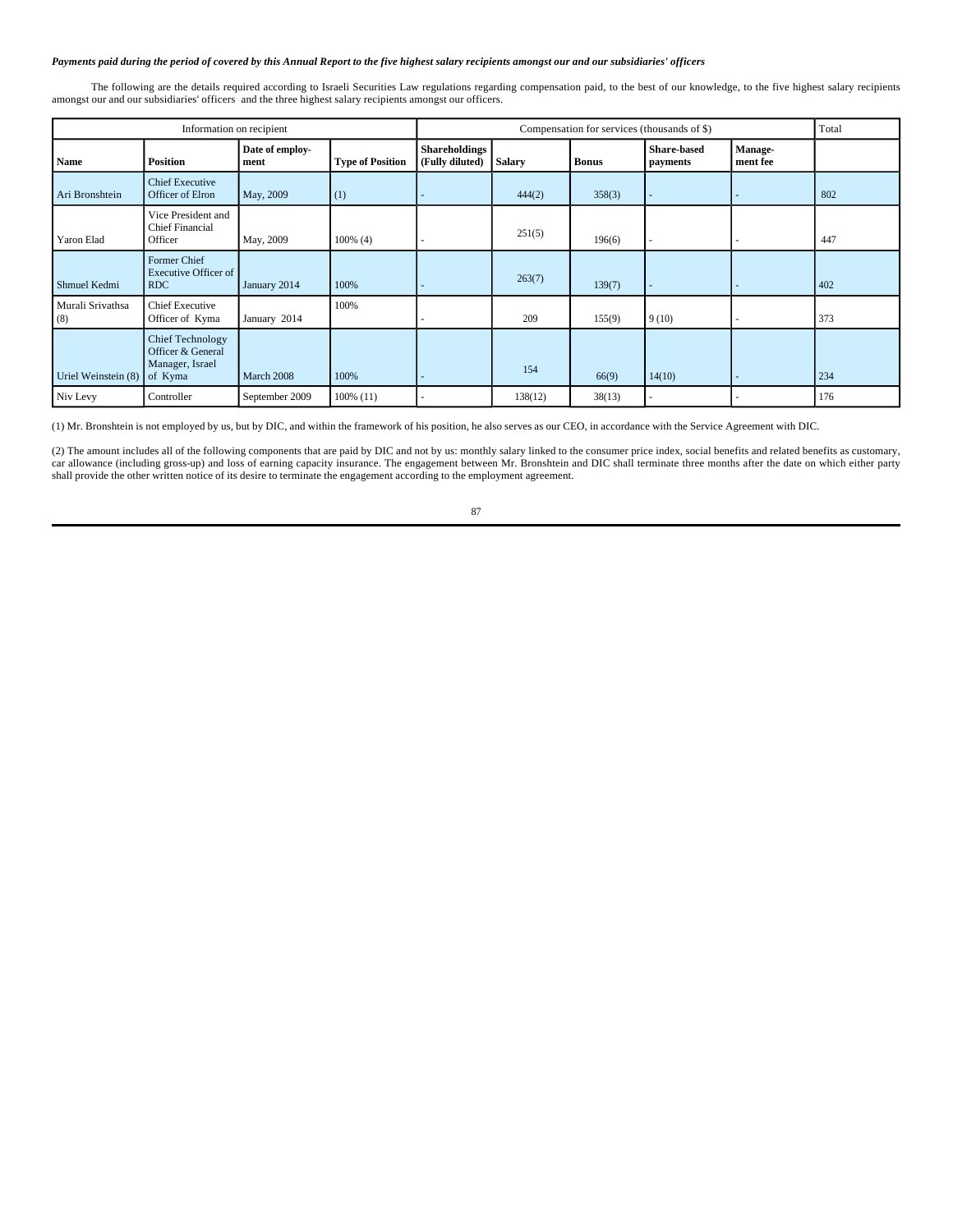## *Payments paid during the period of covered by this Annual Report to the five highest salary recipients amongst our and our subsidiaries' officers*

The following are the details required according to Israeli Securities Law regulations regarding compensation paid, to the best of our knowledge, to the five highest salary recipients amongst our and our subsidiaries' offi

| Information on recipient |                                                                            |                         | Compensation for services (thousands of \$) |                                         |               |              | Total                          |                     |     |
|--------------------------|----------------------------------------------------------------------------|-------------------------|---------------------------------------------|-----------------------------------------|---------------|--------------|--------------------------------|---------------------|-----|
| Name                     | <b>Position</b>                                                            | Date of employ-<br>ment | <b>Type of Position</b>                     | <b>Shareholdings</b><br>(Fully diluted) | <b>Salary</b> | <b>Bonus</b> | <b>Share-based</b><br>payments | Manage-<br>ment fee |     |
| Ari Bronshtein           | <b>Chief Executive</b><br>Officer of Elron                                 | May, 2009               | (1)                                         |                                         | 444(2)        | 358(3)       |                                |                     | 802 |
| Yaron Elad               | Vice President and<br><b>Chief Financial</b><br>Officer                    | May, 2009               | $100\%$ (4)                                 |                                         | 251(5)        | 196(6)       |                                |                     | 447 |
| Shmuel Kedmi             | Former Chief<br><b>Executive Officer of</b><br><b>RDC</b>                  | January 2014            | 100%                                        |                                         | 263(7)        | 139(7)       |                                |                     | 402 |
| Murali Srivathsa<br>(8)  | <b>Chief Executive</b><br>Officer of Kyma                                  | January 2014            | 100%                                        |                                         | 209           | 155(9)       | 9(10)                          |                     | 373 |
| Uriel Weinstein (8)      | <b>Chief Technology</b><br>Officer & General<br>Manager, Israel<br>of Kyma | March 2008              | 100%                                        |                                         | 154           | 66(9)        | 14(10)                         |                     | 234 |
| Niv Levy                 | Controller                                                                 | September 2009          | 100% (11)                                   |                                         | 138(12)       | 38(13)       |                                |                     | 176 |

(1) Mr. Bronshtein is not employed by us, but by DIC, and within the framework of his position, he also serves as our CEO, in accordance with the Service Agreement with DIC.

(2) The amount includes all of the following components that are paid by DIC and not by us: monthly salary linked to the consumer price index, social benefits and related benefits as customary, car allowance (including gross-up) and loss of earning capacity insurance. The engagement between Mr. Bronshtein and DIC shall terminate three months after the date on which either party shall provide the other written notice of its desire to terminate the engagement according to the employment agreement.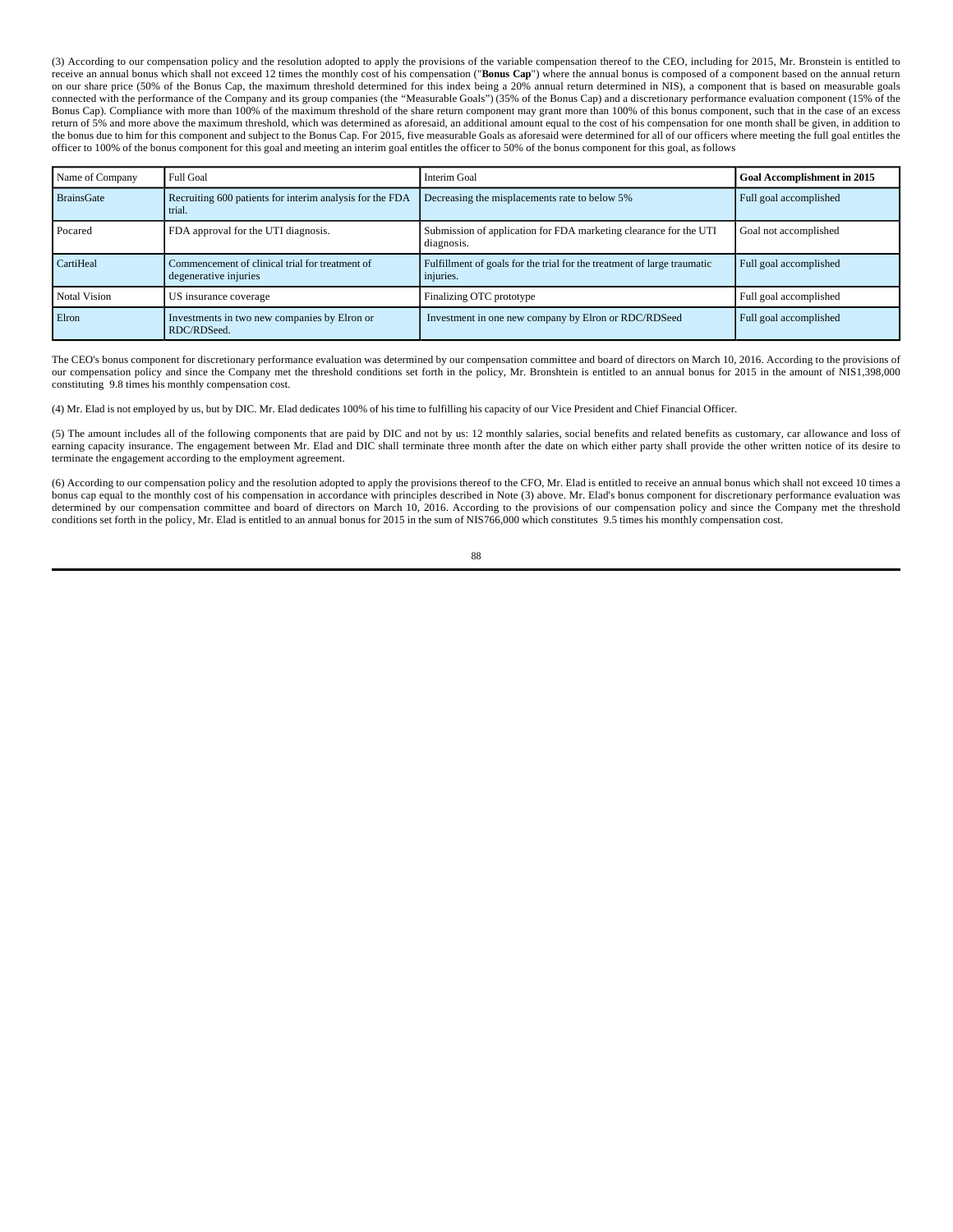(3) According to our compensation policy and the resolution adopted to apply the provisions of the variable compensation thereof to the CEO, including for 2015, Mr. Bronstein is entitled to receive an annual bonus which shall not exceed 12 times the monthly cost of his compensation ("**Bonus Cap**") where the annual bonus is composed of a component based on the annual return on our share price (50% of the Bonus Cap, the maximum threshold determined for this index being a 20% annual return determined in NIS), a component that is based on measurable goals connected with the performance of the Company and its group companies (the "Measurable Goals") (35% of the Bonus Cap) and a discretionary performance evaluation component (15% of the Bonus Cap). Compliance with more than 100% of the maximum threshold of the share return component may grant more than 100% of this bonus component, such that in the case of an excess return of 5% and more above the maximum threshold, which was determined as aforesaid, an additional amount equal to the cost of his compensation for one month shall be given, in addition to the bonus due to him for this component and subject to the Bonus Cap. For 2015, five measurable Goals as aforesaid were determined for all of our officers where meeting the full goal entitles the officer to 100% of the bonus component for this goal and meeting an interim goal entitles the officer to 50% of the bonus component for this goal, as follows

| Name of Company     | <b>Full Goal</b>                                                         | Interim Goal                                                                         | <b>Goal Accomplishment in 2015</b> |
|---------------------|--------------------------------------------------------------------------|--------------------------------------------------------------------------------------|------------------------------------|
| <b>BrainsGate</b>   | Recruiting 600 patients for interim analysis for the FDA<br>trial.       | Decreasing the misplacements rate to below 5%                                        | Full goal accomplished             |
| Pocared             | FDA approval for the UTI diagnosis.                                      | Submission of application for FDA marketing clearance for the UTI<br>diagnosis.      | Goal not accomplished              |
| CartiHeal           | Commencement of clinical trial for treatment of<br>degenerative injuries | Fulfillment of goals for the trial for the treatment of large traumatic<br>injuries. | Full goal accomplished             |
| <b>Notal Vision</b> | US insurance coverage                                                    | Finalizing OTC prototype                                                             | Full goal accomplished             |
| Elron               | Investments in two new companies by Elron or<br>RDC/RDSeed.              | Investment in one new company by Elron or RDC/RDSeed                                 | Full goal accomplished             |

The CEO's bonus component for discretionary performance evaluation was determined by our compensation committee and board of directors on March 10, 2016. According to the provisions of our compensation policy and since the Company met the threshold conditions set forth in the policy, Mr. Bronshtein is entitled to an annual bonus for 2015 in the amount of NIS1,398,000 constituting 9.8 times his monthly compensation cost.

(4) Mr. Elad is not employed by us, but by DIC. Mr. Elad dedicates 100% of his time to fulfilling his capacity of our Vice President and Chief Financial Officer.

(5) The amount includes all of the following components that are paid by DIC and not by us: 12 monthly salaries, social benefits and related benefits as customary, car allowance and loss of earning capacity insurance. The engagement between Mr. Elad and DIC shall terminate three month after the date on which either party shall provide the other written notice of its desire to terminate the engagement according to the employment agreement.

(6) According to our compensation policy and the resolution adopted to apply the provisions thereof to the CFO, Mr. Elad is entitled to receive an annual bonus which shall not exceed 10 times a bonus cap equal to the monthly cost of his compensation in accordance with principles described in Note (3) above. Mr. Elad's bonus component for discretionary performance evaluation was determined by our compensation committee and board of directors on March 10, 2016. According to the provisions of our compensation policy and since the Company met the threshold conditions set forth in the policy, Mr. Elad is entitled to an annual bonus for 2015 in the sum of NIS766,000 which constitutes 9.5 times his monthly compensation cost.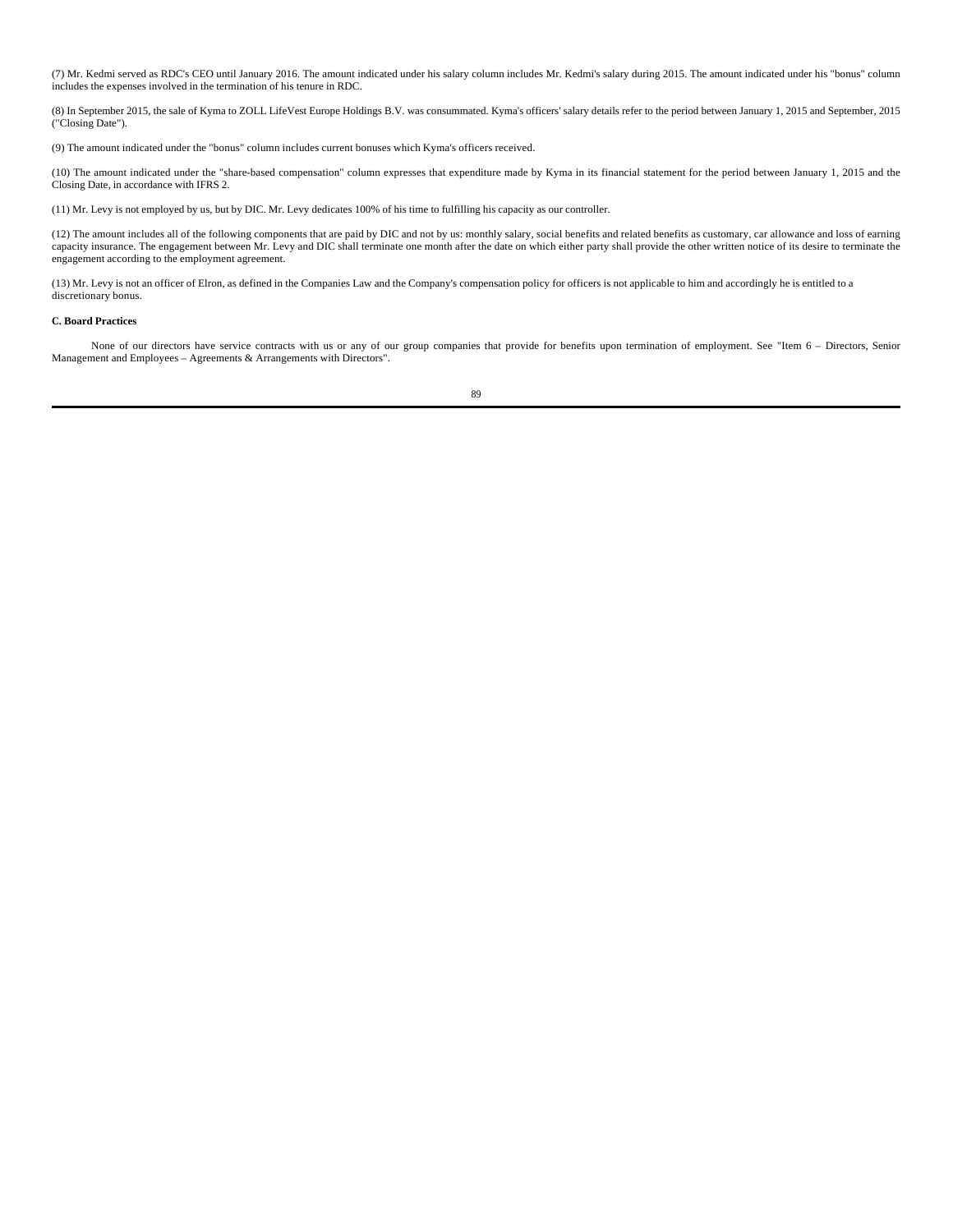(7) Mr. Kedmi served as RDC's CEO until January 2016. The amount indicated under his salary column includes Mr. Kedmi's salary during 2015. The amount indicated under his "bonus" column includes the expenses involved in the termination of his tenure in RDC.

(8) In September 2015, the sale of Kyma to ZOLL LifeVest Europe Holdings B.V. was consummated. Kyma's officers' salary details refer to the period between January 1, 2015 and September, 2015 ("Closing Date").

(9) The amount indicated under the "bonus" column includes current bonuses which Kyma's officers received.

(10) The amount indicated under the "share-based compensation" column expresses that expenditure made by Kyma in its financial statement for the period between January 1, 2015 and the Closing Date, in accordance with IFRS 2.

(11) Mr. Levy is not employed by us, but by DIC. Mr. Levy dedicates 100% of his time to fulfilling his capacity as our controller.

(12) The amount includes all of the following components that are paid by DIC and not by us: monthly salary, social benefits and related benefits as customary, car allowance and loss of earning capacity insurance. The engagement between Mr. Levy and DIC shall terminate one month after the date on which either party shall provide the other written notice of its desire to terminate the engagement according to the employment agreement.

(13) Mr. Levy is not an officer of Elron, as defined in the Companies Law and the Company's compensation policy for officers is not applicable to him and accordingly he is entitled to a discretionary bonus.

## **C. Board Practices**

None of our directors have service contracts with us or any of our group companies that provide for benefits upon termination of employment. See "Item 6 – Directors, Senior Management and Employees – Agreements & Arrangements with Directors".

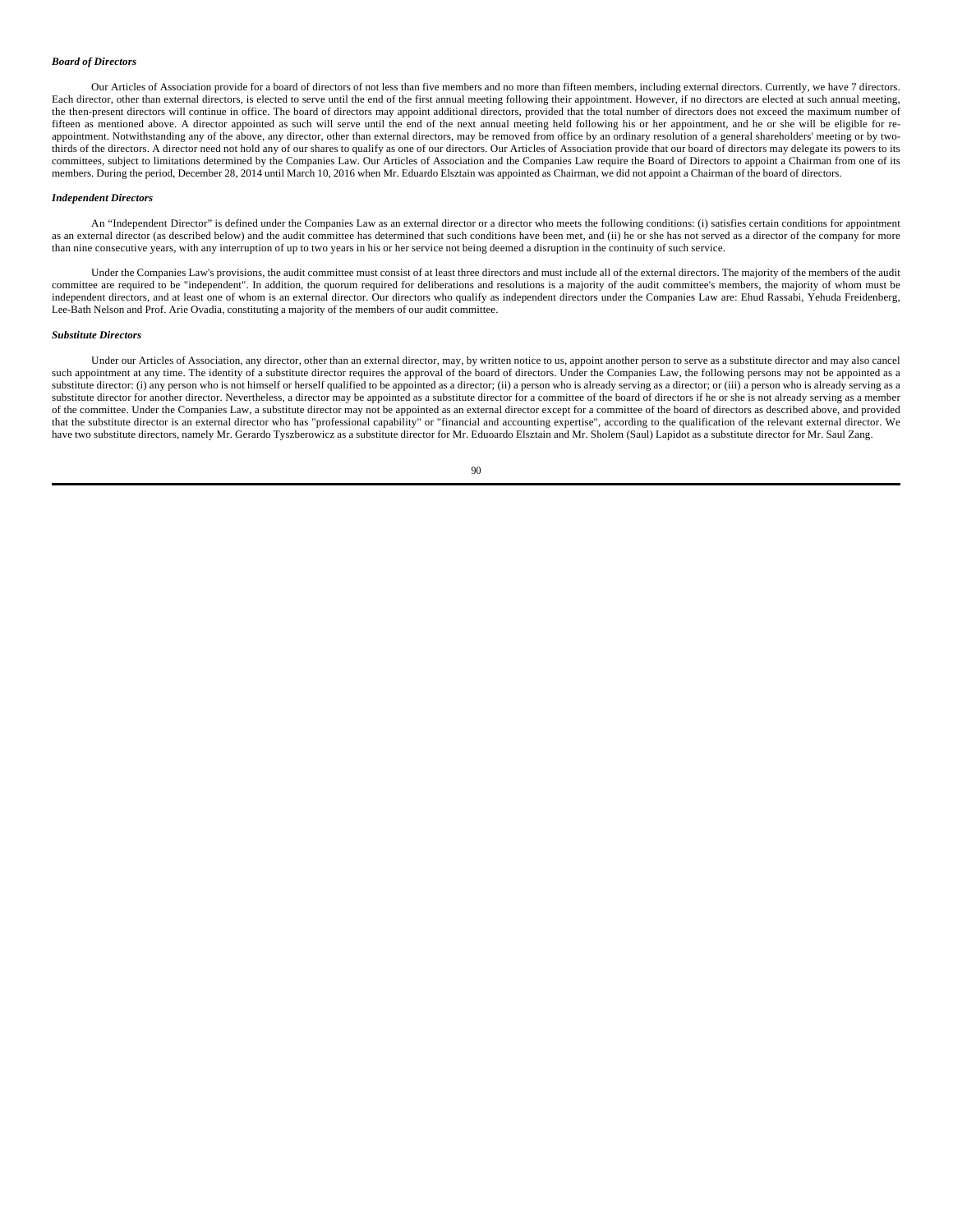#### *Board of Directors*

Our Articles of Association provide for a board of directors of not less than five members and no more than fifteen members, including external directors. Currently, we have 7 directors. Each director, other than external directors, is elected to serve until the end of the first annual meeting following their appointment. However, if no directors are elected at such annual meeting, the then-present directors will continue in office. The board of directors may appoint additional directors, provided that the total number of directors does not exceed the maximum number of fifteen as mentioned above. A director appointed as such will serve until the end of the next annual meeting held following his or her appointment, and he or she will be eligible for reappointment. Notwithstanding any of the above, any director, other than external directors, may be removed from office by an ordinary resolution of a general shareholders' meeting or by twothirds of the directors. A director need not hold any of our shares to qualify as one of our directors. Our Articles of Association provide that our board of directors may delegate its powers to its committees, subject to limitations determined by the Companies Law. Our Articles of Association and the Companies Law require the Board of Directors to appoint a Chairman from one of its members. During the period, December 28, 2014 until March 10, 2016 when Mr. Eduardo Elsztain was appointed as Chairman, we did not appoint a Chairman of the board of directors.

#### *Independent Directors*

An "Independent Director" is defined under the Companies Law as an external director or a director who meets the following conditions: (i) satisfies certain conditions for appointment as an external director (as described below) and the audit committee has determined that such conditions have been met, and (ii) he or she has not served as a director of the company for more than nine consecutive years, with any interruption of up to two years in his or her service not being deemed a disruption in the continuity of such service.

Under the Companies Law's provisions, the audit committee must consist of at least three directors and must include all of the external directors. The majority of the members of the audit committee are required to be "independent". In addition, the quorum required for deliberations and resolutions is a majority of the audit committee's members, the majority of whom must be independent directors, and at least one of whom is an external director. Our directors who qualify as independent directors under the Companies Law are: Ehud Rassabi, Yehuda Freidenberg, Lee-Bath Nelson and Prof. Arie Ovadia, constituting a majority of the members of our audit committee.

#### *Substitute Directors*

Under our Articles of Association, any director, other than an external director, may, by written notice to us, appoint another person to serve as a substitute director and may also cancel such appointment at any time. The identity of a substitute director requires the approval of the board of directors. Under the Companies Law, the following persons may not be appointed as a substitute director: (i) any person who is not himself or herself qualified to be appointed as a director; (ii) a person who is already serving as a director; or (iii) a person who is already serving as a director; or (iii substitute director for another director. Nevertheless, a director may be appointed as a substitute director for a committee of the board of directors if he or she is not already serving as a member of the committee. Under the Companies Law, a substitute director may not be appointed as an external director except for a committee of the board of directors as described above, and provided that the substitute director is an external director who has "professional capability" or "financial and accounting expertise", according to the qualification of the relevant external director. We have two substitute directors, namely Mr. Gerardo Tyszberowicz as a substitute director for Mr. Eduoardo Elsztain and Mr. Sholem (Saul) Lapidot as a substitute director for Mr. Saul Zang.

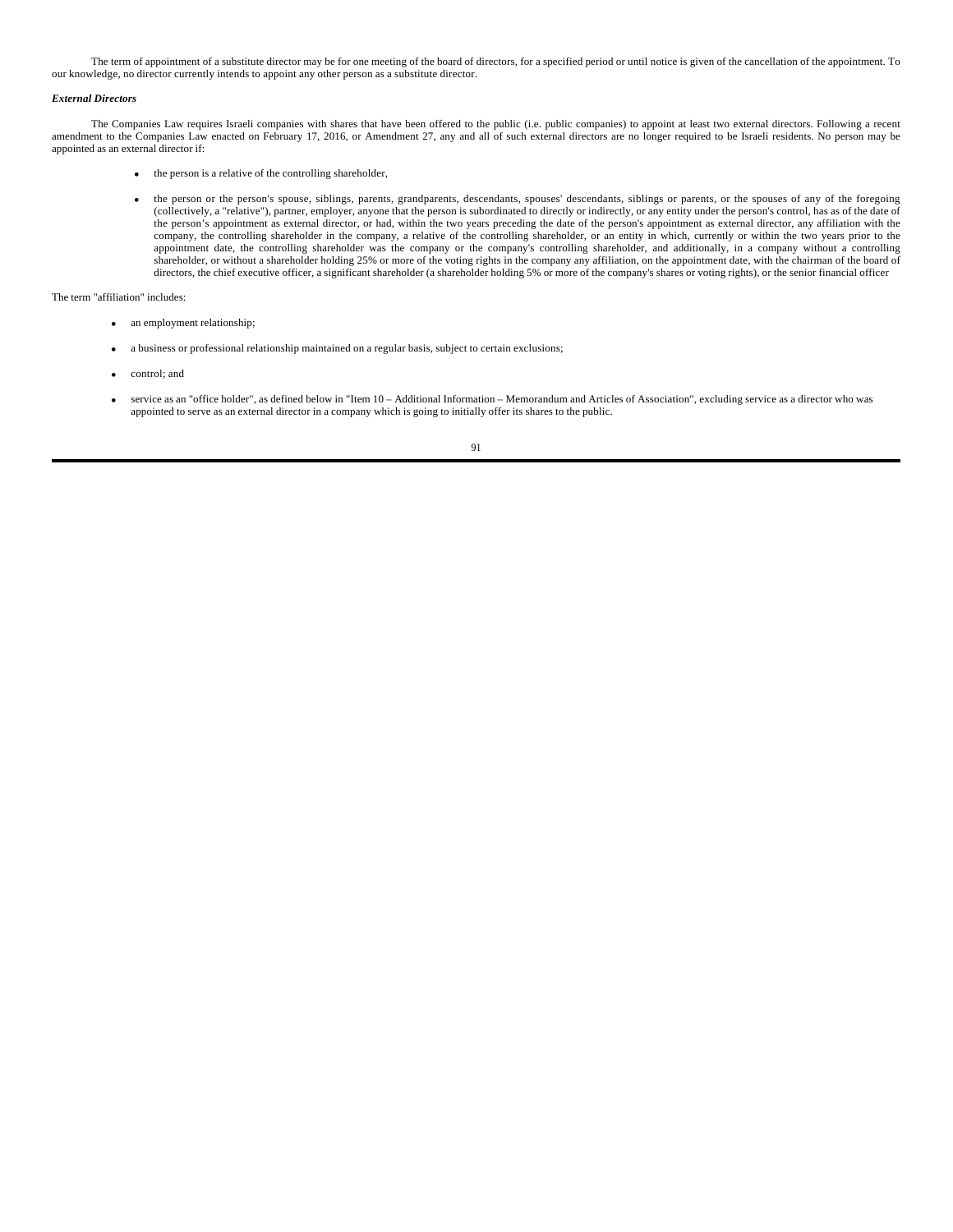The term of appointment of a substitute director may be for one meeting of the board of directors, for a specified period or until notice is given of the cancellation of the appointment. To our knowledge, no director currently intends to appoint any other person as a substitute director.

### *External Directors*

The Companies Law requires Israeli companies with shares that have been offered to the public (i.e. public companies) to appoint at least two external directors. Following a recent amendment to the Companies Law enacted on February 17, 2016, or Amendment 27, any and all of such external directors are no longer required to be Israeli residents. No person may be appointed as an external director if:

- the person is a relative of the controlling shareholder,
- the person or the person's spouse, siblings, parents, grandparents, descendants, spouses' descendants, siblings or parents, or the spouses of any of the foregoing (collectively, a "relative"), partner, employer, anyone that the person is subordinated to directly or indirectly, or any entity under the person's control, has as of the date of the person's appointment as external director, or had, within the two years preceding the date of the person's appointment as external director, any affiliation with the company, the controlling shareholder in the company, appointment date, the controlling shareholder was the company or the company's controlling shareholder, and additionally, in a company without a controlling shareholder, or without a shareholder holding 25% or more of the voting rights in the company any affiliation, on the appointment date, with the chairman of the board of directors, the chief executive officer, a significant shareholder (a shareholder holding 5% or more of the company's shares or voting rights), or the senior financial officer

The term "affiliation" includes:

- an employment relationship;
- a business or professional relationship maintained on a regular basis, subject to certain exclusions;
- control; and
- service as an "office holder", as defined below in "Item 10 Additional Information Memorandum and Articles of Association", excluding service as a director who was appointed to serve as an external director in a company which is going to initially offer its shares to the public.

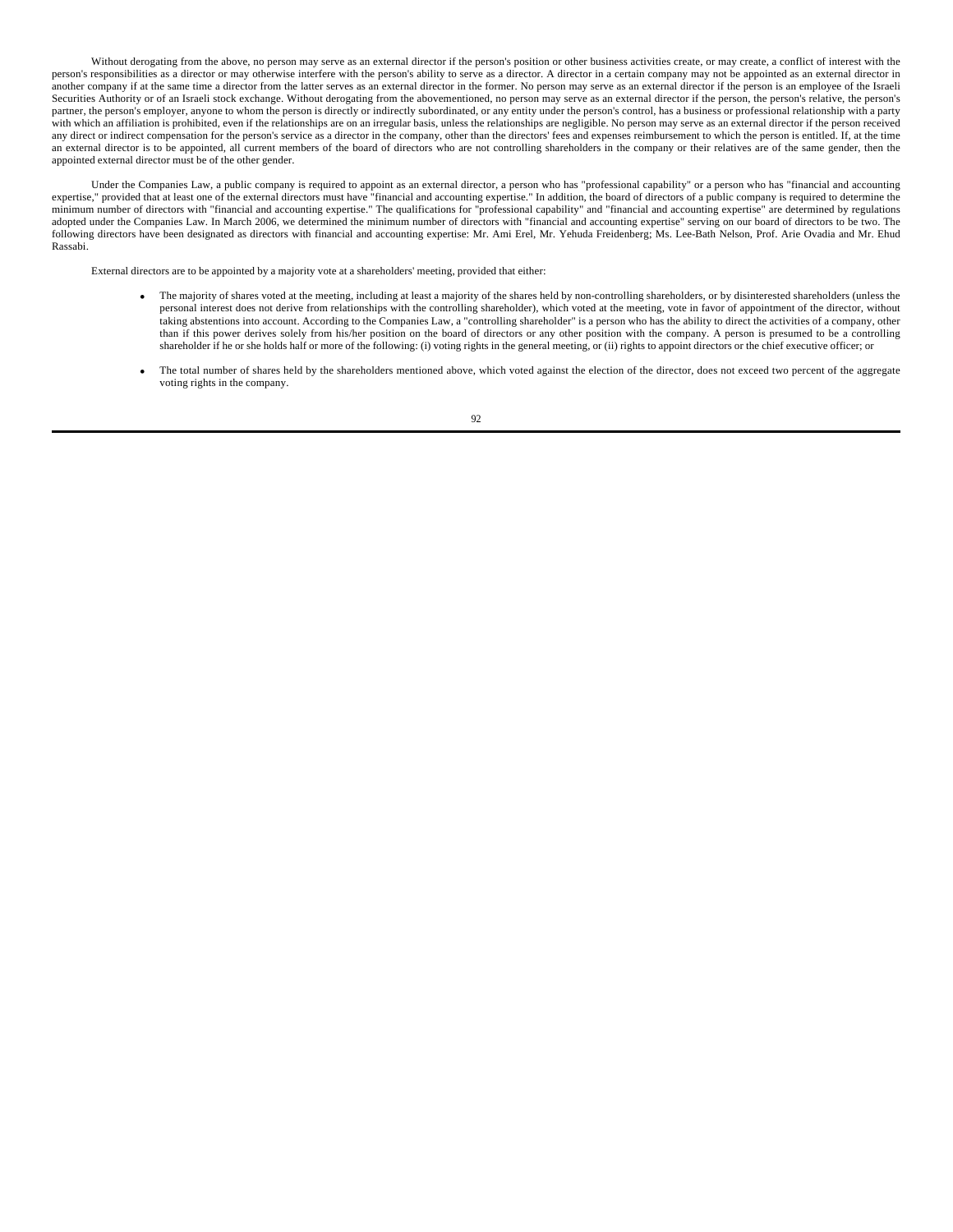Without derogating from the above, no person may serve as an external director if the person's position or other business activities create, or may create, a conflict of interest with the person's responsibilities as a director or may otherwise interfere with the person's ability to serve as a director. A director in a certain company may not be appointed as an external director in another company if at the same time a director from the latter serves as an external director in the former. No person may serve as an external director if the person is an employee of the Israeli Securities Authority or of an Israeli stock exchange. Without derogating from the abovementioned, no person may serve as an external director if the person, the person's relative, the person's partner, the person's employer, anyone to whom the person is directly or indirectly subordinated, or any entity under the person's control, has a business or professional relationship with a party with which an affiliation is prohibited, even if the relationships are on an irregular basis, unless the relationships are negligible. No person may serve as an external director if the person received any direct or indirect compensation for the person's service as a director in the company, other than the directors' fees and expenses reimbursement to which the person is entitled. If, at the time an external director is to be appointed, all current members of the board of directors who are not controlling shareholders in the company or their relatives are of the same gender, then the appointed external director must be of the other gender.

Under the Companies Law, a public company is required to appoint as an external director, a person who has "professional capability" or a person who has "financial and accounting expertise," provided that at least one of the external directors must have "financial and accounting expertise." In addition, the board of directors of a public company is required to determine the minimum number of directors with "financial and accounting expertise." The qualifications for "professional capability" and "financial and accounting expertise" are determined by regulations adopted under the Companies Law. In March 2006, we determined the minimum number of directors with "financial and accounting expertise" serving on our board of directors to be two. The following directors have been designated as directors with financial and accounting expertise: Mr. Ami Erel, Mr. Yehuda Freidenberg; Ms. Lee-Bath Nelson, Prof. Arie Ovadia and Mr. Ehud Rassabi.

External directors are to be appointed by a majority vote at a shareholders' meeting, provided that either:

- The majority of shares voted at the meeting, including at least a majority of the shares held by non-controlling shareholders, or by disinterested shareholders (unless the personal interest does not derive from relationships with the controlling shareholder), which voted at the meeting, vote in favor of appointment of the director, without taking abstentions into account. According to the Companies Law, a "controlling shareholder" is a person who has the ability to direct the activities of a company, other than if this power derives solely from his/her position on the board of directors or any other position with the company. A person is presumed to be a controlling shareholder if he or she holds half or more of the following: (i) voting rights in the general meeting, or (ii) rights to appoint directors or the chief executive officer; or
- The total number of shares held by the shareholders mentioned above, which voted against the election of the director, does not exceed two percent of the aggregate voting rights in the company.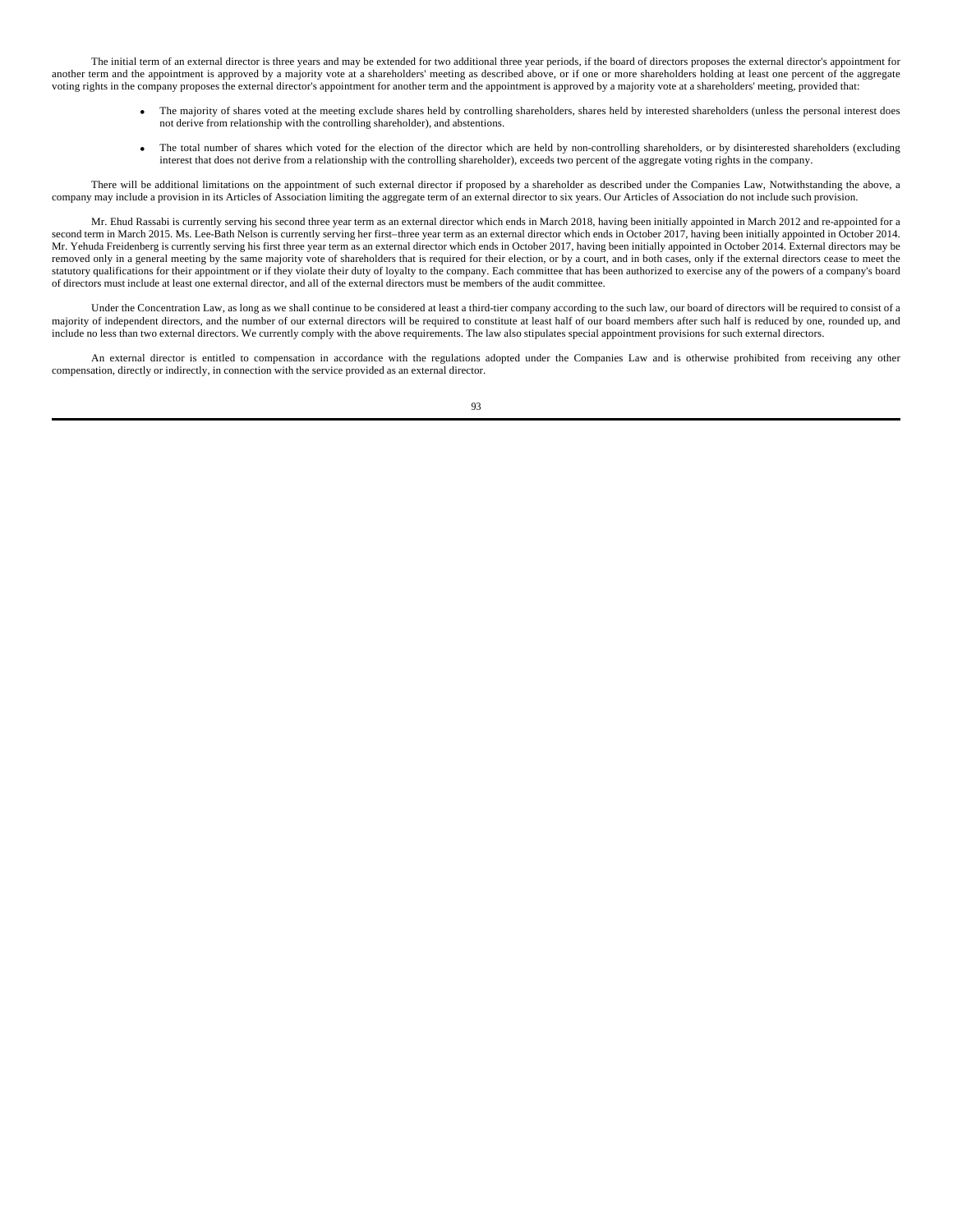The initial term of an external director is three years and may be extended for two additional three year periods, if the board of directors proposes the external director's appointment for another term and the appointment is approved by a majority vote at a shareholders' meeting as described above, or if one or more shareholders holding at least one percent of the aggregate voting rights in the company proposes the external director's appointment for another term and the appointment is approved by a majority vote at a shareholders' meeting, provided that:

- The majority of shares voted at the meeting exclude shares held by controlling shareholders, shares held by interested shareholders (unless the personal interest does not derive from relationship with the controlling shareholder), and abstentions.
- The total number of shares which voted for the election of the director which are held by non-controlling shareholders, or by disinterested shareholders (excluding interest that does not derive from a relationship with the controlling shareholder), exceeds two percent of the aggregate voting rights in the company.

There will be additional limitations on the appointment of such external director if proposed by a shareholder as described under the Companies Law, Notwithstanding the above, a company may include a provision in its Articles of Association limiting the aggregate term of an external director to six years. Our Articles of Association do not include such provision.

Mr. Ehud Rassabi is currently serving his second three year term as an external director which ends in March 2018, having been initially appointed in March 2012 and re-appointed for a second term in March 2015. Ms. Lee-Bath Nelson is currently serving her first–three year term as an external director which ends in October 2017, having been initially appointed in October 2014. Mr. Yehuda Freidenberg is currently serving his first three year term as an external director which ends in October 2017, having been initially appointed in October 2014. External directors may be removed only in a general meeting by the same majority vote of shareholders that is required for their election, or by a court, and in both cases, only if the external directors cease to meet the statutory qualifications for their appointment or if they violate their duty of loyalty to the company. Each committee that has been authorized to exercise any of the powers of a company's board of directors must include at least one external director, and all of the external directors must be members of the audit committee.

Under the Concentration Law, as long as we shall continue to be considered at least a third-tier company according to the such law, our board of directors will be required to consist of a majority of independent directors, and the number of our external directors will be required to constitute at least half of our board members after such half is reduced by one, rounded up, and include no less than two external directors. We currently comply with the above requirements. The law also stipulates special appointment provisions for such external directors.

An external director is entitled to compensation in accordance with the regulations adopted under the Companies Law and is otherwise prohibited from receiving any other compensation, directly or indirectly, in connection with the service provided as an external director.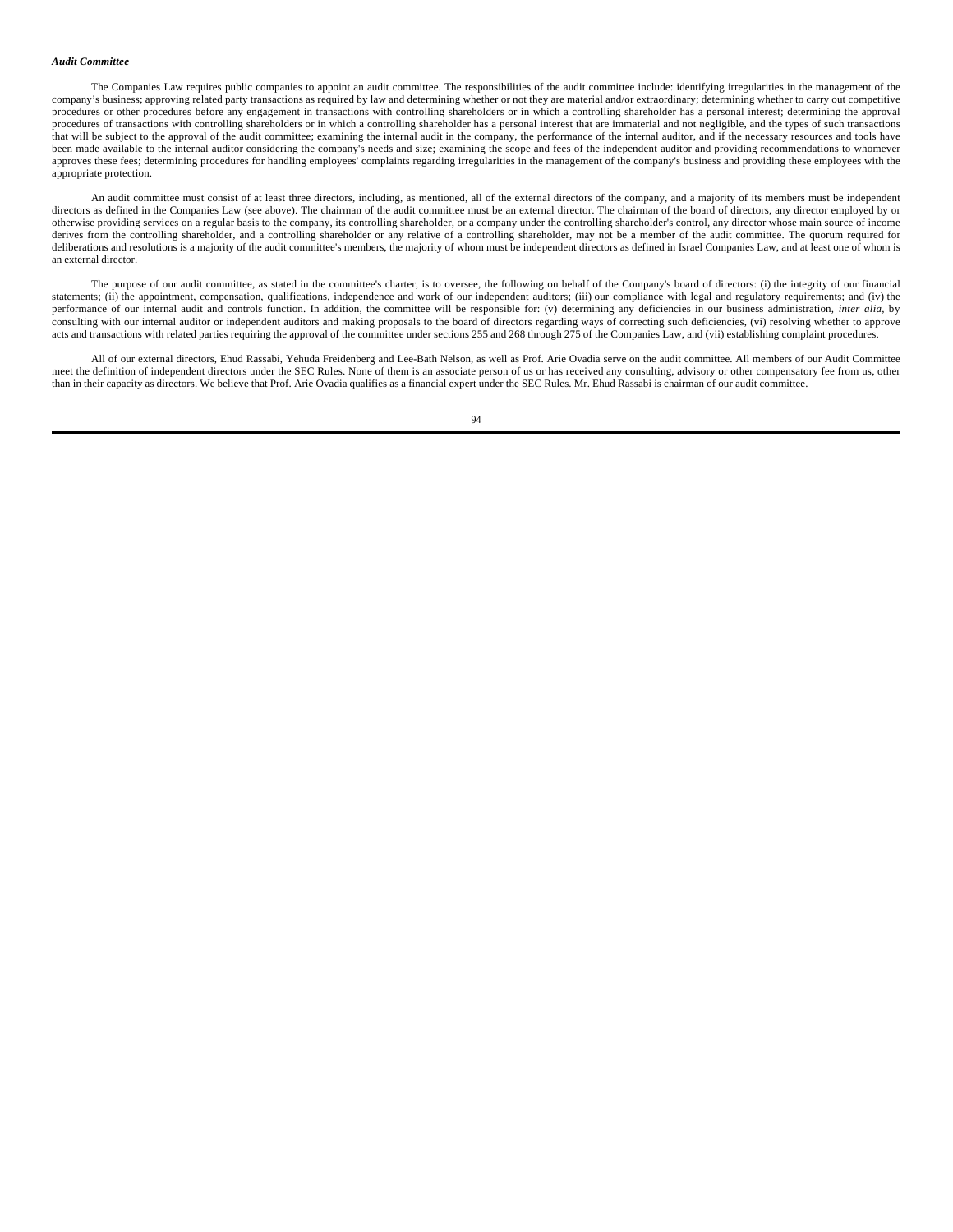#### *Audit Committee*

The Companies Law requires public companies to appoint an audit committee. The responsibilities of the audit committee include: identifying irregularities in the management of the company's business; approving related party transactions as required by law and determining whether or not they are material and/or extraordinary; determining whether to carry out competitive procedures or other procedures before any engagement in transactions with controlling shareholders or in which a controlling shareholder has a personal interest; determining the approval procedures of transactions with controlling shareholders or in which a controlling shareholder has a personal interest that are immaterial and not negligible, and the types of such transactions that will be subject to the approval of the audit committee; examining the internal audit in the company, the performance of the internal auditor, and if the necessary resources and tools have been made available to the internal auditor considering the company's needs and size; examining the scope and fees of the independent auditor and providing recommendations to whomever<br>approves these fees; determining proce appropriate protection.

An audit committee must consist of at least three directors, including, as mentioned, all of the external directors of the company, and a majority of its members must be independent directors as defined in the Companies Law (see above). The chairman of the audit committee must be an external director. The chairman of the board of directors, any director employed by or otherwise providing services on a regular basis to the company, its controlling shareholder, or a company under the controlling shareholder's control, any director whose main source of income derives from the controlling shareholder, and a controlling shareholder or any relative of a controlling shareholder, may not be a member of the audit committee. The quorum required for deliberations and resolutions is a majority of the audit committee's members, the majority of whom must be independent directors as defined in Israel Companies Law, and at least one of whom is an external director.

The purpose of our audit committee, as stated in the committee's charter, is to oversee, the following on behalf of the Company's board of directors: (i) the integrity of our financial statements; (ii) the appointment, compensation, qualifications, independence and work of our independent auditors; (iii) our compliance with legal and regulatory requirements; and (iv) the performance of our internal audit and controls function. In addition, the committee will be responsible for: (v) determining any deficiencies in our business administration, *inter alia*, by consulting with our internal auditor or independent auditors and making proposals to the board of directors regarding ways of correcting such deficiencies, (vi) resolving whether to approve acts and transactions with relat

All of our external directors, Ehud Rassabi, Yehuda Freidenberg and Lee-Bath Nelson, as well as Prof. Arie Ovadia serve on the audit committee. All members of our Audit Committee meet the definition of independent directors under the SEC Rules. None of them is an associate person of us or has received any consulting, advisory or other compensatory fee from us, other than in their capacity as directors. We believe that Prof. Arie Ovadia qualifies as a financial expert under the SEC Rules. Mr. Ehud Rassabi is chairman of our audit committee.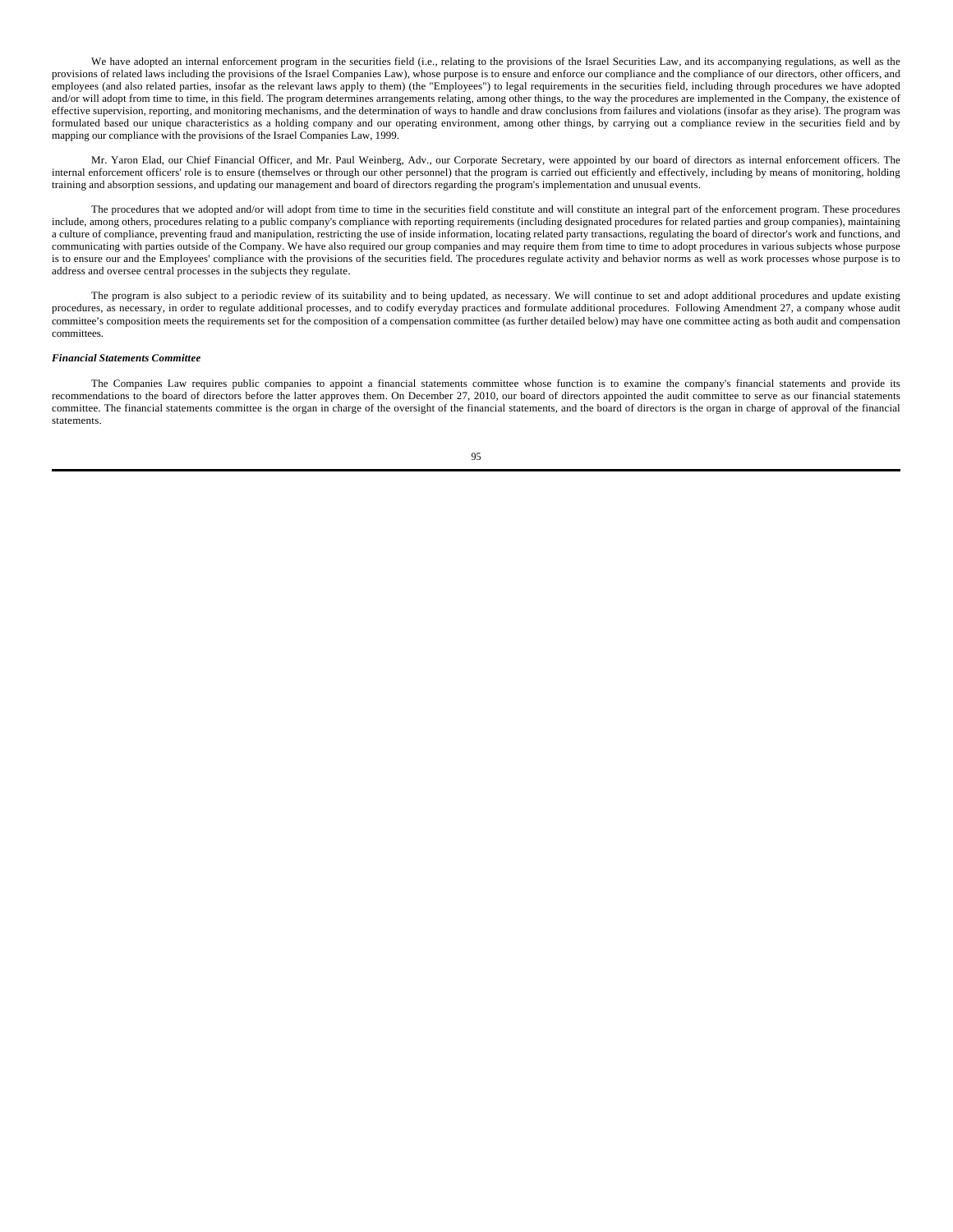We have adopted an internal enforcement program in the securities field (i.e., relating to the provisions of the Israel Securities Law, and its accompanying regulations, as well as the provisions of related laws including the provisions of the Israel Companies Law), whose purpose is to ensure and enforce our compliance and the compliance of our directors, other officers, and employees (and also related parties, insofar as the relevant laws apply to them) (the "Employees") to legal requirements in the securities field, including through procedures we have adopted and/or will adopt from time to time, in this field. The program determines arrangements relating, among other things, to the way the procedures are implemented in the Company, the existence of effective supervision, reporting, and monitoring mechanisms, and the determination of ways to handle and draw conclusions from failures and violations (insofar as they arise). The program was formulated based our unique characteristics as a holding company and our operating environment, among other things, by carrying out a compliance review in the securities field and by mapping our compliance with the provisions of the Israel Companies Law, 1999.

Mr. Yaron Elad, our Chief Financial Officer, and Mr. Paul Weinberg, Adv., our Corporate Secretary, were appointed by our board of directors as internal enforcement officers. The internal enforcement officers' role is to ensure (themselves or through our other personnel) that the program is carried out efficiently and effectively, including by means of monitoring, holding training and absorption sessions, and updating our management and board of directors regarding the program's implementation and unusual events.

The procedures that we adopted and/or will adopt from time to time in the securities field constitute and will constitute an integral part of the enforcement program. These procedures include, among others, procedures relating to a public company's compliance with reporting requirements (including designated procedures for related parties and group companies), maintaining a culture of compliance, preventing fraud and manipulation, restricting the use of inside information, locating related party transactions, regulating the board of director's work and functions, and communicating with parties outside of the Company. We have also required our group companies and may require them from time to time to adopt procedures in various subjects whose purpose is to ensure our and the Employees' compliance with the provisions of the securities field. The procedures regulate activity and behavior norms as well as work processes whose purpose is to address and oversee central processes in the subjects they regulate.

The program is also subject to a periodic review of its suitability and to being updated, as necessary. We will continue to set and adopt additional procedures and update existing procedures, as necessary, in order to regulate additional processes, and to codify everyday practices and formulate additional procedures. Following Amendment 27, a company whose audit committee's composition meets the requirements set for the composition of a compensation committee (as further detailed below) may have one committee acting as both audit and compensation committees.

### *Financial Statements Committee*

The Companies Law requires public companies to appoint a financial statements committee whose function is to examine the company's financial statements and provide its recommendations to the board of directors before the l committee. The financial statements committee is the organ in charge of the oversight of the financial statements, and the board of directors is the organ in charge of approval of the financial statements.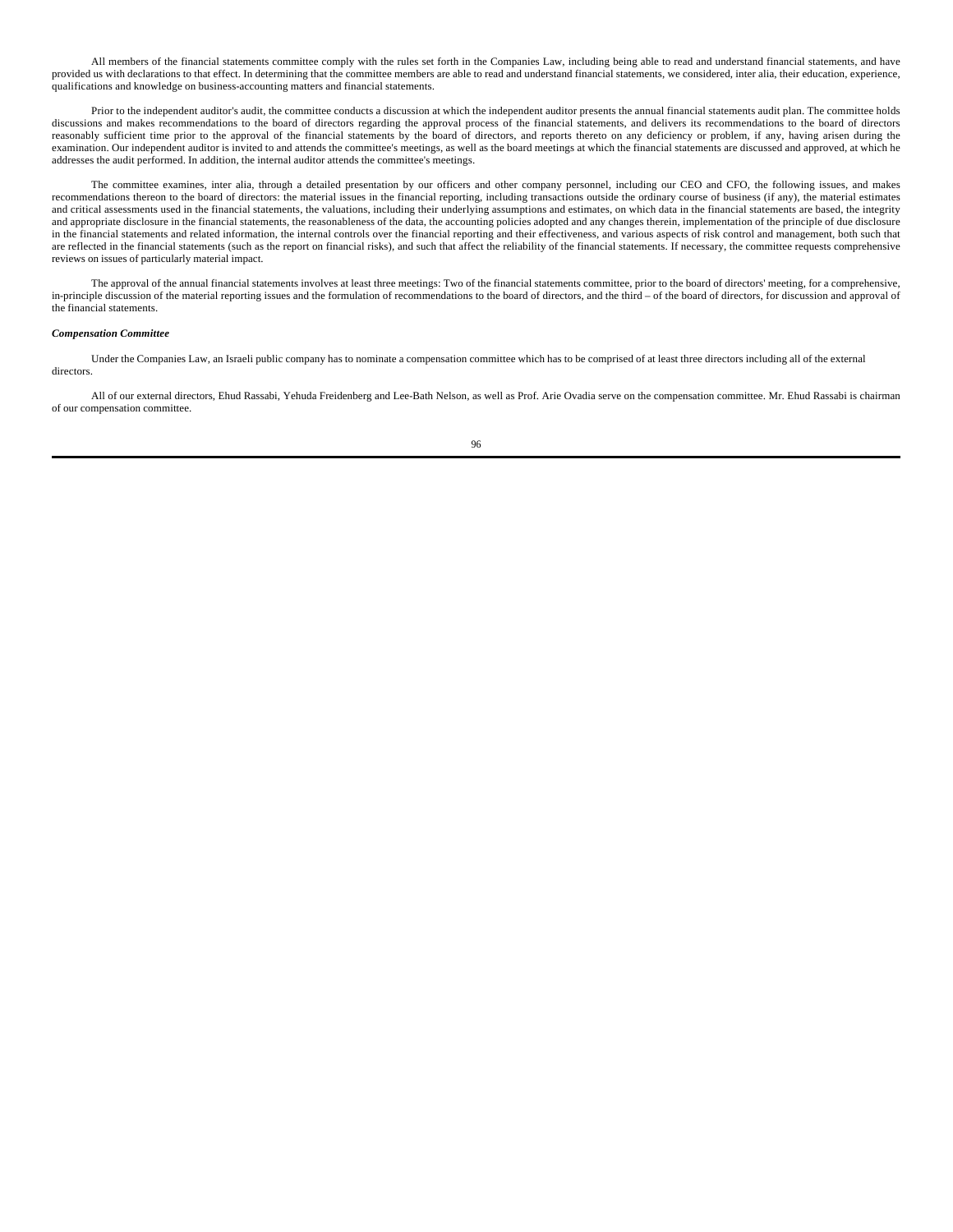All members of the financial statements committee comply with the rules set forth in the Companies Law, including being able to read and understand financial statements, and have provided us with declarations to that effect. In determining that the committee members are able to read and understand financial statements, we considered, inter alia, their education, experience, qualifications and knowledge on business-accounting matters and financial statements.

Prior to the independent auditor's audit, the committee conducts a discussion at which the independent auditor presents the annual financial statements audit plan. The committee holds discussions and makes recommendations to the board of directors regarding the approval process of the financial statements, and delivers its recommendations to the board of directors reasonably sufficient time prior to the approval of the financial statements by the board of directors, and reports thereto on any deficiency or problem, if any, having arisen during the examination. Our independent auditor is invited to and attends the committee's meetings, as well as the board meetings at which the financial statements are discussed and approved, at which he addresses the audit performed. In addition, the internal auditor attends the committee's meetings.

The committee examines, inter alia, through a detailed presentation by our officers and other company personnel, including our CEO and CFO, the following issues, and makes recommendations thereon to the board of directors: the material issues in the financial reporting, including transactions outside the ordinary course of business (if any), the material estimates and critical assessments used in the financial statements, the valuations, including their underlying assumptions and estimates, on which data in the financial statements are based, the integrity and appropriate disclosure in the financial statements, the reasonableness of the data, the accounting policies adopted and any changes therein, implementation of the principle of due disclosure in the financial statements and related information, the internal controls over the financial reporting and their effectiveness, and various aspects of risk control and management, both such that are reflected in the financial statements (such as the report on financial risks), and such that affect the reliability of the financial statements. If necessary, the committee requests comprehensive reviews on issues of particularly material impact.

The approval of the annual financial statements involves at least three meetings: Two of the financial statements committee, prior to the board of directors' meeting, for a comprehensive, in-principle discussion of the material reporting issues and the formulation of recommendations to the board of directors, and the third – of the board of directors, for discussion and approval of the financial statements.

### *Compensation Committee*

Under the Companies Law, an Israeli public company has to nominate a compensation committee which has to be comprised of at least three directors including all of the external directors.

All of our external directors, Ehud Rassabi, Yehuda Freidenberg and Lee-Bath Nelson, as well as Prof. Arie Ovadia serve on the compensation committee. Mr. Ehud Rassabi is chairman of our compensation committee.

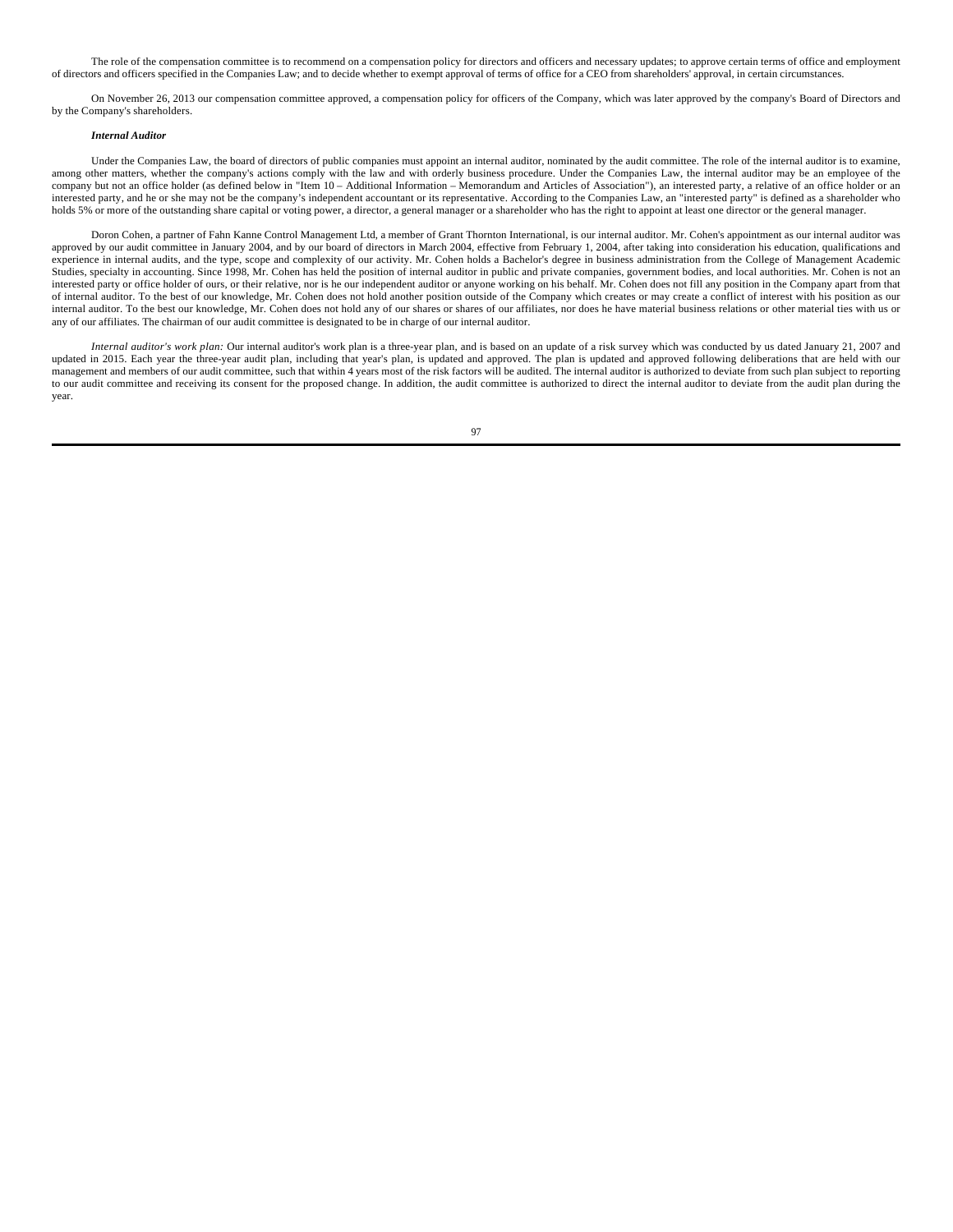The role of the compensation committee is to recommend on a compensation policy for directors and officers and necessary updates; to approve certain terms of office and employment of directors and officers specified in the Companies Law; and to decide whether to exempt approval of terms of office for a CEO from shareholders' approval, in certain circumstances.

On November 26, 2013 our compensation committee approved, a compensation policy for officers of the Company, which was later approved by the company's Board of Directors and by the Company's shareholders.

### *Internal Auditor*

Under the Companies Law, the board of directors of public companies must appoint an internal auditor, nominated by the audit committee. The role of the internal auditor is to examine, among other matters, whether the company's actions comply with the law and with orderly business procedure. Under the Companies Law, the internal auditor may be an employee of the company but not an office holder (as defined below in "Item 10 – Additional Information – Memorandum and Articles of Association"), an interested party, a relative of an office holder or an interested party, and he or she may not be the company's independent accountant or its representative. According to the Companies Law, an "interested party" is defined as a shareholder who holds 5% or more of the outstanding share capital or voting power, a director, a general manager or a shareholder who has the right to appoint at least one director or the general manager.

Doron Cohen, a partner of Fahn Kanne Control Management Ltd, a member of Grant Thornton International, is our internal auditor. Mr. Cohen's appointment as our internal auditor was approved by our audit committee in January 2004, and by our board of directors in March 2004, effective from February 1, 2004, after taking into consideration his education, qualifications and experience in internal audits, and the type, scope and complexity of our activity. Mr. Cohen holds a Bachelor's degree in business administration from the College of Management Academic Studies, specialty in accounting. Since 1998, Mr. Cohen has held the position of internal auditor in public and private companies, government bodies, and local authorities. Mr. Cohen is not an interested party or office holder of ours, or their relative, nor is he our independent auditor or anyone working on his behalf. Mr. Cohen does not fill any position in the Company apart from that of internal auditor. To the best of our knowledge, Mr. Cohen does not hold another position outside of the Company which creates or may create a conflict of interest with his position as our internal auditor. To the best our knowledge, Mr. Cohen does not hold any of our shares or shares of our affiliates, nor does he have material business relations or other material ties with us or any of our affiliates. The chairman of our audit committee is designated to be in charge of our internal auditor.

*Internal auditor's work plan:* Our internal auditor's work plan is a three-year plan, and is based on an update of a risk survey which was conducted by us dated January 21, 2007 and updated in 2015. Each year the three-year audit plan, including that year's plan, is updated and approved. The plan is updated and approved following deliberations that are held with our<br>management and members of our audit to our audit committee and receiving its consent for the proposed change. In addition, the audit committee is authorized to direct the internal auditor to deviate from the audit plan during the year.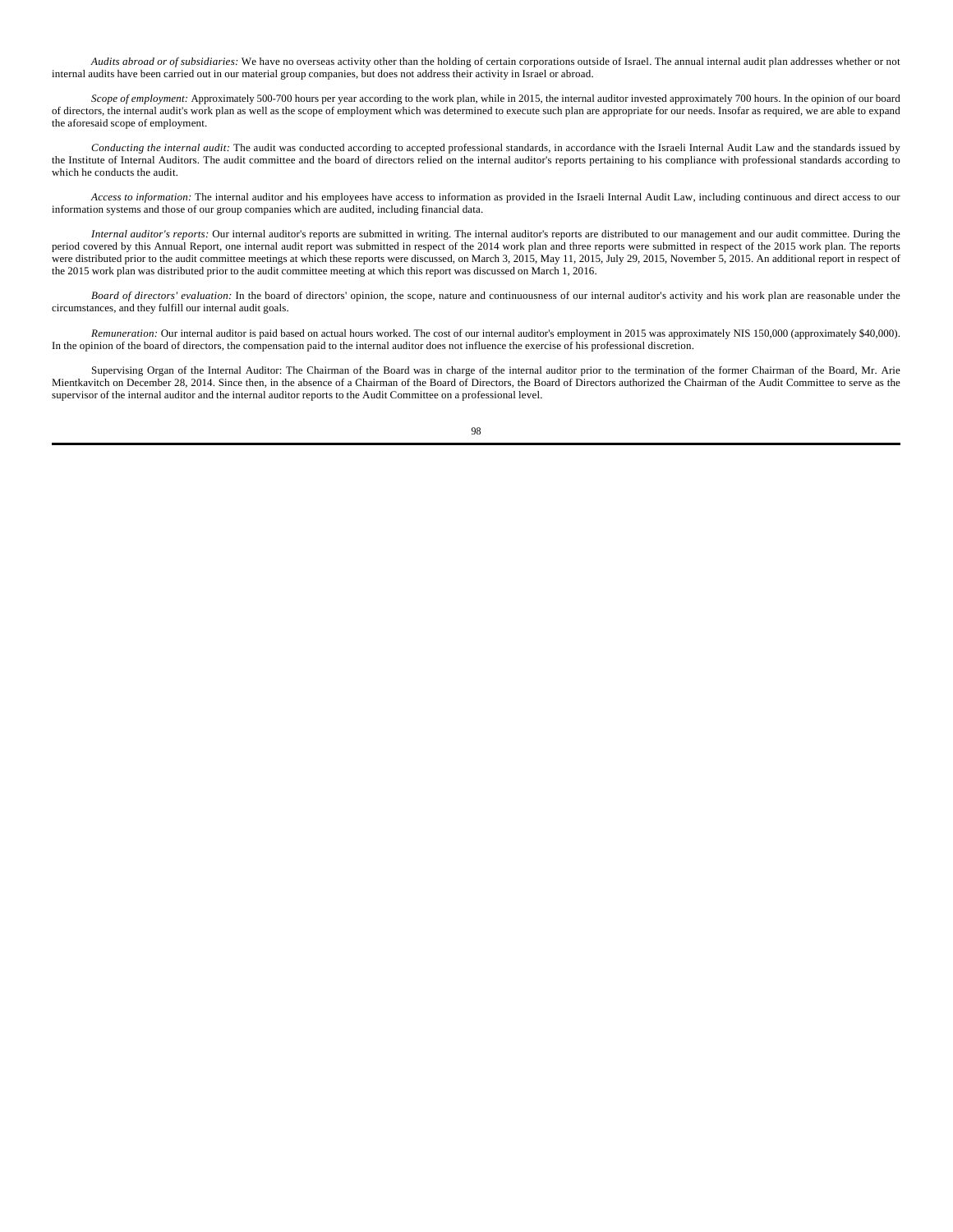*Audits abroad or of subsidiaries:* We have no overseas activity other than the holding of certain corporations outside of Israel. The annual internal audit plan addresses whether or not internal audits have been carried out in our material group companies, but does not address their activity in Israel or abroad.

*Scope of employment:* Approximately 500-700 hours per year according to the work plan, while in 2015, the internal auditor invested approximately 700 hours. In the opinion of our board of directors, the internal audit's work plan as well as the scope of employment which was determined to execute such plan are appropriate for our needs. Insofar as required, we are able to expand the aforesaid scope of employment.

*Conducting the internal audit:* The audit was conducted according to accepted professional standards, in accordance with the Israeli Internal Audit Law and the standards issued by the Institute of Internal Auditors. The audit committee and the board of directors relied on the internal auditor's reports pertaining to his compliance with professional standards according to which he conducts the audit.

*Access to information:* The internal auditor and his employees have access to information as provided in the Israeli Internal Audit Law, including continuous and direct access to our information systems and those of our group companies which are audited, including financial data.

*Internal auditor's reports:* Our internal auditor's reports are submitted in writing. The internal auditor's reports are distributed to our management and our audit committee. During the period covered by this Annual Report, one internal audit report was submitted in respect of the 2014 work plan and three reports were submitted in respect of the 2015 work plan. The reports were distributed prior to the audit committee meetings at which these reports were discussed, on March 3, 2015, May 11, 2015, July 29, 2015, November 5, 2015. An additional report in respect of the 2015 work plan was distributed prior to the audit committee meeting at which this report was discussed on March 1, 2016.

*Board of directors' evaluation:* In the board of directors' opinion, the scope, nature and continuousness of our internal auditor's activity and his work plan are reasonable under the circumstances, and they fulfill our internal audit goals.

*Remuneration:* Our internal auditor is paid based on actual hours worked. The cost of our internal auditor's employment in 2015 was approximately NIS 150,000 (approximately \$40,000). In the opinion of the board of directors, the compensation paid to the internal auditor does not influence the exercise of his professional discretion.

Supervising Organ of the Internal Auditor: The Chairman of the Board was in charge of the internal auditor prior to the termination of the former Chairman of the Board, Mr. Arie Mientkavitch on December 28, 2014. Since then, in the absence of a Chairman of the Board of Directors, the Board of Directors authorized the Chairman of the Audit Committee to serve as the supervisor of the internal auditor and the internal auditor reports to the Audit Committee on a professional level.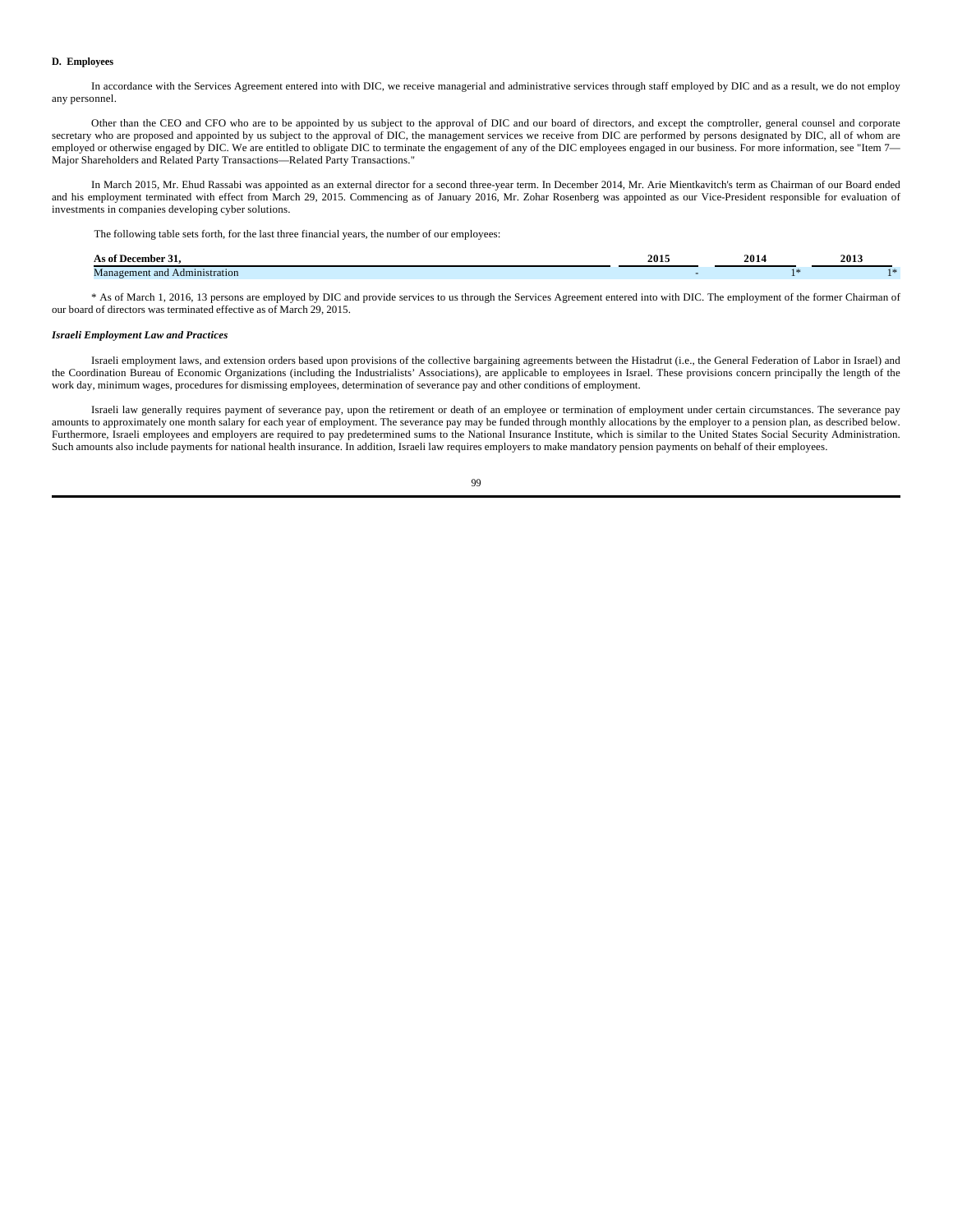### **D. Employees**

In accordance with the Services Agreement entered into with DIC, we receive managerial and administrative services through staff employed by DIC and as a result, we do not employ any personnel.

Other than the CEO and CFO who are to be appointed by us subject to the approval of DIC and our board of directors, and except the comptroller, general counsel and corporate secretary who are proposed and appointed by us subject to the approval of DIC, the management services we receive from DIC are performed by persons designated by DIC, all of whom are employed or otherwise engaged by DIC. We are entitled to obligate DIC to terminate the engagement of any of the DIC employees engaged in our business. For more information, see "Item 7-Major Shareholders and Related Party Transactions—Related Party Transactions."

In March 2015, Mr. Ehud Rassabi was appointed as an external director for a second three-year term. In December 2014, Mr. Arie Mientkavitch's term as Chairman of our Board ended and his employment terminated with effect from March 29, 2015. Commencing as of January 2016, Mr. Zohar Rosenberg was appointed as our Vice-President responsible for evaluation of investments in companies developing cyber solutions.

The following table sets forth, for the last three financial years, the number of our employees:

| $\sim$ $-$<br>`ember<br>             | 2015 | 2.014<br>49. | 2013 |
|--------------------------------------|------|--------------|------|
| Administration<br>ement and<br>Manas |      |              |      |

\* As of March 1, 2016, 13 persons are employed by DIC and provide services to us through the Services Agreement entered into with DIC. The employment of the former Chairman of our board of directors was terminated effective as of March 29, 2015.

#### *Israeli Employment Law and Practices*

Israeli employment laws, and extension orders based upon provisions of the collective bargaining agreements between the Histadrut (i.e., the General Federation of Labor in Israel) and the Coordination Bureau of Economic Organizations (including the Industrialists' Associations), are applicable to employees in Israel. These provisions concern principally the length of the work day, minimum wages, procedures for dismissing employees, determination of severance pay and other conditions of employment.

Israeli law generally requires payment of severance pay, upon the retirement or death of an employee or termination of employment under certain circumstances. The severance pay amounts to approximately one month salary for each year of employment. The severance pay may be funded through monthly allocations by the employer to a pension plan, as described below. Furthermore, Israeli employees and employers are required to pay predetermined sums to the National Insurance Institute, which is similar to the United States Social Security Administration. Such amounts also include payments for national health insurance. In addition, Israeli law requires employers to make mandatory pension payments on behalf of their employees.

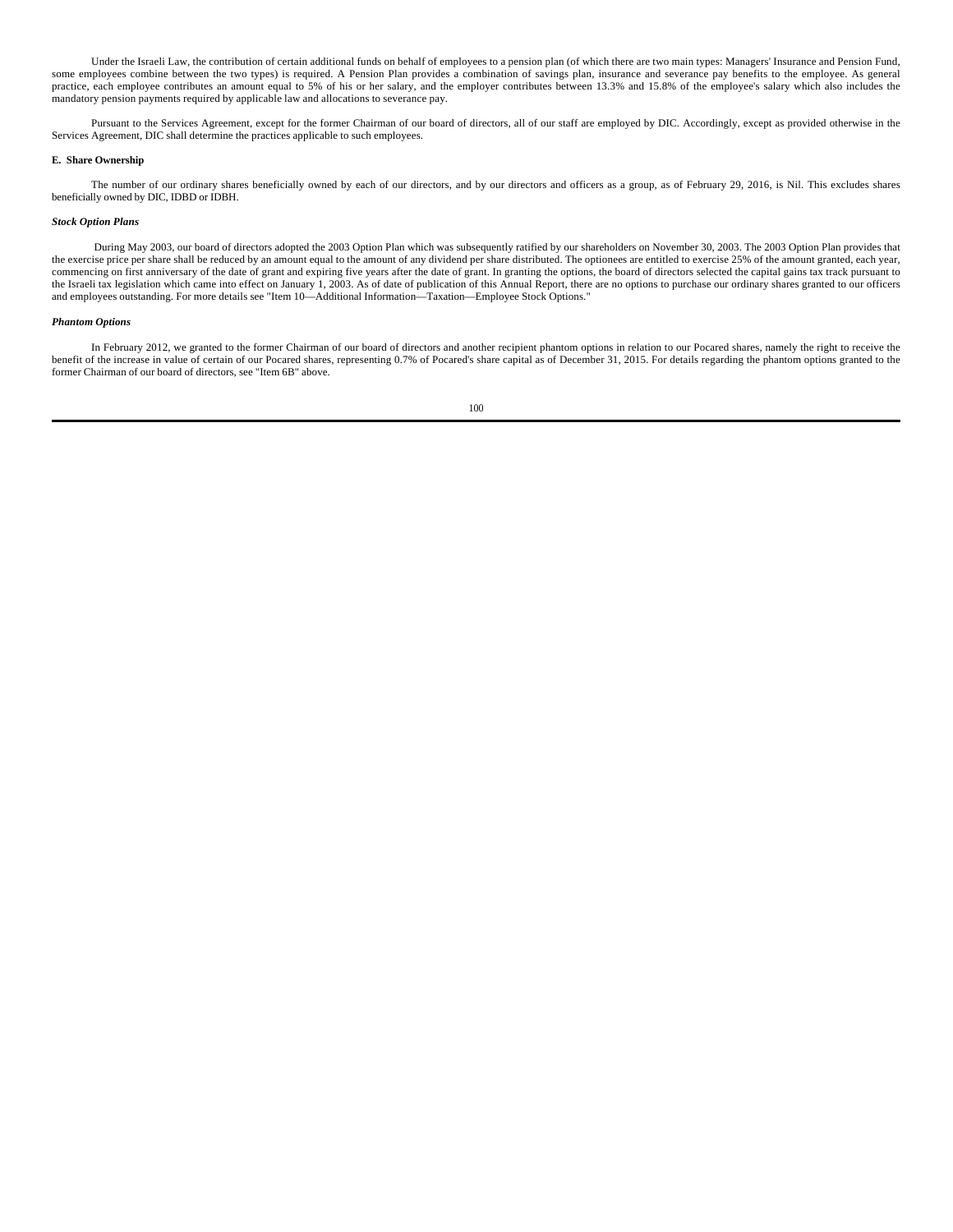Under the Israeli Law, the contribution of certain additional funds on behalf of employees to a pension plan (of which there are two main types: Managers' Insurance and Pension Fund, some employees combine between the two types) is required. A Pension Plan provides a combination of savings plan, insurance and severance pay benefits to the employee. As general practice, each employee contributes an amount equal to 5% of his or her salary, and the employer contributes between 13.3% and 15.8% of the employee's salary which also includes the mandatory pension payments required by applicable law and allocations to severance pay.

Pursuant to the Services Agreement, except for the former Chairman of our board of directors, all of our staff are employed by DIC. Accordingly, except as provided otherwise in the Services Agreement, DIC shall determine the practices applicable to such employees.

### **E. Share Ownership**

The number of our ordinary shares beneficially owned by each of our directors, and by our directors and officers as a group, as of February 29, 2016, is Nil. This excludes shares beneficially owned by DIC, IDBD or IDBH.

### *Stock Option Plans*

 During May 2003, our board of directors adopted the 2003 Option Plan which was subsequently ratified by our shareholders on November 30, 2003. The 2003 Option Plan provides that the exercise price per share shall be reduced by an amount equal to the amount of any dividend per share distributed. The optionees are entitled to exercise 25% of the amount granted, each year, commencing on first anniversary of the date of grant and expiring five years after the date of grant. In granting the options, the board of directors selected the capital gains tax track pursuant to the Israeli tax legislation which came into effect on January 1, 2003. As of date of publication of this Annual Report, there are no options to purchase our ordinary shares granted to our officers and employees outstanding. For more details see "Item 10—Additional Information—Taxation—Employee Stock Options."

#### *Phantom Options*

In February 2012, we granted to the former Chairman of our board of directors and another recipient phantom options in relation to our Pocared shares, namely the right to receive the benefit of the increase in value of certain of our Pocared shares, representing 0.7% of Pocared's share capital as of December 31, 2015. For details regarding the phantom options granted to the former Chairman of our board of directors, see "Item 6B" above.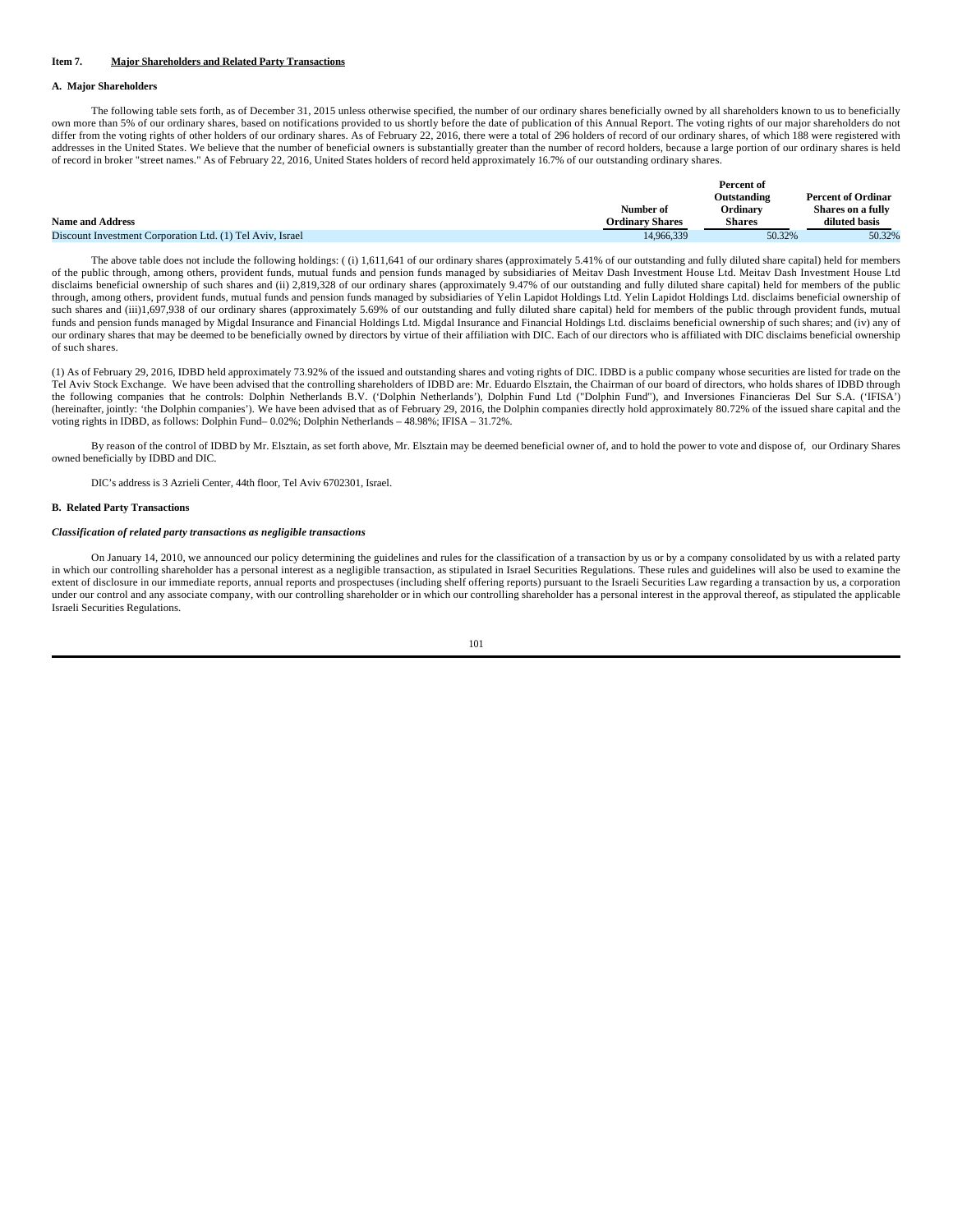### **Item 7. Major Shareholders and Related Party Transactions**

#### **A. Major Shareholders**

The following table sets forth, as of December 31, 2015 unless otherwise specified, the number of our ordinary shares beneficially owned by all shareholders known to us to beneficially own more than 5% of our ordinary shares, based on notifications provided to us shortly before the date of publication of this Annual Report. The voting rights of our major shareholders do not differ from the voting rights of other holders of our ordinary shares. As of February 22, 2016, there were a total of 296 holders of record of our ordinary shares, of which 188 were registered with addresses in the United States. We believe that the number of beneficial owners is substantially greater than the number of record holders, because a large portion of our ordinary shares is held of record in broker "street names." As of February 22, 2016, United States holders of record held approximately 16.7% of our outstanding ordinary shares.

|                                                           |                        | Percent of    |                           |
|-----------------------------------------------------------|------------------------|---------------|---------------------------|
|                                                           |                        | Outstanding   | <b>Percent of Ordinar</b> |
|                                                           | Number of              | Ordinarv      | <b>Shares on a fully</b>  |
| <b>Name and Address</b>                                   | <b>Ordinary Shares</b> | <b>Shares</b> | diluted basis             |
| Discount Investment Corporation Ltd. (1) Tel Aviv. Israel | 14.966.339             | 50.32%        | 50.32%                    |

The above table does not include the following holdings: ( (i) 1,611,641 of our ordinary shares (approximately 5.41% of our outstanding and fully diluted share capital) held for members of the public through, among others, provident funds, mutual funds and pension funds managed by subsidiaries of Meitav Dash Investment House Ltd. Meitav Dash Investment House Ltd disclaims beneficial ownership of such shares and (ii) 2,819,328 of our ordinary shares (approximately 9.47% of our outstanding and fully diluted share capital) held for members of the public through, among others, provident funds, mutual funds and pension funds managed by subsidiaries of Yelin Lapidot Holdings Ltd. Yelin Lapidot Holdings Ltd. disclaims beneficial ownership of such shares and (iii)1,697,938 of our ordinary shares (approximately 5.69% of our outstanding and fully diluted share capital) held for members of the public through provident funds, mutual funds and pension funds managed by Migdal Insurance and Financial Holdings Ltd. Migdal Insurance and Financial Holdings Ltd. disclaims beneficial ownership of such shares; and (iv) any of our ordinary shares that may be deemed to be beneficially owned by directors by virtue of their affiliation with DIC. Each of our directors who is affiliated with DIC disclaims beneficial ownership of such shares.

(1) As of February 29, 2016, IDBD held approximately 73.92% of the issued and outstanding shares and voting rights of DIC. IDBD is a public company whose securities are listed for trade on the Tel Aviv Stock Exchange. We have been advised that the controlling shareholders of IDBD are: Mr. Eduardo Elsztain, the Chairman of our board of directors, who holds shares of IDBD through the following companies that he controls: Dolphin Netherlands B.V. ('Dolphin Netherlands'), Dolphin Fund Ltd ("Dolphin Fund"), and Inversiones Financieras Del Sur S.A. ('IFISA') (hereinafter, jointly: 'the Dolphin companies'). We have been advised that as of February 29, 2016, the Dolphin companies directly hold approximately 80.72% of the issued share capital and the voting rights in IDBD, as follows: Dolphin Fund– 0.02%; Dolphin Netherlands – 48.98%; IFISA – 31.72%.

By reason of the control of IDBD by Mr. Elsztain, as set forth above, Mr. Elsztain may be deemed beneficial owner of, and to hold the power to vote and dispose of, our Ordinary Shares owned beneficially by IDBD and DIC.

DIC's address is 3 Azrieli Center, 44th floor, Tel Aviv 6702301, Israel.

#### **B. Related Party Transactions**

#### *Classification of related party transactions as negligible transactions*

On January 14, 2010, we announced our policy determining the guidelines and rules for the classification of a transaction by us or by a company consolidated by us with a related party in which our controlling shareholder has a personal interest as a negligible transaction, as stipulated in Israel Securities Regulations. These rules and guidelines will also be used to examine the extent of disclosure in our immediate reports, annual reports and prospectuses (including shelf offering reports) pursuant to the Israeli Securities Law regarding a transaction by us, a corporation under our control and any associate company, with our controlling shareholder or in which our controlling shareholder has a personal interest in the approval thereof, as stipulated the applicable Israeli Securities Regulations.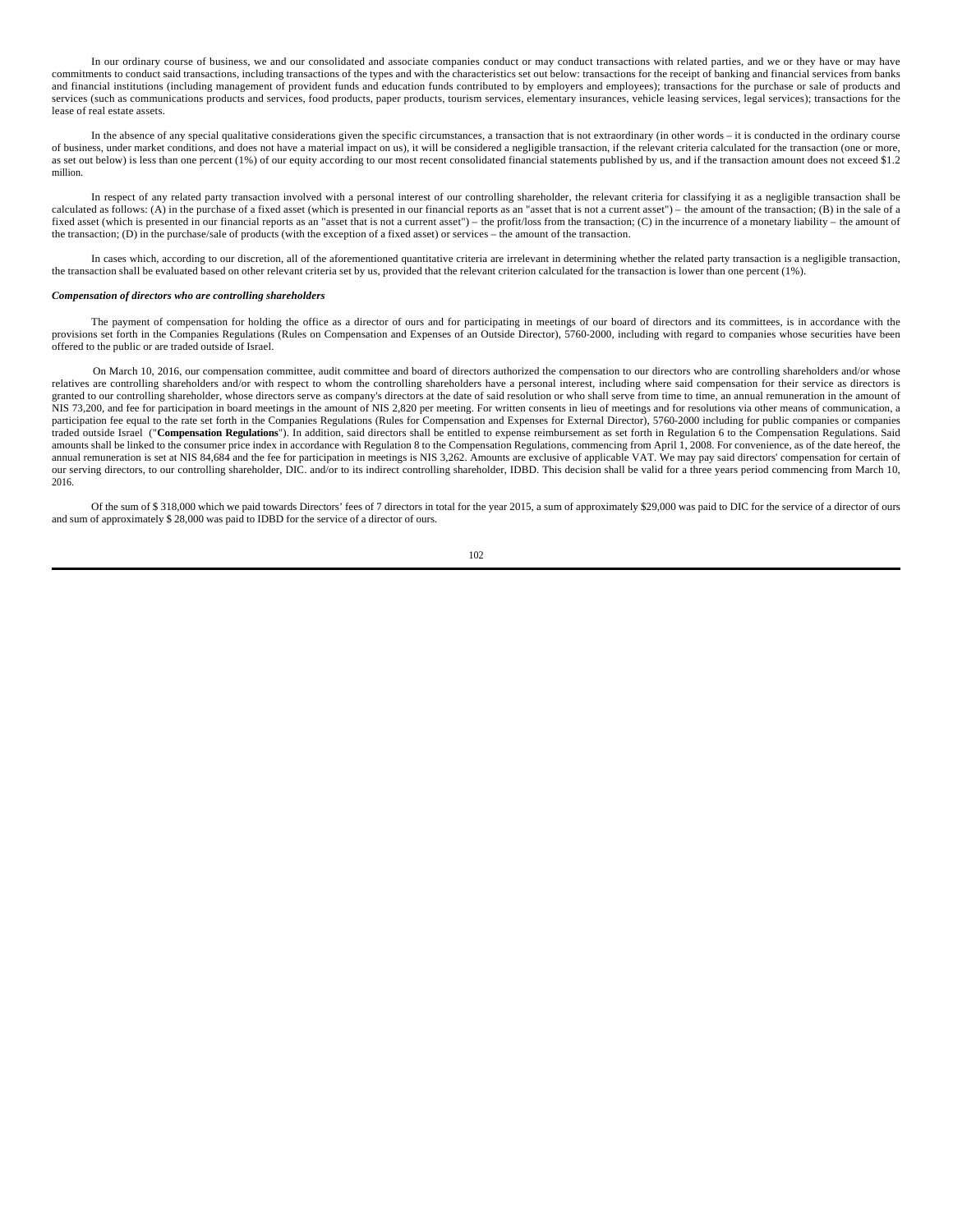In our ordinary course of business, we and our consolidated and associate companies conduct or may conduct transactions with related parties, and we or they have or may have commitments to conduct said transactions, including transactions of the types and with the characteristics set out below: transactions for the receipt of banking and financial services from banks and financial institutions (including management of provident funds and education funds contributed to by employers and employees); transactions for the purchase or sale of products and services (such as communications products and services, food products, paper products, tourism services, elementary insurances, vehicle leasing services, legal services); transactions for the lease of real estate assets.

In the absence of any special qualitative considerations given the specific circumstances, a transaction that is not extraordinary (in other words – it is conducted in the ordinary course of business, under market conditions, and does not have a material impact on us), it will be considered a negligible transaction, if the relevant criteria calculated for the transaction (one or more, as set out below) is less than one percent (1%) of our equity according to our most recent consolidated financial statements published by us, and if the transaction amount does not exceed \$1.2 million.

In respect of any related party transaction involved with a personal interest of our controlling shareholder, the relevant criteria for classifying it as a negligible transaction shall be calculated as follows: (A) in the purchase of a fixed asset (which is presented in our financial reports as an "asset that is not a current asset") – the amount of the transaction; (B) in the sale of a fixed asset (which is presented in our financial reports as an "asset that is not a current asset") – the profit/loss from the transaction; (C) in the incurrence of a monetary liability – the amount of the transaction; (D) in the purchase/sale of products (with the exception of a fixed asset) or services – the amount of the transaction.

In cases which, according to our discretion, all of the aforementioned quantitative criteria are irrelevant in determining whether the related party transaction is a negligible transaction, the transaction shall be evaluated based on other relevant criteria set by us, provided that the relevant criterion calculated for the transaction is lower than one percent (1%).

#### *Compensation of directors who are controlling shareholders*

The payment of compensation for holding the office as a director of ours and for participating in meetings of our board of directors and its committees, is in accordance with the provisions set forth in the Companies Regul offered to the public or are traded outside of Israel.

On March 10, 2016, our compensation committee, audit committee and board of directors authorized the compensation to our directors who are controlling shareholders and/or whose relatives are controlling shareholders and/or with respect to whom the controlling shareholders have a personal interest, including where said compensation for their service as directors is granted to our controlling shareholder, whose directors serve as company's directors at the date of said resolution or who shall serve from time to time, an annual remuneration in the amount of NIS 73,200, and fee for participation in board meetings in the amount of NIS 2,820 per meeting. For written consents in lieu of meetings and for resolutions via other means of communication, a participation fee equal to the rate set forth in the Companies Regulations (Rules for Compensation and Expenses for External Director), 5760-2000 including for public companies or companies traded outside Israel ("**Compensation Regulations**"). In addition, said directors shall be entitled to expense reimbursement as set forth in Regulation 6 to the Compensation Regulations. Said amounts shall be linked to the consumer price index in accordance with Regulation 8 to the Compensation Regulations, commencing from April 1, 2008. For convenience, as of the date hereof, the annual remuneration is set at NIS 84,684 and the fee for participation in meetings is NIS 3,262. Amounts are exclusive of applicable VAT. We may pay said directors' compensation for certain of our serving directors, to our controlling shareholder, DIC. and/or to its indirect controlling shareholder, IDBD. This decision shall be valid for a three years period commencing from March 10, 2016.

Of the sum of \$ 318,000 which we paid towards Directors' fees of 7 directors in total for the year 2015, a sum of approximately \$29,000 was paid to DIC for the service of a director of ours and sum of approximately \$ 28,000 was paid to IDBD for the service of a director of ours.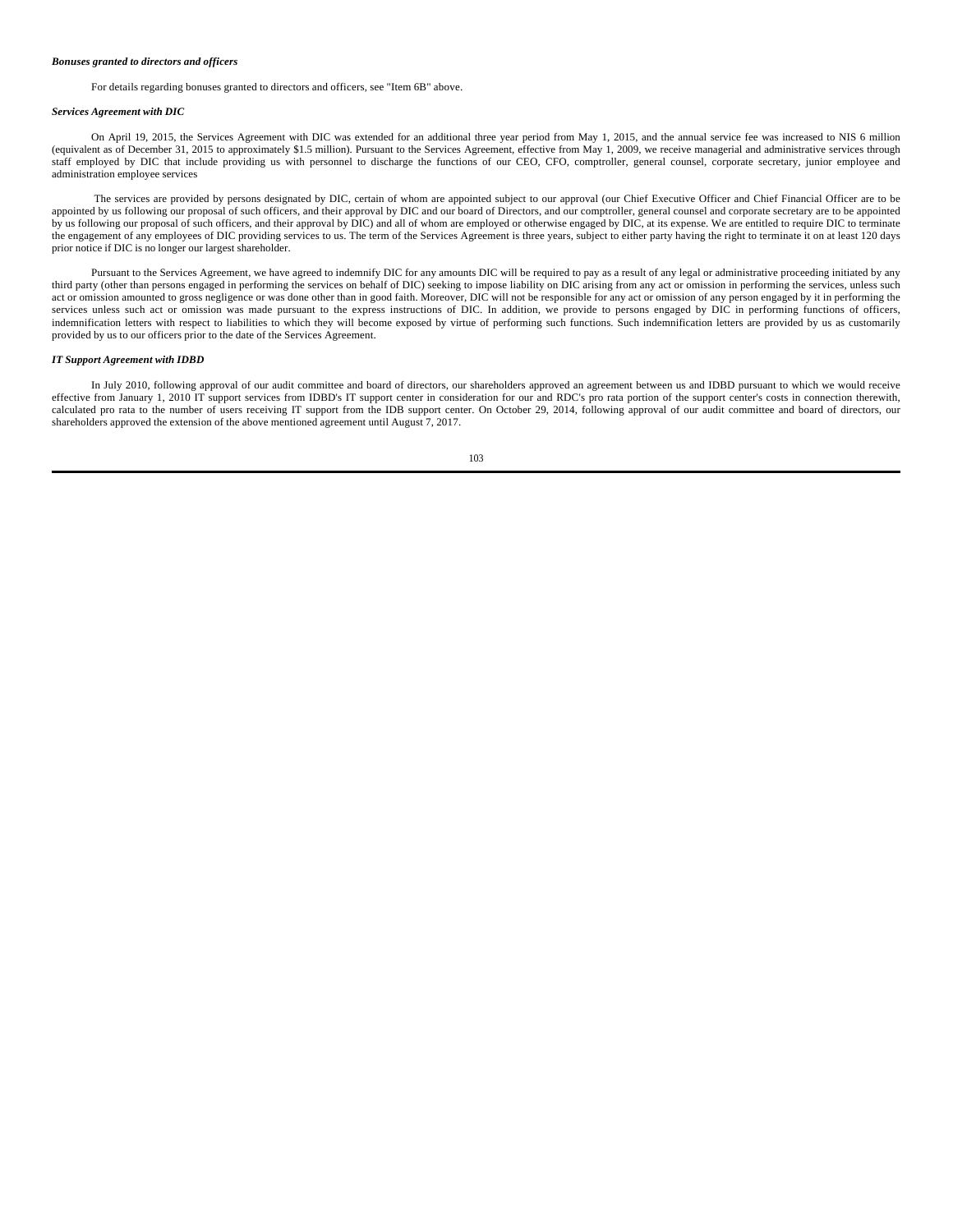### *Bonuses granted to directors and officers*

For details regarding bonuses granted to directors and officers, see "Item 6B" above.

### *Services Agreement with DIC*

On April 19, 2015, the Services Agreement with DIC was extended for an additional three year period from May 1, 2015, and the annual service fee was increased to NIS 6 million (equivalent as of December 31, 2015 to approxi staff employed by DIC that include providing us with personnel to discharge the functions of our CEO, CFO, comptroller, general counsel, corporate secretary, junior employee and administration employee services

 The services are provided by persons designated by DIC, certain of whom are appointed subject to our approval (our Chief Executive Officer and Chief Financial Officer are to be appointed by us following our proposal of such officers, and their approval by DIC and our board of Directors, and our comptroller, general counsel and corporate secretary are to be appointed by us following our proposal of such officers, and their approval by DIC) and all of whom are employed or otherwise engaged by DIC, at its expense. We are entitled to require DIC to terminate the engagement of any employees of DIC providing services to us. The term of the Services Agreement is three years, subject to either party having the right to terminate it on at least 120 days prior notice if DIC is no longer our largest shareholder.

Pursuant to the Services Agreement, we have agreed to indemnify DIC for any amounts DIC will be required to pay as a result of any legal or administrative proceeding initiated by any third party (other than persons engaged in performing the services on behalf of DIC) seeking to impose liability on DIC arising from any act or omission in performing the services, unless such act or omission amounted to gross negligence or was done other than in good faith. Moreover, DIC will not be responsible for any act or omission of any person engaged by it in performing the services unless such act or omission was made pursuant to the express instructions of DIC. In addition, we provide to persons engaged by DIC in performing functions of officers, indemnification letters with respect to liabilities to which they will become exposed by virtue of performing such functions. Such indemnification letters are provided by us as customarily provided by us to our officers prior to the date of the Services Agreement.

#### *IT Support Agreement with IDBD*

In July 2010, following approval of our audit committee and board of directors, our shareholders approved an agreement between us and IDBD pursuant to which we would receive effective from January 1, 2010 IT support services from IDBD's IT support center in consideration for our and RDC's pro rata portion of the support center's costs in connection therewith, calculated pro rata to the number of users receiving IT support from the IDB support center. On October 29, 2014, following approval of our audit committee and board of directors, our shareholders approved the extension of the above mentioned agreement until August 7, 2017.

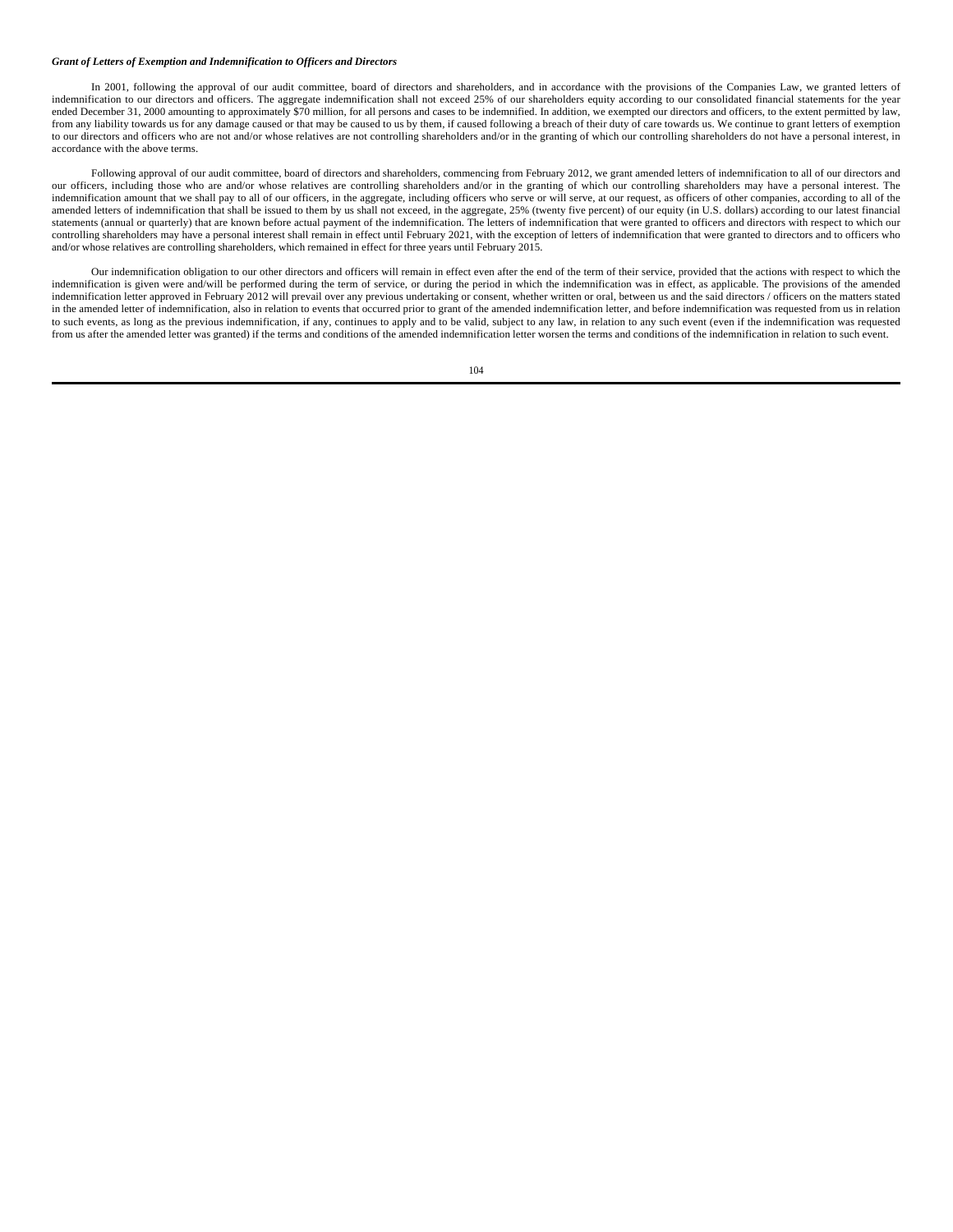### *Grant of Letters of Exemption and Indemnification to Officers and Directors*

In 2001, following the approval of our audit committee, board of directors and shareholders, and in accordance with the provisions of the Companies Law, we granted letters of indemnification to our directors and officers. The aggregate indemnification shall not exceed 25% of our shareholders equity according to our consolidated financial statements for the year ended December 31, 2000 amounting to approximately \$70 million, for all persons and cases to be indemnified. In addition, we exempted our directors and officers, to the extent permitted by law, from any liability towards us for any damage caused or that may be caused to us by them, if caused following a breach of their duty of care towards us. We continue to grant letters of exemption to our directors and officers who are not and/or whose relatives are not controlling shareholders and/or in the granting of which our controlling shareholders do not have a personal interest, in accordance with the above terms.

Following approval of our audit committee, board of directors and shareholders, commencing from February 2012, we grant amended letters of indemnification to all of our directors and<br>our officers, including those who are a indemnification amount that we shall pay to all of our officers, in the aggregate, including officers who serve or will serve, at our request, as officers of other companies, according to all of the amended letters of indemnification that shall be issued to them by us shall not exceed, in the aggregate, 25% (twenty five percent) of our equity (in U.S. dollars) according to our latest financial statements (annual or quarterly) that are known before actual payment of the indemnification. The letters of indemnification that were granted to officers and directors with respect to which our controlling shareholders may have a personal interest shall remain in effect until February 2021, with the exception of letters of indemnification that were granted to directors and to officers who and/or whose relatives are controlling shareholders, which remained in effect for three years until February 2015.

Our indemnification obligation to our other directors and officers will remain in effect even after the end of the term of their service, provided that the actions with respect to which the indemnification is given were and/will be performed during the term of service, or during the period in which the indemnification was in effect, as applicable. The provisions of the amended indemnification letter approved in February 2012 will prevail over any previous undertaking or consent, whether written or oral, between us and the said directors / officers on the matters stated in the amended letter of indemnification, also in relation to events that occurred prior to grant of the amended indemnification letter, and before indemnification was requested from us in relation to such events, as long as the previous indemnification, if any, continues to apply and to be valid, subject to any law, in relation to any such event (even if the indemnification was requested<br>from us after the amended le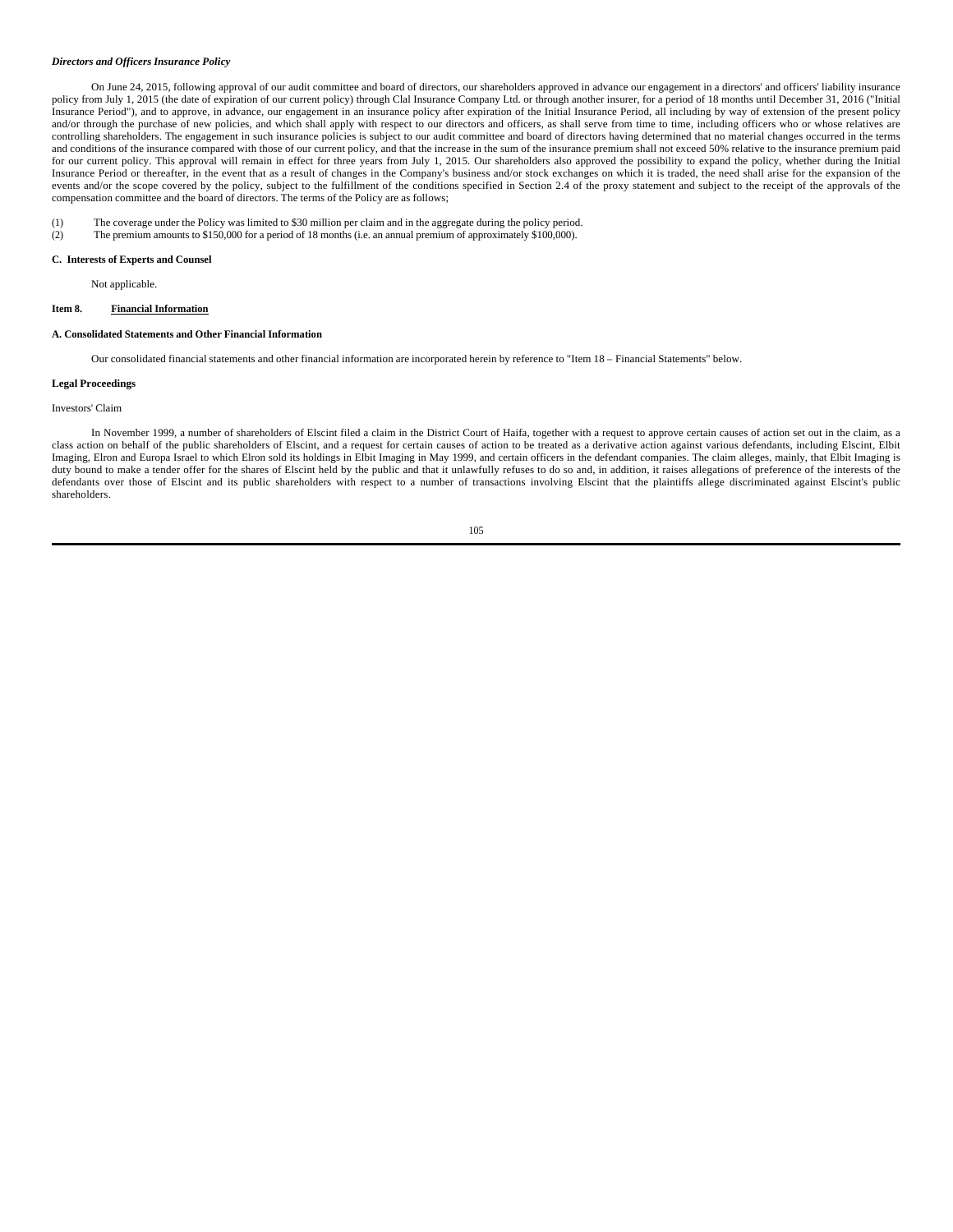### *Directors and Officers Insurance Policy*

On June 24, 2015, following approval of our audit committee and board of directors, our shareholders approved in advance our engagement in a directors' and officers' liability insurance policy from July 1, 2015 (the date of expiration of our current policy) through Clal Insurance Company Ltd. or through another insurer, for a period of 18 months until December 31, 2016 ("Initial Insurance Period"), and to approve, in advance, our engagement in an insurance policy after expiration of the Initial Insurance Period, all including by way of extension of the present policy and/or through the purchase of new policies, and which shall apply with respect to our directors and officers, as shall serve from time to time, including officers who or whose relatives are controlling shareholders. The engagement in such insurance policies is subject to our audit committee and board of directors having determined that no material changes occurred in the terms and conditions of the insurance compared with those of our current policy, and that the increase in the sum of the insurance premium shall not exceed 50% relative to the insurance premium paid for our current policy. This approval will remain in effect for three years from July 1, 2015. Our shareholders also approved the possibility to expand the policy, whether during the Initial Insurance Period or thereafter, in the event that as a result of changes in the Company's business and/or stock exchanges on which it is traded, the need shall arise for the expansion of the events and/or the scope covered by the policy, subject to the fulfillment of the conditions specified in Section 2.4 of the proxy statement and subject to the receipt of the approvals of the compensation committee and the board of directors. The terms of the Policy are as follows;

(1) The coverage under the Policy was limited to \$30 million per claim and in the aggregate during the policy period.

(2) The premium amounts to \$150,000 for a period of 18 months (i.e. an annual premium of approximately \$100,000).

#### **C. Interests of Experts and Counsel**

Not applicable.

### **Item 8. Financial Information**

### **A. Consolidated Statements and Other Financial Information**

Our consolidated financial statements and other financial information are incorporated herein by reference to "Item 18 – Financial Statements" below.

#### **Legal Proceedings**

### Investors' Claim

In November 1999, a number of shareholders of Elscint filed a claim in the District Court of Haifa, together with a request to approve certain causes of action set out in the claim, as a class action on behalf of the public shareholders of Elscint, and a request for certain causes of action to be treated as a derivative action against various defendants, including Elscint, Elbit<br>Imaging, Elron and Europa I duty bound to make a tender offer for the shares of Elscint held by the public and that it unlawfully refuses to do so and, in addition, it raises allegations of preference of the interests of the defendants over those of Elscint and its public shareholders with respect to a number of transactions involving Elscint that the plaintiffs allege discriminated against Elscint's public shareholders.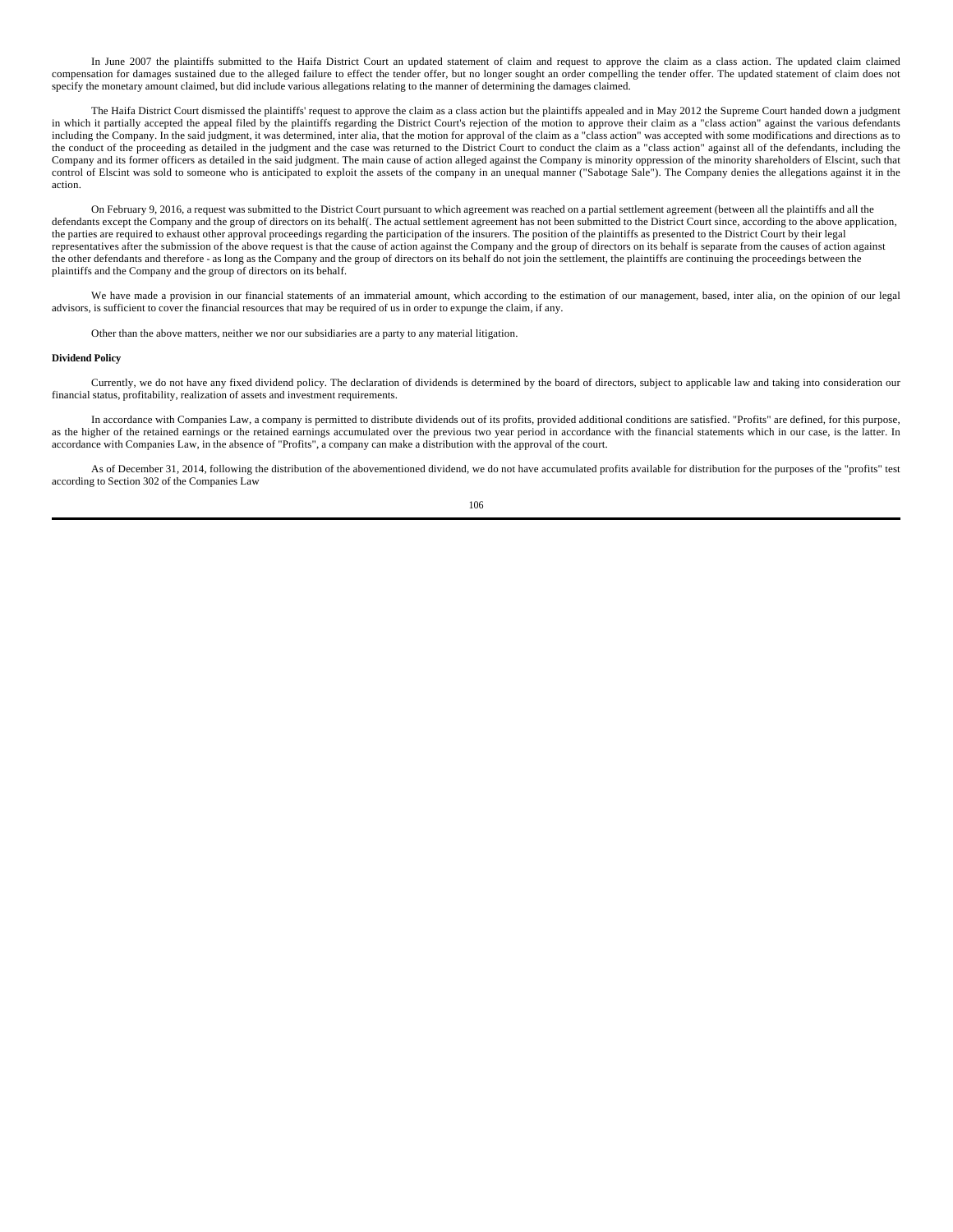In June 2007 the plaintiffs submitted to the Haifa District Court an updated statement of claim and request to approve the claim as a class action. The updated claim claimed compensation for damages sustained due to the alleged failure to effect the tender offer, but no longer sought an order compelling the tender offer. The updated statement of claim does not specify the monetary amount claimed, but did include various allegations relating to the manner of determining the damages claimed.

The Haifa District Court dismissed the plaintiffs' request to approve the claim as a class action but the plaintiffs appealed and in May 2012 the Supreme Court handed down a judgment in which it partially accepted the appeal filed by the plaintiffs regarding the District Court's rejection of the motion to approve their claim as a "class action" against the various defendants including the Company. In the said judgment, it was determined, inter alia, that the motion for approval of the claim as a "class action" was accepted with some modifications and directions as to the conduct of the proceeding as detailed in the judgment and the case was returned to the District Court to conduct the claim as a "class action" against all of the defendants, including the Company and its former officers as detailed in the said judgment. The main cause of action alleged against the Company is minority oppression of the minority shareholders of Elscint, such that control of Elscint was sold to someone who is anticipated to exploit the assets of the company in an unequal manner ("Sabotage Sale"). The Company denies the allegations against it in the action.

On February 9, 2016, a request was submitted to the District Court pursuant to which agreement was reached on a partial settlement agreement (between all the plaintiffs and all the defendants except the Company and the group of directors on its behalf(. The actual settlement agreement has not been submitted to the District Court since, according to the above application, the parties are required to exhaust other approval proceedings regarding the participation of the insurers. The position of the plaintiffs as presented to the District Court by their legal representatives after the submission of the above request is that the cause of action against the Company and the group of directors on its behalf is separate from the causes of action against the other defendants and therefore - as long as the Company and the group of directors on its behalf do not join the settlement, the plaintiffs are continuing the proceedings between the plaintiffs and the Company and the group of directors on its behalf.

We have made a provision in our financial statements of an immaterial amount, which according to the estimation of our management, based, inter alia, on the opinion of our legal advisors, is sufficient to cover the financial resources that may be required of us in order to expunge the claim, if any.

Other than the above matters, neither we nor our subsidiaries are a party to any material litigation.

### **Dividend Policy**

Currently, we do not have any fixed dividend policy. The declaration of dividends is determined by the board of directors, subject to applicable law and taking into consideration our financial status, profitability, realization of assets and investment requirements.

In accordance with Companies Law, a company is permitted to distribute dividends out of its profits, provided additional conditions are satisfied. "Profits" are defined, for this purpose, as the higher of the retained earnings or the retained earnings accumulated over the previous two year period in accordance with the financial statements which in our case, is the latter. In accordance with Companies Law, in the absence of "Profits", a company can make a distribution with the approval of the court.

As of December 31, 2014, following the distribution of the abovementioned dividend, we do not have accumulated profits available for distribution for the purposes of the "profits" test according to Section 302 of the Companies Law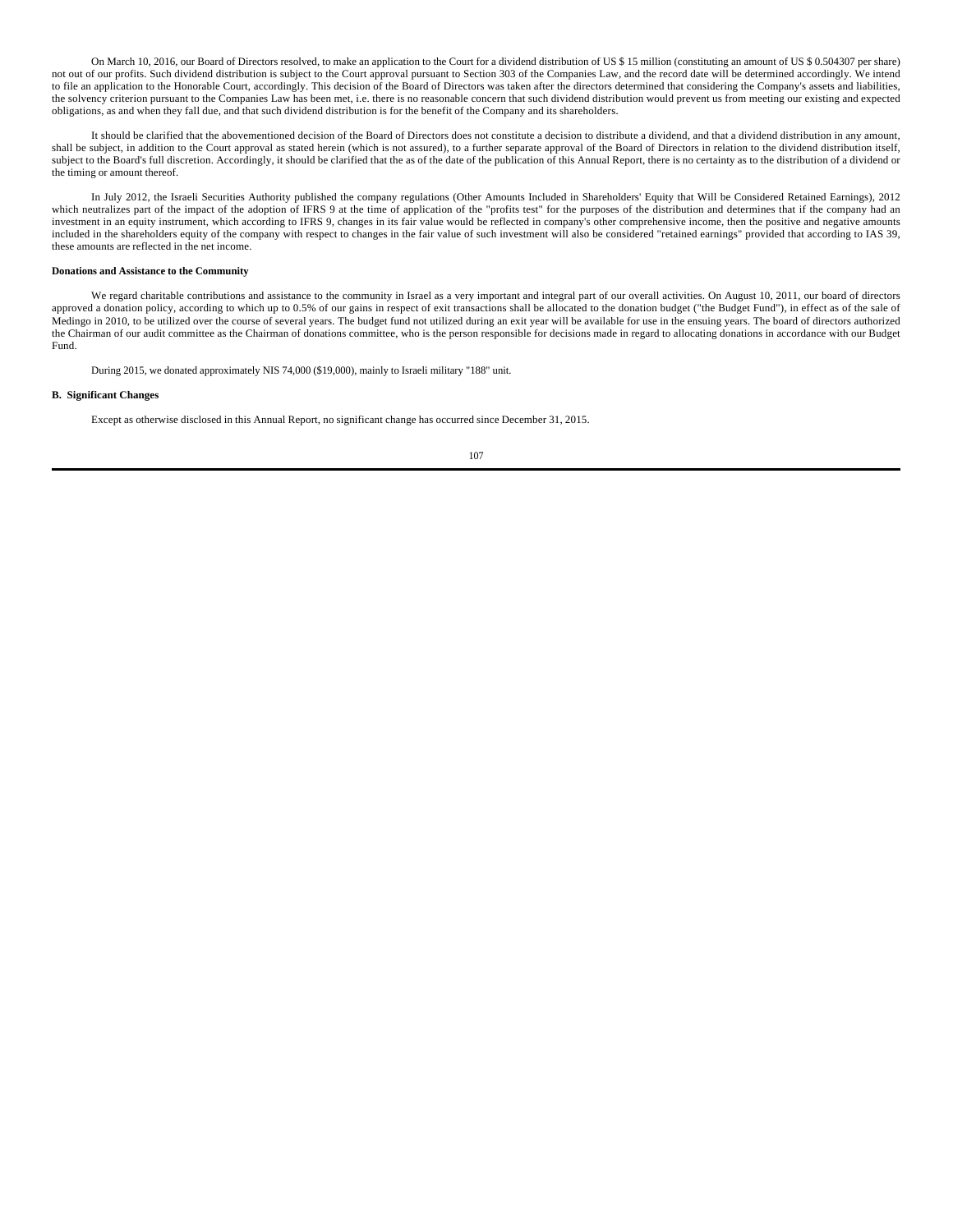On March 10, 2016, our Board of Directors resolved, to make an application to the Court for a dividend distribution of US \$ 15 million (constituting an amount of US \$ 0.504307 per share) not out of our profits. Such dividend distribution is subject to the Court approval pursuant to Section 303 of the Companies Law, and the record date will be determined accordingly. We intend to file an application to the Honorable Court, accordingly. This decision of the Board of Directors was taken after the directors determined that considering the Company's assets and liabilities, the solvency criterion pursuant to the Companies Law has been met, i.e. there is no reasonable concern that such dividend distribution would prevent us from meeting our existing and expected obligations, as and when they fall due, and that such dividend distribution is for the benefit of the Company and its shareholders.

It should be clarified that the abovementioned decision of the Board of Directors does not constitute a decision to distribute a dividend, and that a dividend distribution in any amount, shall be subject, in addition to the Court approval as stated herein (which is not assured), to a further separate approval of the Board of Directors in relation to the dividend distribution itself, subject to the Board's full discretion. Accordingly, it should be clarified that the as of the date of the publication of this Annual Report, there is no certainty as to the distribution of a dividend or the timing or amount thereof.

In July 2012, the Israeli Securities Authority published the company regulations (Other Amounts Included in Shareholders' Equity that Will be Considered Retained Earnings), 2012 which neutralizes part of the impact of the adoption of IFRS 9 at the time of application of the "profits test" for the purposes of the distribution and determines that if the company had an investment in an equity instrument, which according to IFRS 9, changes in its fair value would be reflected in company's other comprehensive income, then the positive and negative amounts included in the shareholders equity of the company with respect to changes in the fair value of such investment will also be considered "retained earnings" provided that according to IAS 39, these amounts are reflected in the net income.

# **Donations and Assistance to the Community**

We regard charitable contributions and assistance to the community in Israel as a very important and integral part of our overall activities. On August 10, 2011, our board of directors approved a donation policy, according to which up to 0.5% of our gains in respect of exit transactions shall be allocated to the donation budget ("the Budget Fund"), in effect as of the sale of Medingo in 2010, to be utilized over the course of several years. The budget fund not utilized during an exit year will be available for use in the ensuing years. The board of directors authorized the Chairman of our audit committee as the Chairman of donations committee, who is the person responsible for decisions made in regard to allocating donations in accordance with our Budget Fund.

During 2015, we donated approximately NIS 74,000 (\$19,000), mainly to Israeli military "188" unit.

### **B. Significant Changes**

Except as otherwise disclosed in this Annual Report, no significant change has occurred since December 31, 2015.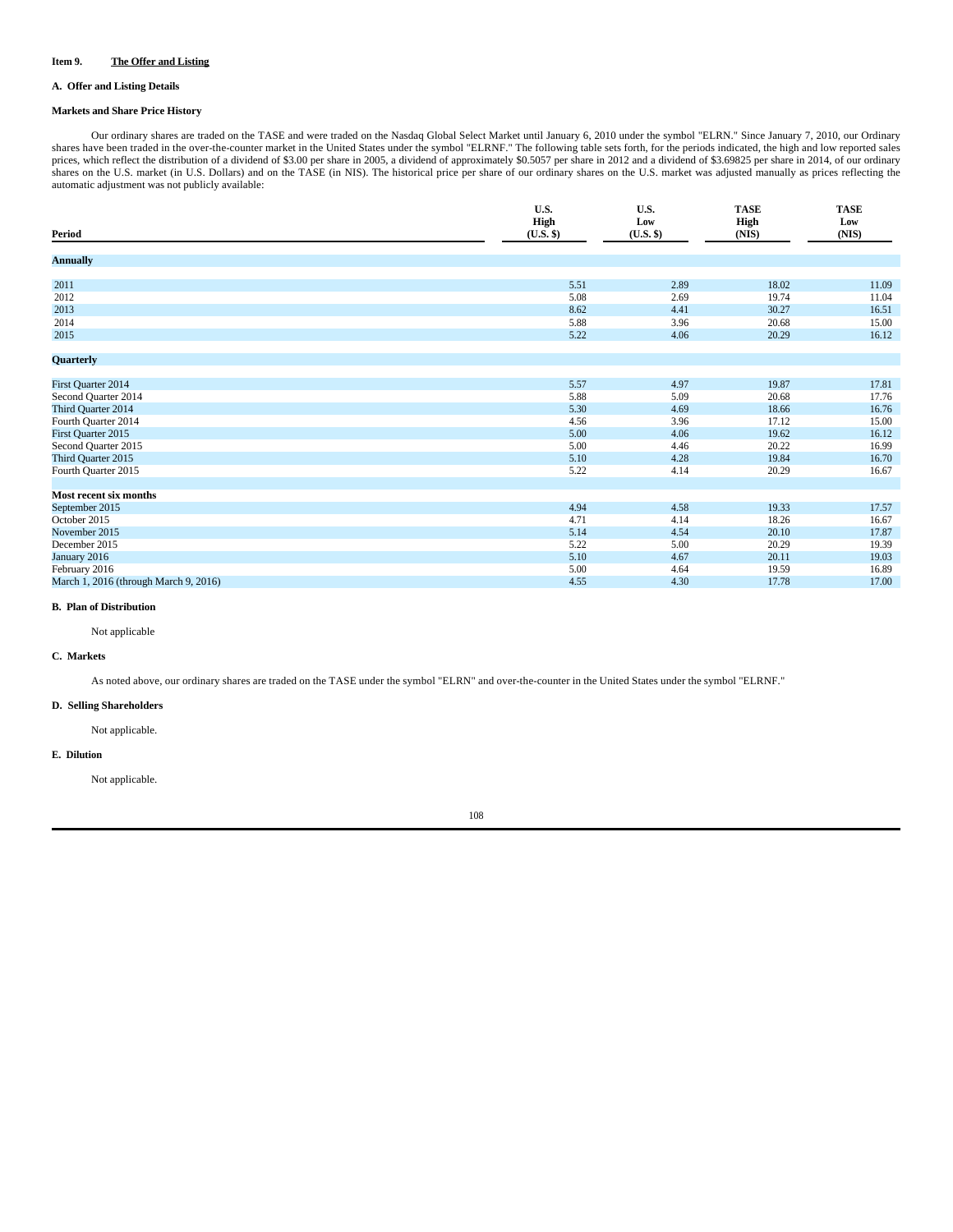# **Item 9. The Offer and Listing**

## **A. Offer and Listing Details**

## **Markets and Share Price History**

Our ordinary shares are traded on the TASE and were traded on the Nasdaq Global Select Market until January 6, 2010 under the symbol "ELRN." Since January 7, 2010, our Ordinary<br>shares have been traded in the over-the-count shares on the U.S. market (in U.S. Dollars) and on the TASE (in NIS). The historical price per share of our ordinary shares on the U.S. market was adjusted manually as prices reflecting the automatic adjustment was not publicly available:

| <b>Period</b>                         | U.S.<br>High<br>(U.S. \$) | U.S.<br>Low<br>(U.S. \$) | <b>TASE</b><br>High<br>(NIS) | <b>TASE</b><br>Low<br>(NIS) |
|---------------------------------------|---------------------------|--------------------------|------------------------------|-----------------------------|
| <b>Annually</b>                       |                           |                          |                              |                             |
| 2011                                  | 5.51                      | 2.89                     | 18.02                        | 11.09                       |
| 2012                                  | 5.08                      | 2.69                     | 19.74                        | 11.04                       |
| 2013                                  | 8.62                      | 4.41                     | 30.27                        | 16.51                       |
| 2014                                  | 5.88                      | 3.96                     | 20.68                        | 15.00                       |
| 2015                                  | 5.22                      | 4.06                     | 20.29                        | 16.12                       |
|                                       |                           |                          |                              |                             |
| Quarterly                             |                           |                          |                              |                             |
|                                       |                           |                          |                              |                             |
| <b>First Quarter 2014</b>             | 5.57                      | 4.97                     | 19.87                        | 17.81                       |
| Second Quarter 2014                   | 5.88                      | 5.09                     | 20.68                        | 17.76                       |
| Third Quarter 2014                    | 5.30                      | 4.69                     | 18.66                        | 16.76                       |
| Fourth Quarter 2014                   | 4.56                      | 3.96                     | 17.12                        | 15.00                       |
| First Quarter 2015                    | 5.00                      | 4.06                     | 19.62                        | 16.12                       |
| Second Quarter 2015                   | 5.00                      | 4.46                     | 20.22                        | 16.99                       |
| Third Quarter 2015                    | 5.10                      | 4.28                     | 19.84                        | 16.70                       |
| Fourth Quarter 2015                   | 5.22                      | 4.14                     | 20.29                        | 16.67                       |
|                                       |                           |                          |                              |                             |
| Most recent six months                |                           |                          |                              |                             |
| September 2015                        | 4.94                      | 4.58                     | 19.33                        | 17.57                       |
| October 2015                          | 4.71                      | 4.14                     | 18.26                        | 16.67                       |
| November 2015                         | 5.14                      | 4.54                     | 20.10                        | 17.87                       |
| December 2015                         | 5.22                      | 5.00                     | 20.29                        | 19.39                       |
| January 2016                          | 5.10                      | 4.67                     | 20.11                        | 19.03                       |
| February 2016                         | 5.00                      | 4.64                     | 19.59                        | 16.89                       |
| March 1, 2016 (through March 9, 2016) | 4.55                      | 4.30                     | 17.78                        | 17.00                       |

### **B. Plan of Distribution**

Not applicable

# **C. Markets**

As noted above, our ordinary shares are traded on the TASE under the symbol "ELRN" and over-the-counter in the United States under the symbol "ELRNF."

#### **D. Selling Shareholders**

Not applicable.

### **E. Dilution**

Not applicable.

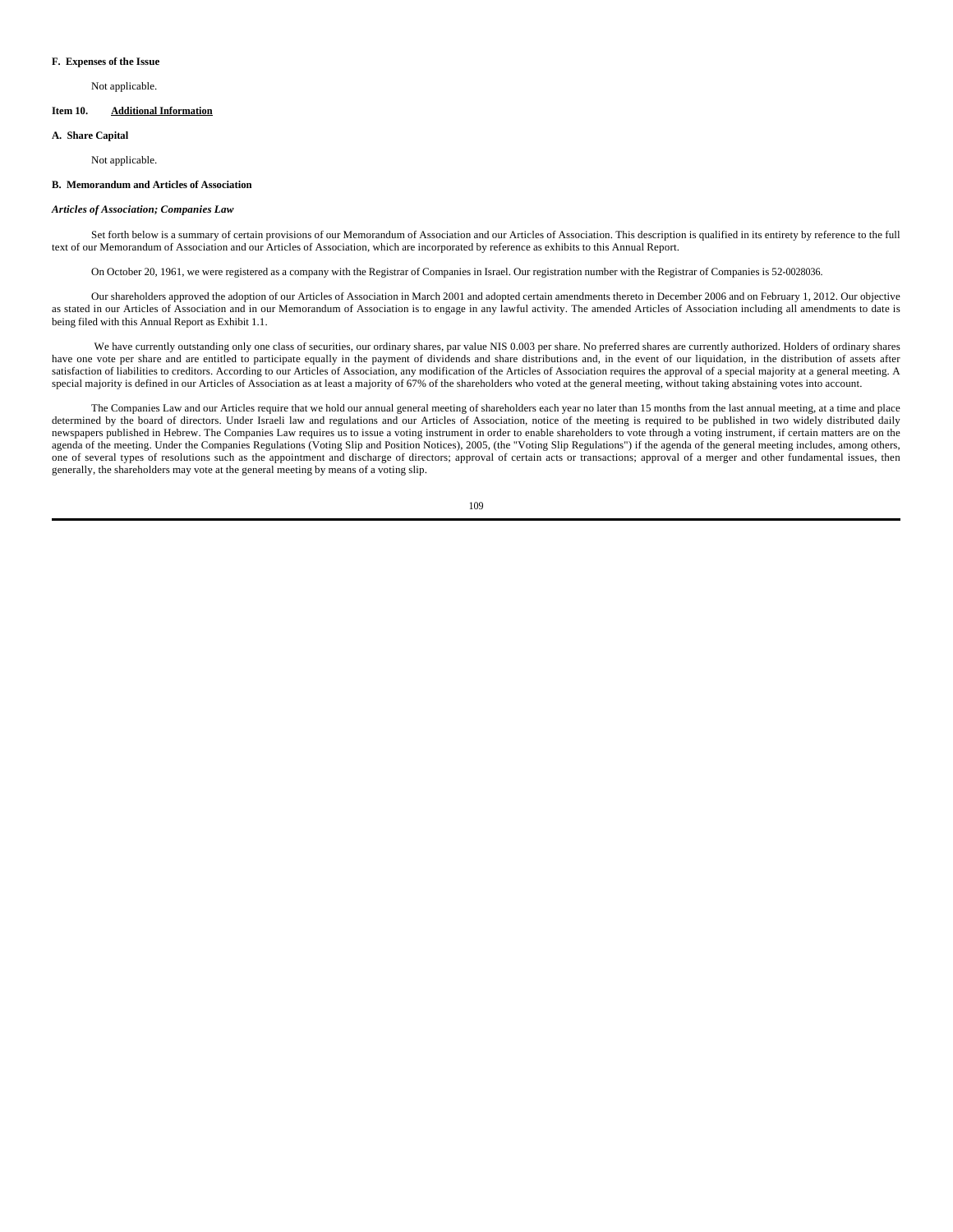## **F. Expenses of the Issue**

Not applicable.

## **Item 10. Additional Information**

### **A. Share Capital**

Not applicable.

### **B. Memorandum and Articles of Association**

#### *Articles of Association; Companies Law*

Set forth below is a summary of certain provisions of our Memorandum of Association and our Articles of Association. This description is qualified in its entirety by reference to the full text of our Memorandum of Association and our Articles of Association, which are incorporated by reference as exhibits to this Annual Report.

On October 20, 1961, we were registered as a company with the Registrar of Companies in Israel. Our registration number with the Registrar of Companies is 52-0028036.

Our shareholders approved the adoption of our Articles of Association in March 2001 and adopted certain amendments thereto in December 2006 and on February 1, 2012. Our objective as stated in our Articles of Association and in our Memorandum of Association is to engage in any lawful activity. The amended Articles of Association including all amendments to date is being filed with this Annual Report as Exhibit 1.1.

 We have currently outstanding only one class of securities, our ordinary shares, par value NIS 0.003 per share. No preferred shares are currently authorized. Holders of ordinary shares have one vote per share and are entitled to participate equally in the payment of dividends and share distributions and, in the event of our liquidation, in the distribution of assets after satisfaction of liabilities to creditors. According to our Articles of Association, any modification of the Articles of Association requires the approval of a special majority at a general meeting. A special majority is defined in our Articles of Association as at least a majority of 67% of the shareholders who voted at the general meeting, without taking abstaining votes into account.

The Companies Law and our Articles require that we hold our annual general meeting of shareholders each year no later than 15 months from the last annual meeting, at a time and place determined by the board of directors. Under Israeli law and regulations and our Articles of Association, notice of the meeting is required to be published in two widely distributed daily newspapers published in Hebrew. The Companies Law requires us to issue a voting instrument in order to enable shareholders to vote through a voting instrument, if certain matters are on the agenda of the meeting. Under the Companies Regulations (Voting Slip and Position Notices), 2005, (the "Voting Slip Regulations") if the agenda of the general meeting includes, among others,<br>one of several types of resoluti generally, the shareholders may vote at the general meeting by means of a voting slip.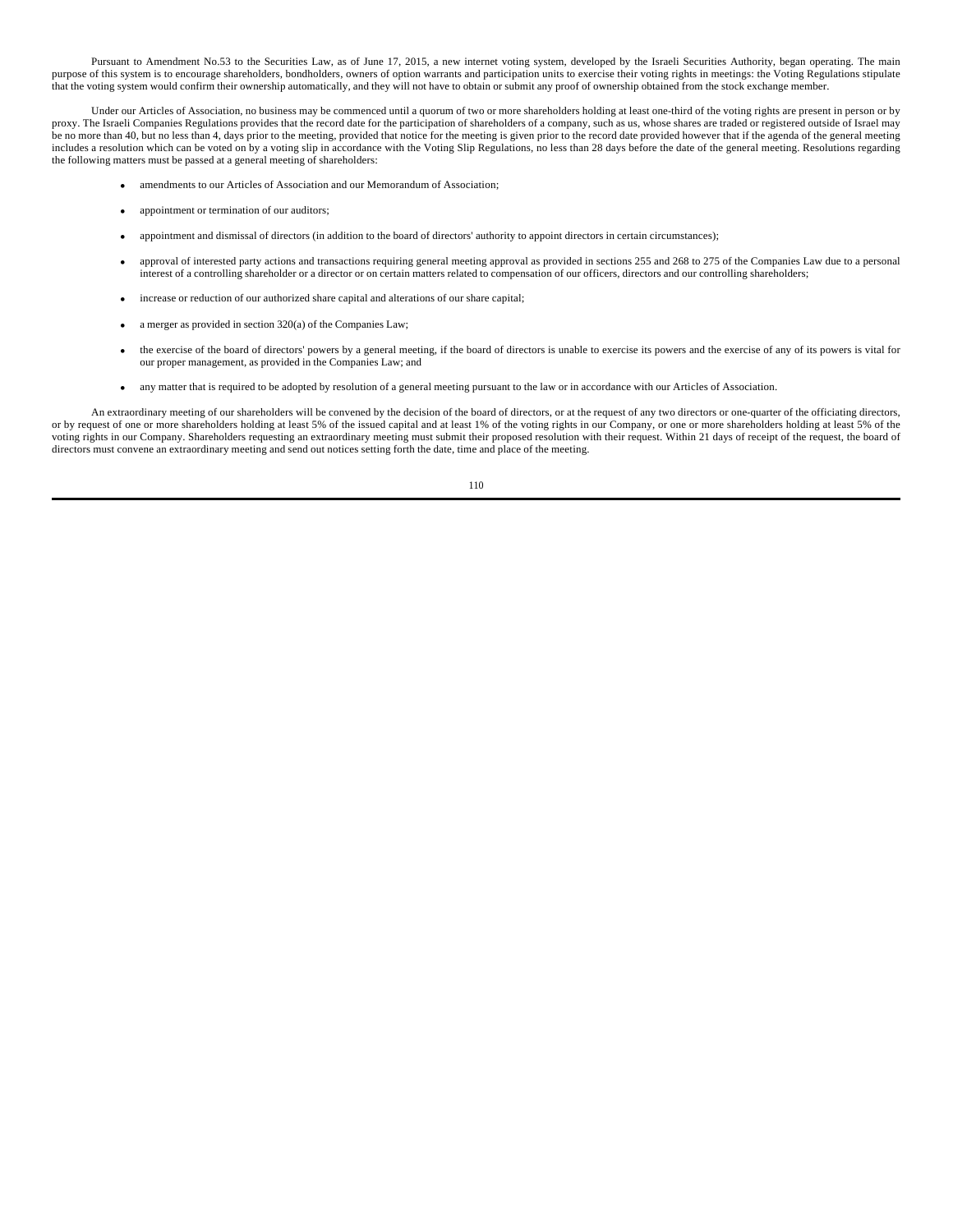Pursuant to Amendment No.53 to the Securities Law, as of June 17, 2015, a new internet voting system, developed by the Israeli Securities Authority, began operating. The main purpose of this system is to encourage shareholders, bondholders, owners of option warrants and participation units to exercise their voting rights in meetings: the Voting Regulations stipulate that the voting system would confirm their ownership automatically, and they will not have to obtain or submit any proof of ownership obtained from the stock exchange member.

Under our Articles of Association, no business may be commenced until a quorum of two or more shareholders holding at least one-third of the voting rights are present in person or by proxy. The Israeli Companies Regulations provides that the record date for the participation of shareholders of a company, such as us, whose shares are traded or registered outside of Israel may be no more than 40, but no less than 4, days prior to the meeting, provided that notice for the meeting is given prior to the record date provided however that if the agenda of the general meeting includes a resolution which can be voted on by a voting slip in accordance with the Voting Slip Regulations, no less than 28 days before the date of the general meeting. Resolutions regarding the following matters must be passed at a general meeting of shareholders:

- amendments to our Articles of Association and our Memorandum of Association;
- appointment or termination of our auditors;
- appointment and dismissal of directors (in addition to the board of directors' authority to appoint directors in certain circumstances);
- approval of interested party actions and transactions requiring general meeting approval as provided in sections 255 and 268 to 275 of the Companies Law due to a personal interest of a controlling shareholder or a director or on certain matters related to compensation of our officers, directors and our controlling shareholders;
- increase or reduction of our authorized share capital and alterations of our share capital;
- a merger as provided in section 320(a) of the Companies Law;
- the exercise of the board of directors' powers by a general meeting, if the board of directors is unable to exercise its powers and the exercise of any of its powers is vital for our proper management, as provided in the Companies Law; and
- any matter that is required to be adopted by resolution of a general meeting pursuant to the law or in accordance with our Articles of Association.

An extraordinary meeting of our shareholders will be convened by the decision of the board of directors, or at the request of any two directors or one-quarter of the officiating directors, or by request of one or more shareholders holding at least 5% of the issued capital and at least 1% of the voting rights in our Company, or one or more shareholders holding at least 5% of the voting rights in our Company. Shareholders requesting an extraordinary meeting must submit their proposed resolution with their request. Within 21 days of receipt of the request, the board of directors must convene an extraordinary meeting and send out notices setting forth the date, time and place of the meeting.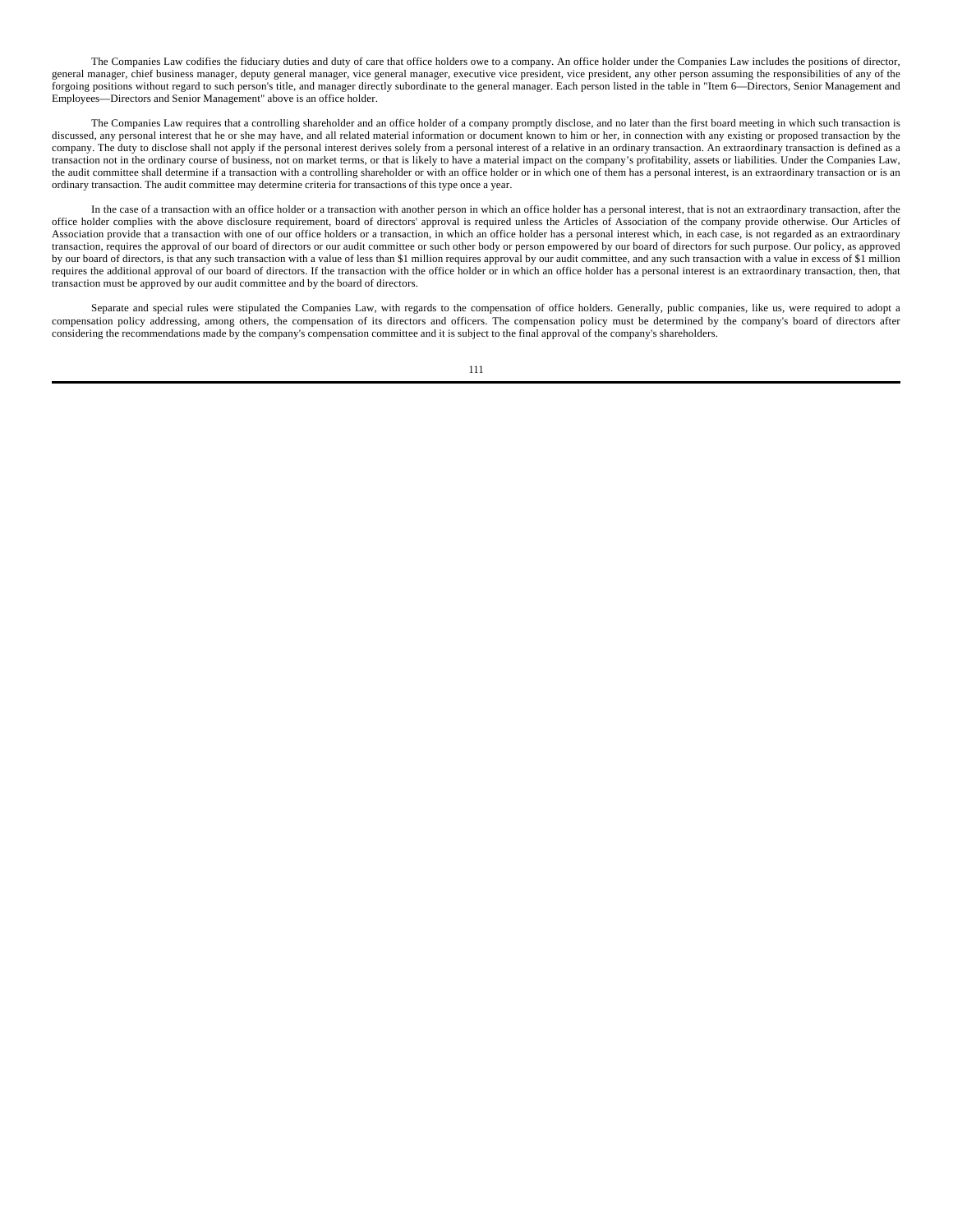The Companies Law codifies the fiduciary duties and duty of care that office holders owe to a company. An office holder under the Companies Law includes the positions of director, general manager, chief business manager, deputy general manager, vice general manager, executive vice president, vice president, any other person assuming the responsibilities of any of the forgoing positions without regard to such person's title, and manager directly subordinate to the general manager. Each person listed in the table in "Item 6—Directors, Senior Management and Employees—Directors and Senior Management" above is an office holder.

The Companies Law requires that a controlling shareholder and an office holder of a company promptly disclose, and no later than the first board meeting in which such transaction is discussed, any personal interest that he or she may have, and all related material information or document known to him or her, in connection with any existing or proposed transaction by the company. The duty to disclose shall not apply if the personal interest derives solely from a personal interest of a relative in an ordinary transaction. An extraordinary transaction is defined as a transaction not in the ordinary course of business, not on market terms, or that is likely to have a material impact on the company's profitability, assets or liabilities. Under the Companies Law, the audit committee shall determine if a transaction with a controlling shareholder or with an office holder or in which one of them has a personal interest, is an extraordinary transaction or is an ordinary transaction. The audit committee may determine criteria for transactions of this type once a year.

In the case of a transaction with an office holder or a transaction with another person in which an office holder has a personal interest, that is not an extraordinary transaction, after the office holder complies with the above disclosure requirement, board of directors' approval is required unless the Articles of Association of the company provide otherwise. Our Articles of Association provide that a transaction with one of our office holders or a transaction, in which an office holder has a personal interest which, in each case, is not regarded as an extraordinary transaction, requires the approval of our board of directors or our audit committee or such other body or person empowered by our board of directors for such purpose. Our policy, as approved by our board of directors, is that any such transaction with a value of less than \$1 million requires approval by our audit committee, and any such transaction with a value in excess of \$1 million requires the additional approval of our board of directors. If the transaction with the office holder or in which an office holder has a personal interest is an extraordinary transaction, then, that transaction must be approved by our audit committee and by the board of directors.

Separate and special rules were stipulated the Companies Law, with regards to the compensation of office holders. Generally, public companies, like us, were required to adopt a compensation policy addressing, among others, the compensation of its directors and officers. The compensation policy must be determined by the company's board of directors after considering the recommendations made by the company's compensation committee and it is subject to the final approval of the company's shareholders.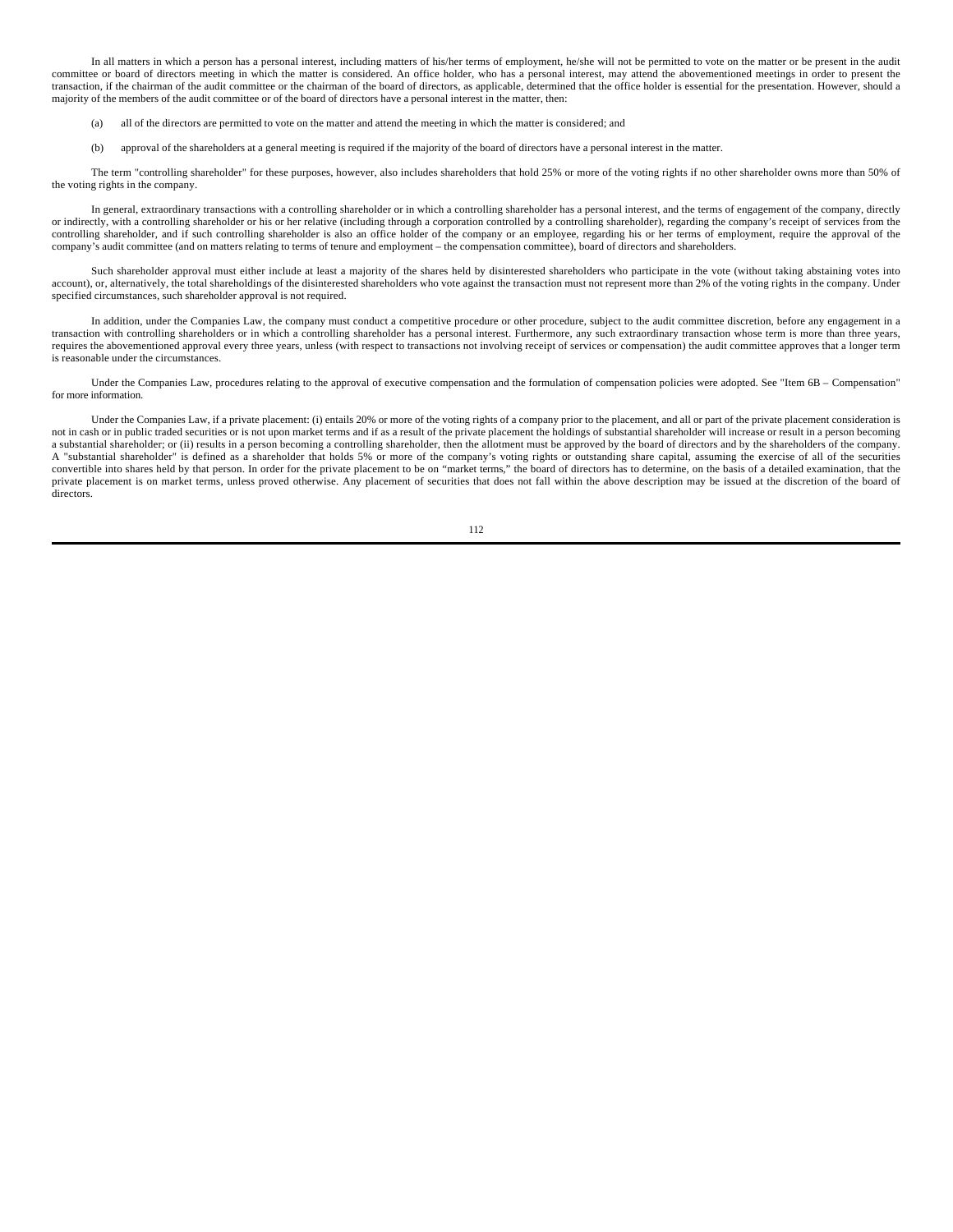In all matters in which a person has a personal interest, including matters of his/her terms of employment, he/she will not be permitted to vote on the matter or be present in the audit committee or board of directors meeting in which the matter is considered. An office holder, who has a personal interest, may attend the abovementioned meetings in order to present the transaction, if the chairman of the audit committee or the chairman of the board of directors, as applicable, determined that the office holder is essential for the presentation. However, should a majority of the members of the audit committee or of the board of directors have a personal interest in the matter, then:

- (a) all of the directors are permitted to vote on the matter and attend the meeting in which the matter is considered; and
- (b) approval of the shareholders at a general meeting is required if the majority of the board of directors have a personal interest in the matter.

The term "controlling shareholder" for these purposes, however, also includes shareholders that hold 25% or more of the voting rights if no other shareholder owns more than 50% of the voting rights in the company.

In general, extraordinary transactions with a controlling shareholder or in which a controlling shareholder has a personal interest, and the terms of engagement of the company, directly or indirectly, with a controlling shareholder or his or her relative (including through a corporation controlled by a controlling shareholder), regarding the company's receipt of services from the controlling shareholder, and if such controlling shareholder is also an office holder of the company or an employee, regarding his or her terms of employment, require the approval of the company's audit committee (and on matters relating to terms of tenure and employment – the compensation committee), board of directors and shareholders.

Such shareholder approval must either include at least a majority of the shares held by disinterested shareholders who participate in the vote (without taking abstaining votes into account), or, alternatively, the total shareholdings of the disinterested shareholders who vote against the transaction must not represent more than 2% of the voting rights in the company. Under specified circumstances, such shareholder approval is not required.

In addition, under the Companies Law, the company must conduct a competitive procedure or other procedure, subject to the audit committee discretion, before any engagement in a transaction with controlling shareholders or in which a controlling shareholder has a personal interest. Furthermore, any such extraordinary transaction whose term is more than three years, requires the abovementioned approval every three years, unless (with respect to transactions not involving receipt of services or compensation) the audit committee approves that a longer term is reasonable under the circumstances.

Under the Companies Law, procedures relating to the approval of executive compensation and the formulation of compensation policies were adopted. See "Item 6B – Compensation" for more information.

Under the Companies Law, if a private placement: (i) entails 20% or more of the voting rights of a company prior to the placement, and all or part of the private placement consideration is not in cash or in public traded securities or is not upon market terms and if as a result of the private placement the holdings of substantial shareholder will increase or result in a person becoming a substantial shareholder; or (ii) results in a person becoming a controlling shareholder, then the allotment must be approved by the board of directors and by the shareholders of the company. A "substantial shareholder" is defined as a shareholder that holds 5% or more of the company's voting rights or outstanding share capital, assuming the exercise of all of the securities convertible into shares held by that person. In order for the private placement to be on "market terms," the board of directors has to determine, on the basis of a detailed examination, that the private placement is on market terms, unless proved otherwise. Any placement of securities that does not fall within the above description may be issued at the discretion of the board of directors.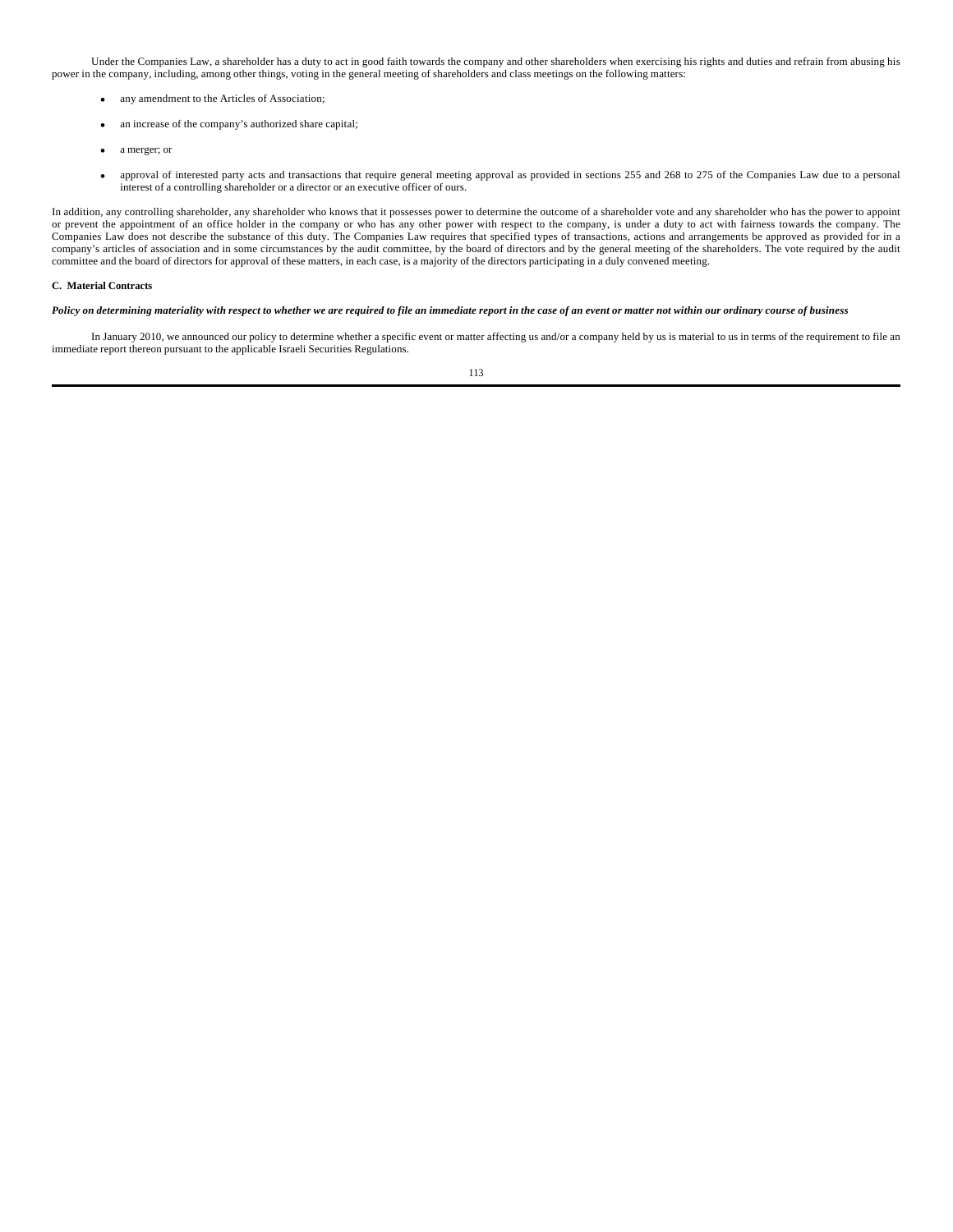Under the Companies Law, a shareholder has a duty to act in good faith towards the company and other shareholders when exercising his rights and duties and refrain from abusing his power in the company, including, among other things, voting in the general meeting of shareholders and class meetings on the following matters:

- any amendment to the Articles of Association;
- an increase of the company's authorized share capital;
- a merger; or
- approval of interested party acts and transactions that require general meeting approval as provided in sections 255 and 268 to 275 of the Companies Law due to a personal interest of a controlling shareholder or a director or an executive officer of ours.

In addition, any controlling shareholder, any shareholder who knows that it possesses power to determine the outcome of a shareholder vote and any shareholder who has the power to appoint or prevent the appointment of an office holder in the company or who has any other power with respect to the company, is under a duty to act with fairness towards the company. The Companies Law does not describe the substance of this duty. The Companies Law requires that specified types of transactions, actions and arrangements be approved as provided for in a company's articles of association and in some circumstances by the audit committee, by the board of directors and by the general meeting of the shareholders. The vote required by the audit committee and the board of directors for approval of these matters, in each case, is a majority of the directors participating in a duly convened meeting.

### **C. Material Contracts**

#### *Policy on determining materiality with respect to whether we are required to file an immediate report in the case of an event or matter not within our ordinary course of business*

In January 2010, we announced our policy to determine whether a specific event or matter affecting us and/or a company held by us is material to us in terms of the requirement to file an immediate report thereon pursuant to the applicable Israeli Securities Regulations.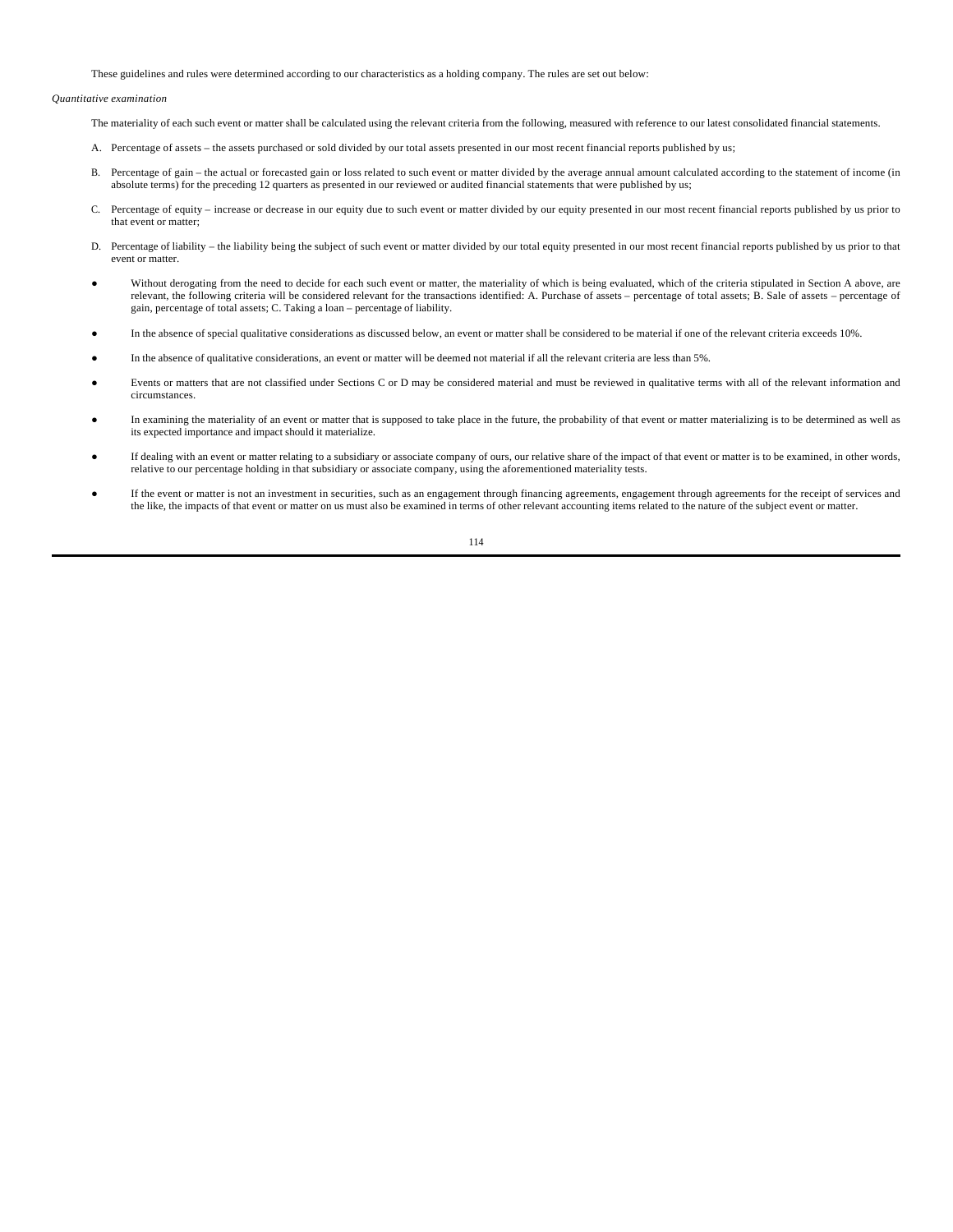These guidelines and rules were determined according to our characteristics as a holding company. The rules are set out below:

#### *Quantitative examination*

The materiality of each such event or matter shall be calculated using the relevant criteria from the following, measured with reference to our latest consolidated financial statements.

- A. Percentage of assets the assets purchased or sold divided by our total assets presented in our most recent financial reports published by us;
- B. Percentage of gain the actual or forecasted gain or loss related to such event or matter divided by the average annual amount calculated according to the statement of income (in absolute terms) for the preceding 12 quarters as presented in our reviewed or audited financial statements that were published by us;
- C. Percentage of equity increase or decrease in our equity due to such event or matter divided by our equity presented in our most recent financial reports published by us prior to that event or matter;
- D. Percentage of liability the liability being the subject of such event or matter divided by our total equity presented in our most recent financial reports published by us prior to that event or matter.
- Without derogating from the need to decide for each such event or matter, the materiality of which is being evaluated, which of the criteria stipulated in Section A above, are relevant, the following criteria will be considered relevant for the transactions identified: A. Purchase of assets – percentage of total assets; B. Sale of assets – percentage of gain, percentage of total assets; C. Taking a loan – percentage of liability.
- In the absence of special qualitative considerations as discussed below, an event or matter shall be considered to be material if one of the relevant criteria exceeds 10%.
- In the absence of qualitative considerations, an event or matter will be deemed not material if all the relevant criteria are less than 5%.
- Events or matters that are not classified under Sections C or D may be considered material and must be reviewed in qualitative terms with all of the relevant information and circumstances.
- In examining the materiality of an event or matter that is supposed to take place in the future, the probability of that event or matter materializing is to be determined as well as its expected importance and impact should it materialize.
- If dealing with an event or matter relating to a subsidiary or associate company of ours, our relative share of the impact of that event or matter is to be examined, in other words, relative to our percentage holding in that subsidiary or associate company, using the aforementioned materiality tests.
- If the event or matter is not an investment in securities, such as an engagement through financing agreements, engagement through agreements for the receipt of services and the like, the impacts of that event or matter on us must also be examined in terms of other relevant accounting items related to the nature of the subject event or matter.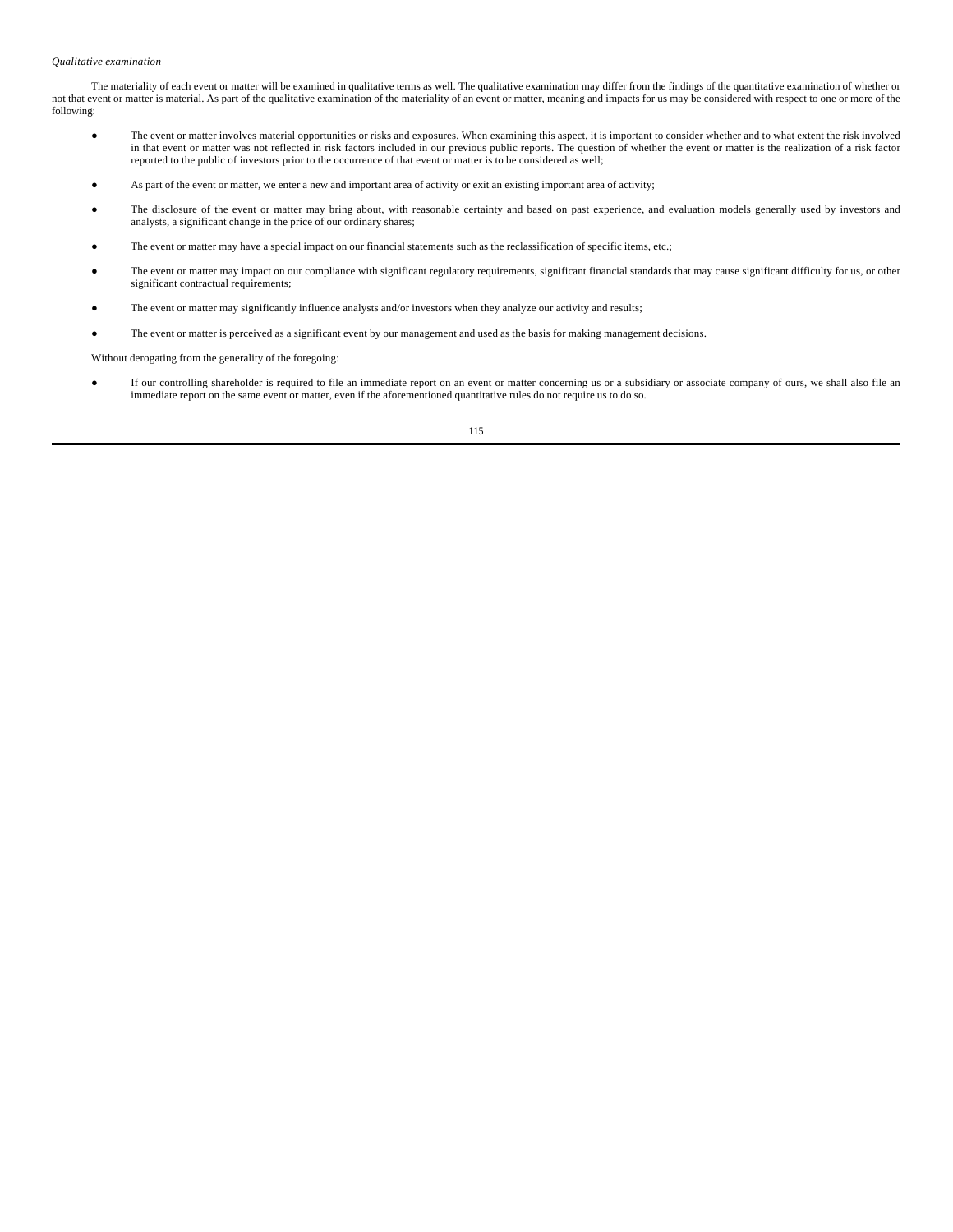#### *Qualitative examination*

The materiality of each event or matter will be examined in qualitative terms as well. The qualitative examination may differ from the findings of the quantitative examination of whether or not that event or matter is material. As part of the qualitative examination of the materiality of an event or matter, meaning and impacts for us may be considered with respect to one or more of the following:

- The event or matter involves material opportunities or risks and exposures. When examining this aspect, it is important to consider whether and to what extent the risk involved in that event or matter was not reflected in risk factors included in our previous public reports. The question of whether the event or matter is the realization of a risk factor reported to the public of investors prior to the occurrence of that event or matter is to be considered as well;
- As part of the event or matter, we enter a new and important area of activity or exit an existing important area of activity;
- The disclosure of the event or matter may bring about, with reasonable certainty and based on past experience, and evaluation models generally used by investors and analysts, a significant change in the price of our ordinary shares;
- The event or matter may have a special impact on our financial statements such as the reclassification of specific items, etc.;
- The event or matter may impact on our compliance with significant regulatory requirements, significant financial standards that may cause significant difficulty for us, or other significant contractual requirements;
- The event or matter may significantly influence analysts and/or investors when they analyze our activity and results;
- The event or matter is perceived as a significant event by our management and used as the basis for making management decisions.

Without derogating from the generality of the foregoing:

● If our controlling shareholder is required to file an immediate report on an event or matter concerning us or a subsidiary or associate company of ours, we shall also file an immediate report on the same event or matter, even if the aforementioned quantitative rules do not require us to do so.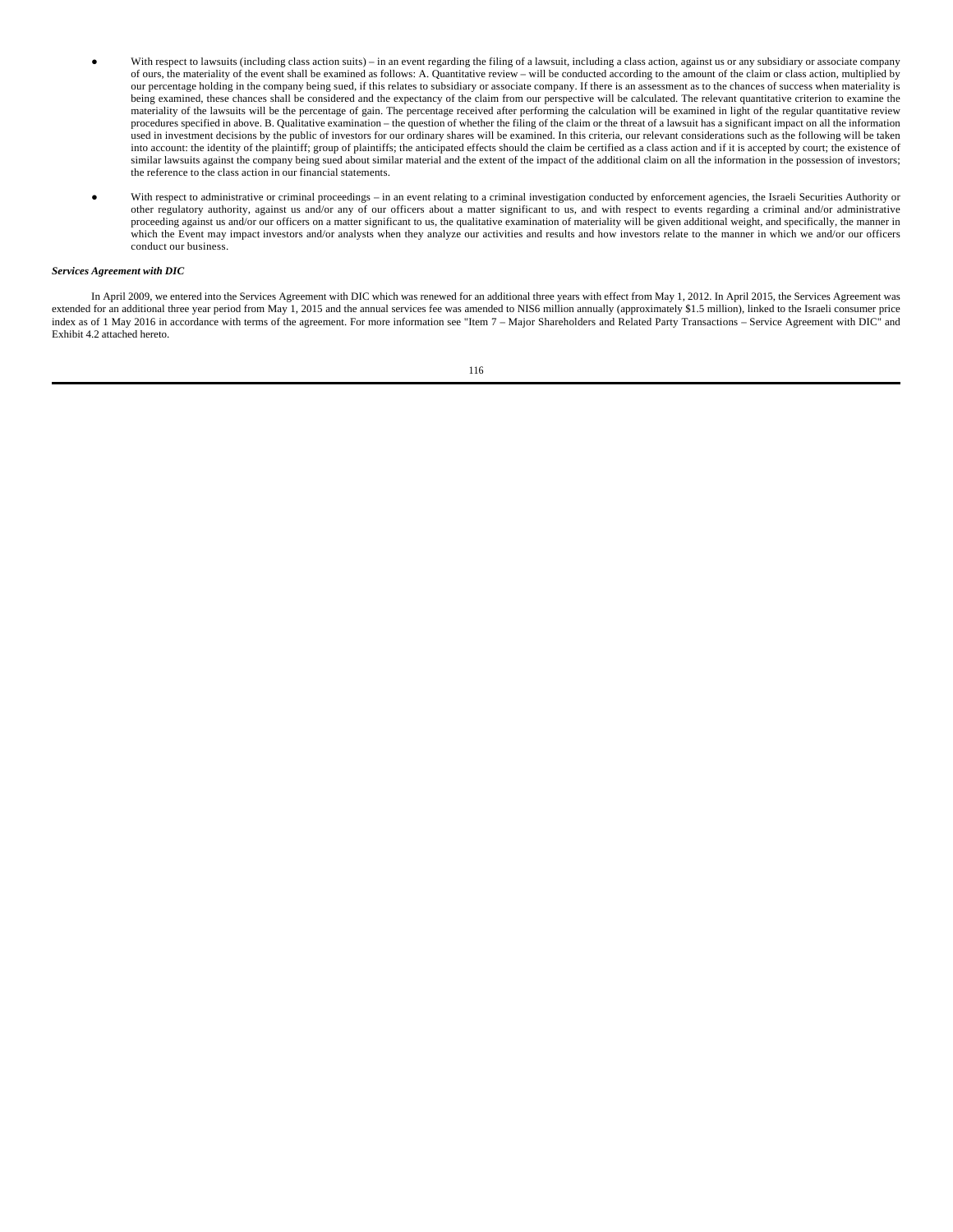- With respect to lawsuits (including class action suits) in an event regarding the filing of a lawsuit, including a class action, against us or any subsidiary or associate company of ours, the materiality of the event shall be examined as follows: A. Quantitative review – will be conducted according to the amount of the claim or class action, multiplied by our percentage holding in the company being sued, if this relates to subsidiary or associate company. If there is an assessment as to the chances of success when materiality is being examined, these chances shall be considered and the expectancy of the claim from our perspective will be calculated. The relevant quantitative criterion to examine the materiality of the lawsuits will be the percentage of gain. The percentage received after performing the calculation will be examined in light of the regular quantitative review procedures specified in above. B. Qualitative examination – the question of whether the filing of the claim or the threat of a lawsuit has a significant impact on all the information used in investment decisions by the public of investors for our ordinary shares will be examined. In this criteria, our relevant considerations such as the following will be taken into account: the identity of the plaintiff; group of plaintiffs; the anticipated effects should the claim be certified as a class action and if it is accepted by court; the existence of similar lawsuits against the company being sued about similar material and the extent of the impact of the additional claim on all the information in the possession of investors; the reference to the class action in our financial statements.
- With respect to administrative or criminal proceedings in an event relating to a criminal investigation conducted by enforcement agencies, the Israeli Securities Authority or other regulatory authority, against us and/or any of our officers about a matter significant to us, and with respect to events regarding a criminal and/or administrative proceeding against us and/or our officers on a matter significant to us, the qualitative examination of materiality will be given additional weight, and specifically, the manner in which the Event may impact investors and/or analysts when they analyze our activities and results and how investors relate to the manner in which we and/or our officers conduct our business.

### *Services Agreement with DIC*

In April 2009, we entered into the Services Agreement with DIC which was renewed for an additional three years with effect from May 1, 2012. In April 2015, the Services Agreement was extended for an additional three year period from May 1, 2015 and the annual services fee was amended to NIS6 million annually (approximately \$1.5 million), linked to the Israeli consumer price index as of 1 May 2016 in accordance with terms of the agreement. For more information see "Item 7 - Major Shareholders and Related Party Transactions - Service Agreement with DIC" and Exhibit 4.2 attached hereto.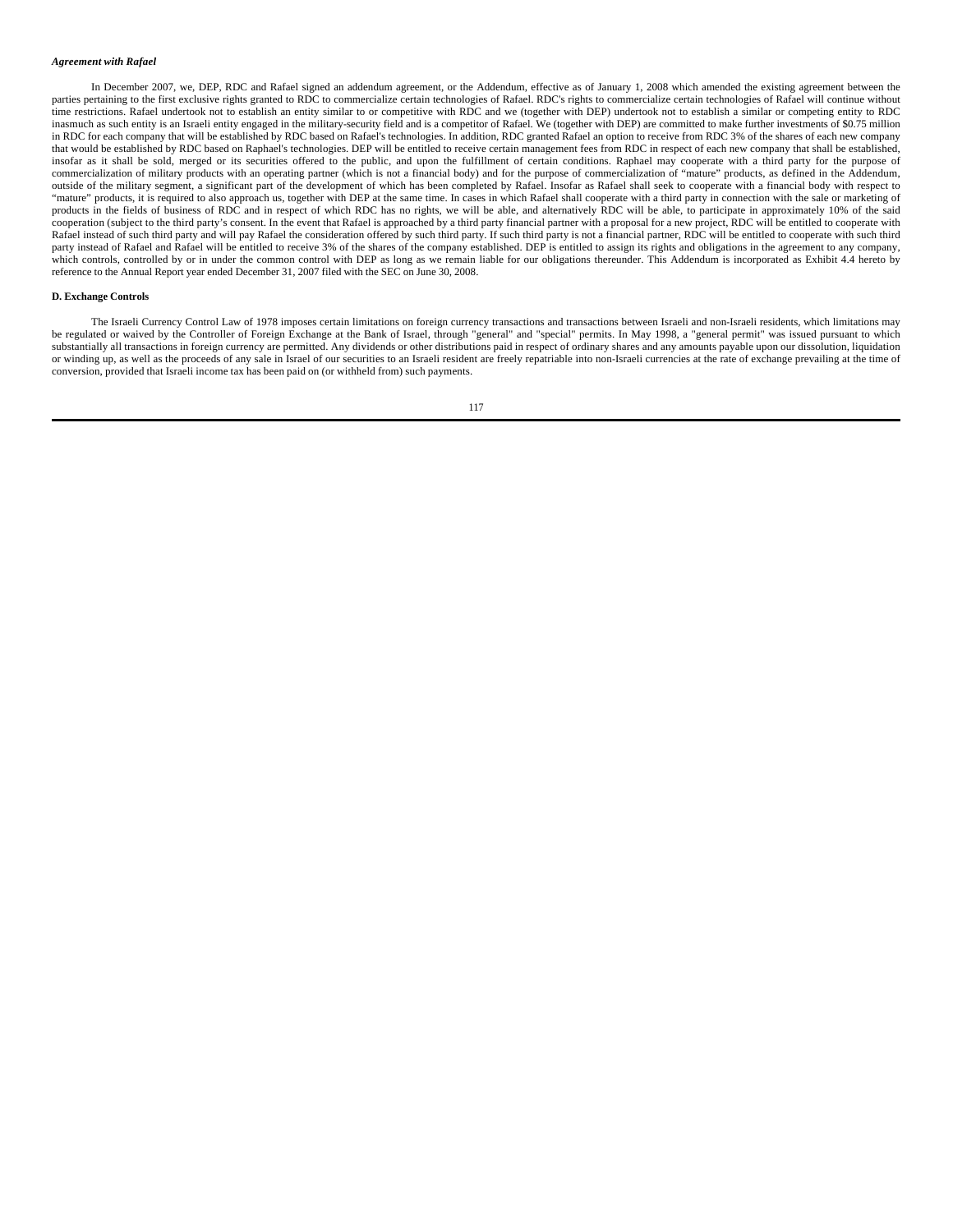#### *Agreement with Rafael*

In December 2007, we, DEP, RDC and Rafael signed an addendum agreement, or the Addendum, effective as of January 1, 2008 which amended the existing agreement between the parties pertaining to the first exclusive rights granted to RDC to commercialize certain technologies of Rafael. RDC's rights to commercialize certain technologies of Rafael will continue without time restrictions. Rafael undertook not to establish an entity similar to or competitive with RDC and we (together with DEP) undertook not to establish a similar or competing entity to RDC inasmuch as such entity is an Israeli entity engaged in the military-security field and is a competitor of Rafael. We (together with DEP) are committed to make further investments of \$0.75 million in RDC for each company that will be established by RDC based on Rafael's technologies. In addition, RDC granted Rafael an option to receive from RDC 3% of the shares of each new company that would be established by RDC based on Raphael's technologies. DEP will be entitled to receive certain management fees from RDC in respect of each new company that shall be established, insofar as it shall be sold, merged or its securities offered to the public, and upon the fulfillment of certain conditions. Raphael may cooperate with a third party for the purpose of commercialization of military products with an operating partner (which is not a financial body) and for the purpose of commercialization of "mature" products, as defined in the Addendum,<br>outside of the military segment, a "mature" products, it is required to also approach us, together with DEP at the same time. In cases in which Rafael shall cooperate with a third party in connection with the sale or marketing of products in the fields of business of RDC and in respect of which RDC has no rights, we will be able, and alternatively RDC will be able, to participate in approximately 10% of the said cooperation (subject to the third party's consent. In the event that Rafael is approached by a third party financial partner with a proposal for a new project, RDC will be entitled to cooperate with Rafael instead of such third party and will pay Rafael the consideration offered by such third party. If such third party is not a financial partner, RDC will be entitled to cooperate with such third party instead of Rafael and Rafael will be entitled to receive 3% of the shares of the company established. DEP is entitled to assign its rights and obligations in the agreement to any company, which controls, controlled by or in under the common control with DEP as long as we remain liable for our obligations thereunder. This Addendum is incorporated as Exhibit 4.4 hereto by reference to the Annual Report year e

#### **D. Exchange Controls**

The Israeli Currency Control Law of 1978 imposes certain limitations on foreign currency transactions and transactions between Israeli and non-Israeli residents, which limitations may be regulated or waived by the Controller of Foreign Exchange at the Bank of Israel, through "general" and "special" permits. In May 1998, a "general permit" was issued pursuant to which substantially all transactions in foreign currency are permitted. Any dividends or other distributions paid in respect of ordinary shares and any amounts payable upon our dissolution, liquidation or winding up, as well as the proceeds of any sale in Israel of our securities to an Israeli resident are freely repatriable into non-Israeli currencies at the rate of exchange prevailing at the time of conversion, provided that Israeli income tax has been paid on (or withheld from) such payments.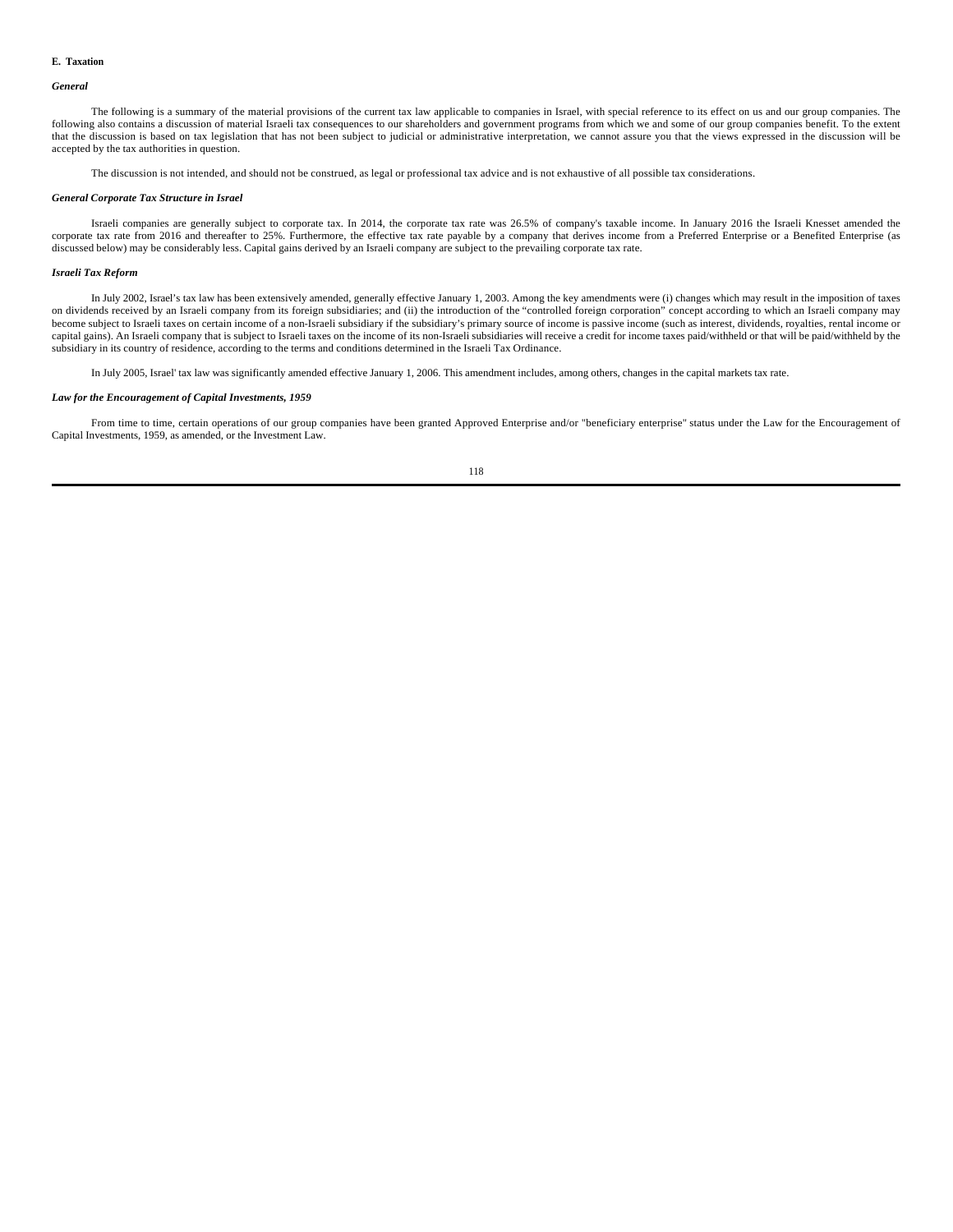### **E. Taxation**

#### *General*

The following is a summary of the material provisions of the current tax law applicable to companies in Israel, with special reference to its effect on us and our group companies. The following also contains a discussion of material Israeli tax consequences to our shareholders and government programs from which we and some of our group companies benefit. To the extent that the discussion is based on tax legislation that has not been subject to judicial or administrative interpretation, we cannot assure you that the views expressed in the discussion will be accepted by the tax authorities in question.

The discussion is not intended, and should not be construed, as legal or professional tax advice and is not exhaustive of all possible tax considerations.

#### *General Corporate Tax Structure in Israel*

Israeli companies are generally subject to corporate tax. In 2014, the corporate tax rate was 26.5% of company's taxable income. In January 2016 the Israeli Knesset amended the corporate tax rate from 2016 and thereafter to 25%. Furthermore, the effective tax rate payable by a company that derives income from a Preferred Enterprise or a Benefited Enterprise (as discussed below) may be considerably less. Capital gains derived by an Israeli company are subject to the prevailing corporate tax rate.

## *Israeli Tax Reform*

In July 2002, Israel's tax law has been extensively amended, generally effective January 1, 2003. Among the key amendments were (i) changes which may result in the imposition of taxes on dividends received by an Israeli company from its foreign subsidiaries; and (ii) the introduction of the "controlled foreign corporation" concept according to which an Israeli company may become subject to Israeli taxes on certain income of a non-Israeli subsidiary if the subsidiary's primary source of income is passive income (such as interest, dividends, royalties, rental income or capital gains). An Israeli company that is subject to Israeli taxes on the income of its non-Israeli subsidiaries will receive a credit for income taxes paid/withheld or that will be paid/withheld by the subsidiary in its country of residence, according to the terms and conditions determined in the Israeli Tax Ordinance.

In July 2005, Israel' tax law was significantly amended effective January 1, 2006. This amendment includes, among others, changes in the capital markets tax rate.

#### *Law for the Encouragement of Capital Investments, 1959*

From time to time, certain operations of our group companies have been granted Approved Enterprise and/or "beneficiary enterprise" status under the Law for the Encouragement of Capital Investments, 1959, as amended, or the Investment Law.

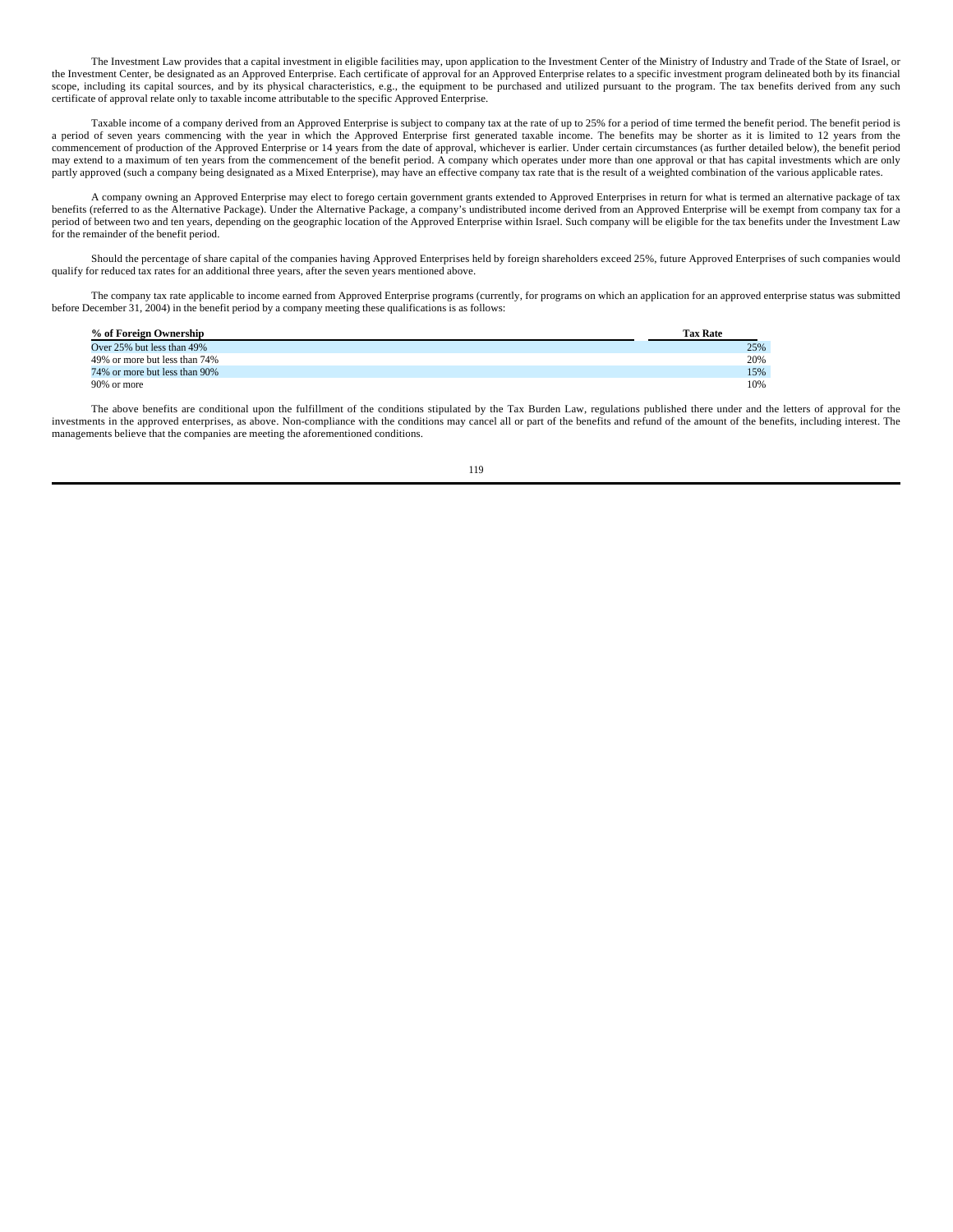The Investment Law provides that a capital investment in eligible facilities may, upon application to the Investment Center of the Ministry of Industry and Trade of the State of Israel, or the Investment Center, be designated as an Approved Enterprise. Each certificate of approval for an Approved Enterprise relates to a specific investment program delineated both by its financial scope, including its capital sources, and by its physical characteristics, e.g., the equipment to be purchased and utilized pursuant to the program. The tax benefits derived from any such certificate of approval relate only to taxable income attributable to the specific Approved Enterprise.

Taxable income of a company derived from an Approved Enterprise is subject to company tax at the rate of up to 25% for a period of time termed the benefit period. The benefit period is a period of seven years commencing with the year in which the Approved Enterprise first generated taxable income. The benefits may be shorter as it is limited to 12 years from the commencement of production of the Approved Enterprise or 14 years from the date of approval, whichever is earlier. Under certain circumstances (as further detailed below), the benefit period may extend to a maximum of ten years from the commencement of the benefit period. A company which operates under more than one approval or that has capital investments which are only partly approved (such a company being designated as a Mixed Enterprise), may have an effective company tax rate that is the result of a weighted combination of the various applicable rates.

A company owning an Approved Enterprise may elect to forego certain government grants extended to Approved Enterprises in return for what is termed an alternative package of tax benefits (referred to as the Alternative Package). Under the Alternative Package, a company's undistributed income derived from an Approved Enterprise will be exempt from company tax for a period of between two and ten years, depending on the geographic location of the Approved Enterprise within Israel. Such company will be eligible for the tax benefits under the Investment Law for the remainder of the benefit period.

Should the percentage of share capital of the companies having Approved Enterprises held by foreign shareholders exceed 25%, future Approved Enterprises of such companies would qualify for reduced tax rates for an additional three years, after the seven years mentioned above.

The company tax rate applicable to income earned from Approved Enterprise programs (currently, for programs on which an application for an approved enterprise status was submitted before December 31, 2004) in the benefit period by a company meeting these qualifications is as follows:

| % of Foreign Ownership        | <b>Tax Rate</b> |
|-------------------------------|-----------------|
| Over 25% but less than 49%    | 25%             |
| 49% or more but less than 74% | 20%             |
| 74% or more but less than 90% | 15%             |
| 90% or more                   | 10%             |

The above benefits are conditional upon the fulfillment of the conditions stipulated by the Tax Burden Law, regulations published there under and the letters of approval for the investments in the approved enterprises, as above. Non-compliance with the conditions may cancel all or part of the benefits and refund of the amount of the benefits, including interest. The managements believe that the companies are meeting the aforementioned conditions.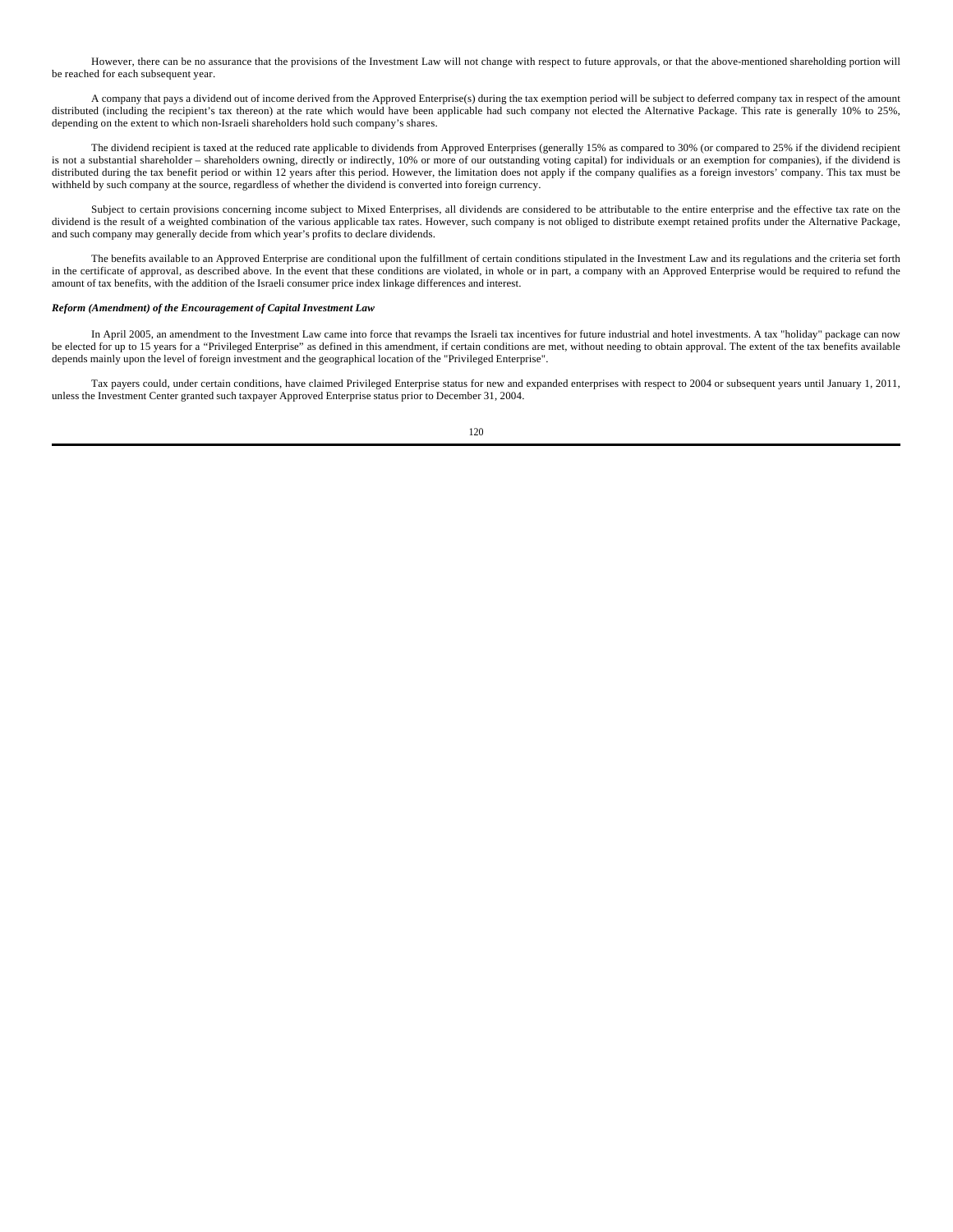However, there can be no assurance that the provisions of the Investment Law will not change with respect to future approvals, or that the above-mentioned shareholding portion will be reached for each subsequent year.

A company that pays a dividend out of income derived from the Approved Enterprise(s) during the tax exemption period will be subject to deferred company tax in respect of the amount distributed (including the recipient's tax thereon) at the rate which would have been applicable had such company not elected the Alternative Package. This rate is generally 10% to 25%, depending on the extent to which non-Israeli shareholders hold such company's shares.

The dividend recipient is taxed at the reduced rate applicable to dividends from Approved Enterprises (generally 15% as compared to 30% (or compared to 25% if the dividend recipient is not a substantial shareholder – shareholders owning, directly or indirectly, 10% or more of our outstanding voting capital) for individuals or an exemption for companies), if the dividend is distributed during the tax benefit period or within 12 years after this period. However, the limitation does not apply if the company qualifies as a foreign investors' company. This tax must be withheld by such company at the source, regardless of whether the dividend is converted into foreign currency.

Subject to certain provisions concerning income subject to Mixed Enterprises, all dividends are considered to be attributable to the entire enterprise and the effective tax rate on the dividend is the result of a weighted combination of the various applicable tax rates. However, such company is not obliged to distribute exempt retained profits under the Alternative Package, and such company may generally decide from which year's profits to declare dividends.

The benefits available to an Approved Enterprise are conditional upon the fulfillment of certain conditions stipulated in the Investment Law and its regulations and the criteria set forth in the certificate of approval, as described above. In the event that these conditions are violated, in whole or in part, a company with an Approved Enterprise would be required to refund the amount of tax benefits, with the addition of the Israeli consumer price index linkage differences and interest.

#### *Reform (Amendment) of the Encouragement of Capital Investment Law*

In April 2005, an amendment to the Investment Law came into force that revamps the Israeli tax incentives for future industrial and hotel investments. A tax "holiday" package can now be elected for up to 15 years for a "Privileged Enterprise" as defined in this amendment, if certain conditions are met, without needing to obtain approval. The extent of the tax benefits available depends mainly upon the level of foreign investment and the geographical location of the "Privileged Enterprise".

Tax payers could, under certain conditions, have claimed Privileged Enterprise status for new and expanded enterprises with respect to 2004 or subsequent years until January 1, 2011, unless the Investment Center granted such taxpayer Approved Enterprise status prior to December 31, 2004.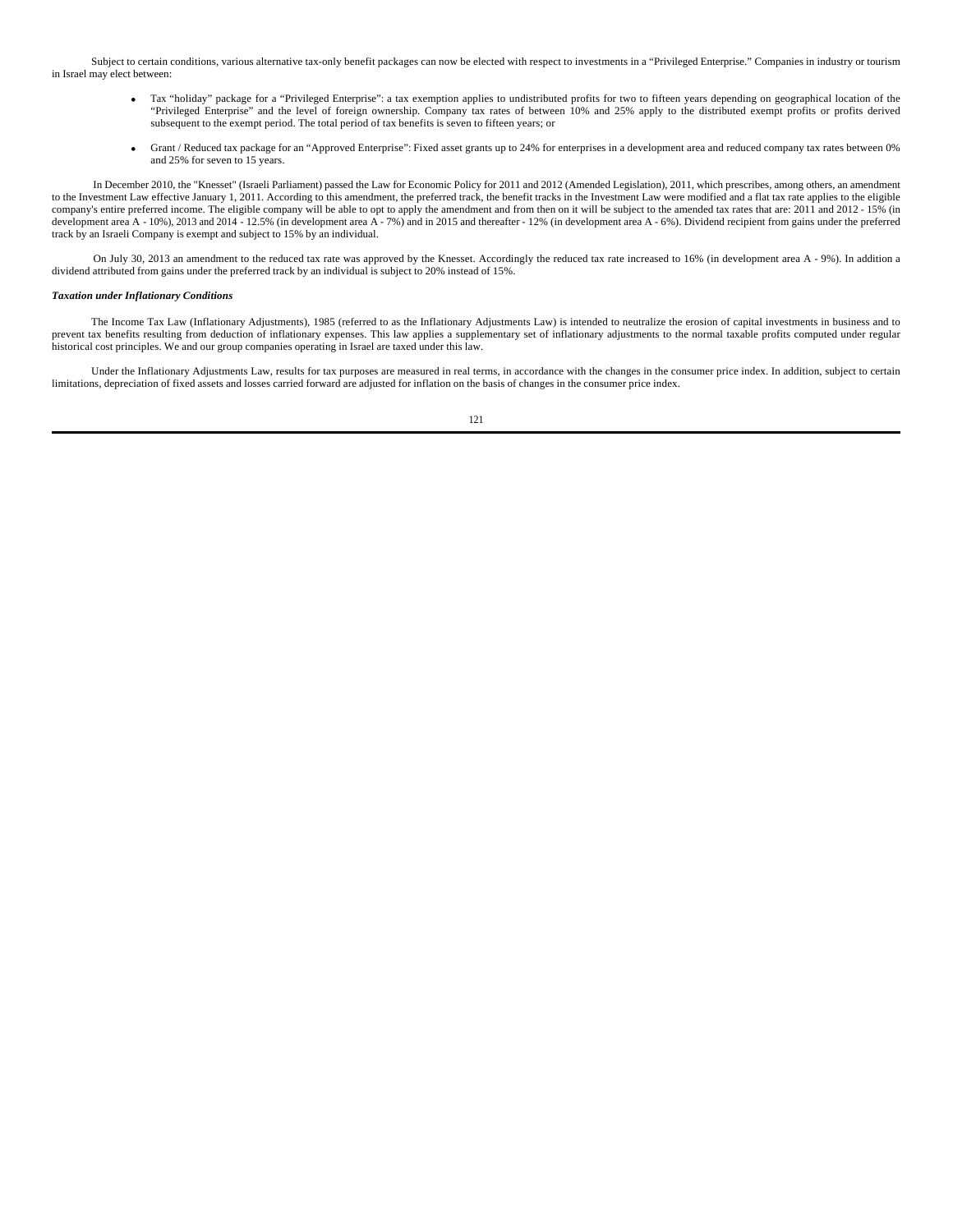Subject to certain conditions, various alternative tax-only benefit packages can now be elected with respect to investments in a "Privileged Enterprise." Companies in industry or tourism in Israel may elect between:

- Tax "holiday" package for a "Privileged Enterprise": a tax exemption applies to undistributed profits for two to fifteen years depending on geographical location of the "Privileged Enterprise" and the level of foreign ownership. Company tax rates of between 10% and 25% apply to the distributed exempt profits or profits derived subsequent to the exempt period. The total period of tax benefits is seven to fifteen years; or
- Grant / Reduced tax package for an "Approved Enterprise": Fixed asset grants up to 24% for enterprises in a development area and reduced company tax rates between 0% and 25% for seven to 15 years.

 In December 2010, the "Knesset" (Israeli Parliament) passed the Law for Economic Policy for 2011 and 2012 (Amended Legislation), 2011, which prescribes, among others, an amendment to the Investment Law effective January 1, 2011. According to this amendment, the preferred track, the benefit tracks in the Investment Law were modified and a flat tax rate applies to the eligible company's entire preferred income. The eligible company will be able to opt to apply the amendment and from then on it will be subject to the amended tax rates that are: 2011 and 2012 - 15% (in development area A - 10%), 2013 and 2014 - 12.5% (in development area A - 7%) and in 2015 and thereafter - 12% (in development area A - 6%). Dividend recipient from gains under the preferred track by an Israeli Company is exempt and subject to 15% by an individual.

On July 30, 2013 an amendment to the reduced tax rate was approved by the Knesset. Accordingly the reduced tax rate increased to 16% (in development area A - 9%). In addition a dividend attributed from gains under the preferred track by an individual is subject to 20% instead of 15%.

### *Taxation under Inflationary Conditions*

The Income Tax Law (Inflationary Adjustments), 1985 (referred to as the Inflationary Adjustments Law) is intended to neutralize the erosion of capital investments in business and to prevent tax benefits resulting from deduction of inflationary expenses. This law applies a supplementary set of inflationary adjustments to the normal taxable profits computed under regular historical cost principles. We and our group companies operating in Israel are taxed under this law.

Under the Inflationary Adjustments Law, results for tax purposes are measured in real terms, in accordance with the changes in the consumer price index. In addition, subject to certain limitations, depreciation of fixed assets and losses carried forward are adjusted for inflation on the basis of changes in the consumer price index.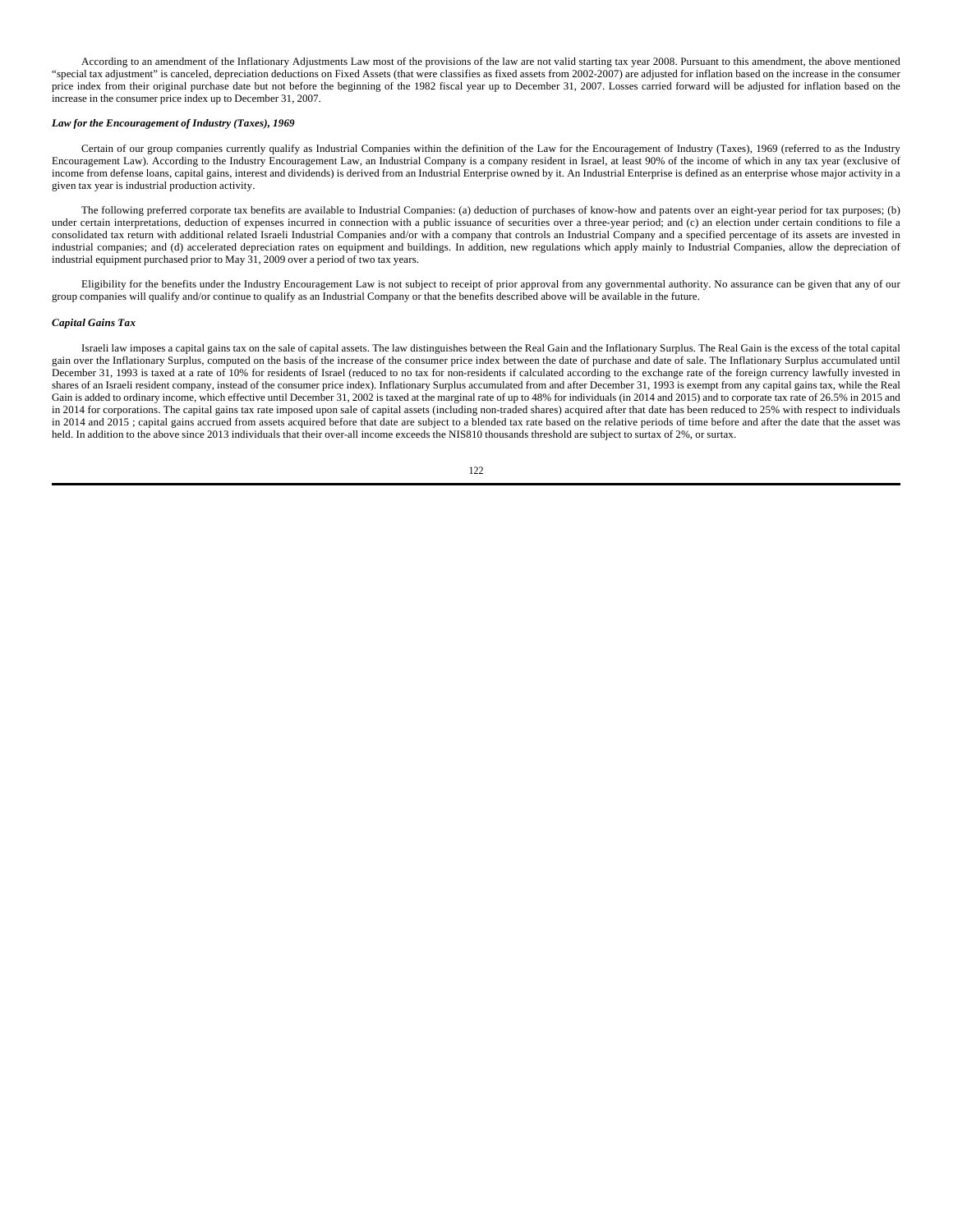According to an amendment of the Inflationary Adjustments Law most of the provisions of the law are not valid starting tax year 2008. Pursuant to this amendment, the above mentioned "special tax adjustment" is canceled, depreciation deductions on Fixed Assets (that were classifies as fixed assets from 2002-2007) are adjusted for inflation based on the increase in the consumer price index from their original purchase date but not before the beginning of the 1982 fiscal year up to December 31, 2007. Losses carried forward will be adjusted for inflation based on the increase in the consumer price index up to December 31, 2007.

#### *Law for the Encouragement of Industry (Taxes), 1969*

Certain of our group companies currently qualify as Industrial Companies within the definition of the Law for the Encouragement of Industry (Taxes), 1969 (referred to as the Industry Encouragement Law). According to the Industry Encouragement Law, an Industrial Company is a company resident in Israel, at least 90% of the income of which in any tax year (exclusive of income from defense loans, capital gains, interest and dividends) is derived from an Industrial Enterprise owned by it. An Industrial Enterprise is defined as an enterprise whose major activity in a given tax year is industrial production activity.

The following preferred corporate tax benefits are available to Industrial Companies: (a) deduction of purchases of know-how and patents over an eight-year period for tax purposes; (b) under certain interpretations, deduction of expenses incurred in connection with a public issuance of securities over a three-year period; and (c) an election under certain conditions to file a consolidated tax return with additional related Israeli Industrial Companies and/or with a company that controls an Industrial Company and a specified percentage of its assets are invested in industrial companies; and (d) accelerated depreciation rates on equipment and buildings. In addition, new regulations which apply mainly to Industrial Companies, allow the depreciation of industrial equipment purchased prior to May 31, 2009 over a period of two tax years.

Eligibility for the benefits under the Industry Encouragement Law is not subject to receipt of prior approval from any governmental authority. No assurance can be given that any of our group companies will qualify and/or continue to qualify as an Industrial Company or that the benefits described above will be available in the future.

#### *Capital Gains Tax*

Israeli law imposes a capital gains tax on the sale of capital assets. The law distinguishes between the Real Gain and the Inflationary Surplus. The Real Gain is the excess of the total capital gain over the Inflationary Surplus, computed on the basis of the increase of the consumer price index between the date of purchase and date of sale. The Inflationary Surplus accumulated until December 31, 1993 is taxed at a rate of 10% for residents of Israel (reduced to no tax for non-residents if calculated according to the exchange rate of the foreign currency lawfully invested in shares of an Israeli resident company, instead of the consumer price index). Inflationary Surplus accumulated from and after December 31, 1993 is exempt from any capital gains tax, while the Real Gain is added to ordinary income, which effective until December 31, 2002 is taxed at the marginal rate of up to 48% for individuals (in 2014 and 2015) and to corporate tax rate of 26.5% in 2015 and in 2014 for corporations. The capital gains tax rate imposed upon sale of capital assets (including non-traded shares) acquired after that date has been reduced to 25% with respect to individuals in 2014 and 2015 ; capital gains accrued from assets acquired before that date are subject to a blended tax rate based on the relative periods of time before and after the date that the asset was held. In addition to the above since 2013 individuals that their over-all income exceeds the NIS810 thousands threshold are subject to surtax of 2%, or surtax.

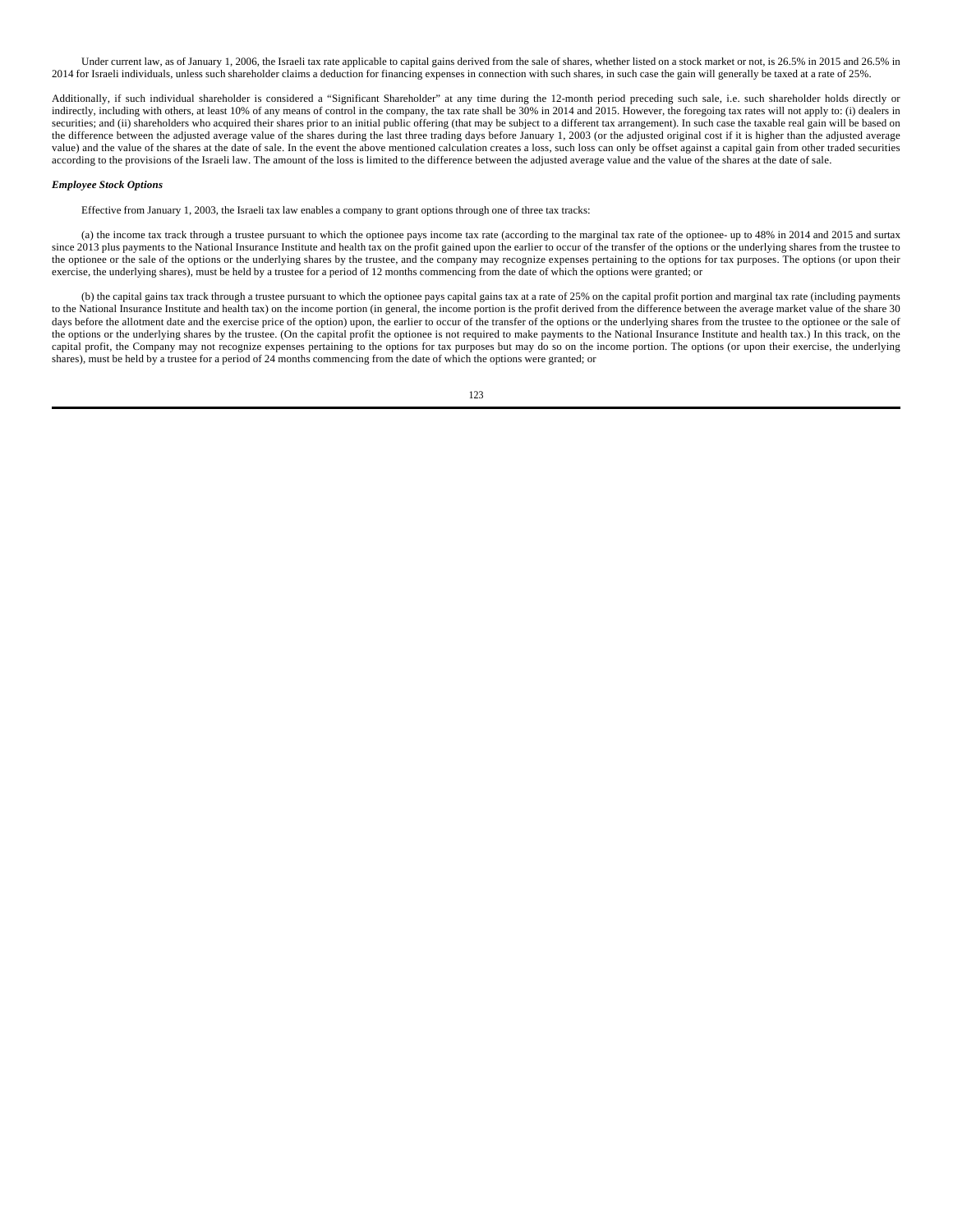Under current law, as of January 1, 2006, the Israeli tax rate applicable to capital gains derived from the sale of shares, whether listed on a stock market or not, is 26.5% in 2015 and 26.5% in 2014 for Israeli individuals, unless such shareholder claims a deduction for financing expenses in connection with such shares, in such case the gain will generally be taxed at a rate of 25%.

Additionally, if such individual shareholder is considered a "Significant Shareholder" at any time during the 12-month period preceding such sale, i.e. such shareholder holds directly or indirectly, including with others, at least 10% of any means of control in the company, the tax rate shall be 30% in 2014 and 2015. However, the foregoing tax rates will not apply to: (i) dealers in securities; and (ii) shareholders who acquired their shares prior to an initial public offering (that may be subject to a different tax arrangement). In such case the taxable real gain will be based on the difference between the adjusted average value of the shares during the last three trading days before January 1, 2003 (or the adjusted original cost if it is higher than the adjusted average value) and the value of the shares at the date of sale. In the event the above mentioned calculation creates a loss, such loss can only be offset against a capital gain from other traded securities according to the provisions of the Israeli law. The amount of the loss is limited to the difference between the adjusted average value and the value of the shares at the date of sale.

### *Employee Stock Options*

Effective from January 1, 2003, the Israeli tax law enables a company to grant options through one of three tax tracks:

(a) the income tax track through a trustee pursuant to which the optionee pays income tax rate (according to the marginal tax rate of the optionee- up to 48% in 2014 and 2015 and surtax since 2013 plus payments to the National Insurance Institute and health tax on the profit gained upon the earlier to occur of the transfer of the options or the underlying shares from the trustee to the optionee or the sale of the options or the underlying shares by the trustee, and the company may recognize expenses pertaining to the options for tax purposes. The options (or upon their exercise, the underlying shares), must be held by a trustee for a period of 12 months commencing from the date of which the options were granted; or

(b) the capital gains tax track through a trustee pursuant to which the optionee pays capital gains tax at a rate of 25% on the capital profit portion and marginal tax rate (including payments to the National Insurance Ins days before the allotment date and the exercise price of the option) upon, the earlier to occur of the transfer of the options or the underlying shares from the trustee to the optionee or the sale of the options or the underlying shares by the trustee. (On the capital profit the optionee is not required to make payments to the National Insurance Institute and health tax.) In this track, on the capital profit, the Company may not recognize expenses pertaining to the options for tax purposes but may do so on the income portion. The options (or upon their exercise, the underlying shares), must be held by a trustee for a period of 24 months commencing from the date of which the options were granted; or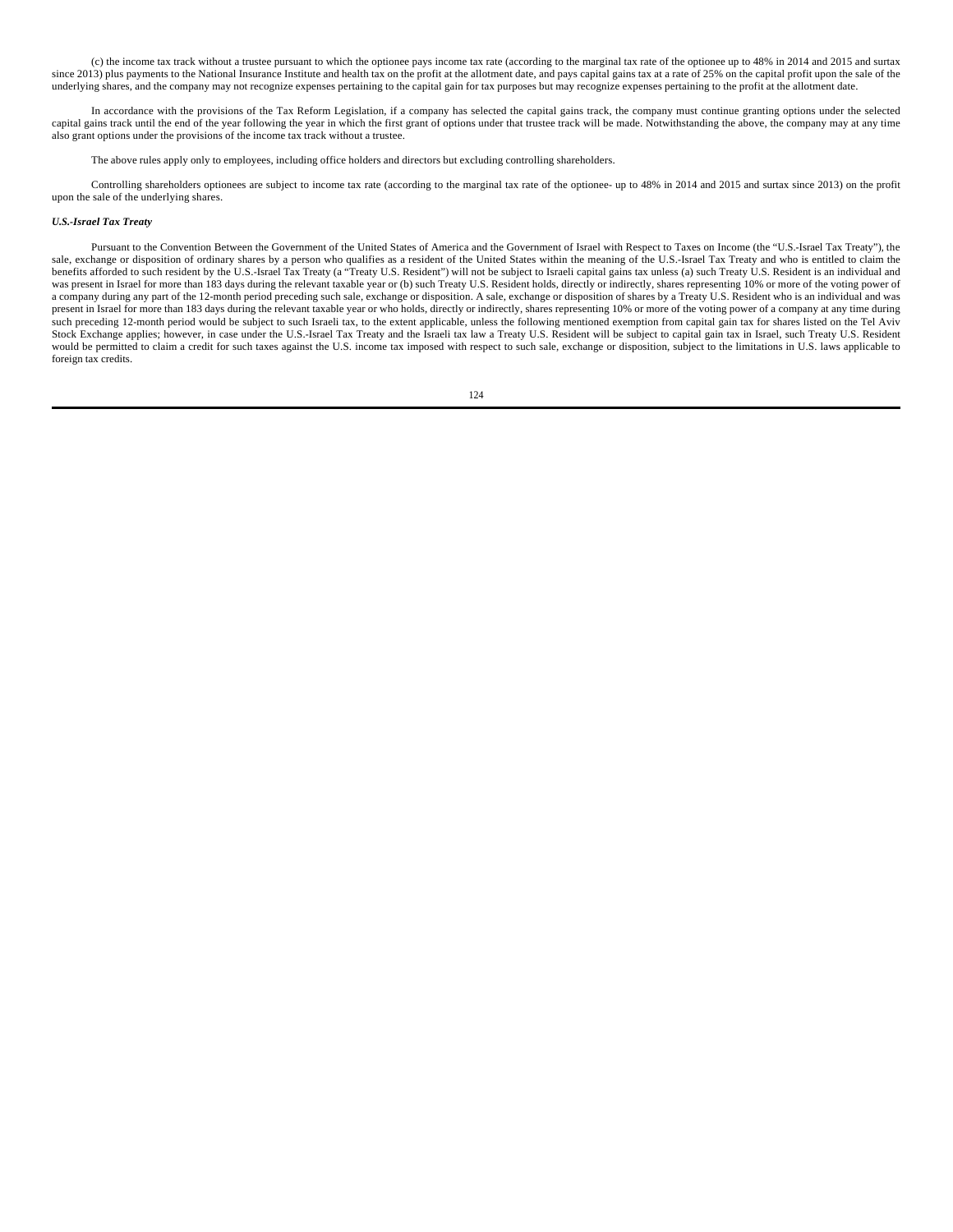(c) the income tax track without a trustee pursuant to which the optionee pays income tax rate (according to the marginal tax rate of the optionee up to 48% in 2014 and 2015 and surtax since 2013) plus payments to the National Insurance Institute and health tax on the profit at the allotment date, and pays capital gains tax at a rate of 25% on the capital profit upon the sale of the underlying shares, and the company may not recognize expenses pertaining to the capital gain for tax purposes but may recognize expenses pertaining to the profit at the allotment date.

In accordance with the provisions of the Tax Reform Legislation, if a company has selected the capital gains track, the company must continue granting options under the selected capital gains track until the end of the year following the year in which the first grant of options under that trustee track will be made. Notwithstanding the above, the company may at any time also grant options under the provisions of the income tax track without a trustee.

The above rules apply only to employees, including office holders and directors but excluding controlling shareholders.

Controlling shareholders optionees are subject to income tax rate (according to the marginal tax rate of the optionee- up to 48% in 2014 and 2015 and surtax since 2013) on the profit upon the sale of the underlying shares.

## *U.S.-Israel Tax Treaty*

Pursuant to the Convention Between the Government of the United States of America and the Government of Israel with Respect to Taxes on Income (the "U.S.-Israel Tax Treaty"), the sale, exchange or disposition of ordinary shares by a person who qualifies as a resident of the United States within the meaning of the U.S.-Israel Tax Treaty and who is entitled to claim the benefits afforded to such resident by the U.S.-Israel Tax Treaty (a "Treaty U.S. Resident") will not be subject to Israeli capital gains tax unless (a) such Treaty U.S. Resident is an individual and was present in Israel for more than 183 days during the relevant taxable year or (b) such Treaty U.S. Resident holds, directly or indirectly, shares representing 10% or more of the voting power of a company during any part of the 12-month period preceding such sale, exchange or disposition. A sale, exchange or disposition of shares by a Treaty U.S. Resident who is an individual and was present in Israel for more than 183 days during the relevant taxable year or who holds, directly or indirectly, shares representing 10% or more of the voting power of a company at any time during such preceding 12-month period would be subject to such Israeli tax, to the extent applicable, unless the following mentioned exemption from capital gain tax for shares listed on the Tel Aviv<br>Stock Exchange applies; howeve would be permitted to claim a credit for such taxes against the U.S. income tax imposed with respect to such sale, exchange or disposition, subject to the limitations in U.S. laws applicable to foreign tax credits.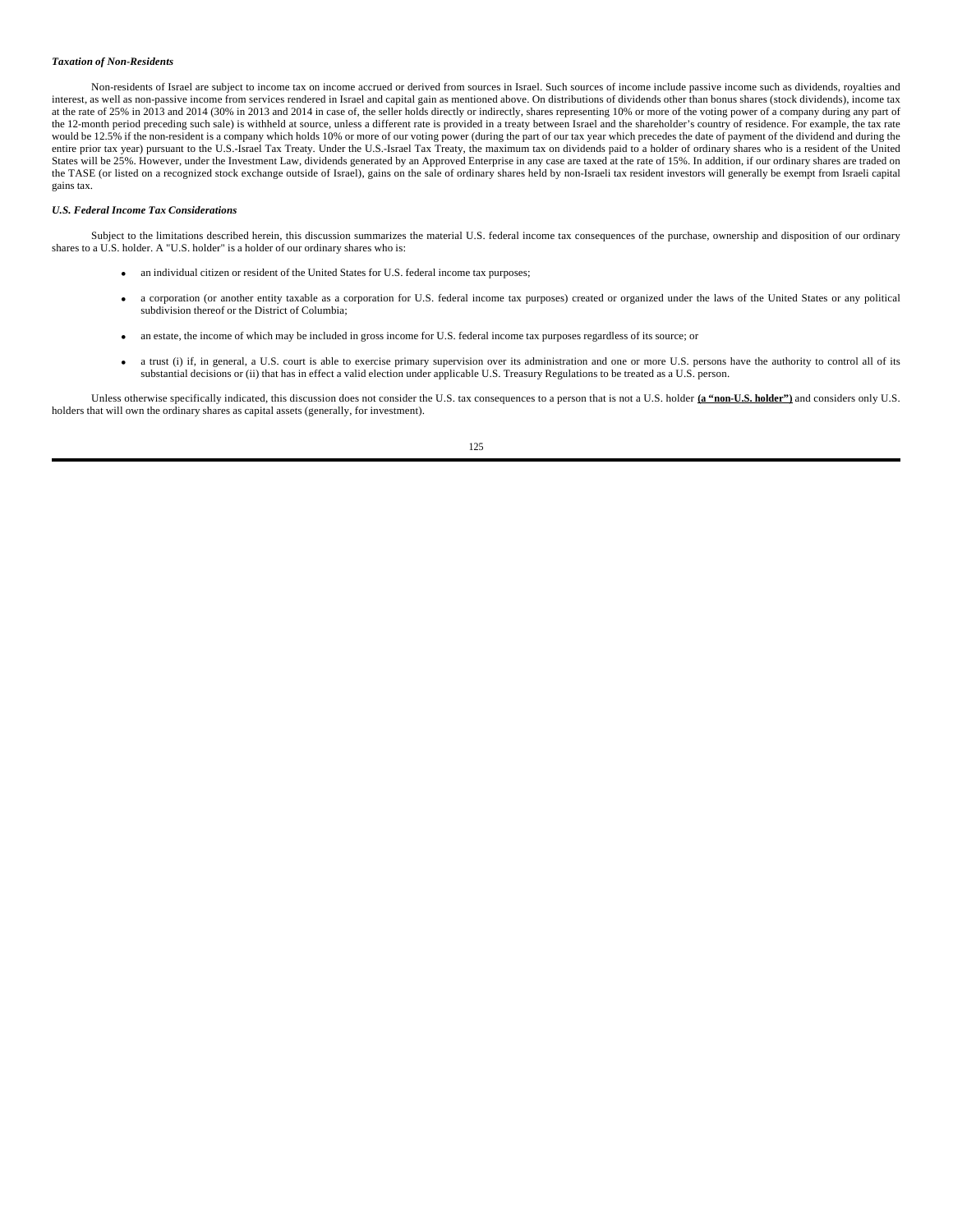#### *Taxation of Non-Residents*

Non-residents of Israel are subject to income tax on income accrued or derived from sources in Israel. Such sources of income include passive income such as dividends, royalties and interest, as well as non-passive income from services rendered in Israel and capital gain as mentioned above. On distributions of dividends other than bonus shares (stock dividends), income tax at the rate of 25% in 2013 and 2014 (30% in 2013 and 2014 in case of, the seller holds directly or indirectly, shares representing 10% or more of the voting power of a company during any part of the 12-month period preceding such sale) is withheld at source, unless a different rate is provided in a treaty between Israel and the shareholder's country of residence. For example, the tax rate would be 12.5% if the non-resident is a company which holds 10% or more of our voting power (during the part of our tax year which precedes the date of payment of the dividend and during the entire prior tax year) pursuant to the U.S.-Israel Tax Treaty. Under the U.S.-Israel Tax Treaty, the maximum tax on dividends paid to a holder of ordinary shares who is a resident of the United States will be 25%. However, under the Investment Law, dividends generated by an Approved Enterprise in any case are taxed at the rate of 15%. In addition, if our ordinary shares are traded on the TASE (or listed on a recognized stock exchange outside of Israel), gains on the sale of ordinary shares held by non-Israeli tax resident investors will generally be exempt from Israeli capital gains tax.

### *U.S. Federal Income Tax Considerations*

Subject to the limitations described herein, this discussion summarizes the material U.S. federal income tax consequences of the purchase, ownership and disposition of our ordinary shares to a U.S. holder. A "U.S. holder" is a holder of our ordinary shares who is:

- an individual citizen or resident of the United States for U.S. federal income tax purposes:
- a corporation (or another entity taxable as a corporation for U.S. federal income tax purposes) created or organized under the laws of the United States or any political subdivision thereof or the District of Columbia;
- an estate, the income of which may be included in gross income for U.S. federal income tax purposes regardless of its source; or
- a trust (i) if, in general, a U.S. court is able to exercise primary supervision over its administration and one or more U.S. persons have the authority to control all of its substantial decisions or (ii) that has in effect a valid election under applicable U.S. Treasury Regulations to be treated as a U.S. person.

Unless otherwise specifically indicated, this discussion does not consider the U.S. tax consequences to a person that is not a U.S. holder **(a "non-U.S. holder")** and considers only U.S. holders that will own the ordinary shares as capital assets (generally, for investment).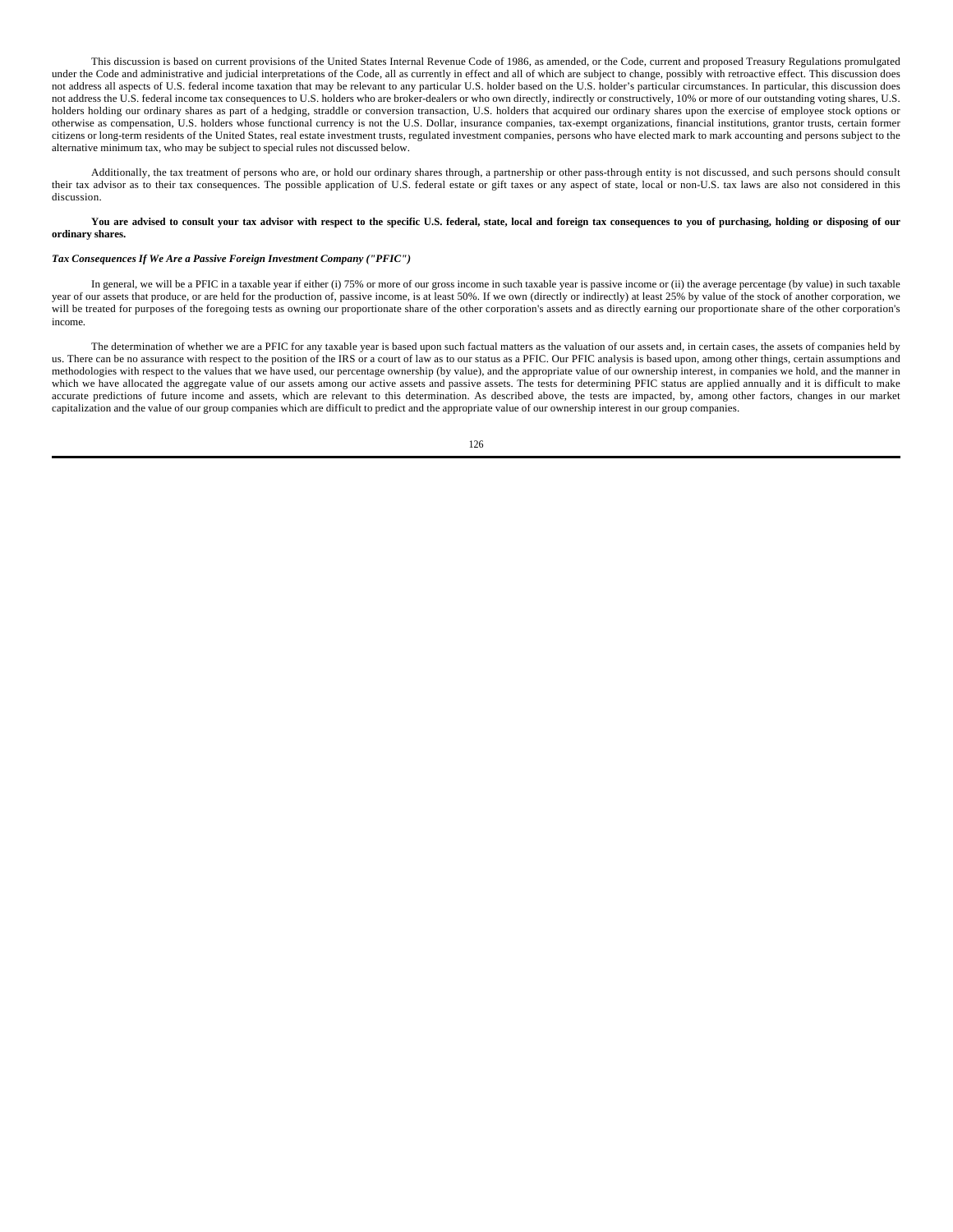This discussion is based on current provisions of the United States Internal Revenue Code of 1986, as amended, or the Code, current and proposed Treasury Regulations promulgated under the Code and administrative and judicial interpretations of the Code, all as currently in effect and all of which are subject to change, possibly with retroactive effect. This discussion does not address all aspects of U.S. federal income taxation that may be relevant to any particular U.S. holder based on the U.S. holder's particular circumstances. In particular, this discussion does not address the U.S. federal income tax consequences to U.S. holders who are broker-dealers or who own directly, indirectly or constructively, 10% or more of our outstanding voting shares, U.S. holders holding our ordinary shares as part of a hedging, straddle or conversion transaction, U.S. holders that acquired our ordinary shares upon the exercise of employee stock options or otherwise as compensation, U.S. holders whose functional currency is not the U.S. Dollar, insurance companies, tax-exempt organizations, financial institutions, grantor trusts, certain former citizens or long-term residents of the United States, real estate investment trusts, regulated investment companies, persons who have elected mark to mark accounting and persons subject to the alternative minimum tax, who may be subject to special rules not discussed below.

Additionally, the tax treatment of persons who are, or hold our ordinary shares through, a partnership or other pass-through entity is not discussed, and such persons should consult their tax advisor as to their tax consequences. The possible application of U.S. federal estate or gift taxes or any aspect of state, local or non-U.S. tax laws are also not considered in this discussion.

### You are advised to consult your tax advisor with respect to the specific U.S. federal, state, local and foreign tax consequences to you of purchasing, holding or disposing of our **ordinary shares.**

#### *Tax Consequences If We Are a Passive Foreign Investment Company ("PFIC")*

In general, we will be a PFIC in a taxable year if either (i) 75% or more of our gross income in such taxable year is passive income or (ii) the average percentage (by value) in such taxable year of our assets that produce, or are held for the production of, passive income, is at least 50%. If we own (directly or indirectly) at least 25% by value of the stock of another corporation, we will be treated for purposes of the foregoing tests as owning our proportionate share of the other corporation's assets and as directly earning our proportionate share of the other corporation's income.

The determination of whether we are a PFIC for any taxable year is based upon such factual matters as the valuation of our assets and, in certain cases, the assets of companies held by us. There can be no assurance with respect to the position of the IRS or a court of law as to our status as a PFIC. Our PFIC analysis is based upon, among other things, certain assumptions and methodologies with respect to the values that we have used, our percentage ownership (by value), and the appropriate value of our ownership interest, in companies we hold, and the manner in which we have allocated the aggregate value of our assets among our active assets and passive assets. The tests for determining PFIC status are applied annually and it is difficult to make accurate predictions of future income and assets, which are relevant to this determination. As described above, the tests are impacted, by, among other factors, changes in our market capitalization and the value of our group companies which are difficult to predict and the appropriate value of our ownership interest in our group companies.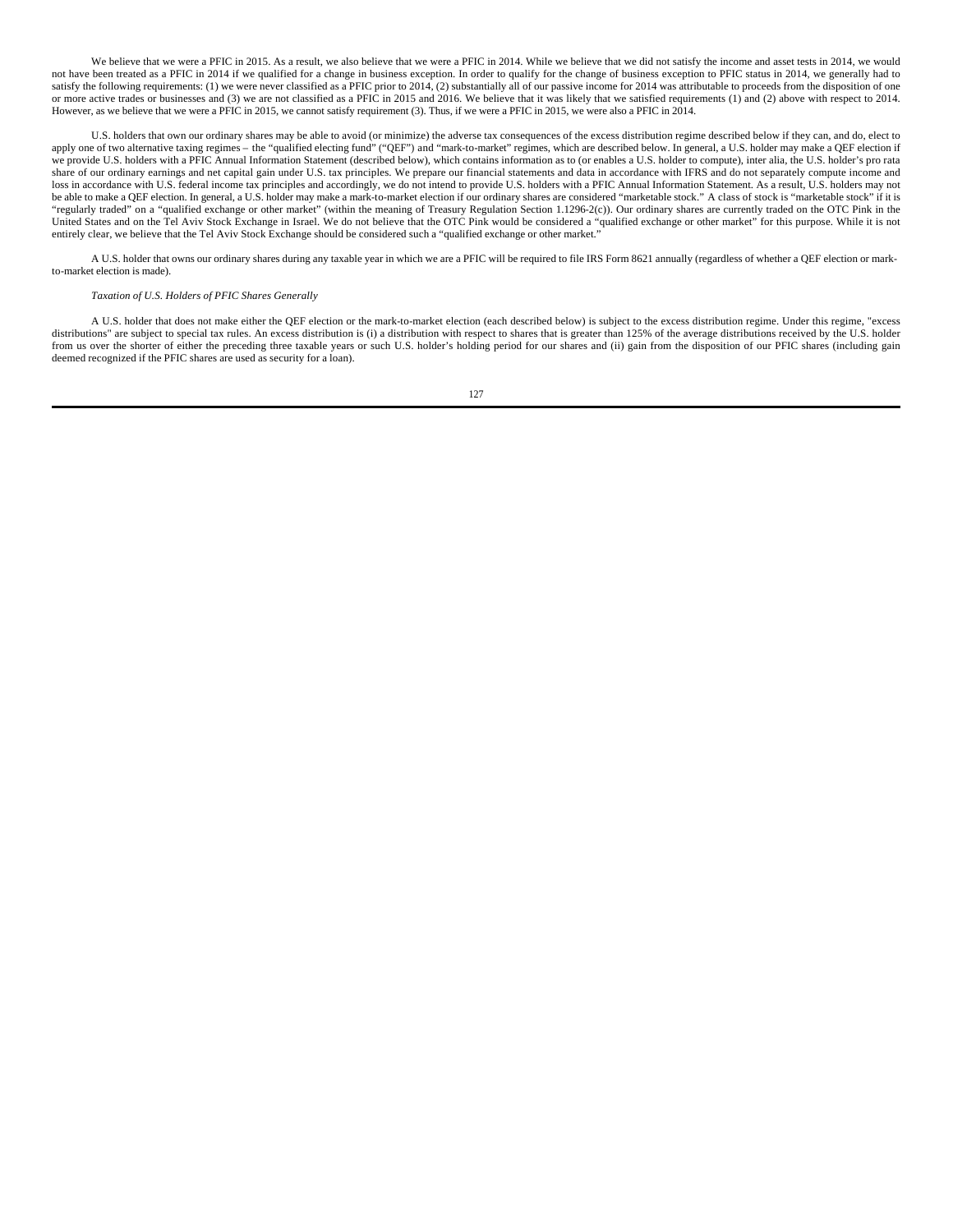We believe that we were a PFIC in 2015. As a result, we also believe that we were a PFIC in 2014. While we believe that we did not satisfy the income and asset tests in 2014, we would not have been treated as a PFIC in 2014 if we qualified for a change in business exception. In order to qualify for the change of business exception to PFIC status in 2014, we generally had to satisfy the following requirements: (1) we were never classified as a PFIC prior to 2014, (2) substantially all of our passive income for 2014 was attributable to proceeds from the disposition of one or more active trades or businesses and (3) we are not classified as a PFIC in 2015 and 2016. We believe that it was likely that we satisfied requirements (1) and (2) above with respect to 2014. However, as we believe that we were a PFIC in 2015, we cannot satisfy requirement (3). Thus, if we were a PFIC in 2015, we were also a PFIC in 2014.

U.S. holders that own our ordinary shares may be able to avoid (or minimize) the adverse tax consequences of the excess distribution regime described below if they can, and do, elect to apply one of two alternative taxing regimes – the "qualified electing fund" ("QEF") and "mark-to-market" regimes, which are described below. In general, a U.S. holder may make a QEF election if we provide U.S. holders with a PFIC Annual Information Statement (described below), which contains information as to (or enables a U.S. holder to compute), inter alia, the U.S. holder's pro rata share of our ordinary earnings and net capital gain under U.S. tax principles. We prepare our financial statements and data in accordance with IFRS and do not separately compute income and loss in accordance with U.S. federal income tax principles and accordingly, we do not intend to provide U.S. holders with a PFIC Annual Information Statement. As a result, U.S. holders may not be able to make a QEF election. In general, a U.S. holder may make a mark-to-market election if our ordinary shares are considered "marketable stock." A class of stock is "marketable stock" if it is "regularly traded" on a "qualified exchange or other market" (within the meaning of Treasury Regulation Section 1.1296-2(c)). Our ordinary shares are currently traded on the OTC Pink in the United States and on the Tel Aviv Stock Exchange in Israel. We do not believe that the OTC Pink would be considered a "qualified exchange or other market" for this purpose. While it is not entirely clear, we believe that the Tel Aviv Stock Exchange should be considered such a "qualified exchange or other market."

A U.S. holder that owns our ordinary shares during any taxable year in which we are a PFIC will be required to file IRS Form 8621 annually (regardless of whether a QEF election or markto-market election is made).

#### *Taxation of U.S. Holders of PFIC Shares Generally*

A U.S. holder that does not make either the QEF election or the mark-to-market election (each described below) is subject to the excess distribution regime. Under this regime, "excess distributions" are subject to special tax rules. An excess distribution is (i) a distribution with respect to shares that is greater than 125% of the average distributions received by the U.S. holder from us over the shorter of either the preceding three taxable years or such U.S. holder's holding period for our shares and (ii) gain from the disposition of our PFIC shares (including gain deemed recognized if the PFIC shares are used as security for a loan).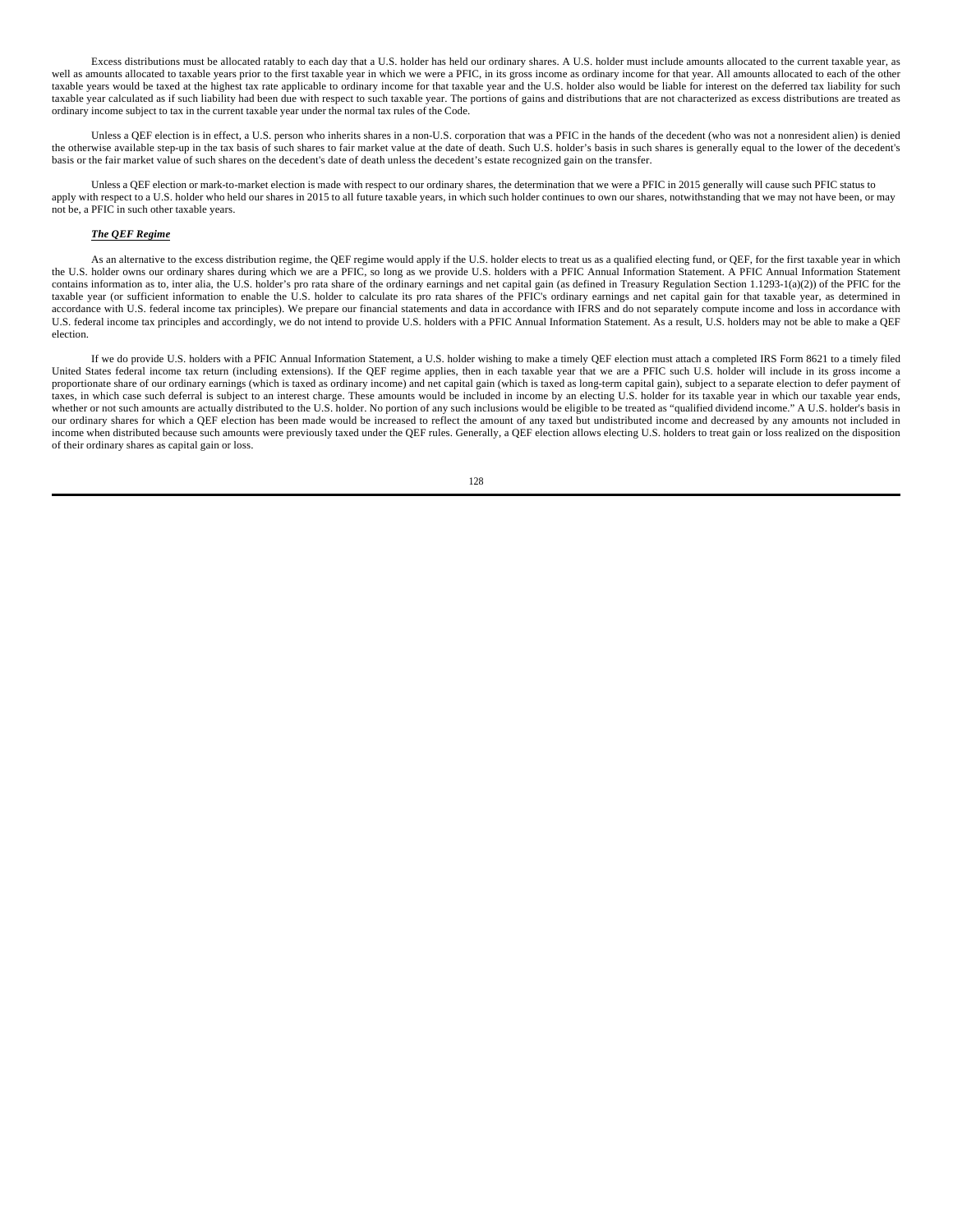Excess distributions must be allocated ratably to each day that a U.S. holder has held our ordinary shares. A U.S. holder must include amounts allocated to the current taxable year, as well as amounts allocated to taxable years prior to the first taxable year in which we were a PFIC, in its gross income as ordinary income for that year. All amounts allocated to each of the other taxable years would be taxed at the highest tax rate applicable to ordinary income for that taxable year and the U.S. holder also would be liable for interest on the deferred tax liability for such taxable year calculated as if such liability had been due with respect to such taxable year. The portions of gains and distributions that are not characterized as excess distributions are treated as ordinary income subject to tax in the current taxable year under the normal tax rules of the Code.

Unless a QEF election is in effect, a U.S. person who inherits shares in a non-U.S. corporation that was a PFIC in the hands of the decedent (who was not a nonresident alien) is denied the otherwise available step-up in the tax basis of such shares to fair market value at the date of death. Such U.S. holder's basis in such shares is generally equal to the lower of the decedent's basis or the fair market value of such shares on the decedent's date of death unless the decedent's estate recognized gain on the transfer.

Unless a QEF election or mark-to-market election is made with respect to our ordinary shares, the determination that we were a PFIC in 2015 generally will cause such PFIC status to apply with respect to a U.S. holder who held our shares in 2015 to all future taxable years, in which such holder continues to own our shares, notwithstanding that we may not have been, or may not be, a PFIC in such other taxable years.

## *The QEF Regime*

As an alternative to the excess distribution regime, the QEF regime would apply if the U.S. holder elects to treat us as a qualified electing fund, or QEF, for the first taxable year in which the U.S. holder owns our ordinary shares during which we are a PFIC, so long as we provide U.S. holders with a PFIC Annual Information Statement. A PFIC Annual Information Statement contains information as to, inter alia, the U.S. holder's pro rata share of the ordinary earnings and net capital gain (as defined in Treasury Regulation Section 1.1293-1(a)(2)) of the PFIC for the taxable year (or sufficient information to enable the U.S. holder to calculate its pro rata shares of the PFIC's ordinary earnings and net capital gain for that taxable year, as determined in taxable year, as determined in accordance with U.S. federal income tax principles). We prepare our financial statements and data in accordance with IFRS and do not separately compute income and loss in accordance with U.S. federal income tax principles and accordingly, we do not intend to provide U.S. holders with a PFIC Annual Information Statement. As a result, U.S. holders may not be able to make a QEF election.

If we do provide U.S. holders with a PFIC Annual Information Statement, a U.S. holder wishing to make a timely QEF election must attach a completed IRS Form 8621 to a timely filed United States federal income tax return (including extensions). If the QEF regime applies, then in each taxable year that we are a PFIC such U.S. holder will include in its gross income a proportionate share of our ordinary earnings (which is taxed as ordinary income) and net capital gain (which is taxed as long-term capital gain), subject to a separate election to defer payment of taxes, in which case such deferral is subject to an interest charge. These amounts would be included in income by an electing U.S. holder for its taxable year in which our taxable year ends, whether or not such amounts are actually distributed to the U.S. holder. No portion of any such inclusions would be eligible to be treated as "qualified dividend income." A U.S. holder's basis in our ordinary shares for which a QEF election has been made would be increased to reflect the amount of any taxed but undistributed income and decreased by any amounts not included in income when distributed because such amounts were previously taxed under the QEF rules. Generally, a QEF election allows electing U.S. holders to treat gain or loss realized on the disposition of their ordinary shares as capital gain or loss.

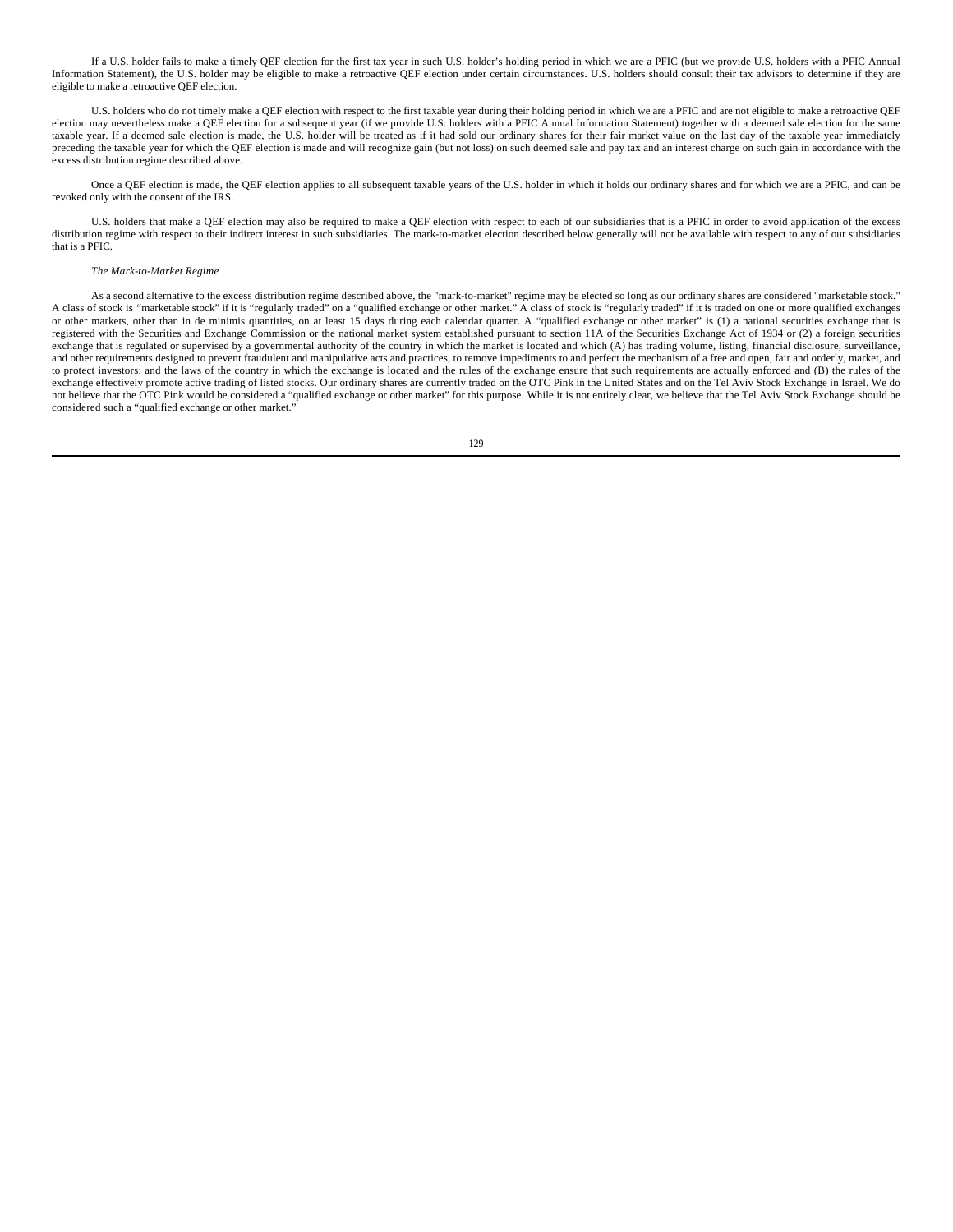If a U.S. holder fails to make a timely QEF election for the first tax year in such U.S. holder's holding period in which we are a PFIC (but we provide U.S. holders with a PFIC Annual Information Statement), the U.S. holder may be eligible to make a retroactive QEF election under certain circumstances. U.S. holders should consult their tax advisors to determine if they are eligible to make a retroactive QEF election.

U.S. holders who do not timely make a QEF election with respect to the first taxable year during their holding period in which we are a PFIC and are not eligible to make a retroactive QEF election may nevertheless make a QEF election for a subsequent year (if we provide U.S. holders with a PFIC Annual Information Statement) together with a deemed sale election for the same taxable year. If a deemed sale election is made, the U.S. holder will be treated as if it had sold our ordinary shares for their fair market value on the last day of the taxable year immediately preceding the taxable year for which the QEF election is made and will recognize gain (but not loss) on such deemed sale and pay tax and an interest charge on such gain in accordance with the excess distribution regime described above.

Once a QEF election is made, the QEF election applies to all subsequent taxable years of the U.S. holder in which it holds our ordinary shares and for which we are a PFIC, and can be revoked only with the consent of the IRS.

U.S. holders that make a QEF election may also be required to make a QEF election with respect to each of our subsidiaries that is a PFIC in order to avoid application of the excess distribution regime with respect to their indirect interest in such subsidiaries. The mark-to-market election described below generally will not be available with respect to any of our subsidiaries that is a PFIC.

# *The Mark-to-Market Regime*

As a second alternative to the excess distribution regime described above, the "mark-to-market" regime may be elected so long as our ordinary shares are considered "marketable stock." A class of stock is "marketable stock" if it is "regularly traded" on a "qualified exchange or other market." A class of stock is "regularly traded" if it is traded on one or more qualified exchanges or other markets, other than in de minimis quantities, on at least 15 days during each calendar quarter. A "qualified exchange or other market" is (1) a national securities exchange that is registered with the Securities and Exchange Commission or the national market system established pursuant to section 11A of the Securities Exchange Act of 1934 or (2) a foreign securities exchange that is regulated or supervised by a governmental authority of the country in which the market is located and which (A) has trading volume, listing, financial disclosure, surveillance, and other requirements designed to prevent fraudulent and manipulative acts and practices, to remove impediments to and perfect the mechanism of a free and open, fair and orderly, market, and to protect investors; and the laws of the country in which the exchange is located and the rules of the exchange ensure that such requirements are actually enforced and (B) the rules of the exchange effectively promote active trading of listed stocks. Our ordinary shares are currently traded on the OTC Pink in the United States and on the Tel Aviv Stock Exchange in Israel. We do not believe that the OTC Pink would be considered a "qualified exchange or other market" for this purpose. While it is not entirely clear, we believe that the Tel Aviv Stock Exchange should be considered such a "qualified exchange or other market."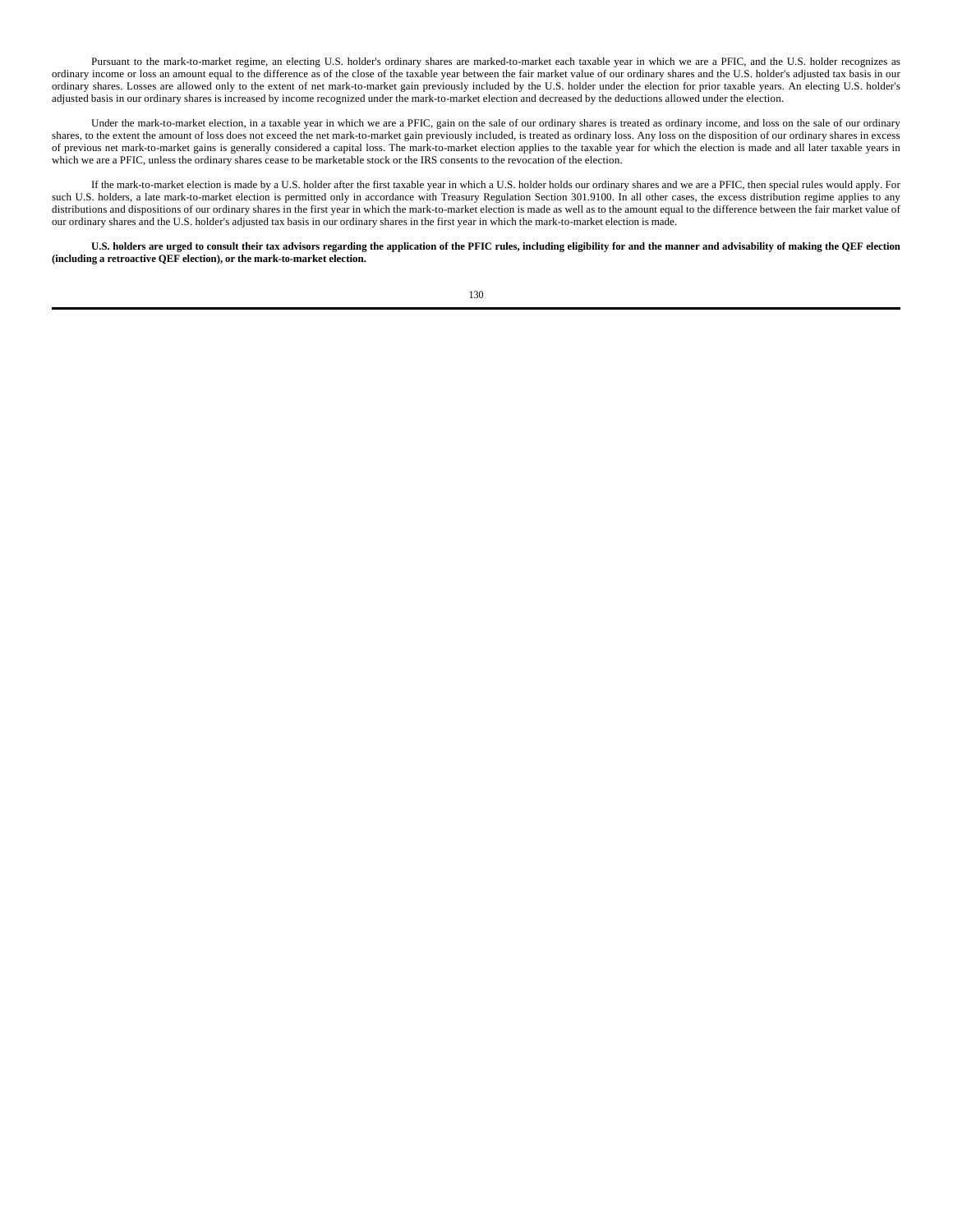Pursuant to the mark-to-market regime, an electing U.S. holder's ordinary shares are marked-to-market each taxable year in which we are a PFIC, and the U.S. holder recognizes as ordinary income or loss an amount equal to the difference as of the close of the taxable year between the fair market value of our ordinary shares and the U.S. holder's adjusted tax basis in our ordinary shares. Losses are allowed only to the extent of net mark-to-market gain previously included by the U.S. holder under the election for prior taxable years. An electing U.S. holder's adjusted basis in our ordinary shares is increased by income recognized under the mark-to-market election and decreased by the deductions allowed under the election.

Under the mark-to-market election, in a taxable year in which we are a PFIC, gain on the sale of our ordinary shares is treated as ordinary income, and loss on the sale of our ordinary shares, to the extent the amount of loss does not exceed the net mark-to-market gain previously included, is treated as ordinary loss. Any loss on the disposition of our ordinary shares in excess of previous net mark-to-market gains is generally considered a capital loss. The mark-to-market election applies to the taxable year for which the election is made and all later taxable years in which we are a PFIC, unless the ordinary shares cease to be marketable stock or the IRS consents to the revocation of the election.

If the mark-to-market election is made by a U.S. holder after the first taxable year in which a U.S. holder holds our ordinary shares and we are a PFIC, then special rules would apply. For such U.S. holders, a late mark-to-market election is permitted only in accordance with Treasury Regulation Section 301.9100. In all other cases, the excess distribution regime applies to any distributions and dispositions of our ordinary shares in the first year in which the mark-to-market election is made as well as to the amount equal to the difference between the fair market value of our ordinary shares and the U.S. holder's adjusted tax basis in our ordinary shares in the first year in which the mark-to-market election is made.

**U.S. holders are urged to consult their tax advisors regarding the application of the PFIC rules, including eligibility for and the manner and advisability of making the QEF election (including a retroactive QEF election), or the mark-to-market election.**

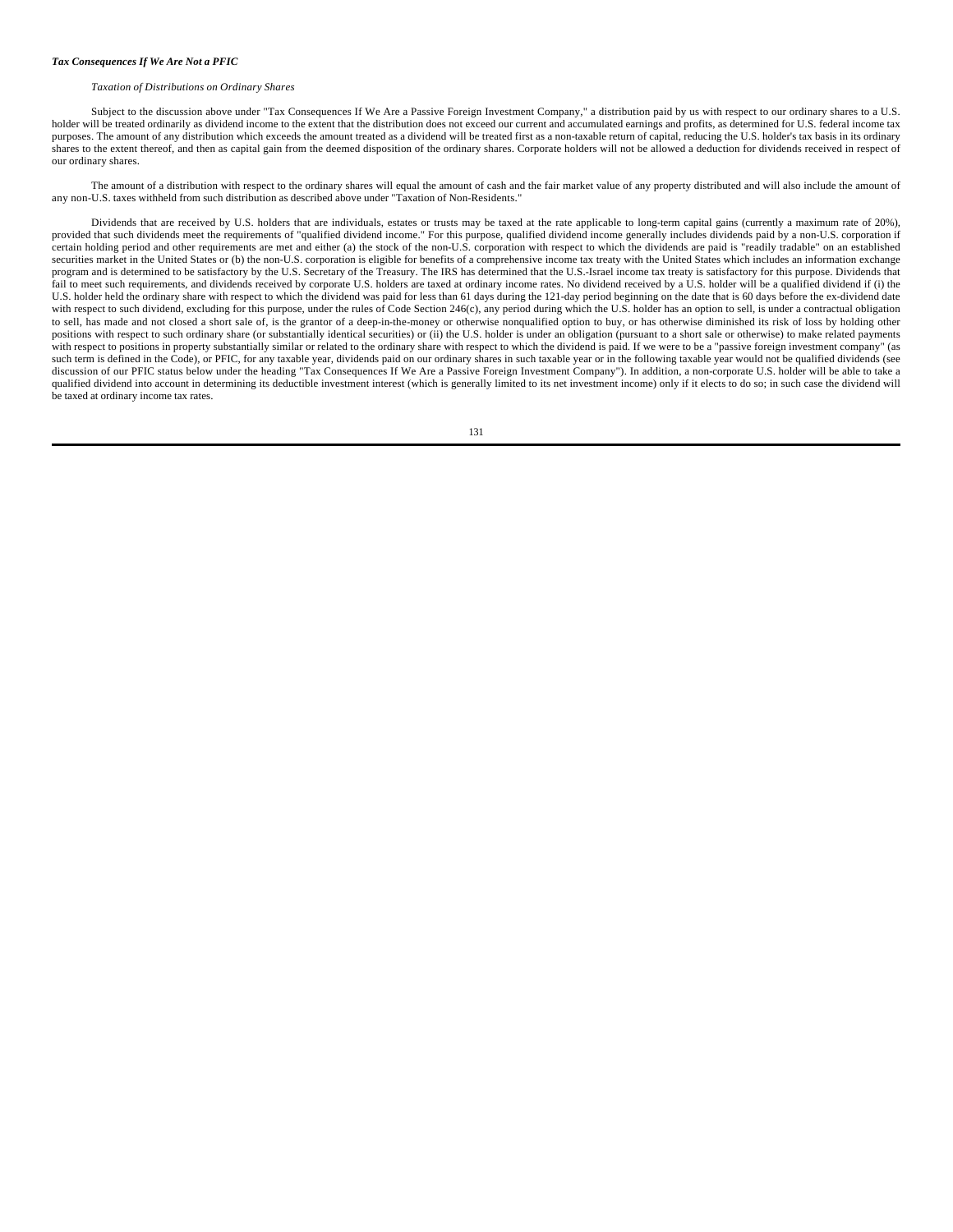#### *Tax Consequences If We Are Not a PFIC*

#### *Taxation of Distributions on Ordinary Shares*

Subject to the discussion above under "Tax Consequences If We Are a Passive Foreign Investment Company," a distribution paid by us with respect to our ordinary shares to a U.S. holder will be treated ordinarily as dividend income to the extent that the distribution does not exceed our current and accumulated earnings and profits, as determined for U.S. federal income tax purposes. The amount of any distribution which exceeds the amount treated as a dividend will be treated first as a non-taxable return of capital, reducing the U.S. holder's tax basis in its ordinary shares to the extent thereof, and then as capital gain from the deemed disposition of the ordinary shares. Corporate holders will not be allowed a deduction for dividends received in respect of our ordinary shares.

The amount of a distribution with respect to the ordinary shares will equal the amount of cash and the fair market value of any property distributed and will also include the amount of any non-U.S. taxes withheld from such distribution as described above under "Taxation of Non-Residents."

Dividends that are received by U.S. holders that are individuals, estates or trusts may be taxed at the rate applicable to long-term capital gains (currently a maximum rate of 20%), provided that such dividends meet the requirements of "qualified dividend income." For this purpose, qualified dividend income generally includes dividends paid by a non-U.S. corporation if certain holding period and other requirements are met and either (a) the stock of the non-U.S. corporation with respect to which the dividends are paid is "readily tradable" on an established securities market in the United States or (b) the non-U.S. corporation is eligible for benefits of a comprehensive income tax treaty with the United States which includes an information exchange program and is determined to be satisfactory by the U.S. Secretary of the Treasury. The IRS has determined that the U.S.-Israel income tax treaty is satisfactory for this purpose. Dividends that fail to meet such requirements, and dividends received by corporate U.S. holders are taxed at ordinary income rates. No dividend received by a U.S. holder will be a qualified dividend if (i) the U.S. holder held the ordinary share with respect to which the dividend was paid for less than 61 days during the 121-day period beginning on the date that is 60 days before the ex-dividend date<br>with respect to such dividen to sell, has made and not closed a short sale of, is the grantor of a deep-in-the-money or otherwise nonqualified option to buy, or has otherwise diminished its risk of loss by holding other positions with respect to such ordinary share (or substantially identical securities) or (ii) the U.S. holder is under an obligation (pursuant to a short sale or otherwise) to make related payments with respect to positions in property substantially similar or related to the ordinary share with respect to which the dividend is paid. If we were to be a "passive foreign investment company" (as such term is defined in the Code), or PFIC, for any taxable year, dividends paid on our ordinary shares in such taxable year or in the following taxable year would not be qualified dividends (see discussion of our PFIC status below under the heading "Tax Consequences If We Are a Passive Foreign Investment Company"). In addition, a non-corporate U.S. holder will be able to take a qualified dividend into account in determining its deductible investment interest (which is generally limited to its net investment income) only if it elects to do so; in such case the dividend will be taxed at ordinary income tax rates.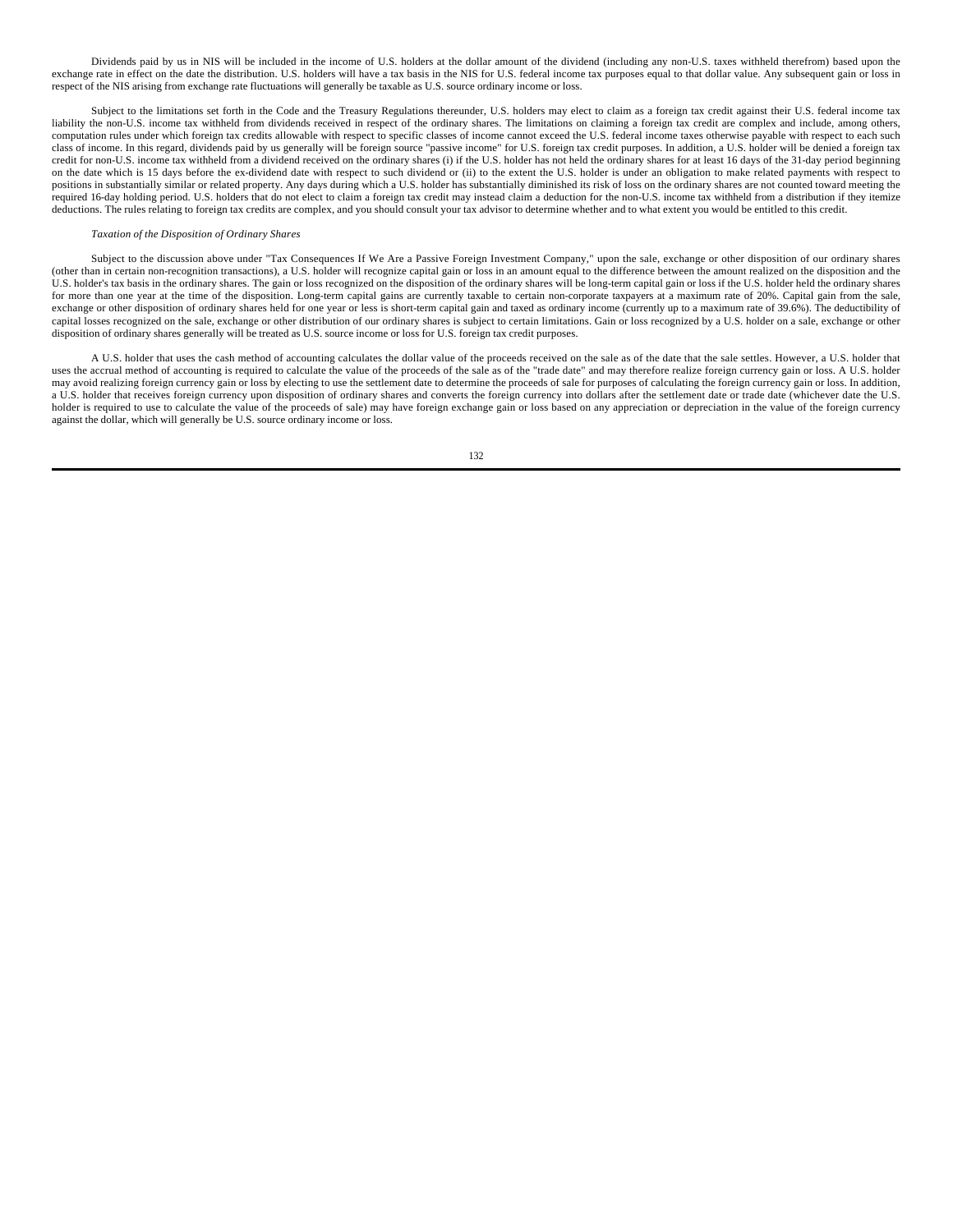Dividends paid by us in NIS will be included in the income of U.S. holders at the dollar amount of the dividend (including any non-U.S. taxes withheld therefrom) based upon the exchange rate in effect on the date the distribution. U.S. holders will have a tax basis in the NIS for U.S. federal income tax purposes equal to that dollar value. Any subsequent gain or loss in respect of the NIS arising from exchange rate fluctuations will generally be taxable as U.S. source ordinary income or loss.

Subject to the limitations set forth in the Code and the Treasury Regulations thereunder, U.S. holders may elect to claim as a foreign tax credit against their U.S. federal income tax liability the non-U.S. income tax withheld from dividends received in respect of the ordinary shares. The limitations on claiming a foreign tax credit are complex and include, among others, computation rules under which foreign tax credits allowable with respect to specific classes of income cannot exceed the U.S. federal income taxes otherwise payable with respect to each such class of income. In this regard, dividends paid by us generally will be foreign source "passive income" for U.S. foreign tax credit purposes. In addition, a U.S. holder will be denied a foreign tax credit for non-U.S. income tax withheld from a dividend received on the ordinary shares (i) if the U.S. holder has not held the ordinary shares for at least 16 days of the 31-day period beginning on the date which is 15 days before the ex-dividend date with respect to such dividend or (ii) to the extent the U.S. holder is under an obligation to make related payments with respect to positions in substantially similar or related property. Any days during which a U.S. holder has substantially diminished its risk of loss on the ordinary shares are not counted toward meeting the required 16-day holding period. U.S. holders that do not elect to claim a foreign tax credit may instead claim a deduction for the non-U.S. income tax withheld from a distribution if they itemize deductions. The rules relating to foreign tax credits are complex, and you should consult your tax advisor to determine whether and to what extent you would be entitled to this credit.

### *Taxation of the Disposition of Ordinary Shares*

Subject to the discussion above under "Tax Consequences If We Are a Passive Foreign Investment Company," upon the sale, exchange or other disposition of our ordinary shares (other than in certain non-recognition transactions), a U.S. holder will recognize capital gain or loss in an amount equal to the difference between the amount realized on the disposition and the U.S. holder's tax basis in the ordinary shares. The gain or loss recognized on the disposition of the ordinary shares will be long-term capital gain or loss if the U.S. holder held the ordinary shares for more than one year at the time of the disposition. Long-term capital gains are currently taxable to certain non-corporate taxpayers at a maximum rate of 20%. Capital gain from the sale, exchange or other disposition of ordinary shares held for one year or less is short-term capital gain and taxed as ordinary income (currently up to a maximum rate of 39.6%). The deductibility of capital losses recognized on the sale, exchange or other distribution of our ordinary shares is subject to certain limitations. Gain or loss recognized by a U.S. holder on a sale, exchange or other disposition of ordinary shares generally will be treated as U.S. source income or loss for U.S. foreign tax credit purposes.

A U.S. holder that uses the cash method of accounting calculates the dollar value of the proceeds received on the sale as of the date that the sale settles. However, a U.S. holder that uses the accrual method of accounting is required to calculate the value of the proceeds of the sale as of the "trade date" and may therefore realize foreign currency gain or loss. A U.S. holder may avoid realizing foreign currency gain or loss by electing to use the settlement date to determine the proceeds of sale for purposes of calculating the foreign currency gain or loss. In addition, a U.S. holder that receives foreign currency upon disposition of ordinary shares and converts the foreign currency into dollars after the settlement date or trade date (whichever date the U.S. holder is required to use to calculate the value of the proceeds of sale) may have foreign exchange gain or loss based on any appreciation or depreciation in the value of the foreign currency against the dollar, which will generally be U.S. source ordinary income or loss.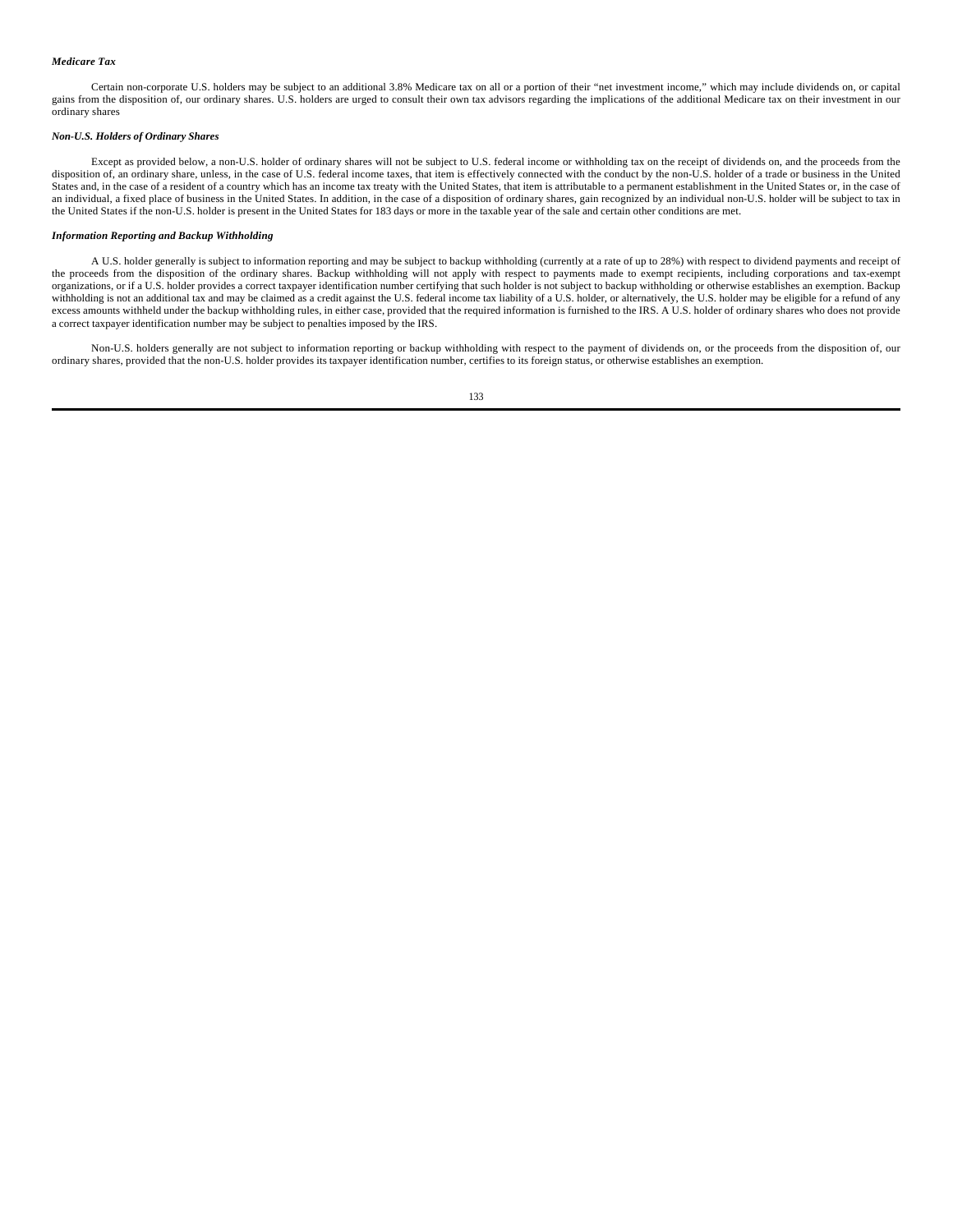# *Medicare Tax*

Certain non-corporate U.S. holders may be subject to an additional 3.8% Medicare tax on all or a portion of their "net investment income," which may include dividends on, or capital gains from the disposition of, our ordinary shares. U.S. holders are urged to consult their own tax advisors regarding the implications of the additional Medicare tax on their investment in our ordinary shares

## *Non-U.S. Holders of Ordinary Shares*

Except as provided below, a non-U.S. holder of ordinary shares will not be subject to U.S. federal income or withholding tax on the receipt of dividends on, and the proceeds from the disposition of, an ordinary share, unless, in the case of U.S. federal income taxes, that item is effectively connected with the conduct by the non-U.S. holder of a trade or business in the United States and, in the case of a resident of a country which has an income tax treaty with the United States, that item is attributable to a permanent establishment in the United States or, in the case of an individual, a fixed place of business in the United States. In addition, in the case of a disposition of ordinary shares, gain recognized by an individual non-U.S. holder will be subject to tax in the United States if the non-U.S. holder is present in the United States for 183 days or more in the taxable year of the sale and certain other conditions are met.

## *Information Reporting and Backup Withholding*

A U.S. holder generally is subject to information reporting and may be subject to backup withholding (currently at a rate of up to 28%) with respect to dividend payments and receipt of the proceeds from the disposition of the ordinary shares. Backup withholding will not apply with respect to payments made to exempt recipients, including corporations and tax-exempt organizations, or if a U.S. holder provides a correct taxpayer identification number certifying that such holder is not subject to backup withholding or otherwise establishes an exemption. Backup withholding is not an additional tax and may be claimed as a credit against the U.S. federal income tax liability of a U.S. holder, or alternatively, the U.S. holder may be eligible for a refund of any excess amounts withheld under the backup withholding rules, in either case, provided that the required information is furnished to the IRS. A U.S. holder of ordinary shares who does not provide a correct taxpayer identification number may be subject to penalties imposed by the IRS.

Non-U.S. holders generally are not subject to information reporting or backup withholding with respect to the payment of dividends on, or the proceeds from the disposition of, our ordinary shares, provided that the non-U.S. holder provides its taxpayer identification number, certifies to its foreign status, or otherwise establishes an exemption.

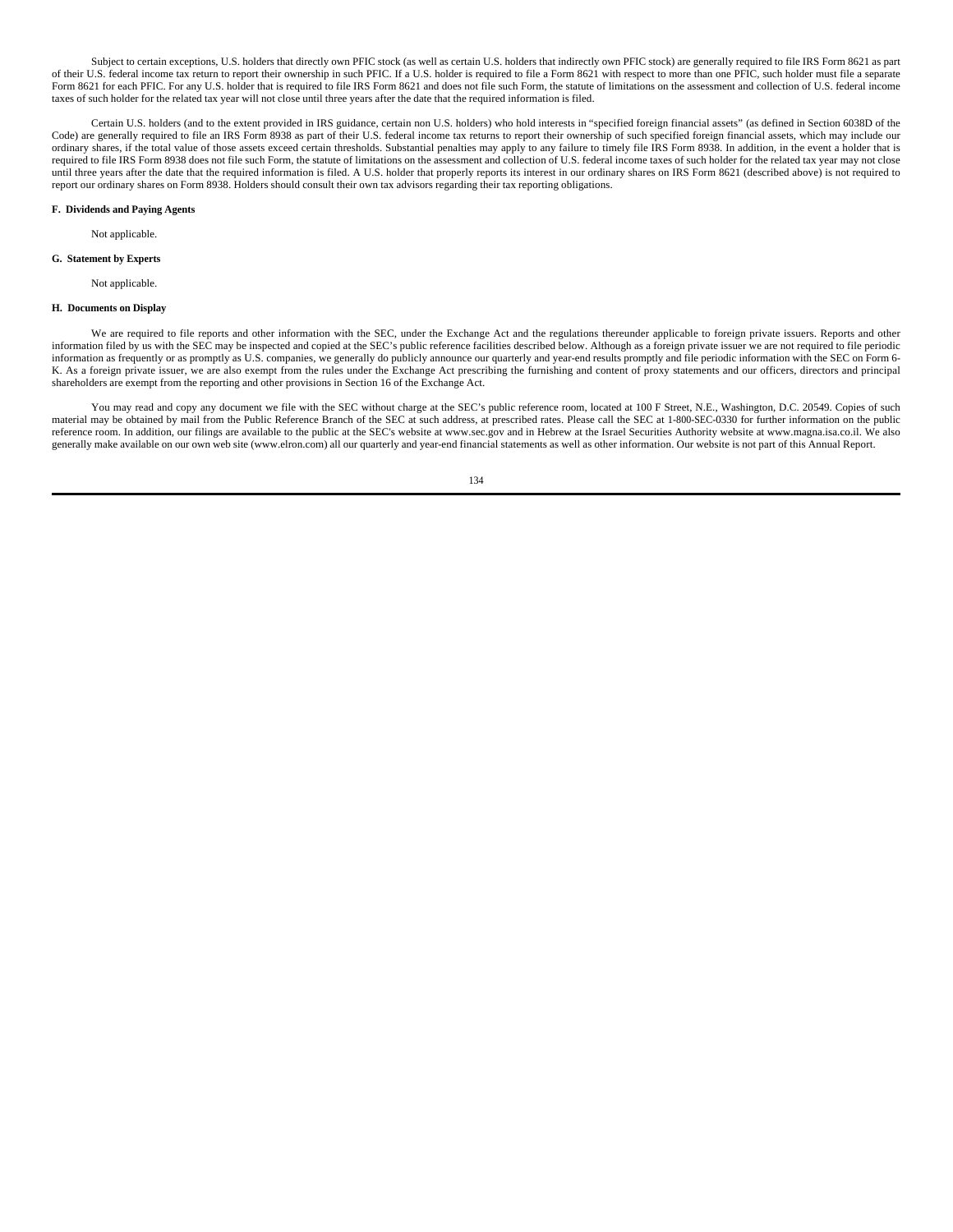Subject to certain exceptions, U.S. holders that directly own PFIC stock (as well as certain U.S. holders that indirectly own PFIC stock) are generally required to file IRS Form 8621 as part of their U.S. federal income tax return to report their ownership in such PFIC. If a U.S. holder is required to file a Form 8621 with respect to more than one PFIC, such holder must file a separate Form 8621 for each PFIC. For any U.S. holder that is required to file IRS Form 8621 and does not file such Form, the statute of limitations on the assessment and collection of U.S. federal income taxes of such holder for the related tax year will not close until three years after the date that the required information is filed.

Certain U.S. holders (and to the extent provided in IRS guidance, certain non U.S. holders) who hold interests in "specified foreign financial assets" (as defined in Section 6038D of the Code) are generally required to file an IRS Form 8938 as part of their U.S. federal income tax returns to report their ownership of such specified foreign financial assets, which may include our ordinary shares, if the total value of those assets exceed certain thresholds. Substantial penalties may apply to any failure to timely file IRS Form 8938. In addition, in the event a holder that is required to file IRS Form 8938 does not file such Form, the statute of limitations on the assessment and collection of U.S. federal income taxes of such holder for the related tax year may not close until three years after the date that the required information is filed. A U.S. holder that properly reports its interest in our ordinary shares on IRS Form 8621 (described above) is not required to report our ordinary shares on Form 8938. Holders should consult their own tax advisors regarding their tax reporting obligations.

### **F. Dividends and Paying Agents**

Not applicable.

#### **G. Statement by Experts**

Not applicable.

# **H. Documents on Display**

We are required to file reports and other information with the SEC, under the Exchange Act and the regulations thereunder applicable to foreign private issuers. Reports and other information filed by us with the SEC may be inspected and copied at the SEC's public reference facilities described below. Although as a foreign private issuer we are not required to file periodic information as frequently or as promptly as U.S. companies, we generally do publicly announce our quarterly and year-end results promptly and file periodic information with the SEC on Form 6- K. As a foreign private issuer, we are also exempt from the rules under the Exchange Act prescribing the furnishing and content of proxy statements and our officers, directors and principal shareholders are exempt from the reporting and other provisions in Section 16 of the Exchange Act.

You may read and copy any document we file with the SEC without charge at the SEC's public reference room, located at 100 F Street, N.E., Washington, D.C. 20549. Copies of such material may be obtained by mail from the Public Reference Branch of the SEC at such address, at prescribed rates. Please call the SEC at 1-800-SEC-0330 for further information on the public reference room. In addition, our filings are available to the public at the SEC's website at www.sec.gov and in Hebrew at the Israel Securities Authority website at www.magna.isa.co.il. We also generally make available on our own web site (www.elron.com) all our quarterly and year-end financial statements as well as other information. Our website is not part of this Annual Report.

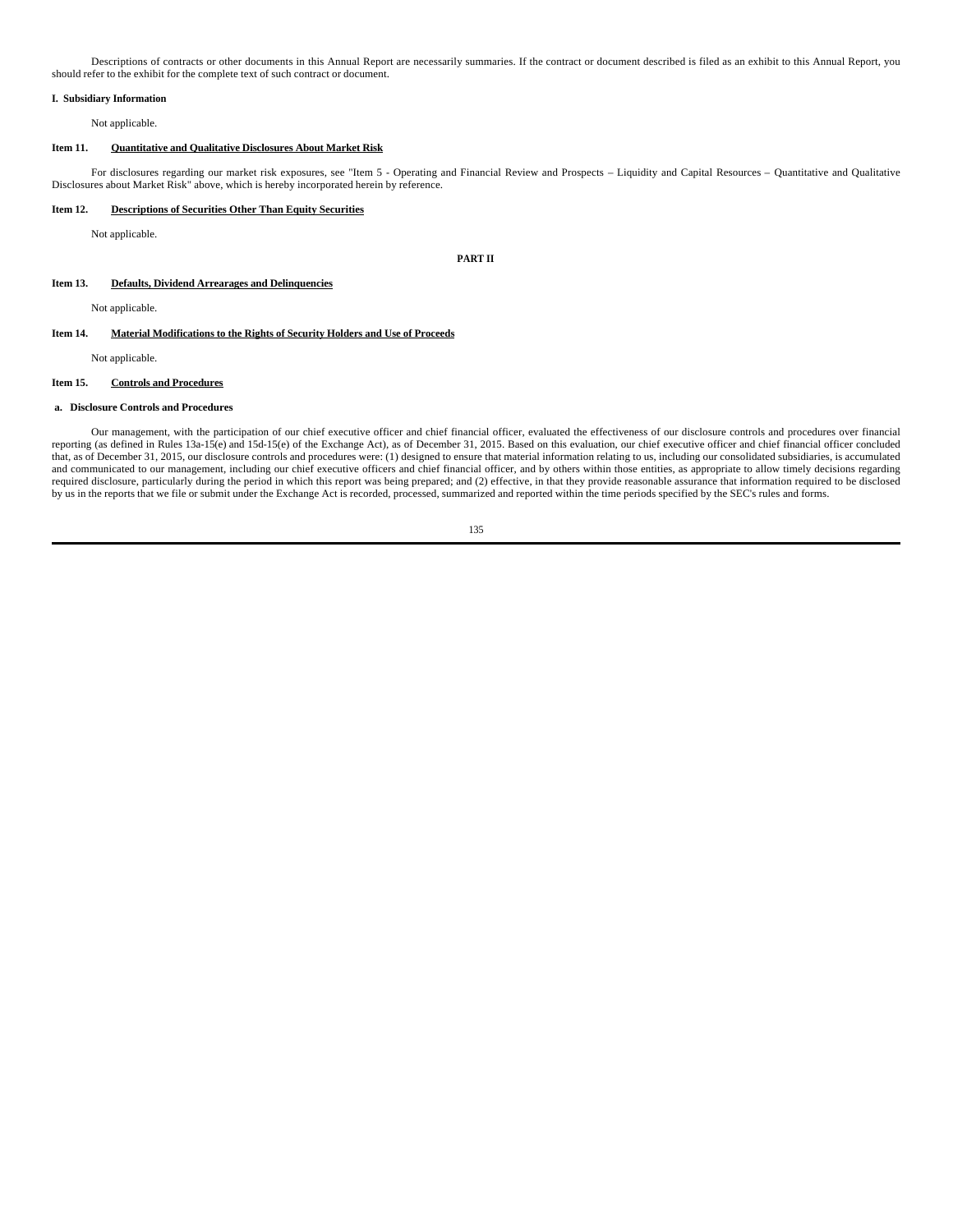Descriptions of contracts or other documents in this Annual Report are necessarily summaries. If the contract or document described is filed as an exhibit to this Annual Report, you should refer to the exhibit for the complete text of such contract or document.

#### **I. Subsidiary Information**

Not applicable.

### **Item 11. Quantitative and Qualitative Disclosures About Market Risk**

For disclosures regarding our market risk exposures, see "Item 5 - Operating and Financial Review and Prospects – Liquidity and Capital Resources – Quantitative and Qualitative Disclosures about Market Risk" above, which is hereby incorporated herein by reference.

## **Item 12. Descriptions of Securities Other Than Equity Securities**

Not applicable.

**PART II**

#### **Item 13. Defaults, Dividend Arrearages and Delinquencies**

Not applicable.

# **Item 14. Material Modifications to the Rights of Security Holders and Use of Proceeds**

Not applicable.

## **Item 15. Controls and Procedures**

#### **a. Disclosure Controls and Procedures**

Our management, with the participation of our chief executive officer and chief financial officer, evaluated the effectiveness of our disclosure controls and procedures over financial reporting (as defined in Rules 13a-15(e) and 15d-15(e) of the Exchange Act), as of December 31, 2015. Based on this evaluation, our chief executive officer and chief financial officer concluded that, as of December 31, 2015, our disclosure controls and procedures were: (1) designed to ensure that material information relating to us, including our consolidated subsidiaries, is accumulated and communicated to our management, including our chief executive officers and chief financial officer, and by others within those entities, as appropriate to allow timely decisions regarding required disclosure, particularly during the period in which this report was being prepared; and (2) effective, in that they provide reasonable assurance that information required to be disclosed by us in the reports that we file or submit under the Exchange Act is recorded, processed, summarized and reported within the time periods specified by the SEC's rules and forms.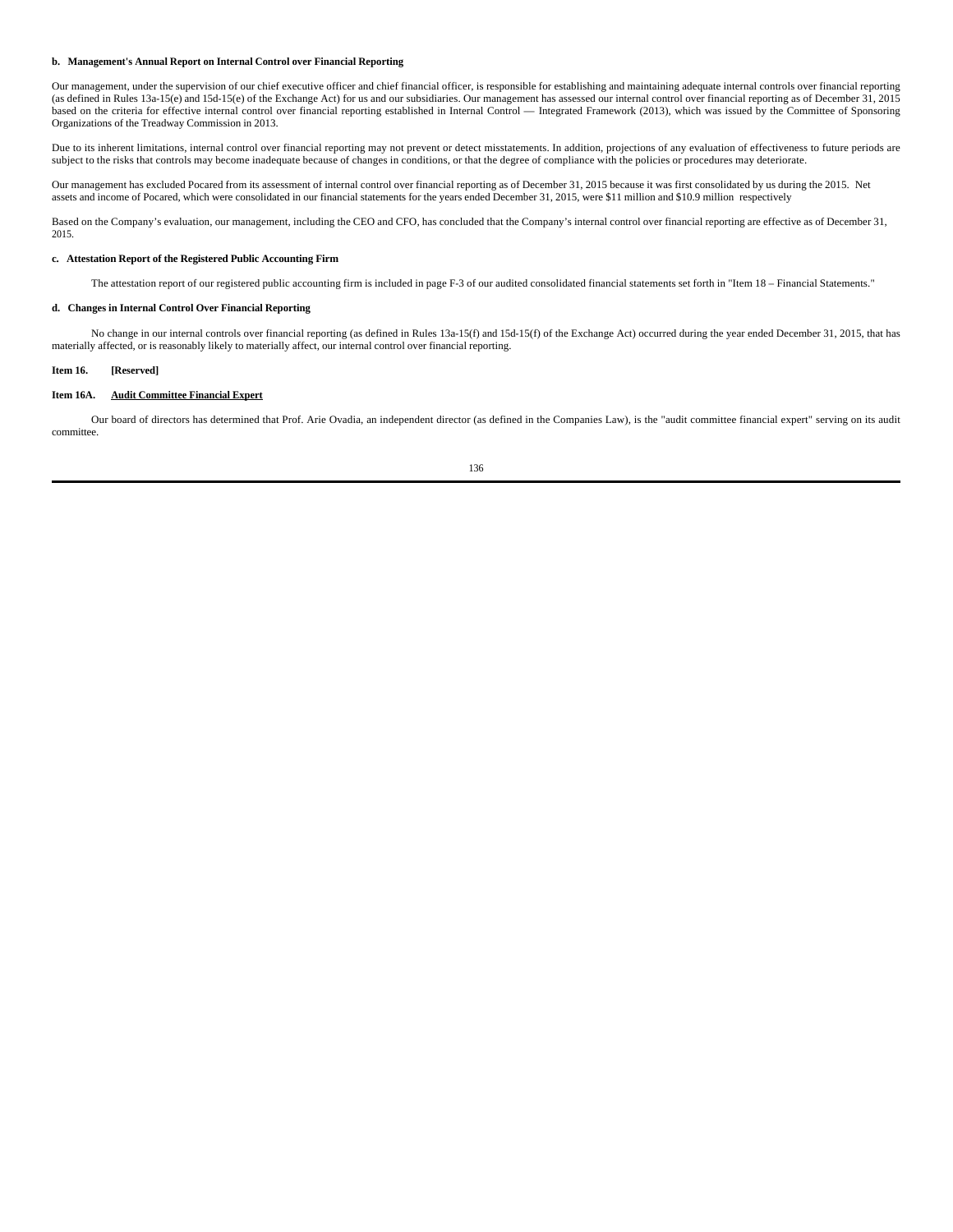## **b. Management's Annual Report on Internal Control over Financial Reporting**

Our management, under the supervision of our chief executive officer and chief financial officer, is responsible for establishing and maintaining adequate internal controls over financial reporting (as defined in Rules 13a-15(e) and 15d-15(e) of the Exchange Act) for us and our subsidiaries. Our management has assessed our internal control over financial reporting as of December 31, 2015 based on the criteria for effective internal control over financial reporting established in Internal Control — Integrated Framework (2013), which was issued by the Committee of Sponsoring Organizations of the Treadway Commission in 2013.

Due to its inherent limitations, internal control over financial reporting may not prevent or detect misstatements. In addition, projections of any evaluation of effectiveness to future periods are subject to the risks that controls may become inadequate because of changes in conditions, or that the degree of compliance with the policies or procedures may deteriorate.

Our management has excluded Pocared from its assessment of internal control over financial reporting as of December 31, 2015 because it was first consolidated by us during the 2015. Net assets and income of Pocared, which were consolidated in our financial statements for the years ended December 31, 2015, were \$11 million and \$10.9 million respectively

Based on the Company's evaluation, our management, including the CEO and CFO, has concluded that the Company's internal control over financial reporting are effective as of December 31, 2015.

#### **c. Attestation Report of the Registered Public Accounting Firm**

The attestation report of our registered public accounting firm is included in page F-3 of our audited consolidated financial statements set forth in "Item 18 - Financial Statements."

## **d. Changes in Internal Control Over Financial Reporting**

No change in our internal controls over financial reporting (as defined in Rules 13a-15(f) and 15d-15(f) of the Exchange Act) occurred during the year ended December 31, 2015, that has materially affected, or is reasonably likely to materially affect, our internal control over financial reporting.

### **Item 16. [Reserved]**

### **Item 16A. Audit Committee Financial Expert**

Our board of directors has determined that Prof. Arie Ovadia, an independent director (as defined in the Companies Law), is the "audit committee financial expert" serving on its audit committee.

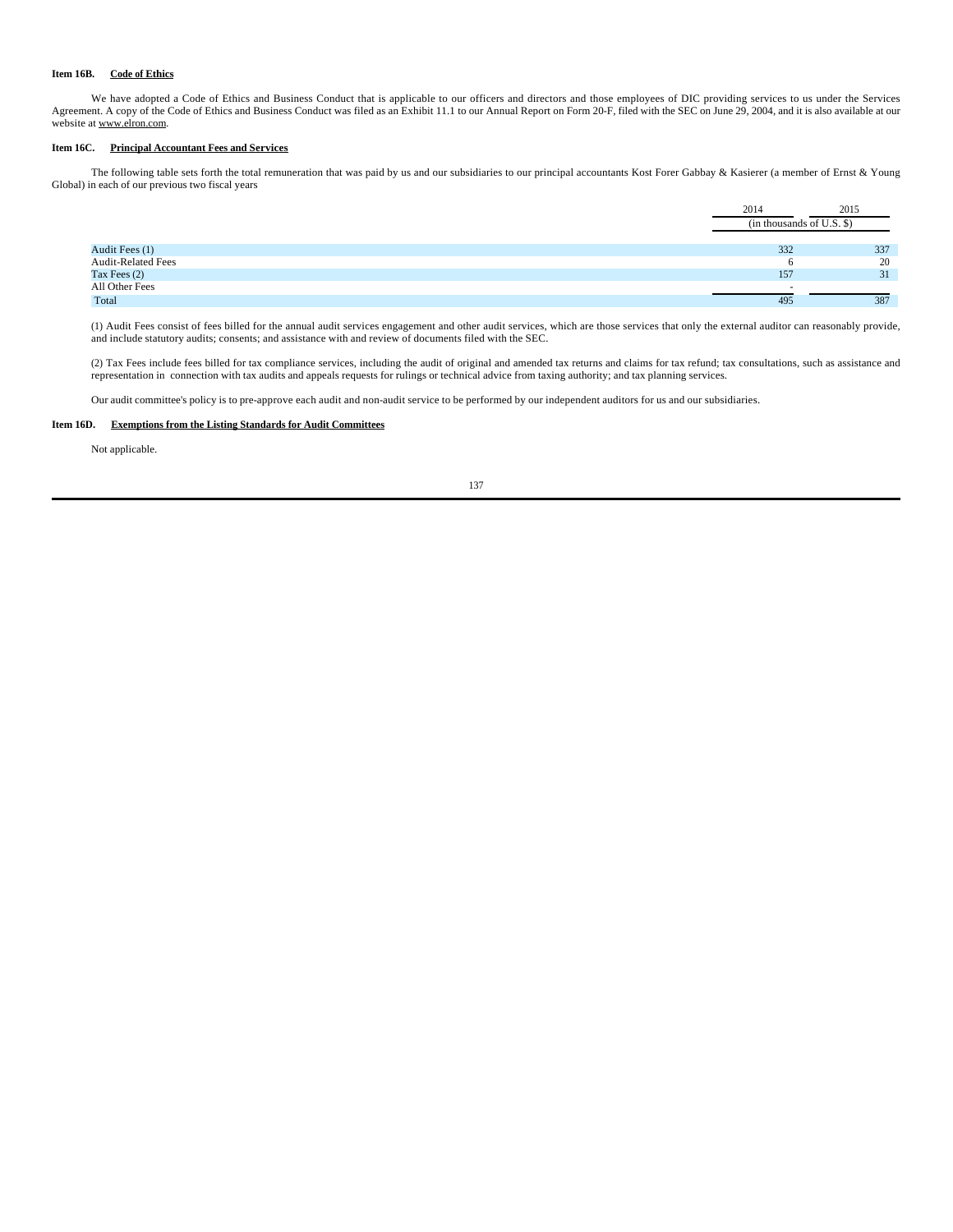#### **Item 16B. Code of Ethics**

We have adopted a Code of Ethics and Business Conduct that is applicable to our officers and directors and those employees of DIC providing services to us under the Services Agreement. A copy of the Code of Ethics and Business Conduct was filed as an Exhibit 11.1 to our Annual Report on Form 20-F, filed with the SEC on June 29, 2004, and it is also available at our website at www.elron.com.

# **Item 16C. Principal Accountant Fees and Services**

The following table sets forth the total remuneration that was paid by us and our subsidiaries to our principal accountants Kost Forer Gabbay & Kasierer (a member of Ernst & Young Global) in each of our previous two fiscal years

|                           | 2014         | 2015                  |  |
|---------------------------|--------------|-----------------------|--|
|                           |              | (in thousands of U.S. |  |
| Audit Fees (1)            | 332          | 337                   |  |
| <b>Audit-Related Fees</b> | <sub>0</sub> | 20                    |  |
| Tax Fees $(2)$            | 157          | 31                    |  |
| All Other Fees            |              |                       |  |
| Total                     | 495          | 387                   |  |

 (1) Audit Fees consist of fees billed for the annual audit services engagement and other audit services, which are those services that only the external auditor can reasonably provide, and include statutory audits; consents; and assistance with and review of documents filed with the SEC.

(2) Tax Fees include fees billed for tax compliance services, including the audit of original and amended tax returns and claims for tax refund; tax consultations, such as assistance and representation in connection with tax audits and appeals requests for rulings or technical advice from taxing authority; and tax planning services.

Our audit committee's policy is to pre-approve each audit and non-audit service to be performed by our independent auditors for us and our subsidiaries.

## **Item 16D. Exemptions from the Listing Standards for Audit Committees**

Not applicable.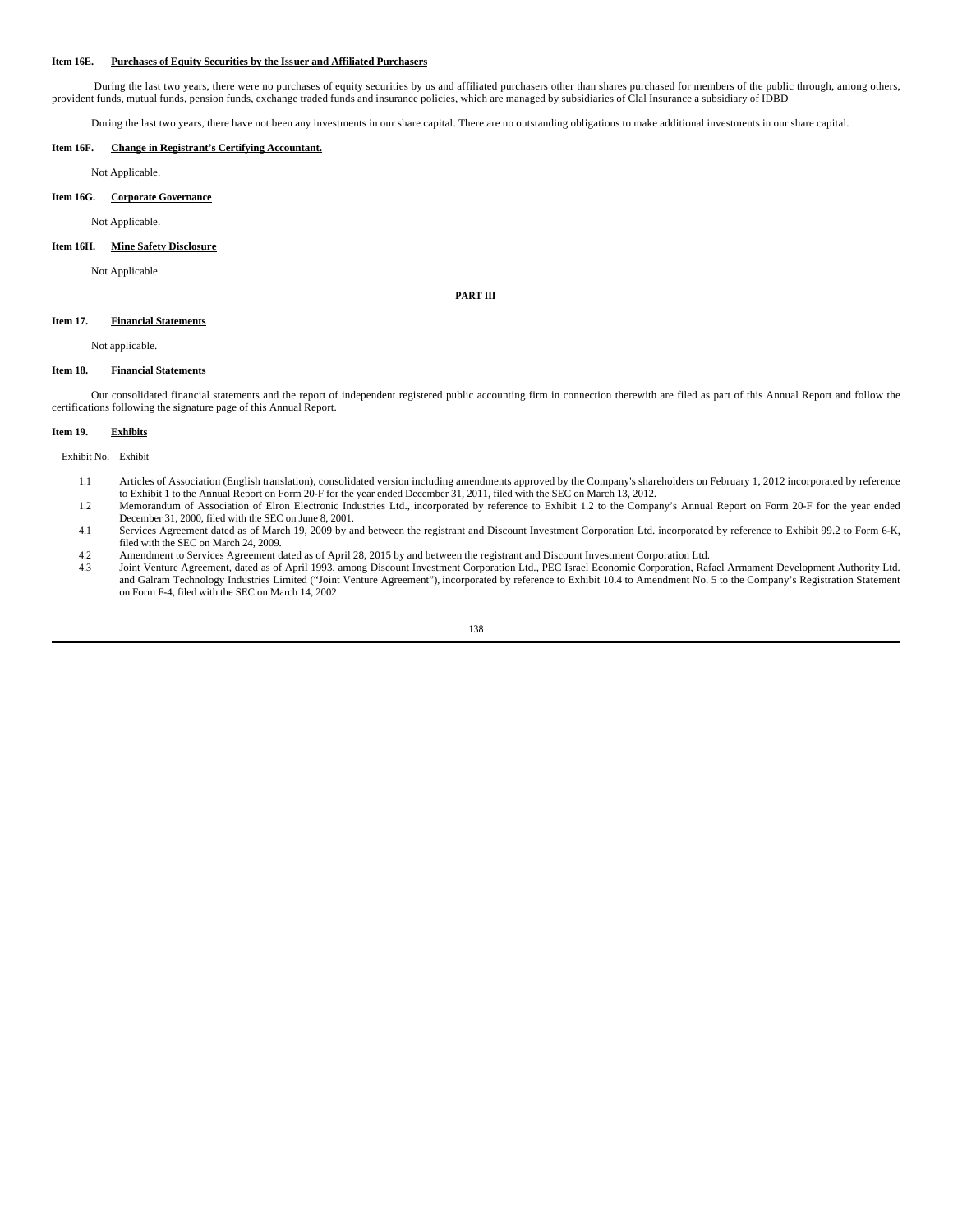#### **Item 16E. Purchases of Equity Securities by the Issuer and Affiliated Purchasers**

 During the last two years, there were no purchases of equity securities by us and affiliated purchasers other than shares purchased for members of the public through, among others, provident funds, mutual funds, pension funds, exchange traded funds and insurance policies, which are managed by subsidiaries of Clal Insurance a subsidiary of IDBD

During the last two years, there have not been any investments in our share capital. There are no outstanding obligations to make additional investments in our share capital.

### **Item 16F. Change in Registrant's Certifying Accountant.**

Not Applicable.

**Item 16G. Corporate Governance**

Not Applicable.

## **Item 16H. Mine Safety Disclosure**

Not Applicable.

**PART III**

#### **Item 17. Financial Statements**

Not applicable.

## **Item 18. Financial Statements**

Our consolidated financial statements and the report of independent registered public accounting firm in connection therewith are filed as part of this Annual Report and follow the certifications following the signature page of this Annual Report.

#### **Item 19. Exhibits**

Exhibit No. Exhibit

- 1.1 Articles of Association (English translation), consolidated version including amendments approved by the Company's shareholders on February 1, 2012 incorporated by reference to Exhibit 1 to the Annual Report on Form 20-F for the year ended December 31, 2011, filed with the SEC on March 13, 2012.
- 1.2 Memorandum of Association of Elron Electronic Industries Ltd., incorporated by reference to Exhibit 1.2 to the Company's Annual Report on Form 20-F for the year ended December 31, 2000, filed with the SEC on June 8, 2001.
- 4.1 Services Agreement dated as of March 19, 2009 by and between the registrant and Discount Investment Corporation Ltd. incorporated by reference to Exhibit 99.2 to Form 6-K, filed with the SEC on March 24, 2009.
- 4.2 Amendment to Services Agreement dated as of April 28, 2015 by and between the registrant and Discount Investment Corporation Ltd.
- Joint Venture Agreement, dated as of April 1993, among Discount Investment Corporation Ltd., PEC Israel Economic Corporation, Rafael Armament Development Authority Ltd.<br>and Galram Technology Industries Limited ("Joint Vent on Form F-4, filed with the SEC on March 14, 2002.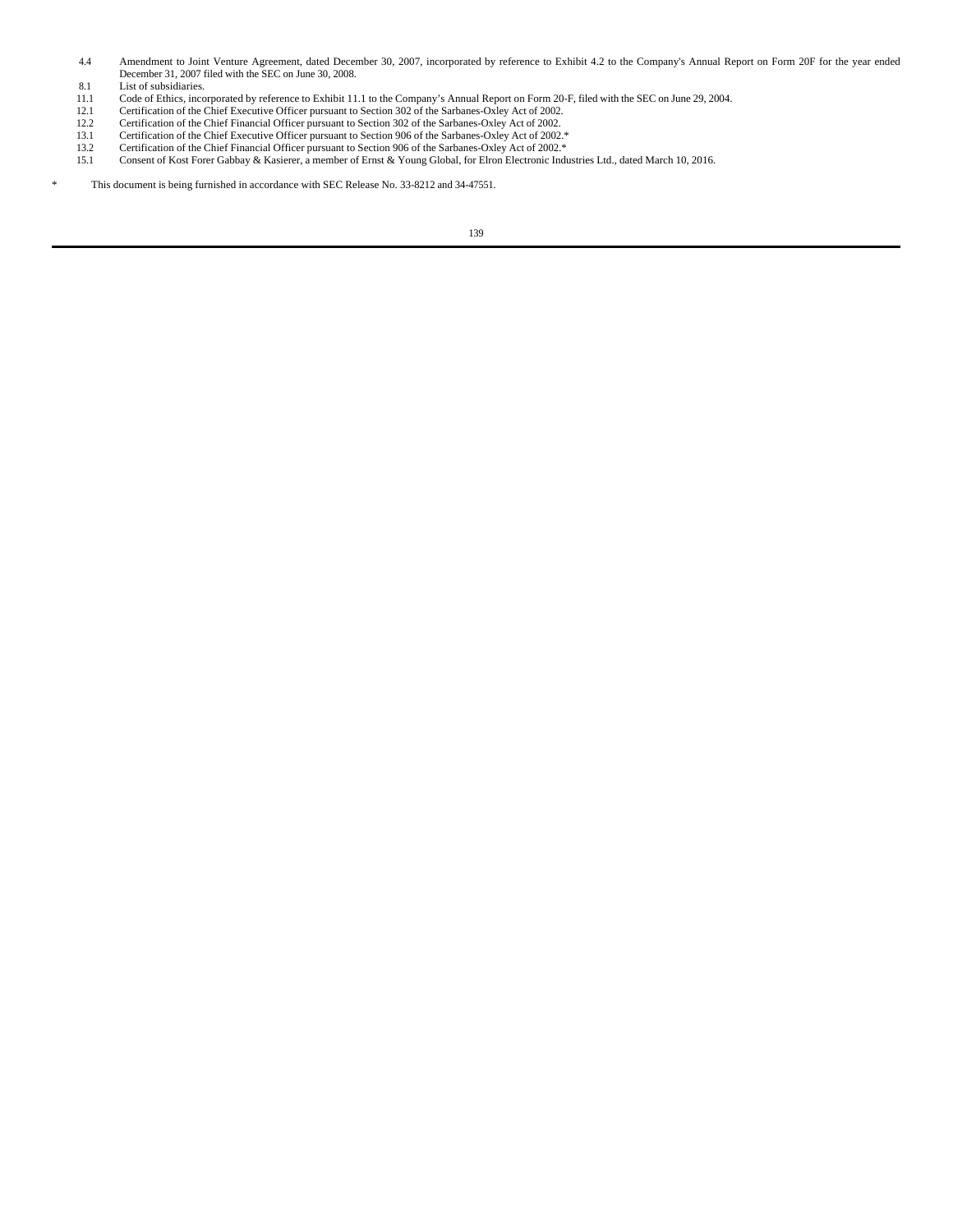- 4.4 Amendment to Joint Venture Agreement, dated December 30, 2007, incorporated by reference to Exhibit 4.2 to the Company's Annual Report on Form 20F for the year ended December 31, 2007 filed with the SEC on June 30, 2008.
- 8.1 List of subsidiaries.<br>11.1 Code of Ethics, inco.
- 11.1 Code of Ethics, incorporated by reference to Exhibit 11.1 to the Company's Annual Report on Form 20-F, filed with the SEC on June 29, 2004.<br>12.1 Certification of the Chief Executive Officer pursuant to Section 302 of
- 12.1 Certification of the Chief Executive Officer pursuant to Section 302 of the Sarbanes-Oxley Act of 2002.<br>12.2 Certification of the Chief Financial Officer pursuant to Section 302 of the Sarbanes-Oxley Act of 2002.
- 12.2 Certification of the Chief Financial Officer pursuant to Section 302 of the Sarbanes-Oxley Act of 2002.
- 13.1 Certification of the Chief Executive Officer pursuant to Section 906 of the Sarbanes-Oxley Act of 2002.\*<br>13.2 Certification of the Chief Financial Officer pursuant to Section 906 of the Sarbanes-Oxley Act of 2002.\*
- 13.2 Certification of the Chief Financial Officer pursuant to Section 906 of the Sarbanes-Oxley Act of 2002.\*<br>15.1 Consent of Kost Forer Gabbay & Kasierer, a member of Ernst & Young Global, for Elron Electronic Indu
- 15.1 Consent of Kost Forer Gabbay & Kasierer, a member of Ernst & Young Global, for Elron Electronic Industries Ltd., dated March 10, 2016.
- This document is being furnished in accordance with SEC Release No. 33-8212 and 34-47551.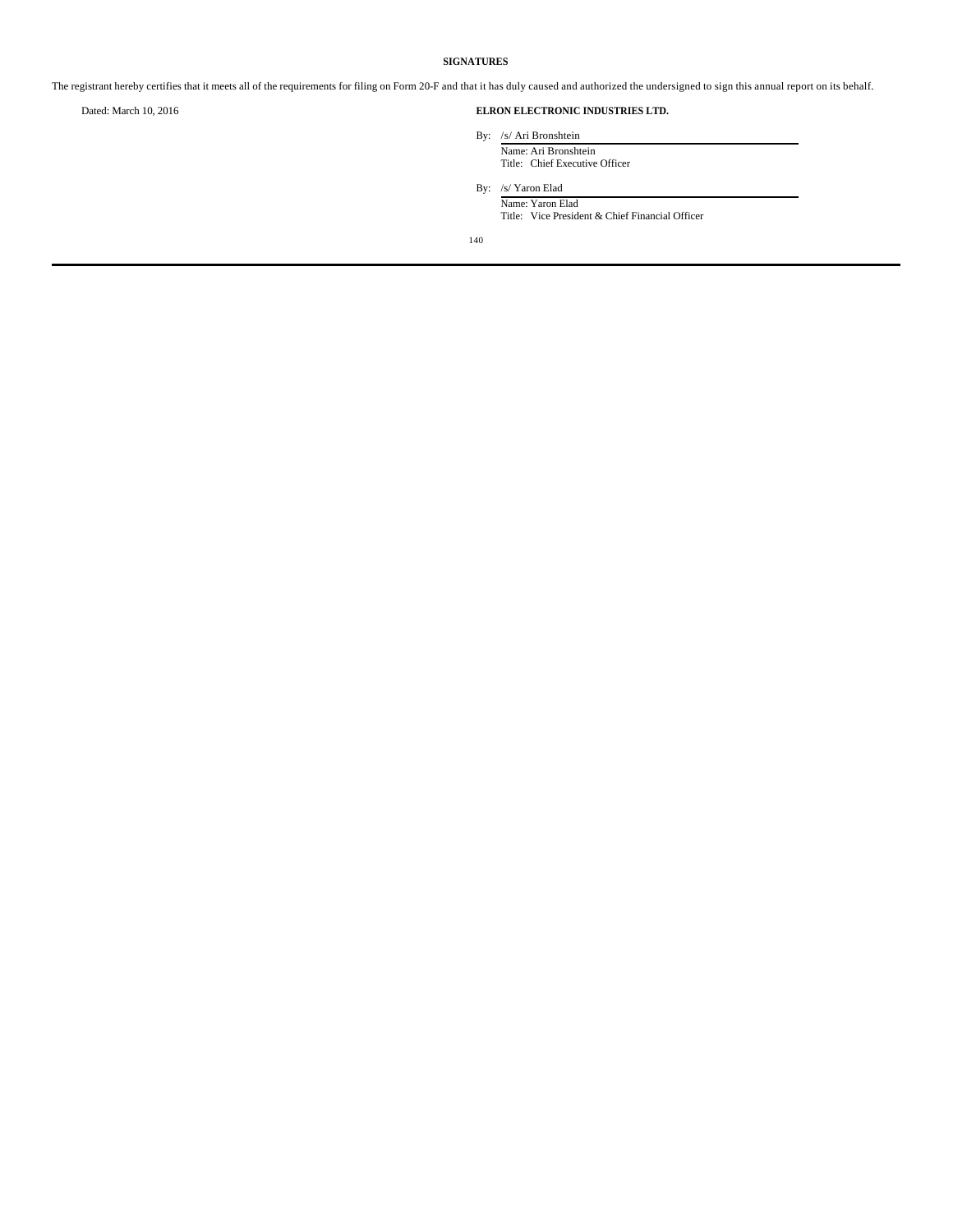# **SIGNATURES**

The registrant hereby certifies that it meets all of the requirements for filing on Form 20-F and that it has duly caused and authorized the undersigned to sign this annual report on its behalf.

# Dated: March 10, 2016 **ELRON ELECTRONIC INDUSTRIES LTD.**

By: /s/ Ari Bronshtein

Name: Ari Bronshtein Title: Chief Executive Officer

By: /s/ Yaron Elad

Name: Yaron Elad Title: Vice President & Chief Financial Officer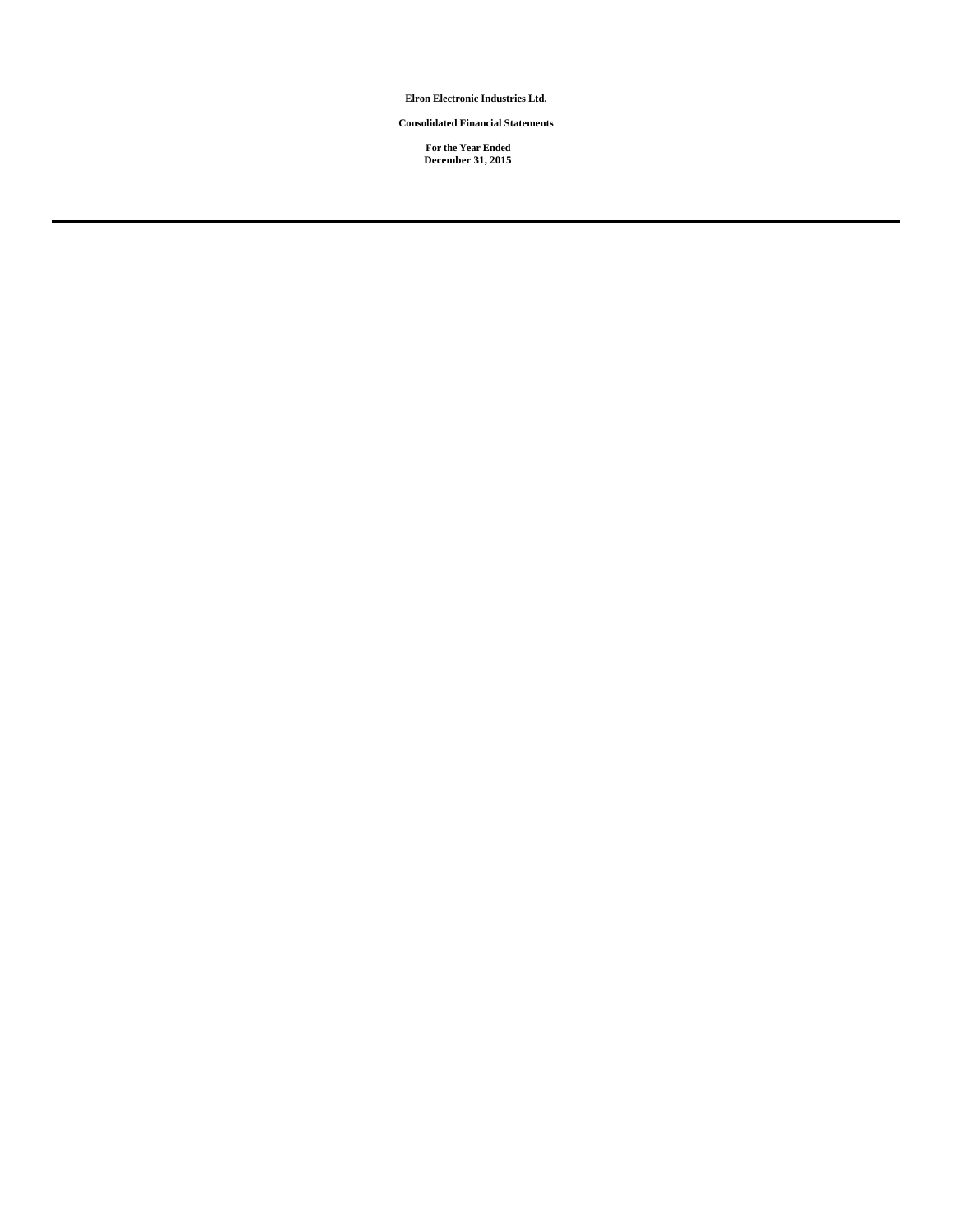**Elron Electronic Industries Ltd.**

**Consolidated Financial Statements**

**For the Year Ended December 31, 2015**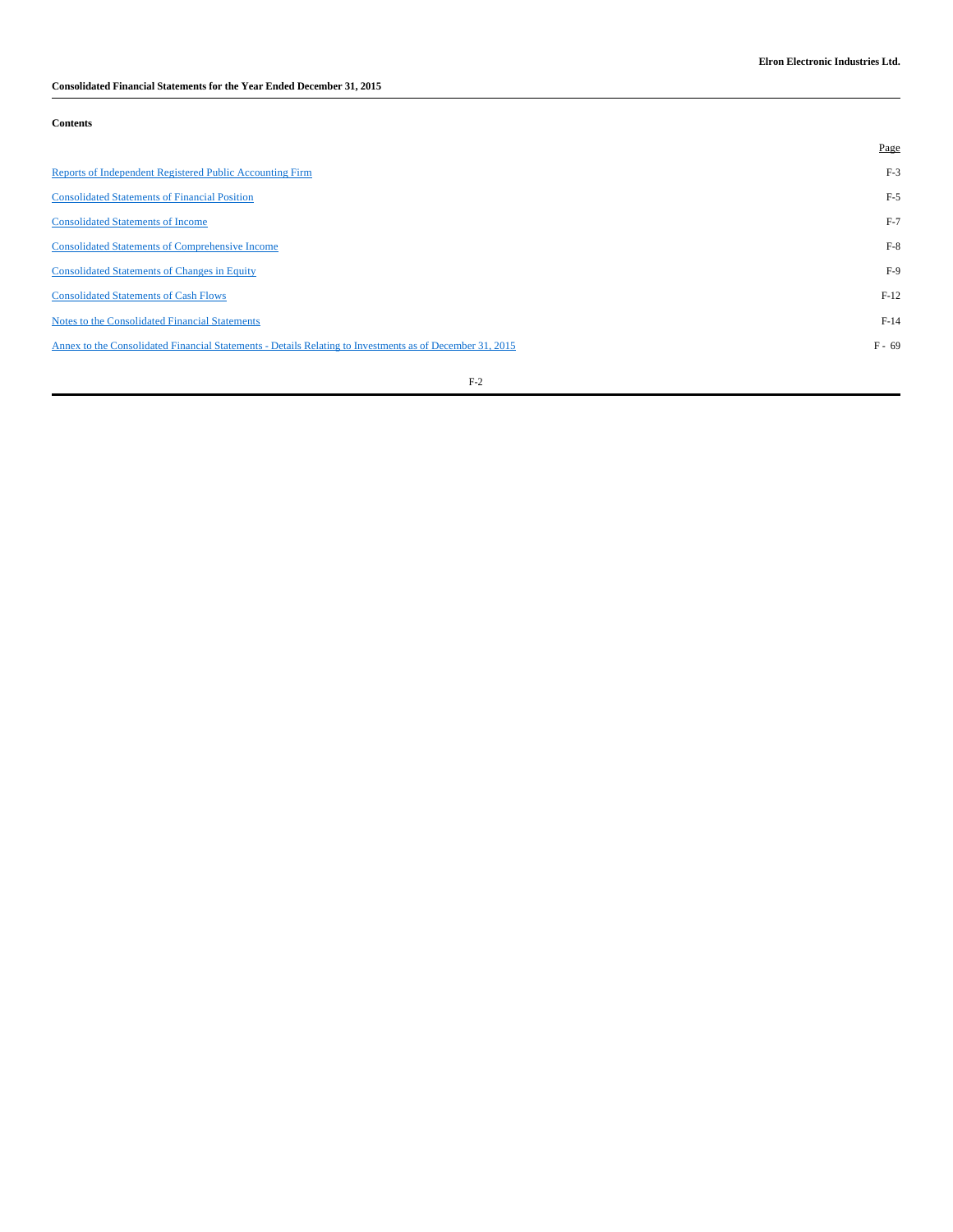**Consolidated Financial Statements for the Year Ended December 31, 2015** 

# **Contents**

|                                                                                                          | Page     |
|----------------------------------------------------------------------------------------------------------|----------|
| Reports of Independent Registered Public Accounting Firm                                                 | $F-3$    |
| <b>Consolidated Statements of Financial Position</b>                                                     | $F-5$    |
| <b>Consolidated Statements of Income</b>                                                                 | $F-7$    |
| <b>Consolidated Statements of Comprehensive Income</b>                                                   | $F-8$    |
| <b>Consolidated Statements of Changes in Equity</b>                                                      | $F-9$    |
| <b>Consolidated Statements of Cash Flows</b>                                                             | $F-12$   |
| Notes to the Consolidated Financial Statements                                                           | $F-14$   |
| Annex to the Consolidated Financial Statements - Details Relating to Investments as of December 31, 2015 | $F - 69$ |
|                                                                                                          |          |

F-2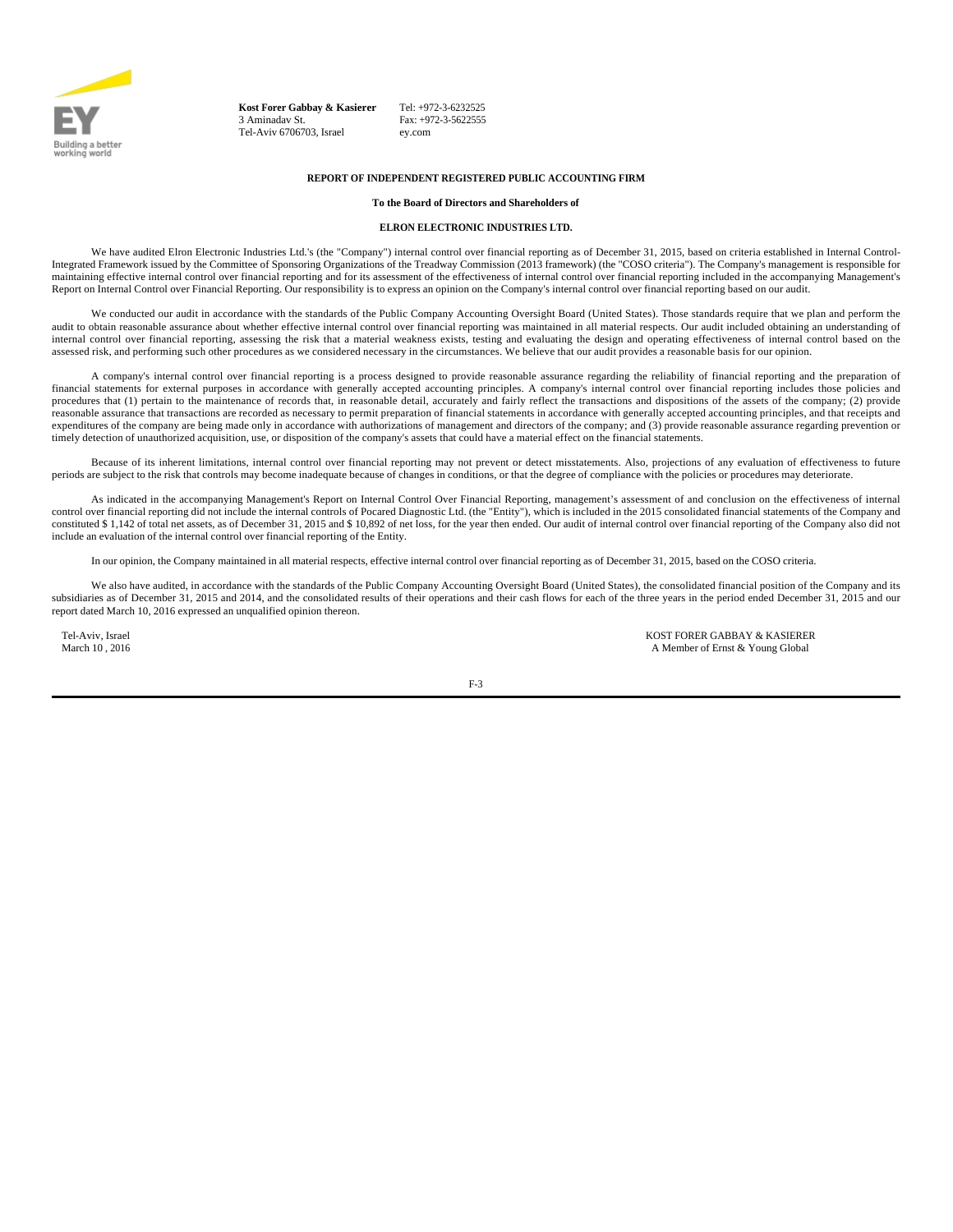

**Kost Forer Gabbay & Kasierer** 3 Aminadav St. Tel-Aviv 6706703, Israel

Tel: +972-3-6232525 Fax: +972-3-5622555 ey.com

# **REPORT OF INDEPENDENT REGISTERED PUBLIC ACCOUNTING FIRM**

## **To the Board of Directors and Shareholders of**

#### **ELRON ELECTRONIC INDUSTRIES LTD.**

We have audited Elron Electronic Industries Ltd.'s (the "Company") internal control over financial reporting as of December 31, 2015, based on criteria established in Internal Control-Integrated Framework issued by the Committee of Sponsoring Organizations of the Treadway Commission (2013 framework) (the "COSO criteria"). The Company's management is responsible for maintaining effective internal control over financial reporting and for its assessment of the effectiveness of internal control over financial reporting included in the accompanying Management's Report on Internal Control over Financial Reporting. Our responsibility is to express an opinion on the Company's internal control over financial reporting based on our audit.

We conducted our audit in accordance with the standards of the Public Company Accounting Oversight Board (United States). Those standards require that we plan and perform the audit to obtain reasonable assurance about whether effective internal control over financial reporting was maintained in all material respects. Our audit included obtaining an understanding of internal control over financial reporting, assessing the risk that a material weakness exists, testing and evaluating the design and operating effectiveness of internal control based on the assessed risk, and performing such other procedures as we considered necessary in the circumstances. We believe that our audit provides a reasonable basis for our opinion.

A company's internal control over financial reporting is a process designed to provide reasonable assurance regarding the reliability of financial reporting and the preparation of financial statements for external purposes in accordance with generally accepted accounting principles. A company's internal control over financial reporting includes those policies and procedures that (1) pertain to the maintenance of records that, in reasonable detail, accurately and fairly reflect the transactions and dispositions of the assets of the company; (2) provide reasonable assurance that transactions are recorded as necessary to permit preparation of financial statements in accordance with generally accepted accounting principles, and that receipts and expenditures of the company are being made only in accordance with authorizations of management and directors of the company; and (3) provide reasonable assurance regarding prevention or timely detection of unauthorized acquisition, use, or disposition of the company's assets that could have a material effect on the financial statements.

Because of its inherent limitations, internal control over financial reporting may not prevent or detect misstatements. Also, projections of any evaluation of effectiveness to future periods are subject to the risk that controls may become inadequate because of changes in conditions, or that the degree of compliance with the policies or procedures may deteriorate.

As indicated in the accompanying Management's Report on Internal Control Over Financial Reporting, management's assessment of and conclusion on the effectiveness of internal control over financial reporting did not include the internal controls of Pocared Diagnostic Ltd. (the "Entity"), which is included in the 2015 consolidated financial statements of the Company and constituted \$ 1,142 of total net assets, as of December 31, 2015 and \$ 10,892 of net loss, for the year then ended. Our audit of internal control over financial reporting of the Company also did not include an evaluation of the internal control over financial reporting of the Entity.

In our opinion, the Company maintained in all material respects, effective internal control over financial reporting as of December 31, 2015, based on the COSO criteria.

We also have audited, in accordance with the standards of the Public Company Accounting Oversight Board (United States), the consolidated financial position of the Company and its subsidiaries as of December 31, 2015 and 2014, and the consolidated results of their operations and their cash flows for each of the three years in the period ended December 31, 2015 and our report dated March 10, 2016 expressed an unqualified opinion thereon.

Tel-Aviv, Israel **KOST FORER GABBAY & KASIERER**<br>March 10, 2016 A Member of Ernst & Young Global

F-3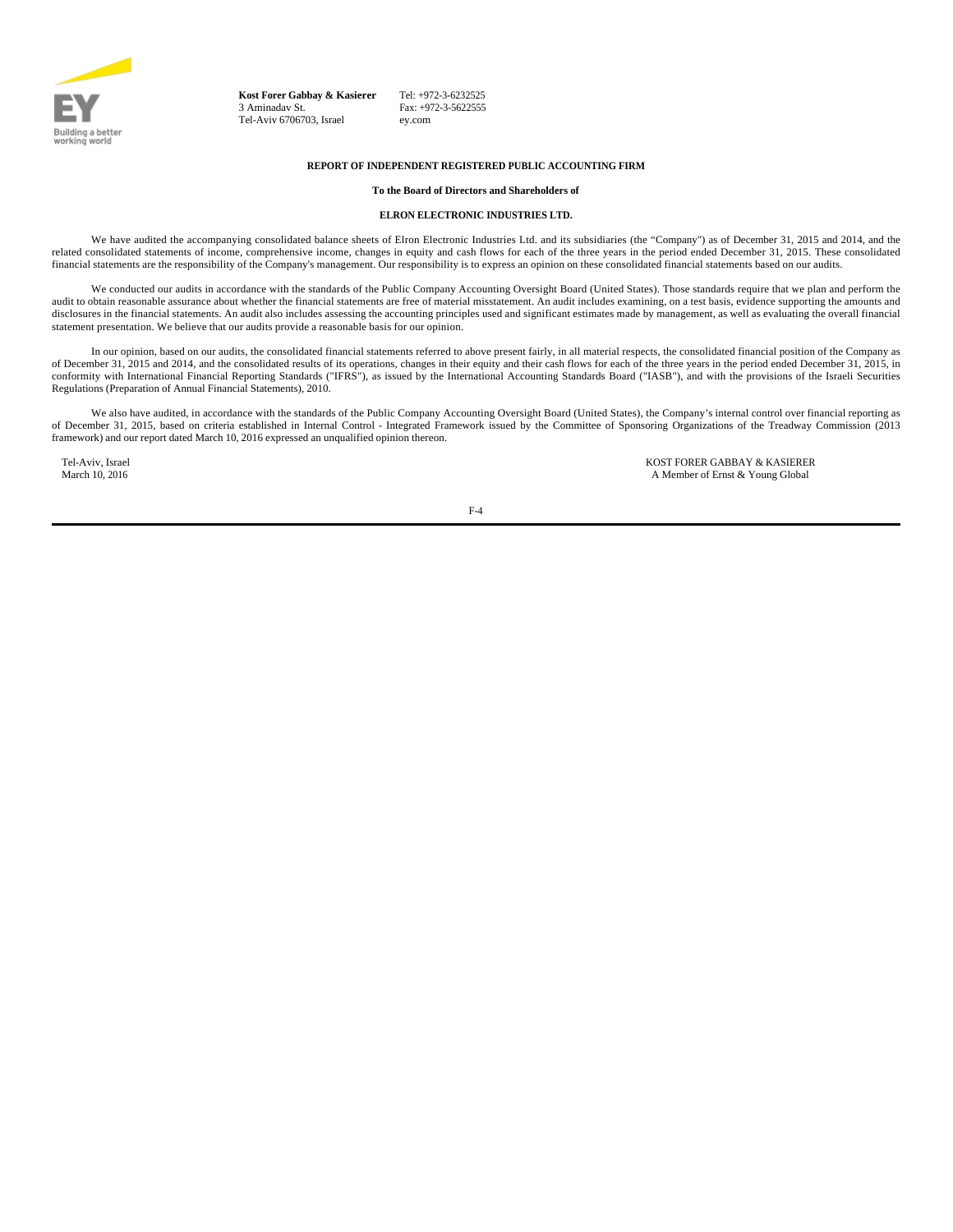

 **Kost Forer Gabbay & Kasierer** 3 Aminadav St. Tel-Aviv 6706703, Israel

 Tel: +972-3-6232525 Fax: +972-3-5622555 ey.com

# **REPORT OF INDEPENDENT REGISTERED PUBLIC ACCOUNTING FIRM**

#### **To the Board of Directors and Shareholders of**

### **ELRON ELECTRONIC INDUSTRIES LTD.**

We have audited the accompanying consolidated balance sheets of Elron Electronic Industries Ltd. and its subsidiaries (the "Company") as of December 31, 2015 and 2014, and the related consolidated statements of income, comprehensive income, changes in equity and cash flows for each of the three years in the period ended December 31, 2015. These consolidated financial statements are the responsibility of the Company's management. Our responsibility is to express an opinion on these consolidated financial statements based on our audits.

We conducted our audits in accordance with the standards of the Public Company Accounting Oversight Board (United States). Those standards require that we plan and perform the audit to obtain reasonable assurance about whether the financial statements are free of material misstatement. An audit includes examining, on a test basis, evidence supporting the amounts and disclosures in the financial statements. An audit also includes assessing the accounting principles used and significant estimates made by management, as well as evaluating the overall financial statement presentation. We believe that our audits provide a reasonable basis for our opinion.

In our opinion, based on our audits, the consolidated financial statements referred to above present fairly, in all material respects, the consolidated financial position of the Company as of December 31, 2015 and 2014, and the consolidated results of its operations, changes in their equity and their cash flows for each of the three years in the period ended December 31, 2015, in<br>conformity with Internationa Regulations (Preparation of Annual Financial Statements), 2010.

We also have audited, in accordance with the standards of the Public Company Accounting Oversight Board (United States), the Company's internal control over financial reporting as of December 31, 2015, based on criteria established in Internal Control - Integrated Framework issued by the Committee of Sponsoring Organizations of the Treadway Commission (2013 framework) and our report dated March 10, 2016 expressed an unqualified opinion thereon.

Tel-Aviv, Israel **KOST FORER GABBAY & KASIERER**<br>March 10. 2016 **March 10. 2016** A Member of Ernst & Young Global A Member of Ernst & Young Global

F-4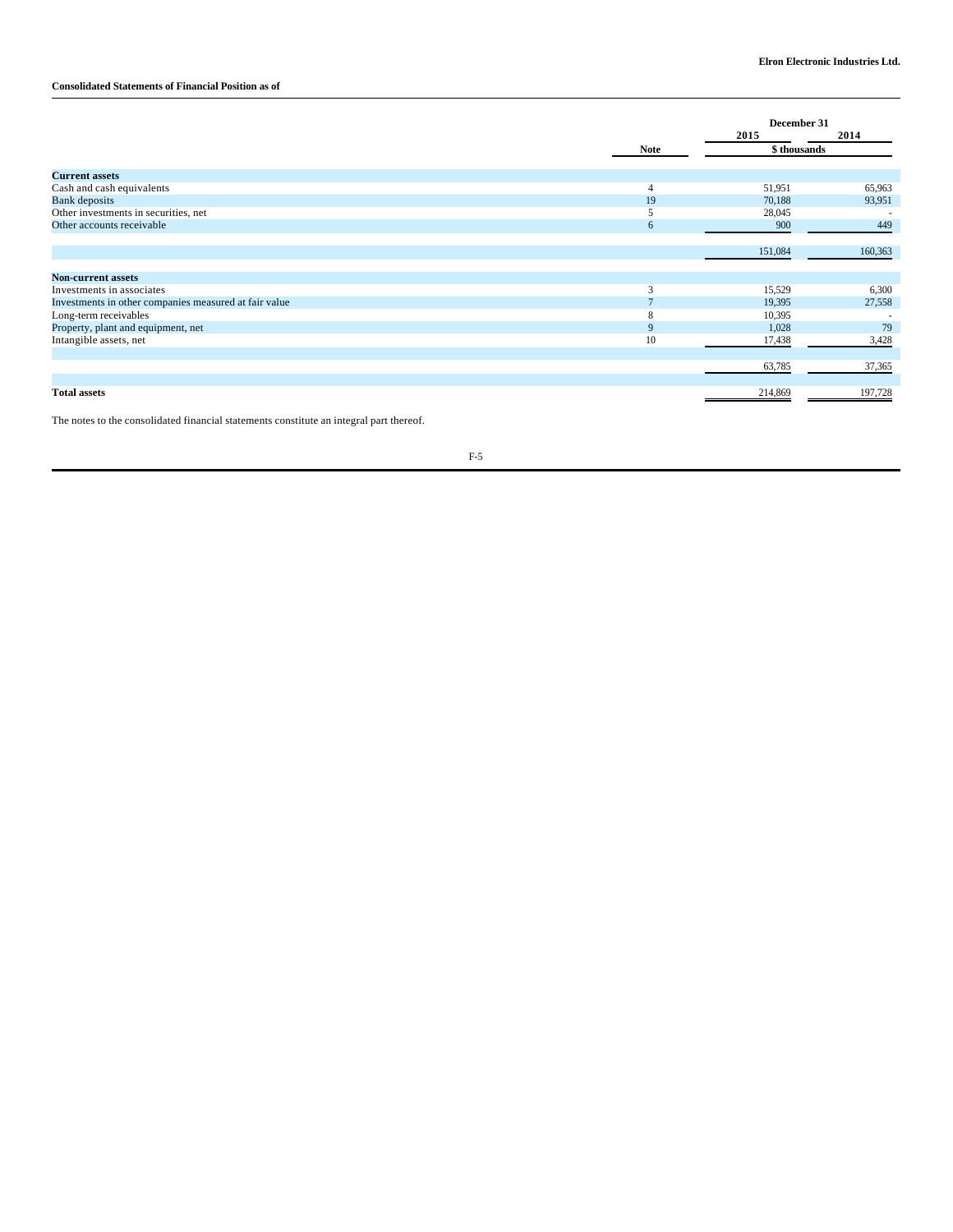# **Consolidated Statements of Financial Position as of**

|                                                       |                      | December 31  |         |
|-------------------------------------------------------|----------------------|--------------|---------|
|                                                       |                      | 2015         | 2014    |
|                                                       | <b>Note</b>          | \$ thousands |         |
| <b>Current assets</b>                                 |                      |              |         |
| Cash and cash equivalents                             | 4                    | 51,951       | 65,963  |
| <b>Bank</b> deposits                                  | 19                   | 70,188       | 93,951  |
| Other investments in securities, net                  |                      | 28,045       |         |
| Other accounts receivable                             | 6                    | 900          | 449     |
|                                                       |                      |              |         |
|                                                       |                      | 151,084      | 160,363 |
|                                                       |                      |              |         |
| <b>Non-current assets</b>                             |                      |              |         |
| Investments in associates                             | 3                    | 15,529       | 6,300   |
| Investments in other companies measured at fair value |                      | 19,395       | 27,558  |
| Long-term receivables                                 | $\ddot{\phantom{0}}$ | 10,395       |         |
| Property, plant and equipment, net                    | 9                    | 1,028        | 79      |
| Intangible assets, net                                | 10                   | 17,438       | 3,428   |
|                                                       |                      |              |         |
|                                                       |                      | 63,785       | 37,365  |
|                                                       |                      |              |         |
| <b>Total assets</b>                                   |                      | 214,869      | 197,728 |

The notes to the consolidated financial statements constitute an integral part thereof.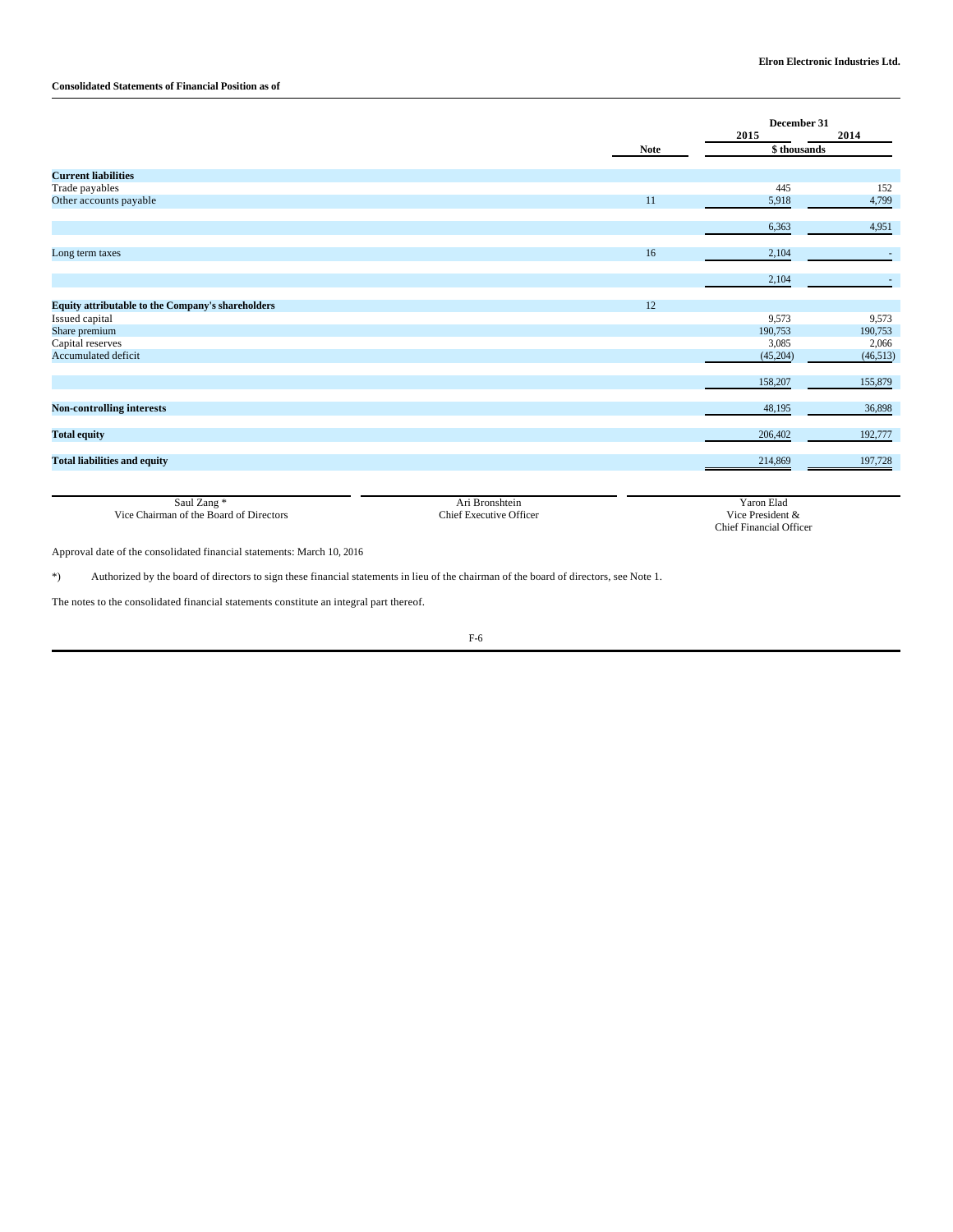# **Consolidated Statements of Financial Position as of**

|                                                   |             | December 31  |          |
|---------------------------------------------------|-------------|--------------|----------|
|                                                   |             | 2015         | 2014     |
|                                                   | <b>Note</b> | \$ thousands |          |
| <b>Current liabilities</b>                        |             |              |          |
| Trade payables                                    |             | 445          | 152      |
| Other accounts payable                            | 11          | 5,918        | 4,799    |
|                                                   |             |              |          |
|                                                   |             | 6,363        | 4,951    |
|                                                   |             |              |          |
| Long term taxes                                   | 16          | 2,104        | $\sim$   |
|                                                   |             |              |          |
|                                                   |             | 2,104        | $\sim$   |
| Equity attributable to the Company's shareholders | 12          |              |          |
| Issued capital                                    |             | 9,573        | 9,573    |
| Share premium                                     |             | 190,753      | 190,753  |
| Capital reserves                                  |             | 3,085        | 2,066    |
| Accumulated deficit                               |             | (45,204)     | (46,513) |
|                                                   |             |              |          |
|                                                   |             | 158,207      | 155,879  |
| <b>Non-controlling interests</b>                  |             | 48,195       | 36,898   |
|                                                   |             |              |          |
| <b>Total equity</b>                               |             | 206,402      | 192,777  |
|                                                   |             |              |          |
| <b>Total liabilities and equity</b>               |             | 214,869      | 197,728  |
|                                                   |             |              |          |
|                                                   |             |              |          |

Saul Zang \* Ari Bronshtein Ari Bronshtein Saul Zang \* Naron Elad<br>Vice Chairman of the Board of Directors Chief Executive Officer Chief Executive Officer Vice President &

ratori Erad<br>Vice President &<br>Chief Financial Officer

Approval date of the consolidated financial statements: March 10, 2016

\*) Authorized by the board of directors to sign these financial statements in lieu of the chairman of the board of directors, see Note 1.

The notes to the consolidated financial statements constitute an integral part thereof.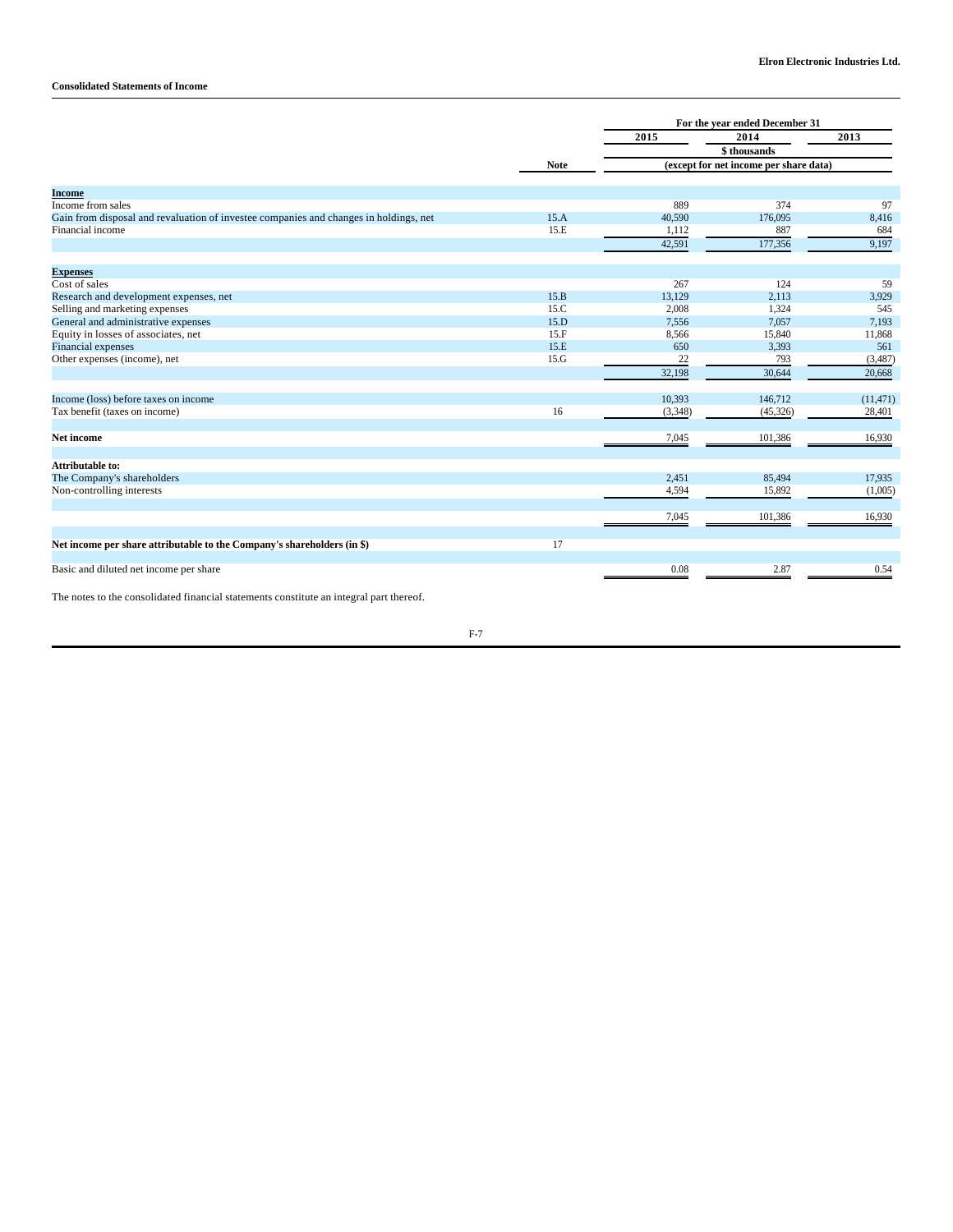# **Consolidated Statements of Income**

|                                                                                       |             | For the year ended December 31 |                                        |           |  |
|---------------------------------------------------------------------------------------|-------------|--------------------------------|----------------------------------------|-----------|--|
|                                                                                       |             | 2015                           | 2014                                   | 2013      |  |
|                                                                                       |             |                                | \$thousands                            |           |  |
|                                                                                       | <b>Note</b> |                                | (except for net income per share data) |           |  |
|                                                                                       |             |                                |                                        |           |  |
| Income                                                                                |             |                                |                                        |           |  |
| Income from sales                                                                     |             | 889                            | 374                                    | 97        |  |
| Gain from disposal and revaluation of investee companies and changes in holdings, net | 15.A        | 40,590                         | 176,095                                | 8,416     |  |
| Financial income                                                                      | 15.E        | 1,112                          | 887                                    | 684       |  |
|                                                                                       |             | 42,591                         | 177,356                                | 9,197     |  |
| <b>Expenses</b>                                                                       |             |                                |                                        |           |  |
| Cost of sales                                                                         |             | 267                            | 124                                    | 59        |  |
| Research and development expenses, net                                                | 15.B        | 13,129                         | 2,113                                  | 3,929     |  |
| Selling and marketing expenses                                                        | 15.C        | 2,008                          | 1.324                                  | 545       |  |
| General and administrative expenses                                                   | 15.D        | 7,556                          | 7.057                                  | 7,193     |  |
| Equity in losses of associates, net                                                   | 15.F        | 8,566                          | 15,840                                 | 11,868    |  |
| <b>Financial</b> expenses                                                             | 15.E        | 650                            | 3,393                                  | 561       |  |
| Other expenses (income), net                                                          | 15.G        | 22                             | 793                                    | (3,487)   |  |
|                                                                                       |             | 32,198                         | 30,644                                 | 20,668    |  |
| Income (loss) before taxes on income                                                  |             | 10,393                         | 146,712                                | (11, 471) |  |
| Tax benefit (taxes on income)                                                         | 16          | (3,348)                        | (45,326)                               | 28,401    |  |
|                                                                                       |             |                                |                                        |           |  |
| <b>Net income</b>                                                                     |             | 7,045                          | 101,386                                | 16,930    |  |
| <b>Attributable to:</b>                                                               |             |                                |                                        |           |  |
| The Company's shareholders                                                            |             | 2,451                          | 85,494                                 | 17,935    |  |
| Non-controlling interests                                                             |             | 4,594                          | 15,892                                 | (1,005)   |  |
|                                                                                       |             |                                |                                        |           |  |
|                                                                                       |             | 7,045                          | 101,386                                | 16,930    |  |
| Net income per share attributable to the Company's shareholders (in \$)               | 17          |                                |                                        |           |  |
|                                                                                       |             |                                |                                        |           |  |
| Basic and diluted net income per share                                                |             | 0.08                           | 2.87                                   | 0.54      |  |

The notes to the consolidated financial statements constitute an integral part thereof.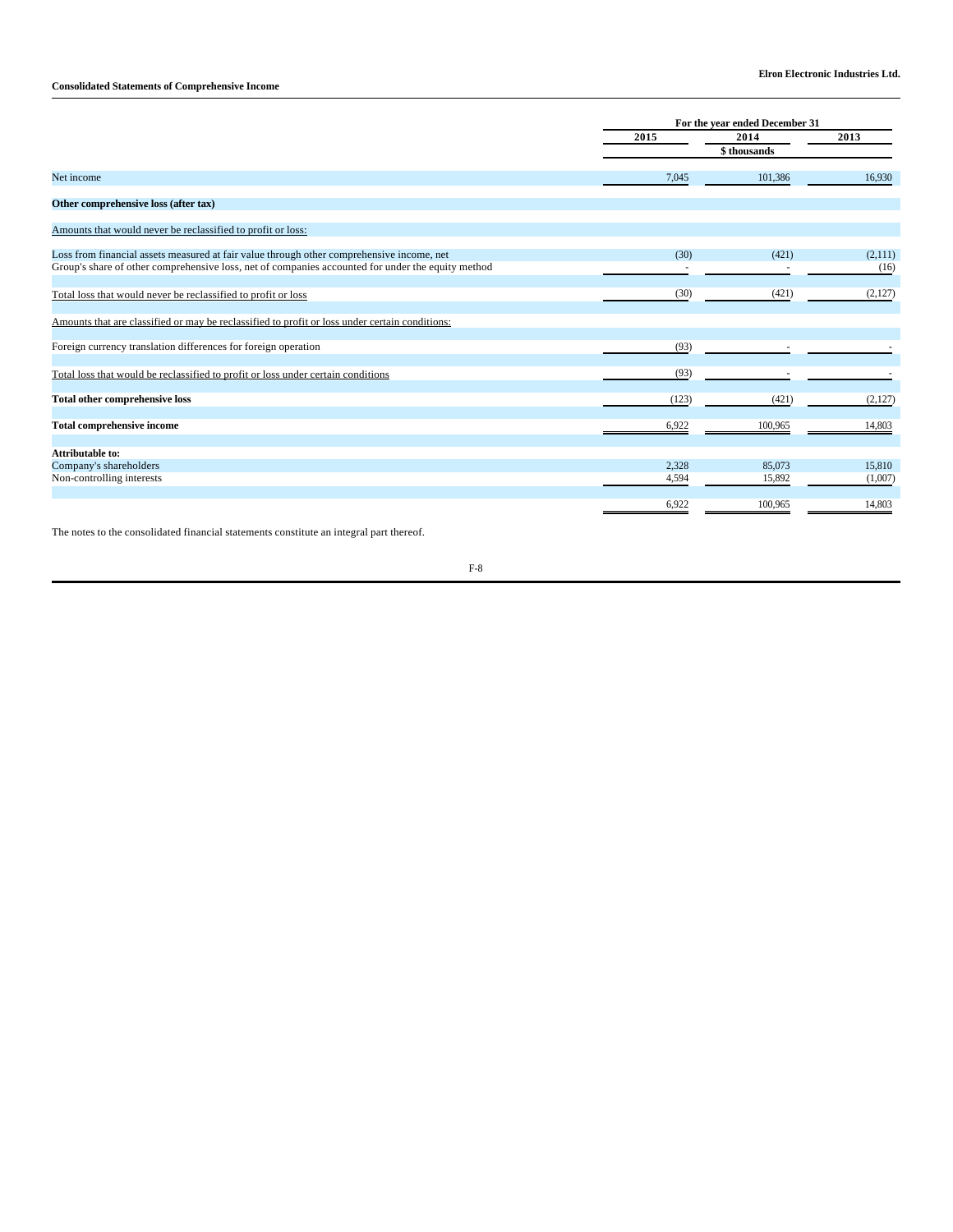# **Consolidated Statements of Comprehensive Income**

|                                                                                                                                                                                                |                | For the year ended December 31 |                   |  |
|------------------------------------------------------------------------------------------------------------------------------------------------------------------------------------------------|----------------|--------------------------------|-------------------|--|
|                                                                                                                                                                                                | 2015           | 2014                           | 2013              |  |
|                                                                                                                                                                                                |                | \$thousands                    |                   |  |
| Net income                                                                                                                                                                                     | 7,045          | 101,386                        | 16,930            |  |
| Other comprehensive loss (after tax)                                                                                                                                                           |                |                                |                   |  |
| Amounts that would never be reclassified to profit or loss:                                                                                                                                    |                |                                |                   |  |
| Loss from financial assets measured at fair value through other comprehensive income, net<br>Group's share of other comprehensive loss, net of companies accounted for under the equity method | (30)           | (421)                          | (2,111)<br>(16)   |  |
| Total loss that would never be reclassified to profit or loss                                                                                                                                  | (30)           | (421)                          | (2,127)           |  |
| Amounts that are classified or may be reclassified to profit or loss under certain conditions:                                                                                                 |                |                                |                   |  |
| Foreign currency translation differences for foreign operation                                                                                                                                 | (93)           |                                |                   |  |
| Total loss that would be reclassified to profit or loss under certain conditions                                                                                                               | (93)           |                                |                   |  |
| <b>Total other comprehensive loss</b>                                                                                                                                                          | (123)          | (421)                          | (2,127)           |  |
| <b>Total comprehensive income</b>                                                                                                                                                              | 6,922          | 100,965                        | 14,803            |  |
| Attributable to:                                                                                                                                                                               |                |                                |                   |  |
| Company's shareholders<br>Non-controlling interests                                                                                                                                            | 2,328<br>4,594 | 85,073<br>15,892               | 15,810<br>(1,007) |  |
|                                                                                                                                                                                                | 6.922          | 100,965                        | 14,803            |  |

The notes to the consolidated financial statements constitute an integral part thereof.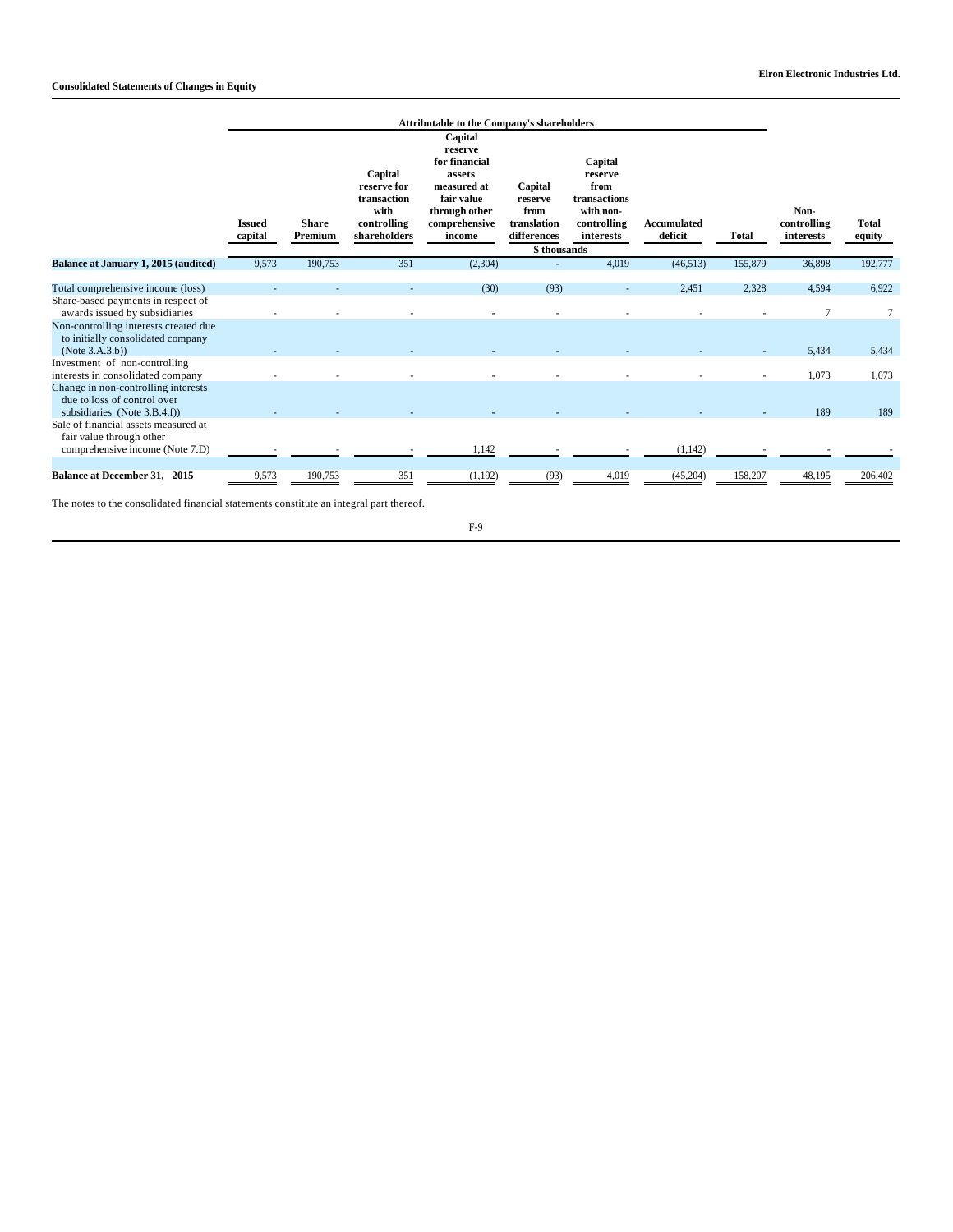| <b>Attributable to the Company's shareholders</b>                                                                                                 |                          |                         |                                                                              |                                                                                                                        |                                                                         |                                                                                     |                        |              |                                  |                        |
|---------------------------------------------------------------------------------------------------------------------------------------------------|--------------------------|-------------------------|------------------------------------------------------------------------------|------------------------------------------------------------------------------------------------------------------------|-------------------------------------------------------------------------|-------------------------------------------------------------------------------------|------------------------|--------------|----------------------------------|------------------------|
|                                                                                                                                                   | <b>Issued</b><br>capital | <b>Share</b><br>Premium | Capital<br>reserve for<br>transaction<br>with<br>controlling<br>shareholders | Capital<br>reserve<br>for financial<br>assets<br>measured at<br>fair value<br>through other<br>comprehensive<br>income | Capital<br>reserve<br>from<br>translation<br>differences<br>\$thousands | Capital<br>reserve<br>from<br>transactions<br>with non-<br>controlling<br>interests | Accumulated<br>deficit | <b>Total</b> | Non-<br>controlling<br>interests | <b>Total</b><br>equity |
| <b>Balance at January 1, 2015 (audited)</b>                                                                                                       | 9,573                    | 190,753                 | 351                                                                          | (2,304)                                                                                                                |                                                                         | 4.019                                                                               | (46,513)               | 155,879      | 36,898                           | 192,777                |
| Total comprehensive income (loss)<br>Share-based payments in respect of<br>awards issued by subsidiaries<br>Non-controlling interests created due |                          |                         |                                                                              | (30)                                                                                                                   | (93)                                                                    |                                                                                     | 2,451                  | 2,328        | 4,594<br>7                       | 6,922<br>7             |
| to initially consolidated company<br>(Note 3.A.3.b))                                                                                              |                          |                         |                                                                              |                                                                                                                        |                                                                         |                                                                                     |                        |              | 5,434                            | 5,434                  |
| Investment of non-controlling<br>interests in consolidated company<br>Change in non-controlling interests<br>due to loss of control over          |                          |                         |                                                                              |                                                                                                                        |                                                                         |                                                                                     |                        |              | 1,073                            | 1,073                  |
| subsidiaries (Note 3.B.4.f))<br>Sale of financial assets measured at<br>fair value through other<br>comprehensive income (Note 7.D)               |                          |                         |                                                                              | 1,142                                                                                                                  |                                                                         |                                                                                     | (1, 142)               |              | 189                              | 189                    |
| <b>Balance at December 31. 2015</b>                                                                                                               | 9,573                    | 190,753                 | 351                                                                          | (1,192)                                                                                                                | (93)                                                                    | 4,019                                                                               | (45,204)               | 158,207      | 48,195                           | 206,402                |

The notes to the consolidated financial statements constitute an integral part thereof.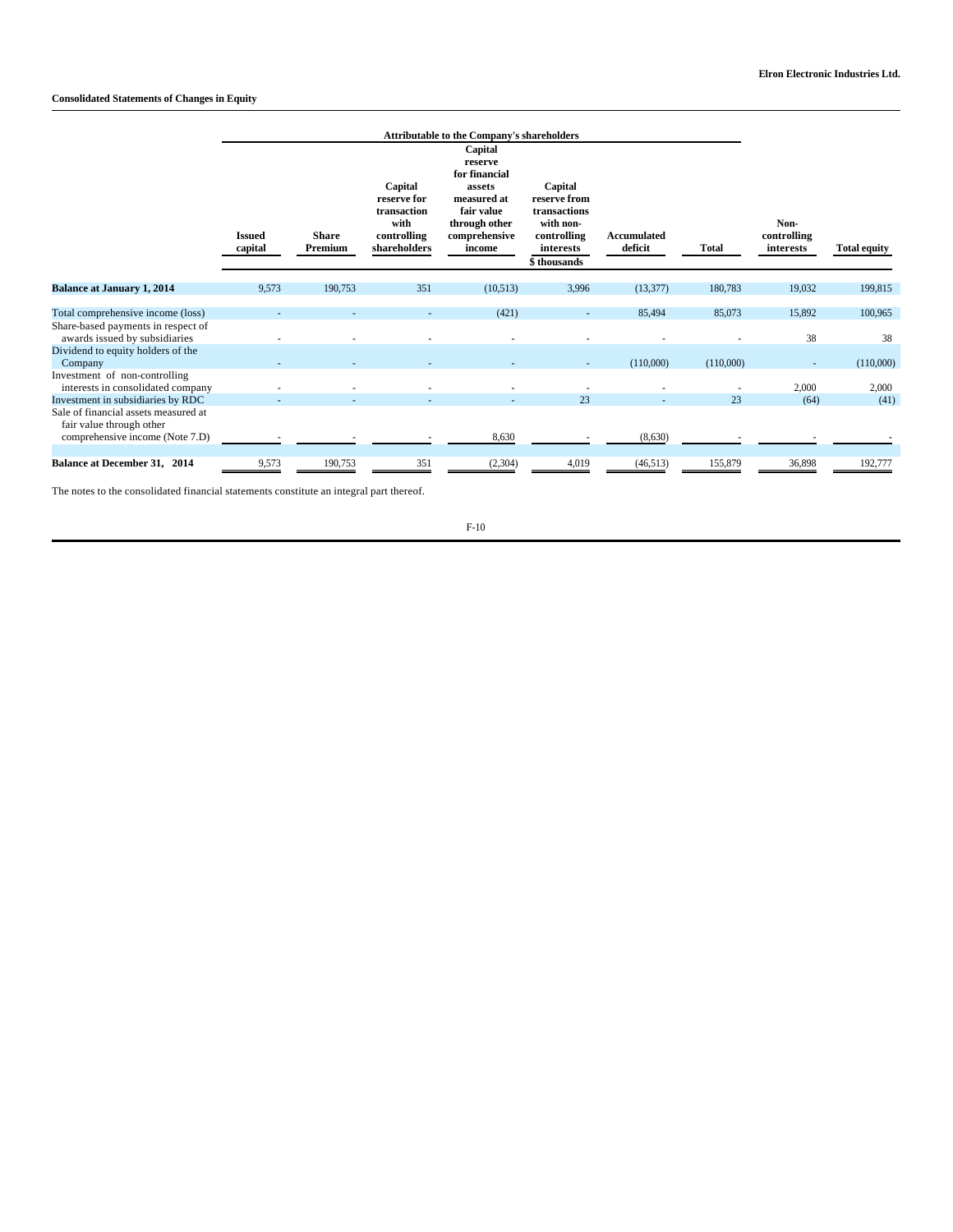# **Consolidated Statements of Changes in Equity**

|                                                                                                          |                          |                         |                                                                              | <b>Attributable to the Company's shareholders</b>                                                                      |                                                                                                  |                               |           |                                  |                     |
|----------------------------------------------------------------------------------------------------------|--------------------------|-------------------------|------------------------------------------------------------------------------|------------------------------------------------------------------------------------------------------------------------|--------------------------------------------------------------------------------------------------|-------------------------------|-----------|----------------------------------|---------------------|
|                                                                                                          | <b>Issued</b><br>capital | <b>Share</b><br>Premium | Capital<br>reserve for<br>transaction<br>with<br>controlling<br>shareholders | Capital<br>reserve<br>for financial<br>assets<br>measured at<br>fair value<br>through other<br>comprehensive<br>income | Capital<br>reserve from<br>transactions<br>with non-<br>controlling<br>interests<br>\$ thousands | <b>Accumulated</b><br>deficit | Total     | Non-<br>controlling<br>interests | <b>Total equity</b> |
| <b>Balance at January 1, 2014</b>                                                                        | 9,573                    | 190,753                 | 351                                                                          | (10,513)                                                                                                               | 3,996                                                                                            | (13, 377)                     | 180,783   | 19,032                           | 199,815             |
| Total comprehensive income (loss)<br>Share-based payments in respect of<br>awards issued by subsidiaries |                          |                         |                                                                              | (421)                                                                                                                  |                                                                                                  | 85,494                        | 85,073    | 15,892<br>38                     | 100,965<br>38       |
| Dividend to equity holders of the<br>Company                                                             |                          |                         |                                                                              |                                                                                                                        |                                                                                                  | (110,000)                     | (110,000) |                                  | (110,000)           |
| Investment of non-controlling<br>interests in consolidated company<br>Investment in subsidiaries by RDC  |                          |                         |                                                                              |                                                                                                                        | 23                                                                                               |                               | 23        | 2,000<br>(64)                    | 2,000<br>(41)       |
| Sale of financial assets measured at<br>fair value through other<br>comprehensive income (Note 7.D)      |                          |                         |                                                                              | 8,630                                                                                                                  |                                                                                                  | (8,630)                       |           |                                  |                     |
| <b>Balance at December 31, 2014</b>                                                                      | 9,573                    | 190,753                 | 351                                                                          | (2,304)                                                                                                                | 4,019                                                                                            | (46, 513)                     | 155,879   | 36,898                           | 192,777             |

The notes to the consolidated financial statements constitute an integral part thereof.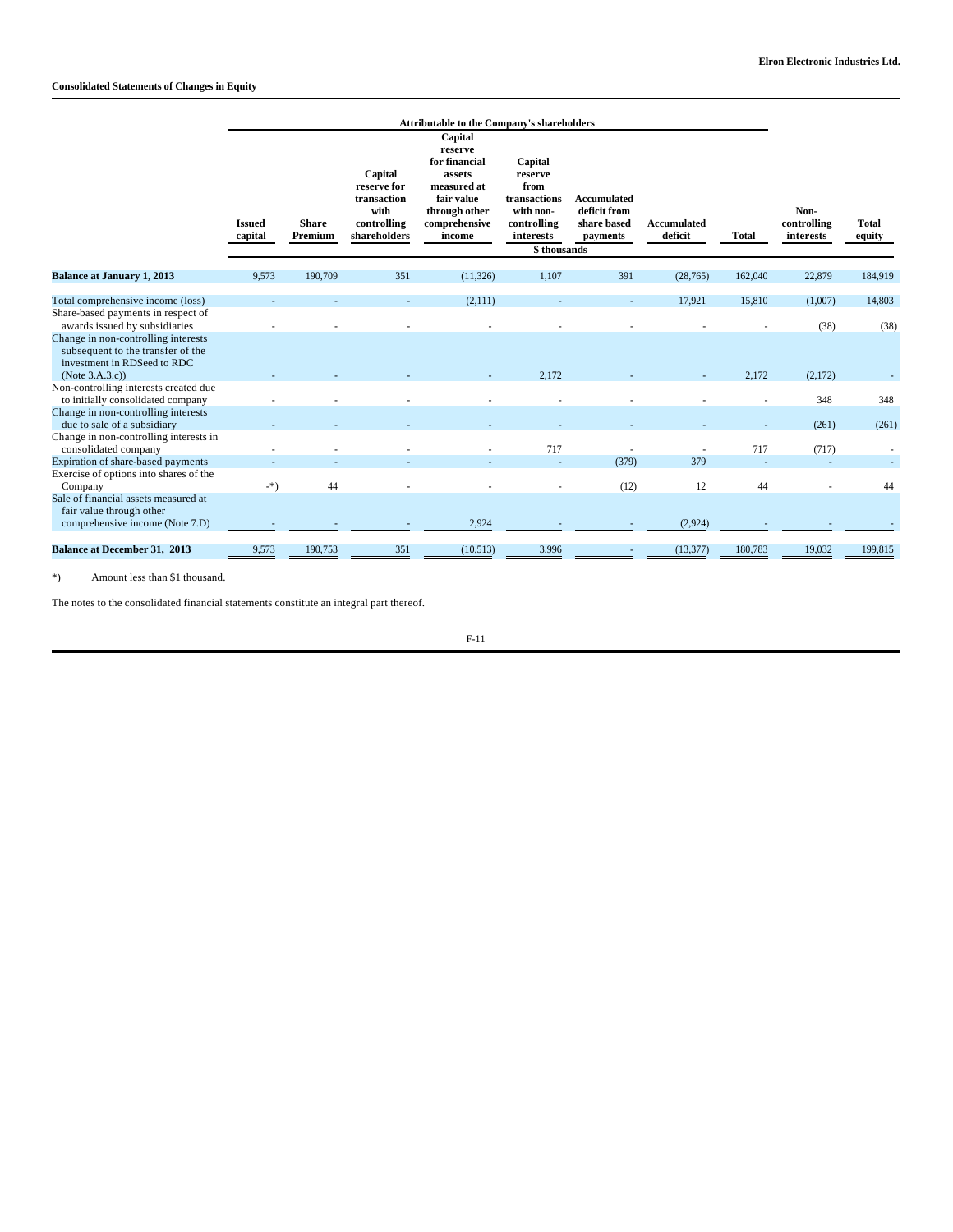| <b>Attributable to the Company's shareholders</b>                                                                         |                          |                         |                                                                              |                                                                                                                        |                                                                                                    |                                                        |                               |              |                                  |                        |
|---------------------------------------------------------------------------------------------------------------------------|--------------------------|-------------------------|------------------------------------------------------------------------------|------------------------------------------------------------------------------------------------------------------------|----------------------------------------------------------------------------------------------------|--------------------------------------------------------|-------------------------------|--------------|----------------------------------|------------------------|
|                                                                                                                           | <b>Issued</b><br>capital | <b>Share</b><br>Premium | Capital<br>reserve for<br>transaction<br>with<br>controlling<br>shareholders | Capital<br>reserve<br>for financial<br>assets<br>measured at<br>fair value<br>through other<br>comprehensive<br>income | Capital<br>reserve<br>from<br>transactions<br>with non-<br>controlling<br>interests<br>\$thousands | Accumulated<br>deficit from<br>share based<br>payments | <b>Accumulated</b><br>deficit | <b>Total</b> | Non-<br>controlling<br>interests | <b>Total</b><br>equity |
| <b>Balance at January 1, 2013</b>                                                                                         | 9,573                    | 190,709                 | 351                                                                          | (11, 326)                                                                                                              | 1,107                                                                                              | 391                                                    | (28, 765)                     | 162,040      | 22,879                           | 184,919                |
| Total comprehensive income (loss)<br>Share-based payments in respect of<br>awards issued by subsidiaries                  |                          |                         |                                                                              | (2,111)                                                                                                                |                                                                                                    |                                                        | 17,921                        | 15,810       | (1,007)<br>(38)                  | 14,803<br>(38)         |
| Change in non-controlling interests<br>subsequent to the transfer of the<br>investment in RDSeed to RDC<br>(Note 3.A.3.c) |                          |                         |                                                                              |                                                                                                                        | 2,172                                                                                              |                                                        |                               | 2,172        | (2,172)                          |                        |
| Non-controlling interests created due<br>to initially consolidated company                                                |                          |                         |                                                                              |                                                                                                                        |                                                                                                    |                                                        |                               |              | 348                              | 348                    |
| Change in non-controlling interests<br>due to sale of a subsidiary<br>Change in non-controlling interests in              |                          |                         |                                                                              |                                                                                                                        |                                                                                                    |                                                        |                               |              | (261)                            | (261)                  |
| consolidated company                                                                                                      |                          |                         |                                                                              |                                                                                                                        | 717                                                                                                |                                                        | ٠                             | 717          | (717)                            |                        |
| Expiration of share-based payments<br>Exercise of options into shares of the<br>Company                                   | $-$ *)                   | 44                      |                                                                              |                                                                                                                        |                                                                                                    | (379)<br>(12)                                          | 379<br>12                     | 44           |                                  | 44                     |
| Sale of financial assets measured at<br>fair value through other<br>comprehensive income (Note 7.D)                       |                          |                         |                                                                              | 2,924                                                                                                                  |                                                                                                    |                                                        | (2,924)                       |              |                                  |                        |
| <b>Balance at December 31, 2013</b>                                                                                       | 9,573                    | 190,753                 | 351                                                                          | (10,513)                                                                                                               | 3,996                                                                                              |                                                        | (13, 377)                     | 180,783      | 19,032                           | 199,815                |

\*) Amount less than \$1 thousand.

The notes to the consolidated financial statements constitute an integral part thereof.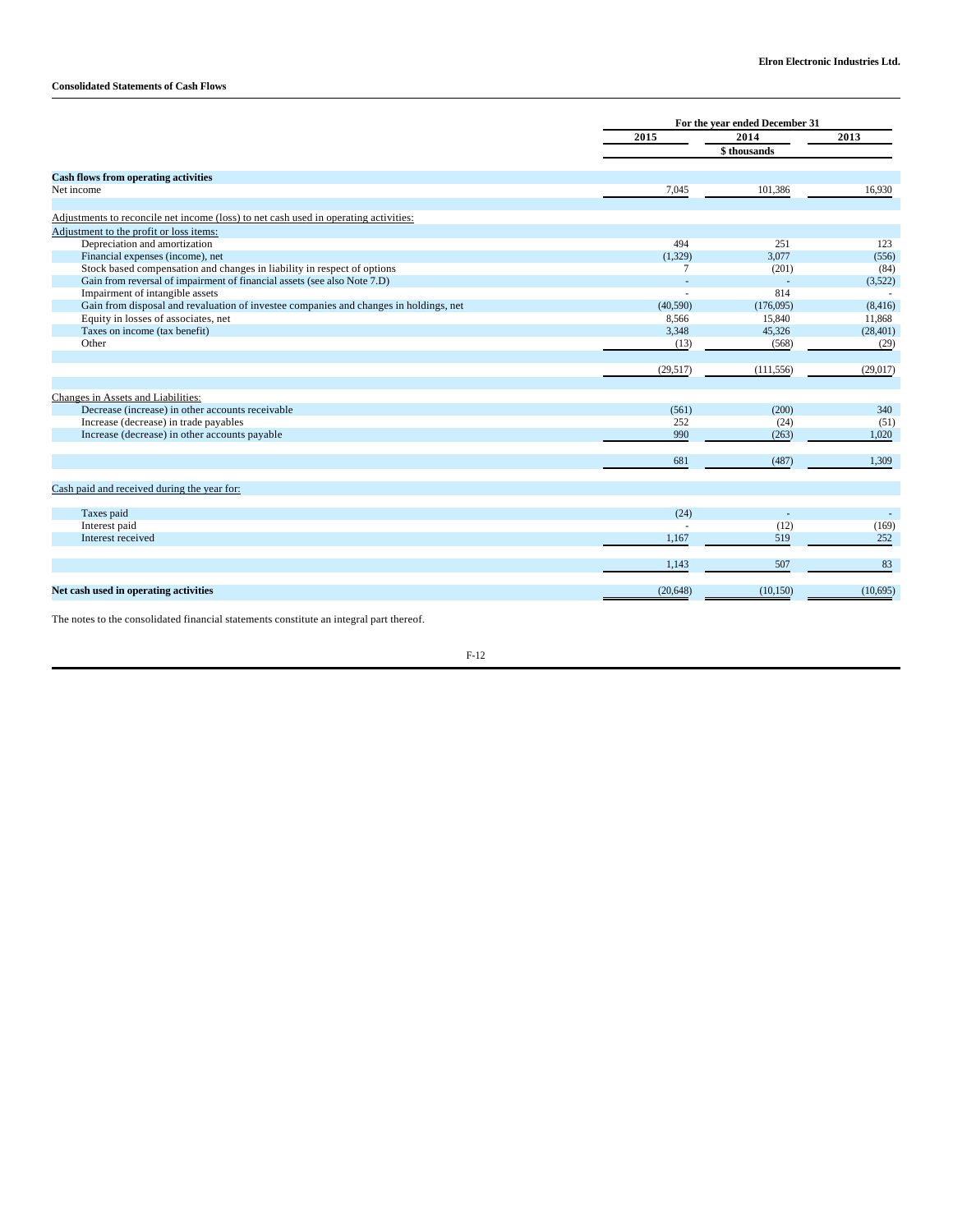# **Consolidated Statements of Cash Flows**

|                                                                                       |           | For the year ended December 31 |           |  |
|---------------------------------------------------------------------------------------|-----------|--------------------------------|-----------|--|
|                                                                                       | 2015      | 2014                           | 2013      |  |
|                                                                                       |           | \$ thousands                   |           |  |
| <b>Cash flows from operating activities</b>                                           |           |                                |           |  |
| Net income                                                                            | 7,045     | 101,386                        | 16,930    |  |
|                                                                                       |           |                                |           |  |
| Adjustments to reconcile net income (loss) to net cash used in operating activities:  |           |                                |           |  |
| Adjustment to the profit or loss items:                                               |           |                                |           |  |
| Depreciation and amortization                                                         | 494       | 251                            | 123       |  |
| Financial expenses (income), net                                                      | (1,329)   | 3,077                          | (556)     |  |
| Stock based compensation and changes in liability in respect of options               | 7         | (201)                          | (84)      |  |
| Gain from reversal of impairment of financial assets (see also Note 7.D)              |           |                                | (3,522)   |  |
| Impairment of intangible assets                                                       |           | 814                            |           |  |
| Gain from disposal and revaluation of investee companies and changes in holdings, net | (40, 590) | (176,095)                      | (8, 416)  |  |
| Equity in losses of associates, net                                                   | 8,566     | 15,840                         | 11,868    |  |
| Taxes on income (tax benefit)                                                         | 3,348     | 45.326                         | (28, 401) |  |
| Other                                                                                 | (13)      | (568)                          | (29)      |  |
|                                                                                       |           |                                |           |  |
|                                                                                       | (29, 517) | (111, 556)                     | (29, 017) |  |
|                                                                                       |           |                                |           |  |
| Changes in Assets and Liabilities:                                                    |           |                                |           |  |
| Decrease (increase) in other accounts receivable                                      | (561)     | (200)                          | 340       |  |
| Increase (decrease) in trade payables                                                 | 252       | (24)                           | (51)      |  |
| Increase (decrease) in other accounts payable                                         | 990       | (263)                          | 1,020     |  |
|                                                                                       |           |                                |           |  |
|                                                                                       | 681       | (487)                          | 1,309     |  |
|                                                                                       |           |                                |           |  |
| Cash paid and received during the year for:                                           |           |                                |           |  |
|                                                                                       |           |                                |           |  |
| Taxes paid                                                                            | (24)      |                                |           |  |
| Interest paid                                                                         |           | (12)                           | (169)     |  |
| Interest received                                                                     | 1,167     | 519                            | 252       |  |
|                                                                                       |           |                                |           |  |
|                                                                                       | 1,143     | 507                            | 83        |  |
|                                                                                       |           |                                |           |  |
| Net cash used in operating activities                                                 | (20, 648) | (10, 150)                      | (10,695)  |  |
|                                                                                       |           |                                |           |  |

The notes to the consolidated financial statements constitute an integral part thereof.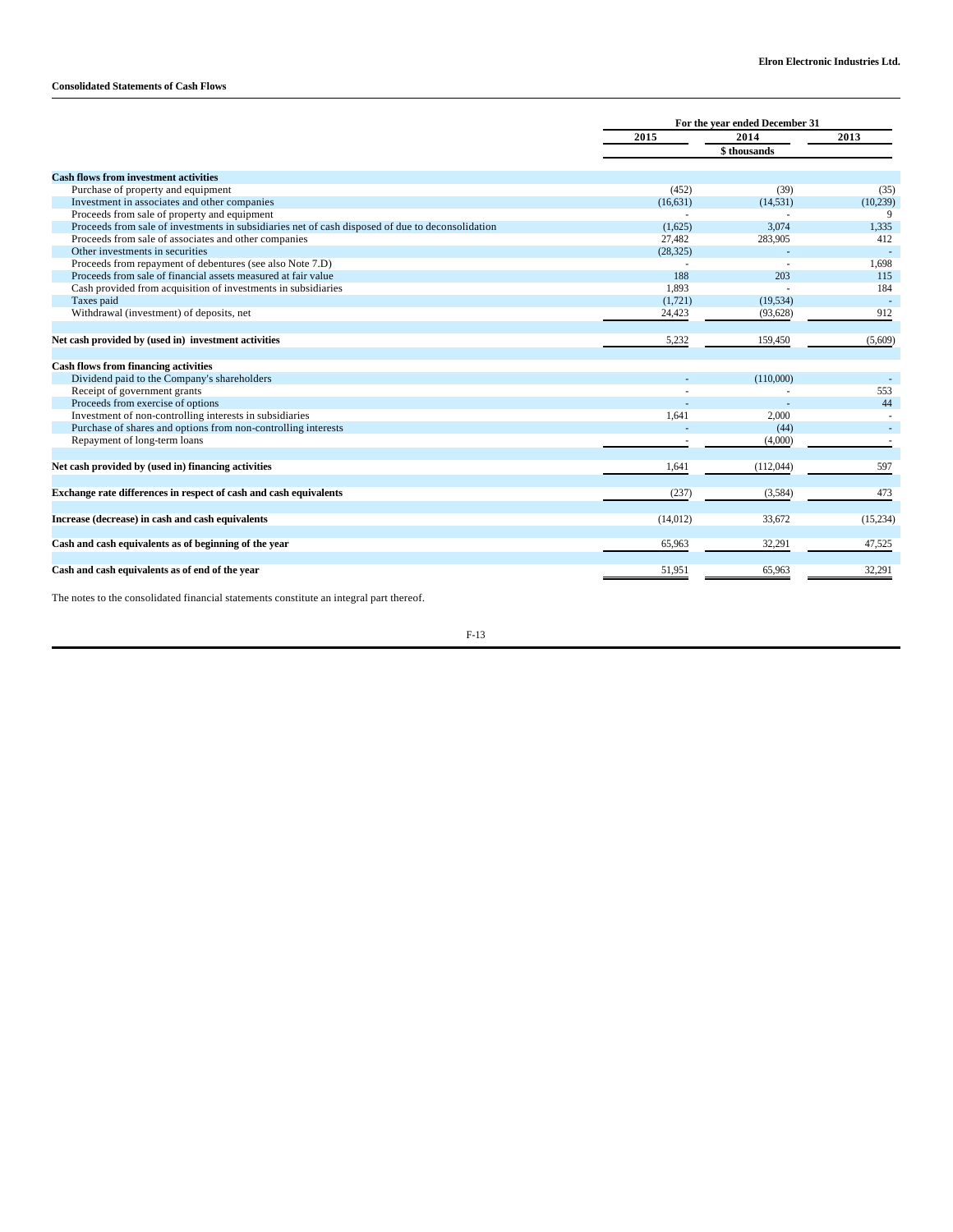# **Consolidated Statements of Cash Flows**

|                                                                                                  | For the year ended December 31 |              |          |  |
|--------------------------------------------------------------------------------------------------|--------------------------------|--------------|----------|--|
|                                                                                                  | 2015                           | 2014         | 2013     |  |
|                                                                                                  |                                | \$ thousands |          |  |
| <b>Cash flows from investment activities</b>                                                     |                                |              |          |  |
| Purchase of property and equipment                                                               | (452)                          | (39)         | (35)     |  |
| Investment in associates and other companies                                                     | (16, 631)                      | (14, 531)    | (10,239) |  |
| Proceeds from sale of property and equipment                                                     |                                |              | 9        |  |
| Proceeds from sale of investments in subsidiaries net of cash disposed of due to deconsolidation | (1,625)                        | 3.074        | 1,335    |  |
| Proceeds from sale of associates and other companies                                             | 27,482                         | 283,905      | 412      |  |
| Other investments in securities                                                                  | (28, 325)                      |              |          |  |
| Proceeds from repayment of debentures (see also Note 7.D)                                        |                                |              | 1,698    |  |
| Proceeds from sale of financial assets measured at fair value                                    | 188                            | 203          | 115      |  |
| Cash provided from acquisition of investments in subsidiaries                                    | 1,893                          |              | 184      |  |
| Taxes paid                                                                                       | (1,721)                        | (19.534)     |          |  |
| Withdrawal (investment) of deposits, net                                                         | 24,423                         | (93, 628)    | 912      |  |
|                                                                                                  |                                |              |          |  |
| Net cash provided by (used in) investment activities                                             | 5,232                          | 159,450      | (5,609)  |  |
| <b>Cash flows from financing activities</b>                                                      |                                |              |          |  |
| Dividend paid to the Company's shareholders                                                      |                                | (110,000)    |          |  |
| Receipt of government grants                                                                     |                                |              | 553      |  |
| Proceeds from exercise of options                                                                |                                |              | 44       |  |
| Investment of non-controlling interests in subsidiaries                                          | 1.641                          | 2,000        |          |  |
| Purchase of shares and options from non-controlling interests                                    |                                | (44)         |          |  |
| Repayment of long-term loans                                                                     |                                | (4,000)      |          |  |
|                                                                                                  |                                |              |          |  |
| Net cash provided by (used in) financing activities                                              | 1,641                          | (112,044)    | 597      |  |
|                                                                                                  |                                |              |          |  |
| Exchange rate differences in respect of cash and cash equivalents                                | (237)                          | (3,584)      | 473      |  |
| Increase (decrease) in cash and cash equivalents                                                 | (14,012)                       | 33,672       | (15,234) |  |
|                                                                                                  |                                |              |          |  |
| Cash and cash equivalents as of beginning of the year                                            | 65,963                         | 32,291       | 47,525   |  |
| Cash and cash equivalents as of end of the vear                                                  | 51,951                         | 65,963       | 32,291   |  |

The notes to the consolidated financial statements constitute an integral part thereof.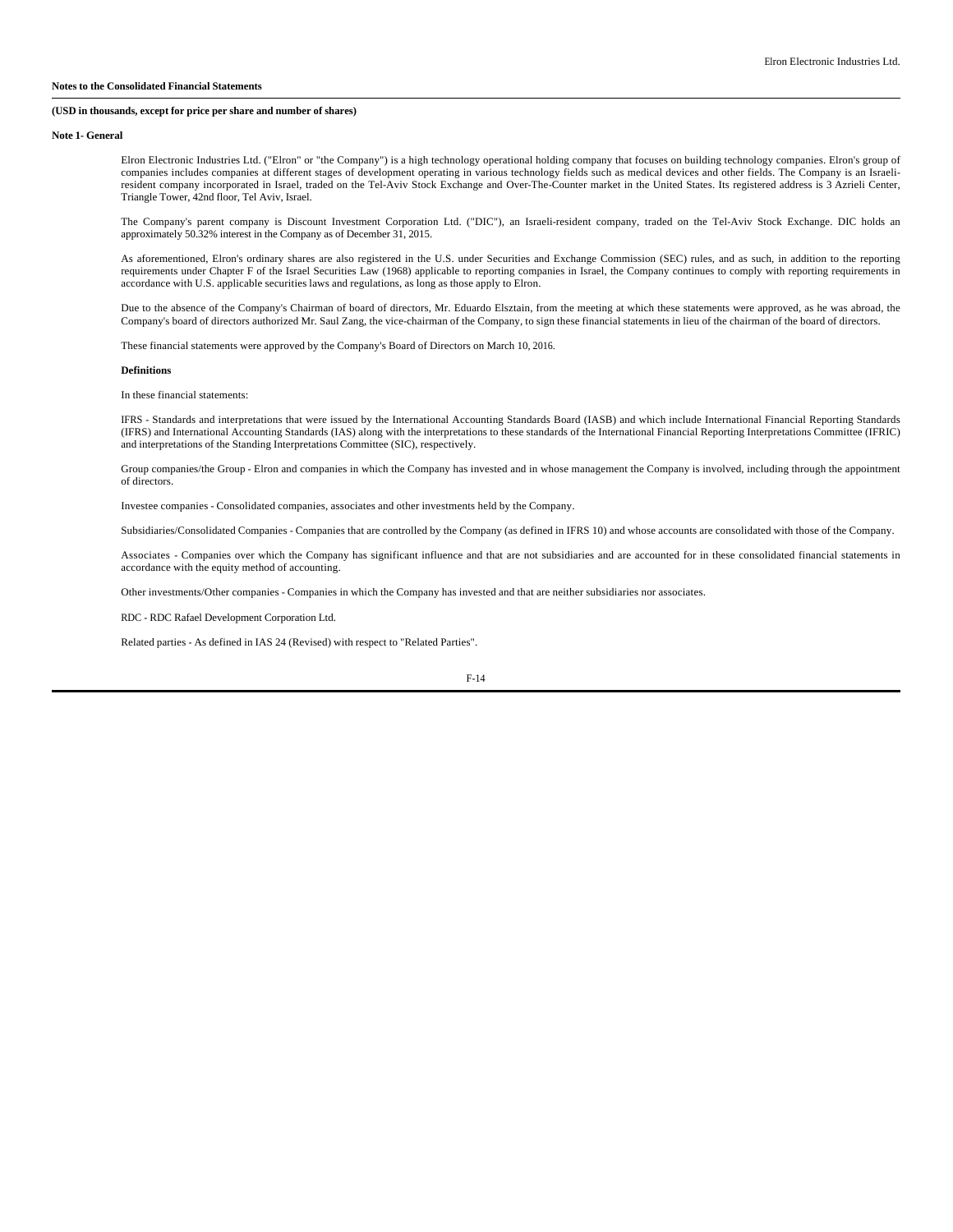### **(USD in thousands, except for price per share and number of shares)**

#### **Note 1- General**

Elron Electronic Industries Ltd. ("Elron" or "the Company") is a high technology operational holding company that focuses on building technology companies. Elron's group of companies includes companies at different stages of development operating in various technology fields such as medical devices and other fields. The Company is an Israeliresident company incorporated in Israel, traded on the Tel-Aviv Stock Exchange and Over-The-Counter market in the United States. Its registered address is 3 Azrieli Center, Triangle Tower, 42nd floor, Tel Aviv, Israel.

The Company's parent company is Discount Investment Corporation Ltd. ("DIC"), an Israeli-resident company, traded on the Tel-Aviv Stock Exchange. DIC holds an approximately 50.32% interest in the Company as of December 31, 2015.

As aforementioned, Elron's ordinary shares are also registered in the U.S. under Securities and Exchange Commission (SEC) rules, and as such, in addition to the reporting requirements under Chapter F of the Israel Securities Law (1968) applicable to reporting companies in Israel, the Company continues to comply with reporting requirements in accordance with U.S. applicable securities laws and regulations, as long as those apply to Elron.

Due to the absence of the Company's Chairman of board of directors, Mr. Eduardo Elsztain, from the meeting at which these statements were approved, as he was abroad, the Company's board of directors authorized Mr. Saul Zang, the vice-chairman of the Company, to sign these financial statements in lieu of the chairman of the board of directors.

These financial statements were approved by the Company's Board of Directors on March 10, 2016.

#### **Definitions**

#### In these financial statements:

IFRS - Standards and interpretations that were issued by the International Accounting Standards Board (IASB) and which include International Financial Reporting Standards (IFRS) and International Accounting Standards (IAS) along with the interpretations to these standards of the International Financial Reporting Interpretations Committee (IFRIC) and interpretations of the Standing Interpretations Committee (SIC), respectively.

Group companies/the Group - Elron and companies in which the Company has invested and in whose management the Company is involved, including through the appointment of directors.

Investee companies - Consolidated companies, associates and other investments held by the Company.

Subsidiaries/Consolidated Companies - Companies that are controlled by the Company (as defined in IFRS 10) and whose accounts are consolidated with those of the Company.

Associates - Companies over which the Company has significant influence and that are not subsidiaries and are accounted for in these consolidated financial statements in accordance with the equity method of accounting.

Other investments/Other companies - Companies in which the Company has invested and that are neither subsidiaries nor associates.

RDC - RDC Rafael Development Corporation Ltd.

Related parties - As defined in IAS 24 (Revised) with respect to "Related Parties".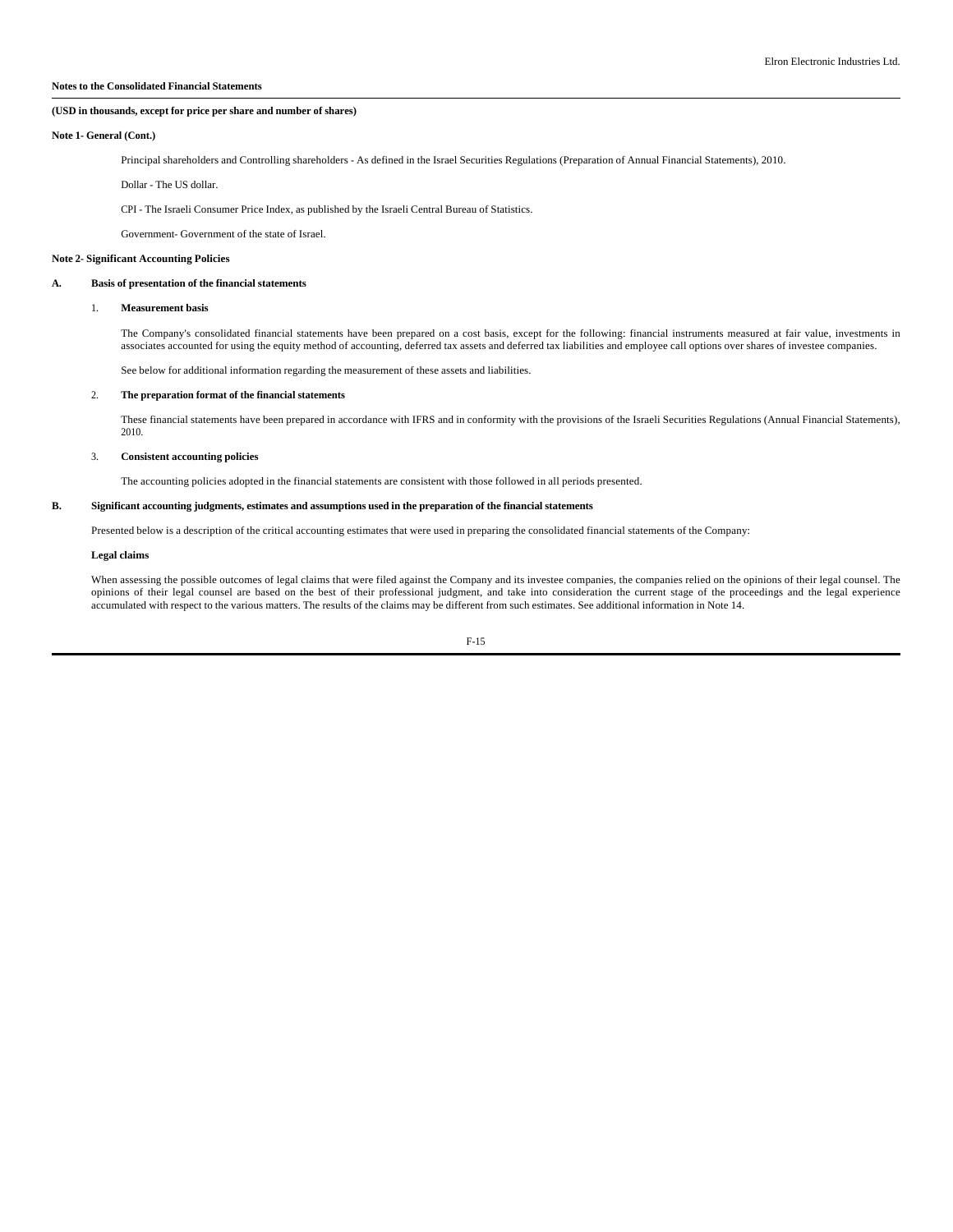## **(USD in thousands, except for price per share and number of shares)**

## **Note 1- General (Cont.)**

Principal shareholders and Controlling shareholders - As defined in the Israel Securities Regulations (Preparation of Annual Financial Statements), 2010.

Dollar - The US dollar.

CPI - The Israeli Consumer Price Index, as published by the Israeli Central Bureau of Statistics.

Government- Government of the state of Israel.

## **Note 2- Significant Accounting Policies**

## **A. Basis of presentation of the financial statements**

# 1. **Measurement basis**

The Company's consolidated financial statements have been prepared on a cost basis, except for the following: financial instruments measured at fair value, investments in associates accounted for using the equity method of accounting, deferred tax assets and deferred tax liabilities and employee call options over shares of investee companies.

See below for additional information regarding the measurement of these assets and liabilities.

### 2. **The preparation format of the financial statements**

These financial statements have been prepared in accordance with IFRS and in conformity with the provisions of the Israeli Securities Regulations (Annual Financial Statements), 2010.

#### 3. **Consistent accounting policies**

The accounting policies adopted in the financial statements are consistent with those followed in all periods presented.

## **B. Significant accounting judgments, estimates and assumptions used in the preparation of the financial statements**

Presented below is a description of the critical accounting estimates that were used in preparing the consolidated financial statements of the Company:

# **Legal claims**

When assessing the possible outcomes of legal claims that were filed against the Company and its investee companies, the companies relied on the opinions of their legal counsel. The opinions of their legal counsel are based on the best of their professional judgment, and take into consideration the current stage of the proceedings and the legal experience accumulated with respect to the various matters. The results of the claims may be different from such estimates. See additional information in Note 14.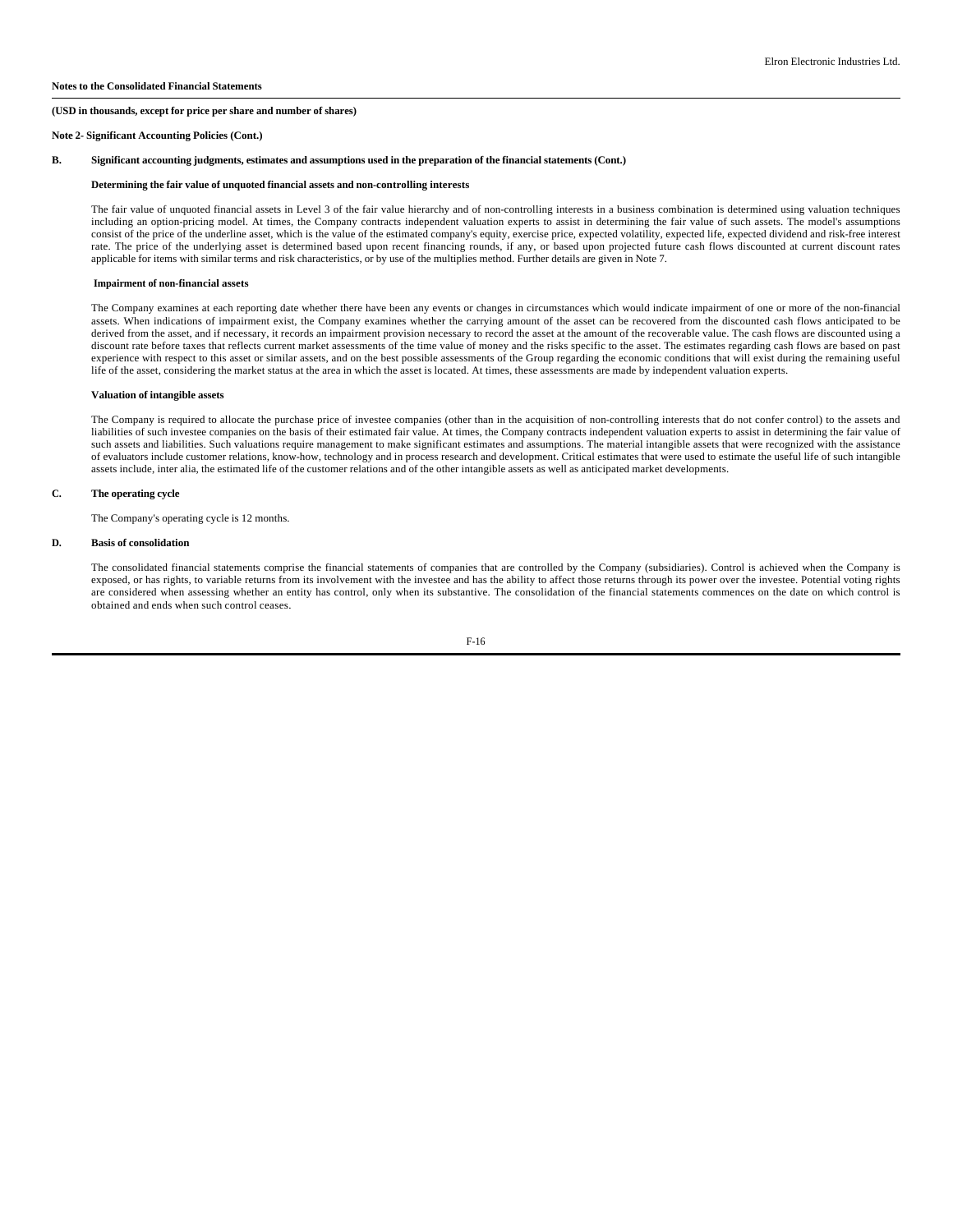### **Note 2- Significant Accounting Policies (Cont.)**

## **B. Significant accounting judgments, estimates and assumptions used in the preparation of the financial statements (Cont.)**

### **Determining the fair value of unquoted financial assets and non-controlling interests**

The fair value of unquoted financial assets in Level 3 of the fair value hierarchy and of non-controlling interests in a business combination is determined using valuation techniques including an option-pricing model. At times, the Company contracts independent valuation experts to assist in determining the fair value of such assets. The model's assumptions consist of the price of the underline asset, which is the value of the estimated company's equity, exercise price, expected volatility, expected life, expected dividend and risk-free interest rate. The price of the underlying asset is determined based upon recent financing rounds, if any, or based upon projected future cash flows discounted at current discount rates applicable for items with similar terms and risk characteristics, or by use of the multiplies method. Further details are given in Note 7.

### **Impairment of non-financial assets**

The Company examines at each reporting date whether there have been any events or changes in circumstances which would indicate impairment of one or more of the non-financial assets. When indications of impairment exist, the Company examines whether the carrying amount of the asset can be recovered from the discounted cash flows anticipated to be derived from the asset, and if necessary, it records an impairment provision necessary to record the asset at the amount of the recoverable value. The cash flows are discounted using a discount rate before taxes that reflects current market assessments of the time value of money and the risks specific to the asset. The estimates regarding cash flows are based on past experience with respect to this asset or similar assets, and on the best possible assessments of the Group regarding the economic conditions that will exist during the remaining useful life of the asset, considering the market status at the area in which the asset is located. At times, these assessments are made by independent valuation experts.

#### **Valuation of intangible assets**

The Company is required to allocate the purchase price of investee companies (other than in the acquisition of non-controlling interests that do not confer control) to the assets and liabilities of such investee companies on the basis of their estimated fair value. At times, the Company contracts independent valuation experts to assist in determining the fair value of such assets and liabilities. Such valuations require management to make significant estimates and assumptions. The material intangible assets that were recognized with the assistance of evaluators include customer relations, know-how, technology and in process research and development. Critical estimates that were used to estimate the useful life of such intangible assets include, inter alia, the estimated life of the customer relations and of the other intangible assets as well as anticipated market developments.

### **C. The operating cycle**

The Company's operating cycle is 12 months.

#### **D. Basis of consolidation**

The consolidated financial statements comprise the financial statements of companies that are controlled by the Company (subsidiaries). Control is achieved when the Company is exposed, or has rights, to variable returns from its involvement with the investee and has the ability to affect those returns through its power over the investee. Potential voting rights are considered when assessing whether an entity has control, only when its substantive. The consolidation of the financial statements commences on the date on which control is obtained and ends when such control ceases.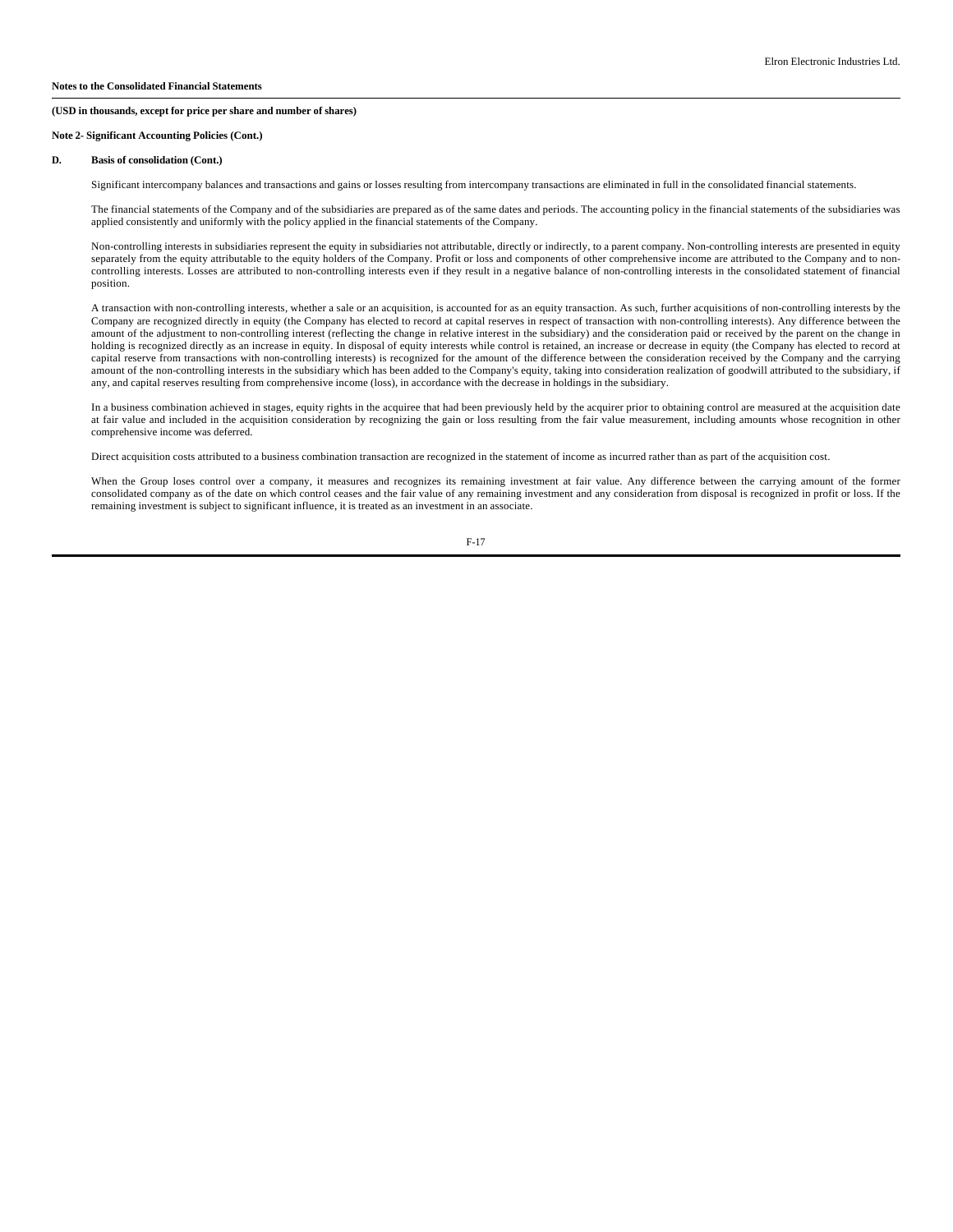## **Note 2- Significant Accounting Policies (Cont.)**

#### **D. Basis of consolidation (Cont.)**

Significant intercompany balances and transactions and gains or losses resulting from intercompany transactions are eliminated in full in the consolidated financial statements.

The financial statements of the Company and of the subsidiaries are prepared as of the same dates and periods. The accounting policy in the financial statements of the subsidiaries was applied consistently and uniformly with the policy applied in the financial statements of the Company.

Non-controlling interests in subsidiaries represent the equity in subsidiaries not attributable, directly or indirectly, to a parent company. Non-controlling interests are presented in equity separately from the equity attributable to the equity holders of the Company. Profit or loss and components of other comprehensive income are attributed to the Company and to noncontrolling interests. Losses are attributed to non-controlling interests even if they result in a negative balance of non-controlling interests in the consolidated statement of financial position.

A transaction with non-controlling interests, whether a sale or an acquisition, is accounted for as an equity transaction. As such, further acquisitions of non-controlling interests by the Company are recognized directly in equity (the Company has elected to record at capital reserves in respect of transaction with non-controlling interests). Any difference between the amount of the adjustment to non-controlling interest (reflecting the change in relative interest in the subsidiary) and the consideration paid or received by the parent on the change in holding is recognized directly as an increase in equity. In disposal of equity interests while control is retained, an increase or decrease in equity (the Company has elected to record at capital reserve from transactions with non-controlling interests) is recognized for the amount of the difference between the consideration received by the Company and the carrying amount of the non-controlling interests in the subsidiary which has been added to the Company's equity, taking into consideration realization of goodwill attributed to the subsidiary, if any, and capital reserves resulting from comprehensive income (loss), in accordance with the decrease in holdings in the subsidiary.

In a business combination achieved in stages, equity rights in the acquiree that had been previously held by the acquirer prior to obtaining control are measured at the acquisition date at fair value and included in the acquisition consideration by recognizing the gain or loss resulting from the fair value measurement, including amounts whose recognition in other comprehensive income was deferred.

Direct acquisition costs attributed to a business combination transaction are recognized in the statement of income as incurred rather than as part of the acquisition cost.

When the Group loses control over a company, it measures and recognizes its remaining investment at fair value. Any difference between the carrying amount of the former<br>consolidated company as of the date on which control remaining investment is subject to significant influence, it is treated as an investment in an associate.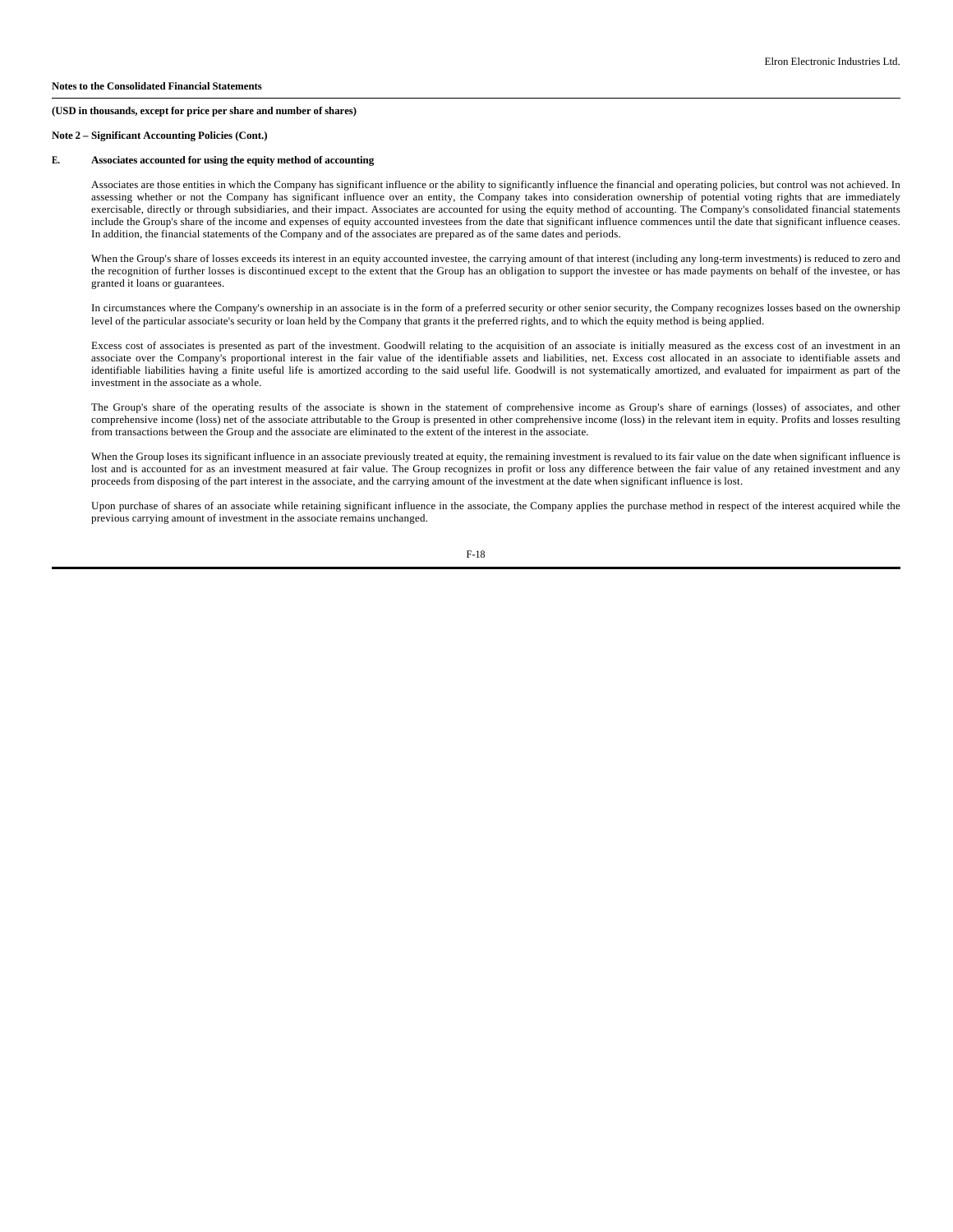### **Note 2 – Significant Accounting Policies (Cont.)**

### **E. Associates accounted for using the equity method of accounting**

Associates are those entities in which the Company has significant influence or the ability to significantly influence the financial and operating policies, but control was not achieved. In assessing whether or not the Company has significant influence over an entity, the Company takes into consideration ownership of potential voting rights that are immediately exercisable, directly or through subsidiaries, and their impact. Associates are accounted for using the equity method of accounting. The Company's consolidated financial statements include the Group's share of the income and expenses of equity accounted investees from the date that significant influence commences until the date that significant influence ceases. In addition, the financial statements of the Company and of the associates are prepared as of the same dates and periods.

When the Group's share of losses exceeds its interest in an equity accounted investee, the carrying amount of that interest (including any long-term investments) is reduced to zero and the recognition of further losses is discontinued except to the extent that the Group has an obligation to support the investee or has made payments on behalf of the investee, or has granted it loans or guarantees.

In circumstances where the Company's ownership in an associate is in the form of a preferred security or other senior security, the Company recognizes losses based on the ownership level of the particular associate's security or loan held by the Company that grants it the preferred rights, and to which the equity method is being applied.

Excess cost of associates is presented as part of the investment. Goodwill relating to the acquisition of an associate is initially measured as the excess cost of an investment in an associate over the Company's proportional interest in the fair value of the identifiable assets and liabilities, net. Excess cost allocated in an associate to identifiable assets and identifiable liabilities having a finite useful life is amortized according to the said useful life. Goodwill is not systematically amortized, and evaluated for impairment as part of the investment in the associate as a whole.

The Group's share of the operating results of the associate is shown in the statement of comprehensive income as Group's share of earnings (losses) of associates, and other comprehensive income (loss) net of the associate attributable to the Group is presented in other comprehensive income (loss) in the relevant item in equity. Profits and losses resulting from transactions between the Group and the associate are eliminated to the extent of the interest in the associate.

When the Group loses its significant influence in an associate previously treated at equity, the remaining investment is revalued to its fair value on the date when significant influence is lost and is accounted for as an investment measured at fair value. The Group recognizes in profit or loss any difference between the fair value of any retained investment and any proceeds from disposing of the part interest in the associate, and the carrying amount of the investment at the date when significant influence is lost.

Upon purchase of shares of an associate while retaining significant influence in the associate, the Company applies the purchase method in respect of the interest acquired while the previous carrying amount of investment in the associate remains unchanged.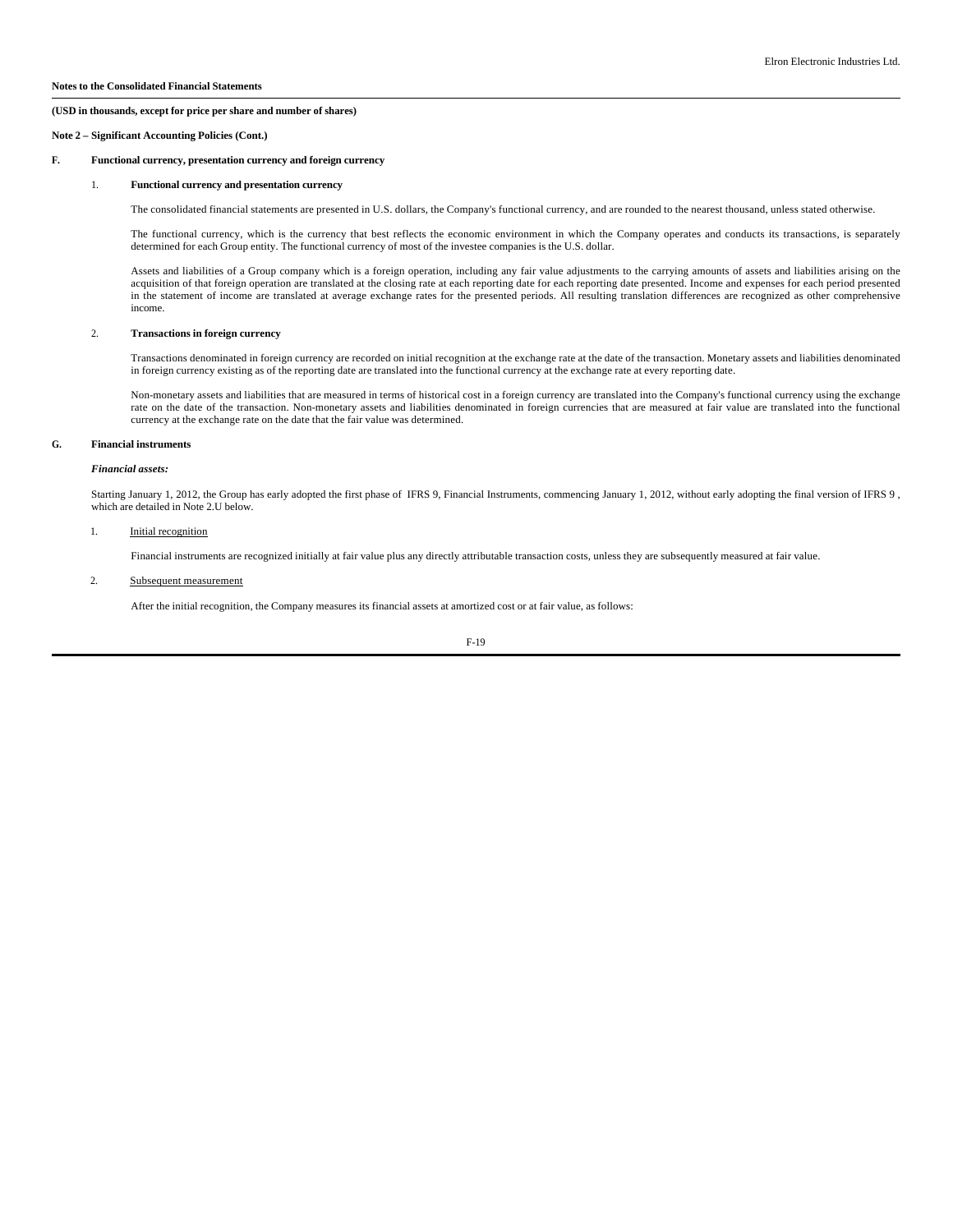## **Note 2 – Significant Accounting Policies (Cont.)**

### **F. Functional currency, presentation currency and foreign currency**

#### 1. **Functional currency and presentation currency**

The consolidated financial statements are presented in U.S. dollars, the Company's functional currency, and are rounded to the nearest thousand, unless stated otherwise.

The functional currency, which is the currency that best reflects the economic environment in which the Company operates and conducts its transactions, is separately determined for each Group entity. The functional currency of most of the investee companies is the U.S. dollar.

Assets and liabilities of a Group company which is a foreign operation, including any fair value adjustments to the carrying amounts of assets and liabilities arising on the acquisition of that foreign operation are translated at the closing rate at each reporting date for each reporting date presented. Income and expenses for each period presented in the statement of income are translated at average exchange rates for the presented periods. All resulting translation differences are recognized as other comprehensive income.

### 2. **Transactions in foreign currency**

Transactions denominated in foreign currency are recorded on initial recognition at the exchange rate at the date of the transaction. Monetary assets and liabilities denominated in foreign currency existing as of the reporting date are translated into the functional currency at the exchange rate at every reporting date.

Non-monetary assets and liabilities that are measured in terms of historical cost in a foreign currency are translated into the Company's functional currency using the exchange rate on the date of the transaction. Non-monetary assets and liabilities denominated in foreign currencies that are measured at fair value are translated into the functional currency at the exchange rate on the date that the fair value was determined.

## **G. Financial instruments**

### *Financial assets:*

Starting January 1, 2012, the Group has early adopted the first phase of IFRS 9, Financial Instruments, commencing January 1, 2012, without early adopting the final version of IFRS 9, which are detailed in Note 2.U below.

#### 1. Initial recognition

Financial instruments are recognized initially at fair value plus any directly attributable transaction costs, unless they are subsequently measured at fair value.

## 2. Subsequent measurement

After the initial recognition, the Company measures its financial assets at amortized cost or at fair value, as follows: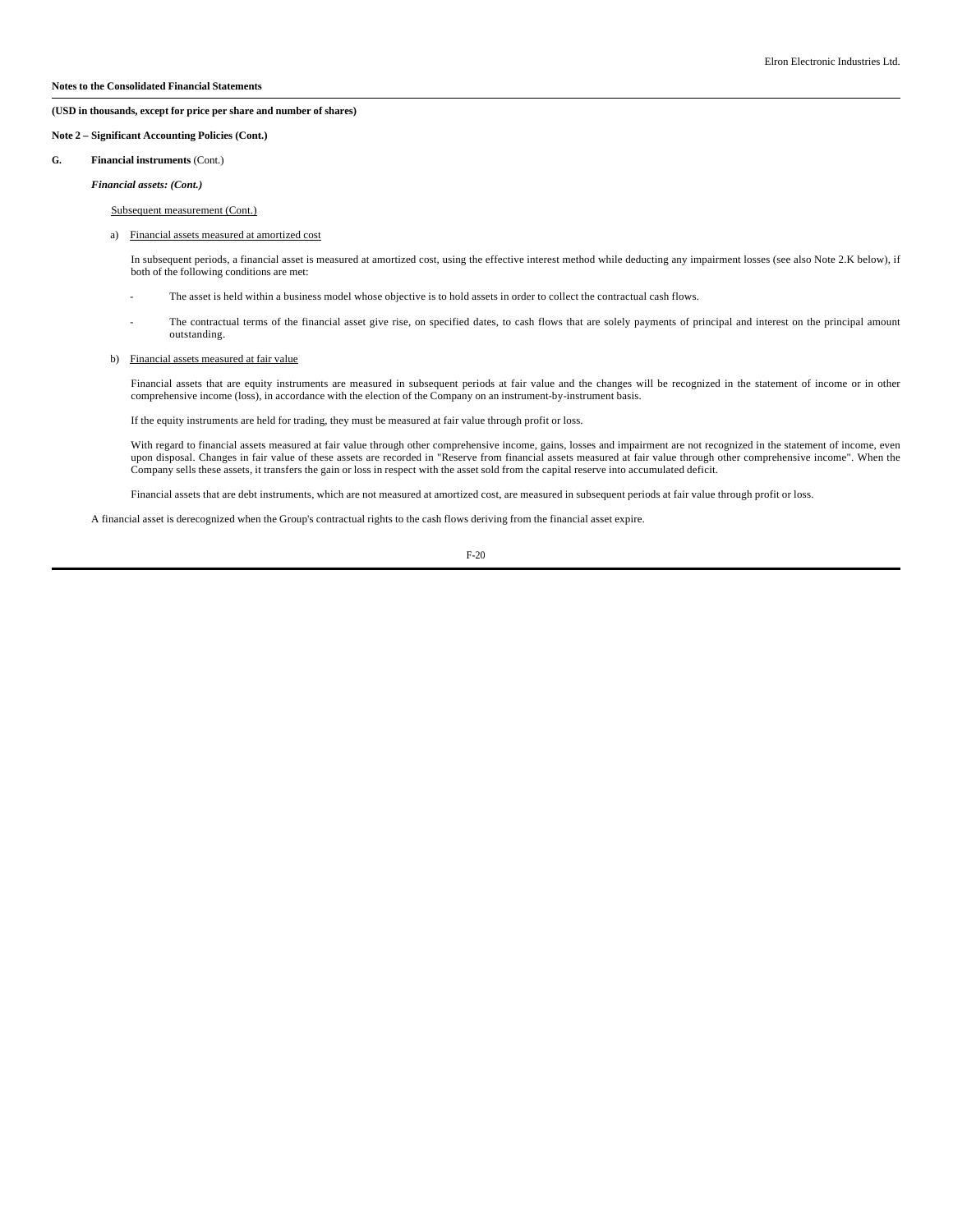## **Note 2 – Significant Accounting Policies (Cont.)**

### **G. Financial instruments** (Cont.)

### *Financial assets: (Cont.)*

Subsequent measurement (Cont.)

#### a) Financial assets measured at amortized cost

In subsequent periods, a financial asset is measured at amortized cost, using the effective interest method while deducting any impairment losses (see also Note 2.K below), if both of the following conditions are met:

- The asset is held within a business model whose objective is to hold assets in order to collect the contractual cash flows.
- The contractual terms of the financial asset give rise, on specified dates, to cash flows that are solely payments of principal and interest on the principal amount outstanding.

### b) Financial assets measured at fair value

Financial assets that are equity instruments are measured in subsequent periods at fair value and the changes will be recognized in the statement of income or in other comprehensive income (loss), in accordance with the el

If the equity instruments are held for trading, they must be measured at fair value through profit or loss.

With regard to financial assets measured at fair value through other comprehensive income, gains, losses and impairment are not recognized in the statement of income, even<br>upon disposal. Changes in fair value of these asse Company sells these assets, it transfers the gain or loss in respect with the asset sold from the capital reserve into accumulated deficit.

Financial assets that are debt instruments, which are not measured at amortized cost, are measured in subsequent periods at fair value through profit or loss.

A financial asset is derecognized when the Group's contractual rights to the cash flows deriving from the financial asset expire.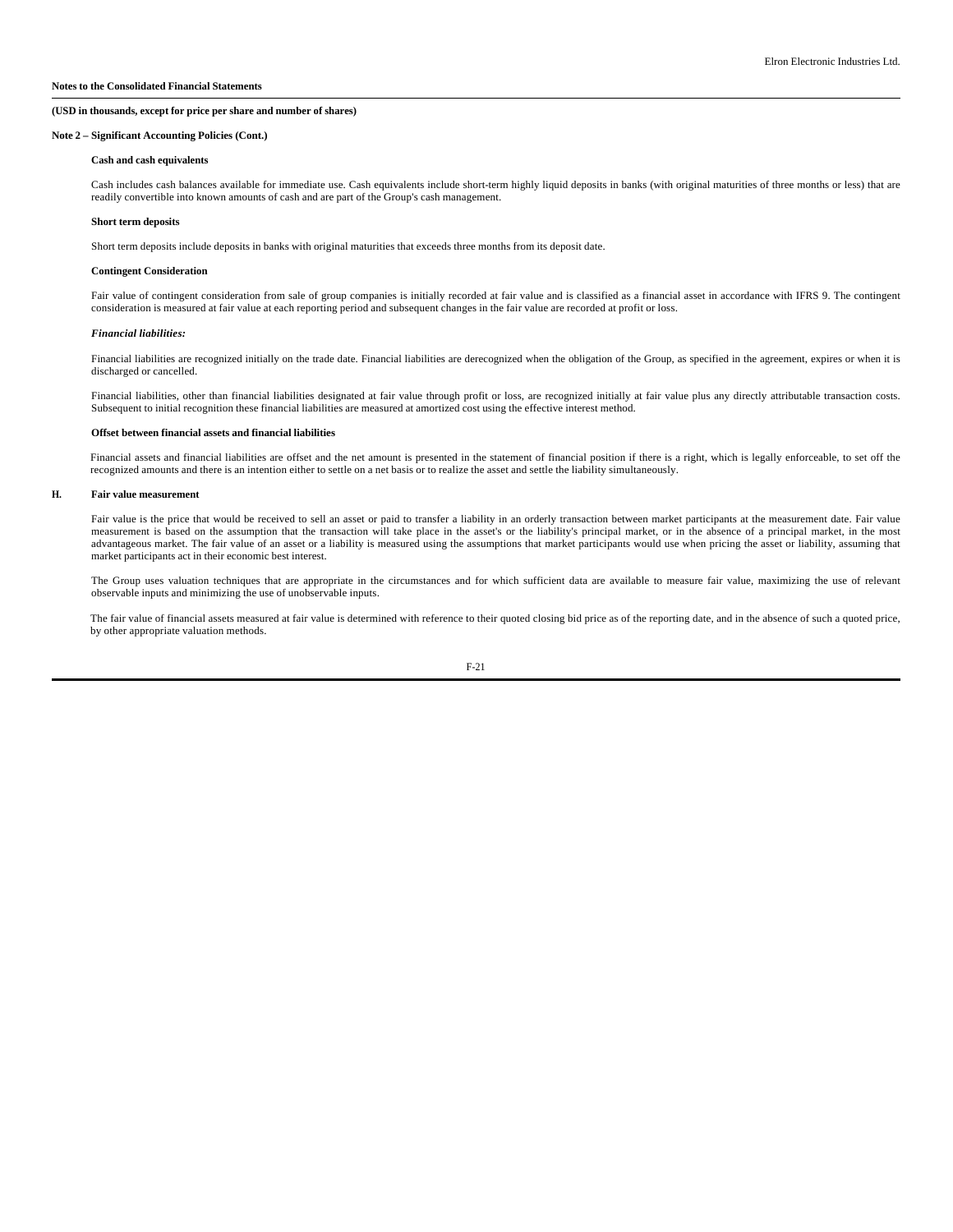## **(USD in thousands, except for price per share and number of shares)**

## **Note 2 – Significant Accounting Policies (Cont.)**

### **Cash and cash equivalents**

Cash includes cash balances available for immediate use. Cash equivalents include short-term highly liquid deposits in banks (with original maturities of three months or less) that are readily convertible into known amounts of cash and are part of the Group's cash management.

### **Short term deposits**

Short term deposits include deposits in banks with original maturities that exceeds three months from its deposit date.

### **Contingent Consideration**

Fair value of contingent consideration from sale of group companies is initially recorded at fair value and is classified as a financial asset in accordance with IFRS 9. The contingent consideration is measured at fair value at each reporting period and subsequent changes in the fair value are recorded at profit or loss.

### *Financial liabilities:*

Financial liabilities are recognized initially on the trade date. Financial liabilities are derecognized when the obligation of the Group, as specified in the agreement, expires or when it is discharged or cancelled.

Financial liabilities, other than financial liabilities designated at fair value through profit or loss, are recognized initially at fair value plus any directly attributable transaction costs. Subsequent to initial recognition these financial liabilities are measured at amortized cost using the effective interest method.

#### **Offset between financial assets and financial liabilities**

Financial assets and financial liabilities are offset and the net amount is presented in the statement of financial position if there is a right, which is legally enforceable, to set off the recognized amounts and there is an intention either to settle on a net basis or to realize the asset and settle the liability simultaneously.

## **H. Fair value measurement**

Fair value is the price that would be received to sell an asset or paid to transfer a liability in an orderly transaction between market participants at the measurement date. Fair value measurement is based on the assumption that the transaction will take place in the asset's or the liability's principal market, or in the absence of a principal market, in the most advantageous market. The fair value of an asset or a liability is measured using the assumptions that market participants would use when pricing the asset or liability, assuming that market participants act in their economic best interest.

The Group uses valuation techniques that are appropriate in the circumstances and for which sufficient data are available to measure fair value, maximizing the use of relevant observable inputs and minimizing the use of unobservable inputs.

 The fair value of financial assets measured at fair value is determined with reference to their quoted closing bid price as of the reporting date, and in the absence of such a quoted price, by other appropriate valuation methods.

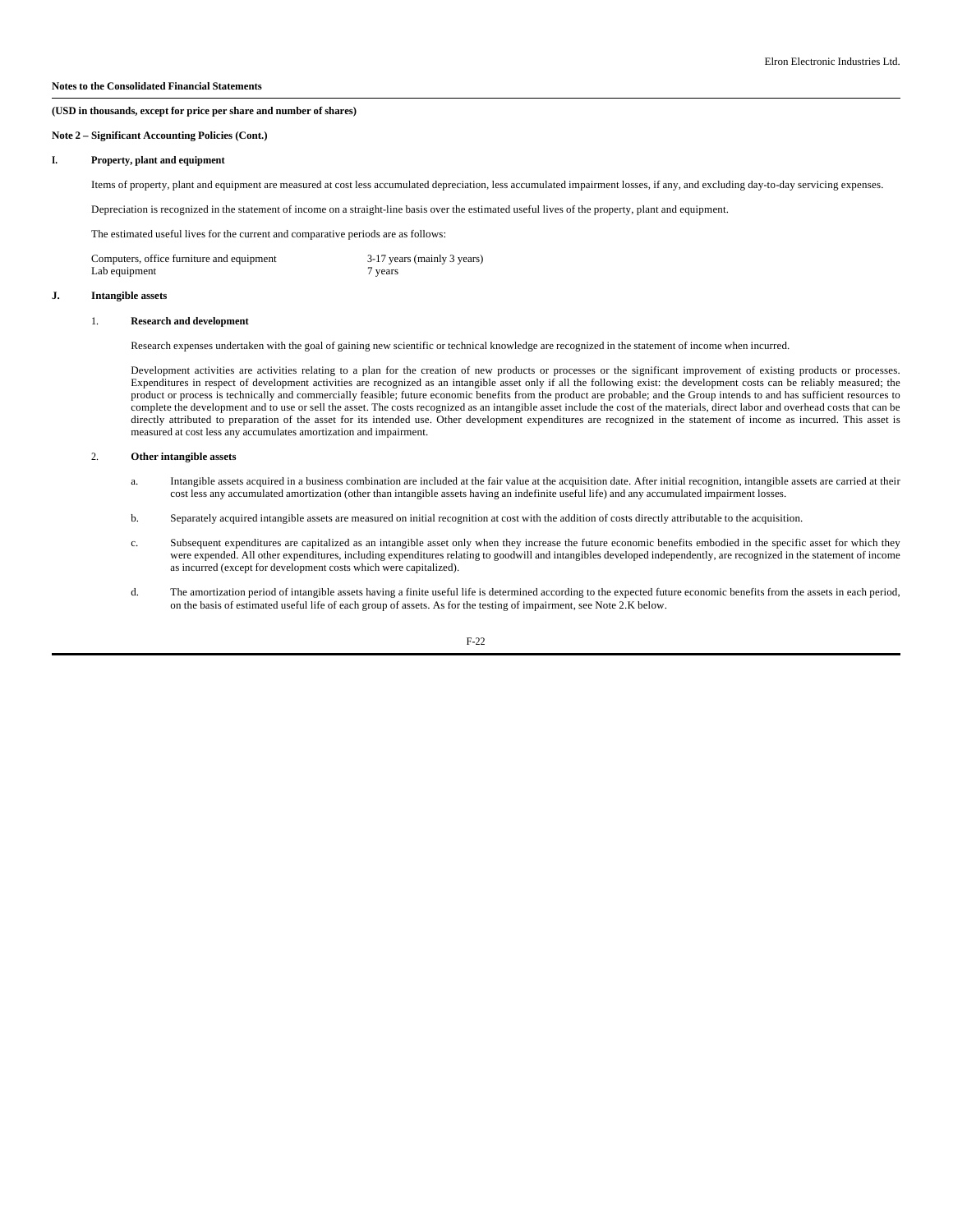**(USD in thousands, except for price per share and number of shares)**

## **Note 2 – Significant Accounting Policies (Cont.)**

### **I. Property, plant and equipment**

Items of property, plant and equipment are measured at cost less accumulated depreciation, less accumulated impairment losses, if any, and excluding day-to-day servicing expenses.

Depreciation is recognized in the statement of income on a straight-line basis over the estimated useful lives of the property, plant and equipment.

The estimated useful lives for the current and comparative periods are as follows:

| Computers, office furniture and equipment | 3-17 years (mainly 3 years) |
|-------------------------------------------|-----------------------------|
| Lab equipment                             | 7 years                     |

#### **J. Intangible assets**

#### 1. **Research and development**

Research expenses undertaken with the goal of gaining new scientific or technical knowledge are recognized in the statement of income when incurred.

Development activities are activities relating to a plan for the creation of new products or processes or the significant improvement of existing products or processes. Expenditures in respect of development activities are recognized as an intangible asset only if all the following exist: the development costs can be reliably measured; the product or process is technically and commercially feasible; future economic benefits from the product are probable; and the Group intends to and has sufficient resources to complete the development and to use or sell the asset. The costs recognized as an intangible asset include the cost of the materials, direct labor and overhead costs that can be directly attributed to preparation of the asset for its intended use. Other development expenditures are recognized in the statement of income as incurred. This asset is measured at cost less any accumulates amortization and impairment.

#### 2. **Other intangible assets**

- a. Intangible assets acquired in a business combination are included at the fair value at the acquisition date. After initial recognition, intangible assets are carried at their cost less any accumulated amortization (other than intangible assets having an indefinite useful life) and any accumulated impairment losses.
- b. Separately acquired intangible assets are measured on initial recognition at cost with the addition of costs directly attributable to the acquisition.
- c. Subsequent expenditures are capitalized as an intangible asset only when they increase the future economic benefits embodied in the specific asset for which they were expended. All other expenditures, including expenditures relating to goodwill and intangibles developed independently, are recognized in the statement of income as incurred (except for development costs which were capitalized).
- d. The amortization period of intangible assets having a finite useful life is determined according to the expected future economic benefits from the assets in each period, on the basis of estimated useful life of each group of assets. As for the testing of impairment, see Note 2.K below.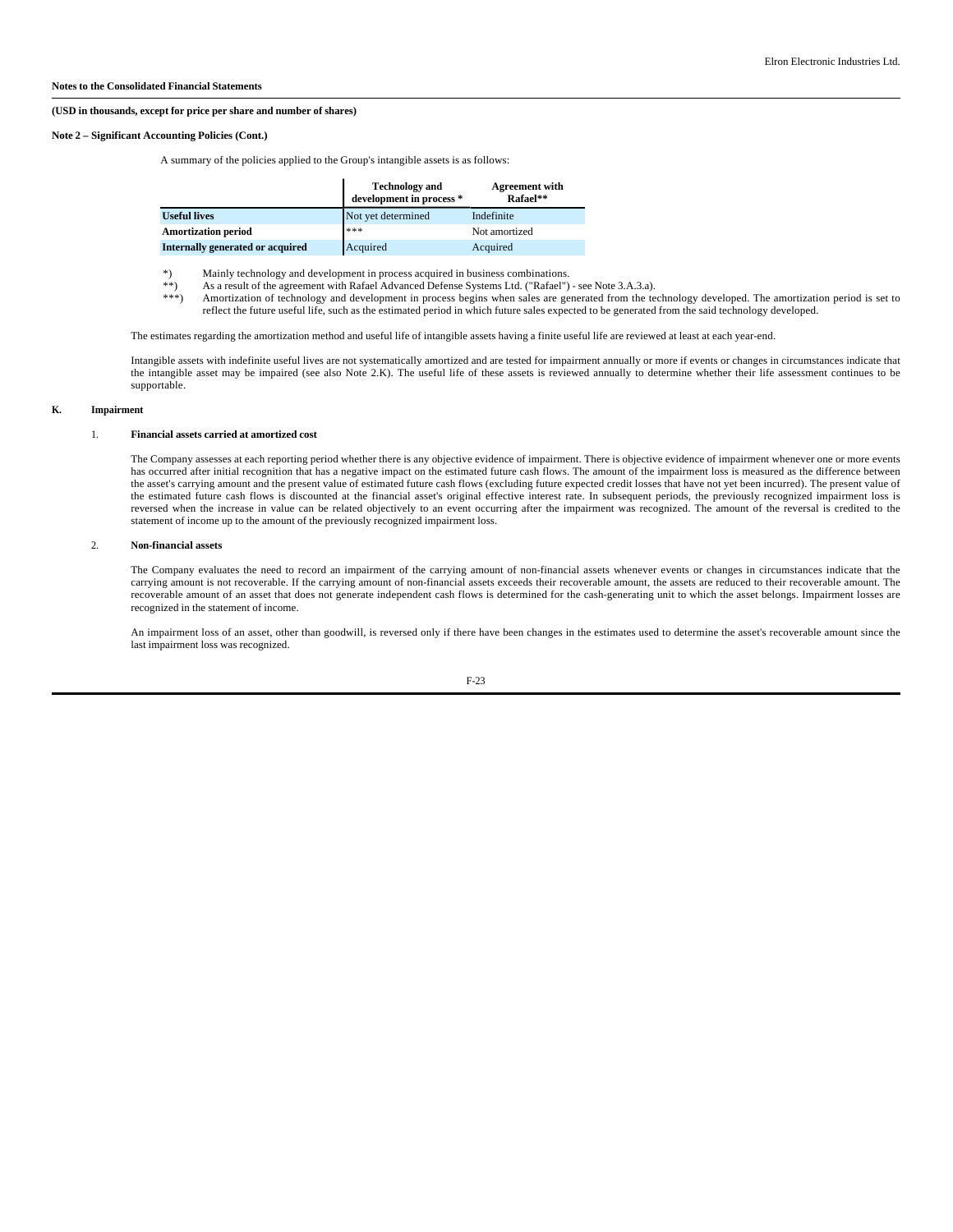## **Note 2 – Significant Accounting Policies (Cont.)**

A summary of the policies applied to the Group's intangible assets is as follows:

|                                  | <b>Technology and</b><br>development in process * | <b>Agreement with</b><br>Rafael** |
|----------------------------------|---------------------------------------------------|-----------------------------------|
| <b>Useful lives</b>              | Not yet determined                                | Indefinite                        |
| <b>Amortization period</b>       | ***                                               | Not amortized                     |
| Internally generated or acquired | Acquired                                          | Acquired                          |

\*) Mainly technology and development in process acquired in business combinations.<br>\*\*) As a result of the agreement with Rafael Advanced Defense Systems I td. ("Rafael")

- \*\*) As a result of the agreement with Rafael Advanced Defense Systems Ltd. ("Rafael") see Note 3.A.3.a).<br>\*\*\*) Amortization of technology and development in process begins when sales are generated from the te Amortization of technology and development in process begins when sales are generated from the technology developed. The amortization period is set to
- reflect the future useful life, such as the estimated period in which future sales expected to be generated from the said technology developed.

The estimates regarding the amortization method and useful life of intangible assets having a finite useful life are reviewed at least at each year-end.

Intangible assets with indefinite useful lives are not systematically amortized and are tested for impairment annually or more if events or changes in circumstances indicate that the intangible asset may be impaired (see also Note 2.K). The useful life of these assets is reviewed annually to determine whether their life assessment continues to be supportable.

### **K. Impairment**

## 1. **Financial assets carried at amortized cost**

The Company assesses at each reporting period whether there is any objective evidence of impairment. There is objective evidence of impairment whenever one or more events has occurred after initial recognition that has a negative impact on the estimated future cash flows. The amount of the impairment loss is measured as the difference between the asset's carrying amount and the present value of estimated future cash flows (excluding future expected credit losses that have not yet been incurred). The present value of the estimated future cash flows is discounted at the financial asset's original effective interest rate. In subsequent periods, the previously recognized impairment loss is reversed when the increase in value can be related objectively to an event occurring after the impairment was recognized. The amount of the reversal is credited to the statement of income up to the amount of the previously recognized impairment loss.

### 2. **Non-financial assets**

The Company evaluates the need to record an impairment of the carrying amount of non-financial assets whenever events or changes in circumstances indicate that the carrying amount is not recoverable. If the carrying amount of non-financial assets exceeds their recoverable amount, the assets are reduced to their recoverable amount. The recoverable amount of an asset that does not generate independent cash flows is determined for the cash-generating unit to which the asset belongs. Impairment losses are recognized in the statement of income.

An impairment loss of an asset, other than goodwill, is reversed only if there have been changes in the estimates used to determine the asset's recoverable amount since the last impairment loss was recognized.

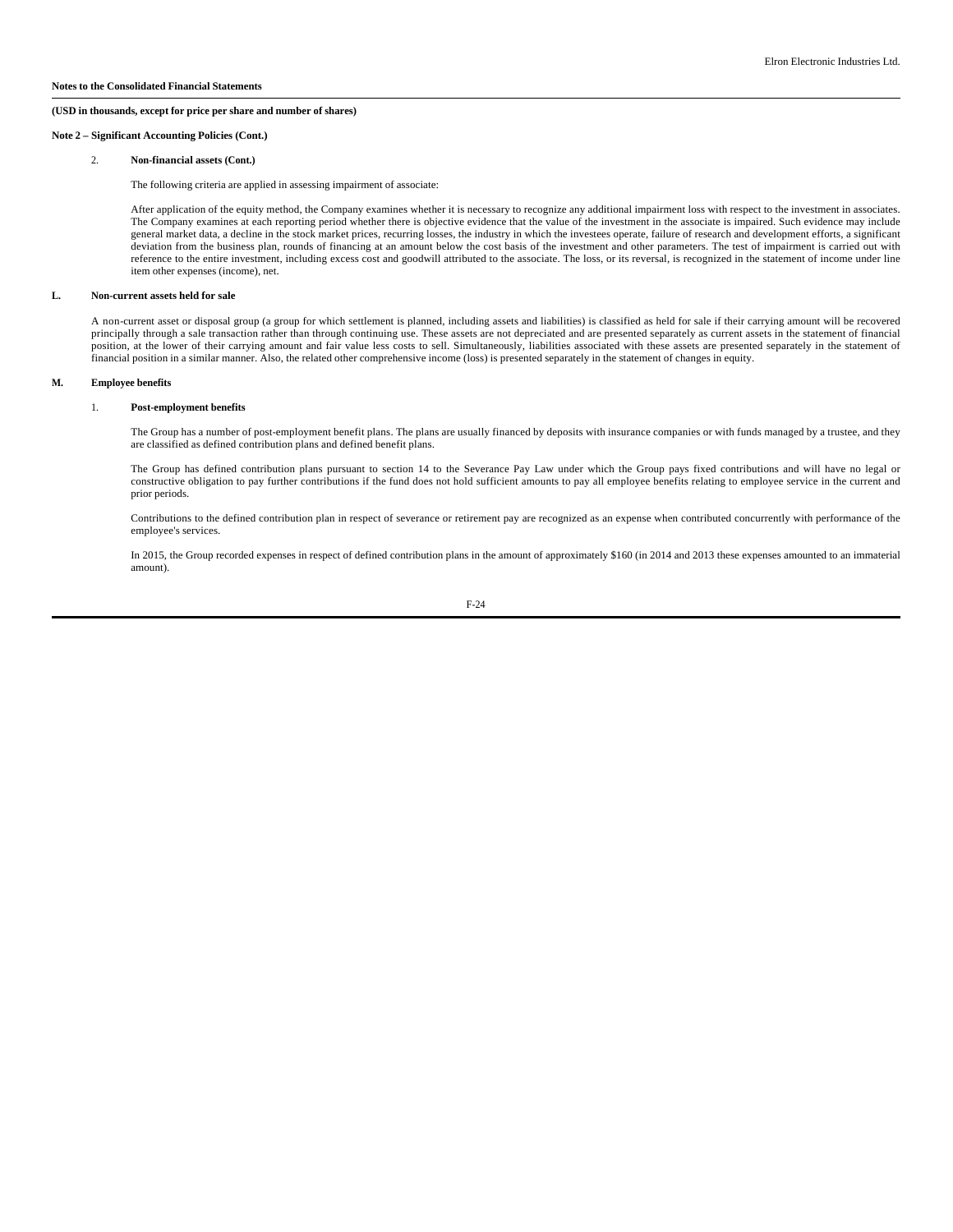## **Note 2 – Significant Accounting Policies (Cont.)**

### 2. **Non-financial assets (Cont.)**

The following criteria are applied in assessing impairment of associate:

After application of the equity method, the Company examines whether it is necessary to recognize any additional impairment loss with respect to the investment in associates. The Company examines at each reporting period whether there is objective evidence that the value of the investment in the associate is impaired. Such evidence may include general market data, a decline in the stock market prices, recurring losses, the industry in which the investees operate, failure of research and development efforts, a significant deviation from the business plan, rounds of financing at an amount below the cost basis of the investment and other parameters. The test of impairment is carried out with reference to the entire investment, including excess cost and goodwill attributed to the associate. The loss, or its reversal, is recognized in the statement of income under line item other expenses (income), net.

### **L. Non-current assets held for sale**

A non-current asset or disposal group (a group for which settlement is planned, including assets and liabilities) is classified as held for sale if their carrying amount will be recovered principally through a sale transaction rather than through continuing use. These assets are not depreciated and are presented separately as current assets in the statement of financial position, at the lower of their carrying amount and fair value less costs to sell. Simultaneously, liabilities associated with these assets are presented separately in the statement of financial position in a similar manner. Also, the related other comprehensive income (loss) is presented separately in the statement of changes in equity.

### **M. Employee benefits**

#### 1. **Post-employment benefits**

The Group has a number of post-employment benefit plans. The plans are usually financed by deposits with insurance companies or with funds managed by a trustee, and they are classified as defined contribution plans and defined benefit plans.

The Group has defined contribution plans pursuant to section 14 to the Severance Pay Law under which the Group pays fixed contributions and will have no legal or constructive obligation to pay further contributions if the fund does not hold sufficient amounts to pay all employee benefits relating to employee service in the current and prior periods.

Contributions to the defined contribution plan in respect of severance or retirement pay are recognized as an expense when contributed concurrently with performance of the employee's services.

In 2015, the Group recorded expenses in respect of defined contribution plans in the amount of approximately \$160 (in 2014 and 2013 these expenses amounted to an immaterial amount).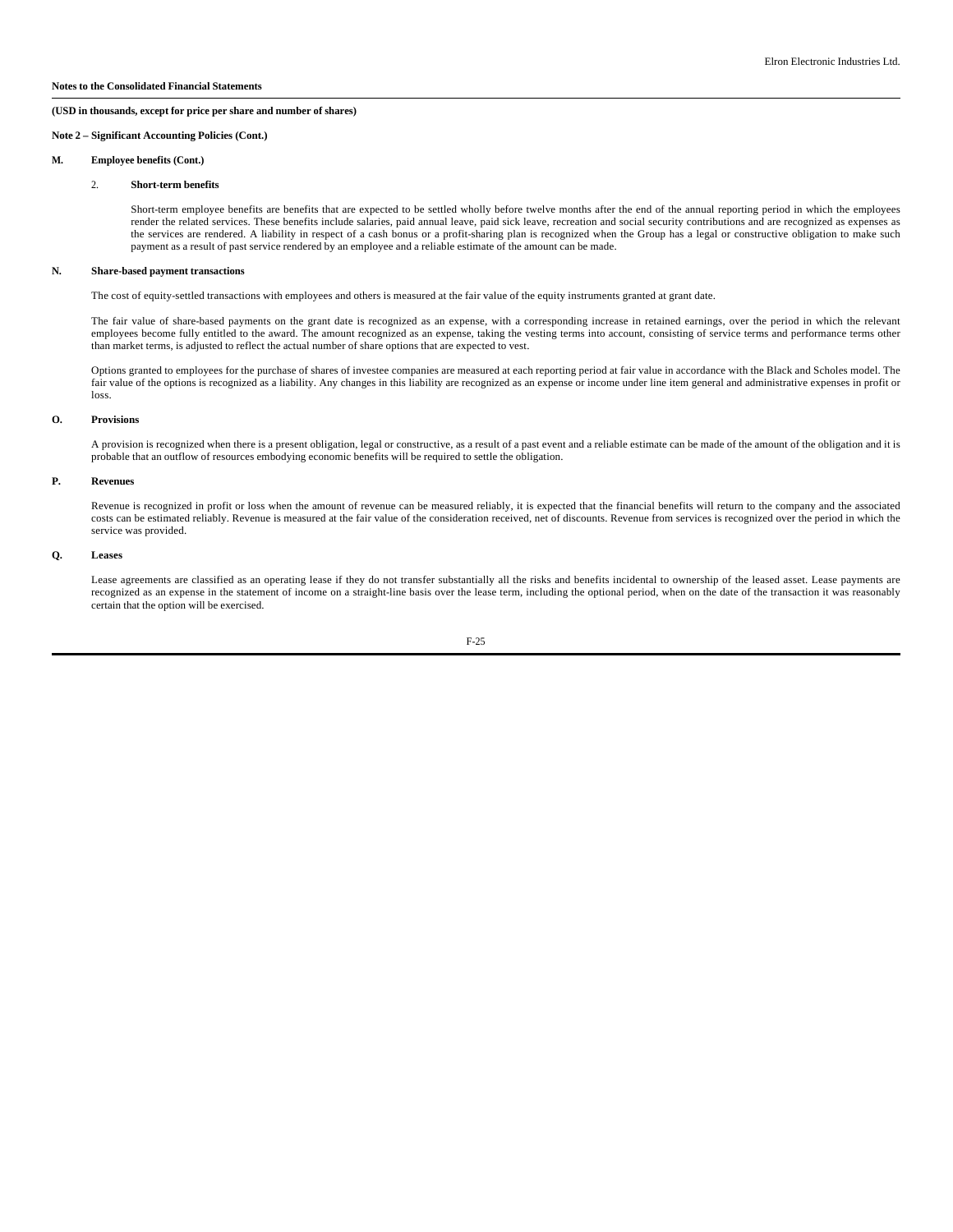## **Note 2 – Significant Accounting Policies (Cont.)**

### **M. Employee benefits (Cont.)**

#### 2. **Short-term benefits**

Short-term employee benefits are benefits that are expected to be settled wholly before twelve months after the end of the annual reporting period in which the employees render the related services. These benefits include salaries, paid annual leave, paid sick leave, recreation and social security contributions and are recognized as expenses as the services are rendered. A liability in respect of a cash bonus or a profit-sharing plan is recognized when the Group has a legal or constructive obligation to make such payment as a result of past service rendered by an employee and a reliable estimate of the amount can be made.

# **N. Share-based payment transactions**

The cost of equity-settled transactions with employees and others is measured at the fair value of the equity instruments granted at grant date.

The fair value of share-based payments on the grant date is recognized as an expense, with a corresponding increase in retained earnings, over the period in which the relevant employees become fully entitled to the award. The amount recognized as an expense, taking the vesting terms into account, consisting of service terms and performance terms other than market terms, is adjusted to reflect the actual number of share options that are expected to vest.

Options granted to employees for the purchase of shares of investee companies are measured at each reporting period at fair value in accordance with the Black and Scholes model. The fair value of the options is recognized as a liability. Any changes in this liability are recognized as an expense or income under line item general and administrative expenses in profit or loss.

### **O. Provisions**

A provision is recognized when there is a present obligation, legal or constructive, as a result of a past event and a reliable estimate can be made of the amount of the obligation and it is probable that an outflow of resources embodying economic benefits will be required to settle the obligation.

# **P. Revenues**

Revenue is recognized in profit or loss when the amount of revenue can be measured reliably, it is expected that the financial benefits will return to the company and the associated costs can be estimated reliably. Revenue is measured at the fair value of the consideration received, net of discounts. Revenue from services is recognized over the period in which the service was provided.

### **Q. Leases**

Lease agreements are classified as an operating lease if they do not transfer substantially all the risks and benefits incidental to ownership of the leased asset. Lease payments are recognized as an expense in the statement of income on a straight-line basis over the lease term, including the optional period, when on the date of the transaction it was reasonably certain that the option will be exercised.

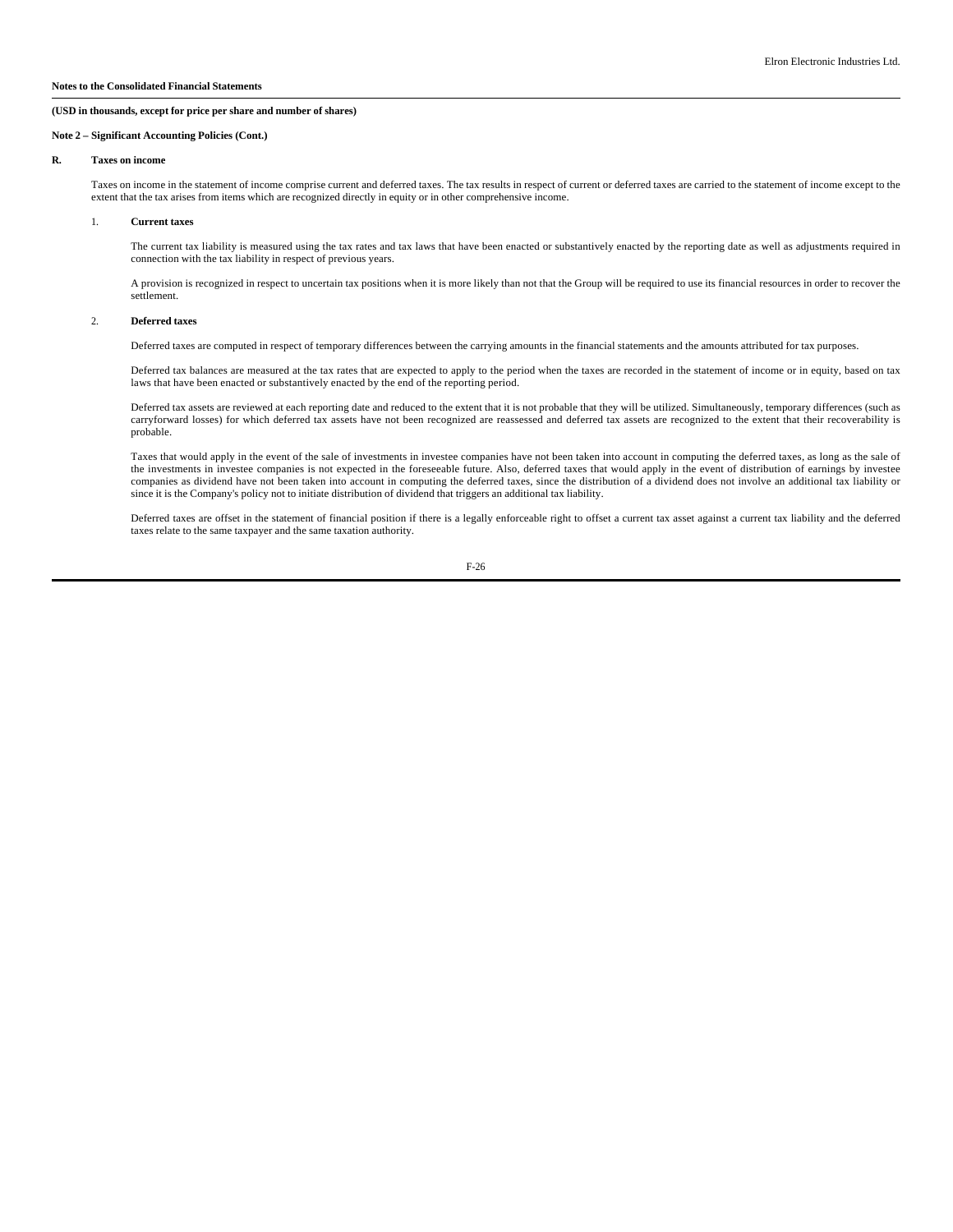## **(USD in thousands, except for price per share and number of shares)**

## **Note 2 – Significant Accounting Policies (Cont.)**

#### **R. Taxes on income**

Taxes on income in the statement of income comprise current and deferred taxes. The tax results in respect of current or deferred taxes are carried to the statement of income except to the extent that the tax arises from items which are recognized directly in equity or in other comprehensive income.

### 1. **Current taxes**

The current tax liability is measured using the tax rates and tax laws that have been enacted or substantively enacted by the reporting date as well as adjustments required in connection with the tax liability in respect of previous years.

A provision is recognized in respect to uncertain tax positions when it is more likely than not that the Group will be required to use its financial resources in order to recover the settlement.

#### 2. **Deferred taxes**

Deferred taxes are computed in respect of temporary differences between the carrying amounts in the financial statements and the amounts attributed for tax purposes.

Deferred tax balances are measured at the tax rates that are expected to apply to the period when the taxes are recorded in the statement of income or in equity, based on tax laws that have been enacted or substantively enacted by the end of the reporting period.

Deferred tax assets are reviewed at each reporting date and reduced to the extent that it is not probable that they will be utilized. Simultaneously, temporary differences (such as carryforward losses) for which deferred tax assets have not been recognized are reassessed and deferred tax assets are recognized to the extent that their recoverability is probable.

Taxes that would apply in the event of the sale of investments in investee companies have not been taken into account in computing the deferred taxes, as long as the sale of the investments in investee companies is not expected in the foreseeable future. Also, deferred taxes that would apply in the event of distribution of earnings by investee companies as dividend have not been taken into account in computing the deferred taxes, since the distribution of a dividend does not involve an additional tax liability or since it is the Company's policy not to initiate distribution of dividend that triggers an additional tax liability.

Deferred taxes are offset in the statement of financial position if there is a legally enforceable right to offset a current tax asset against a current tax liability and the deferred taxes relate to the same taxpayer and the same taxation authority.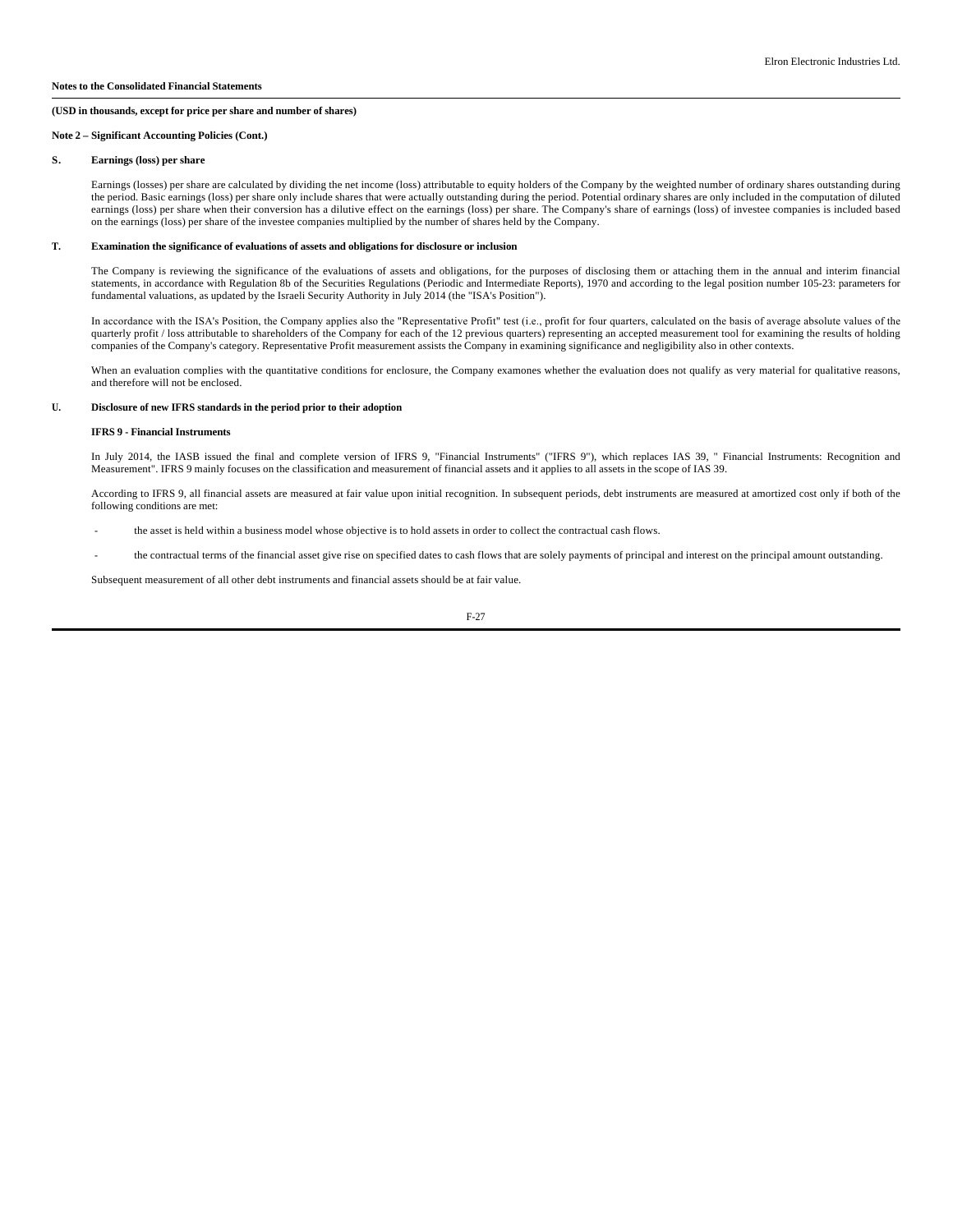## **Note 2 – Significant Accounting Policies (Cont.)**

### **S. Earnings (loss) per share**

Earnings (losses) per share are calculated by dividing the net income (loss) attributable to equity holders of the Company by the weighted number of ordinary shares outstanding during the period. Basic earnings (loss) per share only include shares that were actually outstanding during the period. Potential ordinary shares are only included in the computation of diluted earnings (loss) per share when their conversion has a dilutive effect on the earnings (loss) per share. The Company's share of earnings (loss) of investee companies is included based on the earnings (loss) per share of the investee companies multiplied by the number of shares held by the Company.

### **T. Examination the significance of evaluations of assets and obligations for disclosure or inclusion**

The Company is reviewing the significance of the evaluations of assets and obligations, for the purposes of disclosing them or attaching them in the annual and interim financial statements, in accordance with Regulation 8b of the Securities Regulations (Periodic and Intermediate Reports), 1970 and according to the legal position number 105-23: parameters for fundamental valuations, as updated by the Israeli Security Authority in July 2014 (the "ISA's Position").

In accordance with the ISA's Position, the Company applies also the "Representative Profit" test (i.e., profit for four quarters, calculated on the basis of average absolute values of the quarterly profit / loss attributable to shareholders of the Company for each of the 12 previous quarters) representing an accepted measurement tool for examining the results of holding companies of the Company's category. Representative Profit measurement assists the Company in examining significance and negligibility also in other contexts.

When an evaluation complies with the quantitative conditions for enclosure, the Company examones whether the evaluation does not qualify as very material for qualitative reasons, and therefore will not be enclosed.

### **U. Disclosure of new IFRS standards in the period prior to their adoption**

#### **IFRS 9 - Financial Instruments**

In July 2014, the IASB issued the final and complete version of IFRS 9, "Financial Instruments" ("IFRS 9"), which replaces IAS 39, " Financial Instruments: Recognition and Measurement". IFRS 9 mainly focuses on the classification and measurement of financial assets and it applies to all assets in the scope of IAS 39.

According to IFRS 9, all financial assets are measured at fair value upon initial recognition. In subsequent periods, debt instruments are measured at amortized cost only if both of the following conditions are met:

- the asset is held within a business model whose objective is to hold assets in order to collect the contractual cash flows.
- the contractual terms of the financial asset give rise on specified dates to cash flows that are solely payments of principal and interest on the principal amount outstanding.

Subsequent measurement of all other debt instruments and financial assets should be at fair value.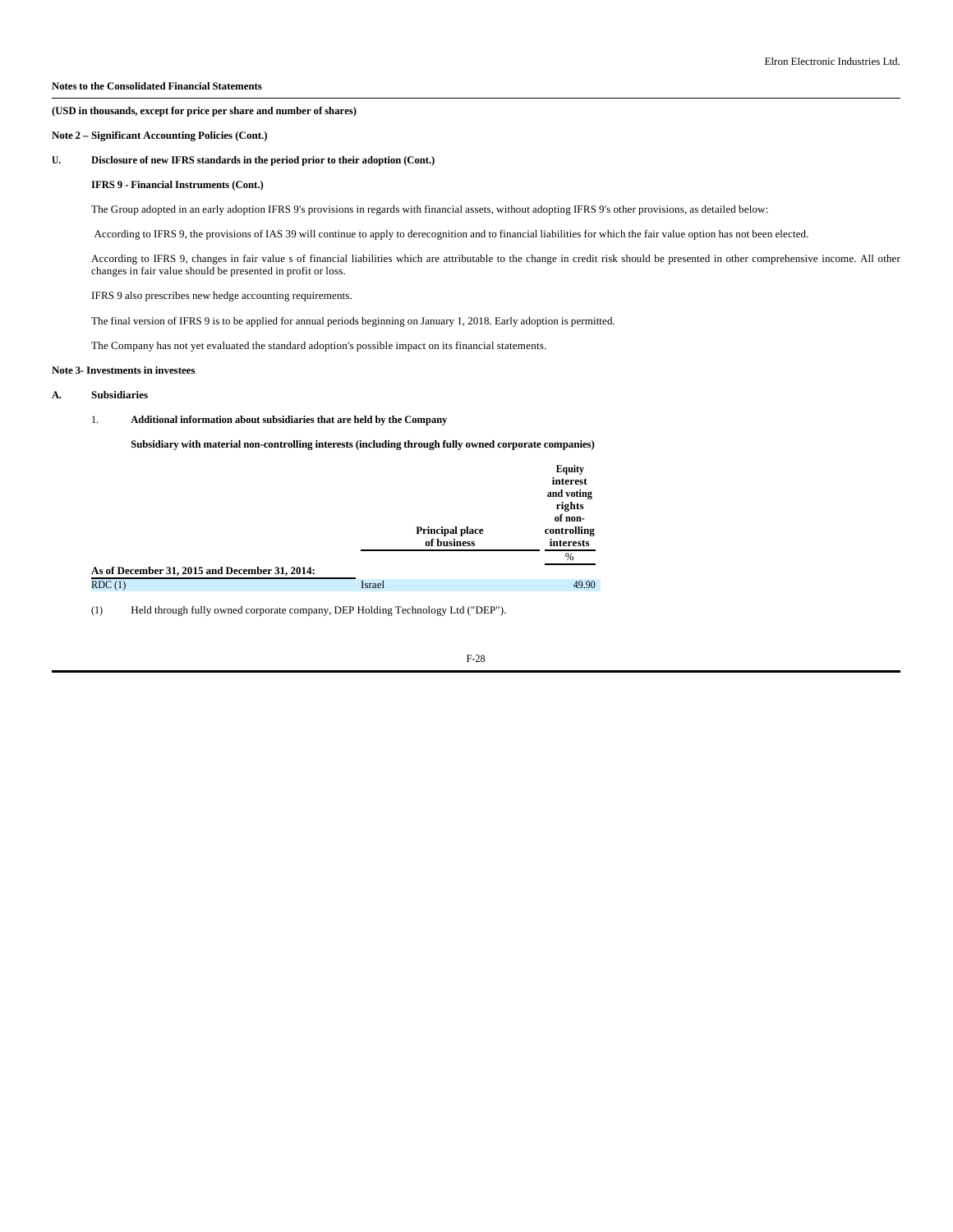## **Note 2 – Significant Accounting Policies (Cont.)**

### **U. Disclosure of new IFRS standards in the period prior to their adoption (Cont.)**

### **IFRS 9 - Financial Instruments (Cont.)**

The Group adopted in an early adoption IFRS 9's provisions in regards with financial assets, without adopting IFRS 9's other provisions, as detailed below:

According to IFRS 9, the provisions of IAS 39 will continue to apply to derecognition and to financial liabilities for which the fair value option has not been elected.

According to IFRS 9, changes in fair value s of financial liabilities which are attributable to the change in credit risk should be presented in other comprehensive income. All other changes in fair value should be presented in profit or loss.

IFRS 9 also prescribes new hedge accounting requirements.

The final version of IFRS 9 is to be applied for annual periods beginning on January 1, 2018. Early adoption is permitted.

The Company has not yet evaluated the standard adoption's possible impact on its financial statements.

## **Note 3- Investments in investees**

# **A. Subsidiaries**

## 1. **Additional information about subsidiaries that are held by the Company**

**Subsidiary with material non-controlling interests (including through fully owned corporate companies)**

|                                                |        | <b>Principal place</b><br>of business | Equity<br>interest<br>and voting<br>rights<br>of non-<br>controlling<br>interests<br>$\%$ |
|------------------------------------------------|--------|---------------------------------------|-------------------------------------------------------------------------------------------|
| As of December 31, 2015 and December 31, 2014: |        |                                       |                                                                                           |
| RDC(1)                                         | Israel |                                       | 49.90                                                                                     |

(1) Held through fully owned corporate company, DEP Holding Technology Ltd ("DEP").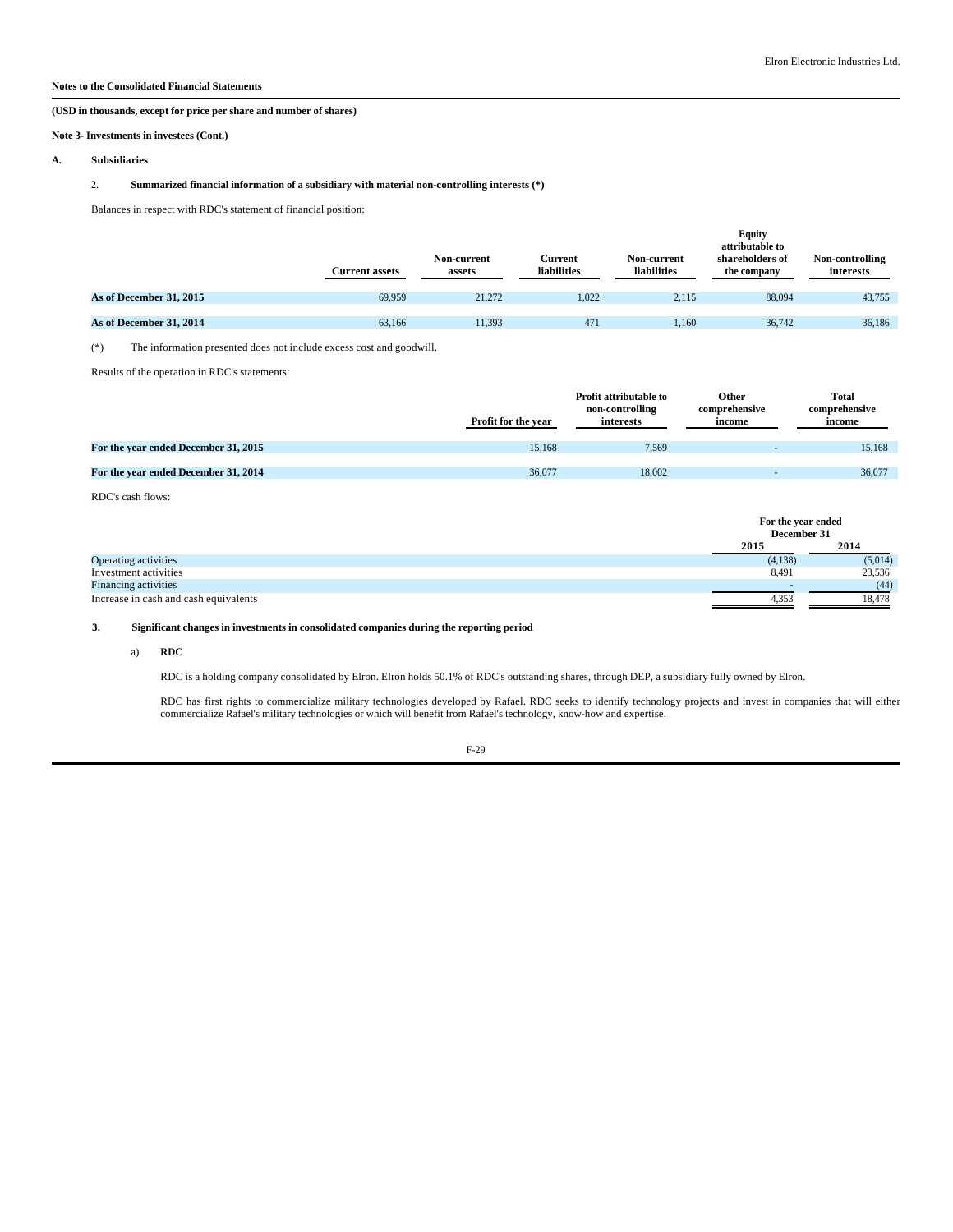**(USD in thousands, except for price per share and number of shares)**

## **Note 3- Investments in investees (Cont.)**

### **A. Subsidiaries**

# 2. **Summarized financial information of a subsidiary with material non-controlling interests (\*)**

Balances in respect with RDC's statement of financial position:

|                         | <b>Current assets</b> | Non-current<br>assets | Current<br><b>liabilities</b> | Non-current<br><b>liabilities</b> | Equity<br>attributable to<br>shareholders of<br>the company | Non-controlling<br>interests |
|-------------------------|-----------------------|-----------------------|-------------------------------|-----------------------------------|-------------------------------------------------------------|------------------------------|
| As of December 31, 2015 | 69.959                | 21,272                | 1.022                         | 2.115                             | 88.094                                                      | 43,755                       |
| As of December 31, 2014 | 63.166                | 11.393                | 471                           | 1,160                             | 36,742                                                      | 36,186                       |

(\*) The information presented does not include excess cost and goodwill.

Results of the operation in RDC's statements:

|                                      | Profit for the year | <b>Profit attributable to</b><br>non-controlling<br>interests | Other<br>comprehensive<br>income | Total<br>comprehensive<br>income |
|--------------------------------------|---------------------|---------------------------------------------------------------|----------------------------------|----------------------------------|
| For the year ended December 31, 2015 | 15.168              | 7.569                                                         |                                  | 15.168                           |
| For the year ended December 31, 2014 | 36,077              | 18,002                                                        | $\overline{\phantom{a}}$         | 36,077                           |

RDC's cash flows:

|                                       | For the year ended<br>December 31 |         |
|---------------------------------------|-----------------------------------|---------|
|                                       | 2015                              | 2014    |
| Operating activities                  | (4,138)                           | (5,014) |
| Investment activities                 | 8,491                             | 23,536  |
| Financing activities                  |                                   | (44)    |
| Increase in cash and cash equivalents | 4,353                             | 18.478  |

### **3. Significant changes in investments in consolidated companies during the reporting period**

### a) **RDC**

RDC is a holding company consolidated by Elron. Elron holds 50.1% of RDC's outstanding shares, through DEP, a subsidiary fully owned by Elron.

 RDC has first rights to commercialize military technologies developed by Rafael. RDC seeks to identify technology projects and invest in companies that will either commercialize Rafael's military technologies or which will benefit from Rafael's technology, know-how and expertise.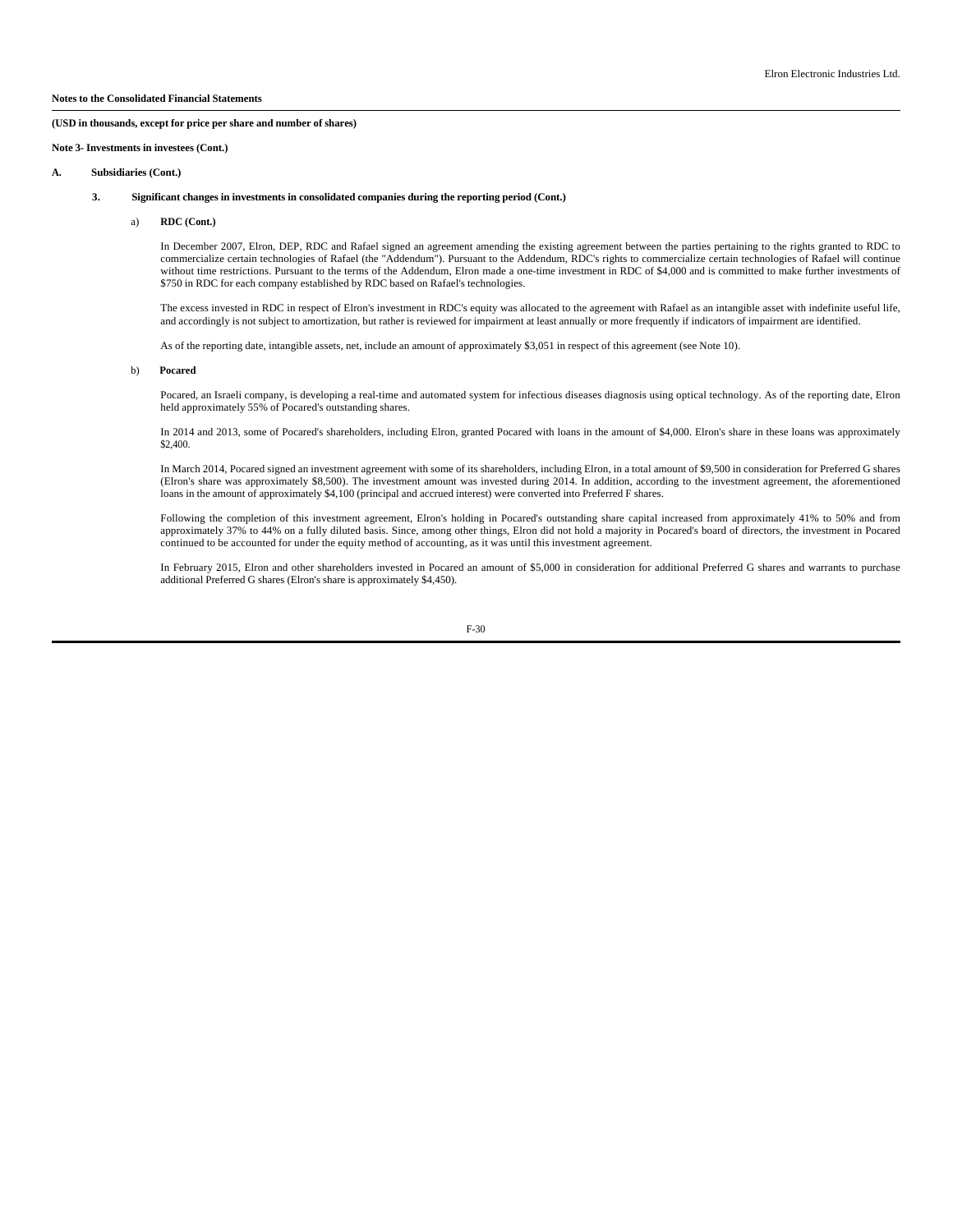### **Note 3- Investments in investees (Cont.)**

### **A. Subsidiaries (Cont.)**

## **3. Significant changes in investments in consolidated companies during the reporting period (Cont.)**

#### a) **RDC (Cont.)**

 In December 2007, Elron, DEP, RDC and Rafael signed an agreement amending the existing agreement between the parties pertaining to the rights granted to RDC to commercialize certain technologies of Rafael (the "Addendum"). Pursuant to the Addendum, RDC's rights to commercialize certain technologies of Rafael will continue without time restrictions. Pursuant to the terms of the Addendum, Elron made a one-time investment in RDC of \$4,000 and is committed to make further investments of \$750 in RDC for each company established by RDC based on Rafael's technologies.

 The excess invested in RDC in respect of Elron's investment in RDC's equity was allocated to the agreement with Rafael as an intangible asset with indefinite useful life, and accordingly is not subject to amortization, but rather is reviewed for impairment at least annually or more frequently if indicators of impairment are identified.

As of the reporting date, intangible assets, net, include an amount of approximately \$3,051 in respect of this agreement (see Note 10).

#### b) **Pocared**

Pocared, an Israeli company, is developing a real-time and automated system for infectious diseases diagnosis using optical technology. As of the reporting date, Elron held approximately 55% of Pocared's outstanding shares.

In 2014 and 2013, some of Pocared's shareholders, including Elron, granted Pocared with loans in the amount of \$4,000. Elron's share in these loans was approximately \$2,400.

In March 2014, Pocared signed an investment agreement with some of its shareholders, including Elron, in a total amount of \$9,500 in consideration for Preferred G shares (Elron's share was approximately \$8,500). The investment amount was invested during 2014. In addition, according to the investment agreement, the aforementioned loans in the amount of approximately \$4,100 (principal and accrued interest) were converted into Preferred F shares.

Following the completion of this investment agreement, Elron's holding in Pocared's outstanding share capital increased from approximately 41% to 50% and from<br>approximately 37% to 44% on a fully diluted basis. Since, among continued to be accounted for under the equity method of accounting, as it was until this investment agreement.

In February 2015, Elron and other shareholders invested in Pocared an amount of \$5,000 in consideration for additional Preferred G shares and warrants to purchase additional Preferred G shares (Elron's share is approximately \$4,450).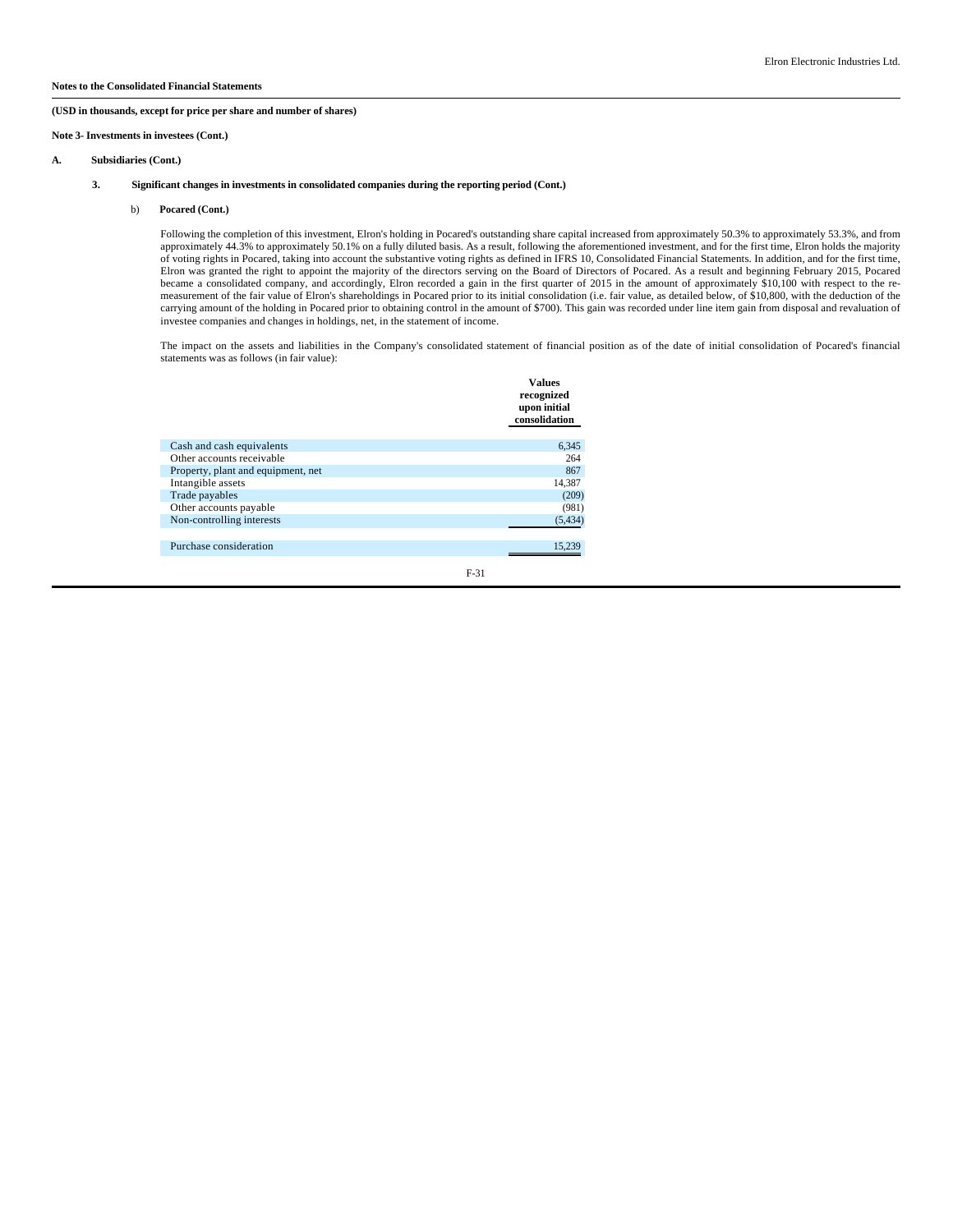## **Note 3- Investments in investees (Cont.)**

### **A. Subsidiaries (Cont.)**

### **3. Significant changes in investments in consolidated companies during the reporting period (Cont.)**

#### b) **Pocared (Cont.)**

Following the completion of this investment, Elron's holding in Pocared's outstanding share capital increased from approximately 50.3% to approximately 53.3%, and from approximately 44.3% to approximately 50.1% on a fully diluted basis. As a result, following the aforementioned investment, and for the first time, Elron holds the majority of voting rights in Pocared, taking into account the substantive voting rights as defined in IFRS 10, Consolidated Financial Statements. In addition, and for the first time, Elron was granted the right to appoint the majority of the directors serving on the Board of Directors of Pocared. As a result and beginning February 2015, Pocared became a consolidated company, and accordingly, Elron recorded a gain in the first quarter of 2015 in the amount of approximately \$10,100 with respect to the remeasurement of the fair value of Elron's shareholdings in Pocared prior to its initial consolidation (i.e. fair value, as detailed below, of \$10,800, with the deduction of the carrying amount of the holding in Pocared prior to obtaining control in the amount of \$700). This gain was recorded under line item gain from disposal and revaluation of investee companies and changes in holdings, net, in the statement of income.

The impact on the assets and liabilities in the Company's consolidated statement of financial position as of the date of initial consolidation of Pocared's financial statements was as follows (in fair value):

|                                    | <b>Values</b><br>recognized<br>upon initial<br>consolidation |
|------------------------------------|--------------------------------------------------------------|
| Cash and cash equivalents          | 6,345                                                        |
| Other accounts receivable          | 264                                                          |
| Property, plant and equipment, net | 867                                                          |
| Intangible assets                  | 14,387                                                       |
| Trade payables                     | (209)                                                        |
| Other accounts payable             | (981)                                                        |
| Non-controlling interests          | (5, 434)                                                     |
|                                    |                                                              |
| Purchase consideration             | 15,239                                                       |
| $F-31$                             |                                                              |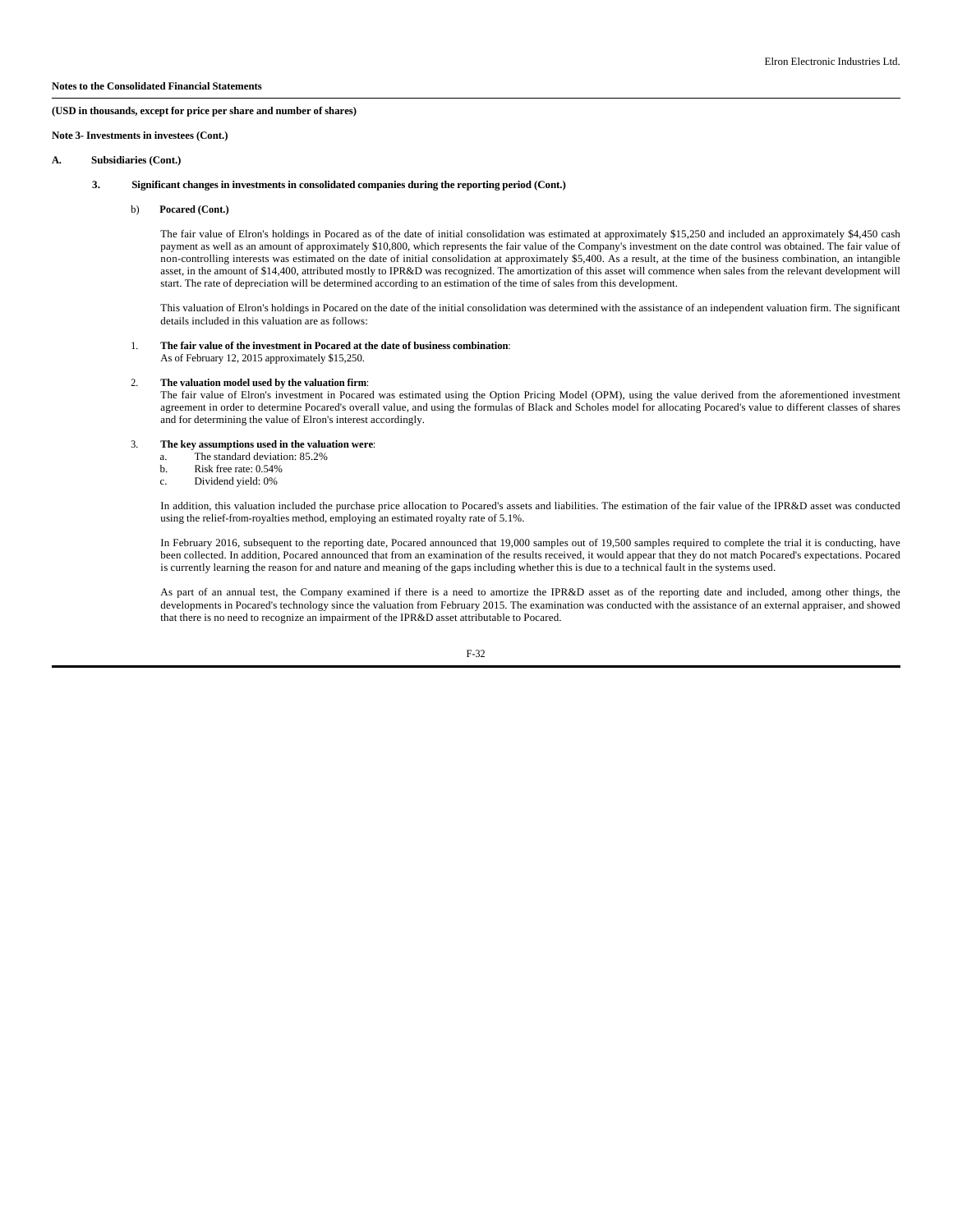## **Note 3- Investments in investees (Cont.)**

#### **A. Subsidiaries (Cont.)**

### **3. Significant changes in investments in consolidated companies during the reporting period (Cont.)**

#### b) **Pocared (Cont.)**

The fair value of Elron's holdings in Pocared as of the date of initial consolidation was estimated at approximately \$15,250 and included an approximately \$4,450 cash payment as well as an amount of approximately \$10,800, which represents the fair value of the Company's investment on the date control was obtained. The fair value of non-controlling interests was estimated on the date of initial consolidation at approximately \$5,400. As a result, at the time of the business combination, an intangible asset, in the amount of \$14,400, attributed mostly to IPR&D was recognized. The amortization of this asset will commence when sales from the relevant development will start. The rate of depreciation will be determined according to an estimation of the time of sales from this development.

This valuation of Elron's holdings in Pocared on the date of the initial consolidation was determined with the assistance of an independent valuation firm. The significant details included in this valuation are as follows:

#### 1. **The fair value of the investment in Pocared at the date of business combination**: As of February 12, 2015 approximately \$15,250.

# 2. **The valuation model used by the valuation firm**:

The fair value of Elron's investment in Pocared was estimated using the Option Pricing Model (OPM), using the value derived from the aforementioned investment agreement in order to determine Pocared's overall value, and using the formulas of Black and Scholes model for allocating Pocared's value to different classes of shares and for determining the value of Elron's interest accordingly.

# 3. **The key assumptions used in the valuation were**:

- a. The standard deviation: 85.2%
- b. Risk free rate: 0.54%
- c. Dividend yield: 0%

In addition, this valuation included the purchase price allocation to Pocared's assets and liabilities. The estimation of the fair value of the IPR&D asset was conducted using the relief-from-royalties method, employing an estimated royalty rate of 5.1%.

In February 2016, subsequent to the reporting date, Pocared announced that 19,000 samples out of 19,500 samples required to complete the trial it is conducting, have been collected. In addition, Pocared announced that from an examination of the results received, it would appear that they do not match Pocared's expectations. Pocared is currently learning the reason for and nature and meaning of the gaps including whether this is due to a technical fault in the systems used.

As part of an annual test, the Company examined if there is a need to amortize the IPR&D asset as of the reporting date and included, among other things, the developments in Pocared's technology since the valuation from February 2015. The examination was conducted with the assistance of an external appraiser, and showed that there is no need to recognize an impairment of the IPR&D asset attributable to Pocared.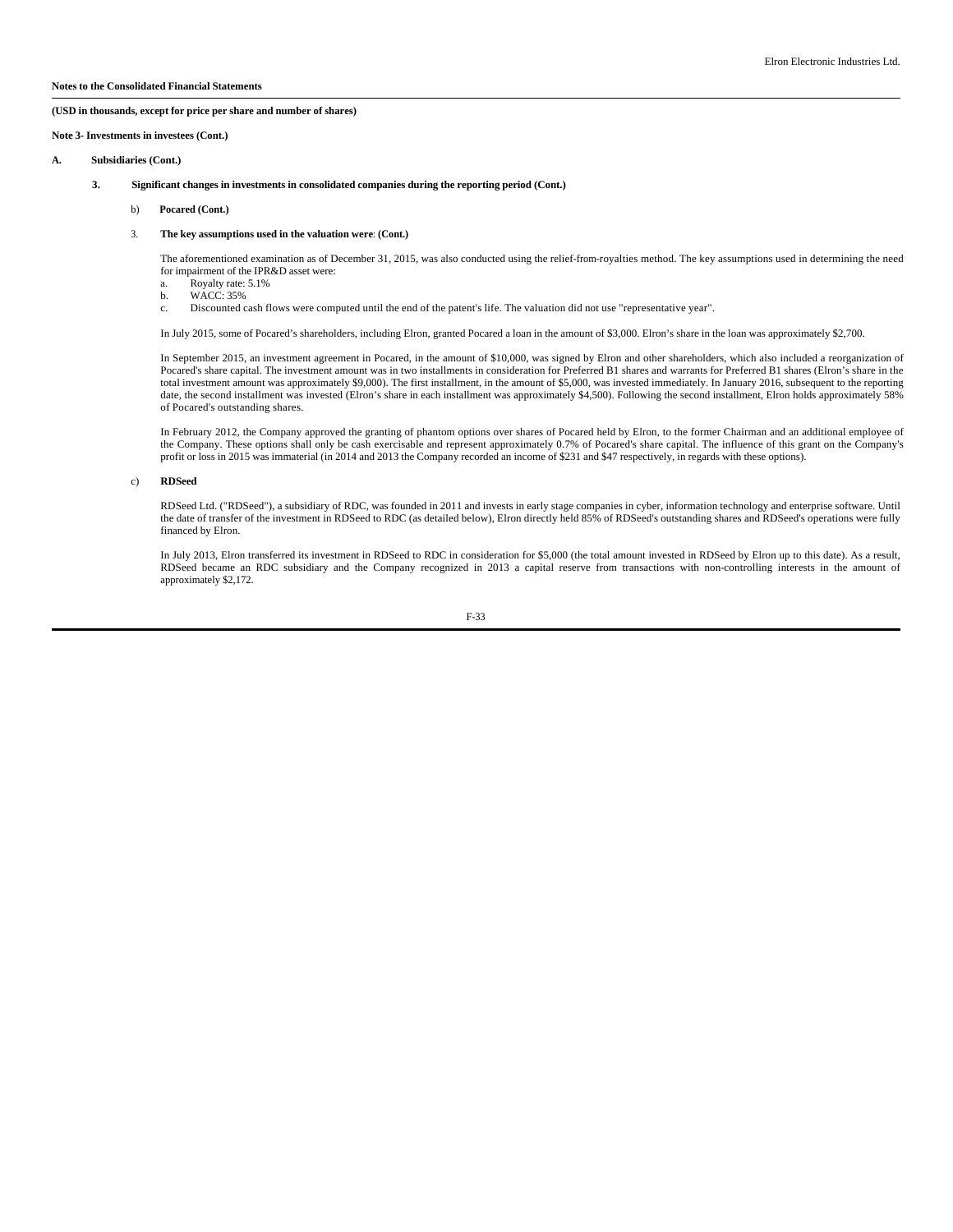**Note 3- Investments in investees (Cont.)**

#### **A. Subsidiaries (Cont.)**

- **3. Significant changes in investments in consolidated companies during the reporting period (Cont.)**
	- b) **Pocared (Cont.)**
	- 3. **The key assumptions used in the valuation were**: **(Cont.)**

The aforementioned examination as of December 31, 2015, was also conducted using the relief-from-royalties method. The key assumptions used in determining the need for impairment of the IPR&D asset were:

- a. Royalty rate:  $5.1\%$ <br>b. WACC:  $35\%$
- WACC: 35%
- c. Discounted cash flows were computed until the end of the patent's life. The valuation did not use "representative year".

In July 2015, some of Pocared's shareholders, including Elron, granted Pocared a loan in the amount of \$3,000. Elron's share in the loan was approximately \$2,700.

In September 2015, an investment agreement in Pocared, in the amount of \$10,000, was signed by Elron and other shareholders, which also included a reorganization of Pocared's share capital. The investment amount was in two installments in consideration for Preferred B1 shares and warrants for Preferred B1 shares (Elron's share in the total investment amount was approximately \$9,000). The first installment, in the amount of \$5,000, was invested immediately. In January 2016, subsequent to the reporting date, the second installment was invested (Elron's share in each installment was approximately \$4,500). Following the second installment, Elron holds approximately 58% of Pocared's outstanding shares.

In February 2012, the Company approved the granting of phantom options over shares of Pocared held by Elron, to the former Chairman and an additional employee of the Company. These options shall only be cash exercisable and represent approximately 0.7% of Pocared's share capital. The influence of this grant on the Company's profit or loss in 2015 was immaterial (in 2014 and 2013 the Company recorded an income of \$231 and \$47 respectively, in regards with these options).

### c) **RDSeed**

RDSeed Ltd. ("RDSeed"), a subsidiary of RDC, was founded in 2011 and invests in early stage companies in cyber, information technology and enterprise software. Until the date of transfer of the investment in RDSeed to RDC (as detailed below), Elron directly held 85% of RDSeed's outstanding shares and RDSeed's operations were fully financed by Elron.

In July 2013, Elron transferred its investment in RDSeed to RDC in consideration for \$5,000 (the total amount invested in RDSeed by Elron up to this date). As a result, RDSeed became an RDC subsidiary and the Company recognized in 2013 a capital reserve from transactions with non-controlling interests in the amount of approximately \$2,172.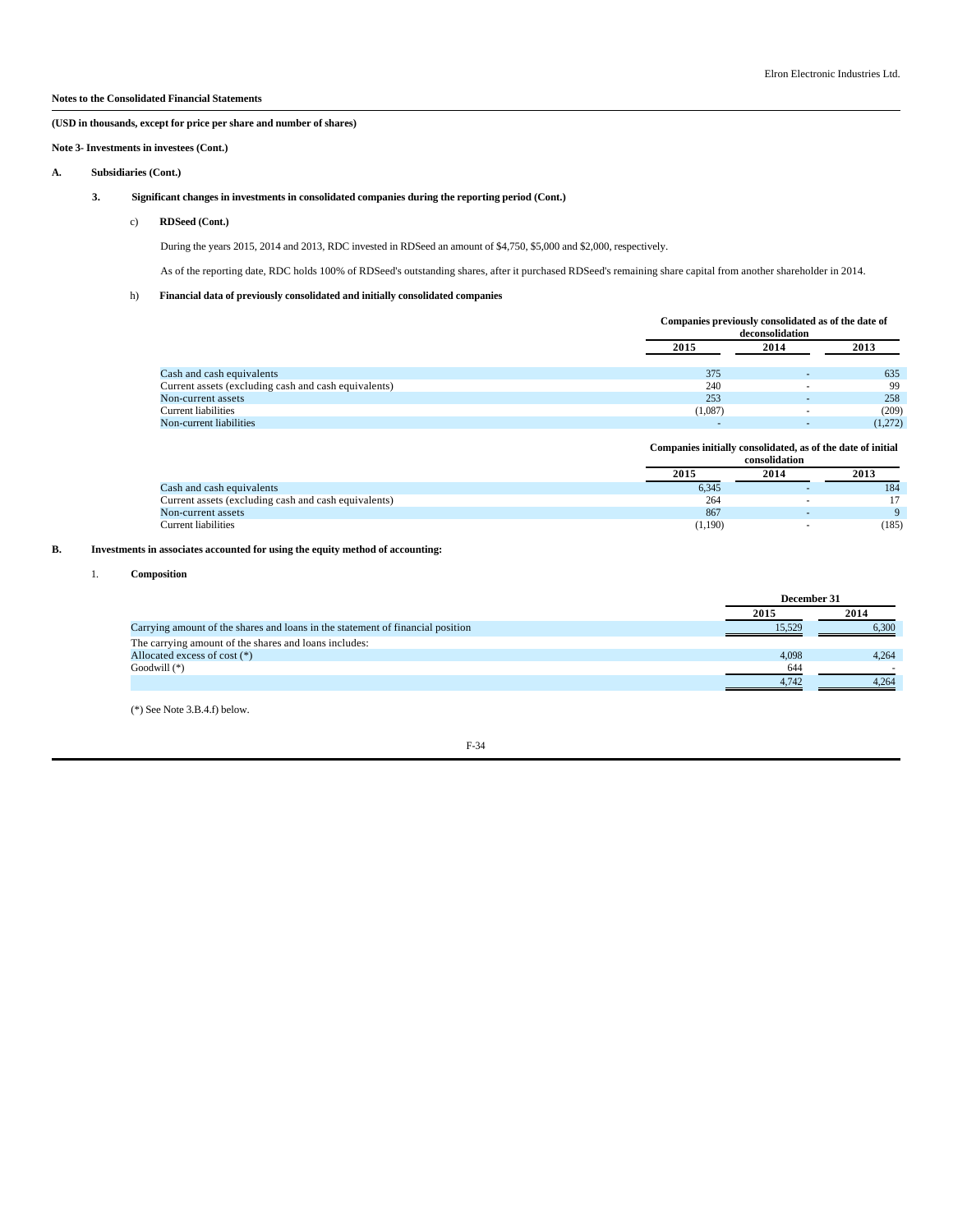## **Note 3- Investments in investees (Cont.)**

## **A. Subsidiaries (Cont.)**

## **3. Significant changes in investments in consolidated companies during the reporting period (Cont.)**

## c) **RDSeed (Cont.)**

During the years 2015, 2014 and 2013, RDC invested in RDSeed an amount of \$4,750, \$5,000 and \$2,000, respectively.

As of the reporting date, RDC holds 100% of RDSeed's outstanding shares, after it purchased RDSeed's remaining share capital from another shareholder in 2014.

# h) **Financial data of previously consolidated and initially consolidated companies**

|                                                      | Companies previously consolidated as of the date of | deconsolidation |         |
|------------------------------------------------------|-----------------------------------------------------|-----------------|---------|
|                                                      | 2015                                                | 2014            | 2013    |
| Cash and cash equivalents                            | 375                                                 |                 | 635     |
| Current assets (excluding cash and cash equivalents) | 240                                                 |                 | -99     |
| Non-current assets                                   | 253                                                 |                 | 258     |
| <b>Current liabilities</b>                           | (1,087)                                             |                 | (209)   |
| Non-current liabilities                              |                                                     |                 | (1,272) |

**Companies initially consolidated, as of the date of initial** 

|                                                      | consolidation |      |       |
|------------------------------------------------------|---------------|------|-------|
|                                                      | 2015          | 2014 | 2013  |
| Cash and cash equivalents                            | 6.345         |      | 184   |
| Current assets (excluding cash and cash equivalents) | 264           |      |       |
| Non-current assets                                   | 867           |      |       |
| Current liabilities                                  | (1.190)       |      | (185) |

## **B. Investments in associates accounted for using the equity method of accounting:**

# 1. **Composition**

|                                                                                | December 31 |       |
|--------------------------------------------------------------------------------|-------------|-------|
|                                                                                | 2015        | 2014  |
| Carrying amount of the shares and loans in the statement of financial position | 15.529      | 6.300 |
| The carrying amount of the shares and loans includes:                          |             |       |
| Allocated excess of cost $(*)$                                                 | 4,098       | 4.264 |
| Goodwill $(*)$                                                                 | 644         |       |
|                                                                                | 4.742       | 4.264 |

(\*) See Note 3.B.4.f) below.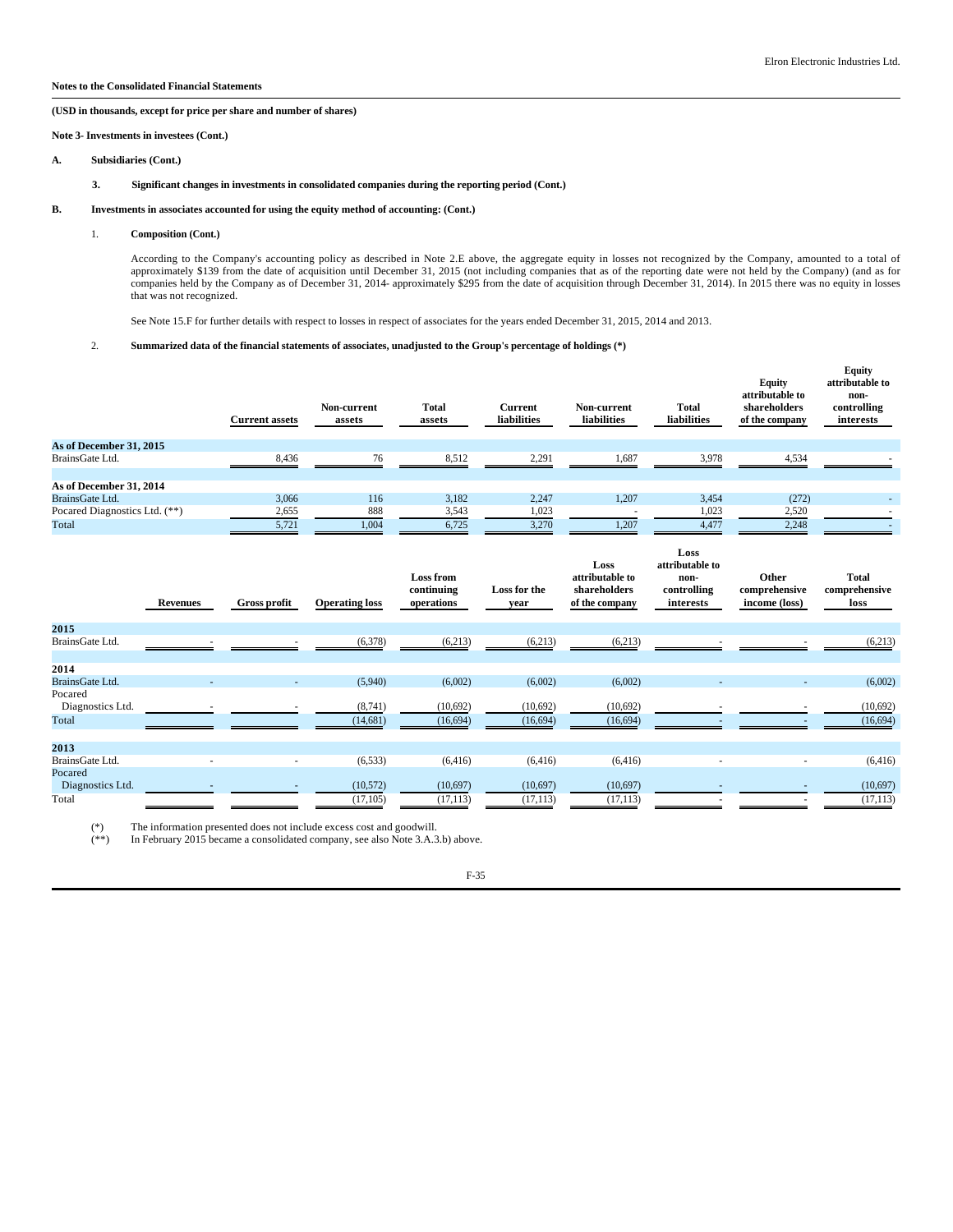**Equity** 

# **Notes to the Consolidated Financial Statements**

**(USD in thousands, except for price per share and number of shares)**

## **Note 3- Investments in investees (Cont.)**

### **A. Subsidiaries (Cont.)**

# **3. Significant changes in investments in consolidated companies during the reporting period (Cont.)**

# **B. Investments in associates accounted for using the equity method of accounting: (Cont.)**

### 1. **Composition (Cont.)**

According to the Company's accounting policy as described in Note 2.E above, the aggregate equity in losses not recognized by the Company, amounted to a total of approximately \$139 from the date of acquisition until December 31, 2015 (not including companies that as of the reporting date were not held by the Company) (and as for<br>companies held by the Company as of December 31, 2014 that was not recognized.

See Note 15.F for further details with respect to losses in respect of associates for the years ended December 31, 2015, 2014 and 2013.

# 2. **Summarized data of the financial statements of associates, unadjusted to the Group's percentage of holdings (\*)**

|                                | <b>Current assets</b> | Non-current<br>assets | Total<br>assets | Current<br>liabilities | Non-current<br>liabilities | Total<br>liabilities | <b>Equity</b><br>attributable to<br>shareholders<br>of the company | едшу<br>attributable to<br>non-<br>controlling<br>interests |
|--------------------------------|-----------------------|-----------------------|-----------------|------------------------|----------------------------|----------------------|--------------------------------------------------------------------|-------------------------------------------------------------|
| <b>As of December 31, 2015</b> |                       |                       |                 |                        |                            |                      |                                                                    |                                                             |
| BrainsGate Ltd.                | 8,436                 | 76                    | 8,512           | 2,291                  | 1,687                      | 3,978                | 4,534                                                              |                                                             |
|                                |                       |                       |                 |                        |                            |                      |                                                                    |                                                             |
| <b>As of December 31, 2014</b> |                       |                       |                 |                        |                            |                      |                                                                    |                                                             |
| BrainsGate Ltd.                | 3,066                 | 116                   | 3,182           | 2,247                  | 1,207                      | 3,454                | (272)                                                              |                                                             |
| Pocared Diagnostics Ltd. (**)  | 2,655                 | 888                   | 3,543           | 1,023                  |                            | 1,023                | 2,520                                                              |                                                             |
| Total                          | 5,721                 | 1,004                 | 6,725           | 3,270                  | 1,207                      | 4,477                | 2,248                                                              |                                                             |
|                                |                       |                       |                 |                        |                            |                      |                                                                    |                                                             |

|                  | <b>Revenues</b> | <b>Gross profit</b> | <b>Operating loss</b> | <b>Loss from</b><br>continuing<br>operations | Loss for the<br>year | Loss<br>attributable to<br>shareholders<br>of the company | Loss<br>attributable to<br>non-<br>controlling<br>interests | Other<br>comprehensive<br>income (loss) | <b>Total</b><br>comprehensive<br>loss |
|------------------|-----------------|---------------------|-----------------------|----------------------------------------------|----------------------|-----------------------------------------------------------|-------------------------------------------------------------|-----------------------------------------|---------------------------------------|
| 2015             |                 |                     |                       |                                              |                      |                                                           |                                                             |                                         |                                       |
| BrainsGate Ltd.  |                 |                     | (6,378)               | (6,213)                                      | (6,213)              | (6,213)                                                   |                                                             |                                         | (6,213)                               |
| 2014             |                 |                     |                       |                                              |                      |                                                           |                                                             |                                         |                                       |
| BrainsGate Ltd.  |                 |                     | (5,940)               | (6,002)                                      | (6,002)              | (6,002)                                                   |                                                             |                                         | (6,002)                               |
| Pocared          |                 |                     |                       |                                              |                      |                                                           |                                                             |                                         |                                       |
| Diagnostics Ltd. |                 |                     | (8,741)               | (10,692)                                     | (10,692)             | (10,692)                                                  |                                                             |                                         | (10,692)                              |
| Total            |                 |                     | (14, 681)             | (16, 694)                                    | (16, 694)            | (16, 694)                                                 |                                                             |                                         | (16, 694)                             |
| 2013             |                 |                     |                       |                                              |                      |                                                           |                                                             |                                         |                                       |
| BrainsGate Ltd.  |                 |                     | (6, 533)              | (6, 416)                                     | (6, 416)             | (6, 416)                                                  |                                                             |                                         | (6, 416)                              |
| Pocared          |                 |                     |                       |                                              |                      |                                                           |                                                             |                                         |                                       |
| Diagnostics Ltd. |                 |                     | (10, 572)             | (10,697)                                     | (10,697)             | (10,697)                                                  |                                                             |                                         | (10,697)                              |
| Total            |                 |                     | (17, 105)             | (17, 113)                                    | (17, 113)            | (17, 113)                                                 |                                                             |                                         | (17, 113)                             |

(\*) The information presented does not include excess cost and goodwill.<br>(\*\*) In February 2015 became a consolidated company, see also Note 3.A.3

In February 2015 became a consolidated company, see also Note 3.A.3.b) above.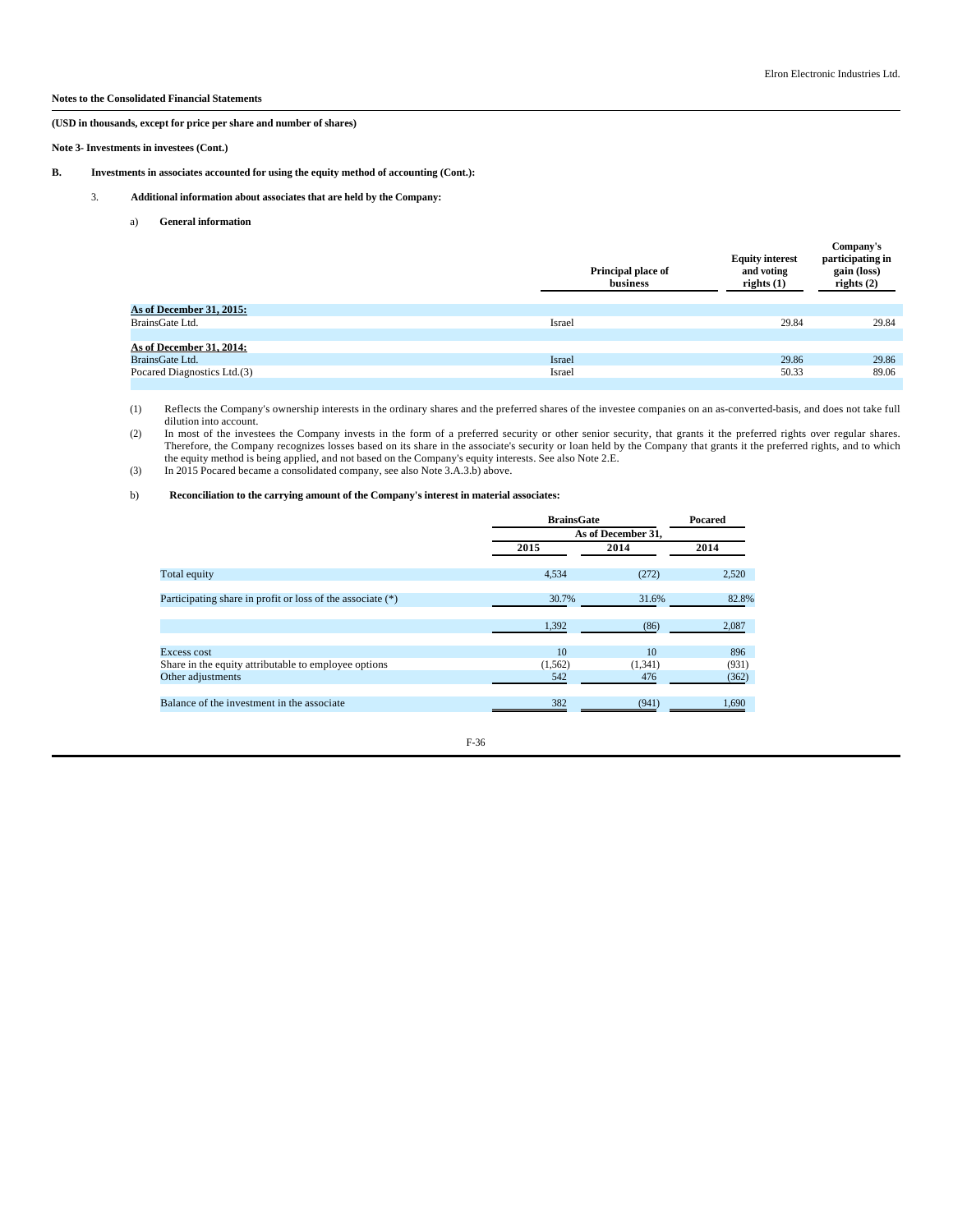**(USD in thousands, except for price per share and number of shares)**

# **Note 3- Investments in investees (Cont.)**

# **B. Investments in associates accounted for using the equity method of accounting (Cont.):**

- 3. **Additional information about associates that are held by the Company:**
	- a) **General information**

|                             | Principal place of<br>business | <b>Equity interest</b><br>and voting<br>rights $(1)$ | Company's<br>participating in<br>gain (loss)<br>rights $(2)$ |
|-----------------------------|--------------------------------|------------------------------------------------------|--------------------------------------------------------------|
| As of December 31, 2015:    |                                |                                                      |                                                              |
| BrainsGate Ltd.             | Israel                         | 29.84                                                | 29.84                                                        |
|                             |                                |                                                      |                                                              |
| As of December 31, 2014:    |                                |                                                      |                                                              |
| BrainsGate Ltd.             | Israel                         | 29.86                                                | 29.86                                                        |
| Pocared Diagnostics Ltd.(3) | Israel                         | 50.33                                                | 89.06                                                        |
|                             |                                |                                                      |                                                              |

 (1) Reflects the Company's ownership interests in the ordinary shares and the preferred shares of the investee companies on an as-converted-basis, and does not take full dilution into account.

 (2) In most of the investees the Company invests in the form of a preferred security or other senior security, that grants it the preferred rights over regular shares. Therefore, the Company recognizes losses based on its share in the associate's security or loan held by the Company that grants it the preferred rights, and to which the equity method is being applied, and not based on the Company's equity interests. See also Note 2.E.

(3) In 2015 Pocared became a consolidated company, see also Note 3.A.3.b) above.

## b) **Reconciliation to the carrying amount of the Company's interest in material associates:**

|                                                            | <b>BrainsGate</b>  | Pocared |       |
|------------------------------------------------------------|--------------------|---------|-------|
|                                                            | As of December 31. |         |       |
|                                                            | 2015               | 2014    | 2014  |
| Total equity                                               | 4,534              | (272)   | 2,520 |
| Participating share in profit or loss of the associate (*) | 30.7%              | 31.6%   | 82.8% |
|                                                            | 1,392              | (86)    | 2,087 |
| Excess cost                                                | 10                 | 10      | 896   |
| Share in the equity attributable to employee options       | (1, 562)           | (1,341) | (931) |
| Other adjustments                                          | 542                | 476     | (362) |
| Balance of the investment in the associate                 | 382                | (941)   | 1.690 |
|                                                            |                    |         |       |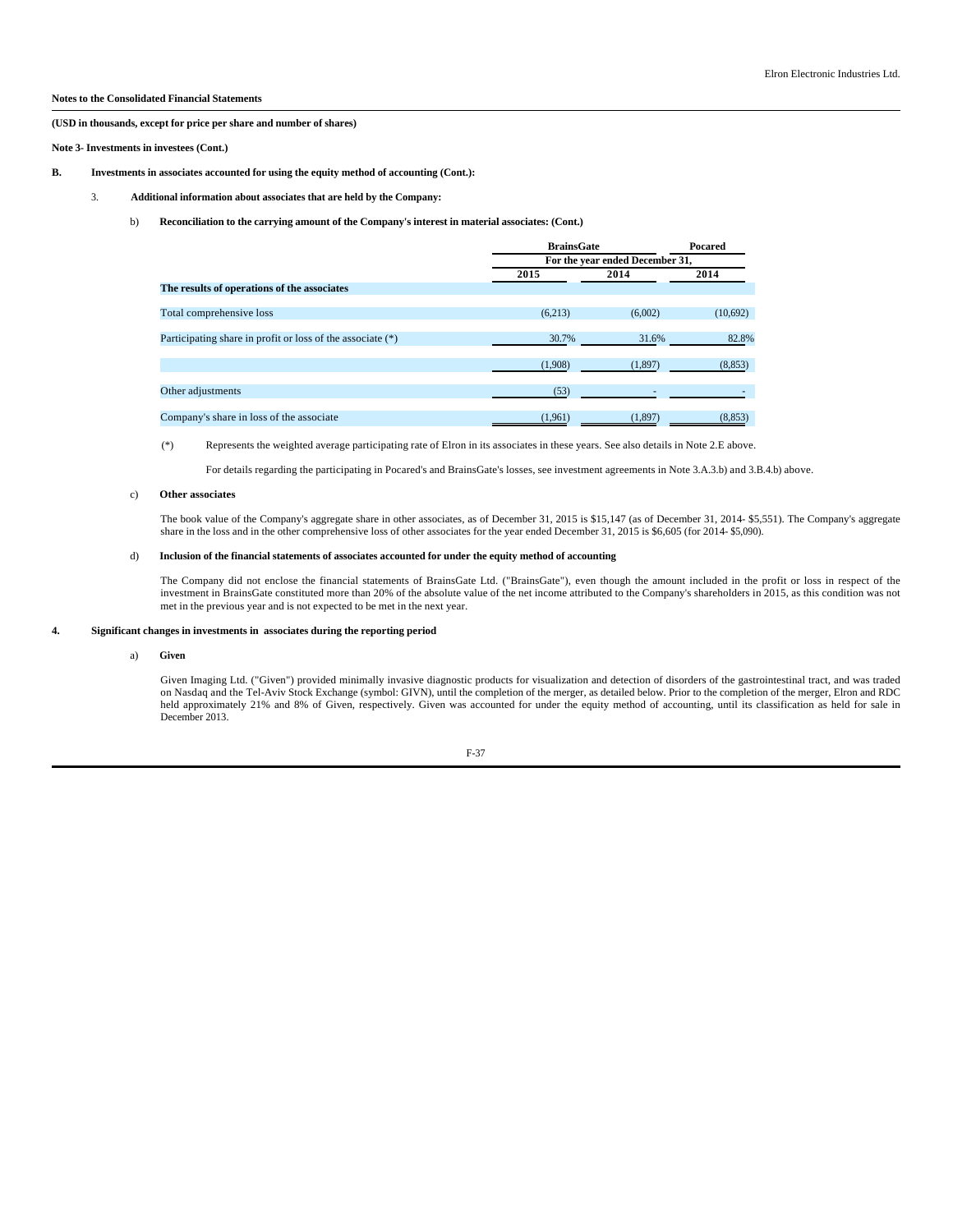# **(USD in thousands, except for price per share and number of shares)**

**Note 3- Investments in investees (Cont.)**

# **B. Investments in associates accounted for using the equity method of accounting (Cont.):**

- 3. **Additional information about associates that are held by the Company:**
	- b) **Reconciliation to the carrying amount of the Company's interest in material associates: (Cont.)**

|                                                            | <b>BrainsGate</b>               |         | Pocared  |  |
|------------------------------------------------------------|---------------------------------|---------|----------|--|
|                                                            | For the year ended December 31, |         |          |  |
|                                                            | 2015                            | 2014    | 2014     |  |
| The results of operations of the associates                |                                 |         |          |  |
| Total comprehensive loss                                   | (6,213)                         | (6,002) | (10,692) |  |
| Participating share in profit or loss of the associate (*) | 30.7%                           | 31.6%   | 82.8%    |  |
|                                                            | (1,908)                         | (1,897) | (8, 853) |  |
| Other adjustments                                          | (53)                            |         |          |  |
| Company's share in loss of the associate                   | (1.961)                         | (1,897) | (8, 853) |  |

## (\*) Represents the weighted average participating rate of Elron in its associates in these years. See also details in Note 2.E above.

For details regarding the participating in Pocared's and BrainsGate's losses, see investment agreements in Note 3.A.3.b) and 3.B.4.b) above.

#### c) **Other associates**

 The book value of the Company's aggregate share in other associates, as of December 31, 2015 is \$15,147 (as of December 31, 2014- \$5,551). The Company's aggregate share in the loss and in the other comprehensive loss of other associates for the year ended December 31, 2015 is \$6,605 (for 2014- \$5,090).

### d) **Inclusion of the financial statements of associates accounted for under the equity method of accounting**

 The Company did not enclose the financial statements of BrainsGate Ltd. ("BrainsGate"), even though the amount included in the profit or loss in respect of the investment in BrainsGate constituted more than 20% of the absolute value of the net income attributed to the Company's shareholders in 2015, as this condition was not met in the previous year and is not expected to be met in the next year.

### **4. Significant changes in investments in associates during the reporting period**

### a) **Given**

 Given Imaging Ltd. ("Given") provided minimally invasive diagnostic products for visualization and detection of disorders of the gastrointestinal tract, and was traded on Nasdaq and the Tel-Aviv Stock Exchange (symbol: GIVN), until the completion of the merger, as detailed below. Prior to the completion of the merger, Elron and RDC held approximately 21% and 8% of Given, respectively. Given was accounted for under the equity method of accounting, until its classification as held for sale in December 2013.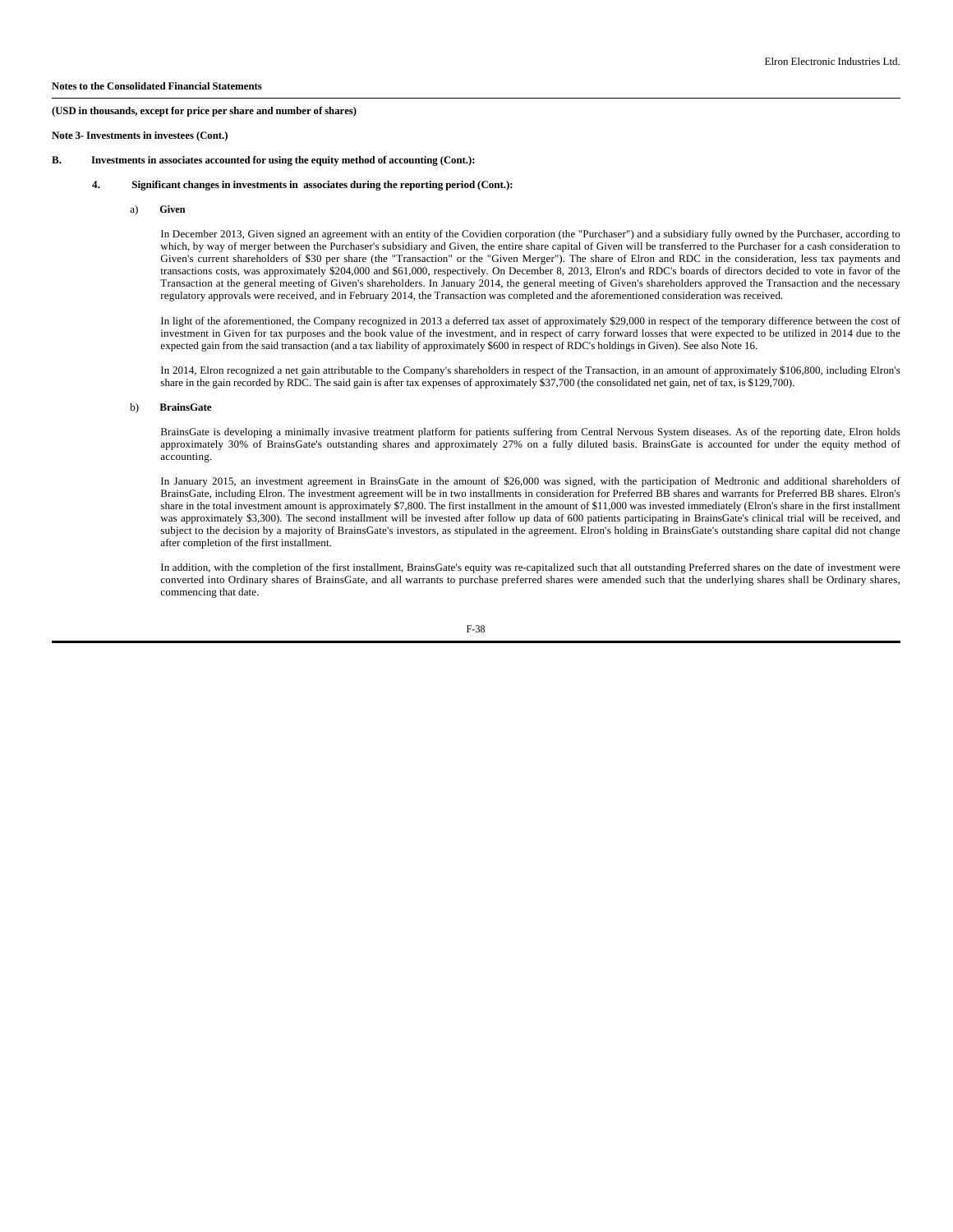**Note 3- Investments in investees (Cont.)**

## **B. Investments in associates accounted for using the equity method of accounting (Cont.):**

### **4. Significant changes in investments in associates during the reporting period (Cont.):**

a) **Given**

 In December 2013, Given signed an agreement with an entity of the Covidien corporation (the "Purchaser") and a subsidiary fully owned by the Purchaser, according to which, by way of merger between the Purchaser's subsidiary and Given, the entire share capital of Given will be transferred to the Purchaser for a cash consideration to Given's current shareholders of \$30 per share (the "Transaction" or the "Given Merger"). The share of Elron and RDC in the consideration, less tax payments and transactions costs, was approximately \$204,000 and \$61,000, respectively. On December 8, 2013, Elron's and RDC's boards of directors decided to vote in favor of the Transaction at the general meeting of Given's shareholders. In January 2014, the general meeting of Given's shareholders approved the Transaction and the necessary regulatory approvals were received, and in February 2014, the Transaction was completed and the aforementioned consideration was received.

In light of the aforementioned, the Company recognized in 2013 a deferred tax asset of approximately \$29,000 in respect of the temporary difference between the cost of investment in Given for tax purposes and the book value of the investment, and in respect of carry forward losses that were expected to be utilized in 2014 due to the expected gain from the said transaction (and a tax liability of approximately \$600 in respect of RDC's holdings in Given). See also Note 16.

 In 2014, Elron recognized a net gain attributable to the Company's shareholders in respect of the Transaction, in an amount of approximately \$106,800, including Elron's share in the gain recorded by RDC. The said gain is after tax expenses of approximately \$37,700 (the consolidated net gain, net of tax, is \$129,700).

#### b) **BrainsGate**

 BrainsGate is developing a minimally invasive treatment platform for patients suffering from Central Nervous System diseases. As of the reporting date, Elron holds approximately 30% of BrainsGate's outstanding shares and approximately 27% on a fully diluted basis. BrainsGate is accounted for under the equity method of accounting.

 In January 2015, an investment agreement in BrainsGate in the amount of \$26,000 was signed, with the participation of Medtronic and additional shareholders of BrainsGate, including Elron. The investment agreement will be in two installments in consideration for Preferred BB shares and warrants for Preferred BB shares. Elron's share in the total investment amount is approximately \$7,800. The first installment in the amount of \$11,000 was invested immediately (Elron's share in the first installment was approximately \$3,300). The second installment will be invested after follow up data of 600 patients participating in BrainsGate's clinical trial will be received, and subject to the decision by a majority of BrainsGate's investors, as stipulated in the agreement. Elron's holding in BrainsGate's outstanding share capital did not change after completion of the first installment.

In addition, with the completion of the first installment, BrainsGate's equity was re-capitalized such that all outstanding Preferred shares on the date of investment were converted into Ordinary shares of BrainsGate, and all warrants to purchase preferred shares were amended such that the underlying shares shall be Ordinary shares, commencing that date.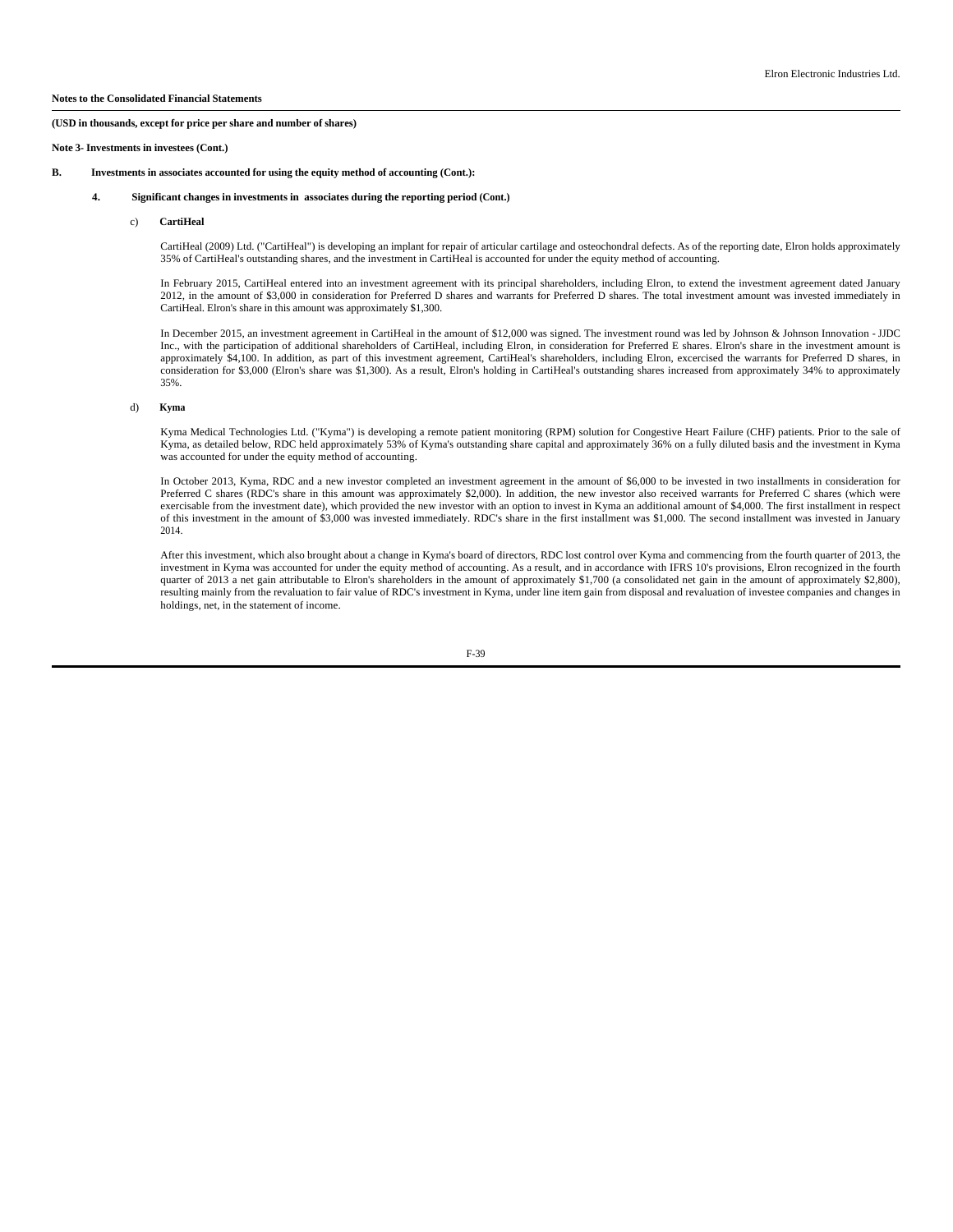**Note 3- Investments in investees (Cont.)**

### **B. Investments in associates accounted for using the equity method of accounting (Cont.):**

### **4. Significant changes in investments in associates during the reporting period (Cont.)**

#### c) **CartiHeal**

 CartiHeal (2009) Ltd. ("CartiHeal") is developing an implant for repair of articular cartilage and osteochondral defects. As of the reporting date, Elron holds approximately 35% of CartiHeal's outstanding shares, and the investment in CartiHeal is accounted for under the equity method of accounting.

 In February 2015, CartiHeal entered into an investment agreement with its principal shareholders, including Elron, to extend the investment agreement dated January 2012, in the amount of \$3,000 in consideration for Preferred D shares and warrants for Preferred D shares. The total investment amount was invested immediately in CartiHeal. Elron's share in this amount was approximately \$1,300.

 In December 2015, an investment agreement in CartiHeal in the amount of \$12,000 was signed. The investment round was led by Johnson & Johnson Innovation - JJDC Inc., with the participation of additional shareholders of CartiHeal, including Elron, in consideration for Preferred E shares. Elron's share in the investment amount is approximately \$4,100. In addition, as part of this investment agreement, CartiHeal's shareholders, including Elron, excercised the warrants for Preferred D shares, in consideration for \$3,000 (Elron's share was \$1,300). As a result, Elron's holding in CartiHeal's outstanding shares increased from approximately 34% to approximately 35%.

#### d) **Kyma**

 Kyma Medical Technologies Ltd. ("Kyma") is developing a remote patient monitoring (RPM) solution for Congestive Heart Failure (CHF) patients. Prior to the sale of Kyma, as detailed below, RDC held approximately 53% of Kyma's outstanding share capital and approximately 36% on a fully diluted basis and the investment in Kyma was accounted for under the equity method of accounting.

 In October 2013, Kyma, RDC and a new investor completed an investment agreement in the amount of \$6,000 to be invested in two installments in consideration for Preferred C shares (RDC's share in this amount was approximately \$2,000). In addition, the new investor also received warrants for Preferred C shares (which were exercisable from the investment date), which provided the new investor with an option to invest in Kyma an additional amount of \$4,000. The first installment in respect of this investment in the amount of \$3,000 was invested immediately. RDC's share in the first installment was \$1,000. The second installment was invested in January 2014.

 After this investment, which also brought about a change in Kyma's board of directors, RDC lost control over Kyma and commencing from the fourth quarter of 2013, the investment in Kyma was accounted for under the equity method of accounting. As a result, and in accordance with IFRS 10's provisions, Elron recognized in the fourth<br>quarter of 2013 a net gain attributable to Elron's shareh resulting mainly from the revaluation to fair value of RDC's investment in Kyma, under line item gain from disposal and revaluation of investee companies and changes in holdings, net, in the statement of income.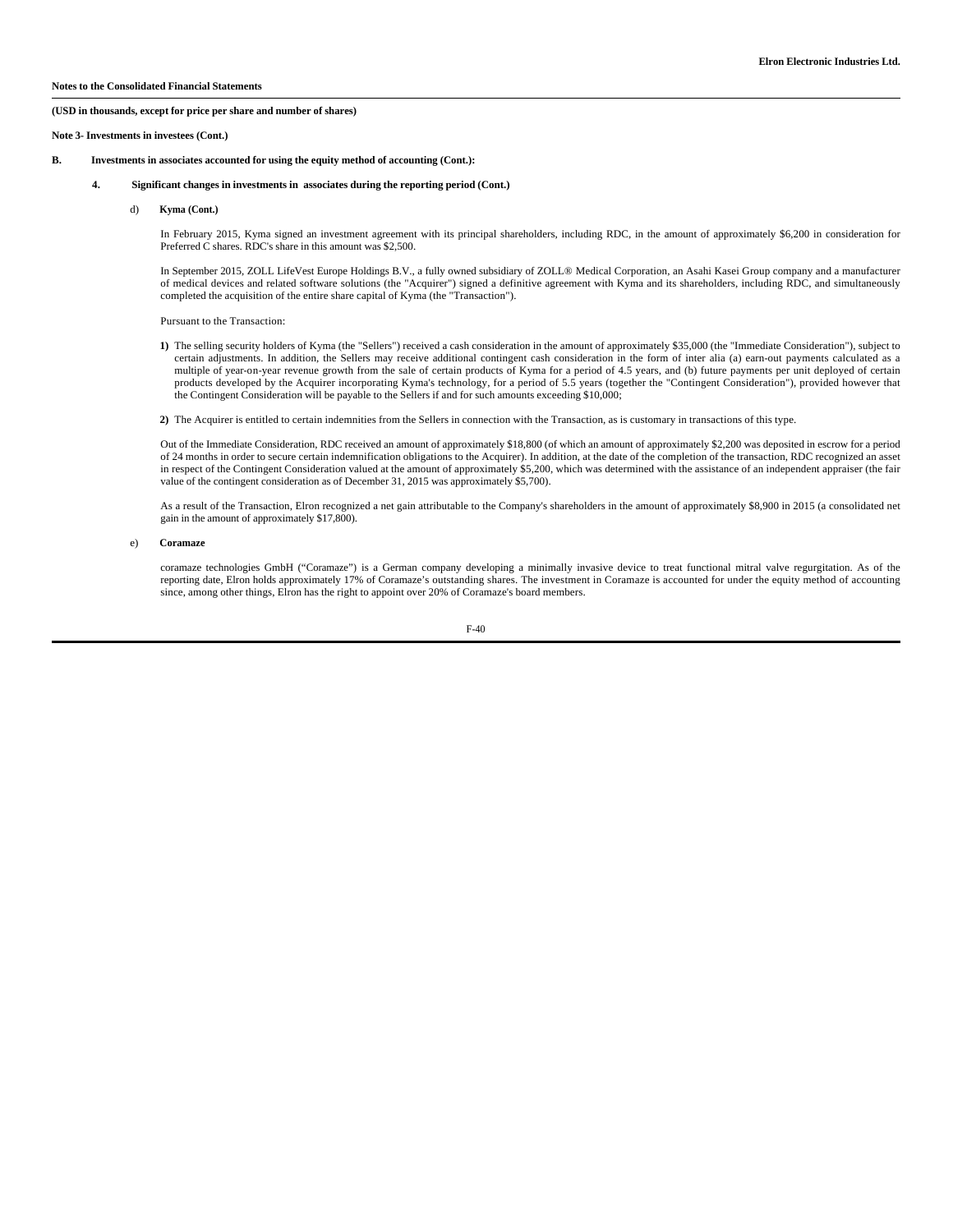### **Note 3- Investments in investees (Cont.)**

### **B. Investments in associates accounted for using the equity method of accounting (Cont.):**

### **4. Significant changes in investments in associates during the reporting period (Cont.)**

d) **Kyma (Cont.)**

 In February 2015, Kyma signed an investment agreement with its principal shareholders, including RDC, in the amount of approximately \$6,200 in consideration for Preferred C shares. RDC's share in this amount was \$2,500.

 In September 2015, ZOLL LifeVest Europe Holdings B.V., a fully owned subsidiary of ZOLL® Medical Corporation, an Asahi Kasei Group company and a manufacturer of medical devices and related software solutions (the "Acquirer") signed a definitive agreement with Kyma and its shareholders, including RDC, and simultaneously completed the acquisition of the entire share capital of Kyma (the "Transaction").

Pursuant to the Transaction:

 **1)** The selling security holders of Kyma (the "Sellers") received a cash consideration in the amount of approximately \$35,000 (the "Immediate Consideration"), subject to certain adjustments. In addition, the Sellers may receive additional contingent cash consideration in the form of inter alia (a) earn-out payments calculated as a multiple of year-on-year revenue growth from the sale of certain products of Kyma for a period of 4.5 years, and (b) future payments per unit deployed of certain products developed by the Acquirer incorporating Kyma's technology, for a period of 5.5 years (together the "Contingent Consideration"), provided however that the Contingent Consideration will be payable to the Sellers if and for such amounts exceeding \$10,000;

**2)** The Acquirer is entitled to certain indemnities from the Sellers in connection with the Transaction, as is customary in transactions of this type.

 Out of the Immediate Consideration, RDC received an amount of approximately \$18,800 (of which an amount of approximately \$2,200 was deposited in escrow for a period of 24 months in order to secure certain indemnification obligations to the Acquirer). In addition, at the date of the completion of the transaction, RDC recognized an asset in respect of the Contingent Consideration valued at the amount of approximately \$5,200, which was determined with the assistance of an independent appraiser (the fair value of the contingent consideration as of December 31, 2015 was approximately \$5,700).

 As a result of the Transaction, Elron recognized a net gain attributable to the Company's shareholders in the amount of approximately \$8,900 in 2015 (a consolidated net gain in the amount of approximately \$17,800).

#### e) **Coramaze**

coramaze technologies GmbH ("Coramaze") is a German company developing a minimally invasive device to treat functional mitral valve regurgitation. As of the<br>reporting date, Elron holds approximately 17% of Coramaze's outst since, among other things, Elron has the right to appoint over 20% of Coramaze's board members.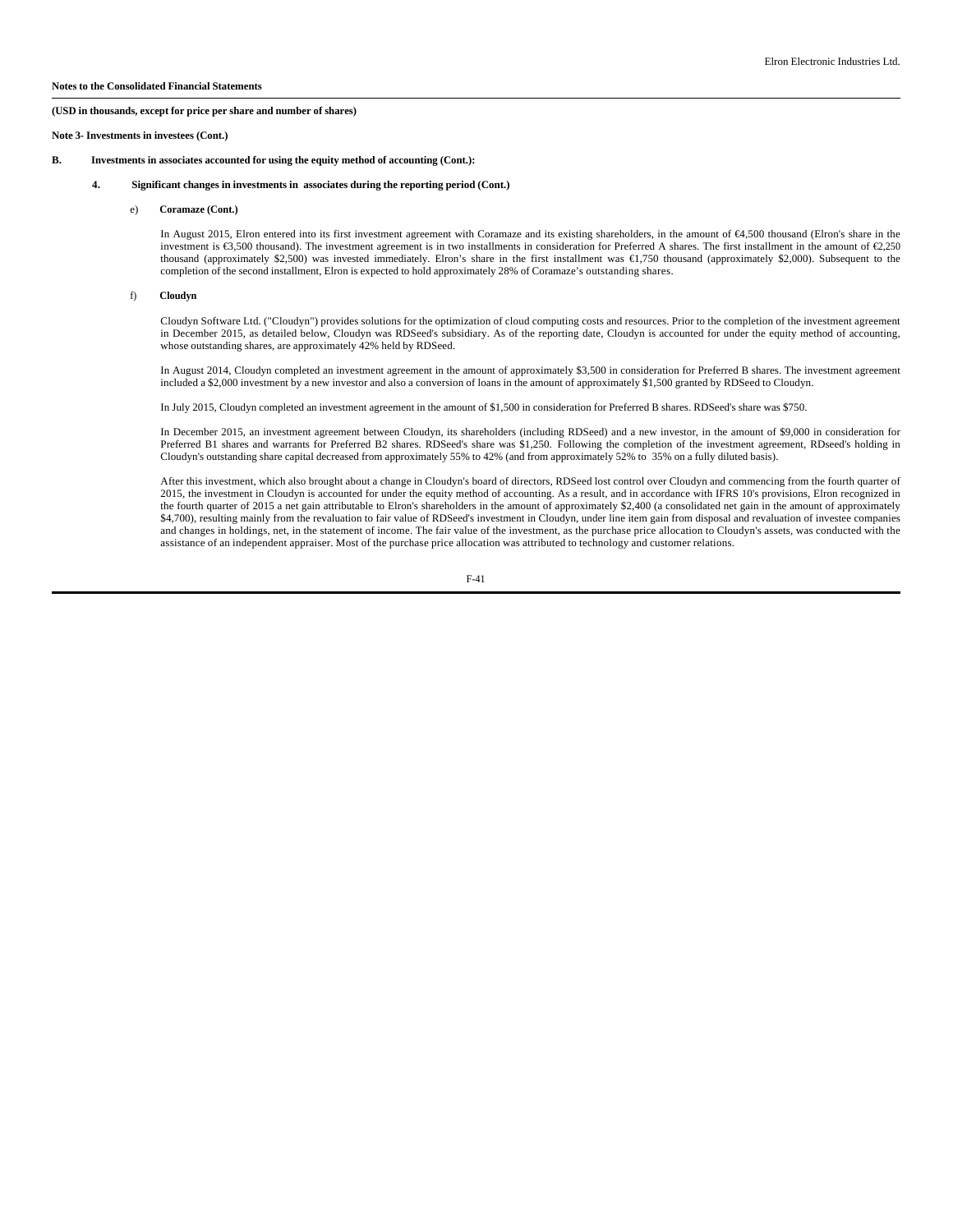**Note 3- Investments in investees (Cont.)**

#### **B. Investments in associates accounted for using the equity method of accounting (Cont.):**

### **4. Significant changes in investments in associates during the reporting period (Cont.)**

#### e) **Coramaze (Cont.)**

 In August 2015, Elron entered into its first investment agreement with Coramaze and its existing shareholders, in the amount of €4,500 thousand (Elron's share in the investment is €3,500 thousand). The investment agreement is in two installments in consideration for Preferred A shares. The first installment in the amount of €2,250 thousand (approximately \$2,500) was invested immediately. Elron's share in the first installment was €1,750 thousand (approximately \$2,000). Subsequent to the completion of the second installment, Elron is expected to hold approximately 28% of Coramaze's outstanding shares.

#### f) **Cloudyn**

Cloudyn Software Ltd. ("Cloudyn") provides solutions for the optimization of cloud computing costs and resources. Prior to the completion of the investment agreement in December 2015, as detailed below, Cloudyn was RDSeed's subsidiary. As of the reporting date, Cloudyn is accounted for under the equity method of accounting, whose outstanding shares, are approximately 42% held by RDSeed.

In August 2014, Cloudyn completed an investment agreement in the amount of approximately \$3,500 in consideration for Preferred B shares. The investment agreement included a \$2,000 investment by a new investor and also a conversion of loans in the amount of approximately \$1,500 granted by RDSeed to Cloudyn.

In July 2015, Cloudyn completed an investment agreement in the amount of \$1,500 in consideration for Preferred B shares. RDSeed's share was \$750.

In December 2015, an investment agreement between Cloudyn, its shareholders (including RDSeed) and a new investor, in the amount of \$9,000 in consideration for Preferred B1 shares and warrants for Preferred B2 shares. RDSeed's share was \$1,250. Following the completion of the investment agreement, RDseed's holding in Cloudyn's outstanding share capital decreased from approximately 55% to 42% (and from approximately 52% to 35% on a fully diluted basis).

After this investment, which also brought about a change in Cloudyn's board of directors, RDSeed lost control over Cloudyn and commencing from the fourth quarter of 2015, the investment in Cloudyn is accounted for under the equity method of accounting. As a result, and in accordance with IFRS 10's provisions, Elron recognized in the fourth quarter of 2015 a net gain attributable to Elron's shareholders in the amount of approximately \$2,400 (a consolidated net gain in the amount of approximately \$4,700), resulting mainly from the revaluation to fair value of RDSeed's investment in Cloudyn, under line item gain from disposal and revaluation of investee companies and changes in holdings, net, in the statement of income. The fair value of the investment, as the purchase price allocation to Cloudyn's assets, was conducted with the assistance of an independent appraiser. Most of the purchase price allocation was attributed to technology and customer relations.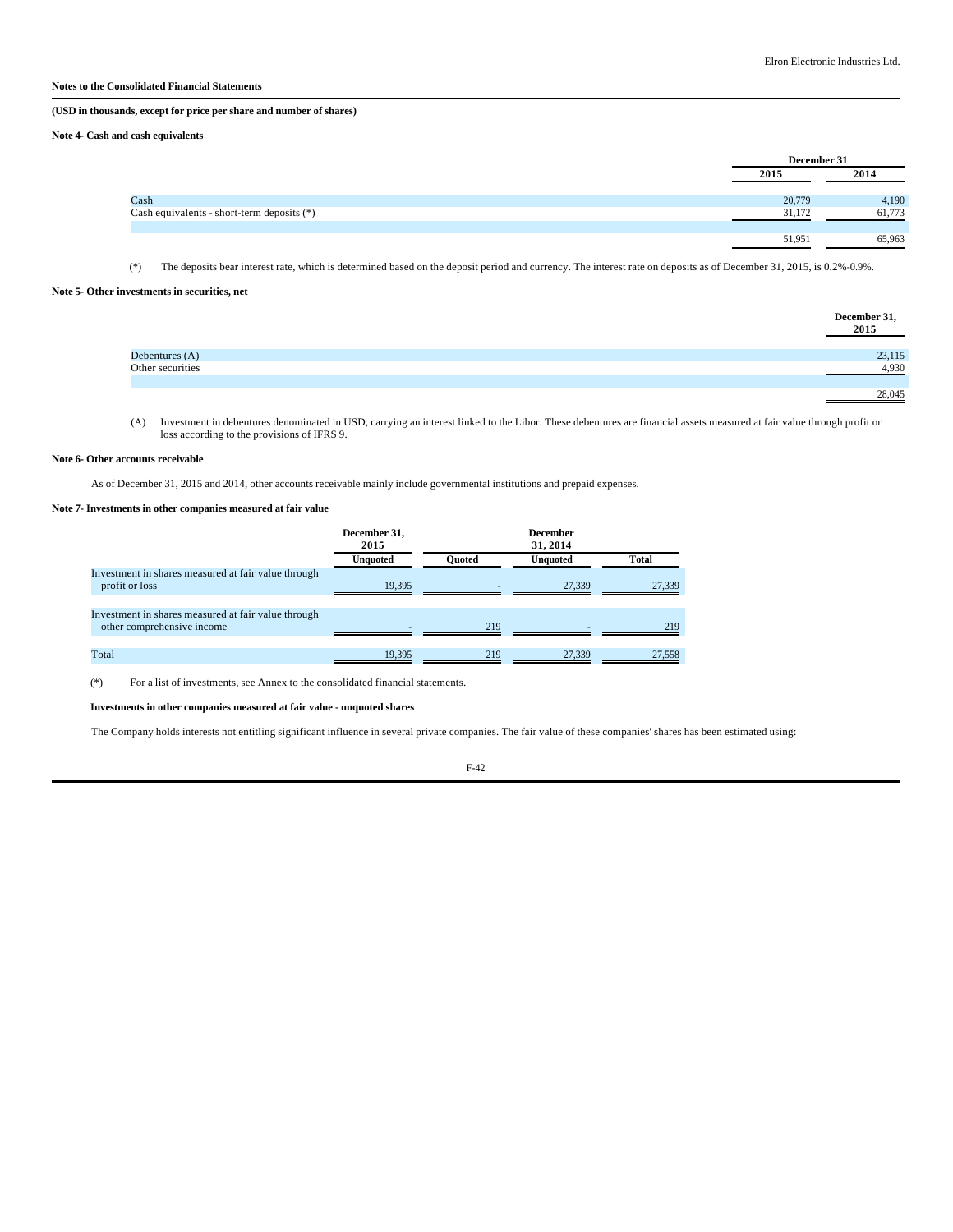**(USD in thousands, except for price per share and number of shares)**

## **Note 4- Cash and cash equivalents**

|                                            | December 31 |        |
|--------------------------------------------|-------------|--------|
|                                            | 2015        | 2014   |
| Cash                                       | 20,779      | 4,190  |
| Cash equivalents - short-term deposits (*) | 31,172      | 61.773 |
|                                            | 51,951      | 65.963 |
|                                            |             |        |

(\*) The deposits bear interest rate, which is determined based on the deposit period and currency. The interest rate on deposits as of December 31, 2015, is 0.2%-0.9%.

## **Note 5- Other investments in securities, net**

|                                    | December 31,<br>$-2015$                                                                   |
|------------------------------------|-------------------------------------------------------------------------------------------|
| Debentures (A)<br>Other securities | 23,115                                                                                    |
|                                    | 4,930                                                                                     |
|                                    | 28,045<br>the contract of the contract of the contract of the contract of the contract of |

(A) Investment in debentures denominated in USD, carrying an interest linked to the Libor. These debentures are financial assets measured at fair value through profit or loss according to the provisions of IFRS 9.

## **Note 6- Other accounts receivable**

As of December 31, 2015 and 2014, other accounts receivable mainly include governmental institutions and prepaid expenses.

### **Note 7- Investments in other companies measured at fair value**

|                                                                                   | December 31,<br>2015 |               | <b>December</b><br>31, 2014 |              |
|-----------------------------------------------------------------------------------|----------------------|---------------|-----------------------------|--------------|
|                                                                                   | <b>Unquoted</b>      | <b>Ouoted</b> | <b>Unquoted</b>             | <b>Total</b> |
| Investment in shares measured at fair value through<br>profit or loss             | 19,395               |               | 27.339                      | 27,339       |
| Investment in shares measured at fair value through<br>other comprehensive income |                      | 219           |                             | 219          |
| Total                                                                             | 19,395               | 219           | 27,339                      | 27,558       |

(\*) For a list of investments, see Annex to the consolidated financial statements.

## **Investments in other companies measured at fair value - unquoted shares**

The Company holds interests not entitling significant influence in several private companies. The fair value of these companies' shares has been estimated using: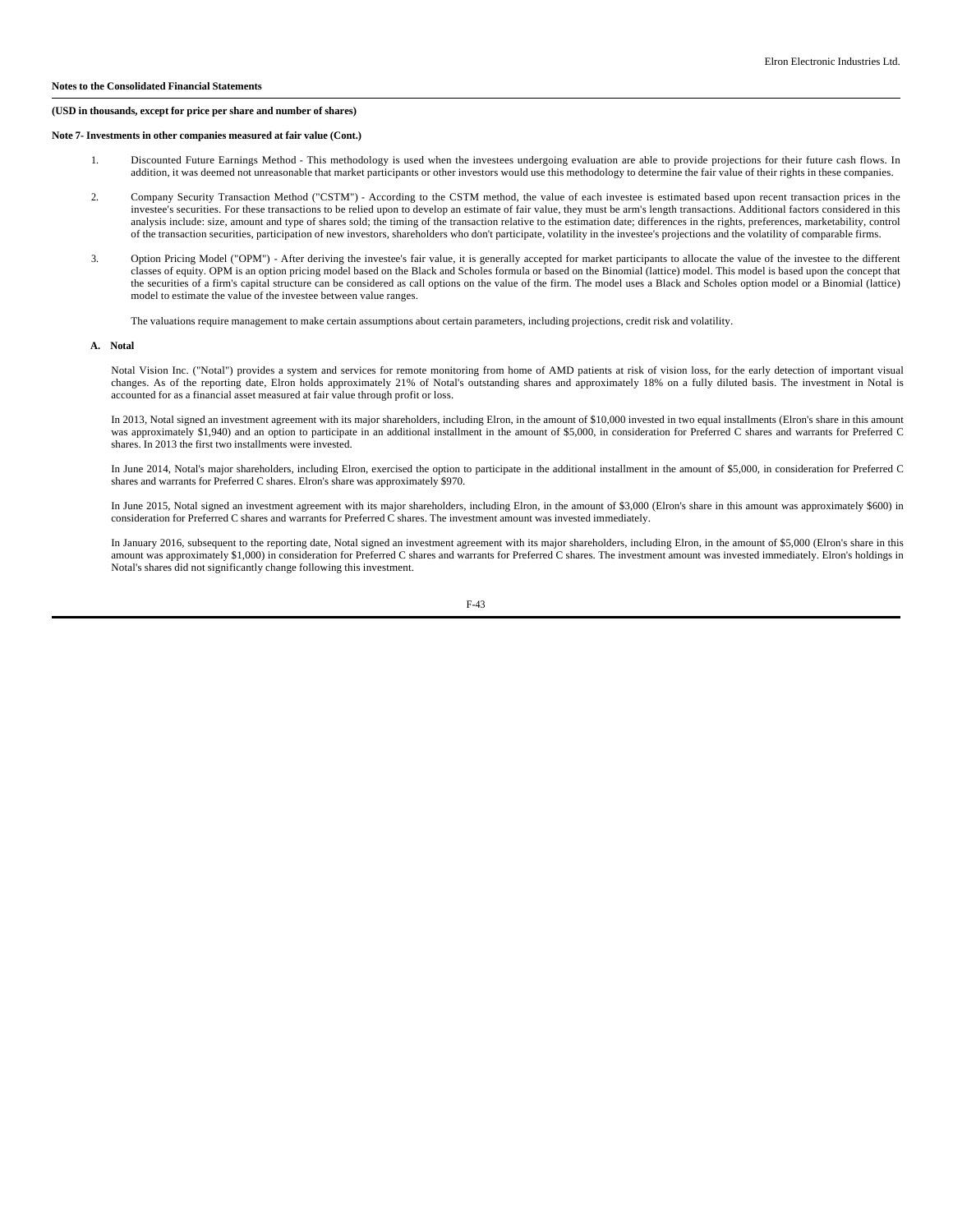#### **Note 7- Investments in other companies measured at fair value (Cont.)**

- 1. Discounted Future Earnings Method This methodology is used when the investees undergoing evaluation are able to provide projections for their future cash flows. In addition, it was deemed not unreasonable that market participants or other investors would use this methodology to determine the fair value of their rights in these companies.
- 2. Company Security Transaction Method ("CSTM") According to the CSTM method, the value of each investee is estimated based upon recent transaction prices in the investee's securities. For these transactions to be relied upon to develop an estimate of fair value, they must be arm's length transactions. Additional factors considered in this analysis include: size, amount and type of shares sold; the timing of the transaction relative to the estimation date; differences in the rights, preferences, marketability, control of the transaction securities, participation of new investors, shareholders who don't participate, volatility in the investee's projections and the volatility of comparable firms.
- 3. Option Pricing Model ("OPM") After deriving the investee's fair value, it is generally accepted for market participants to allocate the value of the investee to the different classes of equity. OPM is an option pricing model based on the Black and Scholes formula or based on the Binomial (lattice) model. This model is based upon the concept that the securities of a firm's capital structure can be considered as call options on the value of the firm. The model uses a Black and Scholes option model or a Binomial (lattice) model to estimate the value of the investee between value ranges.

The valuations require management to make certain assumptions about certain parameters, including projections, credit risk and volatility.

#### **A. Notal**

Notal Vision Inc. ("Notal") provides a system and services for remote monitoring from home of AMD patients at risk of vision loss, for the early detection of important visual changes. As of the reporting date, Elron holds approximately 21% of Notal's outstanding shares and approximately 18% on a fully diluted basis. The investment in Notal is accounted for as a financial asset measured at fair value through profit or loss.

In 2013, Notal signed an investment agreement with its major shareholders, including Elron, in the amount of \$10,000 invested in two equal installments (Elron's share in this amount was approximately \$1,940) and an option to participate in an additional installment in the amount of \$5,000, in consideration for Preferred C shares and warrants for Preferred C shares. In 2013 the first two installments were invested.

In June 2014, Notal's major shareholders, including Elron, exercised the option to participate in the additional installment in the amount of \$5,000, in consideration for Preferred C shares and warrants for Preferred C shares. Elron's share was approximately \$970.

In June 2015, Notal signed an investment agreement with its major shareholders, including Elron, in the amount of \$3,000 (Elron's share in this amount was approximately \$600) in consideration for Preferred C shares and warrants for Preferred C shares. The investment amount was invested immediately.

In January 2016, subsequent to the reporting date, Notal signed an investment agreement with its major shareholders, including Elron, in the amount of \$5,000 (Elron's share in this amount was approximately \$1,000) in consideration for Preferred C shares and warrants for Preferred C shares. The investment amount was invested immediately. Elron's holdings in Notal's shares did not significantly change following this investment.

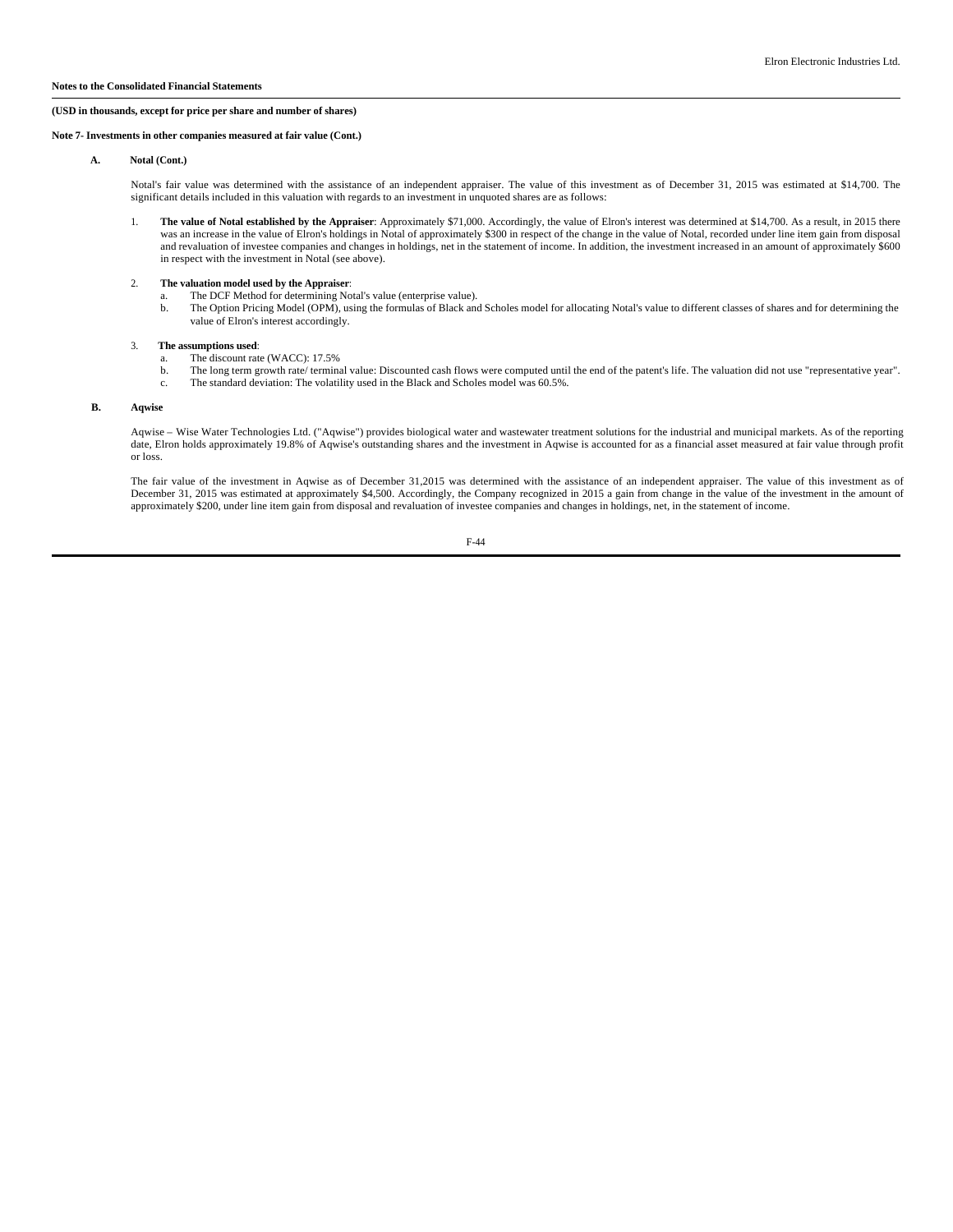## **Note 7- Investments in other companies measured at fair value (Cont.)**

**A. Notal (Cont.)**

Notal's fair value was determined with the assistance of an independent appraiser. The value of this investment as of December 31, 2015 was estimated at \$14,700. The significant details included in this valuation with regards to an investment in unquoted shares are as follows:

1. **The value of Notal established by the Appraiser**: Approximately \$71,000. Accordingly, the value of Elron's interest was determined at \$14,700. As a result, in 2015 there was an increase in the value of Elron's holdings in Notal of approximately \$300 in respect of the change in the value of Notal, recorded under line item gain from disposal and revaluation of investee companies and changes in holdings, net in the statement of income. In addition, the investment increased in an amount of approximately \$600 in respect with the investment in Notal (see above).

#### 2. **The valuation model used by the Appraiser**:

- a. The DCF Method for determining Notal's value (enterprise value).
- b. The Option Pricing Model (OPM), using the formulas of Black and Scholes model for allocating Notal's value to different classes of shares and for determining the value of Elron's interest accordingly.

#### 3. **The assumptions used**:

- a. The discount rate (WACC): 17.5%<br>b. The long term growth rate/termina
- The long term growth rate/ terminal value: Discounted cash flows were computed until the end of the patent's life. The valuation did not use "representative year". c. The standard deviation: The volatility used in the Black and Scholes model was 60.5%.

#### **B. Aqwise**

Aqwise – Wise Water Technologies Ltd. ("Aqwise") provides biological water and wastewater treatment solutions for the industrial and municipal markets. As of the reporting date, Elron holds approximately 19.8% of Aqwise's outstanding shares and the investment in Aqwise is accounted for as a financial asset measured at fair value through profit or loss.

The fair value of the investment in Aqwise as of December 31,2015 was determined with the assistance of an independent appraiser. The value of this investment as of December 31, 2015 was estimated at approximately \$4,500. Accordingly, the Company recognized in 2015 a gain from change in the value of the investment in the amount of approximately \$200, under line item gain from disposal and revaluation of investee companies and changes in holdings, net, in the statement of income.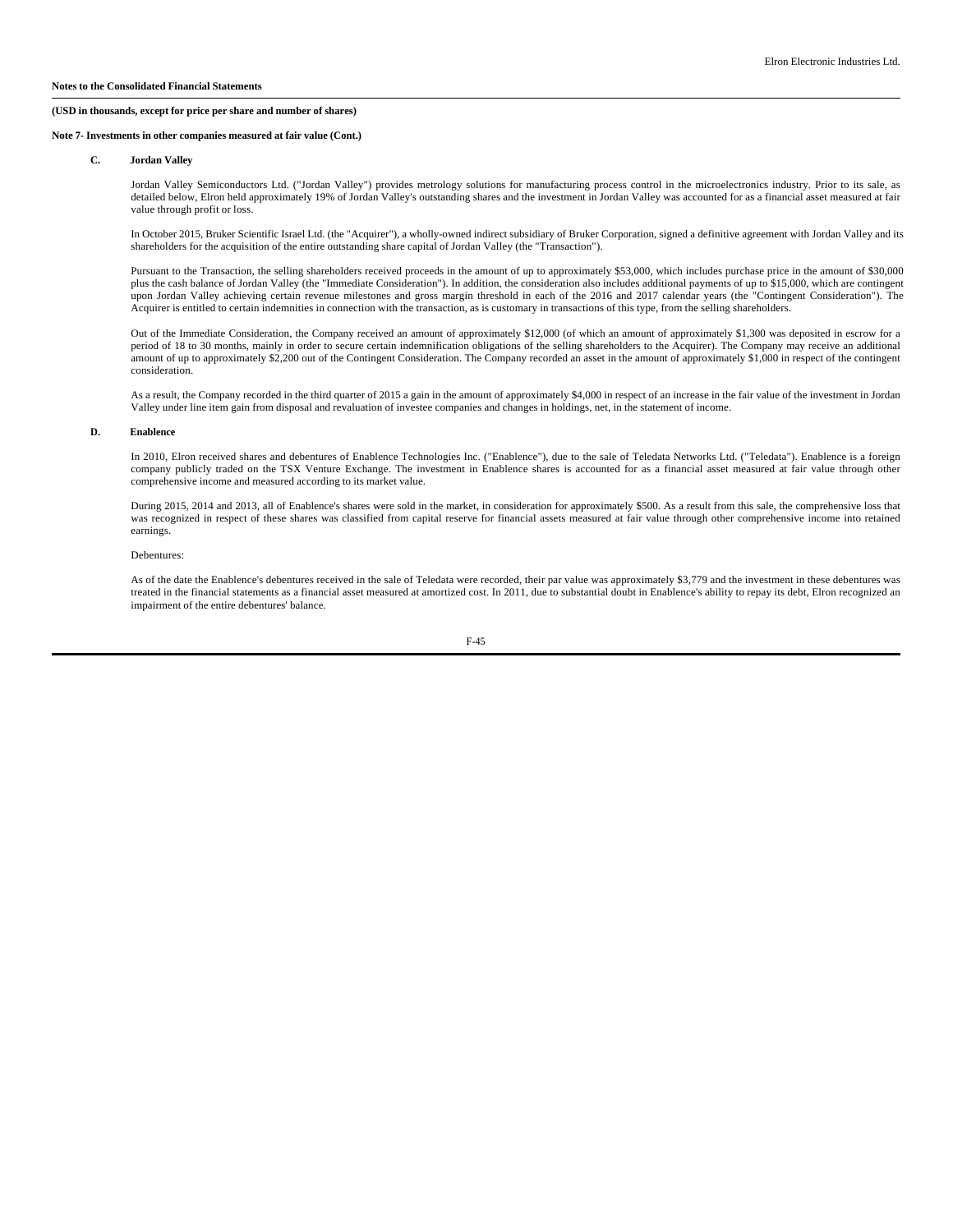#### **Note 7- Investments in other companies measured at fair value (Cont.)**

#### **C. Jordan Valley**

Jordan Valley Semiconductors Ltd. ("Jordan Valley") provides metrology solutions for manufacturing process control in the microelectronics industry. Prior to its sale, as detailed below, Elron held approximately 19% of Jordan Valley's outstanding shares and the investment in Jordan Valley was accounted for as a financial asset measured at fair value through profit or loss.

In October 2015, Bruker Scientific Israel Ltd. (the "Acquirer"), a wholly-owned indirect subsidiary of Bruker Corporation, signed a definitive agreement with Jordan Valley and its shareholders for the acquisition of the entire outstanding share capital of Jordan Valley (the "Transaction").

Pursuant to the Transaction, the selling shareholders received proceeds in the amount of up to approximately \$53,000, which includes purchase price in the amount of \$30,000 plus the cash balance of Jordan Valley (the "Immediate Consideration"). In addition, the consideration also includes additional payments of up to \$15,000, which are contingent upon Jordan Valley achieving certain revenue milestones and gross margin threshold in each of the 2016 and 2017 calendar years (the "Contingent Consideration"). The Acquirer is entitled to certain indemnities in connection with the transaction, as is customary in transactions of this type, from the selling shareholders.

Out of the Immediate Consideration, the Company received an amount of approximately \$12,000 (of which an amount of approximately \$1,300 was deposited in escrow for a period of 18 to 30 months, mainly in order to secure certain indemnification obligations of the selling shareholders to the Acquirer). The Company may receive an additional amount of up to approximately \$2,200 out of the Contingent Consideration. The Company recorded an asset in the amount of approximately \$1,000 in respect of the contingent consideration.

As a result, the Company recorded in the third quarter of 2015 a gain in the amount of approximately \$4,000 in respect of an increase in the fair value of the investment in Jordan Valley under line item gain from disposal and revaluation of investee companies and changes in holdings, net, in the statement of income.

#### **D. Enablence**

In 2010, Elron received shares and debentures of Enablence Technologies Inc. ("Enablence"), due to the sale of Teledata Networks Ltd. ("Teledata"). Enablence is a foreign company publicly traded on the TSX Venture Exchange. The investment in Enablence shares is accounted for as a financial asset measured at fair value through other comprehensive income and measured according to its market value.

During 2015, 2014 and 2013, all of Enablence's shares were sold in the market, in consideration for approximately \$500. As a result from this sale, the comprehensive loss that was recognized in respect of these shares was classified from capital reserve for financial assets measured at fair value through other comprehensive income into retained earnings.

#### Debentures:

As of the date the Enablence's debentures received in the sale of Teledata were recorded, their par value was approximately \$3,779 and the investment in these debentures was treated in the financial statements as a financial asset measured at amortized cost. In 2011, due to substantial doubt in Enablence's ability to repay its debt, Elron recognized an impairment of the entire debentures' balance.

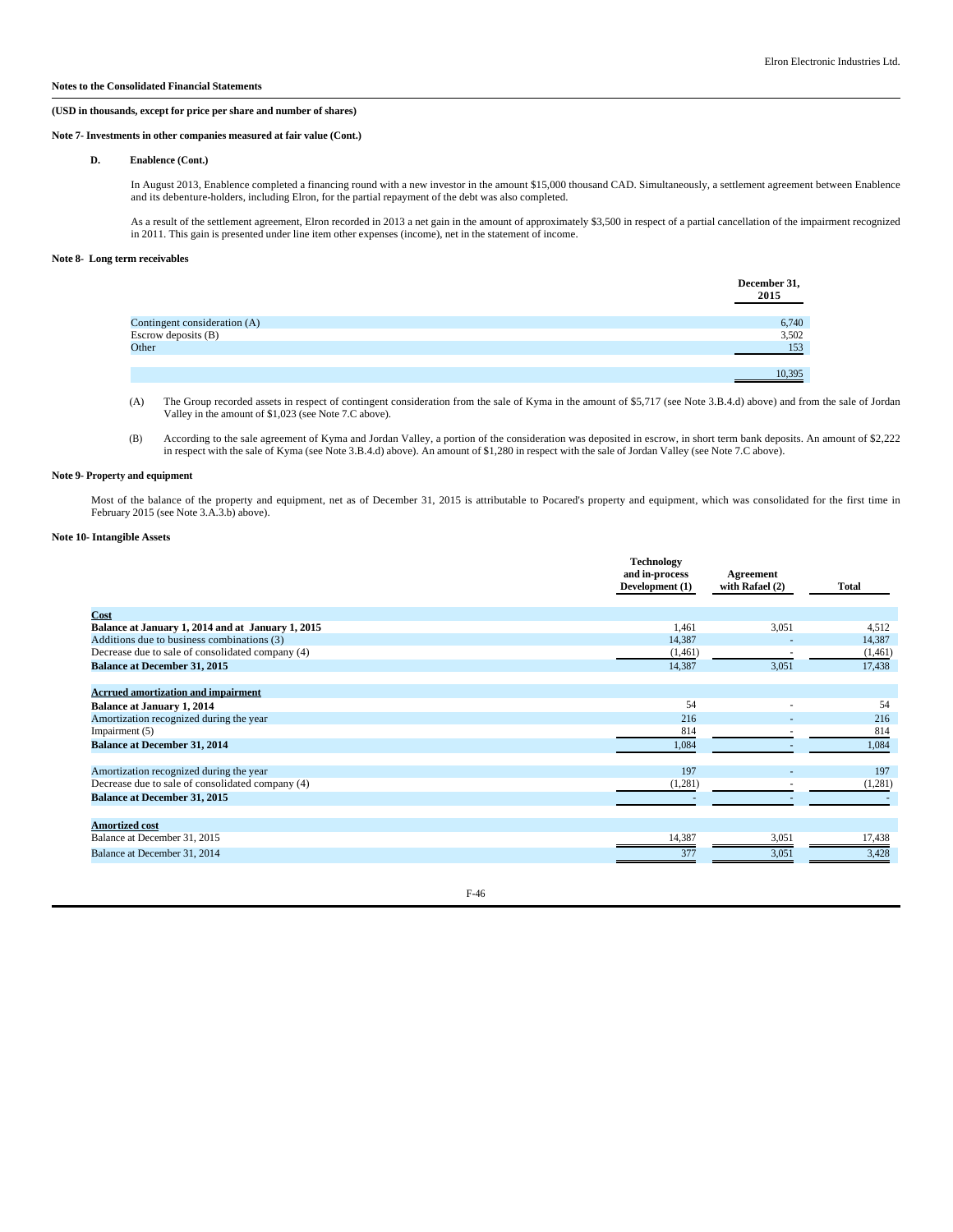## **(USD in thousands, except for price per share and number of shares)**

## **Note 7- Investments in other companies measured at fair value (Cont.)**

#### **D. Enablence (Cont.)**

In August 2013, Enablence completed a financing round with a new investor in the amount \$15,000 thousand CAD. Simultaneously, a settlement agreement between Enablence and its debenture-holders, including Elron, for the partial repayment of the debt was also completed.

As a result of the settlement agreement, Elron recorded in 2013 a net gain in the amount of approximately \$3,500 in respect of a partial cancellation of the impairment recognized in 2011. This gain is presented under line item other expenses (income), net in the statement of income.

## **Note 8- Long term receivables**

|                              | December 31,<br>2015 |
|------------------------------|----------------------|
| Contingent consideration (A) | 6,740                |
| Escrow deposits (B)<br>Other | 3,502                |
|                              | 153                  |
|                              |                      |
|                              | 10,395               |

 (A) The Group recorded assets in respect of contingent consideration from the sale of Kyma in the amount of \$5,717 (see Note 3.B.4.d) above) and from the sale of Jordan Valley in the amount of \$1,023 (see Note 7.C above).

 (B) According to the sale agreement of Kyma and Jordan Valley, a portion of the consideration was deposited in escrow, in short term bank deposits. An amount of \$2,222 in respect with the sale of Kyma (see Note 3.B.4.d) above). An amount of \$1,280 in respect with the sale of Jordan Valley (see Note 7.C above).

### **Note 9- Property and equipment**

Most of the balance of the property and equipment, net as of December 31, 2015 is attributable to Pocared's property and equipment, which was consolidated for the first time in February 2015 (see Note 3.A.3.b) above).

## **Note 10- Intangible Assets**

|                                                   | <b>Technology</b><br>and in-process<br>Development (1) | Agreement<br>with Rafael (2) | Total   |
|---------------------------------------------------|--------------------------------------------------------|------------------------------|---------|
| Cost                                              |                                                        |                              |         |
| Balance at January 1, 2014 and at January 1, 2015 | 1,461                                                  | 3,051                        | 4,512   |
| Additions due to business combinations (3)        | 14,387                                                 |                              | 14,387  |
| Decrease due to sale of consolidated company (4)  | (1,461)                                                |                              | (1,461) |
| <b>Balance at December 31, 2015</b>               | 14,387                                                 | 3,051                        | 17,438  |
|                                                   |                                                        |                              |         |
| <b>Acrrued amortization and impairment</b>        |                                                        |                              |         |
| <b>Balance at January 1, 2014</b>                 | 54                                                     |                              | 54      |
| Amortization recognized during the year           | 216                                                    |                              | 216     |
| Impairment $(5)$                                  | 814                                                    |                              | 814     |
| <b>Balance at December 31, 2014</b>               | 1,084                                                  |                              | 1,084   |
|                                                   |                                                        |                              |         |
| Amortization recognized during the year           | 197                                                    |                              | 197     |
| Decrease due to sale of consolidated company (4)  | (1,281)                                                |                              | (1,281) |
| <b>Balance at December 31, 2015</b>               |                                                        |                              |         |
|                                                   |                                                        |                              |         |
| <b>Amortized cost</b>                             |                                                        |                              |         |
| Balance at December 31, 2015                      | 14,387                                                 | 3,051                        | 17,438  |
| Balance at December 31, 2014                      | 377                                                    | 3,051                        | 3,428   |
|                                                   |                                                        |                              |         |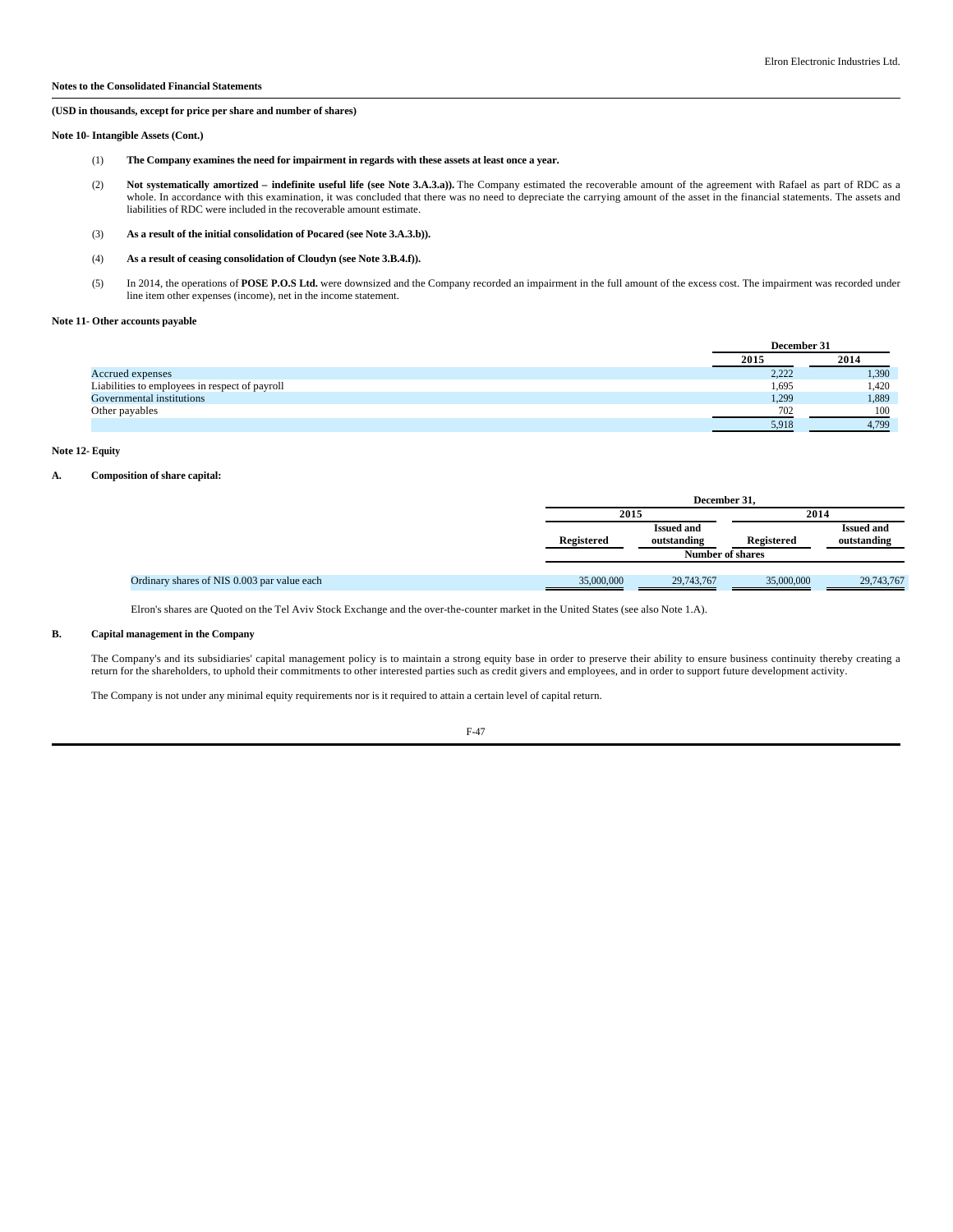**(USD in thousands, except for price per share and number of shares)**

## **Note 10- Intangible Assets (Cont.)**

- (1) **The Company examines the need for impairment in regards with these assets at least once a year.**
- (2) Not systematically amortized indefinite useful life (see Note 3.A.3.a)). The Company estimated the recoverable amount of the agreement with Rafael as part of RDC as a whole. In accordance with this examination, it was concluded that there was no need to depreciate the carrying amount of the asset in the financial statements. The assets and liabilities of RDC were included in the recoverable amount estimate.
- (3) **As a result of the initial consolidation of Pocared (see Note 3.A.3.b)).**
- (4) **As a result of ceasing consolidation of Cloudyn (see Note 3.B.4.f)).**
- (5) In 2014, the operations of **POSE P.O.S Ltd.** were downsized and the Company recorded an impairment in the full amount of the excess cost. The impairment was recorded under line item other expenses (income), net in the income statement.

## **Note 11- Other accounts payable**

|                                                | December 31 |       |
|------------------------------------------------|-------------|-------|
|                                                | 2015        | 2014  |
| Accrued expenses                               | 2,222       | 1,390 |
| Liabilities to employees in respect of payroll | 1,695       | 1,420 |
| Governmental institutions                      | 1,299       | 1,889 |
| Other payables                                 | 702         | 100   |
|                                                | 5,918       | 4.799 |

## **Note 12- Equity**

### **A. Composition of share capital:**

|            | December 31.                     |            |                                  |
|------------|----------------------------------|------------|----------------------------------|
| 2015       |                                  | 2014       |                                  |
| Registered | <b>Issued and</b><br>outstanding | Registered | <b>Issued and</b><br>outstanding |
|            | <b>Number of shares</b>          |            |                                  |
| 35,000,000 | 29,743,767                       | 35,000,000 | 29,743,767                       |

Elron's shares are Quoted on the Tel Aviv Stock Exchange and the over-the-counter market in the United States (see also Note 1.A).

## **B. Capital management in the Company**

The Company's and its subsidiaries' capital management policy is to maintain a strong equity base in order to preserve their ability to ensure business continuity thereby creating a return for the shareholders, to uphold their commitments to other interested parties such as credit givers and employees, and in order to support future development activity.

The Company is not under any minimal equity requirements nor is it required to attain a certain level of capital return.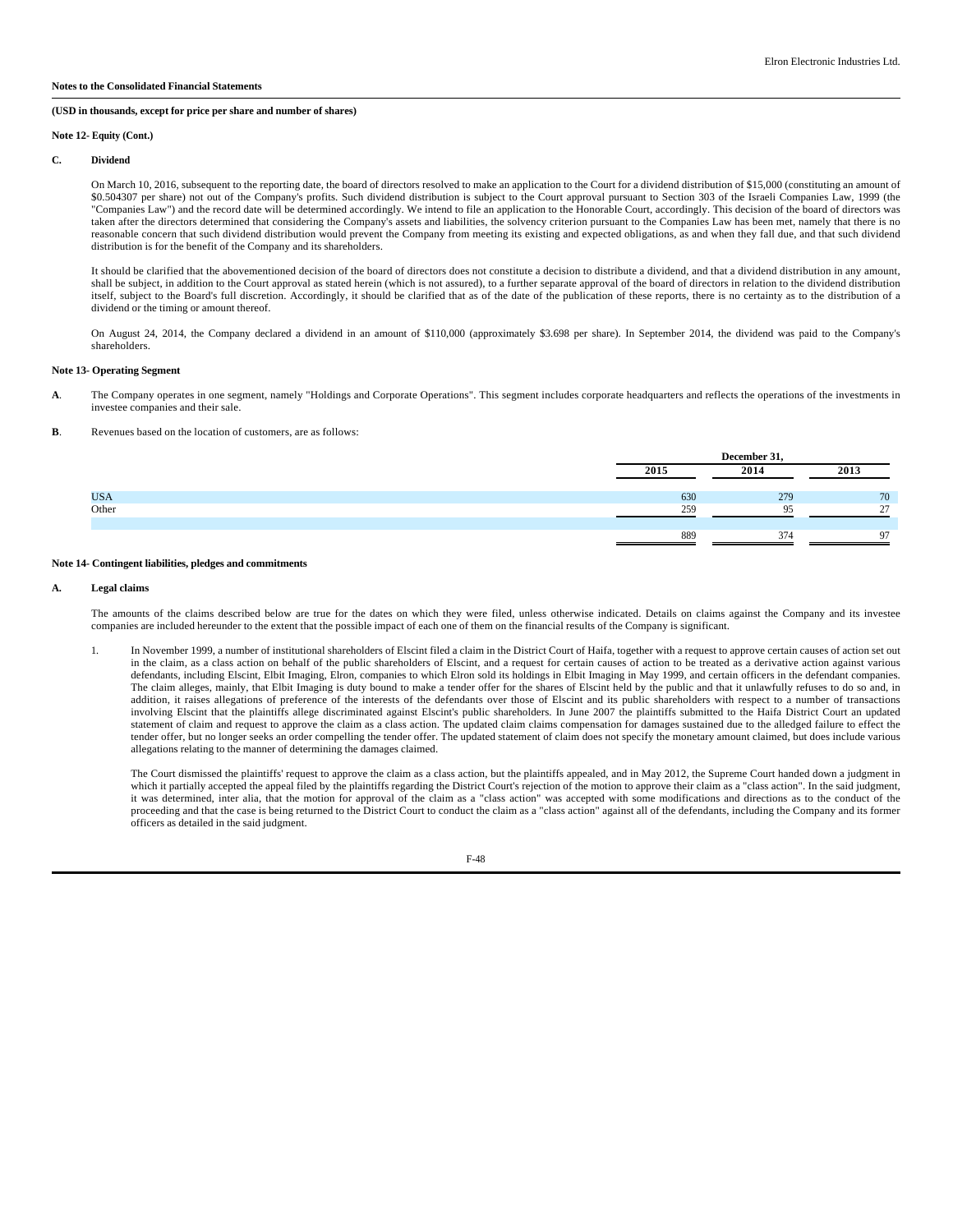#### **(USD in thousands, except for price per share and number of shares)**

## **Note 12- Equity (Cont.)**

#### **C. Dividend**

On March 10, 2016, subsequent to the reporting date, the board of directors resolved to make an application to the Court for a dividend distribution of \$15,000 (constituting an amount of \$0.504307 per share) not out of the Company's profits. Such dividend distribution is subject to the Court approval pursuant to Section 303 of the Israeli Companies Law, 1999 (the "Companies Law") and the record date will be determined accordingly. We intend to file an application to the Honorable Court, accordingly. This decision of the board of directors was taken after the directors determined that considering the Company's assets and liabilities, the solvency criterion pursuant to the Companies Law has been met, namely that there is no reasonable concern that such dividend distribution would prevent the Company from meeting its existing and expected obligations, as and when they fall due, and that such dividend distribution is for the benefit of the Company and its shareholders.

It should be clarified that the abovementioned decision of the board of directors does not constitute a decision to distribute a dividend, and that a dividend distribution in any amount, shall be subject, in addition to the Court approval as stated herein (which is not assured), to a further separate approval of the board of directors in relation to the dividend distribution itself, subject to the Board's full discretion. Accordingly, it should be clarified that as of the date of the publication of these reports, there is no certainty as to the distribution of a dividend or the timing or amount thereof.

On August 24, 2014, the Company declared a dividend in an amount of \$110,000 (approximately \$3.698 per share). In September 2014, the dividend was paid to the Company's shareholders.

#### **Note 13- Operating Segment**

**A**. The Company operates in one segment, namely "Holdings and Corporate Operations". This segment includes corporate headquarters and reflects the operations of the investments in investee companies and their sale.

#### **B.** Revenues based on the location of customers, are as follows:

|            |      | December 3 |      |  |
|------------|------|------------|------|--|
|            | 2015 | 2014       | 2013 |  |
| <b>USA</b> | 630  | 279        | 70   |  |
| Other      | 259  |            | 27   |  |
|            |      |            |      |  |
|            | 889  | 374        | 07   |  |

## **Note 14- Contingent liabilities, pledges and commitments**

#### **A. Legal claims**

The amounts of the claims described below are true for the dates on which they were filed, unless otherwise indicated. Details on claims against the Company and its investee companies are included hereunder to the extent that the possible impact of each one of them on the financial results of the Company is significant.

 1. In November 1999, a number of institutional shareholders of Elscint filed a claim in the District Court of Haifa, together with a request to approve certain causes of action set out in the claim, as a class action on behalf of the public shareholders of Elscint, and a request for certain causes of action to be treated as a derivative action against various defendants, including Elscint, Elbit Imaging, Elron, companies to which Elron sold its holdings in Elbit Imaging in May 1999, and certain officers in the defendant companies. The claim alleges, mainly, that Elbit Imaging is duty bound to make a tender offer for the shares of Elscint held by the public and that it unlawfully refuses to do so and, in addition, it raises allegations of preference of the interests of the defendants over those of Elscint and its public shareholders with respect to a number of transactions involving Elscint that the plaintiffs allege discriminated against Elscint's public shareholders. In June 2007 the plaintiffs submitted to the Haifa District Court an updated statement of claim and request to approve the claim as a class action. The updated claim claims compensation for damages sustained due to the alledged failure to effect the tender offer, but no longer seeks an order compelling the tender offer. The updated statement of claim does not specify the monetary amount claimed, but does include various allegations relating to the manner of determining the damages claimed.

 The Court dismissed the plaintiffs' request to approve the claim as a class action, but the plaintiffs appealed, and in May 2012, the Supreme Court handed down a judgment in which it partially accepted the appeal filed by the plaintiffs regarding the District Court's rejection of the motion to approve their claim as a "class action". In the said judgment, it was determined, inter alia, that the motion for approval of the claim as a "class action" was accepted with some modifications and directions as to the conduct of the<br>proceeding and that the case is being returned to th officers as detailed in the said judgment.

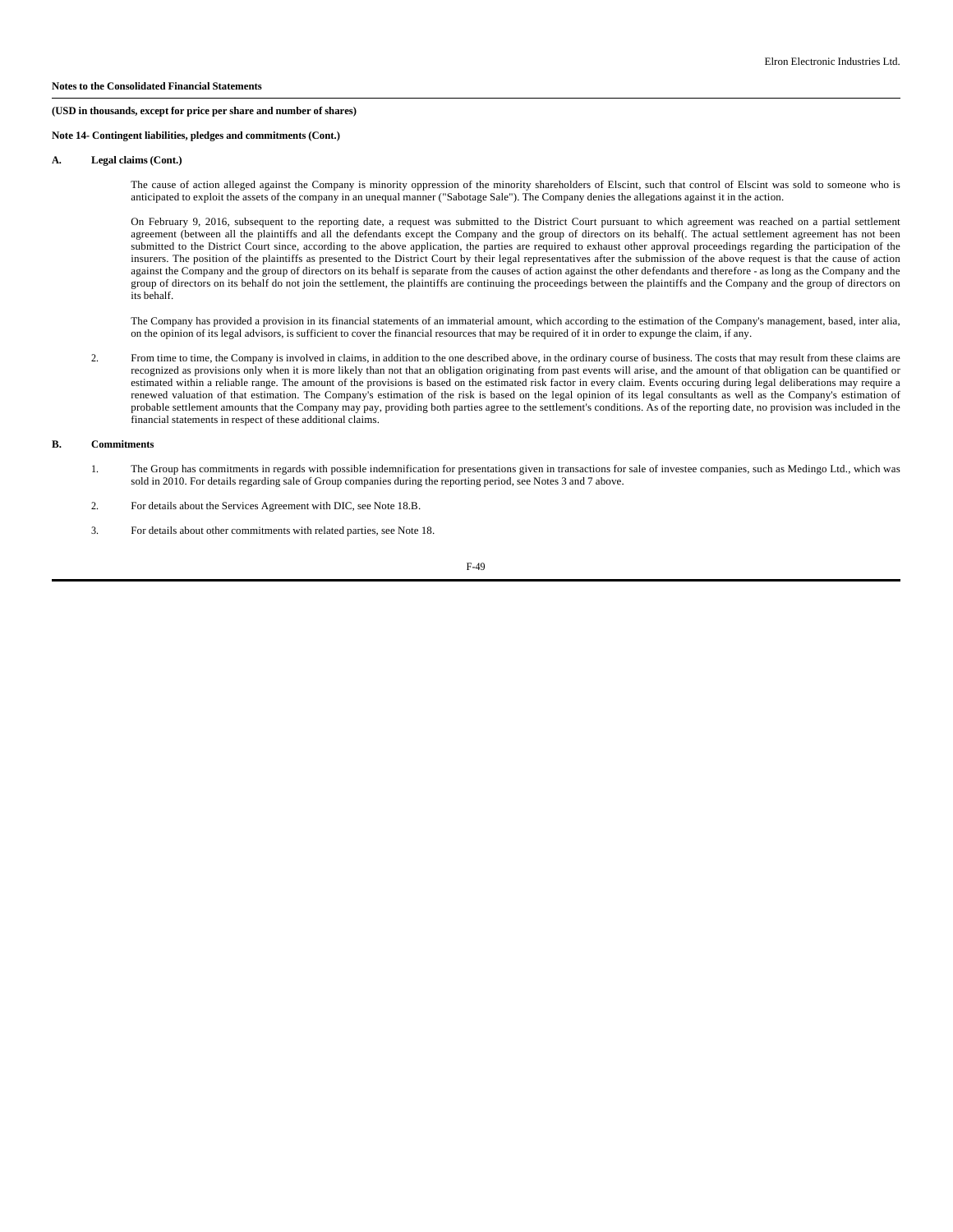## **Note 14- Contingent liabilities, pledges and commitments (Cont.)**

#### **A. Legal claims (Cont.)**

The cause of action alleged against the Company is minority oppression of the minority shareholders of Elscint, such that control of Elscint was sold to someone who is anticipated to exploit the assets of the company in an unequal manner ("Sabotage Sale"). The Company denies the allegations against it in the action.

On February 9, 2016, subsequent to the reporting date, a request was submitted to the District Court pursuant to which agreement was reached on a partial settlement agreement (between all the plaintiffs and all the defendants except the Company and the group of directors on its behalf(. The actual settlement agreement has not been submitted to the District Court since, according to the above application, the parties are required to exhaust other approval proceedings regarding the participation of the insurers. The position of the plaintiffs as presented to the District Court by their legal representatives after the submission of the above request is that the cause of action against the Company and the group of directors on its behalf is separate from the causes of action against the other defendants and therefore - as long as the Company and the group of directors on its behalf do not join the settlement, the plaintiffs are continuing the proceedings between the plaintiffs and the Company and the group of directors on its behalf.

The Company has provided a provision in its financial statements of an immaterial amount, which according to the estimation of the Company's management, based, inter alia, on the opinion of its legal advisors, is sufficient to cover the financial resources that may be required of it in order to expunge the claim, if any.

 2. From time to time, the Company is involved in claims, in addition to the one described above, in the ordinary course of business. The costs that may result from these claims are recognized as provisions only when it is more likely than not that an obligation originating from past events will arise, and the amount of that obligation can be quantified or estimated within a reliable range. The amount of the provisions is based on the estimated risk factor in every claim. Events occuring during legal deliberations may require a renewed valuation of that estimation. The Company's estimation of the risk is based on the legal opinion of its legal consultants as well as the Company's estimation of probable settlement amounts that the Company may pay, providing both parties agree to the settlement's conditions. As of the reporting date, no provision was included in the financial statements in respect of these additional claims.

## **B. Commitments**

- 1. The Group has commitments in regards with possible indemnification for presentations given in transactions for sale of investee companies, such as Medingo Ltd., which was sold in 2010. For details regarding sale of Group companies during the reporting period, see Notes 3 and 7 above.
- 2. For details about the Services Agreement with DIC, see Note 18.B.
- 3. For details about other commitments with related parties, see Note 18.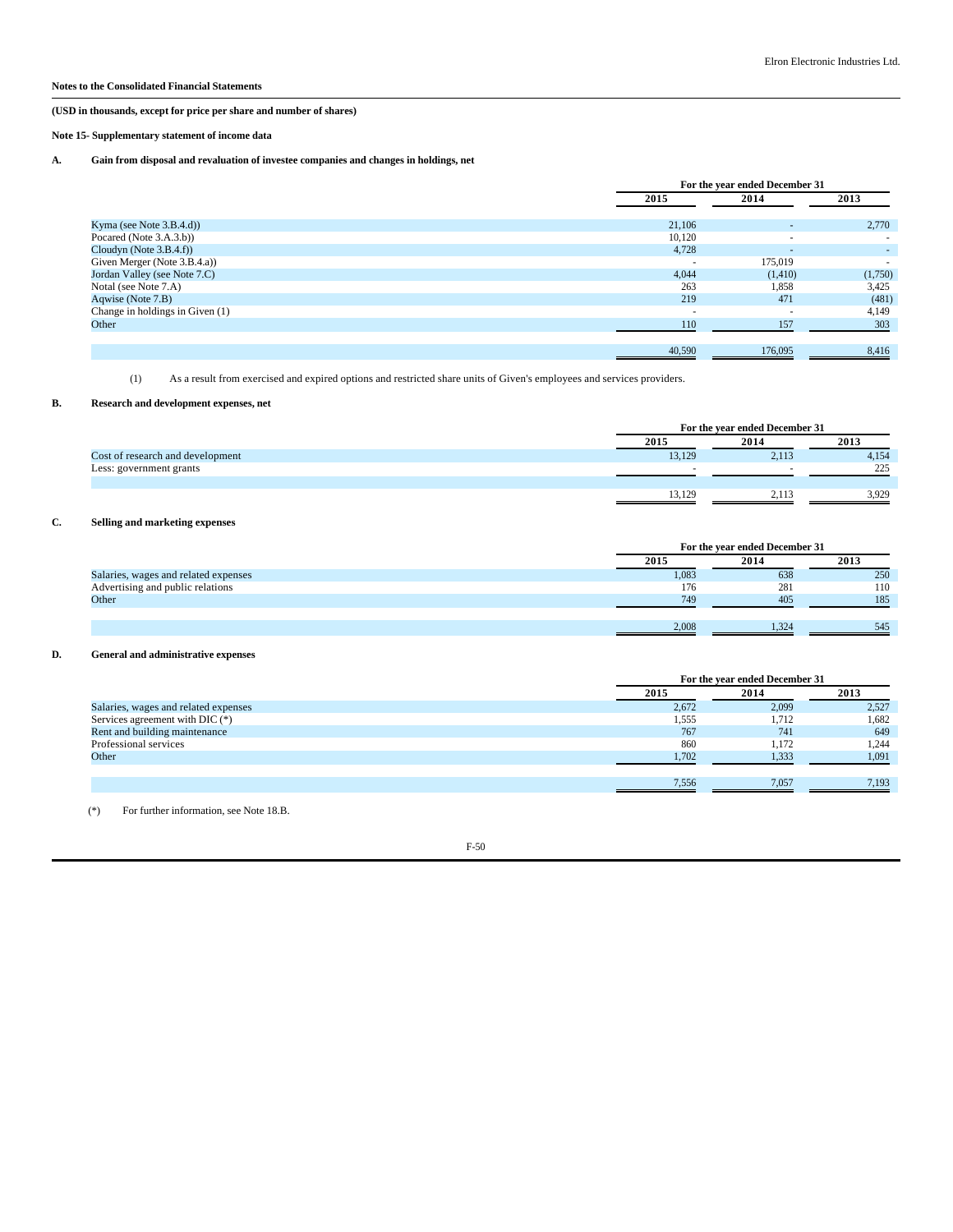**(USD in thousands, except for price per share and number of shares)**

## **Note 15- Supplementary statement of income data**

## **A. Gain from disposal and revaluation of investee companies and changes in holdings, net**

|                                 | For the year ended December 31 |          |         |
|---------------------------------|--------------------------------|----------|---------|
|                                 | 2015                           | 2014     | 2013    |
|                                 |                                |          |         |
| Kyma (see Note $3.B.4.d$ ))     | 21,106                         | ۰.       | 2,770   |
| Pocared (Note 3.A.3.b))         | 10,120                         |          |         |
| Cloudyn (Note $3.B.4.f$ ))      | 4,728                          |          | ۰.      |
| Given Merger (Note 3.B.4.a))    | $\overline{\phantom{a}}$       | 175,019  |         |
| Jordan Valley (see Note 7.C)    | 4,044                          | (1, 410) | (1,750) |
| Notal (see Note 7.A)            | 263                            | 1,858    | 3,425   |
| Aqwise (Note 7.B)               | 219                            | 471      | (481)   |
| Change in holdings in Given (1) | $\overline{\phantom{a}}$       |          | 4,149   |
| Other                           | 110                            | 157      | 303     |
|                                 |                                |          |         |
|                                 | 40,590                         | 176,095  | 8,416   |

(1) As a result from exercised and expired options and restricted share units of Given's employees and services providers.

## **B. Research and development expenses, net**

| For the year ended December 31 |       |       |
|--------------------------------|-------|-------|
| 2015                           | 2014  | 2013  |
| 13.129                         | 2,113 | 4,154 |
| $\overline{\phantom{a}}$       |       | 225   |
|                                |       |       |
| 13.129                         | 2.113 | 3.929 |
|                                |       |       |

## **C. Selling and marketing expenses**

|                                      |       | For the year ended December 31 |      |  |
|--------------------------------------|-------|--------------------------------|------|--|
|                                      | 2015  | 2014                           | 2013 |  |
| Salaries, wages and related expenses | 1,083 | 638                            | 250  |  |
| Advertising and public relations     | 176   | 281                            | 110  |  |
| Other                                | 749   | 405                            | 185  |  |
|                                      |       |                                |      |  |
|                                      | 2,008 | 1,324                          | 545  |  |

## **D. General and administrative expenses**

|                                      | For the year ended December 31 |       |       |
|--------------------------------------|--------------------------------|-------|-------|
|                                      | 2015                           | 2014  | 2013  |
| Salaries, wages and related expenses | 2,672                          | 2,099 | 2,527 |
| Services agreement with DIC (*)      | 1,555                          | 1.712 | 1,682 |
| Rent and building maintenance        | 767                            | 741   | 649   |
| Professional services                | 860                            | 1.172 | 1,244 |
| Other                                | 1.702                          | 1,333 | 1,091 |
|                                      |                                |       |       |
|                                      | 7,556                          | 7.057 | 7.193 |

(\*) For further information, see Note 18.B.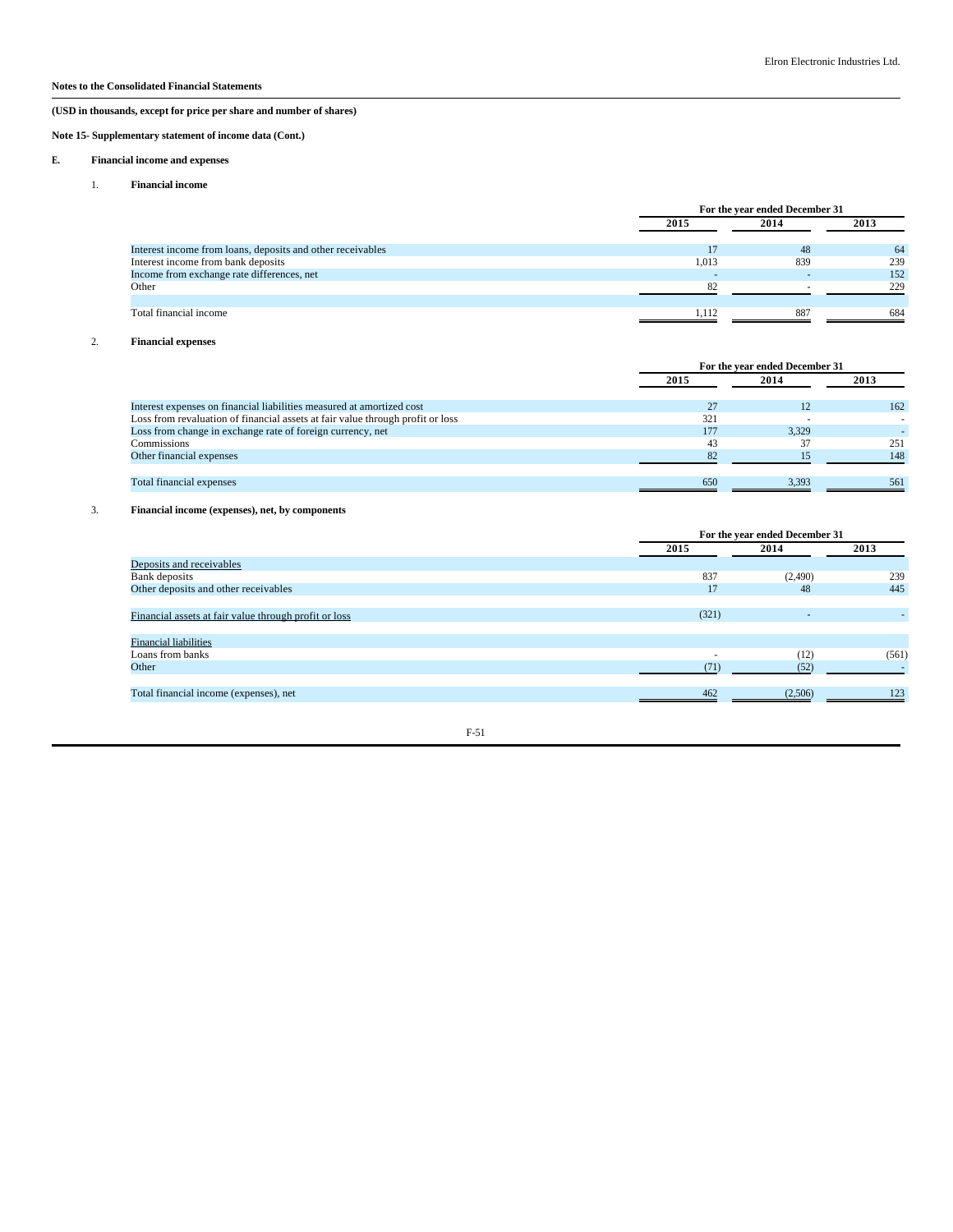**(USD in thousands, except for price per share and number of shares)**

## **Note 15- Supplementary statement of income data (Cont.)**

## **E. Financial income and expenses**

1. **Financial income**

|                                                            | For the year ended December 31 |      |      |
|------------------------------------------------------------|--------------------------------|------|------|
|                                                            | 2015                           | 2014 | 2013 |
| Interest income from loans, deposits and other receivables |                                | 48   | 64   |
| Interest income from bank deposits                         | 1,013                          | 839  | 239  |
| Income from exchange rate differences, net                 |                                |      | 152  |
| Other                                                      | 82                             |      | 229  |
|                                                            |                                |      |      |
| Total financial income                                     | 1.112                          | 887  | 684  |

## 2. **Financial expenses**

|                                                                                |      | For the year ended December 31 |      |  |
|--------------------------------------------------------------------------------|------|--------------------------------|------|--|
|                                                                                | 2015 | 2014                           | 2013 |  |
| Interest expenses on financial liabilities measured at amortized cost          | 27   |                                | 162  |  |
| Loss from revaluation of financial assets at fair value through profit or loss | 321  |                                |      |  |
| Loss from change in exchange rate of foreign currency, net                     | 177  | 3.329                          |      |  |
| Commissions                                                                    | 43   |                                | 251  |  |
| Other financial expenses                                                       | 82   |                                | 148  |  |
|                                                                                |      |                                |      |  |
| Total financial expenses                                                       | 650  | 3.393                          | 561  |  |

## 3. **Financial income (expenses), net, by components**

|                                                       |       | For the year ended December 31 |       |  |
|-------------------------------------------------------|-------|--------------------------------|-------|--|
|                                                       | 2015  | 2014                           | 2013  |  |
| Deposits and receivables                              |       |                                |       |  |
| Bank deposits                                         | 837   | (2,490)                        | 239   |  |
| Other deposits and other receivables                  | 17    | 48                             | 445   |  |
|                                                       |       |                                |       |  |
| Financial assets at fair value through profit or loss | (321) | $\overline{\phantom{a}}$       |       |  |
|                                                       |       |                                |       |  |
| <b>Financial liabilities</b>                          |       |                                |       |  |
| Loans from banks                                      |       | (12)                           | (561) |  |
| Other                                                 | (71)  | (52)                           |       |  |
|                                                       |       |                                |       |  |
| Total financial income (expenses), net                | 462   | (2,506)                        | 123   |  |
|                                                       |       |                                |       |  |

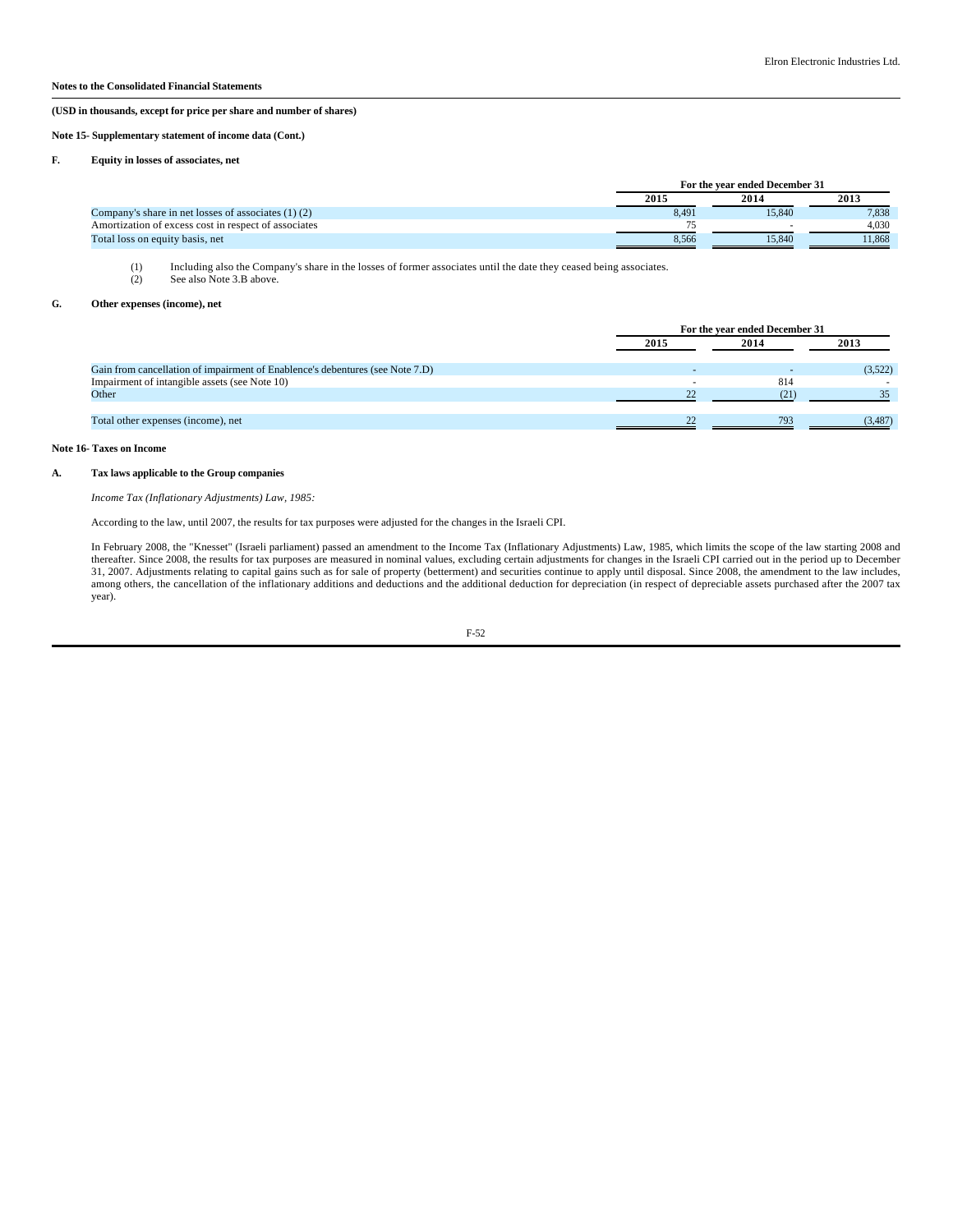**(USD in thousands, except for price per share and number of shares)**

## **Note 15- Supplementary statement of income data (Cont.)**

#### **F. Equity in losses of associates, net**

|                                                         |       | For the vear ended December 31 |        |  |
|---------------------------------------------------------|-------|--------------------------------|--------|--|
|                                                         | 2015  | 2014                           | 2013   |  |
| Company's share in net losses of associates $(1)$ $(2)$ | 8.491 | 15,840                         | 7.838  |  |
| Amortization of excess cost in respect of associates    |       |                                | 4.030  |  |
| Total loss on equity basis, net                         | 8.566 | 15.840                         | 11.868 |  |

(1) Including also the Company's share in the losses of former associates until the date they ceased being associates.<br>
See also Note 3.B above.

## See also Note 3.B above.

## **G. Other expenses (income), net**

|                                                                               | For the year ended December 31 |      |         |
|-------------------------------------------------------------------------------|--------------------------------|------|---------|
|                                                                               | 2015                           | 2014 | 2013    |
| Gain from cancellation of impairment of Enablence's debentures (see Note 7.D) |                                |      | (3,522) |
| Impairment of intangible assets (see Note 10)                                 |                                | 814  |         |
| Other                                                                         | $\gamma\gamma$                 | (21) | 35      |
|                                                                               |                                |      |         |
| Total other expenses (income), net                                            |                                | 793  | (3.487) |

### **Note 16- Taxes on Income**

## **A. Tax laws applicable to the Group companies**

*Income Tax (Inflationary Adjustments) Law, 1985:*

According to the law, until 2007, the results for tax purposes were adjusted for the changes in the Israeli CPI.

In February 2008, the "Knesset" (Israeli parliament) passed an amendment to the Income Tax (Inflationary Adjustments) Law, 1985, which limits the scope of the law starting 2008 and thereafter. Since 2008, the results for tax purposes are measured in nominal values, excluding certain adjustments for changes in the Israeli CPI carried out in the period up to December<br>31, 2007. Adjustments relating to c year).

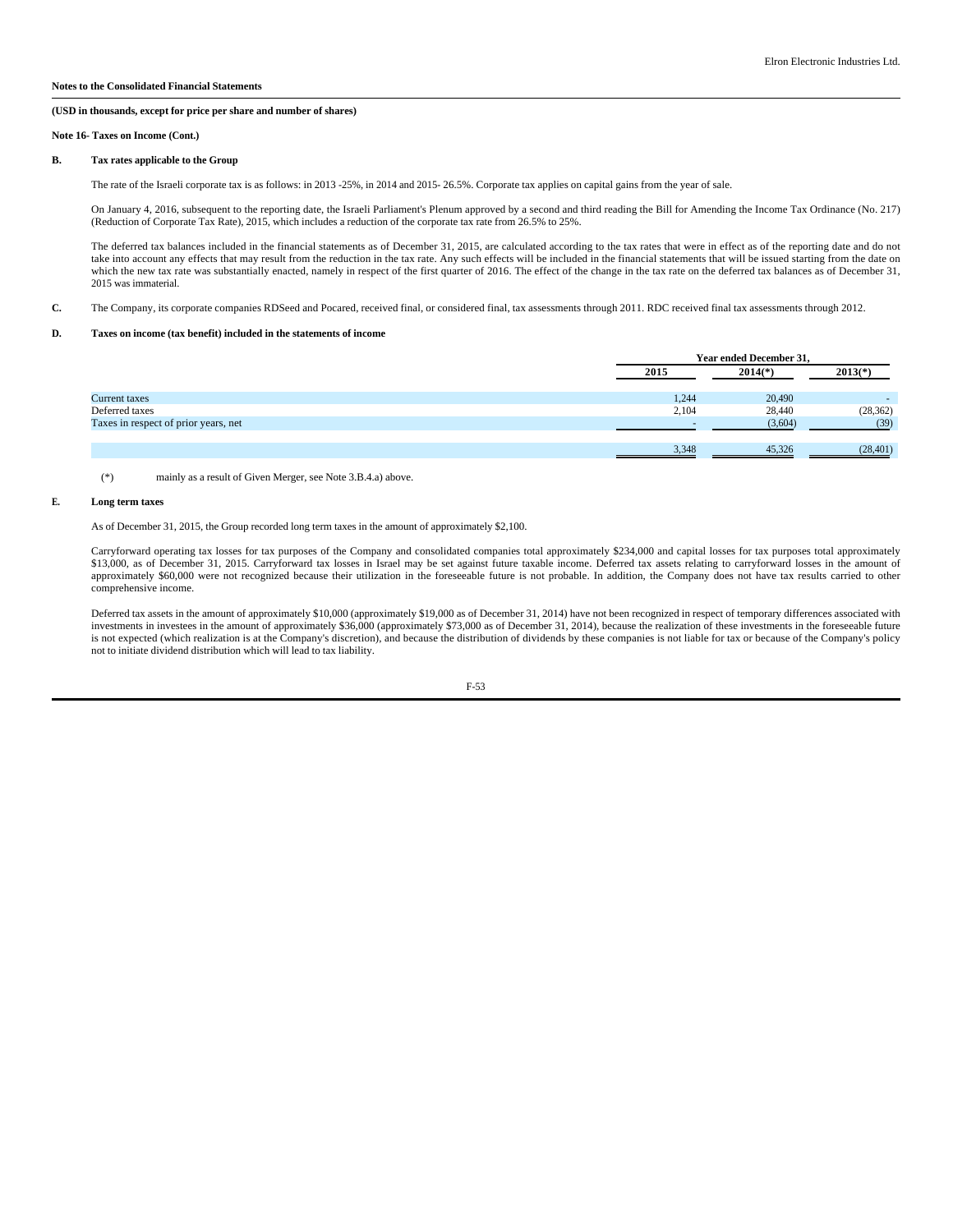#### **(USD in thousands, except for price per share and number of shares)**

## **Note 16- Taxes on Income (Cont.)**

#### **B. Tax rates applicable to the Group**

The rate of the Israeli corporate tax is as follows: in 2013 -25%, in 2014 and 2015- 26.5%. Corporate tax applies on capital gains from the year of sale.

On January 4, 2016, subsequent to the reporting date, the Israeli Parliament's Plenum approved by a second and third reading the Bill for Amending the Income Tax Ordinance (No. 217) (Reduction of Corporate Tax Rate), 2015, which includes a reduction of the corporate tax rate from 26.5% to 25%.

The deferred tax balances included in the financial statements as of December 31, 2015, are calculated according to the tax rates that were in effect as of the reporting date and do not take into account any effects that may result from the reduction in the tax rate. Any such effects will be included in the financial statements that will be issued starting from the date on which the new tax rate was substantially enacted, namely in respect of the first quarter of 2016. The effect of the change in the tax rate on the deferred tax balances as of December 31, 2015 was immaterial.

**C.** The Company, its corporate companies RDSeed and Pocared, received final, or considered final, tax assessments through 2011. RDC received final tax assessments through 2012.

## **D. Taxes on income (tax benefit) included in the statements of income**

|                                      |       | Year ended December 31. |           |  |
|--------------------------------------|-------|-------------------------|-----------|--|
|                                      | 2015  | $2014(*)$               | $2013(*)$ |  |
|                                      |       |                         |           |  |
| Current taxes                        | 1,244 | 20,490                  |           |  |
| Deferred taxes                       | 2,104 | 28,440                  | (28, 362) |  |
| Taxes in respect of prior years, net |       | (3,604)                 | (39)      |  |
|                                      |       |                         |           |  |
|                                      | 3,348 | 45,326                  | (28, 401) |  |

(\*) mainly as a result of Given Merger, see Note 3.B.4.a) above.

#### **E. Long term taxes**

As of December 31, 2015, the Group recorded long term taxes in the amount of approximately \$2,100.

Carryforward operating tax losses for tax purposes of the Company and consolidated companies total approximately \$234,000 and capital losses for tax purposes total approximately \$13,000, as of December 31, 2015. Carryforwa approximately \$60,000 were not recognized because their utilization in the foreseeable future is not probable. In addition, the Company does not have tax results carried to other comprehensive income.

Deferred tax assets in the amount of approximately \$10,000 (approximately \$19,000 as of December 31, 2014) have not been recognized in respect of temporary differences associated with<br>investments in investees in the amount is not expected (which realization is at the Company's discretion), and because the distribution of dividends by these companies is not liable for tax or because of the Company's policy not to initiate dividend distribution which will lead to tax liability.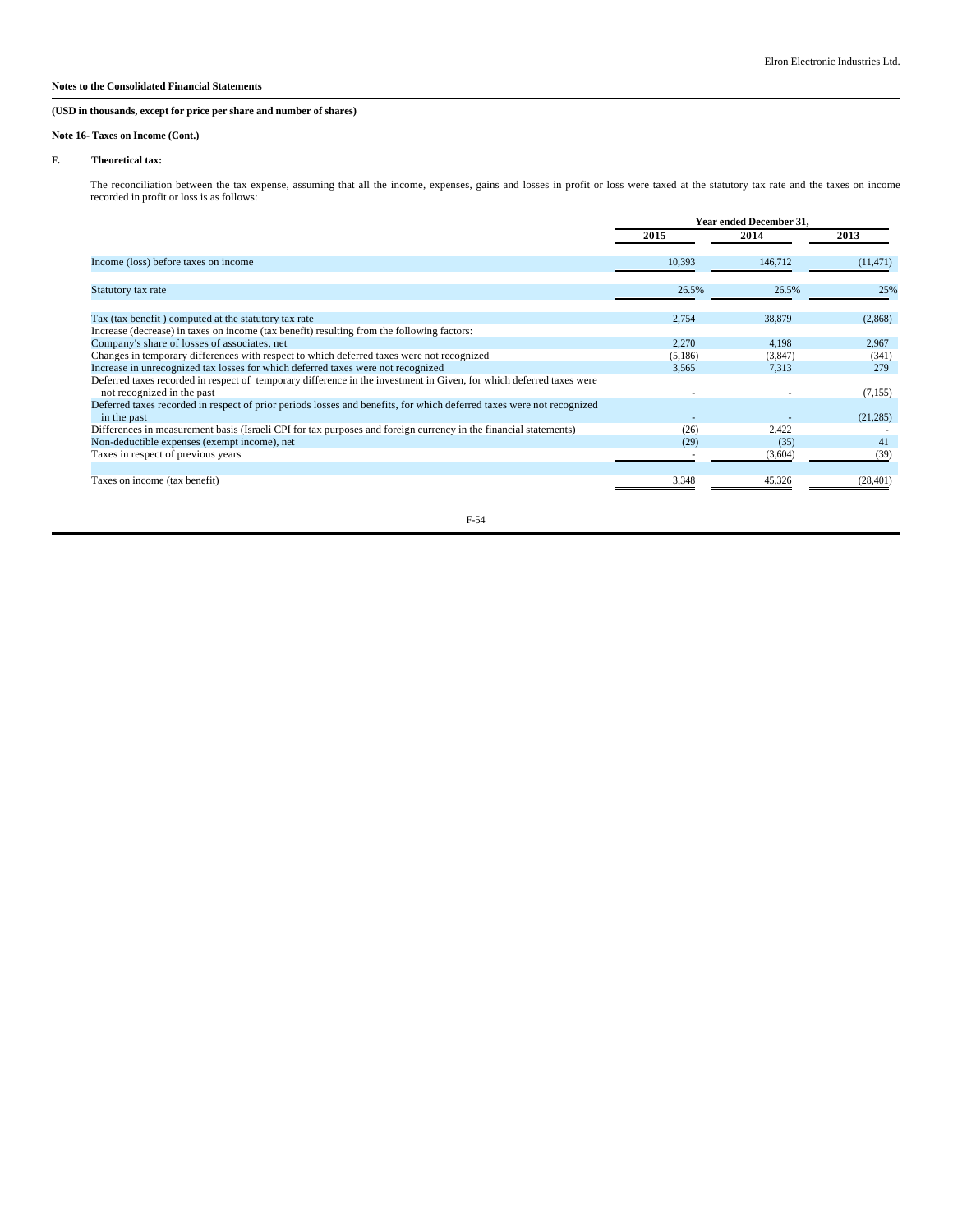## **(USD in thousands, except for price per share and number of shares)**

## **Note 16- Taxes on Income (Cont.)**

## **F. Theoretical tax:**

The reconciliation between the tax expense, assuming that all the income, expenses, gains and losses in profit or loss were taxed at the statutory tax rate and the taxes on income recorded in profit or loss is as follows:

|                                                                                                                                                                               | Year ended December 31,  |                  |              |
|-------------------------------------------------------------------------------------------------------------------------------------------------------------------------------|--------------------------|------------------|--------------|
|                                                                                                                                                                               | 2015                     | 2014             | 2013         |
| Income (loss) before taxes on income                                                                                                                                          | 10,393                   | 146,712          | (11, 471)    |
| Statutory tax rate                                                                                                                                                            | 26.5%                    | 26.5%            | 25%          |
| Tax (tax benefit) computed at the statutory tax rate<br>Increase (decrease) in taxes on income (tax benefit) resulting from the following factors:                            | 2,754                    | 38,879           | (2,868)      |
| Company's share of losses of associates, net                                                                                                                                  | 2,270                    | 4.198            | 2,967        |
| Changes in temporary differences with respect to which deferred taxes were not recognized<br>Increase in unrecognized tax losses for which deferred taxes were not recognized | (5,186)<br>3,565         | (3,847)<br>7,313 | (341)<br>279 |
| Deferred taxes recorded in respect of temporary difference in the investment in Given, for which deferred taxes were<br>not recognized in the past                            |                          |                  | (7, 155)     |
| Deferred taxes recorded in respect of prior periods losses and benefits, for which deferred taxes were not recognized<br>in the past                                          | $\overline{\phantom{a}}$ |                  | (21, 285)    |
| Differences in measurement basis (Israeli CPI for tax purposes and foreign currency in the financial statements)                                                              | (26)                     | 2,422            |              |
| Non-deductible expenses (exempt income), net                                                                                                                                  | (29)                     | (35)             | 41           |
| Taxes in respect of previous years                                                                                                                                            |                          | (3,604)          | (39)         |
| Taxes on income (tax benefit)                                                                                                                                                 | 3,348                    | 45,326           | (28, 401)    |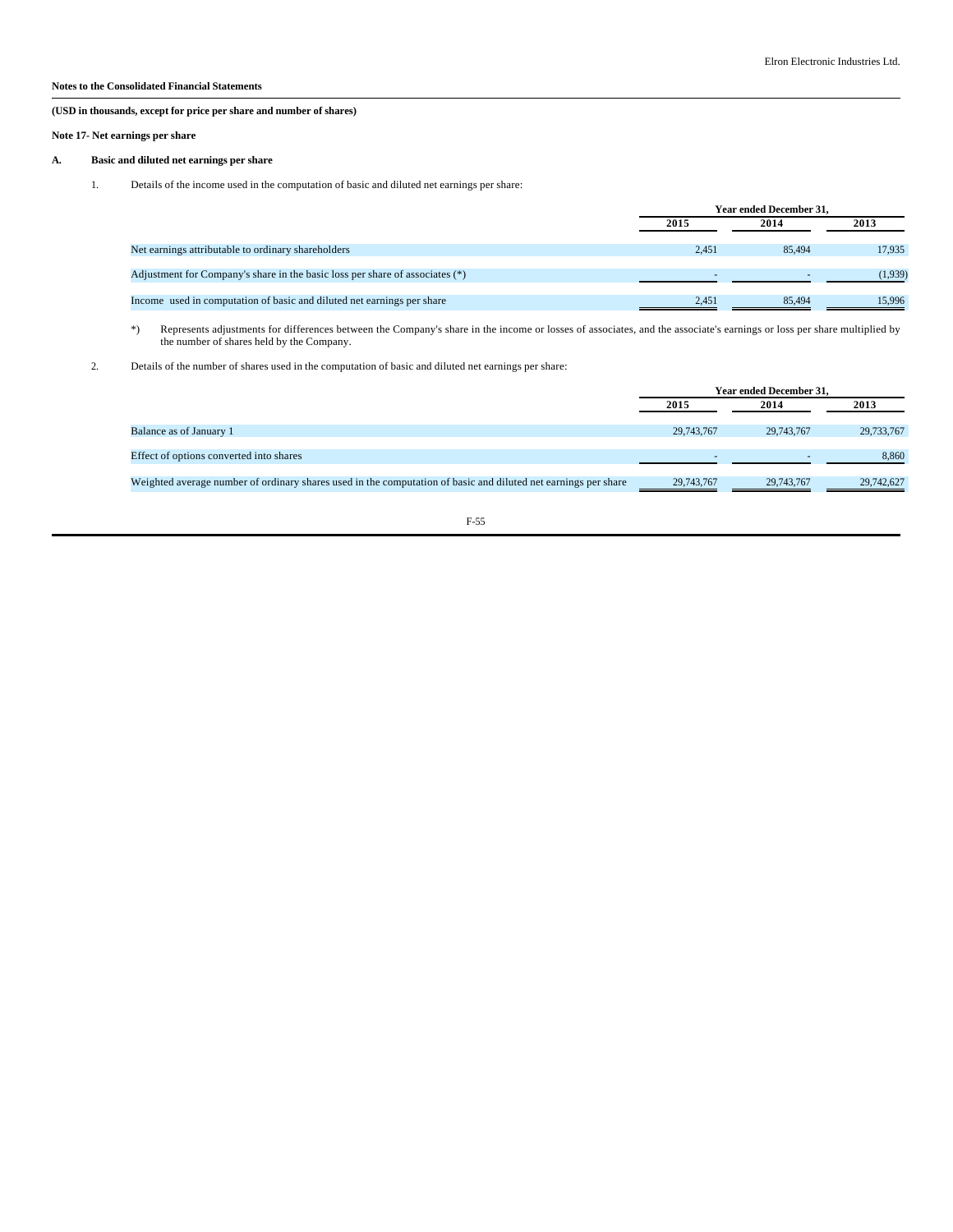## **(USD in thousands, except for price per share and number of shares)**

## **Note 17- Net earnings per share**

## **A. Basic and diluted net earnings per share**

1. Details of the income used in the computation of basic and diluted net earnings per share:

|                                                                              |       | <b>Year ended December 31.</b> |         |  |
|------------------------------------------------------------------------------|-------|--------------------------------|---------|--|
|                                                                              | 2015  | 2014                           | 2013    |  |
| Net earnings attributable to ordinary shareholders                           | 2.451 | 85,494                         | 17,935  |  |
| Adjustment for Company's share in the basic loss per share of associates (*) |       |                                | (1,939) |  |
| Income used in computation of basic and diluted net earnings per share       | 2.451 | 85,494                         | 15.996  |  |

 \*) Represents adjustments for differences between the Company's share in the income or losses of associates, and the associate's earnings or loss per share multiplied by the number of shares held by the Company.

2. Details of the number of shares used in the computation of basic and diluted net earnings per share:

|                                                                                                                | <b>Year ended December 31.</b> |            |            |
|----------------------------------------------------------------------------------------------------------------|--------------------------------|------------|------------|
|                                                                                                                | 2015                           | 2014       | 2013       |
| Balance as of January 1                                                                                        | 29,743,767                     | 29,743,767 | 29,733,767 |
|                                                                                                                |                                |            |            |
| Effect of options converted into shares                                                                        |                                |            | 8.860      |
| Weighted average number of ordinary shares used in the computation of basic and diluted net earnings per share | 29,743,767                     | 29,743,767 | 29,742,627 |
|                                                                                                                |                                |            |            |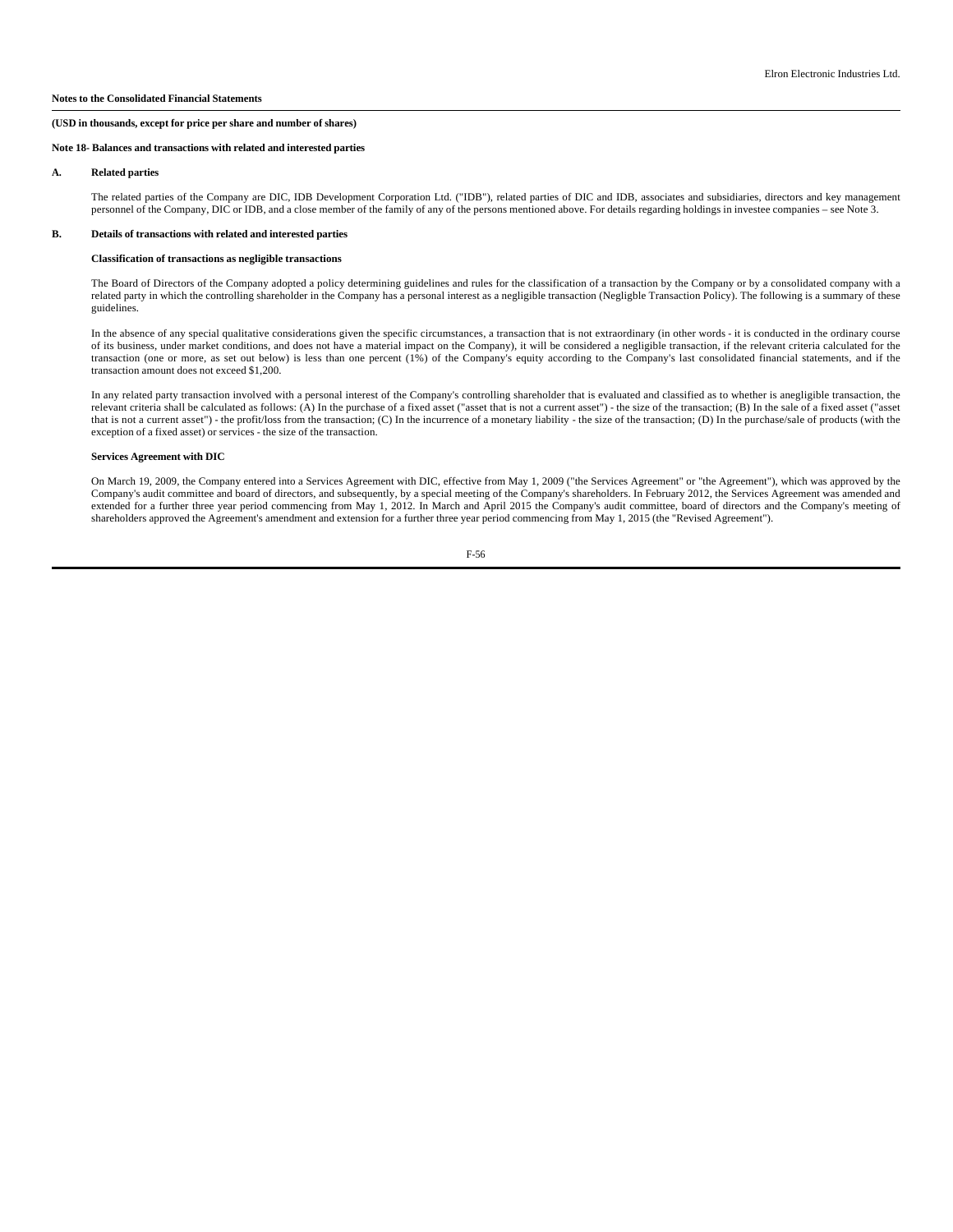### **Note 18- Balances and transactions with related and interested parties**

#### **A. Related parties**

The related parties of the Company are DIC, IDB Development Corporation Ltd. ("IDB"), related parties of DIC and IDB, associates and subsidiaries, directors and key management personnel of the Company, DIC or IDB, and a close member of the family of any of the persons mentioned above. For details regarding holdings in investee companies – see Note 3.

#### **B. Details of transactions with related and interested parties**

#### **Classification of transactions as negligible transactions**

The Board of Directors of the Company adopted a policy determining guidelines and rules for the classification of a transaction by the Company or by a consolidated company with a related party in which the controlling shareholder in the Company has a personal interest as a negligible transaction (Negligble Transaction Policy). The following is a summary of these guidelines.

In the absence of any special qualitative considerations given the specific circumstances, a transaction that is not extraordinary (in other words - it is conducted in the ordinary course of its business, under market conditions, and does not have a material impact on the Company), it will be considered a negligible transaction, if the relevant criteria calculated for the transaction (one or more, as set out below) is less than one percent (1%) of the Company's equity according to the Company's last consolidated financial statements, and if the transaction amount does not exceed \$1,200.

In any related party transaction involved with a personal interest of the Company's controlling shareholder that is evaluated and classified as to whether is anegligible transaction, the relevant criteria shall be calculated as follows: (A) In the purchase of a fixed asset ("asset that is not a current asset") - the size of the transaction; (B) In the sale of a fixed asset ("asset that is not a current asset") - the profit/loss from the transaction; (C) In the incurrence of a monetary liability - the size of the transaction; (D) In the purchase/sale of products (with the exception of a fixed asset) or services - the size of the transaction.

#### **Services Agreement with DIC**

On March 19, 2009, the Company entered into a Services Agreement with DIC, effective from May 1, 2009 ("the Services Agreement" or "the Agreement"), which was approved by the Company's audit committee and board of directors, and subsequently, by a special meeting of the Company's shareholders. In February 2012, the Services Agreement was amended and extended for a further three year period commencing from May 1, 2012. In March and April 2015 the Company's audit committee, board of directors and the Company's meeting of shareholders approved the Agreement's amendment and extension for a further three year period commencing from May 1, 2015 (the "Revised Agreement").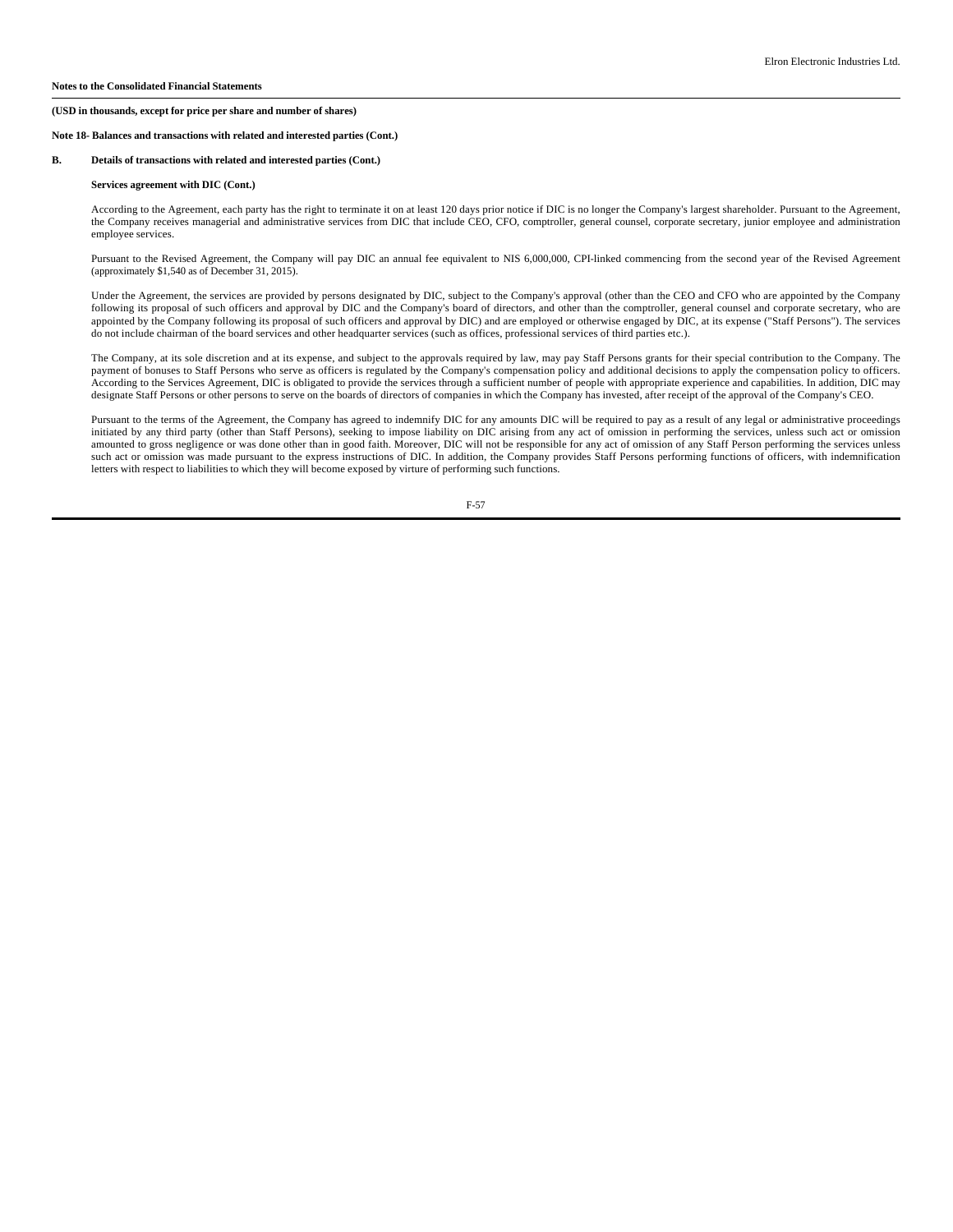#### **Note 18- Balances and transactions with related and interested parties (Cont.)**

## **B. Details of transactions with related and interested parties (Cont.)**

#### **Services agreement with DIC (Cont.)**

According to the Agreement, each party has the right to terminate it on at least 120 days prior notice if DIC is no longer the Company's largest shareholder. Pursuant to the Agreement, the Company receives managerial and administrative services from DIC that include CEO, CFO, comptroller, general counsel, corporate secretary, junior employee and administration employee services.

Pursuant to the Revised Agreement, the Company will pay DIC an annual fee equivalent to NIS 6,000,000, CPI-linked commencing from the second year of the Revised Agreement (approximately \$1,540 as of December 31, 2015).

Under the Agreement, the services are provided by persons designated by DIC, subject to the Company's approval (other than the CEO and CFO who are appointed by the Company following its proposal of such officers and approval by DIC and the Company's board of directors, and other than the comptroller, general counsel and corporate secretary, who are appointed by the Company following its proposal of such officers and approval by DIC) and are employed or otherwise engaged by DIC, at its expense ("Staff Persons"). The services do not include chairman of the board services and other headquarter services (such as offices, professional services of third parties etc.).

The Company, at its sole discretion and at its expense, and subject to the approvals required by law, may pay Staff Persons grants for their special contribution to the Company. The payment of bonuses to Staff Persons who serve as officers is regulated by the Company's compensation policy and additional decisions to apply the compensation policy to officers. According to the Services Agreement, DIC is obligated to provide the services through a sufficient number of people with appropriate experience and capabilities. In addition, DIC may designate Staff Persons or other persons to serve on the boards of directors of companies in which the Company has invested, after receipt of the approval of the Company's CEO.

Pursuant to the terms of the Agreement, the Company has agreed to indemnify DIC for any amounts DIC will be required to pay as a result of any legal or administrative proceedings<br>initiated by any third party (other than St amounted to gross negligence or was done other than in good faith. Moreover, DIC will not be responsible for any act of omission of any Staff Person performing the services unless such act or omission was made pursuant to the express instructions of DIC. In addition, the Company provides Staff Persons performing functions of officers, with indemnification letters with respect to liabilities to which they will become exposed by virture of performing such functions.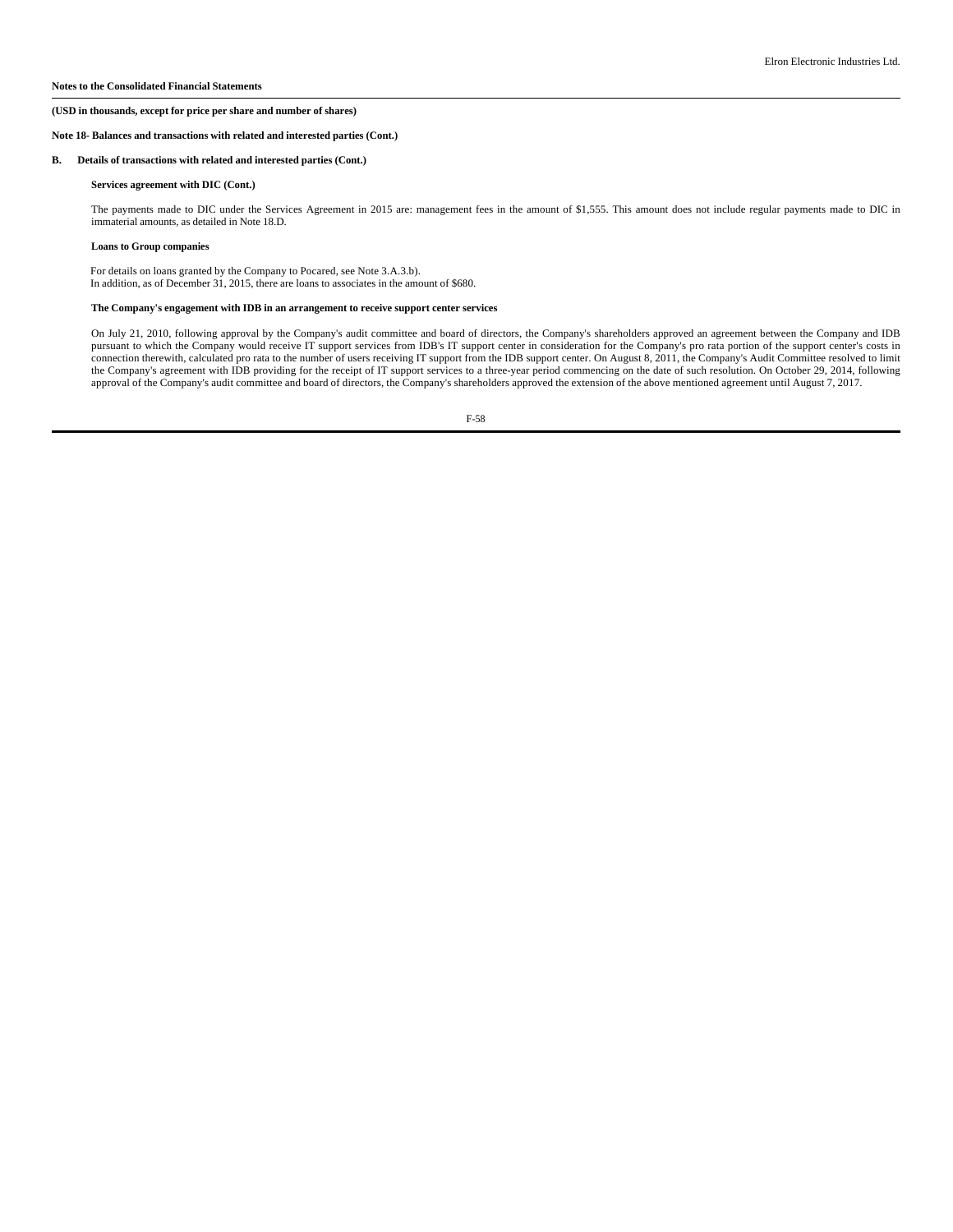## **Note 18- Balances and transactions with related and interested parties (Cont.)**

#### **B. Details of transactions with related and interested parties (Cont.)**

#### **Services agreement with DIC (Cont.)**

The payments made to DIC under the Services Agreement in 2015 are: management fees in the amount of \$1,555. This amount does not include regular payments made to DIC in immaterial amounts, as detailed in Note 18.D.

#### **Loans to Group companies**

 For details on loans granted by the Company to Pocared, see Note 3.A.3.b). In addition, as of December 31, 2015, there are loans to associates in the amount of \$680.

## **The Company's engagement with IDB in an arrangement to receive support center services**

On July 21, 2010, following approval by the Company's audit committee and board of directors, the Company's shareholders approved an agreement between the Company and IDB<br>pursuant to which the Company would receive IT supp connection therewith, calculated pro rata to the number of users receiving IT support from the IDB support center. On August 8, 2011, the Company's Audit Committee resolved to limit<br>the Company's agreement with IDB providi approval of the Company's audit committee and board of directors, the Company's shareholders approved the extension of the above mentioned agreement until August 7, 2017.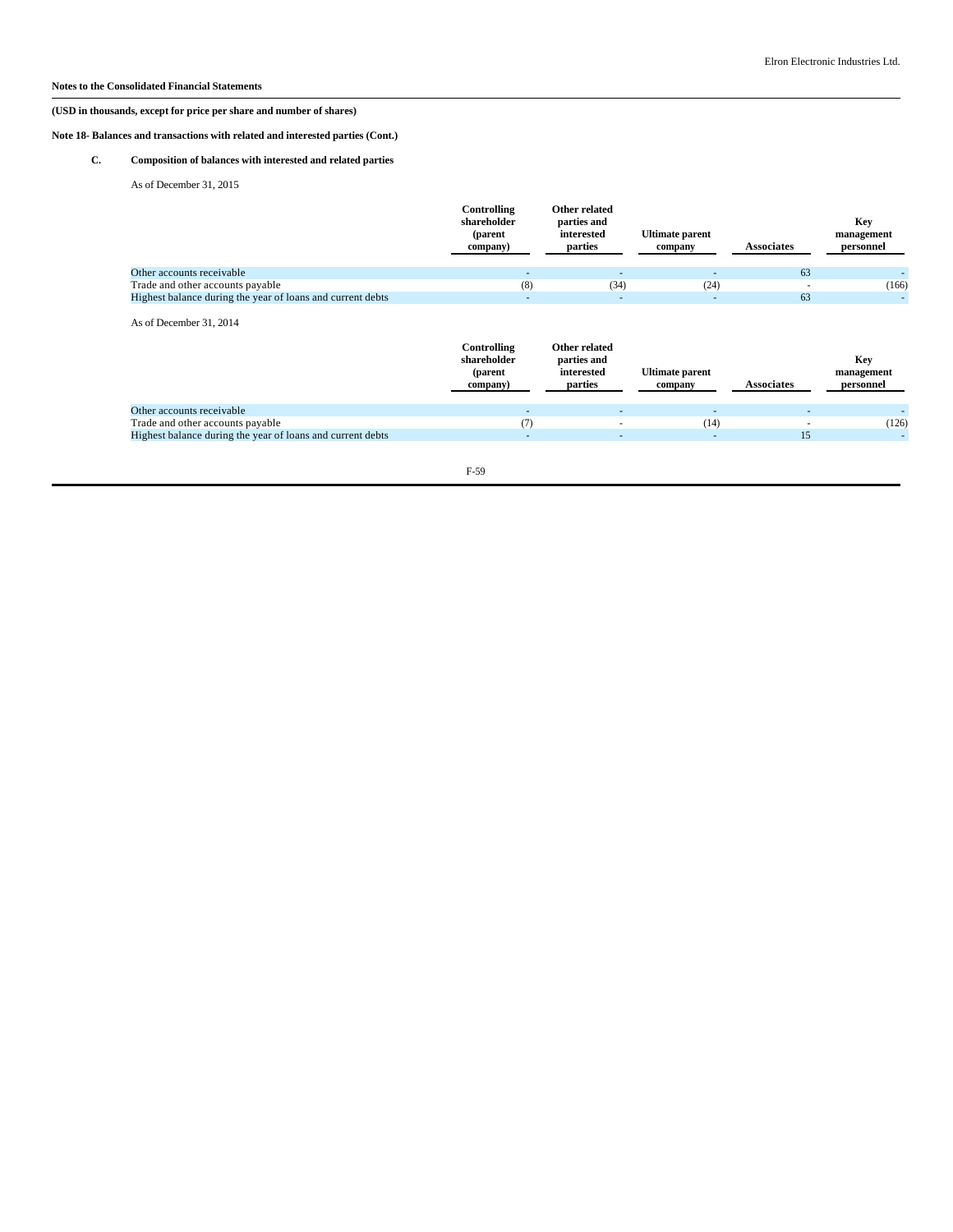## **(USD in thousands, except for price per share and number of shares)**

## **Note 18- Balances and transactions with related and interested parties (Cont.)**

## **C. Composition of balances with interested and related parties**

As of December 31, 2015

|                                                            | Controlling<br>shareholder<br>(parent<br>company) | Other related<br>parties and<br>interested<br>parties | Ultimate parent<br>company | <b>Associates</b>        | Key<br>management<br>personnel |
|------------------------------------------------------------|---------------------------------------------------|-------------------------------------------------------|----------------------------|--------------------------|--------------------------------|
| Other accounts receivable                                  | $\overline{\phantom{a}}$                          | $\overline{\phantom{a}}$                              |                            | 63                       |                                |
| Trade and other accounts payable                           | (8)                                               | (34)                                                  | (24)                       | $\overline{\phantom{a}}$ | (166)                          |
| Highest balance during the year of loans and current debts | $\overline{\phantom{a}}$                          | $\overline{\phantom{a}}$                              |                            | 63                       |                                |
| As of December 31, 2014                                    |                                                   |                                                       |                            |                          |                                |
|                                                            | <b>Controlling</b>                                | Other related                                         |                            |                          |                                |

|                                                            | соши ошш <u>е</u><br>shareholder<br>(parent<br>company) | ошег гетанен<br>parties and<br>interested<br>parties | Ultimate parent<br>company | <b>Associates</b> | Key<br>management<br>personnel |
|------------------------------------------------------------|---------------------------------------------------------|------------------------------------------------------|----------------------------|-------------------|--------------------------------|
| Other accounts receivable                                  |                                                         |                                                      |                            |                   |                                |
| Trade and other accounts payable                           | 71                                                      |                                                      | (14)                       |                   | (126)                          |
| Highest balance during the year of loans and current debts |                                                         |                                                      |                            |                   |                                |
|                                                            |                                                         |                                                      |                            |                   |                                |

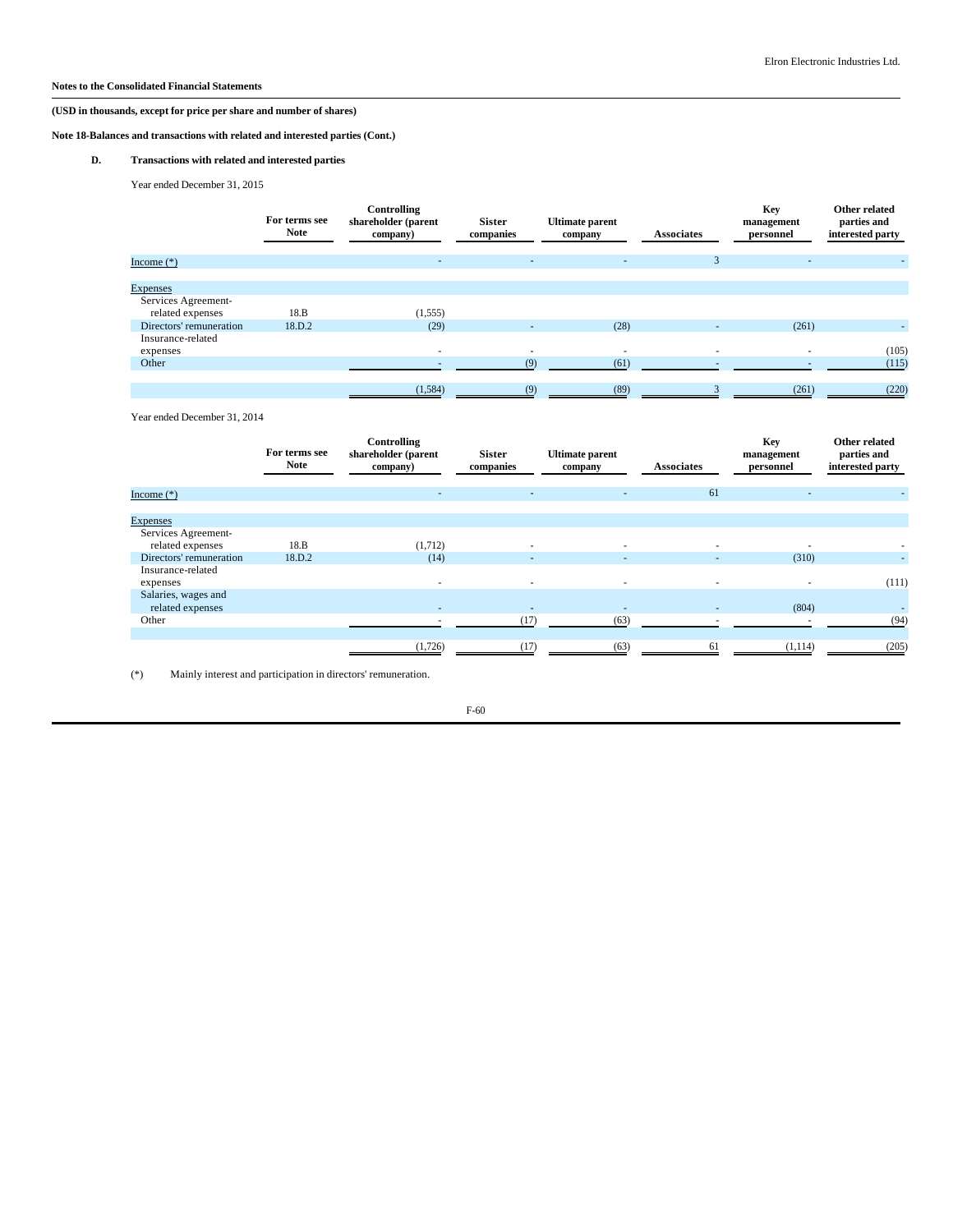**Note 18-Balances and transactions with related and interested parties (Cont.)**

## **D. Transactions with related and interested parties**

Year ended December 31, 2015

|                                              | For terms see<br><b>Note</b> | Controlling<br>shareholder (parent<br>company) | <b>Sister</b><br>companies | <b>Ultimate parent</b><br>company | <b>Associates</b> | Key<br>management<br>personnel | Other related<br>parties and<br>interested party |
|----------------------------------------------|------------------------------|------------------------------------------------|----------------------------|-----------------------------------|-------------------|--------------------------------|--------------------------------------------------|
| Income $(*)$                                 |                              | $\overline{\phantom{a}}$                       | ٠                          | -                                 | 3                 |                                |                                                  |
| <b>Expenses</b>                              |                              |                                                |                            |                                   |                   |                                |                                                  |
| Services Agreement-<br>related expenses      | 18.B                         | (1, 555)                                       |                            |                                   |                   |                                |                                                  |
| Directors' remuneration<br>Insurance-related | 18.D.2                       | (29)                                           | ٠                          | (28)                              | ٠                 | (261)                          | ٠                                                |
| expenses                                     |                              |                                                | ۰                          | $\sim$                            | ۰                 |                                | (105)                                            |
| Other                                        |                              |                                                | (9)                        | (61)                              | ٠                 |                                | (115)                                            |
|                                              |                              | (1, 584)                                       | (9)                        | (89)                              |                   | (261)                          | (220)                                            |

## Year ended December 31, 2014

|                                         | For terms see<br><b>Note</b> | Controlling<br>shareholder (parent<br>company) | <b>Sister</b><br>companies | <b>Ultimate parent</b><br>company | <b>Associates</b>        | Key<br>management<br>personnel | Other related<br>parties and<br>interested party |
|-----------------------------------------|------------------------------|------------------------------------------------|----------------------------|-----------------------------------|--------------------------|--------------------------------|--------------------------------------------------|
| Income $(*)$                            |                              |                                                |                            |                                   | 61                       |                                |                                                  |
| <b>Expenses</b>                         |                              |                                                |                            |                                   |                          |                                |                                                  |
| Services Agreement-<br>related expenses | 18.B                         | (1,712)                                        | $\overline{\phantom{a}}$   | $\sim$                            | $\overline{\phantom{a}}$ | $\overline{\phantom{a}}$       |                                                  |
| Directors' remuneration                 | 18.D.2                       | (14)                                           | $\sim$                     | ۰.                                | $\overline{\phantom{a}}$ | (310)                          | ۰.                                               |
| Insurance-related<br>expenses           |                              | ۰                                              | $\overline{\phantom{a}}$   | $\sim$                            |                          |                                | (111)                                            |
| Salaries, wages and<br>related expenses |                              |                                                | $\overline{\phantom{a}}$   | $\sim$                            |                          | (804)                          |                                                  |
| Other                                   |                              |                                                | (17)                       | (63)                              |                          |                                | (94)                                             |
|                                         |                              | (1,726)                                        | (17)                       | (63)                              | 61                       | (1, 114)                       | (205)                                            |

(\*) Mainly interest and participation in directors' remuneration.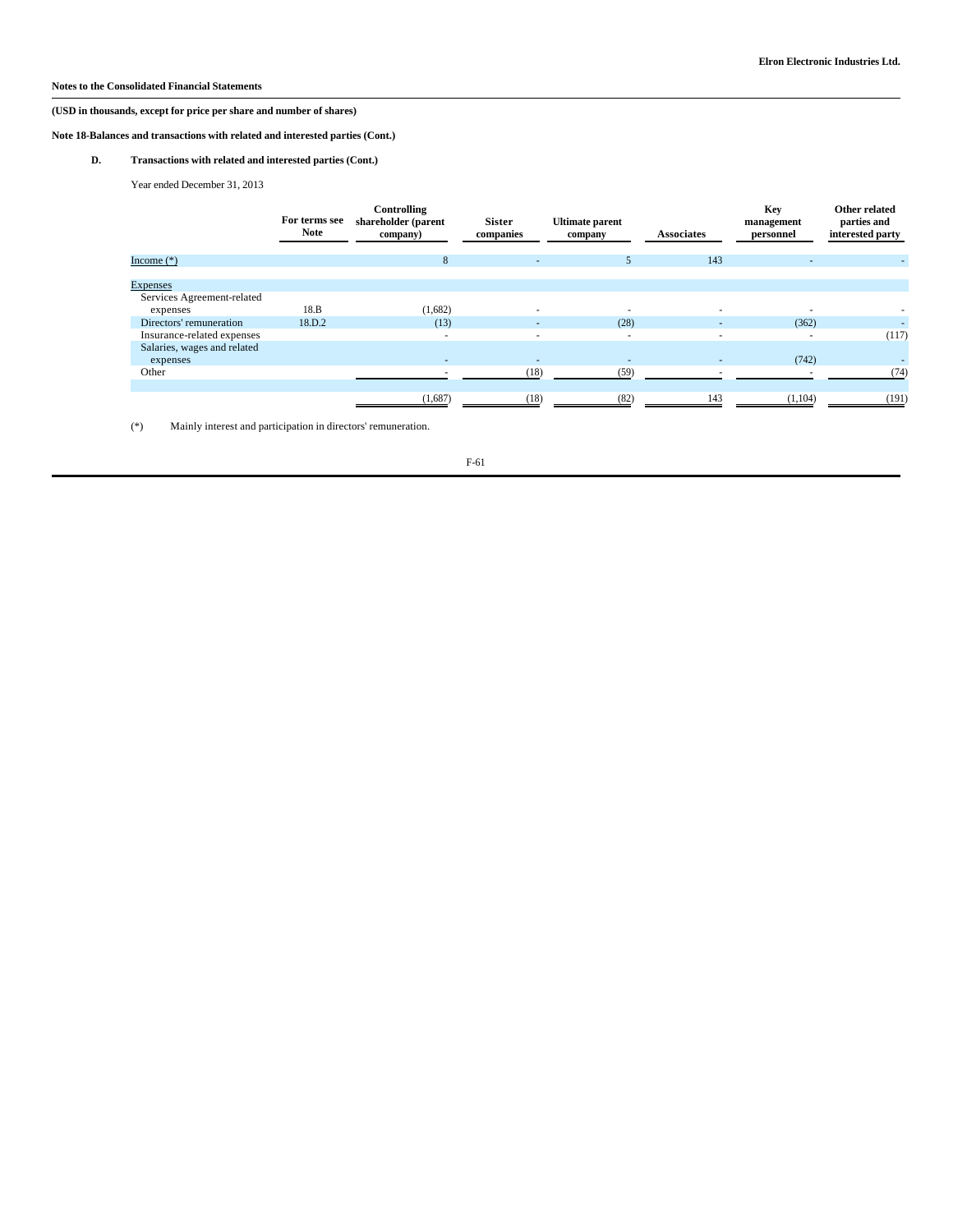**Note 18-Balances and transactions with related and interested parties (Cont.)**

## **D. Transactions with related and interested parties (Cont.)**

Year ended December 31, 2013

|                             | For terms see<br><b>Note</b> | Controlling<br>shareholder (parent<br>company) | <b>Sister</b><br>companies | <b>Ultimate parent</b><br>company | <b>Associates</b>        | Key<br>management<br>personnel | Other related<br>parties and<br>interested party |
|-----------------------------|------------------------------|------------------------------------------------|----------------------------|-----------------------------------|--------------------------|--------------------------------|--------------------------------------------------|
| Income $(*)$                |                              | 8                                              |                            |                                   | 143                      |                                |                                                  |
| <b>Expenses</b>             |                              |                                                |                            |                                   |                          |                                |                                                  |
| Services Agreement-related  |                              |                                                |                            |                                   |                          |                                |                                                  |
| expenses                    | 18.B                         | (1,682)                                        | $\overline{\phantom{a}}$   |                                   | $\overline{\phantom{a}}$ |                                |                                                  |
| Directors' remuneration     | 18.D.2                       | (13)                                           | ۰                          | (28)                              | $\overline{\phantom{a}}$ | (362)                          |                                                  |
| Insurance-related expenses  |                              | $\overline{\phantom{a}}$                       | $\overline{\phantom{a}}$   | $\overline{\phantom{a}}$          | $\overline{\phantom{a}}$ | ۰                              | (117)                                            |
| Salaries, wages and related |                              |                                                |                            |                                   |                          |                                |                                                  |
| expenses                    |                              | $\sim$                                         | $\overline{\phantom{a}}$   | $\sim$                            |                          | (742)                          |                                                  |
| Other                       |                              |                                                | (18)                       | (59)                              |                          |                                | (74)                                             |
|                             |                              |                                                |                            |                                   |                          |                                |                                                  |
|                             |                              | (1,687)                                        | (18)                       | (82)                              | 143                      | (1,104)                        | (191)                                            |

(\*) Mainly interest and participation in directors' remuneration.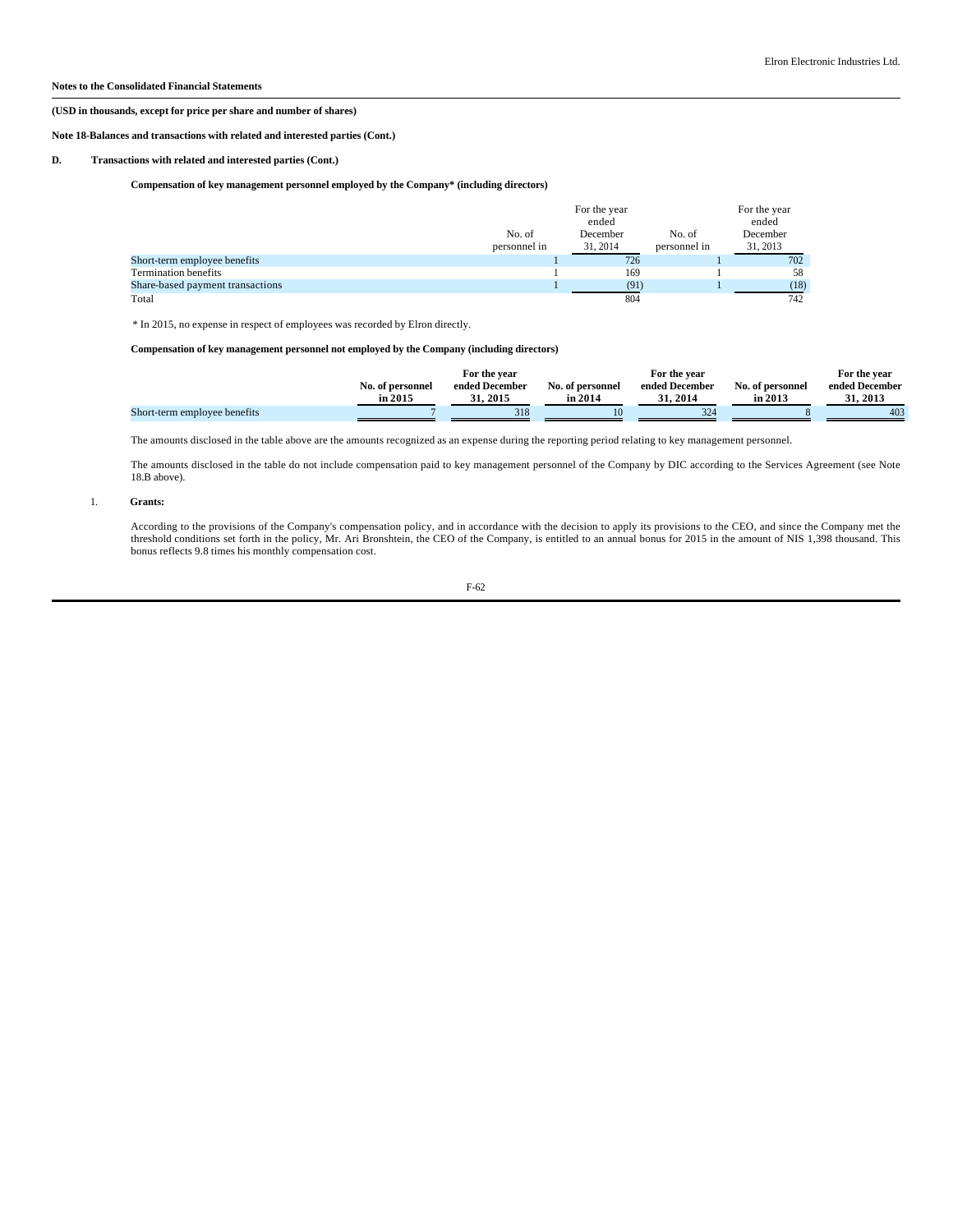**Note 18-Balances and transactions with related and interested parties (Cont.)**

## **D. Transactions with related and interested parties (Cont.)**

## **Compensation of key management personnel employed by the Company\* (including directors)**

|                                  | For the year<br>ended  |                      |                        | For the year<br>ended |  |
|----------------------------------|------------------------|----------------------|------------------------|-----------------------|--|
|                                  | No. of<br>personnel in | December<br>31, 2014 | No. of<br>personnel in | December<br>31, 2013  |  |
| Short-term employee benefits     |                        | 726                  |                        | 702                   |  |
| <b>Termination benefits</b>      |                        | 169                  |                        | 58                    |  |
| Share-based payment transactions |                        | (91)                 |                        | (18)                  |  |
| Total                            |                        | 804                  |                        | 742                   |  |

\* In 2015, no expense in respect of employees was recorded by Elron directly.

**Compensation of key management personnel not employed by the Company (including directors)**

|                              | No. of personnel<br>in 2015 | For the year<br>ended December<br>31, 2015 | No. of personnel<br>in 2014 | For the year<br>ended December<br><b>31, 2014</b> | No. of personnel<br>in $2013$ | For the year<br>ended December<br>31.2013 |
|------------------------------|-----------------------------|--------------------------------------------|-----------------------------|---------------------------------------------------|-------------------------------|-------------------------------------------|
| Short-term employee benefits |                             | 318                                        |                             | 324                                               |                               | 403                                       |

The amounts disclosed in the table above are the amounts recognized as an expense during the reporting period relating to key management personnel.

The amounts disclosed in the table do not include compensation paid to key management personnel of the Company by DIC according to the Services Agreement (see Note 18.B above).

## 1. **Grants:**

According to the provisions of the Company's compensation policy, and in accordance with the decision to apply its provisions to the CEO, and since the Company met the threshold conditions set forth in the policy, Mr. Ari bonus reflects 9.8 times his monthly compensation cost.

$$
F-62
$$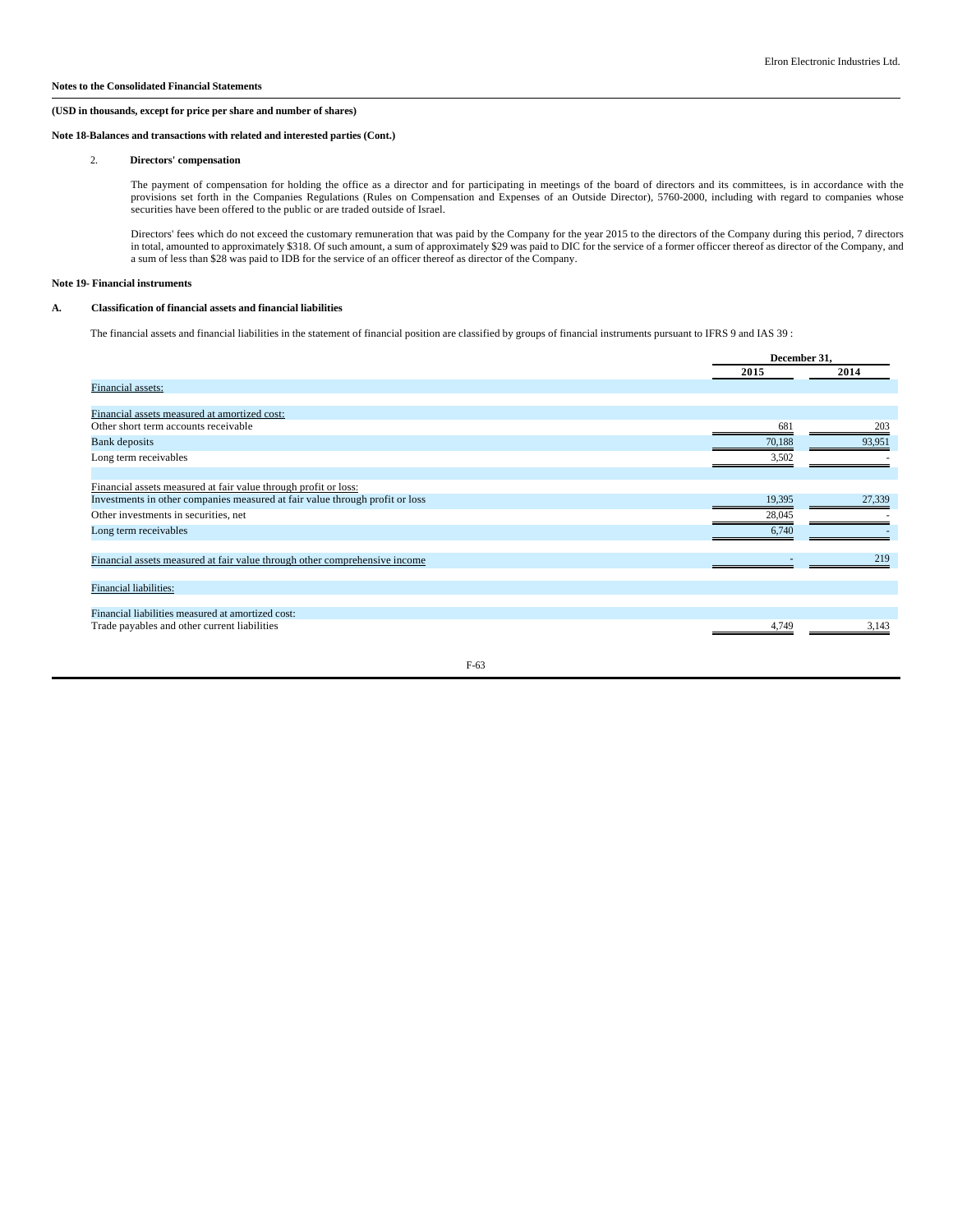## **(USD in thousands, except for price per share and number of shares)**

## **Note 18-Balances and transactions with related and interested parties (Cont.)**

#### 2. **Directors' compensation**

The payment of compensation for holding the office as a director and for participating in meetings of the board of directors and its committees, is in accordance with the provisions set forth in the Companies Regulations (Rules on Compensation and Expenses of an Outside Director), 5760-2000, including with regard to companies whose securities have been offered to the public or are traded outside of Israel.

Directors' fees which do not exceed the customary remuneration that was paid by the Company for the year 2015 to the directors of the Company during this period, 7 directors in total, amounted to approximately \$318. Of such amount, a sum of approximately \$29 was paid to DIC for the service of a former officcer thereof as director of the Company, and a sum of less than \$28 was paid to IDB for the service of an officer thereof as director of the Company.

## **Note 19- Financial instruments**

## **A. Classification of financial assets and financial liabilities**

The financial assets and financial liabilities in the statement of financial position are classified by groups of financial instruments pursuant to IFRS 9 and IAS 39 :

|                                                                              | December 31. |        |
|------------------------------------------------------------------------------|--------------|--------|
|                                                                              | 2015         | 2014   |
| Financial assets:                                                            |              |        |
|                                                                              |              |        |
| Financial assets measured at amortized cost:                                 |              |        |
| Other short term accounts receivable                                         | 681          | 203    |
| <b>Bank</b> deposits                                                         | 70,188       | 93,951 |
| Long term receivables                                                        | 3,502        |        |
|                                                                              |              |        |
| Financial assets measured at fair value through profit or loss:              |              |        |
| Investments in other companies measured at fair value through profit or loss | 19,395       | 27,339 |
| Other investments in securities, net                                         | 28,045       |        |
| Long term receivables                                                        | 6.740        |        |
|                                                                              |              |        |
| Financial assets measured at fair value through other comprehensive income   |              | 219    |
|                                                                              |              |        |
| <b>Financial liabilities:</b>                                                |              |        |
|                                                                              |              |        |
| Financial liabilities measured at amortized cost:                            |              |        |
| Trade payables and other current liabilities                                 | 4,749        | 3,143  |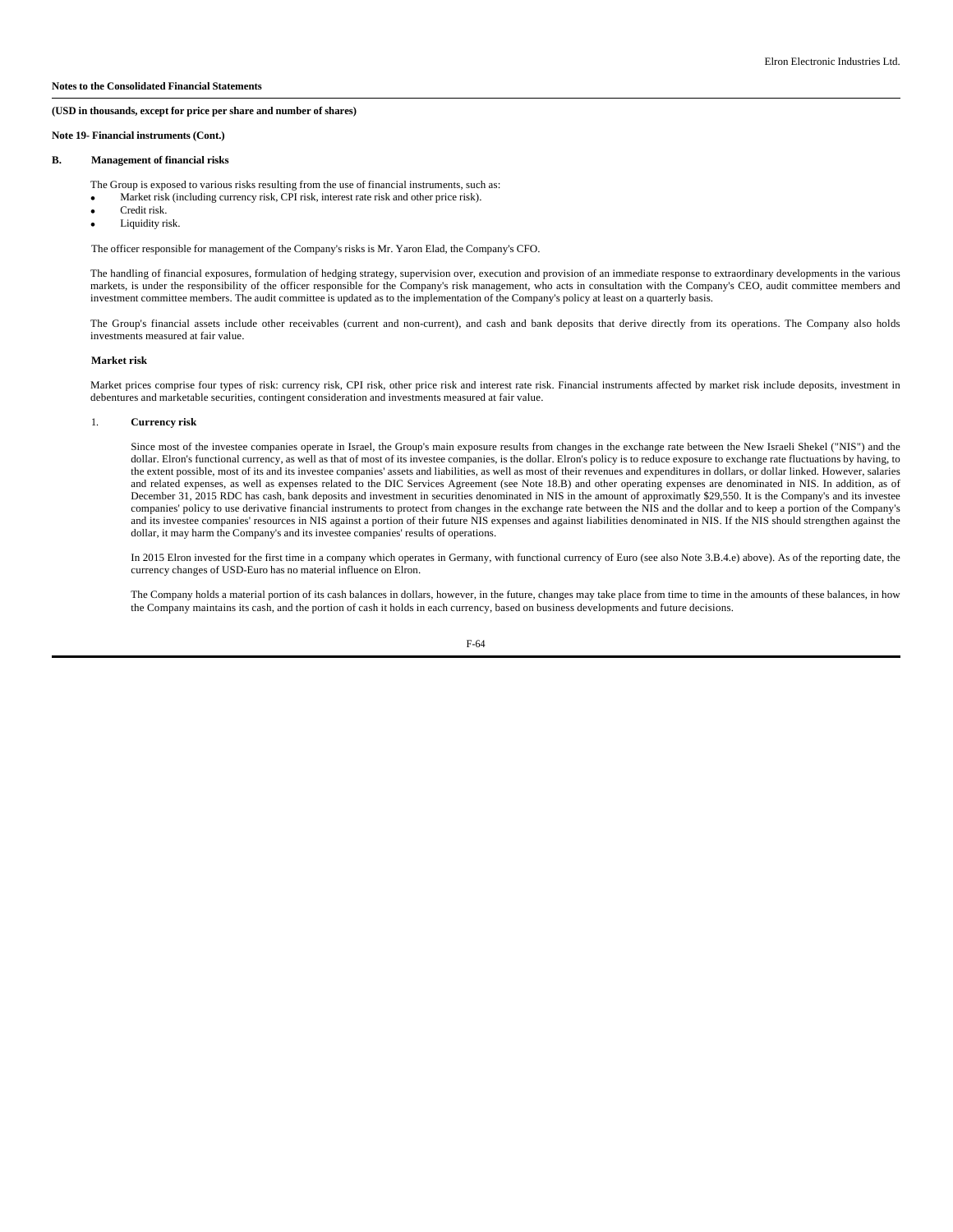#### **Note 19- Financial instruments (Cont.)**

#### **B. Management of financial risks**

The Group is exposed to various risks resulting from the use of financial instruments, such as:

- Market risk (including currency risk, CPI risk, interest rate risk and other price risk). Credit risk.
- Liquidity risk.

The officer responsible for management of the Company's risks is Mr. Yaron Elad, the Company's CFO.

 The handling of financial exposures, formulation of hedging strategy, supervision over, execution and provision of an immediate response to extraordinary developments in the various markets, is under the responsibility of the officer responsible for the Company's risk management, who acts in consultation with the Company's CEO, audit committee members and investment committee members. The audit committee is updated as to the implementation of the Company's policy at least on a quarterly basis.

 The Group's financial assets include other receivables (current and non-current), and cash and bank deposits that derive directly from its operations. The Company also holds investments measured at fair value.

#### **Market risk**

 Market prices comprise four types of risk: currency risk, CPI risk, other price risk and interest rate risk. Financial instruments affected by market risk include deposits, investment in debentures and marketable securities, contingent consideration and investments measured at fair value.

#### 1. **Currency risk**

Since most of the investee companies operate in Israel, the Group's main exposure results from changes in the exchange rate between the New Israeli Shekel ("NIS") and the dollar. Elron's functional currency, as well as that of most of its investee companies, is the dollar. Elron's policy is to reduce exposure to exchange rate fluctuations by having, to the extent possible, most of its and its investee companies' assets and liabilities, as well as most of their revenues and expenditures in dollars, or dollar linked. However, salaries and related expenses, as well as expenses related to the DIC Services Agreement (see Note 18.B) and other operating expenses are denominated in NIS. In addition, as of December 31, 2015 RDC has cash, bank deposits and investment in securities denominated in NIS in the amount of approximatly \$29,550. It is the Company's and its investee companies' policy to use derivative financial instruments to protect from changes in the exchange rate between the NIS and the dollar and to keep a portion of the Company's and its investee companies' resources in NIS against a portion of their future NIS expenses and against liabilities denominated in NIS. If the NIS should strengthen against the dollar, it may harm the Company's and its investee companies' results of operations.

In 2015 Elron invested for the first time in a company which operates in Germany, with functional currency of Euro (see also Note 3.B.4.e) above). As of the reporting date, the currency changes of USD-Euro has no material influence on Elron.

 The Company holds a material portion of its cash balances in dollars, however, in the future, changes may take place from time to time in the amounts of these balances, in how the Company maintains its cash, and the portion of cash it holds in each currency, based on business developments and future decisions.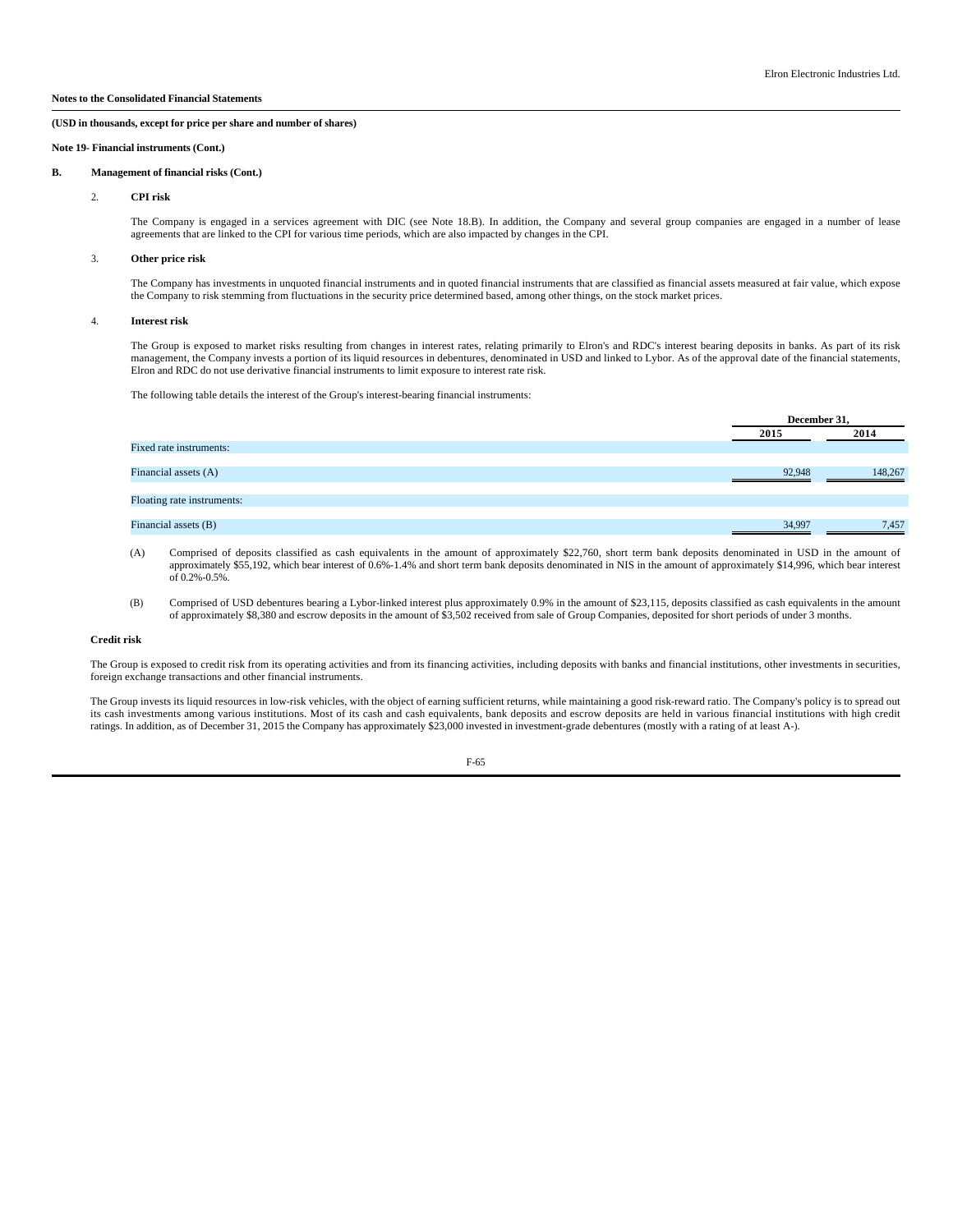#### **Note 19- Financial instruments (Cont.)**

## **B. Management of financial risks (Cont.)**

#### 2. **CPI risk**

 The Company is engaged in a services agreement with DIC (see Note 18.B). In addition, the Company and several group companies are engaged in a number of lease agreements that are linked to the CPI for various time periods, which are also impacted by changes in the CPI.

#### 3. **Other price risk**

 The Company has investments in unquoted financial instruments and in quoted financial instruments that are classified as financial assets measured at fair value, which expose the Company to risk stemming from fluctuations in the security price determined based, among other things, on the stock market prices.

#### 4. **Interest risk**

The Group is exposed to market risks resulting from changes in interest rates, relating primarily to Elron's and RDC's interest bearing deposits in banks. As part of its risk management, the Company invests a portion of its liquid resources in debentures, denominated in USD and linked to Lybor. As of the approval date of the financial statements, Elron and RDC do not use derivative financial instruments to limit exposure to interest rate risk.

The following table details the interest of the Group's interest-bearing financial instruments:

|                            | December 31, |         |
|----------------------------|--------------|---------|
|                            | 2015         | 2014    |
| Fixed rate instruments:    |              |         |
|                            |              |         |
| Financial assets (A)       | 92.948       | 148,267 |
|                            |              |         |
| Floating rate instruments: |              |         |
|                            |              |         |
| Financial assets (B)       | 34.997       | 7.457   |
|                            |              |         |

 (A) Comprised of deposits classified as cash equivalents in the amount of approximately \$22,760, short term bank deposits denominated in USD in the amount of approximately \$55,192, which bear interest of 0.6%-1.4% and short term bank deposits denominated in NIS in the amount of approximately \$14,996, which bear interest of 0.2%-0.5%.

 (B) Comprised of USD debentures bearing a Lybor-linked interest plus approximately 0.9% in the amount of \$23,115, deposits classified as cash equivalents in the amount of approximately \$8,380 and escrow deposits in the amount of \$3,502 received from sale of Group Companies, deposited for short periods of under 3 months.

#### **Credit risk**

The Group is exposed to credit risk from its operating activities and from its financing activities, including deposits with banks and financial institutions, other investments in securities, foreign exchange transactions and other financial instruments.

The Group invests its liquid resources in low-risk vehicles, with the object of earning sufficient returns, while maintaining a good risk-reward ratio. The Company's policy is to spread out its cash investments among various institutions. Most of its cash and cash equivalents, bank deposits and escrow deposits are held in various financial institutions with high credit ratings. In addition, as of December 31, 2015 the Company has approximately \$23,000 invested in investment-grade debentures (mostly with a rating of at least A-).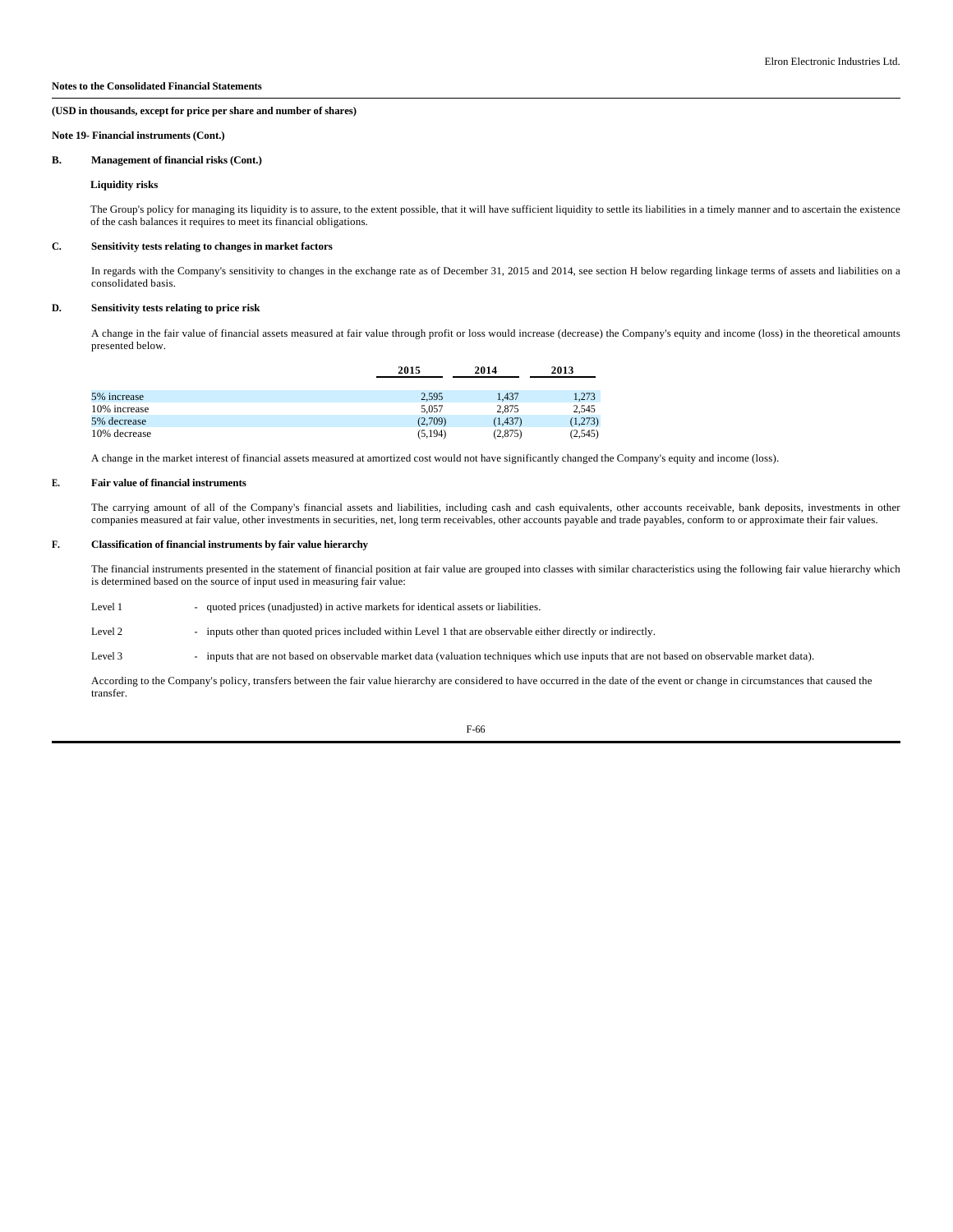## **Note 19- Financial instruments (Cont.)**

#### **B. Management of financial risks (Cont.)**

## **Liquidity risks**

The Group's policy for managing its liquidity is to assure, to the extent possible, that it will have sufficient liquidity to settle its liabilities in a timely manner and to ascertain the existence of the cash balances it requires to meet its financial obligations.

## **C. Sensitivity tests relating to changes in market factors**

In regards with the Company's sensitivity to changes in the exchange rate as of December 31, 2015 and 2014, see section H below regarding linkage terms of assets and liabilities on a consolidated basis.

## **D. Sensitivity tests relating to price risk**

A change in the fair value of financial assets measured at fair value through profit or loss would increase (decrease) the Company's equity and income (loss) in the theoretical amounts presented below.

|              | 2015     | 2014    | 2013    |
|--------------|----------|---------|---------|
|              |          |         |         |
| 5% increase  | 2,595    | 1.437   | 1.273   |
| 10% increase | 5.057    | 2,875   | 2,545   |
| 5% decrease  | (2.709)  | (1.437) | (1,273) |
| 10% decrease | (5, 194) | (2,875) | (2,545) |

A change in the market interest of financial assets measured at amortized cost would not have significantly changed the Company's equity and income (loss).

## **E. Fair value of financial instruments**

The carrying amount of all of the Company's financial assets and liabilities, including cash and cash equivalents, other accounts receivable, bank deposits, investments in other companies measured at fair value, other investments in securities, net, long term receivables, other accounts payable and trade payables, conform to or approximate their fair values.

#### **F. Classification of financial instruments by fair value hierarchy**

The financial instruments presented in the statement of financial position at fair value are grouped into classes with similar characteristics using the following fair value hierarchy which is determined based on the source of input used in measuring fair value:

| Level 1 |  |  |  |  | - quoted prices (unadjusted) in active markets for identical assets or liabilities. |
|---------|--|--|--|--|-------------------------------------------------------------------------------------|
|---------|--|--|--|--|-------------------------------------------------------------------------------------|

Level  $2$ - inputs other than quoted prices included within Level 1 that are observable either directly or indirectly.

Level 3 - inputs that are not based on observable market data (valuation techniques which use inputs that are not based on observable market data).

According to the Company's policy, transfers between the fair value hierarchy are considered to have occurred in the date of the event or change in circumstances that caused the transfer.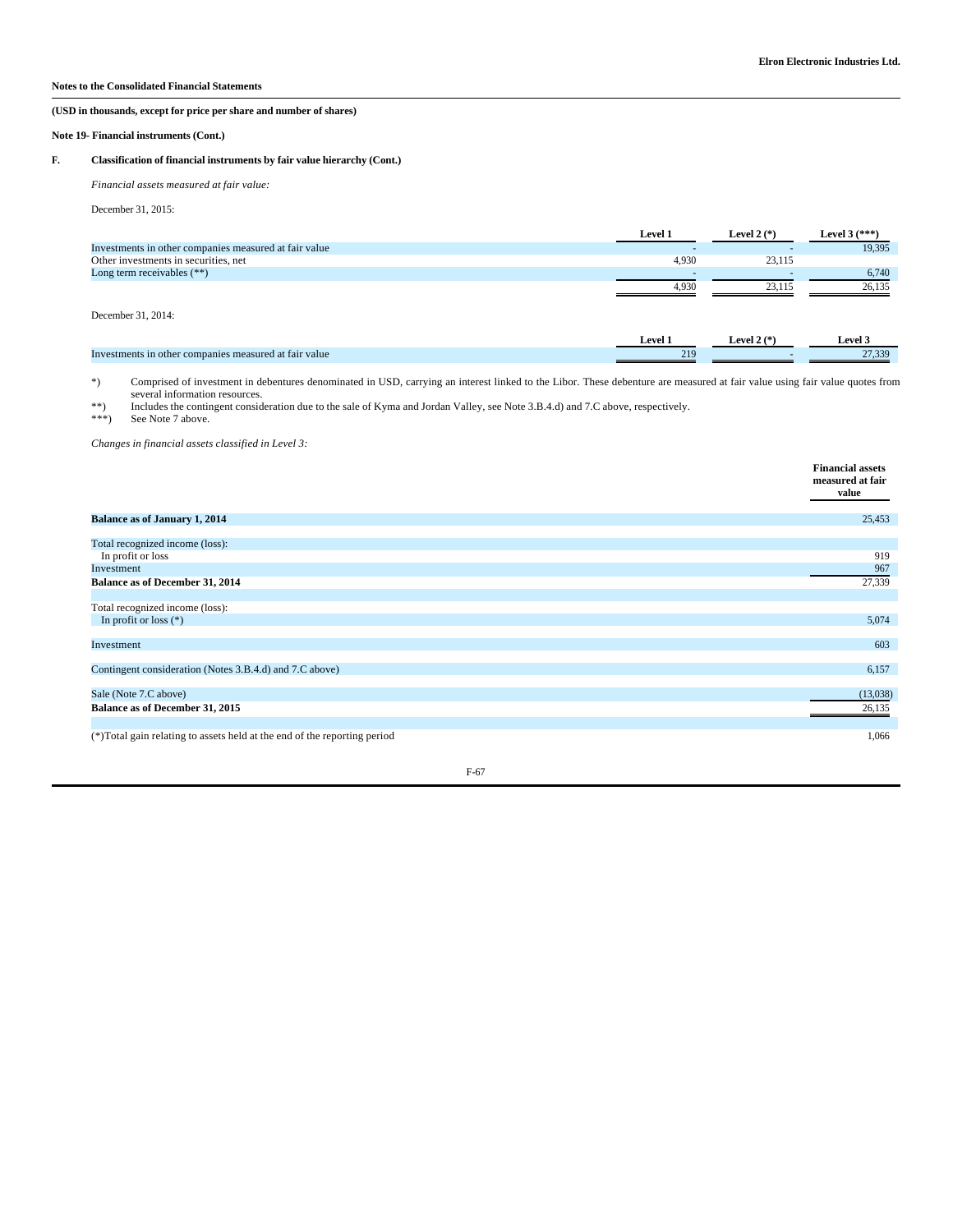**(USD in thousands, except for price per share and number of shares)**

## **Note 19- Financial instruments (Cont.)**

## **F. Classification of financial instruments by fair value hierarchy (Cont.)**

*Financial assets measured at fair value:*

December 31, 2015:

|                                                       | <b>Level 1</b> | Level $2(*)$ | Level 3 $(***`$ |
|-------------------------------------------------------|----------------|--------------|-----------------|
| Investments in other companies measured at fair value |                |              | 19,395          |
| Other investments in securities, net                  | 4,930          | 23,115       |                 |
| Long term receivables $(**)$                          | . .            |              | 6.740           |
|                                                       | 4.930          | 23.115       | 26,135          |
| December 31, 2014:                                    |                |              |                 |

|                                                               | . evel    | $\alpha$ val | evel .                       |
|---------------------------------------------------------------|-----------|--------------|------------------------------|
| Investments in other companies<br>at fair value<br>s measured | 219<br>-- |              | 3.222<br>œ<br><u> 21.JJ.</u> |

 \*) Comprised of investment in debentures denominated in USD, carrying an interest linked to the Libor. These debenture are measured at fair value using fair value quotes from several information resources.

\*\*) Includes the contingent consideration due to the sale of Kyma and Jordan Valley, see Note 3.B.4.d) and 7.C above, respectively.<br>\*\*\*) See Note 7 above.

See Note 7 above.

*Changes in financial assets classified in Level 3:*

|                                                                          | <b>Financial assets</b><br>measured at fair<br>value |
|--------------------------------------------------------------------------|------------------------------------------------------|
| <b>Balance as of January 1, 2014</b>                                     | 25,453                                               |
| Total recognized income (loss):                                          |                                                      |
| In profit or loss<br>Investment                                          | 919<br>967                                           |
| Balance as of December 31, 2014                                          | 27,339                                               |
| Total recognized income (loss):<br>In profit or loss $(*)$               | 5,074                                                |
|                                                                          |                                                      |
| Investment                                                               | 603                                                  |
| Contingent consideration (Notes 3.B.4.d) and 7.C above)                  | 6,157                                                |
| Sale (Note 7.C above)                                                    | (13,038)                                             |
| Balance as of December 31, 2015                                          | 26,135                                               |
| (*)Total gain relating to assets held at the end of the reporting period | 1,066                                                |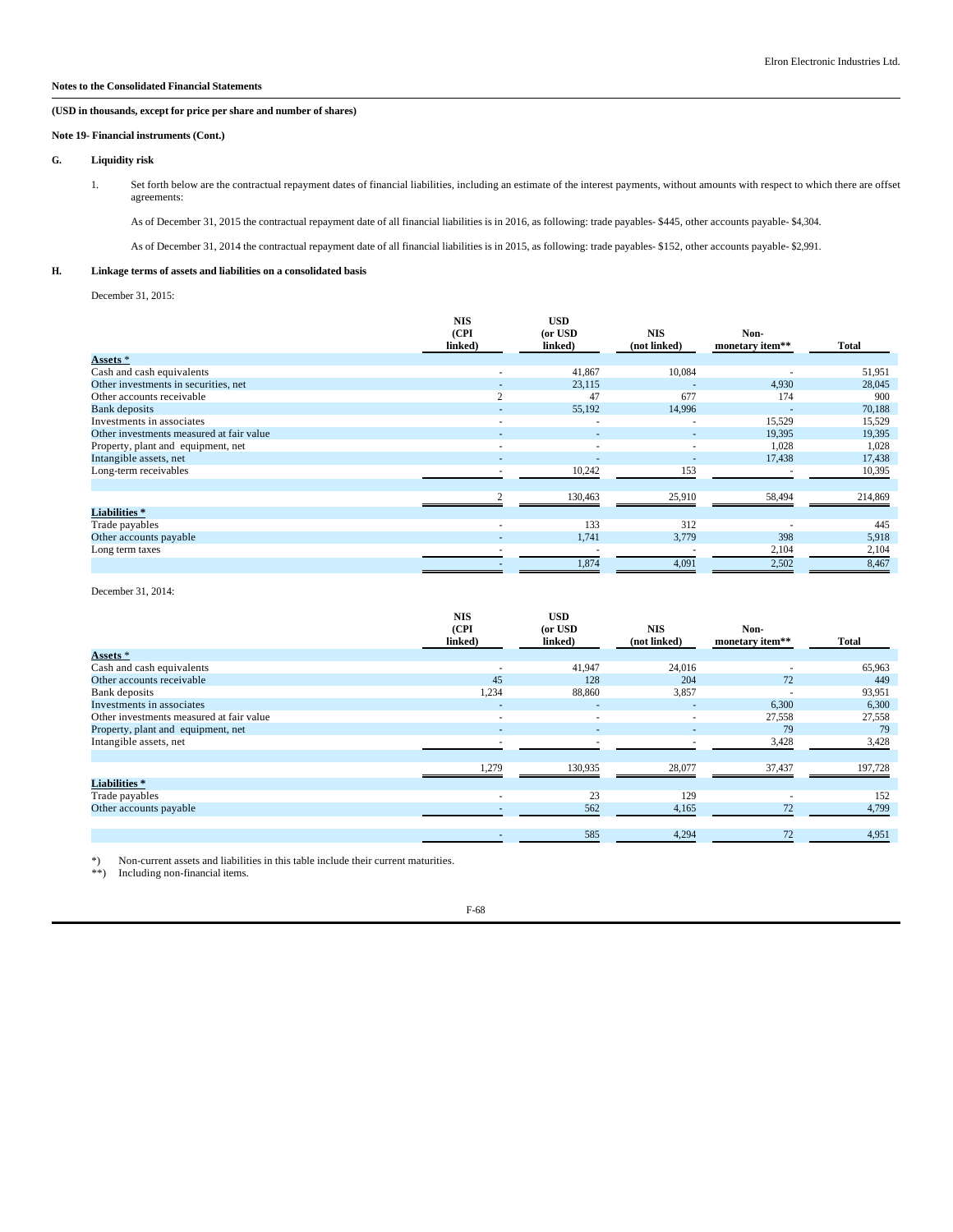## **(USD in thousands, except for price per share and number of shares)**

## **Note 19- Financial instruments (Cont.)**

## **G. Liquidity risk**

 1. Set forth below are the contractual repayment dates of financial liabilities, including an estimate of the interest payments, without amounts with respect to which there are offset agreements:

As of December 31, 2015 the contractual repayment date of all financial liabilities is in 2016, as following: trade payables- \$445, other accounts payable- \$4,304.

As of December 31, 2014 the contractual repayment date of all financial liabilities is in 2015, as following: trade payables- \$152, other accounts payable- \$2,991.

## **H. Linkage terms of assets and liabilities on a consolidated basis**

December 31, 2015:

| <b>NIS</b><br>(CPI)<br>linked) | USD<br>(or USD<br>linked) | <b>NIS</b><br>(not linked) | Non-<br>monetary item** | Total   |
|--------------------------------|---------------------------|----------------------------|-------------------------|---------|
|                                |                           |                            |                         |         |
|                                | 41,867                    | 10,084                     |                         | 51,951  |
| $\overline{\phantom{a}}$       | 23,115                    |                            | 4,930                   | 28,045  |
| 2                              | 47                        | 677                        | 174                     | 900     |
|                                | 55,192                    | 14,996                     |                         | 70,188  |
| ٠                              | ٠                         | $\overline{\phantom{a}}$   | 15,529                  | 15,529  |
|                                |                           |                            | 19,395                  | 19,395  |
| ۰                              | $\overline{\phantom{a}}$  |                            | 1,028                   | 1,028   |
|                                | $\overline{\phantom{a}}$  |                            | 17,438                  | 17,438  |
|                                | 10,242                    | 153                        |                         | 10,395  |
|                                |                           |                            |                         |         |
| C                              | 130,463                   | 25,910                     | 58,494                  | 214,869 |
|                                |                           |                            |                         |         |
| ٠                              | 133                       | 312                        |                         | 445     |
|                                | 1,741                     | 3,779                      | 398                     | 5,918   |
|                                |                           |                            | 2,104                   | 2,104   |
|                                | 1,874                     | 4,091                      | 2,502                   | 8,467   |
|                                |                           |                            |                         |         |

December 31, 2014:

|                                          | <b>NIS</b><br>(CPI)      | <b>USD</b><br>(or USD    | <b>NIS</b>               | Non-            |         |
|------------------------------------------|--------------------------|--------------------------|--------------------------|-----------------|---------|
|                                          | linked)                  | linked)                  | (not linked)             | monetary item** | Total   |
| Assets *                                 |                          |                          |                          |                 |         |
| Cash and cash equivalents                | ٠                        | 41,947                   | 24,016                   | ٠               | 65,963  |
| Other accounts receivable                | 45                       | 128                      | 204                      | 72              | 449     |
| Bank deposits                            | 1,234                    | 88,860                   | 3,857                    |                 | 93,951  |
| Investments in associates                | $\sim$                   | $\overline{\phantom{a}}$ | $\overline{\phantom{a}}$ | 6,300           | 6,300   |
| Other investments measured at fair value | $\overline{\phantom{a}}$ | $\sim$                   | $\overline{\phantom{a}}$ | 27,558          | 27,558  |
| Property, plant and equipment, net       |                          | ٠                        | $\overline{\phantom{a}}$ | 79              | 79      |
| Intangible assets, net                   |                          |                          |                          | 3,428           | 3,428   |
|                                          |                          |                          |                          |                 |         |
|                                          | 1,279                    | 130,935                  | 28,077                   | 37,437          | 197,728 |
| <b>Liabilities</b> *                     |                          |                          |                          |                 |         |
| Trade payables                           |                          | 23                       | 129                      |                 | 152     |
| Other accounts payable                   |                          | 562                      | 4,165                    | 72              | 4,799   |
|                                          |                          |                          |                          |                 |         |
|                                          |                          | 585                      | 4,294                    | 72              | 4,951   |

\*) Non-current assets and liabilities in this table include their current maturities.

\*\*) Including non-financial items.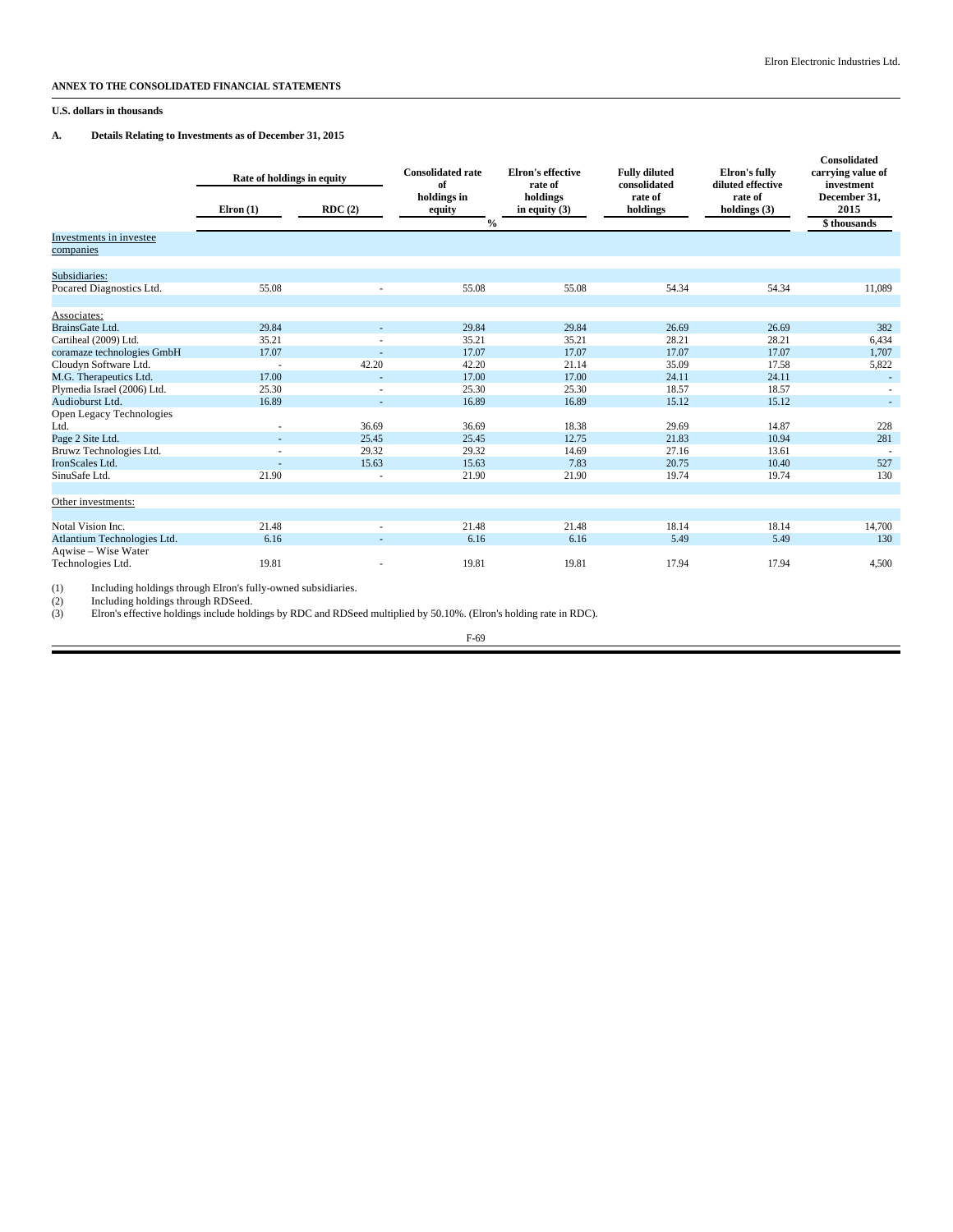## **U.S. dollars in thousands**

## **A. Details Relating to Investments as of December 31, 2015**

|                                                                                                                     | Rate of holdings in equity |                                  | <b>Consolidated rate</b><br>of            | Elron's effective<br>rate of             | <b>Fully diluted</b><br>consolidated      | Elron's fully<br>diluted effective        | <b>Consolidated</b><br>carrying value of<br>investment |
|---------------------------------------------------------------------------------------------------------------------|----------------------------|----------------------------------|-------------------------------------------|------------------------------------------|-------------------------------------------|-------------------------------------------|--------------------------------------------------------|
|                                                                                                                     | Elron $(1)$                | RDC(2)                           | holdings in<br>equity<br>$\frac{0}{0}$    | holdings<br>in equity $(3)$              | rate of<br>holdings                       | rate of<br>holdings $(3)$                 | December 31,<br>2015<br>\$thousands                    |
| Investments in investee<br>companies                                                                                |                            |                                  |                                           |                                          |                                           |                                           |                                                        |
| Subsidiaries:<br>Pocared Diagnostics Ltd.                                                                           | 55.08                      |                                  | 55.08                                     | 55.08                                    | 54.34                                     | 54.34                                     | 11,089                                                 |
| Associates:<br>BrainsGate Ltd.<br>Cartiheal (2009) Ltd.<br>coramaze technologies GmbH                               | 29.84<br>35.21<br>17.07    |                                  | 29.84<br>35.21<br>17.07                   | 29.84<br>35.21<br>17.07<br>21.14         | 26.69<br>28.21<br>17.07<br>35.09          | 26.69<br>28.21<br>17.07<br>17.58          | 382<br>6,434<br>1,707                                  |
| Cloudyn Software Ltd.<br>M.G. Therapeutics Ltd.<br>Plymedia Israel (2006) Ltd.<br>Audioburst Ltd.                   | 17.00<br>25.30<br>16.89    | 42.20                            | 42.20<br>17.00<br>25.30<br>16.89          | 17.00<br>25.30<br>16.89                  | 24.11<br>18.57<br>15.12                   | 24.11<br>18.57<br>15.12                   | 5,822<br>$\sim$<br>$\sim$                              |
| Open Legacy Technologies<br>Ltd.<br>Page 2 Site Ltd.<br>Bruwz Technologies Ltd.<br>IronScales Ltd.<br>SinuSafe Ltd. | ٠<br>÷<br>21.90            | 36.69<br>25.45<br>29.32<br>15.63 | 36.69<br>25.45<br>29.32<br>15.63<br>21.90 | 18.38<br>12.75<br>14.69<br>7.83<br>21.90 | 29.69<br>21.83<br>27.16<br>20.75<br>19.74 | 14.87<br>10.94<br>13.61<br>10.40<br>19.74 | 228<br>281<br>527<br>130                               |
| Other investments:                                                                                                  |                            |                                  |                                           |                                          |                                           |                                           |                                                        |
| Notal Vision Inc.<br>Atlantium Technologies Ltd.<br>Aqwise - Wise Water<br>Technologies Ltd.                        | 21.48<br>6.16<br>19.81     |                                  | 21.48<br>6.16<br>19.81                    | 21.48<br>6.16<br>19.81                   | 18.14<br>5.49<br>17.94                    | 18.14<br>5.49<br>17.94                    | 14,700<br>130<br>4,500                                 |

(1) Including holdings through Elron's fully-owned subsidiaries. (2) Including holdings through RDSeed. (3) Elron's effective holdings include holdings by RDC and RDSeed multiplied by 50.10%. (Elron's holding rate in RDC).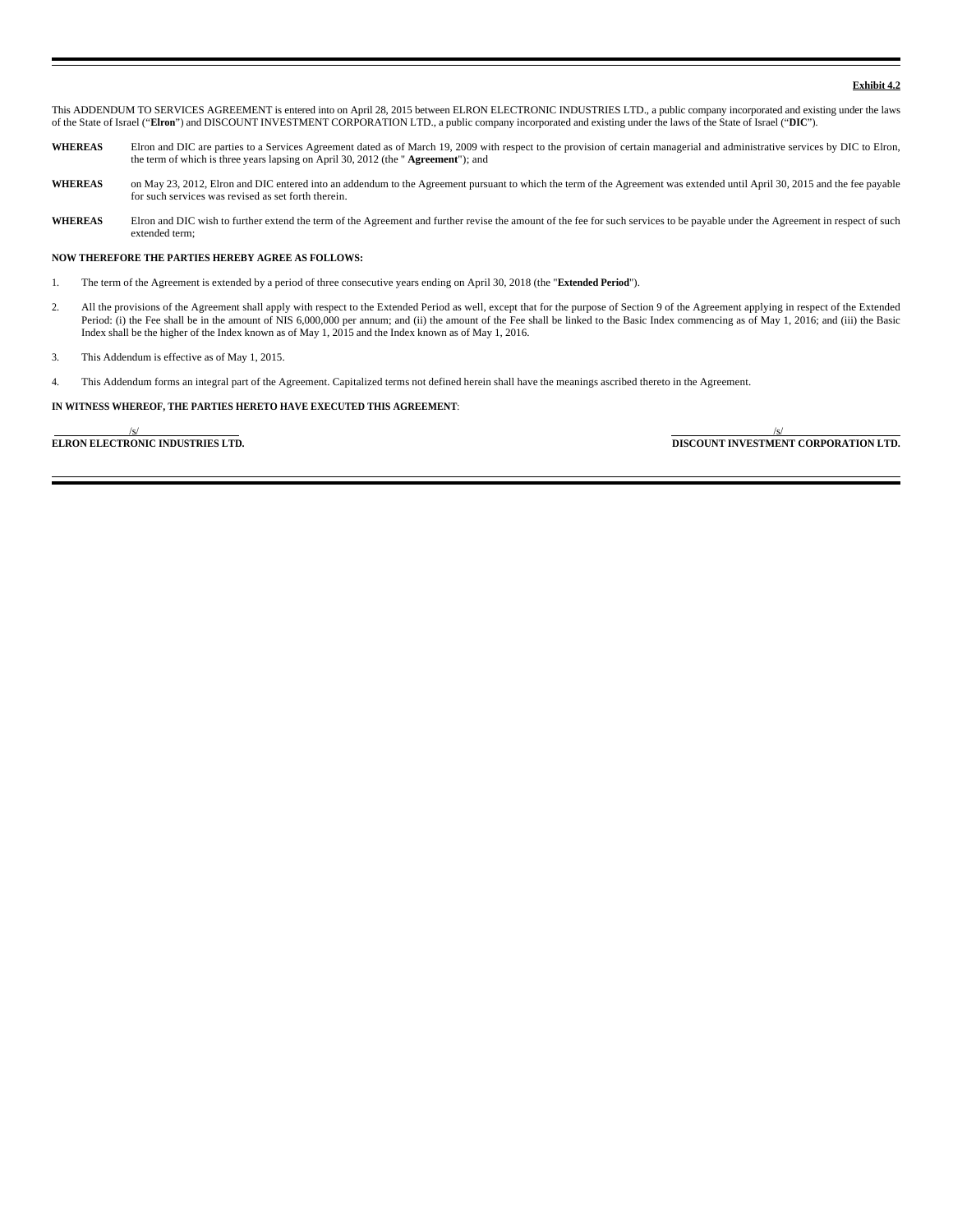#### **Exhibit 4.2**

This ADDENDUM TO SERVICES AGREEMENT is entered into on April 28, 2015 between ELRON ELECTRONIC INDUSTRIES LTD., a public company incorporated and existing under the laws of the State of Israel ("**Elron**") and DISCOUNT INVESTMENT CORPORATION LTD., a public company incorporated and existing under the laws of the State of Israel ("**DIC**").

- WHEREAS Elron and DIC are parties to a Services Agreement dated as of March 19, 2009 with respect to the provision of certain managerial and administrative services by DIC to Elron, the term of which is three years lapsing on April 30, 2012 (the " **Agreement**"); and
- **WHEREAS** on May 23, 2012, Elron and DIC entered into an addendum to the Agreement pursuant to which the term of the Agreement was extended until April 30, 2015 and the fee payable for such services was revised as set forth therein.
- **WHEREAS** Elron and DIC wish to further extend the term of the Agreement and further revise the amount of the fee for such services to be payable under the Agreement in respect of such extended term;

#### **NOW THEREFORE THE PARTIES HEREBY AGREE AS FOLLOWS:**

- 1. The term of the Agreement is extended by a period of three consecutive years ending on April 30, 2018 (the "**Extended Period**").
- 2. All the provisions of the Agreement shall apply with respect to the Extended Period as well, except that for the purpose of Section 9 of the Agreement applying in respect of the Extended Period: (i) the Fee shall be in the amount of NIS 6,000,000 per annum; and (ii) the amount of the Fee shall be linked to the Basic Index commencing as of May 1, 2016; and (iii) the Basic Index shall be the higher of the Index known as of May 1, 2015 and the Index known as of May 1, 2016.
- 3. This Addendum is effective as of May 1, 2015.
- 4. This Addendum forms an integral part of the Agreement. Capitalized terms not defined herein shall have the meanings ascribed thereto in the Agreement.

### **IN WITNESS WHEREOF, THE PARTIES HERETO HAVE EXECUTED THIS AGREEMENT**:

# $\frac{1}{s}$ /s/

**ELRON ELECTRONIC INDUSTRIES LTD. DISCOUNT INVESTMENT CORPORATION LTD.**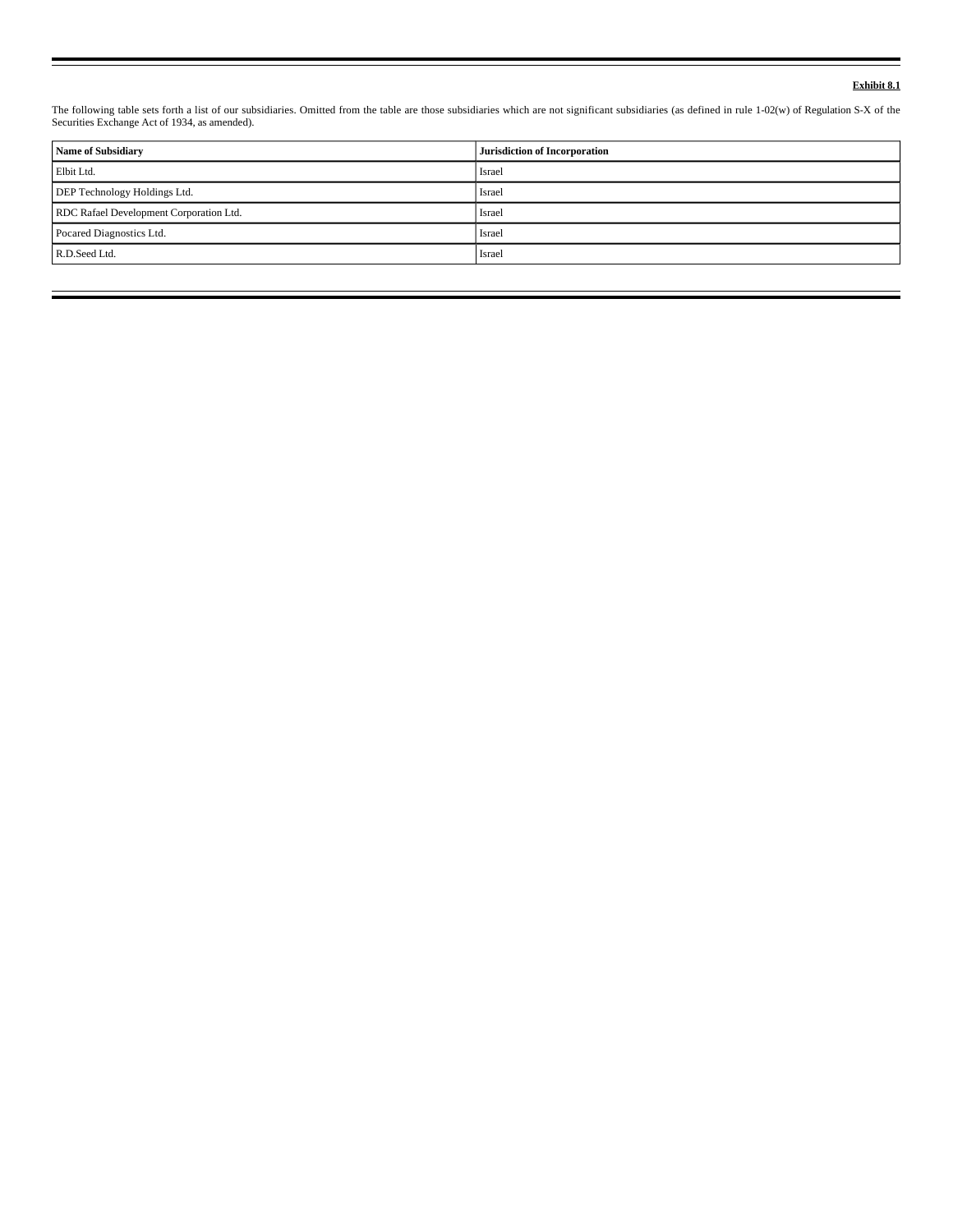## **Exhibit 8.1**

The following table sets forth a list of our subsidiaries. Omitted from the table are those subsidiaries which are not significant subsidiaries (as defined in rule 1-02(w) of Regulation S-X of the<br>Securities Exchange Act o

| Jurisdiction of Incorporation |
|-------------------------------|
| Israel                        |
| Israel                        |
| Israel                        |
| Israel                        |
| Israel                        |
|                               |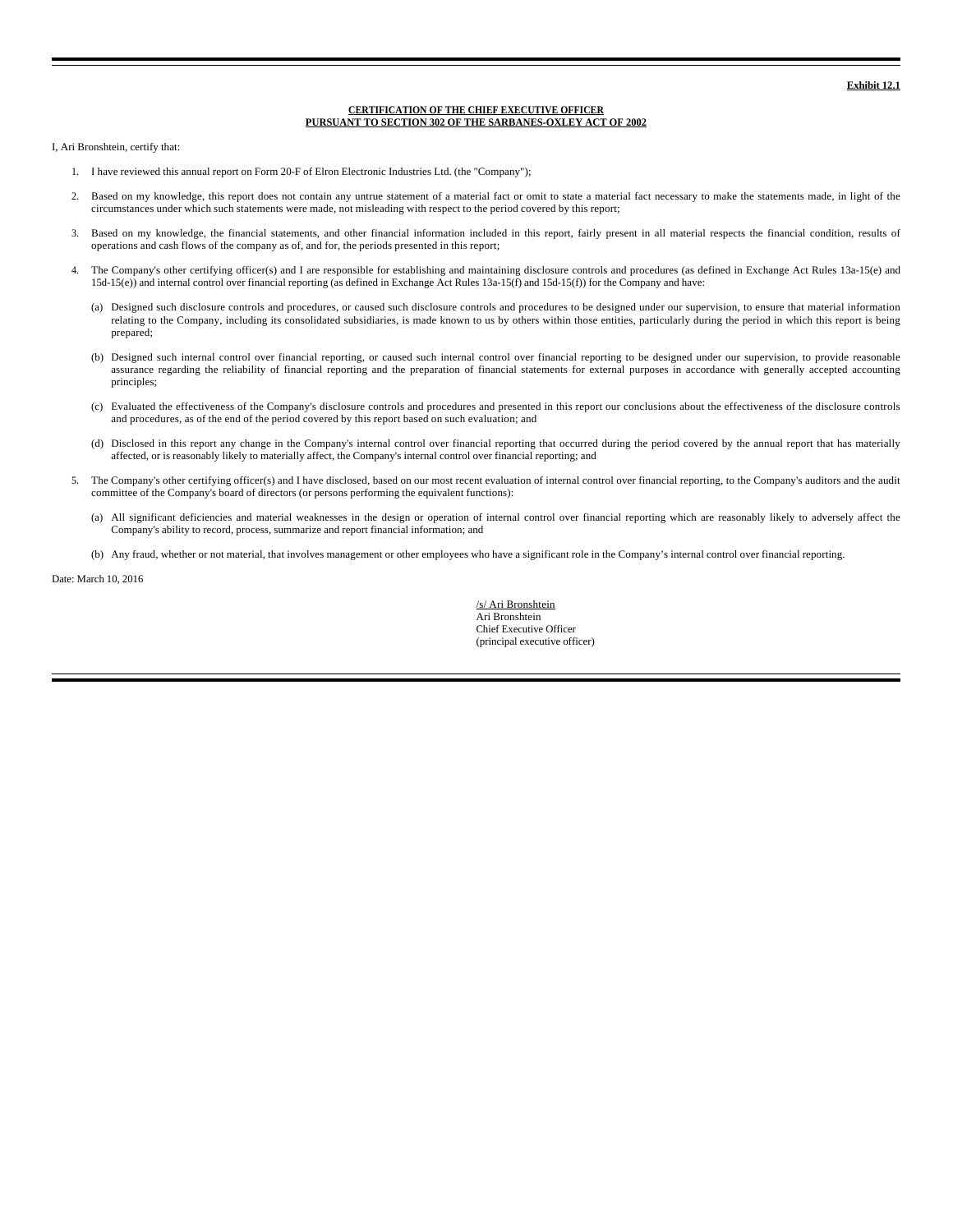#### **CERTIFICATION OF THE CHIEF EXECUTIVE OFFICER PURSUANT TO SECTION 302 OF THE SARBANES-OXLEY ACT OF 2002**

I, Ari Bronshtein, certify that:

- 1. I have reviewed this annual report on Form 20-F of Elron Electronic Industries Ltd. (the "Company");
- 2. Based on my knowledge, this report does not contain any untrue statement of a material fact or omit to state a material fact necessary to make the statements made, in light of the circumstances under which such statements were made, not misleading with respect to the period covered by this report;
- 3. Based on my knowledge, the financial statements, and other financial information included in this report, fairly present in all material respects the financial condition, results of operations and cash flows of the company as of, and for, the periods presented in this report;
- 4. The Company's other certifying officer(s) and I are responsible for establishing and maintaining disclosure controls and procedures (as defined in Exchange Act Rules 13a-15(e) and 15d-15(e)) and internal control over financial reporting (as defined in Exchange Act Rules 13a-15(f) and 15d-15(f)) for the Company and have:
	- (a) Designed such disclosure controls and procedures, or caused such disclosure controls and procedures to be designed under our supervision, to ensure that material information relating to the Company, including its consolidated subsidiaries, is made known to us by others within those entities, particularly during the period in which this report is being prepared;
	- (b) Designed such internal control over financial reporting, or caused such internal control over financial reporting to be designed under our supervision, to provide reasonable assurance regarding the reliability of financial reporting and the preparation of financial statements for external purposes in accordance with generally accepted accounting principles;
	- (c) Evaluated the effectiveness of the Company's disclosure controls and procedures and presented in this report our conclusions about the effectiveness of the disclosure controls and procedures, as of the end of the period covered by this report based on such evaluation; and
	- (d) Disclosed in this report any change in the Company's internal control over financial reporting that occurred during the period covered by the annual report that has materially affected, or is reasonably likely to materially affect, the Company's internal control over financial reporting; and
- 5. The Company's other certifying officer(s) and I have disclosed, based on our most recent evaluation of internal control over financial reporting, to the Company's auditors and the audit committee of the Company's board of directors (or persons performing the equivalent functions):
	- (a) All significant deficiencies and material weaknesses in the design or operation of internal control over financial reporting which are reasonably likely to adversely affect the Company's ability to record, process, summarize and report financial information; and
	- (b) Any fraud, whether or not material, that involves management or other employees who have a significant role in the Company's internal control over financial reporting.

Date: March 10, 2016

/s/ Ari Bronshtein Ari Bronshtein Chief Executive Officer (principal executive officer)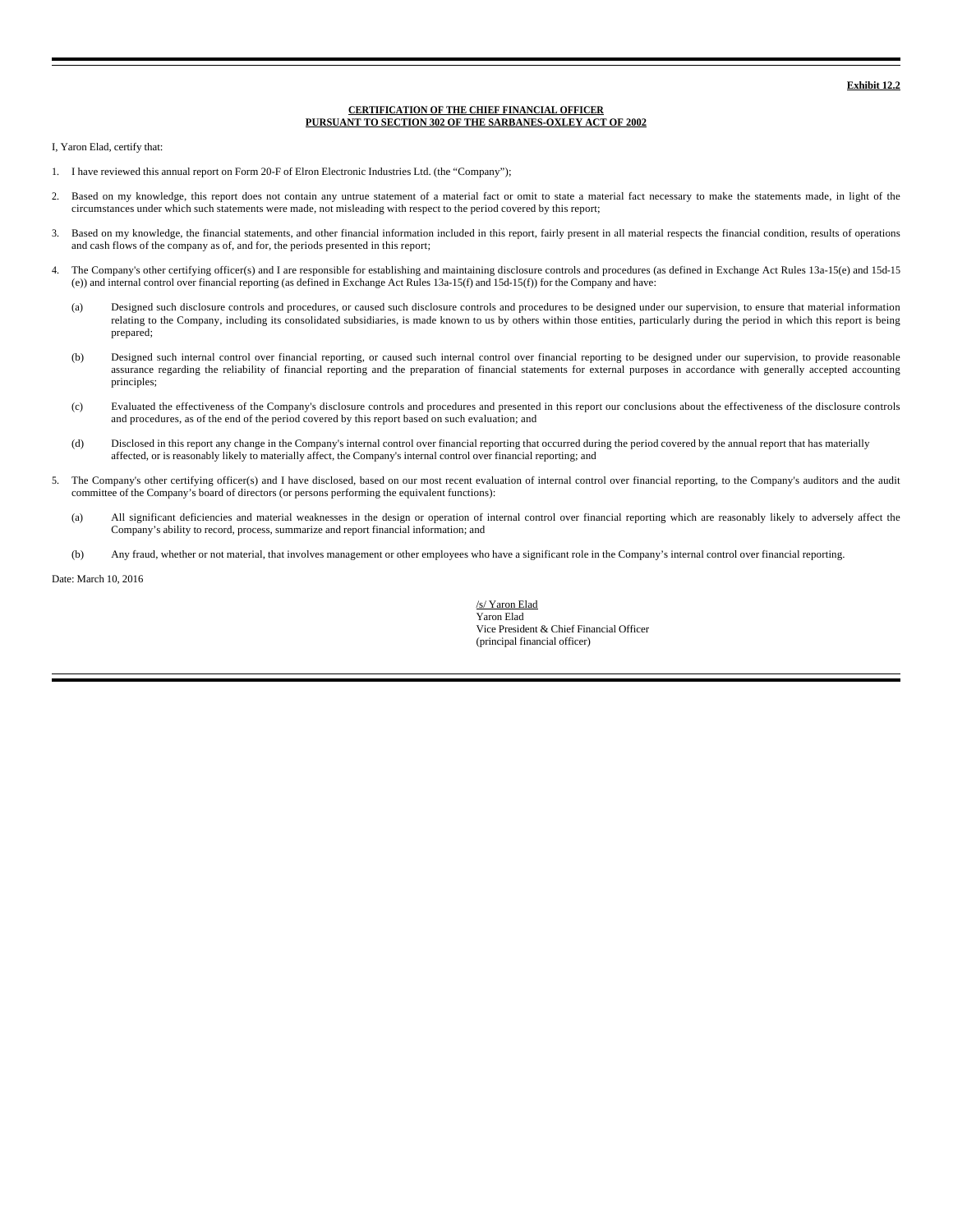### **CERTIFICATION OF THE CHIEF FINANCIAL OFFICER PURSUANT TO SECTION 302 OF THE SARBANES-OXLEY ACT OF 2002**

I, Yaron Elad, certify that:

- 1. I have reviewed this annual report on Form 20-F of Elron Electronic Industries Ltd. (the "Company");
- 2. Based on my knowledge, this report does not contain any untrue statement of a material fact or omit to state a material fact necessary to make the statements made, in light of the circumstances under which such statements were made, not misleading with respect to the period covered by this report;
- 3. Based on my knowledge, the financial statements, and other financial information included in this report, fairly present in all material respects the financial condition, results of operations and cash flows of the company as of, and for, the periods presented in this report;
- The Company's other certifying officer(s) and I are responsible for establishing and maintaining disclosure controls and procedures (as defined in Exchange Act Rules 13a-15(e) and 15d-15 (e)) and internal control over financial reporting (as defined in Exchange Act Rules 13a-15(f) and 15d-15(f)) for the Company and have:
	- (a) Designed such disclosure controls and procedures, or caused such disclosure controls and procedures to be designed under our supervision, to ensure that material information relating to the Company, including its consolidated subsidiaries, is made known to us by others within those entities, particularly during the period in which this report is being prepared;
	- (b) Designed such internal control over financial reporting, or caused such internal control over financial reporting to be designed under our supervision, to provide reasonable assurance regarding the reliability of financial reporting and the preparation of financial statements for external purposes in accordance with generally accepted accounting principles;
	- (c) Evaluated the effectiveness of the Company's disclosure controls and procedures and presented in this report our conclusions about the effectiveness of the disclosure controls and procedures, as of the end of the period covered by this report based on such evaluation; and
	- (d) Disclosed in this report any change in the Company's internal control over financial reporting that occurred during the period covered by the annual report that has materially affected, or is reasonably likely to materially affect, the Company's internal control over financial reporting; and
- 5. The Company's other certifying officer(s) and I have disclosed, based on our most recent evaluation of internal control over financial reporting, to the Company's auditors and the audit committee of the Company's board of directors (or persons performing the equivalent functions):
	- (a) All significant deficiencies and material weaknesses in the design or operation of internal control over financial reporting which are reasonably likely to adversely affect the Company's ability to record, process, summarize and report financial information; and
	- (b) Any fraud, whether or not material, that involves management or other employees who have a significant role in the Company's internal control over financial reporting.

Date: March 10, 2016

/s/ Yaron Elad Yaron Elad Vice President & Chief Financial Officer (principal financial officer)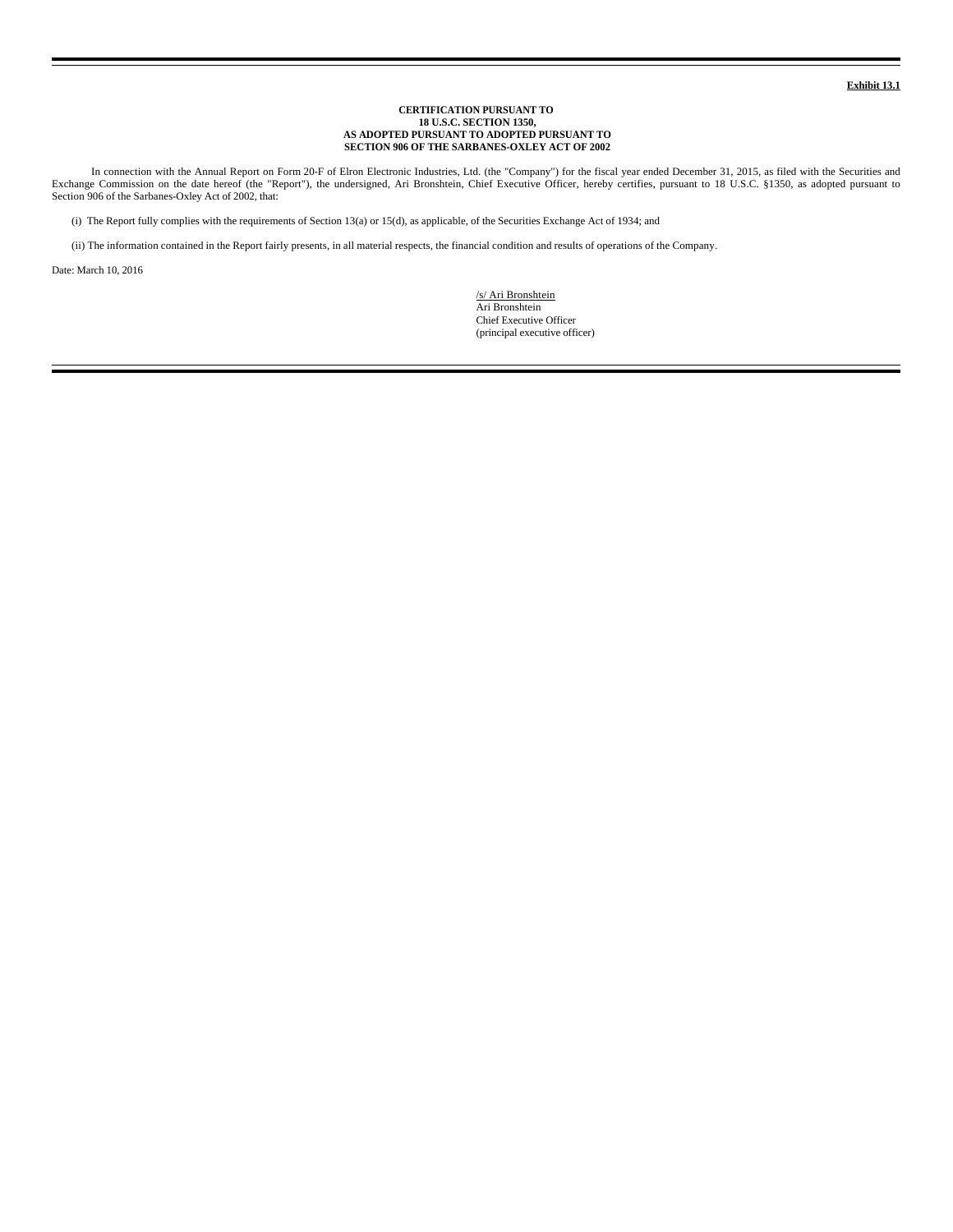**Exhibit 13.1**

#### **CERTIFICATION PURSUANT TO 18 U.S.C. SECTION 1350, AS ADOPTED PURSUANT TO ADOPTED PURSUANT TO SECTION 906 OF THE SARBANES-OXLEY ACT OF 2002**

In connection with the Annual Report on Form 20-F of Elron Electronic Industries, Ltd. (the "Company") for the fiscal year ended December 31, 2015, as filed with the Securities and Exchange Commission on the date hereof (the "Report"), the undersigned, Ari Bronshtein, Chief Executive Officer, hereby certifies, pursuant to 18 U.S.C. §1350, as adopted pursuant to Section 906 of the Sarbanes-Oxley Act of 2002, that:

(i) The Report fully complies with the requirements of Section 13(a) or 15(d), as applicable, of the Securities Exchange Act of 1934; and

(ii) The information contained in the Report fairly presents, in all material respects, the financial condition and results of operations of the Company.

Date: March 10, 2016

/s/ Ari Bronshtein Ari Bronshtein Chief Executive Officer (principal executive officer)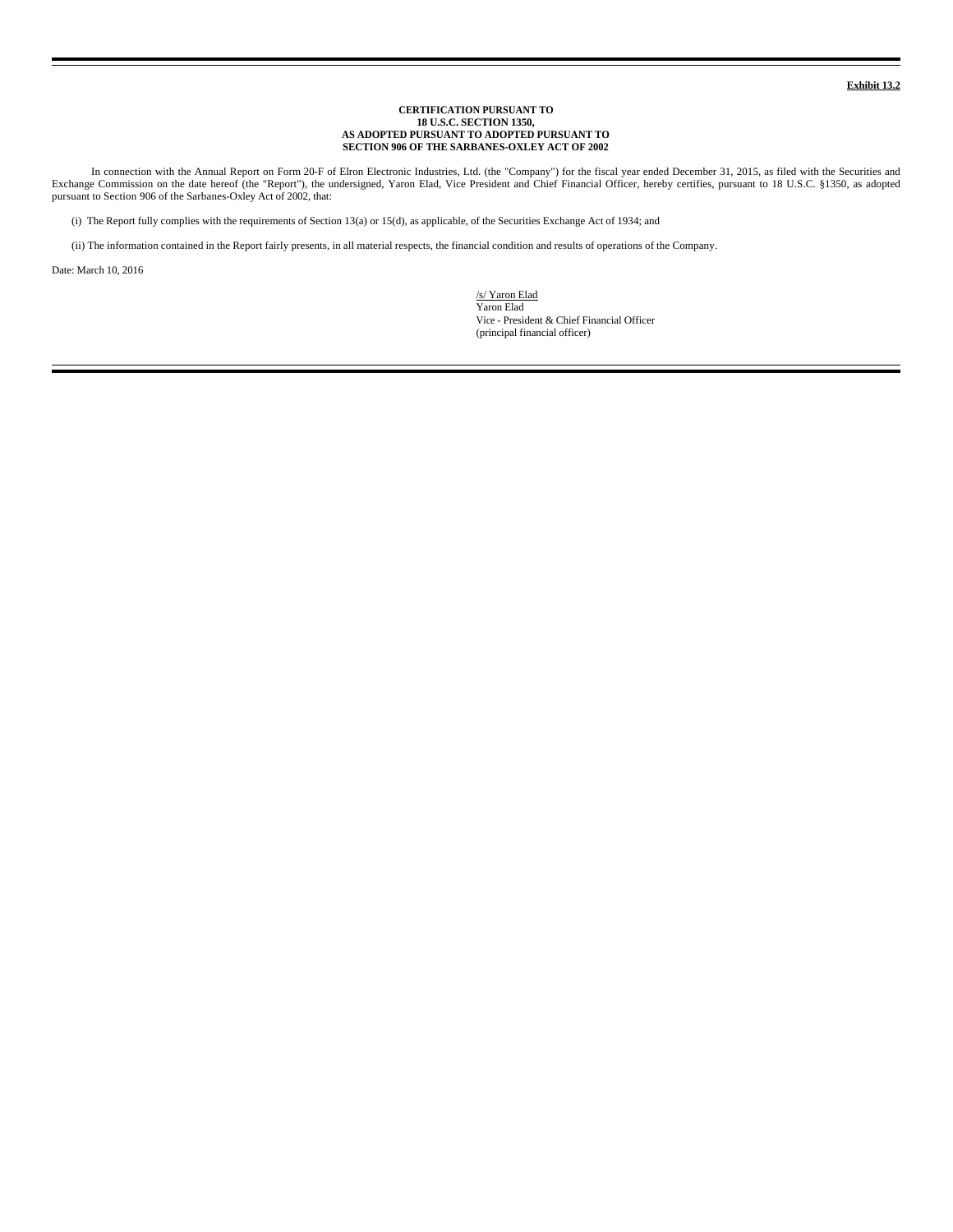**Exhibit 13.2**

#### **CERTIFICATION PURSUANT TO 18 U.S.C. SECTION 1350, AS ADOPTED PURSUANT TO ADOPTED PURSUANT TO SECTION 906 OF THE SARBANES-OXLEY ACT OF 2002**

In connection with the Annual Report on Form 20-F of Elron Electronic Industries, Ltd. (the "Company") for the fiscal year ended December 31, 2015, as filed with the Securities and Exchange Commission on the date hereof (the "Report"), the undersigned, Yaron Elad, Vice President and Chief Financial Officer, hereby certifies, pursuant to 18 U.S.C. §1350, as adopted pursuant to Section 906 of the Sarbanes-Oxley Act of 2002, that:

(i) The Report fully complies with the requirements of Section 13(a) or 15(d), as applicable, of the Securities Exchange Act of 1934; and

(ii) The information contained in the Report fairly presents, in all material respects, the financial condition and results of operations of the Company.

Date: March 10, 2016

/s/ Yaron Elad Yaron Elad Vice - President & Chief Financial Officer (principal financial officer)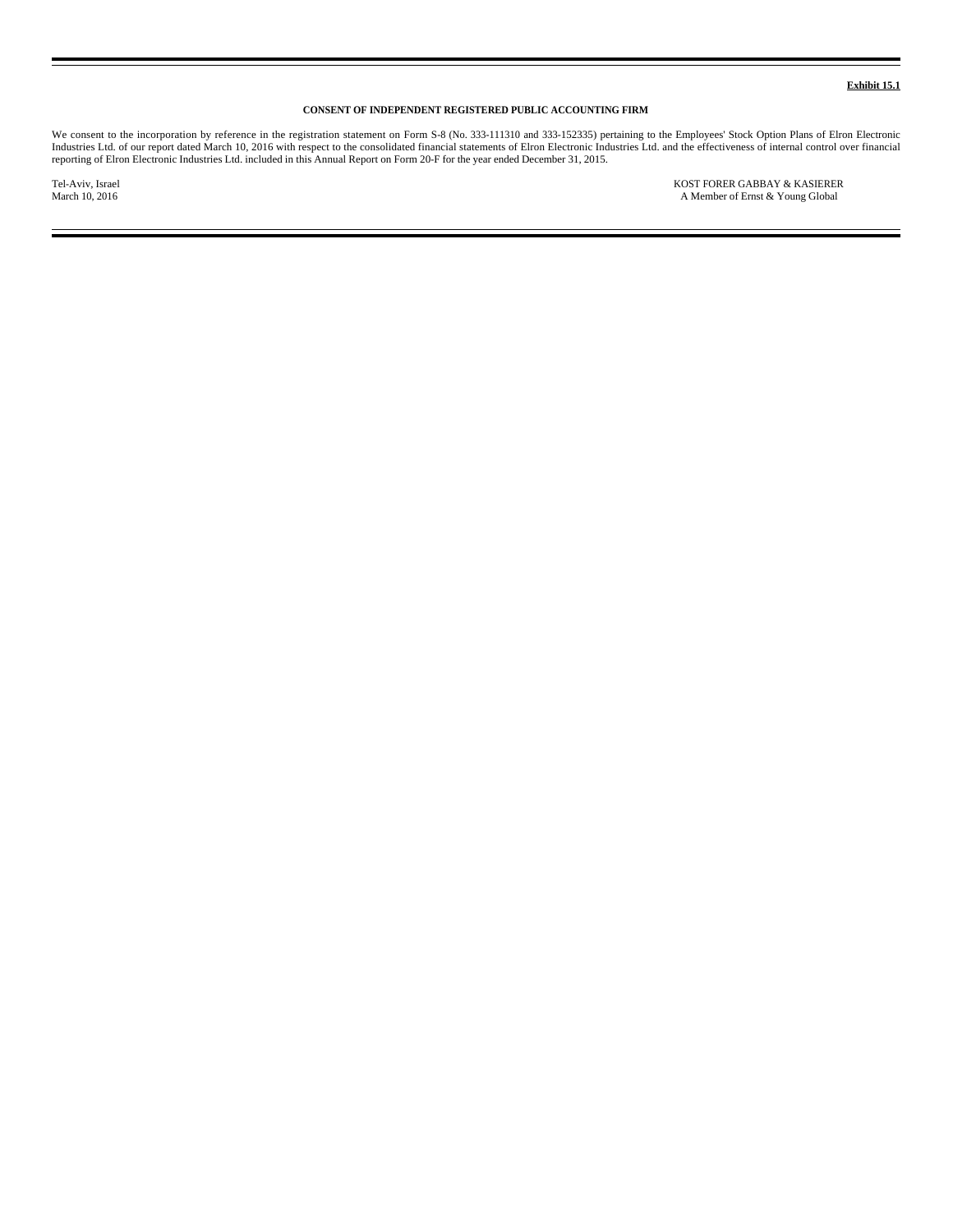**Exhibit 15.1**

## **CONSENT OF INDEPENDENT REGISTERED PUBLIC ACCOUNTING FIRM**

We consent to the incorporation by reference in the registration statement on Form S-8 (No. 333-11310 and 333-152335) pertaining to the Employees' Stock Option Plans of Elron Electronic<br>Industries Ltd. of our report dated reporting of Elron Electronic Industries Ltd. included in this Annual Report on Form 20-F for the year ended December 31, 2015.

Tel-Aviv, Israel March 10, 2016

KOST FORER GABBAY & KASIERER A Member of Ernst & Young Global